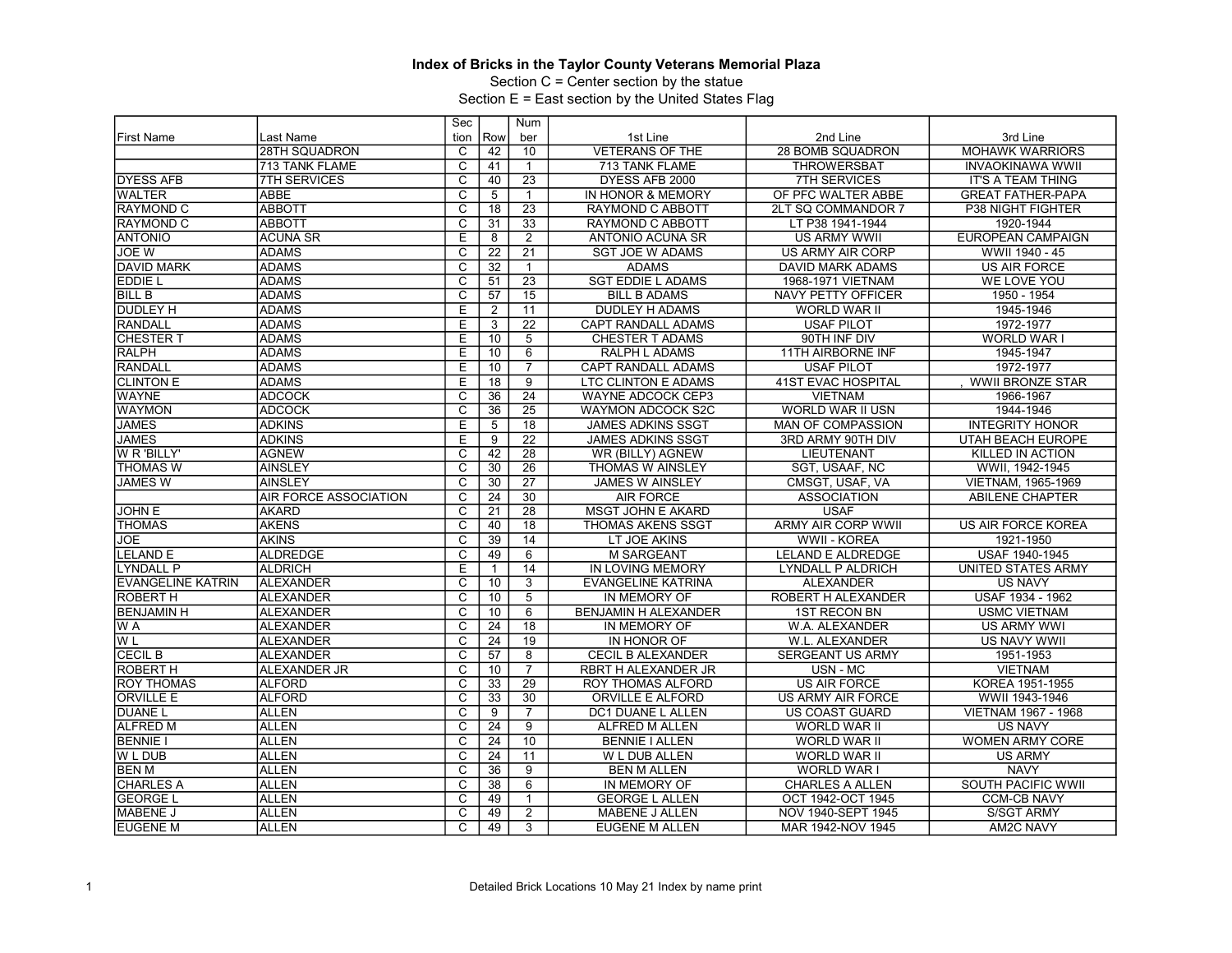Section C = Center section by the statue

|                          |                              | Sec                     |                 | Num             |                            |                           |                            |
|--------------------------|------------------------------|-------------------------|-----------------|-----------------|----------------------------|---------------------------|----------------------------|
| <b>First Name</b>        | Last Name                    | tion                    | Row             | ber             | 1st Line                   | 2nd Line                  | 3rd Line                   |
|                          | <b>28TH SQUADRON</b>         | C                       | 42              | 10              | <b>VETERANS OF THE</b>     | 28 BOMB SQUADRON          | <b>MOHAWK WARRIORS</b>     |
|                          | 713 TANK FLAME               | $\overline{\mathsf{c}}$ | 41              | $\mathbf{1}$    | 713 TANK FLAME             | <b>THROWERSBAT</b>        | <b>INVAOKINAWA WWII</b>    |
| <b>DYESS AFB</b>         | <b>7TH SERVICES</b>          | $\overline{\mathrm{c}}$ | 40              | $\overline{23}$ | DYESS AFB 2000             | <b>7TH SERVICES</b>       | <b>IT'S A TEAM THING</b>   |
| <b>WALTER</b>            | <b>ABBE</b>                  | C                       | 5               | $\mathbf{1}$    | IN HONOR & MEMORY          | OF PFC WALTER ABBE        | <b>GREAT FATHER-PAPA</b>   |
| <b>RAYMOND C</b>         | <b>ABBOTT</b>                | $\overline{\text{c}}$   | 18              | 23              | RAYMOND C ABBOTT           | 2LT SQ COMMANDOR 7        | P38 NIGHT FIGHTER          |
| <b>RAYMOND C</b>         | <b>ABBOTT</b>                | $\overline{\mathsf{c}}$ | 31              | $\overline{33}$ | RAYMOND C ABBOTT           | LT P38 1941-1944          | 1920-1944                  |
| <b>ANTONIO</b>           | <b>ACUNA SR</b>              | E                       | 8               | $\overline{2}$  | <b>ANTONIO ACUNA SR</b>    | <b>US ARMY WWII</b>       | <b>EUROPEAN CAMPAIGN</b>   |
| <b>JOE W</b>             | <b>ADAMS</b>                 | $\overline{\mathsf{c}}$ | 22              | $\overline{21}$ | <b>SGT JOE W ADAMS</b>     | US ARMY AIR CORP          | WWII 1940 - 45             |
| <b>DAVID MARK</b>        | <b>ADAMS</b>                 | $\overline{\mathrm{c}}$ | 32              | $\mathbf{1}$    | <b>ADAMS</b>               | <b>DAVID MARK ADAMS</b>   | <b>US AIR FORCE</b>        |
| EDDIE L                  | <b>ADAMS</b>                 | $\overline{c}$          | 51              | 23              | <b>SGT EDDIE L ADAMS</b>   | 1968-1971 VIETNAM         | WE LOVE YOU                |
| <b>BILL B</b>            | <b>ADAMS</b>                 | $\overline{\mathrm{c}}$ | $\overline{57}$ | $\overline{15}$ | <b>BILL B ADAMS</b>        | NAVY PETTY OFFICER        | 1950 - 1954                |
| DUDLEY H                 | <b>ADAMS</b>                 | E                       | $\overline{2}$  | 11              | DUDLEY H ADAMS             | WORLD WAR II              | 1945-1946                  |
| <b>RANDALL</b>           | <b>ADAMS</b>                 | Ε                       | 3               | $\overline{22}$ | CAPT RANDALL ADAMS         | <b>USAF PILOT</b>         | 1972-1977                  |
| <b>CHESTER T</b>         | <b>ADAMS</b>                 | E                       | 10              | $\overline{5}$  | <b>CHESTER T ADAMS</b>     | 90TH INF DIV              | WORLD WAR I                |
| <b>RALPH</b>             | <b>ADAMS</b>                 | Ē                       | $\overline{10}$ | 6               | <b>RALPH L ADAMS</b>       | <b>11TH AIRBORNE INF</b>  | 1945-1947                  |
| <b>RANDALL</b>           | <b>ADAMS</b>                 | Έ                       | 10              | $\overline{7}$  | <b>CAPT RANDALL ADAMS</b>  | <b>USAF PILOT</b>         | 1972-1977                  |
| <b>CLINTON E</b>         | <b>ADAMS</b>                 | E                       | 18              | 9               | <b>LTC CLINTON E ADAMS</b> | <b>41ST EVAC HOSPITAL</b> | <b>WWII BRONZE STAR</b>    |
| <b>WAYNE</b>             | <b>ADCOCK</b>                | $\overline{\text{c}}$   | $\overline{36}$ | $\overline{24}$ | WAYNE ADCOCK CEP3          | <b>VIETNAM</b>            | 1966-1967                  |
| <b>WAYMON</b>            | <b>ADCOCK</b>                | $\overline{\text{c}}$   | 36              | $\overline{25}$ | <b>WAYMON ADCOCK S2C</b>   | <b>WORLD WAR II USN</b>   | 1944-1946                  |
| <b>JAMES</b>             | <b>ADKINS</b>                | $\overline{E}$          | 5               | 18              | <b>JAMES ADKINS SSGT</b>   | <b>MAN OF COMPASSION</b>  | <b>INTEGRITY HONOR</b>     |
| <b>JAMES</b>             | <b>ADKINS</b>                | E                       | 9               | $\overline{22}$ | <b>JAMES ADKINS SSGT</b>   | 3RD ARMY 90TH DIV         | UTAH BEACH EUROPE          |
| <b>W R 'BILLY'</b>       | <b>AGNEW</b>                 | C                       | 42              | $\overline{28}$ | WR (BILLY) AGNEW           | <b>LIEUTENANT</b>         | KILLED IN ACTION           |
| <b>THOMAS W</b>          | <b>AINSLEY</b>               | $\overline{\mathrm{c}}$ | $\overline{30}$ | $\overline{26}$ | THOMAS W AINSLEY           | SGT, USAAF, NC            | WWII, 1942-1945            |
| <b>JAMES W</b>           | <b>AINSLEY</b>               | $\overline{\text{c}}$   | 30              | $\overline{27}$ | <b>JAMES W AINSLEY</b>     | CMSGT, USAF, VA           | VIETNAM, 1965-1969         |
|                          | <b>AIR FORCE ASSOCIATION</b> | C                       | $\overline{24}$ | $\overline{30}$ | <b>AIR FORCE</b>           | <b>ASSOCIATION</b>        | <b>ABILENE CHAPTER</b>     |
| <b>JOHN E</b>            | <b>AKARD</b>                 | $\overline{C}$          | 21              | $\overline{28}$ | <b>MSGT JOHN E AKARD</b>   | <b>USAF</b>               |                            |
| <b>THOMAS</b>            | <b>AKENS</b>                 | $\overline{\mathrm{c}}$ | 40              | 18              | <b>THOMAS AKENS SSGT</b>   | ARMY AIR CORP WWII        | <b>US AIR FORCE KOREA</b>  |
| JOE                      | <b>AKINS</b>                 | $\overline{\text{c}}$   | 39              | $\overline{14}$ | LT JOE AKINS               | WWII - KOREA              | 1921-1950                  |
| <b>LELAND E</b>          | <b>ALDREDGE</b>              | $\overline{\text{c}}$   | 49              | $6\overline{6}$ | <b>M SARGEANT</b>          | <b>LELAND E ALDREDGE</b>  | <b>USAF 1940-1945</b>      |
| <b>LYNDALL P</b>         | <b>ALDRICH</b>               | Ε                       | $\mathbf{1}$    | 14              | IN LOVING MEMORY           | LYNDALL P ALDRICH         | UNITED STATES ARMY         |
| <b>EVANGELINE KATRIN</b> | <b>ALEXANDER</b>             | $\overline{\mathrm{c}}$ | 10              | $\overline{3}$  | <b>EVANGELINE KATRINA</b>  | <b>ALEXANDER</b>          | <b>US NAVY</b>             |
| ROBERT H                 | <b>ALEXANDER</b>             | $\overline{c}$          | 10              | $\overline{5}$  | IN MEMORY OF               | ROBERT H ALEXANDER        | USAF 1934 - 1962           |
| <b>BENJAMIN H</b>        | <b>ALEXANDER</b>             | С                       | 10              | 6               | BENJAMIN H ALEXANDER       | <b>1ST RECON BN</b>       | <b>USMC VIETNAM</b>        |
| W A                      | <b>ALEXANDER</b>             | $\overline{C}$          | 24              | $\overline{18}$ | IN MEMORY OF               | W.A. ALEXANDER            | <b>US ARMY WWI</b>         |
| W <sub>L</sub>           | <b>ALEXANDER</b>             | C                       | 24              | 19              | IN HONOR OF                | W.L. ALEXANDER            | <b>US NAVY WWII</b>        |
| <b>CECIL B</b>           | <b>ALEXANDER</b>             | $\overline{\text{c}}$   | 57              | $\overline{8}$  | <b>CECIL B ALEXANDER</b>   | <b>SERGEANT US ARMY</b>   | 1951-1953                  |
| <b>ROBERT H</b>          | ALEXANDER JR                 | $\overline{\mathrm{c}}$ | 10              | $\overline{7}$  | RBRT H ALEXANDER JR        | USN - MC                  | <b>VIETNAM</b>             |
| <b>ROY THOMAS</b>        | <b>ALFORD</b>                | C                       | $\overline{33}$ | 29              | ROY THOMAS ALFORD          | <b>US AIR FORCE</b>       | KOREA 1951-1955            |
| <b>ORVILLE E</b>         | <b>ALFORD</b>                | $\overline{\mathrm{c}}$ | $\overline{33}$ | $\overline{30}$ | ORVILLE E ALFORD           | US ARMY AIR FORCE         | WWII 1943-1946             |
| <b>DUANEL</b>            | <b>ALLEN</b>                 | $\overline{\mathsf{c}}$ | 9               | $\overline{7}$  | DC1 DUANE L ALLEN          | <b>US COAST GUARD</b>     | <b>VIETNAM 1967 - 1968</b> |
| <b>ALFRED M</b>          | <b>ALLEN</b>                 | C                       | 24              | 9               | <b>ALFRED M ALLEN</b>      | WORLD WAR II              | <b>US NAVY</b>             |
| <b>BENNIE I</b>          | <b>ALLEN</b>                 | $\overline{\mathsf{c}}$ | 24              | 10              | <b>BENNIE I ALLEN</b>      | WORLD WAR II              | <b>WOMEN ARMY CORE</b>     |
| W L DUB                  | ALLEN                        | C                       | $\overline{24}$ | 11              | W L DUB ALLEN              | <b>WORLD WAR II</b>       | <b>US ARMY</b>             |
| <b>BEN M</b>             | <b>ALLEN</b>                 | $\overline{\mathsf{c}}$ | 36              | $\overline{9}$  | <b>BEN M ALLEN</b>         | WORLD WAR I               | <b>NAVY</b>                |
| <b>CHARLES A</b>         | <b>ALLEN</b>                 | C                       | 38              | 6               | IN MEMORY OF               | <b>CHARLES A ALLEN</b>    | <b>SOUTH PACIFIC WWII</b>  |
| <b>GEORGE L</b>          | <b>ALLEN</b>                 | C                       | 49              | $\mathbf{1}$    | <b>GEORGE L ALLEN</b>      | OCT 1942-OCT 1945         | <b>CCM-CB NAVY</b>         |
| MABENE J                 | <b>ALLEN</b>                 | $\overline{\mathrm{c}}$ | 49              | $\overline{2}$  | <b>MABENE J ALLEN</b>      | NOV 1940-SEPT 1945        | <b>S/SGT ARMY</b>          |
| <b>EUGENE M</b>          | ALLEN                        | $\overline{C}$          | 49              | 3               | <b>EUGENE M ALLEN</b>      | MAR 1942-NOV 1945         | AM2C NAVY                  |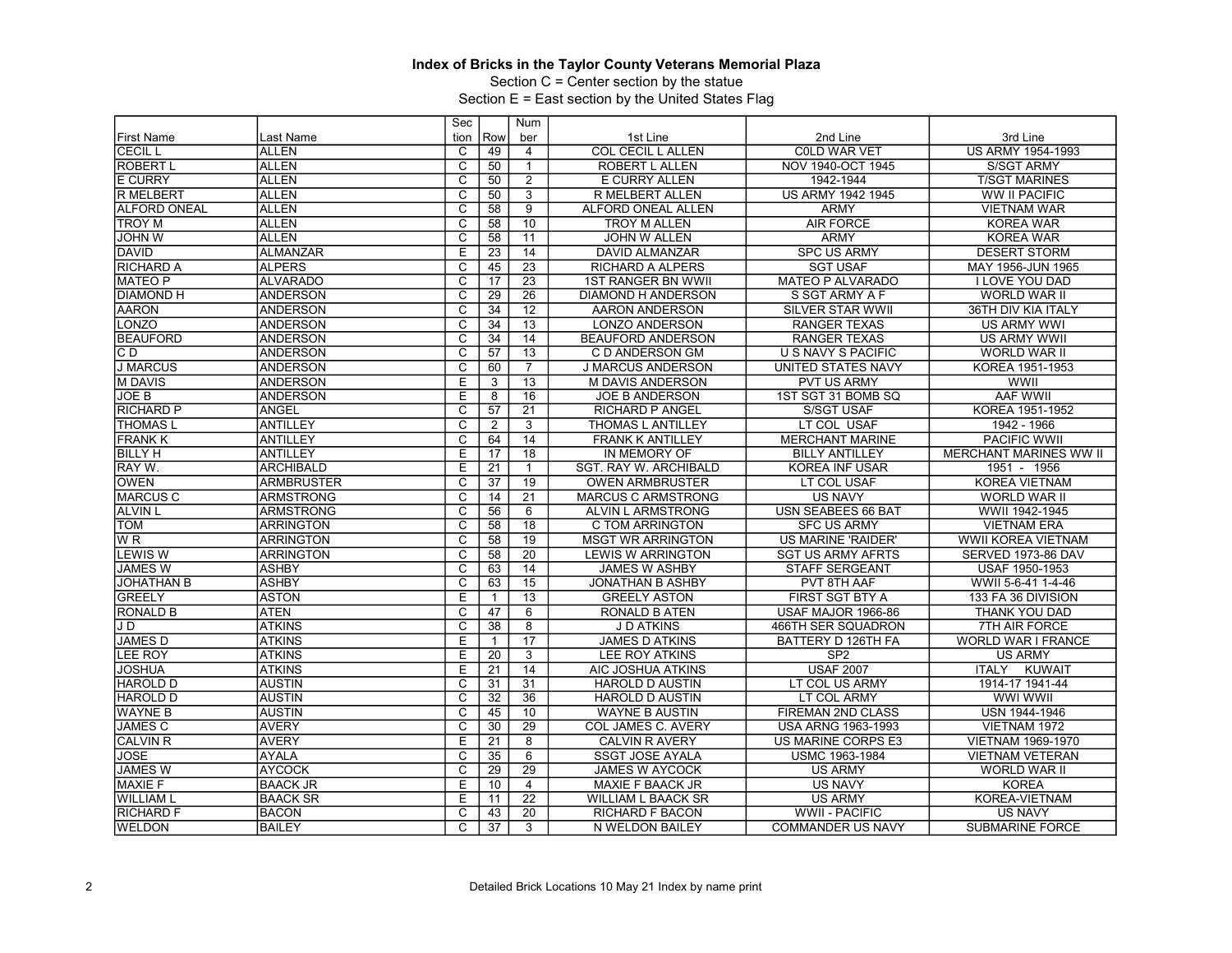Section C = Center section by the statue

|                     |                   | Sec                     |                 | Num             |                           |                           |                               |
|---------------------|-------------------|-------------------------|-----------------|-----------------|---------------------------|---------------------------|-------------------------------|
| <b>First Name</b>   | Last Name         | tion                    | Row             | ber             | 1st Line                  | 2nd Line                  | 3rd Line                      |
| <b>CECIL L</b>      | <b>ALLEN</b>      | C                       | 49              | $\overline{4}$  | <b>COL CECIL L ALLEN</b>  | <b>COLD WAR VET</b>       | US ARMY 1954-1993             |
| <b>ROBERT L</b>     | <b>ALLEN</b>      | C                       | 50              | $\mathbf{1}$    | ROBERT L ALLEN            | NOV 1940-OCT 1945         | S/SGT ARMY                    |
| <b>E CURRY</b>      | <b>ALLEN</b>      | С                       | 50              | $\overline{2}$  | E CURRY ALLEN             | 1942-1944                 | <b>T/SGT MARINES</b>          |
| <b>R MELBERT</b>    | <b>ALLEN</b>      | $\overline{C}$          | 50              | $\overline{3}$  | R MELBERT ALLEN           | <b>US ARMY 1942 1945</b>  | WW II PACIFIC                 |
| <b>ALFORD ONEAL</b> | <b>ALLEN</b>      | $\overline{\text{c}}$   | 58              | $\overline{9}$  | ALFORD ONEAL ALLEN        | <b>ARMY</b>               | <b>VIETNAM WAR</b>            |
| <b>TROY</b> M       | <b>ALLEN</b>      | $\overline{c}$          | 58              | 10              | <b>TROY M ALLEN</b>       | <b>AIR FORCE</b>          | <b>KOREA WAR</b>              |
| <b>JOHN W</b>       | <b>ALLEN</b>      | C                       | 58              | 11              | <b>JOHN W ALLEN</b>       | <b>ARMY</b>               | <b>KOREA WAR</b>              |
| <b>DAVID</b>        | <b>ALMANZAR</b>   | Έ                       | 23              | $\overline{14}$ | <b>DAVID ALMANZAR</b>     | <b>SPC US ARMY</b>        | <b>DESERT STORM</b>           |
| <b>RICHARD A</b>    | <b>ALPERS</b>     | С                       | 45              | $\overline{23}$ | <b>RICHARD A ALPERS</b>   | <b>SGT USAF</b>           | MAY 1956-JUN 1965             |
| <b>MATEO P</b>      | <b>ALVARADO</b>   | C                       | 17              | $\overline{23}$ | <b>1ST RANGER BN WWII</b> | <b>MATEO P ALVARADO</b>   | I LOVE YOU DAD                |
| <b>DIAMOND H</b>    | <b>ANDERSON</b>   | $\overline{\text{c}}$   | $\overline{29}$ | $\overline{26}$ | <b>DIAMOND H ANDERSON</b> | S SGT ARMY A F            | WORLD WAR II                  |
| <b>AARON</b>        | <b>ANDERSON</b>   | $\overline{C}$          | 34              | 12              | AARON ANDERSON            | <b>SILVER STAR WWII</b>   | 36TH DIV KIA ITALY            |
| LONZO               | <b>ANDERSON</b>   | C                       | 34              | 13              | <b>LONZO ANDERSON</b>     | <b>RANGER TEXAS</b>       | <b>US ARMY WWI</b>            |
| <b>BEAUFORD</b>     | <b>ANDERSON</b>   | $\overline{\mathsf{c}}$ | 34              | $\overline{14}$ | <b>BEAUFORD ANDERSON</b>  | <b>RANGER TEXAS</b>       | <b>US ARMY WWII</b>           |
| $\overline{CD}$     | <b>ANDERSON</b>   | $\overline{\text{c}}$   | 57              | $\overline{13}$ | C D ANDERSON GM           | <b>U S NAVY S PACIFIC</b> | <b>WORLD WAR II</b>           |
| <b>J MARCUS</b>     | <b>ANDERSON</b>   | $\overline{\mathsf{c}}$ | 60              | $\overline{7}$  | <b>J MARCUS ANDERSON</b>  | UNITED STATES NAVY        | KOREA 1951-1953               |
| <b>M DAVIS</b>      | <b>ANDERSON</b>   | E                       | 3               | $\overline{13}$ | M DAVIS ANDERSON          | PVT US ARMY               | <b>WWII</b>                   |
| <b>JOE B</b>        | <b>ANDERSON</b>   | Е                       | 8               | 16              | <b>JOE B ANDERSON</b>     | 1ST SGT 31 BOMB SQ        | <b>AAF WWII</b>               |
| <b>RICHARD P</b>    | <b>ANGEL</b>      | С                       | 57              | $\overline{21}$ | <b>RICHARD P ANGEL</b>    | <b>S/SGT USAF</b>         | KOREA 1951-1952               |
| <b>THOMAS L</b>     | <b>ANTILLEY</b>   | $\overline{c}$          | 2               | $\overline{3}$  | <b>THOMAS L ANTILLEY</b>  | LT COL USAF               | 1942 - 1966                   |
| <b>FRANK K</b>      | <b>ANTILLEY</b>   | $\overline{\mathrm{c}}$ | 64              | 14              | <b>FRANK K ANTILLEY</b>   | <b>MERCHANT MARINE</b>    | <b>PACIFIC WWII</b>           |
| <b>BILLY H</b>      | <b>ANTILLEY</b>   | E                       | 17              | 18              | IN MEMORY OF              | <b>BILLY ANTILLEY</b>     | <b>MERCHANT MARINES WW II</b> |
| RAY W.              | <b>ARCHIBALD</b>  | E                       | $\overline{21}$ | $\mathbf{1}$    | SGT. RAY W. ARCHIBALD     | KOREA INF USAR            | 1951 - 1956                   |
| <b>OWEN</b>         | <b>ARMBRUSTER</b> | C                       | 37              | 19              | <b>OWEN ARMBRUSTER</b>    | LT COL USAF               | <b>KOREA VIETNAM</b>          |
| <b>MARCUS C</b>     | <b>ARMSTRONG</b>  | C                       | 14              | 21              | <b>MARCUS C ARMSTRONG</b> | <b>US NAVY</b>            | <b>WORLD WAR II</b>           |
| <b>ALVIN L</b>      | <b>ARMSTRONG</b>  | $\overline{C}$          | 56              | 6               | ALVIN L ARMSTRONG         | USN SEABEES 66 BAT        | WWII 1942-1945                |
| <b>TOM</b>          | <b>ARRINGTON</b>  | C                       | $\overline{58}$ | 18              | C TOM ARRINGTON           | <b>SFC US ARMY</b>        | <b>VIETNAM ERA</b>            |
| W <sub>R</sub>      | <b>ARRINGTON</b>  | $\overline{\mathsf{c}}$ | 58              | 19              | <b>MSGT WR ARRINGTON</b>  | US MARINE 'RAIDER'        | <b>WWII KOREA VIETNAM</b>     |
| <b>LEWIS W</b>      | <b>ARRINGTON</b>  | $\overline{\text{c}}$   | 58              | $\overline{20}$ | <b>LEWIS W ARRINGTON</b>  | <b>SGT US ARMY AFRTS</b>  | SERVED 1973-86 DAV            |
| <b>JAMES W</b>      | <b>ASHBY</b>      | $\overline{\mathsf{c}}$ | 63              | 14              | <b>JAMES W ASHBY</b>      | STAFF SERGEANT            | USAF 1950-1953                |
| <b>JOHATHAN B</b>   | <b>ASHBY</b>      | $\overline{\mathrm{c}}$ | 63              | 15              | <b>JONATHAN B ASHBY</b>   | PVT 8TH AAF               | WWII 5-6-41 1-4-46            |
| <b>GREELY</b>       | <b>ASTON</b>      | Ε                       | $\mathbf{1}$    | $\overline{13}$ | <b>GREELY ASTON</b>       | <b>FIRST SGT BTY A</b>    | 133 FA 36 DIVISION            |
| <b>RONALD B</b>     | <b>ATEN</b>       | $\overline{\text{c}}$   | 47              | $\overline{6}$  | <b>RONALD B ATEN</b>      | USAF MAJOR 1966-86        | <b>THANK YOU DAD</b>          |
| J D                 | <b>ATKINS</b>     | C                       | 38              | 8               | <b>J D ATKINS</b>         | 466TH SER SQUADRON        | <b>7TH AIR FORCE</b>          |
| <b>JAMES D</b>      | <b>ATKINS</b>     | E                       | $\mathbf{1}$    | 17              | <b>JAMES D ATKINS</b>     | BATTERY D 126TH FA        | <b>WORLD WAR I FRANCE</b>     |
| <b>LEE ROY</b>      | <b>ATKINS</b>     | E                       | 20              | 3               | <b>LEE ROY ATKINS</b>     | SP <sub>2</sub>           | <b>US ARMY</b>                |
| <b>JOSHUA</b>       | <b>ATKINS</b>     | E                       | 21              | 14              | AIC JOSHUA ATKINS         | <b>USAF 2007</b>          | <b>ITALY</b><br><b>KUWAIT</b> |
| <b>HAROLD D</b>     | <b>AUSTIN</b>     | С                       | 31              | 31              | <b>HAROLD D AUSTIN</b>    | LT COL US ARMY            | 1914-17 1941-44               |
| <b>HAROLD D</b>     | <b>AUSTIN</b>     | $\overline{\mathrm{c}}$ | $\overline{32}$ | $\overline{36}$ | <b>HAROLD D AUSTIN</b>    | LT COL ARMY               | <b>WWI WWII</b>               |
| <b>WAYNE B</b>      | <b>AUSTIN</b>     | $\overline{C}$          | 45              | 10              | <b>WAYNE B AUSTIN</b>     | <b>FIREMAN 2ND CLASS</b>  | USN 1944-1946                 |
| <b>JAMES C</b>      | <b>AVERY</b>      | $\overline{\text{c}}$   | 30              | 29              | <b>COL JAMES C. AVERY</b> | USA ARNG 1963-1993        | VIETNAM 1972                  |
| <b>CALVIN R</b>     | <b>AVERY</b>      | E                       | 21              | 8               | <b>CALVIN R AVERY</b>     | US MARINE CORPS E3        | <b>VIETNAM 1969-1970</b>      |
| <b>JOSE</b>         | <b>AYALA</b>      | C                       | 35              | $6\overline{6}$ | <b>SSGT JOSE AYALA</b>    | USMC 1963-1984            | <b>VIETNAM VETERAN</b>        |
| <b>JAMES W</b>      | <b>AYCOCK</b>     | $\overline{\mathsf{c}}$ | 29              | 29              | <b>JAMES W AYCOCK</b>     | <b>US ARMY</b>            | WORLD WAR II                  |
| <b>MAXIE F</b>      | <b>BAACK JR</b>   | E                       | 10              | 4               | <b>MAXIE F BAACK JR</b>   | <b>US NAVY</b>            | <b>KOREA</b>                  |
| <b>WILLIAM L</b>    | <b>BAACK SR</b>   | Е                       | 11              | $\overline{22}$ | WILLIAM L BAACK SR        | <b>US ARMY</b>            | KOREA-VIETNAM                 |
| <b>RICHARD F</b>    | <b>BACON</b>      | $\overline{\mathrm{c}}$ | 43              | 20              | <b>RICHARD F BACON</b>    | <b>WWII - PACIFIC</b>     | <b>US NAVY</b>                |
| <b>WELDON</b>       | <b>BAILEY</b>     | $\overline{C}$          | 37              | 3               | N WELDON BAILEY           | <b>COMMANDER US NAVY</b>  | <b>SUBMARINE FORCE</b>        |
|                     |                   |                         |                 |                 |                           |                           |                               |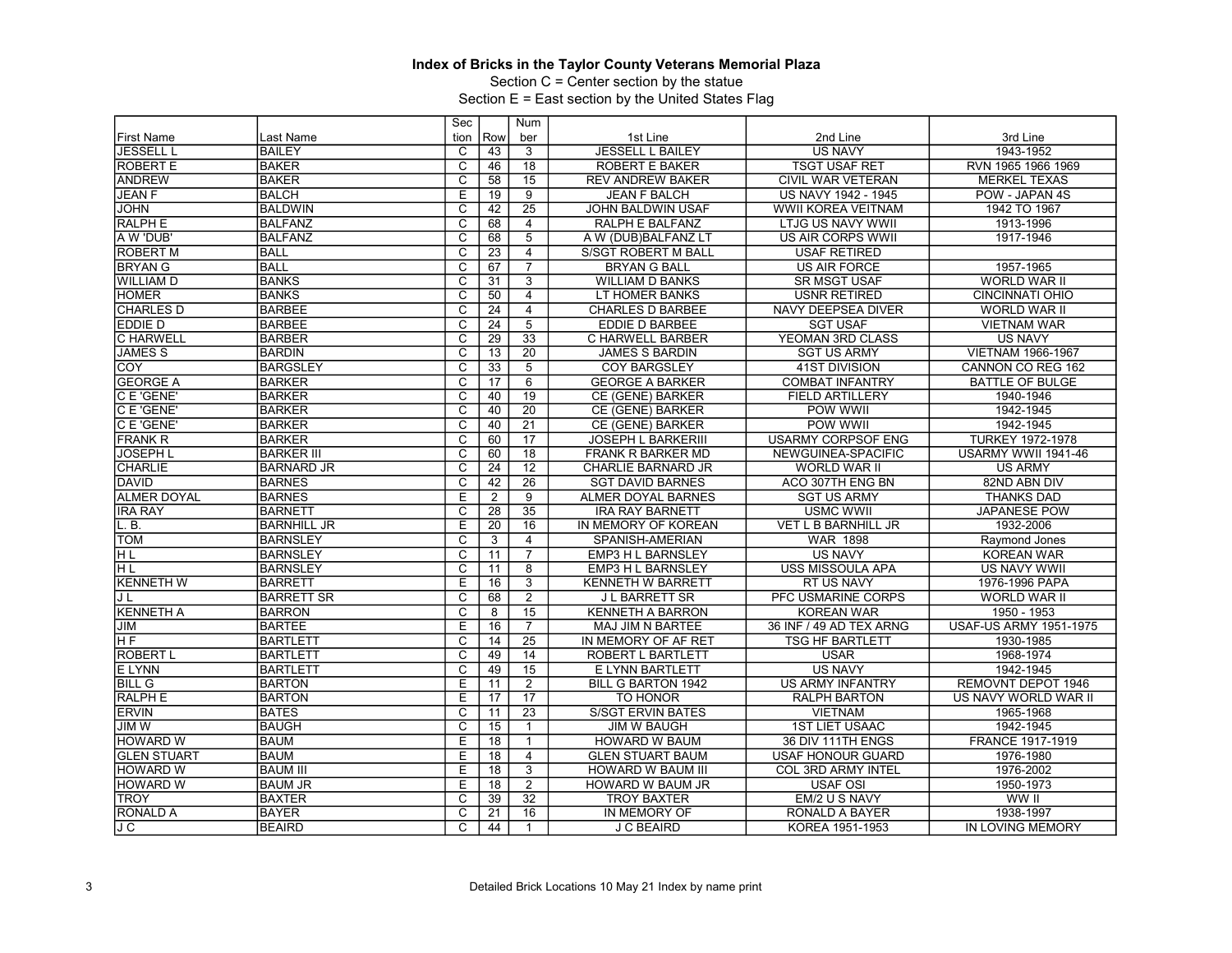Section C = Center section by the statue

|                    |                    | Sec                     |                 | Num             |                           |                            |                               |
|--------------------|--------------------|-------------------------|-----------------|-----------------|---------------------------|----------------------------|-------------------------------|
| <b>First Name</b>  | Last Name          | tion                    | Row             | ber             | 1st Line                  | 2nd Line                   | 3rd Line                      |
| <b>JESSELL L</b>   | <b>BAILEY</b>      | C                       | 43              | 3               | <b>JESSELL L BAILEY</b>   | <b>US NAVY</b>             | 1943-1952                     |
| <b>ROBERT E</b>    | <b>BAKER</b>       | $\overline{c}$          | 46              | 18              | <b>ROBERT E BAKER</b>     | <b>TSGT USAF RET</b>       | RVN 1965 1966 1969            |
| <b>ANDREW</b>      | <b>BAKER</b>       | $\overline{\mathrm{c}}$ | 58              | 15              | <b>REV ANDREW BAKER</b>   | <b>CIVIL WAR VETERAN</b>   | <b>MERKEL TEXAS</b>           |
| <b>JEAN F</b>      | <b>BALCH</b>       | Ε                       | 19              | $\overline{9}$  | <b>JEAN F BALCH</b>       | US NAVY 1942 - 1945        | POW - JAPAN 4S                |
| <b>JOHN</b>        | <b>BALDWIN</b>     | $\overline{\text{c}}$   | 42              | 25              | <b>JOHN BALDWIN USAF</b>  | WWII KOREA VEITNAM         | 1942 TO 1967                  |
| <b>RALPH E</b>     | <b>BALFANZ</b>     | $\overline{\mathsf{c}}$ | 68              | $\overline{4}$  | RALPH E BALFANZ           | <b>LTJG US NAVY WWII</b>   | 1913-1996                     |
| A W 'DUB'          | <b>BALFANZ</b>     | $\overline{\text{c}}$   | 68              | $\overline{5}$  | A W (DUB)BALFANZ LT       | <b>US AIR CORPS WWII</b>   | 1917-1946                     |
| <b>ROBERT M</b>    | <b>BALL</b>        | $\overline{\mathsf{c}}$ | 23              | $\overline{4}$  | S/SGT ROBERT M BALL       | <b>USAF RETIRED</b>        |                               |
| <b>BRYAN G</b>     | <b>BALL</b>        | C                       | 67              | $\overline{7}$  | <b>BRYAN G BALL</b>       | <b>US AIR FORCE</b>        | 1957-1965                     |
| <b>WILLIAM D</b>   | <b>BANKS</b>       | $\overline{c}$          | 31              | 3               | <b>WILLIAM D BANKS</b>    | <b>SR MSGT USAF</b>        | WORLD WAR II                  |
| <b>HOMER</b>       | <b>BANKS</b>       | $\overline{\mathrm{c}}$ | $\overline{50}$ | $\overline{4}$  | LT HOMER BANKS            | <b>USNR RETIRED</b>        | <b>CINCINNATI OHIO</b>        |
| <b>CHARLES D</b>   | <b>BARBEE</b>      | $\overline{C}$          | 24              | $\overline{4}$  | <b>CHARLES D BARBEE</b>   | NAVY DEEPSEA DIVER         | <b>WORLD WAR II</b>           |
| <b>EDDIE D</b>     | <b>BARBEE</b>      | $\overline{\text{c}}$   | 24              | $\overline{5}$  | <b>EDDIE D BARBEE</b>     | <b>SGT USAF</b>            | <b>VIETNAM WAR</b>            |
| <b>C HARWELL</b>   | <b>BARBER</b>      | $\overline{\mathsf{c}}$ | 29              | $\overline{33}$ | C HARWELL BARBER          | YEOMAN 3RD CLASS           | <b>US NAVY</b>                |
| <b>JAMES S</b>     | <b>BARDIN</b>      | $\overline{\mathrm{c}}$ | 13              | $\overline{20}$ | <b>JAMES S BARDIN</b>     | <b>SGT US ARMY</b>         | <b>VIETNAM 1966-1967</b>      |
| <b>COY</b>         | <b>BARGSLEY</b>    | $\overline{\mathsf{c}}$ | 33              | $\overline{5}$  | <b>COY BARGSLEY</b>       | <b>41ST DIVISION</b>       | CANNON CO REG 162             |
| <b>GEORGE A</b>    | <b>BARKER</b>      | C                       | 17              | 6               | <b>GEORGE A BARKER</b>    | <b>COMBAT INFANTRY</b>     | <b>BATTLE OF BULGE</b>        |
| C E 'GENE'         | <b>BARKER</b>      | $\overline{c}$          | 40              | $\overline{19}$ | CE (GENE) BARKER          | <b>FIELD ARTILLERY</b>     | 1940-1946                     |
| C E 'GENE'         | <b>BARKER</b>      | $\overline{\text{c}}$   | 40              | $\overline{20}$ | CE (GENE) BARKER          | POW WWII                   | 1942-1945                     |
| C E 'GENE'         | <b>BARKER</b>      | $\overline{c}$          | 40              | $\overline{21}$ | CE (GENE) BARKER          | POW WWII                   | 1942-1945                     |
| <b>FRANK R</b>     | <b>BARKER</b>      | $\overline{\text{c}}$   | 60              | 17              | <b>JOSEPH L BARKERIII</b> | <b>USARMY CORPSOF ENG</b>  | <b>TURKEY 1972-1978</b>       |
| <b>JOSEPH L</b>    | <b>BARKER III</b>  | $\overline{\mathsf{c}}$ | 60              | 18              | <b>FRANK R BARKER MD</b>  | NEWGUINEA-SPACIFIC         | USARMY WWII 1941-46           |
| <b>CHARLIE</b>     | <b>BARNARD JR</b>  | $\overline{\mathrm{c}}$ | $\overline{24}$ | $\overline{12}$ | CHARLIE BARNARD JR        | <b>WORLD WAR II</b>        | <b>US ARMY</b>                |
| <b>DAVID</b>       | <b>BARNES</b>      | $\overline{c}$          | 42              | $\overline{26}$ | <b>SGT DAVID BARNES</b>   | ACO 307TH ENG BN           | 82ND ABN DIV                  |
| <b>ALMER DOYAL</b> | <b>BARNES</b>      | E                       | 2               | 9               | <b>ALMER DOYAL BARNES</b> | <b>SGT US ARMY</b>         | <b>THANKS DAD</b>             |
| <b>IRA RAY</b>     | <b>BARNETT</b>     | $\overline{C}$          | 28              | 35              | <b>IRA RAY BARNETT</b>    | <b>USMC WWII</b>           | <b>JAPANESE POW</b>           |
| L. B.              | <b>BARNHILL JR</b> | E                       | 20              | 16              | IN MEMORY OF KOREAN       | <b>VET L B BARNHILL JR</b> | 1932-2006                     |
| <b>TOM</b>         | <b>BARNSLEY</b>    | $\overline{\mathsf{c}}$ | 3               | $\overline{4}$  | SPANISH-AMERIAN           | <b>WAR 1898</b>            | Raymond Jones                 |
| HL                 | <b>BARNSLEY</b>    | C                       | 11              | $\overline{7}$  | <b>EMP3 H L BARNSLEY</b>  | <b>US NAVY</b>             | <b>KOREAN WAR</b>             |
| HL                 | <b>BARNSLEY</b>    | C                       | 11              | 8               | <b>EMP3 H L BARNSLEY</b>  | <b>USS MISSOULA APA</b>    | <b>US NAVY WWII</b>           |
| <b>KENNETH W</b>   | <b>BARRETT</b>     | E                       | 16              | $\overline{3}$  | <b>KENNETH W BARRETT</b>  | <b>RT US NAVY</b>          | 1976-1996 PAPA                |
| JL                 | <b>BARRETT SR</b>  | C                       | 68              | $\overline{2}$  | <b>JL BARRETT SR</b>      | PFC USMARINE CORPS         | <b>WORLD WAR II</b>           |
| <b>KENNETH A</b>   | <b>BARRON</b>      | C                       | 8               | 15              | <b>KENNETH A BARRON</b>   | <b>KOREAN WAR</b>          | 1950 - 1953                   |
| JIM                | <b>BARTEE</b>      | Ε                       | 16              | $\overline{7}$  | MAJ JIM N BARTEE          | 36 INF / 49 AD TEX ARNG    | <b>USAF-US ARMY 1951-1975</b> |
| H <sub>F</sub>     | <b>BARTLETT</b>    | C                       | 14              | $\overline{25}$ | IN MEMORY OF AF RET       | <b>TSG HF BARTLETT</b>     | 1930-1985                     |
| <b>ROBERT L</b>    | <b>BARTLETT</b>    | $\overline{\mathsf{c}}$ | 49              | 14              | ROBERT L BARTLETT         | <b>USAR</b>                | 1968-1974                     |
| <b>ELYNN</b>       | <b>BARTLETT</b>    | $\overline{\mathrm{c}}$ | 49              | 15              | E LYNN BARTLETT           | <b>US NAVY</b>             | 1942-1945                     |
| <b>BILL G</b>      | <b>BARTON</b>      | Е                       | 11              | $\overline{2}$  | <b>BILL G BARTON 1942</b> | <b>US ARMY INFANTRY</b>    | REMOVNT DEPOT 1946            |
| <b>RALPH E</b>     | <b>BARTON</b>      | Έ                       | 17              | $\overline{17}$ | TO HONOR                  | <b>RALPH BARTON</b>        | US NAVY WORLD WAR II          |
| <b>ERVIN</b>       | <b>BATES</b>       | $\overline{C}$          | 11              | $\overline{23}$ | <b>S/SGT ERVIN BATES</b>  | <b>VIETNAM</b>             | 1965-1968                     |
| <b>JIMW</b>        | <b>BAUGH</b>       | C                       | $\overline{15}$ | $\mathbf{1}$    | <b>JIM W BAUGH</b>        | <b>1ST LIET USAAC</b>      | 1942-1945                     |
| <b>HOWARD W</b>    | <b>BAUM</b>        | Έ                       | 18              | $\mathbf{1}$    | HOWARD W BAUM             | 36 DIV 111TH ENGS          | FRANCE 1917-1919              |
| <b>GLEN STUART</b> | <b>BAUM</b>        | E                       | 18              | $\overline{4}$  | <b>GLEN STUART BAUM</b>   | <b>USAF HONOUR GUARD</b>   | 1976-1980                     |
| <b>HOWARD W</b>    | <b>BAUM III</b>    | Е                       | 18              | 3               | HOWARD W BAUM III         | COL 3RD ARMY INTEL         | 1976-2002                     |
| <b>HOWARD W</b>    | <b>BAUM JR</b>     | E                       | 18              | $\overline{2}$  | <b>HOWARD W BAUM JR</b>   | <b>USAF OSI</b>            | 1950-1973                     |
| TROY               | <b>BAXTER</b>      | C                       | 39              | 32              | <b>TROY BAXTER</b>        | EM/2 U S NAVY              | WW II                         |
| <b>RONALD A</b>    | <b>BAYER</b>       | C                       | 21              | 16              | IN MEMORY OF              | RONALD A BAYER             | 1938-1997                     |
|                    | <b>BEAIRD</b>      | $\overline{c}$          | 44              | $\mathbf{1}$    |                           |                            |                               |
| IJ C               |                    |                         |                 |                 | <b>J C BEAIRD</b>         | KOREA 1951-1953            | IN LOVING MEMORY              |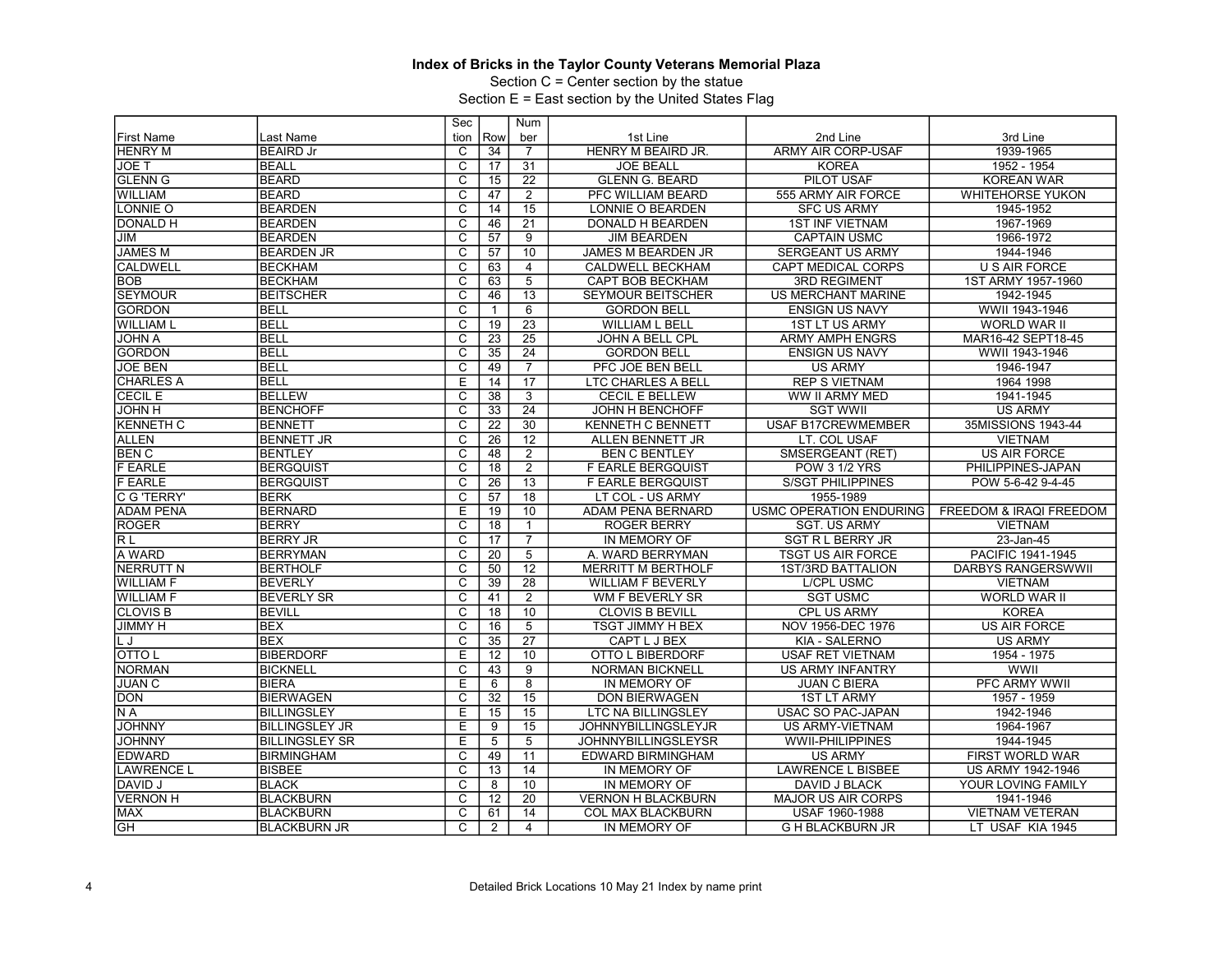Section C = Center section by the statue

|                   |                       | Sec                     |                 | Num             |                            |                           |                           |
|-------------------|-----------------------|-------------------------|-----------------|-----------------|----------------------------|---------------------------|---------------------------|
| <b>First Name</b> | Last Name             | tion                    | Row             | ber             | 1st Line                   | 2nd Line                  | 3rd Line                  |
| <b>HENRY M</b>    | <b>BEAIRD Jr</b>      | C                       | 34              | $\overline{7}$  | HENRY M BEAIRD JR.         | <b>ARMY AIR CORP-USAF</b> | 1939-1965                 |
| JOE T             | <b>BEALL</b>          | $\overline{c}$          | 17              | 31              | <b>JOE BEALL</b>           | <b>KOREA</b>              | 1952 - 1954               |
| <b>GLENN G</b>    | <b>BEARD</b>          | $\overline{\text{c}}$   | 15              | $\overline{22}$ | <b>GLENN G. BEARD</b>      | PILOT USAF                | KOREAN WAR                |
| <b>WILLIAM</b>    | <b>BEARD</b>          | $\overline{C}$          | 47              | $\overline{2}$  | PFC WILLIAM BEARD          | 555 ARMY AIR FORCE        | <b>WHITEHORSE YUKON</b>   |
| LONNIE O          | <b>BEARDEN</b>        | $\overline{\text{c}}$   | 14              | 15              | LONNIE O BEARDEN           | <b>SFC US ARMY</b>        | 1945-1952                 |
| <b>DONALD H</b>   | <b>BEARDEN</b>        | $\overline{\mathrm{c}}$ | 46              | $\overline{21}$ | DONALD H BEARDEN           | <b>1ST INF VIETNAM</b>    | 1967-1969                 |
| JIM               | <b>BEARDEN</b>        | C                       | 57              | 9               | <b>JIM BEARDEN</b>         | <b>CAPTAIN USMC</b>       | 1966-1972                 |
| <b>JAMES M</b>    | <b>BEARDEN JR</b>     | $\overline{\mathsf{c}}$ | 57              | 10              | JAMES M BEARDEN JR         | <b>SERGEANT US ARMY</b>   | 1944-1946                 |
| <b>CALDWELL</b>   | <b>BECKHAM</b>        | $\overline{\mathsf{c}}$ | 63              | $\overline{4}$  | <b>CALDWELL BECKHAM</b>    | <b>CAPT MEDICAL CORPS</b> | <b>U S AIR FORCE</b>      |
| <b>BOB</b>        | <b>BECKHAM</b>        | C                       | 63              | 5               | CAPT BOB BECKHAM           | <b>3RD REGIMENT</b>       | 1ST ARMY 1957-1960        |
| <b>SEYMOUR</b>    | <b>BEITSCHER</b>      | $\overline{\mathrm{c}}$ | 46              | 13              | <b>SEYMOUR BEITSCHER</b>   | US MERCHANT MARINE        | 1942-1945                 |
| <b>GORDON</b>     | <b>BELL</b>           | $\overline{C}$          | $\mathbf{1}$    | 6               | <b>GORDON BELL</b>         | <b>ENSIGN US NAVY</b>     | WWII 1943-1946            |
| <b>WILLIAM L</b>  | <b>BELL</b>           | $\overline{\text{c}}$   | 19              | 23              | <b>WILLIAM L BELL</b>      | 1ST LT US ARMY            | <b>WORLD WAR II</b>       |
| <b>JOHN A</b>     | <b>BELL</b>           | $\overline{\mathrm{c}}$ | 23              | $\overline{25}$ | JOHN A BELL CPL            | <b>ARMY AMPH ENGRS</b>    | MAR16-42 SEPT18-45        |
| <b>GORDON</b>     | <b>BELL</b>           | $\overline{c}$          | $\overline{35}$ | 24              | <b>GORDON BELL</b>         | <b>ENSIGN US NAVY</b>     | WWII 1943-1946            |
| <b>JOE BEN</b>    | <b>BELL</b>           | $\overline{\text{c}}$   | 49              | $\overline{7}$  | PFC JOE BEN BELL           | <b>US ARMY</b>            | 1946-1947                 |
| <b>CHARLES A</b>  | <b>BELL</b>           | Ē                       | 14              | $\overline{17}$ | <b>LTC CHARLES A BELL</b>  | <b>REP S VIETNAM</b>      | 1964 1998                 |
| <b>CECIL E</b>    | <b>BELLEW</b>         | C                       | $\overline{38}$ | 3               | <b>CECIL E BELLEW</b>      | WW II ARMY MED            | 1941-1945                 |
| <b>H NHOL</b>     | <b>BENCHOFF</b>       | $\overline{\text{c}}$   | 33              | $\overline{24}$ | <b>JOHN H BENCHOFF</b>     | <b>SGT WWII</b>           | <b>US ARMY</b>            |
| <b>KENNETH C</b>  | <b>BENNETT</b>        | $\overline{c}$          | 22              | 30              | <b>KENNETH C BENNETT</b>   | <b>USAF B17CREWMEMBER</b> | 35MISSIONS 1943-44        |
| <b>ALLEN</b>      | <b>BENNETT JR</b>     | C                       | 26              | 12              | ALLEN BENNETT JR           | LT. COL USAF              | <b>VIETNAM</b>            |
| <b>BEN C</b>      | <b>BENTLEY</b>        | $\overline{\text{c}}$   | 48              | $\overline{2}$  | <b>BEN C BENTLEY</b>       | SMSERGEANT (RET)          | <b>US AIR FORCE</b>       |
| <b>F EARLE</b>    | <b>BERGQUIST</b>      | $\overline{\mathsf{C}}$ | 18              | $\overline{2}$  | <b>F EARLE BERGQUIST</b>   | <b>POW 3 1/2 YRS</b>      | PHILIPPINES-JAPAN         |
| <b>F EARLE</b>    | <b>BERGQUIST</b>      | C                       | 26              | 13              | <b>F EARLE BERGQUIST</b>   | <b>S/SGT PHILIPPINES</b>  | POW 5-6-42 9-4-45         |
| C G 'TERRY'       | <b>BERK</b>           | $\overline{\text{c}}$   | 57              | $\overline{18}$ | LT COL - US ARMY           | 1955-1989                 |                           |
| <b>ADAM PENA</b>  | <b>BERNARD</b>        | E                       | 19              | 10              | <b>ADAM PENA BERNARD</b>   | USMC OPERATION ENDURING   | FREEDOM & IRAQI FREEDOM   |
| <b>ROGER</b>      | <b>BERRY</b>          | $\overline{\text{c}}$   | 18              | $\mathbf{1}$    | <b>ROGER BERRY</b>         | <b>SGT. US ARMY</b>       | <b>VIETNAM</b>            |
| R L               | <b>BERRY JR</b>       | $\overline{\mathsf{c}}$ | 17              | $\overline{7}$  | IN MEMORY OF               | <b>SGT R L BERRY JR</b>   | 23-Jan-45                 |
| A WARD            | <b>BERRYMAN</b>       | $\overline{C}$          | 20              | 5               | A. WARD BERRYMAN           | <b>TSGT US AIR FORCE</b>  | PACIFIC 1941-1945         |
| <b>NERRUTT N</b>  | <b>BERTHOLF</b>       | $\overline{\mathsf{c}}$ | 50              | 12              | <b>MERRITT M BERTHOLF</b>  | <b>1ST/3RD BATTALION</b>  | <b>DARBYS RANGERSWWII</b> |
| <b>WILLIAM F</b>  | <b>BEVERLY</b>        | $\overline{\mathrm{c}}$ | 39              | $\overline{28}$ | <b>WILLIAM F BEVERLY</b>   | <b>L/CPL USMC</b>         | <b>VIETNAM</b>            |
| <b>WILLIAM F</b>  | <b>BEVERLY SR</b>     | C                       | 41              | $\overline{2}$  | WM F BEVERLY SR            | <b>SGT USMC</b>           | <b>WORLD WAR II</b>       |
| <b>CLOVIS B</b>   | <b>BEVILL</b>         | $\overline{\text{c}}$   | 18              | 10              | <b>CLOVIS B BEVILL</b>     | CPL US ARMY               | <b>KOREA</b>              |
| <b>JIMMY H</b>    | <b>BEX</b>            | $\overline{\mathsf{c}}$ | 16              | $\overline{5}$  | <b>TSGT JIMMY H BEX</b>    | NOV 1956-DEC 1976         | <b>US AIR FORCE</b>       |
| L J               | <b>BEX</b>            | C                       | 35              | $\overline{27}$ | CAPT L J BEX               | KIA - SALERNO             | <b>US ARMY</b>            |
| <b>OTTOL</b>      | <b>BIBERDORF</b>      | Ε                       | 12              | 10              | OTTO L BIBERDORF           | <b>USAF RET VIETNAM</b>   | 1954 - 1975               |
| <b>NORMAN</b>     | <b>BICKNELL</b>       | $\overline{\mathrm{c}}$ | 43              | $\overline{9}$  | <b>NORMAN BICKNELL</b>     | <b>US ARMY INFANTRY</b>   | WWII                      |
| <b>JUAN C</b>     | <b>BIERA</b>          | Ē                       | 6               | $\overline{8}$  | IN MEMORY OF               | <b>JUAN C BIERA</b>       | PFC ARMY WWII             |
| <b>DON</b>        | <b>BIERWAGEN</b>      | $\overline{\text{c}}$   | $\overline{32}$ | 15              | <b>DON BIERWAGEN</b>       | <b>1ST LT ARMY</b>        | 1957 - 1959               |
| N A               | <b>BILLINGSLEY</b>    | Ε                       | 15              | 15              | <b>LTC NA BILLINGSLEY</b>  | USAC SO PAC-JAPAN         | 1942-1946                 |
| <b>JOHNNY</b>     | <b>BILLINGSLEY JR</b> | E                       | 9               | 15              | <b>JOHNNYBILLINGSLEYJR</b> | US ARMY-VIETNAM           | 1964-1967                 |
| <b>JOHNNY</b>     | <b>BILLINGSLEY SR</b> | Ē                       | 5               | $\overline{5}$  | <b>JOHNNYBILLINGSLEYSR</b> | <b>WWII-PHILIPPINES</b>   | 1944-1945                 |
| <b>EDWARD</b>     | <b>BIRMINGHAM</b>     | $\overline{C}$          | 49              | 11              | EDWARD BIRMINGHAM          | <b>US ARMY</b>            | FIRST WORLD WAR           |
| <b>LAWRENCE L</b> | <b>BISBEE</b>         | $\overline{\text{c}}$   | 13              | 14              | IN MEMORY OF               | <b>LAWRENCE L BISBEE</b>  | US ARMY 1942-1946         |
| DAVID J           | <b>BLACK</b>          | $\overline{C}$          | 8               | 10              | IN MEMORY OF               | <b>DAVID J BLACK</b>      | YOUR LOVING FAMILY        |
| <b>VERNON H</b>   | <b>BLACKBURN</b>      | C                       | 12              | 20              | <b>VERNON H BLACKBURN</b>  | <b>MAJOR US AIR CORPS</b> | 1941-1946                 |
| <b>MAX</b>        | <b>BLACKBURN</b>      | $\overline{\text{c}}$   | 61              | 14              | COL MAX BLACKBURN          | USAF 1960-1988            | <b>VIETNAM VETERAN</b>    |
| <b>GH</b>         | <b>BLACKBURN JR</b>   | $\overline{\mathsf{C}}$ | 2               | $\overline{4}$  | IN MEMORY OF               | <b>G H BLACKBURN JR</b>   | LT USAF KIA 1945          |
|                   |                       |                         |                 |                 |                            |                           |                           |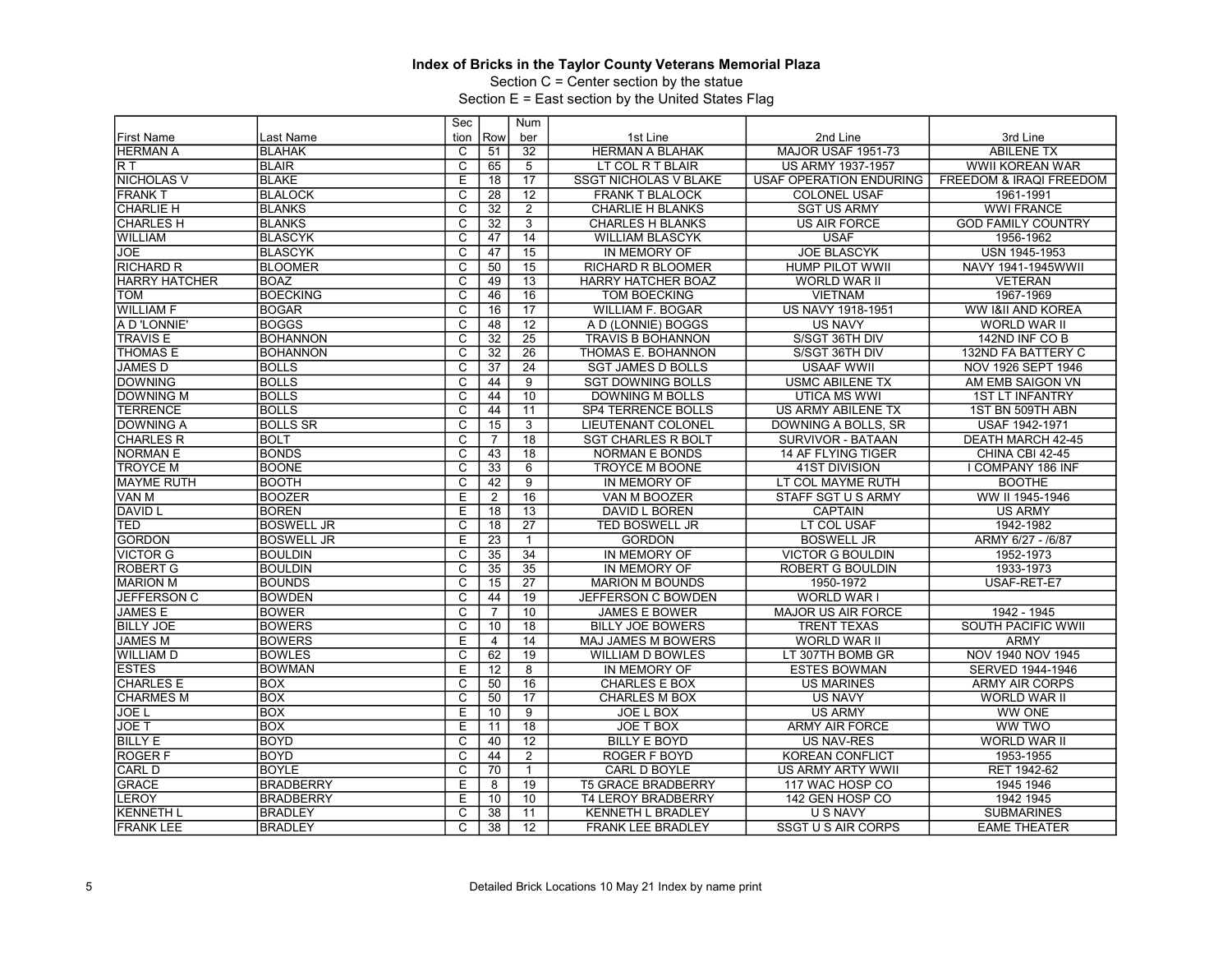Section C = Center section by the statue

|                   |                   | Sec                     |                 | Num             |                              |                           |                           |
|-------------------|-------------------|-------------------------|-----------------|-----------------|------------------------------|---------------------------|---------------------------|
| <b>First Name</b> | Last Name         | tion                    | Row             | ber             | 1st Line                     | 2nd Line                  | 3rd Line                  |
| <b>HERMAN A</b>   | <b>BLAHAK</b>     | C                       | 51              | 32              | <b>HERMAN A BLAHAK</b>       | <b>MAJOR USAF 1951-73</b> | <b>ABILENE TX</b>         |
| R T               | <b>BLAIR</b>      | $\overline{c}$          | 65              | 5               | LT COL R T BLAIR             | US ARMY 1937-1957         | WWII KOREAN WAR           |
| <b>NICHOLAS V</b> | <b>BLAKE</b>      | Ε                       | 18              | $\overline{17}$ | <b>SSGT NICHOLAS V BLAKE</b> | USAF OPERATION ENDURING   | FREEDOM & IRAQI FREEDOM   |
| <b>FRANK T</b>    | <b>BLALOCK</b>    | $\overline{C}$          | 28              | 12              | <b>FRANK T BLALOCK</b>       | <b>COLONEL USAF</b>       | 1961-1991                 |
| <b>CHARLIE H</b>  | <b>BLANKS</b>     | $\overline{\text{c}}$   | 32              | $\overline{2}$  | <b>CHARLIE H BLANKS</b>      | <b>SGT US ARMY</b>        | <b>WWI FRANCE</b>         |
| <b>CHARLES H</b>  | <b>BLANKS</b>     | $\overline{\mathrm{c}}$ | 32              | $\overline{3}$  | <b>CHARLES H BLANKS</b>      | <b>US AIR FORCE</b>       | <b>GOD FAMILY COUNTRY</b> |
| <b>WILLIAM</b>    | BLASCYK           | C                       | 47              | $\overline{14}$ | <b>WILLIAM BLASCYK</b>       | <b>USAF</b>               | 1956-1962                 |
| <b>JOE</b>        | <b>BLASCYK</b>    | $\overline{\mathsf{c}}$ | 47              | 15              | IN MEMORY OF                 | <b>JOE BLASCYK</b>        | USN 1945-1953             |
| <b>RICHARD R</b>  | <b>BLOOMER</b>    | $\overline{\mathsf{c}}$ | 50              | $\overline{15}$ | <b>RICHARD R BLOOMER</b>     | <b>HUMP PILOT WWII</b>    | NAVY 1941-1945WWII        |
| HARRY HATCHER     | <b>BOAZ</b>       | C                       | 49              | 13              | <b>HARRY HATCHER BOAZ</b>    | <b>WORLD WAR II</b>       | <b>VETERAN</b>            |
| TOM               | <b>BOECKING</b>   | $\overline{\mathrm{c}}$ | 46              | 16              | <b>TOM BOECKING</b>          | <b>VIETNAM</b>            | 1967-1969                 |
| <b>WILLIAM F</b>  | <b>BOGAR</b>      | $\overline{C}$          | 16              | $\overline{17}$ | <b>WILLIAM F. BOGAR</b>      | US NAVY 1918-1951         | WW I&II AND KOREA         |
| A D'LONNIE'       | <b>BOGGS</b>      | $\overline{\text{c}}$   | 48              | 12              | A D (LONNIE) BOGGS           | <b>US NAVY</b>            | <b>WORLD WAR II</b>       |
| <b>TRAVIS E</b>   | <b>BOHANNON</b>   | $\overline{\mathrm{c}}$ | 32              | $\overline{25}$ | <b>TRAVIS B BOHANNON</b>     | S/SGT 36TH DIV            | 142ND INF CO B            |
| <b>THOMAS E</b>   | <b>BOHANNON</b>   | $\overline{c}$          | $\overline{32}$ | 26              | THOMAS E. BOHANNON           | S/SGT 36TH DIV            | 132ND FA BATTERY C        |
| <b>JAMES D</b>    | <b>BOLLS</b>      | $\overline{\text{c}}$   | $\overline{37}$ | $\overline{24}$ | <b>SGT JAMES D BOLLS</b>     | <b>USAAF WWII</b>         | NOV 1926 SEPT 1946        |
| <b>DOWNING</b>    | <b>BOLLS</b>      | $\overline{\mathrm{c}}$ | 44              | $\overline{9}$  | <b>SGT DOWNING BOLLS</b>     | <b>USMC ABILENE TX</b>    | AM EMB SAIGON VN          |
| <b>DOWNING M</b>  | <b>BOLLS</b>      | C                       | 44              | 10              | <b>DOWNING M BOLLS</b>       | UTICA MS WWI              | <b>1ST LT INFANTRY</b>    |
| <b>TERRENCE</b>   | <b>BOLLS</b>      | $\overline{\text{c}}$   | 44              | 11              | SP4 TERRENCE BOLLS           | US ARMY ABILENE TX        | 1ST BN 509TH ABN          |
| <b>DOWNING A</b>  | <b>BOLLS SR</b>   | $\overline{c}$          | 15              | $\overline{3}$  | <b>LIEUTENANT COLONEL</b>    | DOWNING A BOLLS, SR       | USAF 1942-1971            |
| <b>CHARLES R</b>  | <b>BOLT</b>       | C                       | $\overline{7}$  | 18              | <b>SGT CHARLES R BOLT</b>    | SURVIVOR - BATAAN         | DEATH MARCH 42-45         |
| <b>NORMAN E</b>   | <b>BONDS</b>      | $\overline{\text{c}}$   | 43              | 18              | <b>NORMAN E BONDS</b>        | 14 AF FLYING TIGER        | CHINA CBI 42-45           |
| <b>TROYCE M</b>   | <b>BOONE</b>      | $\overline{\mathrm{c}}$ | 33              | 6               | <b>TROYCE M BOONE</b>        | <b>41ST DIVISION</b>      | <b>I COMPANY 186 INF</b>  |
| <b>MAYME RUTH</b> | BOOTH             | C                       | 42              | $\overline{9}$  | IN MEMORY OF                 | LT COL MAYME RUTH         | <b>BOOTHE</b>             |
| VAN M             | <b>BOOZER</b>     | E                       | $\overline{c}$  | 16              | VAN M BOOZER                 | STAFF SGT U S ARMY        | WW II 1945-1946           |
| <b>DAVID L</b>    | <b>BOREN</b>      | E                       | 18              | 13              | DAVID L BOREN                | <b>CAPTAIN</b>            | <b>US ARMY</b>            |
| TED               | <b>BOSWELL JR</b> | $\overline{\text{c}}$   | 18              | 27              | <b>TED BOSWELL JR</b>        | LT COL USAF               | 1942-1982                 |
| <b>GORDON</b>     | <b>BOSWELL JR</b> | Ε                       | 23              | $\mathbf{1}$    | <b>GORDON</b>                | <b>BOSWELL JR</b>         | ARMY 6/27 - /6/87         |
| <b>VICTOR G</b>   | <b>BOULDIN</b>    | C                       | $\overline{35}$ | 34              | IN MEMORY OF                 | <b>VICTOR G BOULDIN</b>   | 1952-1973                 |
| <b>ROBERT G</b>   | <b>BOULDIN</b>    | $\overline{\text{c}}$   | 35              | 35              | IN MEMORY OF                 | ROBERT G BOULDIN          | 1933-1973                 |
| <b>MARION M</b>   | <b>BOUNDS</b>     | $\overline{\mathrm{c}}$ | 15              | $\overline{27}$ | <b>MARION M BOUNDS</b>       | 1950-1972                 | USAF-RET-E7               |
| JEFFERSON C       | <b>BOWDEN</b>     | C                       | 44              | $\overline{19}$ | JEFFERSON C BOWDEN           | WORLD WAR I               |                           |
| <b>JAMES E</b>    | <b>BOWER</b>      | $\overline{\text{c}}$   | $\overline{7}$  | 10              | <b>JAMES E BOWER</b>         | <b>MAJOR US AIR FORCE</b> | 1942 - 1945               |
| <b>BILLY JOE</b>  | <b>BOWERS</b>     | $\overline{c}$          | 10              | 18              | <b>BILLY JOE BOWERS</b>      | <b>TRENT TEXAS</b>        | SOUTH PACIFIC WWII        |
| <b>JAMES M</b>    | <b>BOWERS</b>     | E                       | 4               | 14              | MAJ JAMES M BOWERS           | WORLD WAR II              | <b>ARMY</b>               |
| <b>WILLIAM D</b>  | <b>BOWLES</b>     | $\overline{\mathrm{c}}$ | 62              | 19              | WILLIAM D BOWLES             | LT 307TH BOMB GR          | NOV 1940 NOV 1945         |
| <b>ESTES</b>      | <b>BOWMAN</b>     | E                       | 12              | $\overline{8}$  | IN MEMORY OF                 | <b>ESTES BOWMAN</b>       | SERVED 1944-1946          |
| <b>CHARLES E</b>  | <b>BOX</b>        | $\overline{\text{c}}$   | 50              | 16              | <b>CHARLES E BOX</b>         | <b>US MARINES</b>         | <b>ARMY AIR CORPS</b>     |
| <b>CHARMES M</b>  | <b>BOX</b>        | $\overline{\text{c}}$   | 50              | $\overline{17}$ | <b>CHARLES M BOX</b>         | <b>US NAVY</b>            | WORLD WAR II              |
| JOE L             | <b>BOX</b>        | Ε                       | 10              | 9               | <b>JOE L BOX</b>             | <b>US ARMY</b>            | <b>WW ONE</b>             |
| <b>JOE T</b>      | <b>BOX</b>        | E                       | 11              | 18              | JOE T BOX                    | <b>ARMY AIR FORCE</b>     | <b>WW TWO</b>             |
| <b>BILLY E</b>    | <b>BOYD</b>       | $\overline{\mathrm{c}}$ | 40              | $\overline{12}$ | <b>BILLY E BOYD</b>          | <b>US NAV-RES</b>         | <b>WORLD WAR II</b>       |
| <b>ROGERF</b>     | <b>BOYD</b>       | $\overline{C}$          | 44              | $\overline{2}$  | ROGER F BOYD                 | <b>KOREAN CONFLICT</b>    | 1953-1955                 |
| CARL D            | <b>BOYLE</b>      | $\overline{\text{c}}$   | 70              | $\mathbf{1}$    | CARL D BOYLE                 | US ARMY ARTY WWII         | RET 1942-62               |
| <b>GRACE</b>      | <b>BRADBERRY</b>  | E                       | 8               | 19              | <b>T5 GRACE BRADBERRY</b>    | 117 WAC HOSP CO           | 1945 1946                 |
| LEROY             | <b>BRADBERRY</b>  | E                       | 10              | 10              | <b>T4 LEROY BRADBERRY</b>    | 142 GEN HOSP CO           | 1942 1945                 |
| <b>KENNETH L</b>  | <b>BRADLEY</b>    | $\overline{\text{c}}$   | 38              | 11              | <b>KENNETH L BRADLEY</b>     | <b>U S NAVY</b>           | <b>SUBMARINES</b>         |
| <b>FRANK LEE</b>  | <b>BRADLEY</b>    | $\overline{\mathsf{C}}$ | 38              | 12              | <b>FRANK LEE BRADLEY</b>     | SSGT U S AIR CORPS        | <b>EAME THEATER</b>       |
|                   |                   |                         |                 |                 |                              |                           |                           |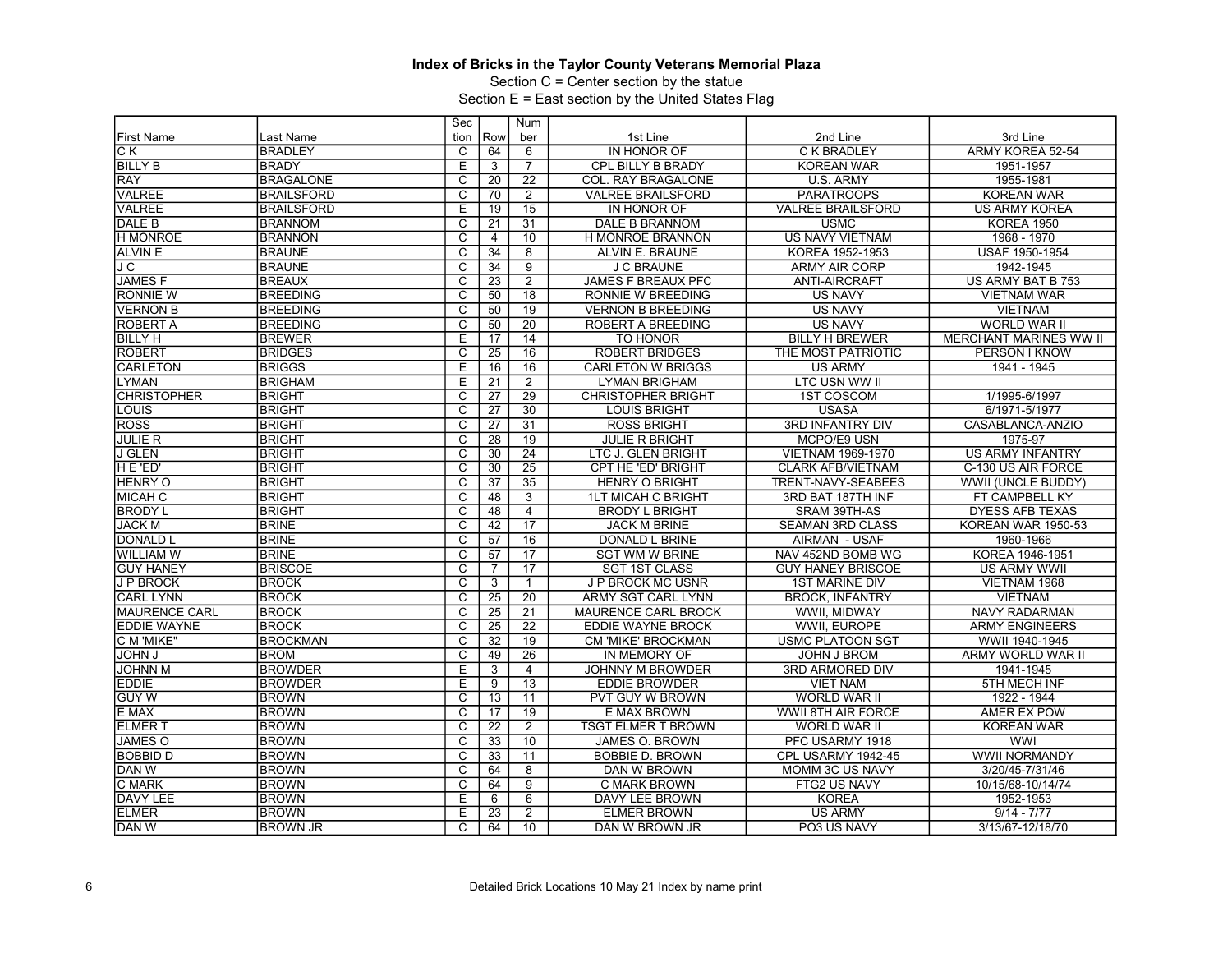Section C = Center section by the statue

|                      |                   | Sec                     |                 | Num             |                           |                          |                               |
|----------------------|-------------------|-------------------------|-----------------|-----------------|---------------------------|--------------------------|-------------------------------|
| <b>First Name</b>    | Last Name         | tion                    | Row             | ber             | 1st Line                  | 2nd Line                 | 3rd Line                      |
| IC K                 | <b>BRADLEY</b>    | C                       | 64              | 6               | IN HONOR OF               | C K BRADLEY              | ARMY KOREA 52-54              |
| <b>BILLY B</b>       | <b>BRADY</b>      | E                       | 3               | $\overline{7}$  | CPL BILLY B BRADY         | <b>KOREAN WAR</b>        | 1951-1957                     |
| <b>RAY</b>           | <b>BRAGALONE</b>  | $\overline{\mathrm{c}}$ | 20              | $\overline{22}$ | COL. RAY BRAGALONE        | U.S. ARMY                | 1955-1981                     |
| <b>VALREE</b>        | <b>BRAILSFORD</b> | $\overline{C}$          | 70              | $\overline{2}$  | <b>VALREE BRAILSFORD</b>  | <b>PARATROOPS</b>        | <b>KOREAN WAR</b>             |
| <b>VALREE</b>        | <b>BRAILSFORD</b> | E                       | 19              | 15              | IN HONOR OF               | <b>VALREE BRAILSFORD</b> | <b>US ARMY KOREA</b>          |
| DALE B               | <b>BRANNOM</b>    | $\overline{\mathrm{c}}$ | 21              | $\overline{31}$ | <b>DALE B BRANNOM</b>     | <b>USMC</b>              | <b>KOREA 1950</b>             |
| <b>H MONROE</b>      | <b>BRANNON</b>    | $\overline{\text{c}}$   | 4               | 10              | H MONROE BRANNON          | <b>US NAVY VIETNAM</b>   | 1968 - 1970                   |
| <b>ALVIN E</b>       | <b>BRAUNE</b>     | $\overline{\mathsf{c}}$ | 34              | $\overline{8}$  | ALVIN E. BRAUNE           | KOREA 1952-1953          | USAF 1950-1954                |
| J C                  | <b>BRAUNE</b>     | $\overline{\mathsf{c}}$ | 34              | $\overline{9}$  | <b>J C BRAUNE</b>         | <b>ARMY AIR CORP</b>     | 1942-1945                     |
| <b>JAMESF</b>        | <b>BREAUX</b>     | $\overline{c}$          | 23              | $\overline{2}$  | <b>JAMES F BREAUX PFC</b> | <b>ANTI-AIRCRAFT</b>     | US ARMY BAT B 753             |
| <b>RONNIE W</b>      | <b>BREEDING</b>   | $\overline{\mathrm{c}}$ | 50              | $\overline{18}$ | RONNIE W BREEDING         | <b>US NAVY</b>           | <b>VIETNAM WAR</b>            |
| <b>VERNON B</b>      | <b>BREEDING</b>   | $\overline{C}$          | 50              | 19              | <b>VERNON B BREEDING</b>  | <b>US NAVY</b>           | <b>VIETNAM</b>                |
| <b>ROBERT A</b>      | <b>BREEDING</b>   | $\overline{\text{c}}$   | 50              | 20              | ROBERT A BREEDING         | <b>US NAVY</b>           | WORLD WAR II                  |
| <b>BILLY H</b>       | <b>BREWER</b>     | $\overline{E}$          | 17              | 14              | TO HONOR                  | <b>BILLY H BREWER</b>    | <b>MERCHANT MARINES WW II</b> |
| <b>ROBERT</b>        | <b>BRIDGES</b>    | $\overline{\text{c}}$   | $\overline{25}$ | $\overline{16}$ | <b>ROBERT BRIDGES</b>     | THE MOST PATRIOTIC       | PERSON I KNOW                 |
| <b>CARLETON</b>      | <b>BRIGGS</b>     | Έ                       | 16              | 16              | <b>CARLETON W BRIGGS</b>  | <b>US ARMY</b>           | 1941 - 1945                   |
| <b>LYMAN</b>         | <b>BRIGHAM</b>    | Ē                       | $\overline{21}$ | $\overline{2}$  | <b>LYMAN BRIGHAM</b>      | <b>LTC USN WW II</b>     |                               |
| <b>CHRISTOPHER</b>   | <b>BRIGHT</b>     | $\overline{\text{c}}$   | 27              | $\overline{29}$ | <b>CHRISTOPHER BRIGHT</b> | <b>1ST COSCOM</b>        | 1/1995-6/1997                 |
| LOUIS                | <b>BRIGHT</b>     | $\overline{\mathrm{c}}$ | $\overline{27}$ | 30              | <b>LOUIS BRIGHT</b>       | <b>USASA</b>             | 6/1971-5/1977                 |
| <b>ROSS</b>          | <b>BRIGHT</b>     | $\overline{c}$          | $\overline{27}$ | $\overline{31}$ | <b>ROSS BRIGHT</b>        | <b>3RD INFANTRY DIV</b>  | CASABLANCA-ANZIO              |
| <b>JULIE R</b>       | <b>BRIGHT</b>     | $\overline{\text{c}}$   | 28              | 19              | <b>JULIE R BRIGHT</b>     | MCPO/E9 USN              | 1975-97                       |
| <b>J GLEN</b>        | <b>BRIGHT</b>     | $\overline{\mathsf{c}}$ | $\overline{30}$ | $\overline{24}$ | LTC J. GLEN BRIGHT        | <b>VIETNAM 1969-1970</b> | <b>US ARMY INFANTRY</b>       |
| H E 'ED'             | <b>BRIGHT</b>     | $\overline{\mathsf{c}}$ | $\overline{30}$ | $\overline{25}$ | <b>CPT HE 'ED' BRIGHT</b> | <b>CLARK AFB/VIETNAM</b> | C-130 US AIR FORCE            |
| <b>HENRY O</b>       | <b>BRIGHT</b>     | $\overline{c}$          | $\overline{37}$ | 35              | <b>HENRY O BRIGHT</b>     | TRENT-NAVY-SEABEES       | WWII (UNCLE BUDDY)            |
| <b>MICAH C</b>       | <b>BRIGHT</b>     | $\overline{\mathrm{c}}$ | 48              | $\overline{3}$  | <b>1LT MICAH C BRIGHT</b> | 3RD BAT 187TH INF        | FT CAMPBELL KY                |
| <b>BRODY L</b>       | <b>BRIGHT</b>     | $\overline{\text{c}}$   | 48              | $\overline{4}$  | <b>BRODY L BRIGHT</b>     | SRAM 39TH-AS             | <b>DYESS AFB TEXAS</b>        |
| <b>JACK M</b>        | <b>BRINE</b>      | $\overline{\text{c}}$   | 42              | 17              | <b>JACK M BRINE</b>       | <b>SEAMAN 3RD CLASS</b>  | <b>KOREAN WAR 1950-53</b>     |
| <b>DONALD L</b>      | <b>BRINE</b>      | $\overline{\text{c}}$   | 57              | $\overline{16}$ | <b>DONALD L BRINE</b>     | AIRMAN - USAF            | 1960-1966                     |
| <b>WILLIAM W</b>     | <b>BRINE</b>      | $\overline{\text{c}}$   | 57              | $\overline{17}$ | <b>SGT WM W BRINE</b>     | NAV 452ND BOMB WG        | KOREA 1946-1951               |
| <b>GUY HANEY</b>     | <b>BRISCOE</b>    | $\overline{\mathsf{c}}$ | $\overline{7}$  | $\overline{17}$ | <b>SGT 1ST CLASS</b>      | <b>GUY HANEY BRISCOE</b> | <b>US ARMY WWII</b>           |
| <b>JP BROCK</b>      | <b>BROCK</b>      | $\overline{\mathrm{c}}$ | $\overline{3}$  | $\mathbf{1}$    | J P BROCK MC USNR         | <b>1ST MARINE DIV</b>    | VIETNAM 1968                  |
| <b>CARL LYNN</b>     | <b>BROCK</b>      | $\overline{c}$          | $\overline{25}$ | $\overline{20}$ | ARMY SGT CARL LYNN        | <b>BROCK, INFANTRY</b>   | <b>VIETNAM</b>                |
| <b>MAURENCE CARL</b> | <b>BROCK</b>      | С                       | $\overline{25}$ | $\overline{21}$ | MAURENCE CARL BROCK       | WWII, MIDWAY             | <b>NAVY RADARMAN</b>          |
| <b>EDDIE WAYNE</b>   | <b>BROCK</b>      | $\overline{\mathsf{C}}$ | 25              | $\overline{22}$ | EDDIE WAYNE BROCK         | WWII, EUROPE             | <b>ARMY ENGINEERS</b>         |
| C M 'MIKE"           | <b>BROCKMAN</b>   | C                       | 32              | 19              | CM 'MIKE' BROCKMAN        | <b>USMC PLATOON SGT</b>  | WWII 1940-1945                |
| <b>JOHN J</b>        | <b>BROM</b>       | $\overline{\text{c}}$   | 49              | $\overline{26}$ | IN MEMORY OF              | <b>JOHN J BROM</b>       | ARMY WORLD WAR II             |
| <b>JOHNN M</b>       | <b>BROWDER</b>    | E                       | 3               | $\overline{4}$  | <b>JOHNNY M BROWDER</b>   | 3RD ARMORED DIV          | 1941-1945                     |
| <b>EDDIE</b>         | <b>BROWDER</b>    | E                       | 9               | $\overline{13}$ | <b>EDDIE BROWDER</b>      | <b>VIET NAM</b>          | 5TH MECH INF                  |
| <b>GUY W</b>         | <b>BROWN</b>      | $\overline{\mathrm{c}}$ | $\overline{13}$ | $\overline{11}$ | PVT GUY W BROWN           | <b>WORLD WAR II</b>      | 1922 - 1944                   |
| E MAX                | <b>BROWN</b>      | $\overline{\mathsf{c}}$ | 17              | 19              | E MAX BROWN               | WWII 8TH AIR FORCE       | <b>AMER EX POW</b>            |
| <b>ELMERT</b>        | <b>BROWN</b>      | C                       | 22              | 2               | <b>TSGT ELMER T BROWN</b> | WORLD WAR II             | <b>KOREAN WAR</b>             |
| <b>JAMES O</b>       | <b>BROWN</b>      | $\overline{\mathsf{c}}$ | 33              | 10              | JAMES O. BROWN            | PFC USARMY 1918          | <b>WWI</b>                    |
| <b>BOBBID D</b>      | <b>BROWN</b>      | C                       | 33              | 11              | <b>BOBBIE D. BROWN</b>    | CPL USARMY 1942-45       | <b>WWII NORMANDY</b>          |
| DAN W                | <b>BROWN</b>      | $\overline{\mathsf{c}}$ | 64              | 8               | DAN W BROWN               | MOMM 3C US NAVY          | 3/20/45-7/31/46               |
| C MARK               | <b>BROWN</b>      | $\overline{\mathrm{c}}$ | 64              | 9               | C MARK BROWN              | FTG2 US NAVY             | 10/15/68-10/14/74             |
| DAVY LEE             | <b>BROWN</b>      | E                       | 6               | 6               | DAVY LEE BROWN            | <b>KOREA</b>             | 1952-1953                     |
| <b>ELMER</b>         | <b>BROWN</b>      | $\overline{\mathsf{E}}$ | 23              | $\overline{2}$  | <b>ELMER BROWN</b>        | <b>US ARMY</b>           | $9/14 - 7/77$                 |
| DAN W                | <b>BROWN JR</b>   | C                       | 64              | 10              | DAN W BROWN JR            | PO3 US NAVY              | 3/13/67-12/18/70              |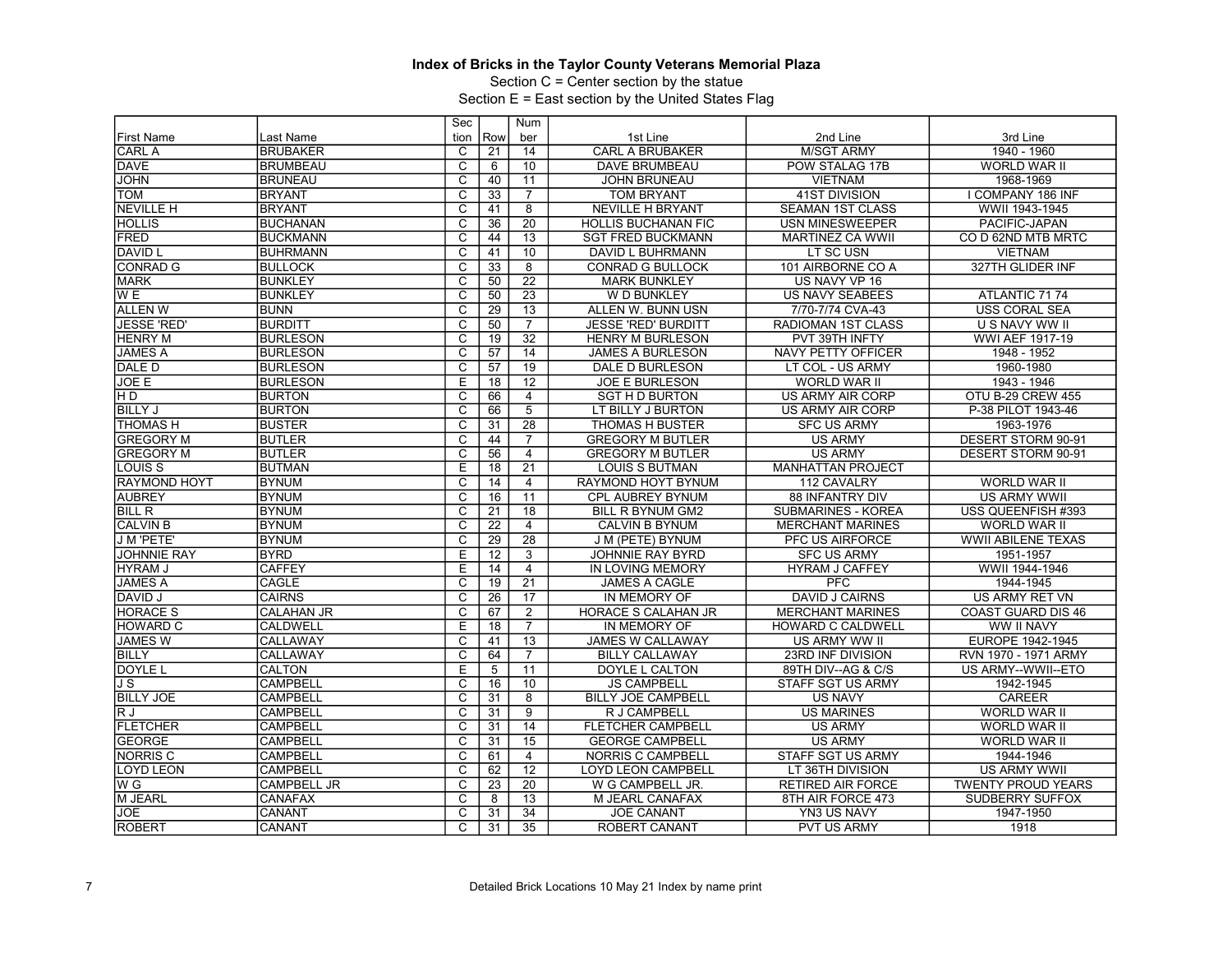Section C = Center section by the statue

|                     |                    | Sec                     |                 | Num             |                            |                           |                           |
|---------------------|--------------------|-------------------------|-----------------|-----------------|----------------------------|---------------------------|---------------------------|
| <b>First Name</b>   | Last Name          | tion                    | Row             | ber             | 1st Line                   | 2nd Line                  | 3rd Line                  |
| <b>CARL A</b>       | <b>BRUBAKER</b>    | C                       | 21              | 14              | <b>CARL A BRUBAKER</b>     | <b>M/SGT ARMY</b>         | 1940 - 1960               |
| <b>DAVE</b>         | <b>BRUMBEAU</b>    | $\overline{c}$          | 6               | 10              | <b>DAVE BRUMBEAU</b>       | POW STALAG 17B            | WORLD WAR II              |
| <b>JOHN</b>         | <b>BRUNEAU</b>     | $\overline{\mathsf{c}}$ | 40              | 11              | <b>JOHN BRUNEAU</b>        | <b>VIETNAM</b>            | 1968-1969                 |
| TOM                 | <b>BRYANT</b>      | $\overline{C}$          | 33              | $\overline{7}$  | <b>TOM BRYANT</b>          | <b>41ST DIVISION</b>      | I COMPANY 186 INF         |
| <b>NEVILLE H</b>    | <b>BRYANT</b>      | $\overline{\text{c}}$   | 41              | $\overline{8}$  | <b>NEVILLE H BRYANT</b>    | <b>SEAMAN 1ST CLASS</b>   | WWII 1943-1945            |
| HOLLIS              | <b>BUCHANAN</b>    | $\overline{\mathsf{c}}$ | 36              | $\overline{20}$ | <b>HOLLIS BUCHANAN FIC</b> | <b>USN MINESWEEPER</b>    | PACIFIC-JAPAN             |
| <b>FRED</b>         | <b>BUCKMANN</b>    | $\overline{\text{c}}$   | 44              | $\overline{13}$ | <b>SGT FRED BUCKMANN</b>   | <b>MARTINEZ CA WWII</b>   | CO D 62ND MTB MRTC        |
| <b>DAVID L</b>      | <b>BUHRMANN</b>    | $\overline{\mathsf{c}}$ | 41              | 10              | DAVID L BUHRMANN           | LT SC USN                 | <b>VIETNAM</b>            |
| <b>CONRAD G</b>     | <b>BULLOCK</b>     | $\overline{\mathsf{c}}$ | 33              | $\overline{8}$  | <b>CONRAD G BULLOCK</b>    | 101 AIRBORNE CO A         | 327TH GLIDER INF          |
| <b>MARK</b>         | <b>BUNKLEY</b>     | $\overline{c}$          | 50              | $\overline{22}$ | <b>MARK BUNKLEY</b>        | US NAVY VP 16             |                           |
| W E                 | <b>BUNKLEY</b>     | $\overline{\mathsf{c}}$ | 50              | $\overline{23}$ | W D BUNKLEY                | <b>US NAVY SEABEES</b>    | ATLANTIC 7174             |
| <b>ALLEN W</b>      | <b>BUNN</b>        | $\overline{C}$          | 29              | 13              | ALLEN W. BUNN USN          | 7/70-7/74 CVA-43          | <b>USS CORAL SEA</b>      |
| <b>JESSE 'RED'</b>  | <b>BURDITT</b>     | $\overline{\text{c}}$   | 50              | $\overline{7}$  | <b>JESSE 'RED' BURDITT</b> | <b>RADIOMAN 1ST CLASS</b> | U S NAVY WW II            |
| <b>HENRY M</b>      | <b>BURLESON</b>    | $\overline{\mathsf{c}}$ | 19              | $\overline{32}$ | <b>HENRY M BURLESON</b>    | PVT 39TH INFTY            | <b>WWI AEF 1917-19</b>    |
| <b>JAMES A</b>      | <b>BURLESON</b>    | $\overline{\text{c}}$   | $\overline{57}$ | $\overline{14}$ | <b>JAMES A BURLESON</b>    | <b>NAVY PETTY OFFICER</b> | 1948 - 1952               |
| DALE D              | <b>BURLESON</b>    | $\overline{c}$          | 57              | 19              | <b>DALE D BURLESON</b>     | LT COL - US ARMY          | 1960-1980                 |
| JOE E               | <b>BURLESON</b>    | E                       | $\overline{18}$ | $\overline{12}$ | <b>JOE E BURLESON</b>      | <b>WORLD WAR II</b>       | 1943 - 1946               |
| H D                 | <b>BURTON</b>      | $\overline{\text{c}}$   | 66              | $\overline{4}$  | <b>SGT H D BURTON</b>      | <b>US ARMY AIR CORP</b>   | OTU B-29 CREW 455         |
| <b>BILLY J</b>      | <b>BURTON</b>      | $\overline{\text{c}}$   | 66              | $\overline{5}$  | LT BILLY J BURTON          | US ARMY AIR CORP          | P-38 PILOT 1943-46        |
| <b>THOMAS H</b>     | <b>BUSTER</b>      | $\overline{c}$          | 31              | $\overline{28}$ | <b>THOMAS H BUSTER</b>     | <b>SFC US ARMY</b>        | 1963-1976                 |
| <b>GREGORY M</b>    | <b>BUTLER</b>      | $\overline{\text{c}}$   | 44              | $\overline{7}$  | <b>GREGORY M BUTLER</b>    | <b>US ARMY</b>            | DESERT STORM 90-91        |
| <b>GREGORY M</b>    | <b>BUTLER</b>      | $\overline{\text{c}}$   | 56              | $\overline{4}$  | <b>GREGORY M BUTLER</b>    | <b>US ARMY</b>            | DESERT STORM 90-91        |
| <b>LOUIS S</b>      | <b>BUTMAN</b>      | E                       | $\overline{18}$ | $\overline{21}$ | <b>LOUIS S BUTMAN</b>      | <b>MANHATTAN PROJECT</b>  |                           |
| <b>RAYMOND HOYT</b> | <b>BYNUM</b>       | $\overline{c}$          | 14              | $\overline{4}$  | RAYMOND HOYT BYNUM         | 112 CAVALRY               | <b>WORLD WAR II</b>       |
| <b>AUBREY</b>       | <b>BYNUM</b>       | $\overline{\mathsf{c}}$ | 16              | 11              | <b>CPL AUBREY BYNUM</b>    | <b>88 INFANTRY DIV</b>    | <b>US ARMY WWII</b>       |
| <b>BILL R</b>       | <b>BYNUM</b>       | $\overline{C}$          | 21              | $\overline{18}$ | BILL R BYNUM GM2           | SUBMARINES - KOREA        | USS QUEENFISH #393        |
| <b>CALVIN B</b>     | <b>BYNUM</b>       | $\overline{\text{c}}$   | $\overline{22}$ | $\overline{4}$  | <b>CALVIN B BYNUM</b>      | <b>MERCHANT MARINES</b>   | <b>WORLD WAR II</b>       |
| J M 'PETE'          | <b>BYNUM</b>       | $\overline{\text{c}}$   | $\overline{29}$ | $\overline{28}$ | J M (PETE) BYNUM           | PFC US AIRFORCE           | <b>WWII ABILENE TEXAS</b> |
| <b>JOHNNIE RAY</b>  | <b>BYRD</b>        | E                       | 12              | $\overline{3}$  | JOHNNIE RAY BYRD           | <b>SFC US ARMY</b>        | 1951-1957                 |
| <b>HYRAM J</b>      | <b>CAFFEY</b>      | Ε                       | $\overline{14}$ | $\overline{4}$  | <b>IN LOVING MEMORY</b>    | <b>HYRAM J CAFFEY</b>     | WWII 1944-1946            |
| <b>JAMES A</b>      | <b>CAGLE</b>       | $\overline{\text{c}}$   | $\overline{19}$ | $\overline{21}$ | <b>JAMES A CAGLE</b>       | $\overline{PFC}$          | 1944-1945                 |
| DAVID J             | <b>CAIRNS</b>      | $\overline{\text{c}}$   | 26              | $\overline{17}$ | IN MEMORY OF               | <b>DAVID J CAIRNS</b>     | <b>US ARMY RET VN</b>     |
| <b>HORACE S</b>     | <b>CALAHAN JR</b>  | $\overline{\text{c}}$   | 67              | $\overline{2}$  | <b>HORACE S CALAHAN JR</b> | <b>MERCHANT MARINES</b>   | <b>COAST GUARD DIS 46</b> |
| <b>HOWARD C</b>     | <b>CALDWELL</b>    | Ε                       | 18              | $\overline{7}$  | IN MEMORY OF               | HOWARD C CALDWELL         | WW II NAVY                |
| <b>JAMES W</b>      | <b>CALLAWAY</b>    | C                       | 41              | $\overline{13}$ | <b>JAMES W CALLAWAY</b>    | US ARMY WW II             | EUROPE 1942-1945          |
| <b>BILLY</b>        | <b>CALLAWAY</b>    | $\overline{\text{c}}$   | 64              | $\overline{7}$  | <b>BILLY CALLAWAY</b>      | 23RD INF DIVISION         | RVN 1970 - 1971 ARMY      |
| <b>DOYLE L</b>      | <b>CALTON</b>      | E                       | 5               | $\overline{11}$ | DOYLE L CALTON             | 89TH DIV--AG & C/S        | US ARMY--WWII--ETO        |
| J S                 | <b>CAMPBELL</b>    | C                       | 16              | 10              | <b>JS CAMPBELL</b>         | STAFF SGT US ARMY         | 1942-1945                 |
| <b>BILLY JOE</b>    | <b>CAMPBELL</b>    | $\overline{\text{c}}$   | 31              | $\overline{8}$  | <b>BILLY JOE CAMPBELL</b>  | <b>US NAVY</b>            | <b>CAREER</b>             |
| RJ                  | <b>CAMPBELL</b>    | $\overline{\mathrm{c}}$ | 31              | 9               | R J CAMPBELL               | <b>US MARINES</b>         | <b>WORLD WAR II</b>       |
| <b>FLETCHER</b>     | <b>CAMPBELL</b>    | C                       | $\overline{31}$ | 14              | <b>FLETCHER CAMPBELL</b>   | <b>US ARMY</b>            | <b>WORLD WAR II</b>       |
| <b>GEORGE</b>       | <b>CAMPBELL</b>    | $\overline{\mathrm{c}}$ | 31              | 15              | <b>GEORGE CAMPBELL</b>     | <b>US ARMY</b>            | WORLD WAR II              |
| <b>NORRIS C</b>     | <b>CAMPBELL</b>    | $\overline{C}$          | 61              | $\overline{4}$  | NORRIS C CAMPBELL          | <b>STAFF SGT US ARMY</b>  | 1944-1946                 |
| <b>LOYD LEON</b>    | <b>CAMPBELL</b>    | $\overline{\mathsf{c}}$ | 62              | 12              | LOYD LEON CAMPBELL         | LT 36TH DIVISION          | <b>US ARMY WWII</b>       |
| W G                 | <b>CAMPBELL JR</b> | C                       | 23              | 20              | W G CAMPBELL JR.           | <b>RETIRED AIR FORCE</b>  | <b>TWENTY PROUD YEARS</b> |
| M JEARL             | <b>CANAFAX</b>     | C                       | 8               | 13              | M JEARL CANAFAX            | 8TH AIR FORCE 473         | <b>SUDBERRY SUFFOX</b>    |
| <b>JOE</b>          | <b>CANANT</b>      | $\overline{\mathrm{c}}$ | 31              | $\overline{34}$ | <b>JOE CANANT</b>          | YN3 US NAVY               | 1947-1950                 |
|                     | <b>CANANT</b>      | $\overline{C}$          | 31              | $\overline{35}$ | <b>ROBERT CANANT</b>       | <b>PVT US ARMY</b>        | 1918                      |
| <b>ROBERT</b>       |                    |                         |                 |                 |                            |                           |                           |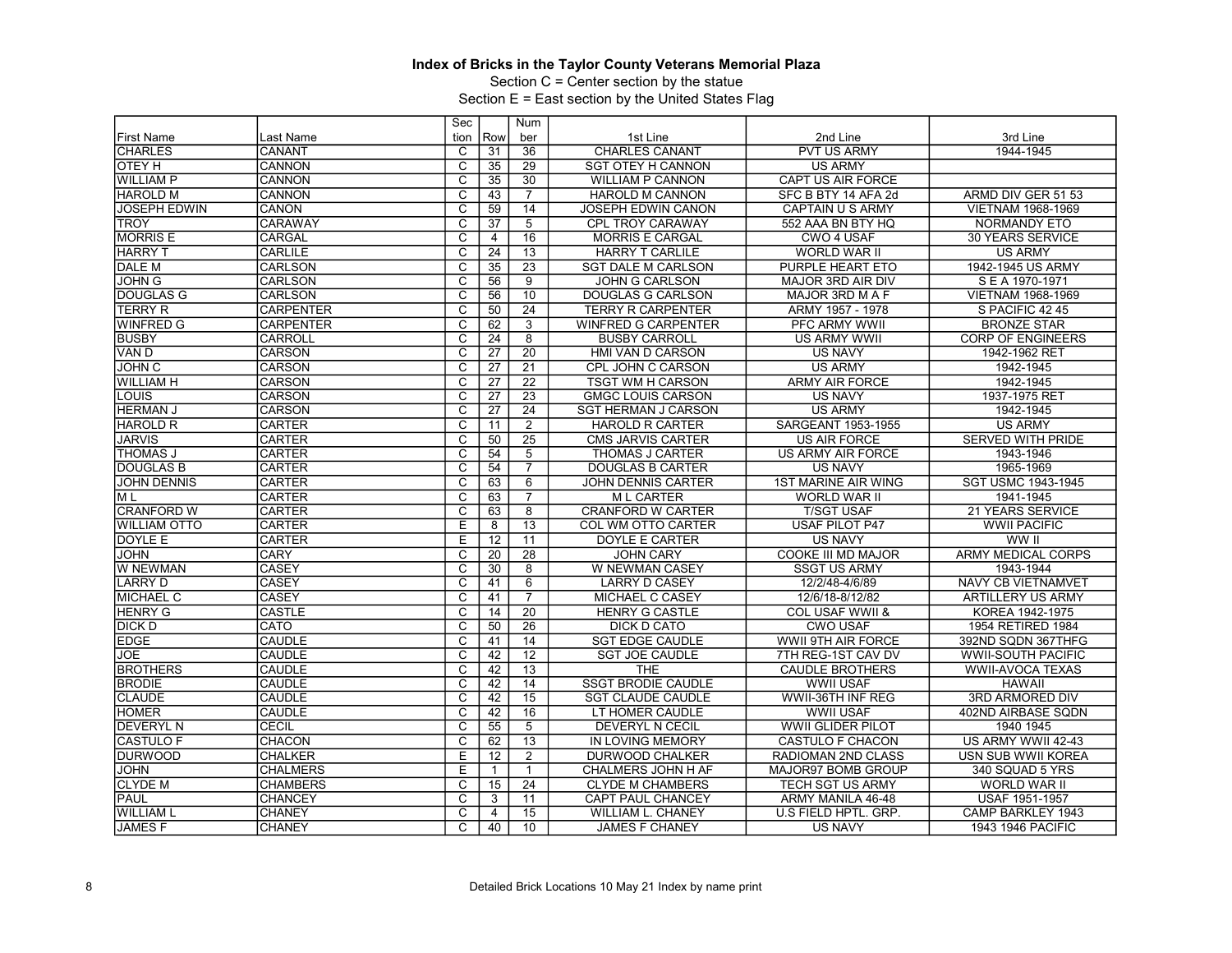Section C = Center section by the statue

|                               |                  | Sec                     |                 | Num             |                            |                            |                           |
|-------------------------------|------------------|-------------------------|-----------------|-----------------|----------------------------|----------------------------|---------------------------|
| <b>First Name</b>             | Last Name        | tion                    | Row             | ber             | 1st Line                   | 2nd Line                   | 3rd Line                  |
| <b>CHARLES</b>                | CANANT           | C                       | 31              | 36              | <b>CHARLES CANANT</b>      | <b>PVT US ARMY</b>         | 1944-1945                 |
| OTEY H                        | CANNON           | $\overline{\text{c}}$   | 35              | 29              | <b>SGT OTEY H CANNON</b>   | <b>US ARMY</b>             |                           |
| <b>WILLIAM P</b>              | <b>CANNON</b>    | $\overline{\mathrm{c}}$ | 35              | 30              | <b>WILLIAM P CANNON</b>    | CAPT US AIR FORCE          |                           |
| <b>HAROLD M</b>               | <b>CANNON</b>    | $\overline{C}$          | 43              | $\overline{7}$  | <b>HAROLD M CANNON</b>     | SFC B BTY 14 AFA 2d        | ARMD DIV GER 51 53        |
| <b>JOSEPH EDWIN</b>           | <b>CANON</b>     | $\overline{\text{c}}$   | 59              | 14              | JOSEPH EDWIN CANON         | CAPTAIN U S ARMY           | VIETNAM 1968-1969         |
| <b>TROY</b>                   | CARAWAY          | $\overline{\mathsf{c}}$ | 37              | $\overline{5}$  | <b>CPL TROY CARAWAY</b>    | 552 AAA BN BTY HQ          | <b>NORMANDY ETO</b>       |
| <b>MORRIS E</b>               | <b>CARGAL</b>    | C                       | 4               | 16              | <b>MORRIS E CARGAL</b>     | <b>CWO 4 USAF</b>          | <b>30 YEARS SERVICE</b>   |
| <b>HARRY T</b>                | <b>CARLILE</b>   | $\overline{\text{c}}$   | 24              | $\overline{13}$ | <b>HARRY T CARLILE</b>     | <b>WORLD WAR II</b>        | <b>US ARMY</b>            |
| <b>DALE M</b>                 | <b>CARLSON</b>   | C                       | 35              | 23              | <b>SGT DALE M CARLSON</b>  | PURPLE HEART ETO           | 1942-1945 US ARMY         |
| <b>JOHN G</b>                 | CARLSON          | C                       | 56              | 9               | <b>JOHN G CARLSON</b>      | MAJOR 3RD AIR DIV          | S E A 1970-1971           |
| <b>DOUGLAS G</b>              | CARLSON          | $\overline{\text{c}}$   | 56              | 10              | DOUGLAS G CARLSON          | MAJOR 3RD M A F            | VIETNAM 1968-1969         |
| <b>TERRY R</b>                | <b>CARPENTER</b> | $\overline{C}$          | 50              | 24              | <b>TERRY R CARPENTER</b>   | ARMY 1957 - 1978           | S PACIFIC 42 45           |
| <b>WINFRED G</b>              | <b>CARPENTER</b> | $\overline{\text{c}}$   | 62              | $\overline{3}$  | <b>WINFRED G CARPENTER</b> | PFC ARMY WWII              | <b>BRONZE STAR</b>        |
| <b>BUSBY</b>                  | CARROLL          | $\overline{\mathrm{c}}$ | 24              | $\overline{8}$  | <b>BUSBY CARROLL</b>       | <b>US ARMY WWII</b>        | CORP OF ENGINEERS         |
| VAN D                         | <b>CARSON</b>    | $\overline{C}$          | $\overline{27}$ | 20              | HMI VAN D CARSON           | <b>US NAVY</b>             | 1942-1962 RET             |
| <b>JOHN C</b>                 | <b>CARSON</b>    | $\overline{\text{c}}$   | 27              | 21              | CPL JOHN C CARSON          | <b>US ARMY</b>             | 1942-1945                 |
| <b>WILLIAM H</b>              | <b>CARSON</b>    | $\overline{\mathsf{c}}$ | 27              | $\overline{22}$ | <b>TSGT WM H CARSON</b>    | <b>ARMY AIR FORCE</b>      | 1942-1945                 |
| LOUIS                         | <b>CARSON</b>    | C                       | $\overline{27}$ | $\overline{23}$ | <b>GMGC LOUIS CARSON</b>   | <b>US NAVY</b>             | 1937-1975 RET             |
| <b>HERMAN J</b>               | <b>CARSON</b>    | $\overline{\text{c}}$   | $\overline{27}$ | $\overline{24}$ | <b>SGT HERMAN J CARSON</b> | <b>US ARMY</b>             | 1942-1945                 |
| <b>HAROLD R</b>               | <b>CARTER</b>    | $\overline{\mathsf{c}}$ | 11              | 2               | <b>HAROLD R CARTER</b>     | SARGEANT 1953-1955         | <b>US ARMY</b>            |
| <b>JARVIS</b>                 | <b>CARTER</b>    | C                       | 50              | $\overline{25}$ | <b>CMS JARVIS CARTER</b>   | US AIR FORCE               | <b>SERVED WITH PRIDE</b>  |
| <b>THOMAS J</b>               | <b>CARTER</b>    | $\overline{\text{c}}$   | 54              | $\overline{5}$  | THOMAS J CARTER            | <b>US ARMY AIR FORCE</b>   | 1943-1946                 |
| <b>DOUGLAS B</b>              | <b>CARTER</b>    | $\overline{c}$          | 54              | $\overline{7}$  | <b>DOUGLAS B CARTER</b>    | <b>US NAVY</b>             | 1965-1969                 |
| <b>JOHN DENNIS</b>            | <b>CARTER</b>    | $\overline{c}$          | 63              | 6               | <b>JOHN DENNIS CARTER</b>  | <b>1ST MARINE AIR WING</b> | SGT USMC 1943-1945        |
| M <sub>L</sub>                | <b>CARTER</b>    | $\overline{\mathrm{c}}$ | 63              | $\overline{7}$  | <b>MLCARTER</b>            | <b>WORLD WAR II</b>        | 1941-1945                 |
| <b>CRANFORD W</b>             | <b>CARTER</b>    | $\overline{C}$          | 63              | 8               | <b>CRANFORD W CARTER</b>   | <b>T/SGT USAF</b>          | 21 YEARS SERVICE          |
| <b>WILLIAM OTTO</b>           | CARTER           | E                       | 8               | 13              | COL WM OTTO CARTER         | USAF PILOT P47             | <b>WWII PACIFIC</b>       |
| DOYLE E                       | CARTER           | $\overline{E}$          | 12              | 11              | DOYLE E CARTER             | <b>US NAVY</b>             | WW II                     |
| <b>JOHN</b>                   | <b>CARY</b>      | $\overline{C}$          | 20              | 28              | <b>JOHN CARY</b>           | COOKE III MD MAJOR         | <b>ARMY MEDICAL CORPS</b> |
| W NEWMAN                      | <b>CASEY</b>     | $\overline{\text{c}}$   | 30              | $\overline{8}$  | W NEWMAN CASEY             | <b>SSGT US ARMY</b>        | 1943-1944                 |
| <b>LARRY D</b>                | <b>CASEY</b>     | $\overline{\mathsf{c}}$ | 41              | 6               | <b>LARRY D CASEY</b>       | 12/2/48-4/6/89             | <b>NAVY CB VIETNAMVET</b> |
| <b>MICHAEL C</b>              | <b>CASEY</b>     | C                       | 41              | $\overline{7}$  | MICHAEL C CASEY            | 12/6/18-8/12/82            | <b>ARTILLERY US ARMY</b>  |
| <b>HENRY G</b>                | <b>CASTLE</b>    | $\overline{\text{c}}$   | 14              | $\overline{20}$ | <b>HENRY G CASTLE</b>      | COL USAF WWII &            | KOREA 1942-1975           |
| <b>DICK D</b>                 | CATO             | C                       | 50              | 26              | <b>DICK D CATO</b>         | <b>CWO USAF</b>            | 1954 RETIRED 1984         |
| EDGE                          | <b>CAUDLE</b>    | C                       | 41              | 14              | <b>SGT EDGE CAUDLE</b>     | WWII 9TH AIR FORCE         | 392ND SQDN 367THFG        |
| <b>JOE</b>                    | <b>CAUDLE</b>    | $\overline{\text{c}}$   | 42              | $\overline{12}$ | <b>SGT JOE CAUDLE</b>      | 7TH REG-1ST CAV DV         | <b>WWII-SOUTH PACIFIC</b> |
| <b>BROTHERS</b>               | <b>CAUDLE</b>    | $\overline{C}$          | 42              | 13              | <b>THE</b>                 | <b>CAUDLE BROTHERS</b>     | <b>WWII-AVOCA TEXAS</b>   |
| <b>BRODIE</b>                 | <b>CAUDLE</b>    | $\overline{\text{c}}$   | 42              | 14              | <b>SSGT BRODIE CAUDLE</b>  | <b>WWII USAF</b>           | <b>HAWAII</b>             |
|                               | <b>CAUDLE</b>    | $\overline{\mathrm{c}}$ |                 | 15              |                            | <b>WWII-36TH INF REG</b>   |                           |
| <b>CLAUDE</b><br><b>HOMER</b> | <b>CAUDLE</b>    | $\overline{C}$          | 42              | 16              | <b>SGT CLAUDE CAUDLE</b>   |                            | 3RD ARMORED DIV           |
|                               |                  |                         | 42              |                 | LT HOMER CAUDLE            | <b>WWII USAF</b>           | 402ND AIRBASE SQDN        |
| <b>DEVERYL N</b>              | CECIL            | $\overline{\text{c}}$   | 55              | $\overline{5}$  | DEVERYL N CECIL            | <b>WWII GLIDER PILOT</b>   | 1940 1945                 |
| <b>CASTULO F</b>              | <b>CHACON</b>    | $\overline{\mathsf{c}}$ | 62              | $\overline{13}$ | <b>IN LOVING MEMORY</b>    | <b>CASTULO F CHACON</b>    | US ARMY WWII 42-43        |
| <b>DURWOOD</b>                | <b>CHALKER</b>   | Е                       | 12              | $\overline{2}$  | DURWOOD CHALKER            | RADIOMAN 2ND CLASS         | <b>USN SUB WWII KOREA</b> |
| <b>JOHN</b>                   | <b>CHALMERS</b>  | $\overline{E}$          | $\mathbf{1}$    |                 | CHALMERS JOHN H AF         | MAJOR97 BOMB GROUP         | 340 SQUAD 5 YRS           |
| <b>CLYDE M</b>                | <b>CHAMBERS</b>  | C                       | 15              | 24              | <b>CLYDE M CHAMBERS</b>    | <b>TECH SGT US ARMY</b>    | WORLD WAR II              |
| PAUL                          | <b>CHANCEY</b>   | C                       | 3               | 11              | CAPT PAUL CHANCEY          | ARMY MANILA 46-48          | USAF 1951-1957            |
| <b>WILLIAM L</b>              | <b>CHANEY</b>    | $\overline{\text{c}}$   | 4               | 15              | WILLIAM L. CHANEY          | U.S FIELD HPTL. GRP.       | CAMP BARKLEY 1943         |
| JAMES <sub>F</sub>            | <b>CHANEY</b>    | $\overline{C}$          | 40              | 10              | <b>JAMES F CHANEY</b>      | <b>US NAVY</b>             | 1943 1946 PACIFIC         |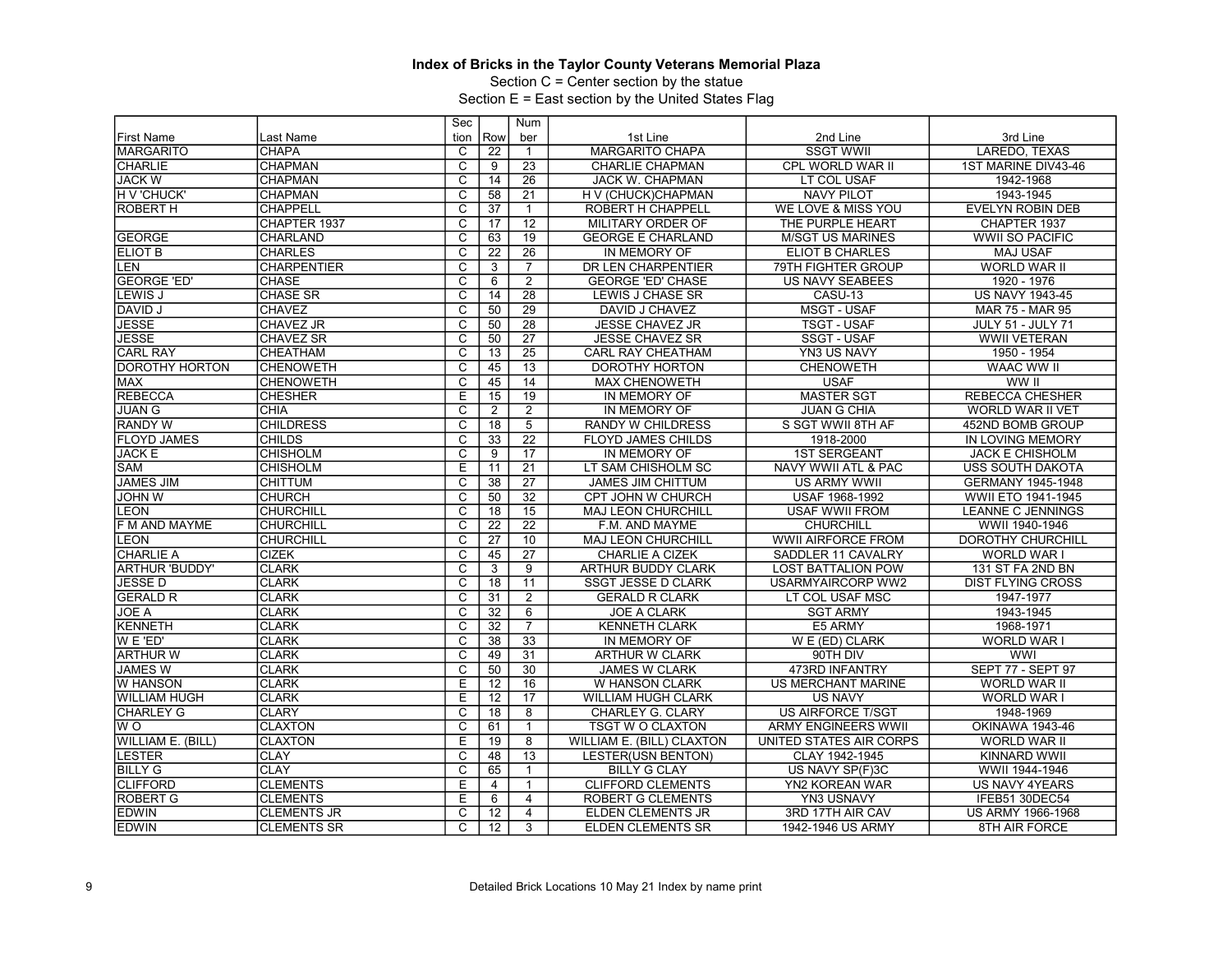Section C = Center section by the statue

|                       |                    | Sec                     |                 | Num             |                           |                                |                          |
|-----------------------|--------------------|-------------------------|-----------------|-----------------|---------------------------|--------------------------------|--------------------------|
| <b>First Name</b>     | Last Name          | tion                    | Row             | ber             | 1st Line                  | 2nd Line                       | 3rd Line                 |
| <b>MARGARITO</b>      | <b>CHAPA</b>       | C                       | $\overline{22}$ | $\mathbf{1}$    | <b>MARGARITO CHAPA</b>    | <b>SSGT WWII</b>               | LAREDO, TEXAS            |
| <b>CHARLIE</b>        | <b>CHAPMAN</b>     | $\overline{\mathsf{c}}$ | 9               | 23              | <b>CHARLIE CHAPMAN</b>    | CPL WORLD WAR II               | 1ST MARINE DIV43-46      |
| <b>JACK W</b>         | <b>CHAPMAN</b>     | $\overline{\mathrm{c}}$ | 14              | $\overline{26}$ | <b>JACK W. CHAPMAN</b>    | LT COL USAF                    | 1942-1968                |
| H V 'CHUCK'           | <b>CHAPMAN</b>     | C                       | 58              | $\overline{21}$ | H V (CHUCK)CHAPMAN        | <b>NAVY PILOT</b>              | 1943-1945                |
| <b>ROBERT H</b>       | <b>CHAPPELL</b>    | $\overline{\text{c}}$   | $\overline{37}$ | $\mathbf{1}$    | ROBERT H CHAPPELL         | WE LOVE & MISS YOU             | <b>EVELYN ROBIN DEB</b>  |
|                       | CHAPTER 1937       | $\overline{\mathrm{c}}$ | 17              | $\overline{12}$ | MILITARY ORDER OF         | THE PURPLE HEART               | CHAPTER 1937             |
| <b>GEORGE</b>         | CHARLAND           | $\overline{\text{c}}$   | 63              | 19              | <b>GEORGE E CHARLAND</b>  | <b>M/SGT US MARINES</b>        | <b>WWII SO PACIFIC</b>   |
| <b>ELIOT B</b>        | <b>CHARLES</b>     | $\overline{\mathsf{c}}$ | 22              | $\overline{26}$ | IN MEMORY OF              | ELIOT B CHARLES                | <b>MAJ USAF</b>          |
| <b>LEN</b>            | <b>CHARPENTIER</b> | $\overline{\mathrm{c}}$ | 3               | $\overline{7}$  | DR LEN CHARPENTIER        | 79TH FIGHTER GROUP             | <b>WORLD WAR II</b>      |
| <b>GEORGE 'ED'</b>    | <b>CHASE</b>       | $\overline{c}$          | 6               | $\overline{2}$  | <b>GEORGE 'ED' CHASE</b>  | <b>US NAVY SEABEES</b>         | 1920 - 1976              |
| LEWIS J               | <b>CHASE SR</b>    | $\overline{\mathrm{c}}$ | 14              | $\overline{28}$ | <b>LEWIS J CHASE SR</b>   | CASU-13                        | <b>US NAVY 1943-45</b>   |
| <b>DAVID J</b>        | <b>CHAVEZ</b>      | $\overline{C}$          | 50              | $\overline{29}$ | DAVID J CHAVEZ            | <b>MSGT - USAF</b>             | MAR 75 - MAR 95          |
| <b>JESSE</b>          | CHAVEZ JR          | $\overline{\text{c}}$   | 50              | 28              | <b>JESSE CHAVEZ JR</b>    | <b>TSGT - USAF</b>             | <b>JULY 51 - JULY 71</b> |
| <b>JESSE</b>          | <b>CHAVEZ SR</b>   | $\overline{\mathsf{c}}$ | 50              | $\overline{27}$ | <b>JESSE CHAVEZ SR</b>    | <b>SSGT - USAF</b>             | <b>WWII VETERAN</b>      |
| <b>CARL RAY</b>       | <b>CHEATHAM</b>    | $\overline{\text{c}}$   | 13              | $\overline{25}$ | <b>CARL RAY CHEATHAM</b>  | <b>YN3 US NAVY</b>             | 1950 - 1954              |
| <b>DOROTHY HORTON</b> | <b>CHENOWETH</b>   | $\overline{\mathrm{c}}$ | 45              | 13              | <b>DOROTHY HORTON</b>     | <b>CHENOWETH</b>               | <b>WAAC WW II</b>        |
| <b>MAX</b>            | <b>CHENOWETH</b>   | $\overline{\mathrm{c}}$ | 45              | 14              | <b>MAX CHENOWETH</b>      | <b>USAF</b>                    | WW II                    |
| <b>REBECCA</b>        | <b>CHESHER</b>     | E                       | 15              | $\overline{19}$ | IN MEMORY OF              | <b>MASTER SGT</b>              | <b>REBECCA CHESHER</b>   |
| <b>JUAN G</b>         | <b>CHIA</b>        | $\overline{\mathrm{c}}$ | 2               | $\overline{2}$  | IN MEMORY OF              | <b>JUAN G CHIA</b>             | <b>WORLD WAR II VET</b>  |
| <b>RANDY W</b>        | <b>CHILDRESS</b>   | $\overline{c}$          | $\overline{18}$ | $\overline{5}$  | <b>RANDY W CHILDRESS</b>  | S SGT WWII 8TH AF              | 452ND BOMB GROUP         |
| <b>FLOYD JAMES</b>    | <b>CHILDS</b>      | $\overline{\text{c}}$   | 33              | $\overline{22}$ | <b>FLOYD JAMES CHILDS</b> | 1918-2000                      | IN LOVING MEMORY         |
| <b>JACK E</b>         | <b>CHISHOLM</b>    | $\overline{\mathsf{c}}$ | 9               | 17              | <b>IN MEMORY OF</b>       | <b>1ST SERGEANT</b>            | <b>JACK E CHISHOLM</b>   |
| <b>SAM</b>            | <b>CHISHOLM</b>    | Ε                       | $\overline{11}$ | $\overline{21}$ | LT SAM CHISHOLM SC        | <b>NAVY WWII ATL &amp; PAC</b> | <b>USS SOUTH DAKOTA</b>  |
| <b>JAMES JIM</b>      | <b>CHITTUM</b>     | С                       | $\overline{38}$ | 27              | <b>JAMES JIM CHITTUM</b>  | <b>US ARMY WWII</b>            | GERMANY 1945-1948        |
| <b>V NHOL</b>         | <b>CHURCH</b>      | $\overline{\mathrm{c}}$ | 50              | $\overline{32}$ | CPT JOHN W CHURCH         | USAF 1968-1992                 | WWII ETO 1941-1945       |
| <b>EON</b>            | <b>CHURCHILL</b>   | $\overline{C}$          | 18              | 15              | <b>MAJ LEON CHURCHILL</b> | <b>USAF WWII FROM</b>          | <b>LEANNE C JENNINGS</b> |
| F M AND MAYME         | <b>CHURCHILL</b>   | $\overline{\mathrm{c}}$ | $\overline{22}$ | $\overline{22}$ | F.M. AND MAYME            | <b>CHURCHILL</b>               | WWII 1940-1946           |
| LEON                  | <b>CHURCHILL</b>   | $\overline{\text{c}}$   | $\overline{27}$ | 10              | <b>MAJ LEON CHURCHILL</b> | <b>WWII AIRFORCE FROM</b>      | <b>DOROTHY CHURCHILL</b> |
| <b>CHARLIE A</b>      | <b>CIZEK</b>       | $\overline{\text{c}}$   | 45              | $\overline{27}$ | <b>CHARLIE A CIZEK</b>    | SADDLER 11 CAVALRY             | <b>WORLD WAR I</b>       |
| <b>ARTHUR 'BUDDY'</b> | <b>CLARK</b>       | $\overline{\mathsf{c}}$ | 3               | 9               | ARTHUR BUDDY CLARK        | <b>LOST BATTALION POW</b>      | 131 ST FA 2ND BN         |
| <b>JESSED</b>         | <b>CLARK</b>       | $\overline{\mathrm{c}}$ | $\overline{18}$ | $\overline{11}$ | <b>SSGT JESSE D CLARK</b> | <b>USARMYAIRCORP WW2</b>       | <b>DIST FLYING CROSS</b> |
| <b>GERALD R</b>       | <b>CLARK</b>       | $\overline{c}$          | $\overline{31}$ | $\overline{2}$  | <b>GERALD R CLARK</b>     | LT COL USAF MSC                | 1947-1977                |
| <b>JOE A</b>          | <b>CLARK</b>       | С                       | $\overline{32}$ | 6               | <b>JOE A CLARK</b>        | <b>SGT ARMY</b>                | 1943-1945                |
| <b>KENNETH</b>        | <b>CLARK</b>       | $\overline{\mathsf{C}}$ | 32              | $\overline{7}$  | <b>KENNETH CLARK</b>      | E5 ARMY                        | 1968-1971                |
| W E 'ED'              | <b>CLARK</b>       | C                       | $\overline{38}$ | 33              | IN MEMORY OF              | W E (ED) CLARK                 | WORLD WAR I              |
| <b>ARTHUR W</b>       | <b>CLARK</b>       | $\overline{\text{c}}$   | 49              | 31              | <b>ARTHUR W CLARK</b>     | 90TH DIV                       | <b>WWI</b>               |
| <b>JAMES W</b>        | <b>CLARK</b>       | $\overline{\mathrm{c}}$ | 50              | 30              | <b>JAMES W CLARK</b>      | 473RD INFANTRY                 | SEPT 77 - SEPT 97        |
| <b>W HANSON</b>       | <b>CLARK</b>       | Ε                       | 12              | 16              | W HANSON CLARK            | US MERCHANT MARINE             | <b>WORLD WAR II</b>      |
| <b>WILLIAM HUGH</b>   | <b>CLARK</b>       | Ε                       | $\overline{12}$ | $\overline{17}$ | WILLIAM HUGH CLARK        | <b>US NAVY</b>                 | WORLD WAR I              |
| <b>CHARLEY G</b>      | <b>CLARY</b>       | $\overline{C}$          | 18              | $\overline{8}$  | <b>CHARLEY G. CLARY</b>   | <b>US AIRFORCE T/SGT</b>       | 1948-1969                |
| W O                   | <b>CLAXTON</b>     | С                       | 61              | $\mathbf{1}$    | <b>TSGT W O CLAXTON</b>   | <b>ARMY ENGINEERS WWII</b>     | <b>OKINAWA 1943-46</b>   |
| WILLIAM E. (BILL)     | <b>CLAXTON</b>     | E                       | 19              | 8               | WILLIAM E. (BILL) CLAXTON | UNITED STATES AIR CORPS        | WORLD WAR II             |
| <b>LESTER</b>         | <b>CLAY</b>        | C                       | 48              | 13              | <b>LESTER(USN BENTON)</b> | CLAY 1942-1945                 | KINNARD WWII             |
| <b>BILLY G</b>        | <b>CLAY</b>        | $\overline{\mathsf{c}}$ | 65              | $\mathbf{1}$    | <b>BILLY G CLAY</b>       | US NAVY SP(F)3C                | WWII 1944-1946           |
| <b>CLIFFORD</b>       | <b>CLEMENTS</b>    | E                       | $\overline{4}$  | $\mathbf{1}$    | <b>CLIFFORD CLEMENTS</b>  | YN2 KOREAN WAR                 | <b>US NAVY 4YEARS</b>    |
| ROBERT G              | <b>CLEMENTS</b>    | E                       | 6               | $\overline{4}$  | ROBERT G CLEMENTS         | YN3 USNAVY                     | IFEB51 30DEC54           |
| <b>EDWIN</b>          | <b>CLEMENTS JR</b> | С                       | 12              | $\overline{4}$  | ELDEN CLEMENTS JR         | 3RD 17TH AIR CAV               | US ARMY 1966-1968        |
| <b>EDWIN</b>          | <b>CLEMENTS SR</b> | $\overline{C}$          | 12              | 3               | <b>ELDEN CLEMENTS SR</b>  | 1942-1946 US ARMY              | 8TH AIR FORCE            |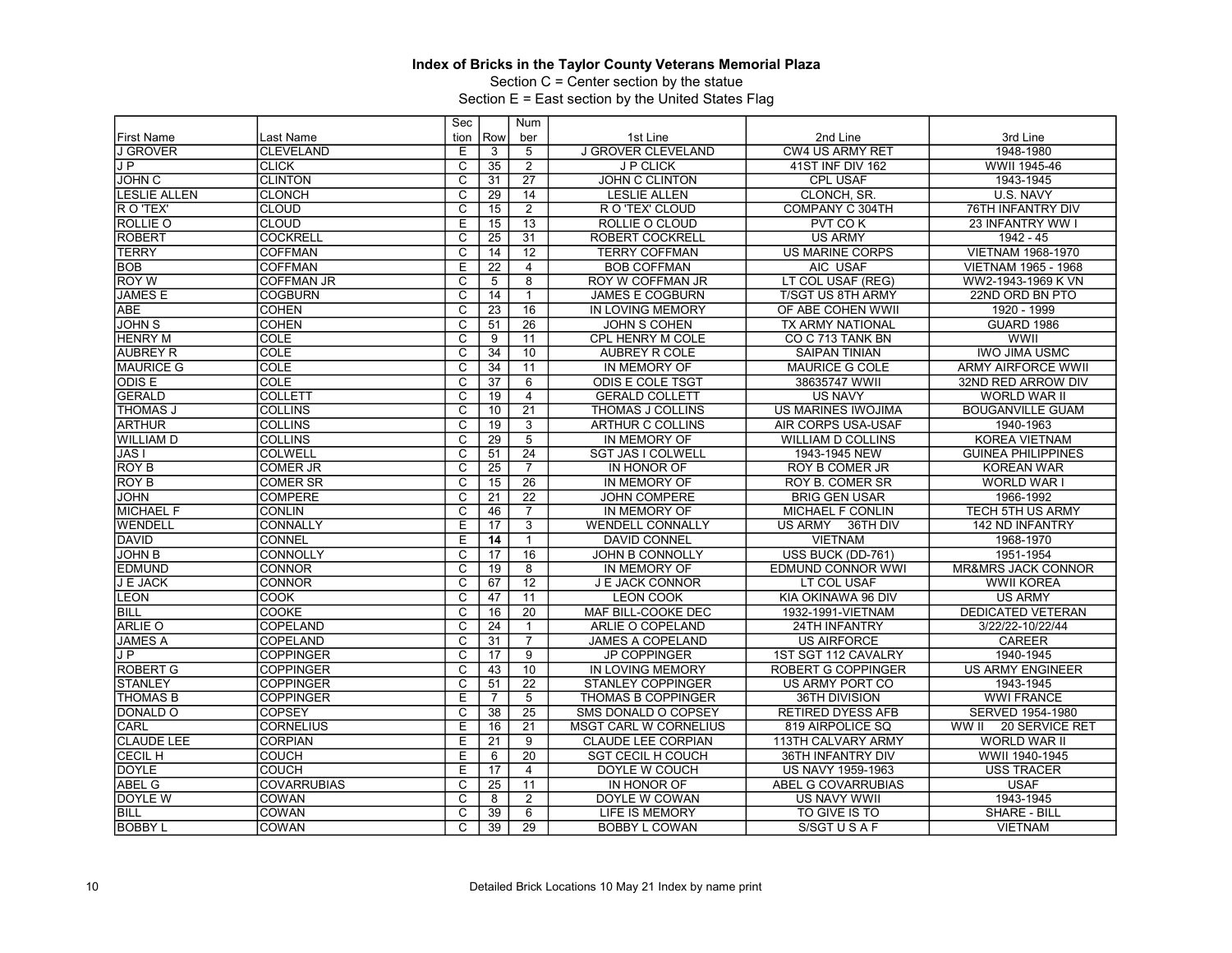Section C = Center section by the statue

|                     |                    | Sec                     |                 | Num             |                              |                            |                               |
|---------------------|--------------------|-------------------------|-----------------|-----------------|------------------------------|----------------------------|-------------------------------|
| <b>First Name</b>   | Last Name          | tion                    | Row             | ber             | 1st Line                     | 2nd Line                   | 3rd Line                      |
| <b>J GROVER</b>     | <b>CLEVELAND</b>   | Ε                       | 3               | 5               | <b>J GROVER CLEVELAND</b>    | <b>CW4 US ARMY RET</b>     | 1948-1980                     |
| JP                  | <b>CLICK</b>       | $\overline{c}$          | 35              | $\overline{2}$  | J P CLICK                    | 41ST INF DIV 162           | WWII 1945-46                  |
| <b>JOHN C</b>       | <b>CLINTON</b>     | $\overline{\mathrm{c}}$ | 31              | $\overline{27}$ | <b>JOHN C CLINTON</b>        | <b>CPL USAF</b>            | 1943-1945                     |
| <b>LESLIE ALLEN</b> | <b>CLONCH</b>      | $\overline{C}$          | 29              | 14              | <b>LESLIE ALLEN</b>          | CLONCH, SR.                | U.S. NAVY                     |
| R O 'TEX'           | <b>CLOUD</b>       | $\overline{\text{c}}$   | 15              | $\overline{2}$  | R O 'TEX' CLOUD              | COMPANY C 304TH            | 76TH INFANTRY DIV             |
| <b>ROLLIE O</b>     | <b>CLOUD</b>       | E                       | 15              | $\overline{13}$ | ROLLIE O CLOUD               | PVT COK                    | 23 INFANTRY WW I              |
| <b>ROBERT</b>       | <b>COCKRELL</b>    | $\overline{\text{c}}$   | 25              | $\overline{31}$ | <b>ROBERT COCKRELL</b>       | <b>US ARMY</b>             | 1942 - 45                     |
| <b>TERRY</b>        | <b>COFFMAN</b>     | $\overline{\mathsf{c}}$ | 14              | 12              | <b>TERRY COFFMAN</b>         | <b>US MARINE CORPS</b>     | <b>VIETNAM 1968-1970</b>      |
| <b>BOB</b>          | <b>COFFMAN</b>     | E                       | $\overline{22}$ | $\overline{4}$  | <b>BOB COFFMAN</b>           | AIC USAF                   | <b>VIETNAM 1965 - 1968</b>    |
| <b>ROY W</b>        | <b>COFFMAN JR</b>  | C                       | 5               | 8               | ROY W COFFMAN JR             | LT COL USAF (REG)          | WW2-1943-1969 K VN            |
| <b>JAMES E</b>      | <b>COGBURN</b>     | $\overline{\text{c}}$   | 14              | $\mathbf{1}$    | <b>JAMES E COGBURN</b>       | <b>T/SGT US 8TH ARMY</b>   | 22ND ORD BN PTO               |
| ABE                 | <b>COHEN</b>       | $\overline{C}$          | 23              | 16              | IN LOVING MEMORY             | OF ABE COHEN WWII          | 1920 - 1999                   |
| <b>JOHN S</b>       | <b>COHEN</b>       | $\overline{\text{c}}$   | 51              | 26              | <b>JOHN S COHEN</b>          | TX ARMY NATIONAL           | <b>GUARD 1986</b>             |
| <b>HENRY M</b>      | <b>COLE</b>        | $\overline{\mathsf{c}}$ | 9               | 11              | CPL HENRY M COLE             | CO C 713 TANK BN           | WWII                          |
| <b>AUBREY R</b>     | <b>COLE</b>        | $\overline{\text{c}}$   | $\overline{34}$ | 10              | <b>AUBREY R COLE</b>         | <b>SAIPAN TINIAN</b>       | <b>IWO JIMA USMC</b>          |
| <b>MAURICE G</b>    | <b>COLE</b>        | $\overline{\mathsf{c}}$ | 34              | $\overline{11}$ | IN MEMORY OF                 | <b>MAURICE G COLE</b>      | <b>ARMY AIRFORCE WWII</b>     |
| <b>ODISE</b>        | <b>COLE</b>        | $\overline{\mathrm{c}}$ | $\overline{37}$ | 6               | <b>ODIS E COLE TSGT</b>      | 38635747 WWII              | 32ND RED ARROW DIV            |
| <b>GERALD</b>       | <b>COLLETT</b>     | $\overline{c}$          | 19              | $\overline{4}$  | <b>GERALD COLLETT</b>        | <b>US NAVY</b>             | <b>WORLD WAR II</b>           |
| <b>THOMAS J</b>     | <b>COLLINS</b>     | $\overline{\text{c}}$   | 10              | $\overline{21}$ | <b>THOMAS J COLLINS</b>      | <b>US MARINES IWOJIMA</b>  | <b>BOUGANVILLE GUAM</b>       |
| <b>ARTHUR</b>       | <b>COLLINS</b>     | $\overline{\mathsf{c}}$ | 19              | 3               | <b>ARTHUR C COLLINS</b>      | AIR CORPS USA-USAF         | 1940-1963                     |
| <b>WILLIAM D</b>    | <b>COLLINS</b>     | $\overline{\text{c}}$   | 29              | $\overline{5}$  | IN MEMORY OF                 | <b>WILLIAM D COLLINS</b>   | <b>KOREA VIETNAM</b>          |
| JAS <sub>I</sub>    | <b>COLWELL</b>     | $\overline{\mathsf{c}}$ | 51              | $\overline{24}$ | <b>SGT JAS I COLWELL</b>     | 1943-1945 NEW              | <b>GUINEA PHILIPPINES</b>     |
| <b>ROY B</b>        | <b>COMER JR</b>    | $\overline{\mathrm{c}}$ | $\overline{25}$ | $\overline{7}$  | IN HONOR OF                  | <b>ROY B COMER JR</b>      | <b>KOREAN WAR</b>             |
| <b>ROY B</b>        | <b>COMER SR</b>    | $\overline{c}$          | 15              | $\overline{26}$ | IN MEMORY OF                 | <b>ROY B. COMER SR</b>     | <b>WORLD WAR I</b>            |
| <b>JOHN</b>         | <b>COMPERE</b>     | C                       | $\overline{21}$ | $\overline{22}$ | <b>JOHN COMPERE</b>          | <b>BRIG GEN USAR</b>       | 1966-1992                     |
| <b>MICHAEL F</b>    | <b>CONLIN</b>      | $\overline{C}$          | 46              | $\overline{7}$  | IN MEMORY OF                 | <b>MICHAEL F CONLIN</b>    | TECH 5TH US ARMY              |
| <b>WENDELL</b>      | <b>CONNALLY</b>    | E                       | 17              | $\overline{3}$  | <b>WENDELL CONNALLY</b>      | <b>US ARMY</b><br>36TH DIV | 142 ND INFANTRY               |
| <b>DAVID</b>        | <b>CONNEL</b>      | Έ                       | 14              | $\mathbf{1}$    | <b>DAVID CONNEL</b>          | <b>VIETNAM</b>             | 1968-1970                     |
| <b>JOHN B</b>       | CONNOLLY           | C                       | 17              | $\overline{16}$ | <b>JOHN B CONNOLLY</b>       | USS BUCK (DD-761)          | 1951-1954                     |
| <b>EDMUND</b>       | <b>CONNOR</b>      | C                       | 19              | 8               | IN MEMORY OF                 | <b>EDMUND CONNOR WWI</b>   | <b>MR&amp;MRS JACK CONNOR</b> |
| <b>J E JACK</b>     | <b>CONNOR</b>      | $\overline{\mathrm{c}}$ | 67              | $\overline{12}$ | <b>J E JACK CONNOR</b>       | LT COL USAF                | <b>WWII KOREA</b>             |
| <b>LEON</b>         | <b>COOK</b>        | $\overline{\text{c}}$   | 47              | 11              | <b>LEON COOK</b>             | KIA OKINAWA 96 DIV         | <b>US ARMY</b>                |
| <b>BILL</b>         | COOKE              | C                       | 16              | $\overline{20}$ | MAF BILL-COOKE DEC           | 1932-1991-VIETNAM          | <b>DEDICATED VETERAN</b>      |
| ARLIE O             | COPELAND           | $\overline{c}$          | 24              | $\mathbf{1}$    | ARLIE O COPELAND             | 24TH INFANTRY              | 3/22/22-10/22/44              |
| <b>JAMES A</b>      | <b>COPELAND</b>    | C                       | 31              | $\overline{7}$  | <b>JAMES A COPELAND</b>      | <b>US AIRFORCE</b>         | <b>CAREER</b>                 |
| JP                  | <b>COPPINGER</b>   | $\overline{\mathsf{c}}$ | 17              | 9               | <b>JP COPPINGER</b>          | 1ST SGT 112 CAVALRY        | 1940-1945                     |
| <b>ROBERT G</b>     | <b>COPPINGER</b>   | $\overline{\mathrm{c}}$ | 43              | 10              | IN LOVING MEMORY             | <b>ROBERT G COPPINGER</b>  | <b>US ARMY ENGINEER</b>       |
| <b>STANLEY</b>      | <b>COPPINGER</b>   | C                       | 51              | 22              | <b>STANLEY COPPINGER</b>     | US ARMY PORT CO            | 1943-1945                     |
| <b>THOMAS B</b>     | <b>COPPINGER</b>   | E                       | $\overline{7}$  | $\overline{5}$  | THOMAS B COPPINGER           | 36TH DIVISION              | <b>WWI FRANCE</b>             |
| <b>DONALD O</b>     | <b>COPSEY</b>      | $\overline{C}$          | 38              | 25              | SMS DONALD O COPSEY          | <b>RETIRED DYESS AFB</b>   | SERVED 1954-1980              |
| CARL                | <b>CORNELIUS</b>   | E                       | 16              | 21              | <b>MSGT CARL W CORNELIUS</b> | 819 AIRPOLICE SQ           | WW II 20 SERVICE RET          |
| <b>CLAUDE LEE</b>   | <b>CORPIAN</b>     | Ε                       | 21              | 9               | <b>CLAUDE LEE CORPIAN</b>    | 113TH CALVARY ARMY         | WORLD WAR II                  |
| <b>CECIL H</b>      | <b>COUCH</b>       | E                       | 6               | $\overline{20}$ | <b>SGT CECIL H COUCH</b>     | 36TH INFANTRY DIV          | WWII 1940-1945                |
| <b>DOYLE</b>        | <b>COUCH</b>       | Έ                       | 17              | $\overline{4}$  | DOYLE W COUCH                | US NAVY 1959-1963          | <b>USS TRACER</b>             |
| <b>ABEL G</b>       | <b>COVARRUBIAS</b> | C                       | 25              | 11              | IN HONOR OF                  | ABEL G COVARRUBIAS         | <b>USAF</b>                   |
| DOYLE W             | <b>COWAN</b>       | C                       | 8               | $\overline{2}$  | DOYLE W COWAN                | US NAVY WWII               | 1943-1945                     |
| BILL                | COWAN              | $\overline{\mathrm{c}}$ | 39              | 6               | LIFE IS MEMORY               | TO GIVE IS TO              | <b>SHARE - BILL</b>           |
| <b>BOBBY L</b>      | COWAN              | C                       | 39              | $\overline{29}$ | <b>BOBBY L COWAN</b>         | S/SGT U S A F              | <b>VIETNAM</b>                |
|                     |                    |                         |                 |                 |                              |                            |                               |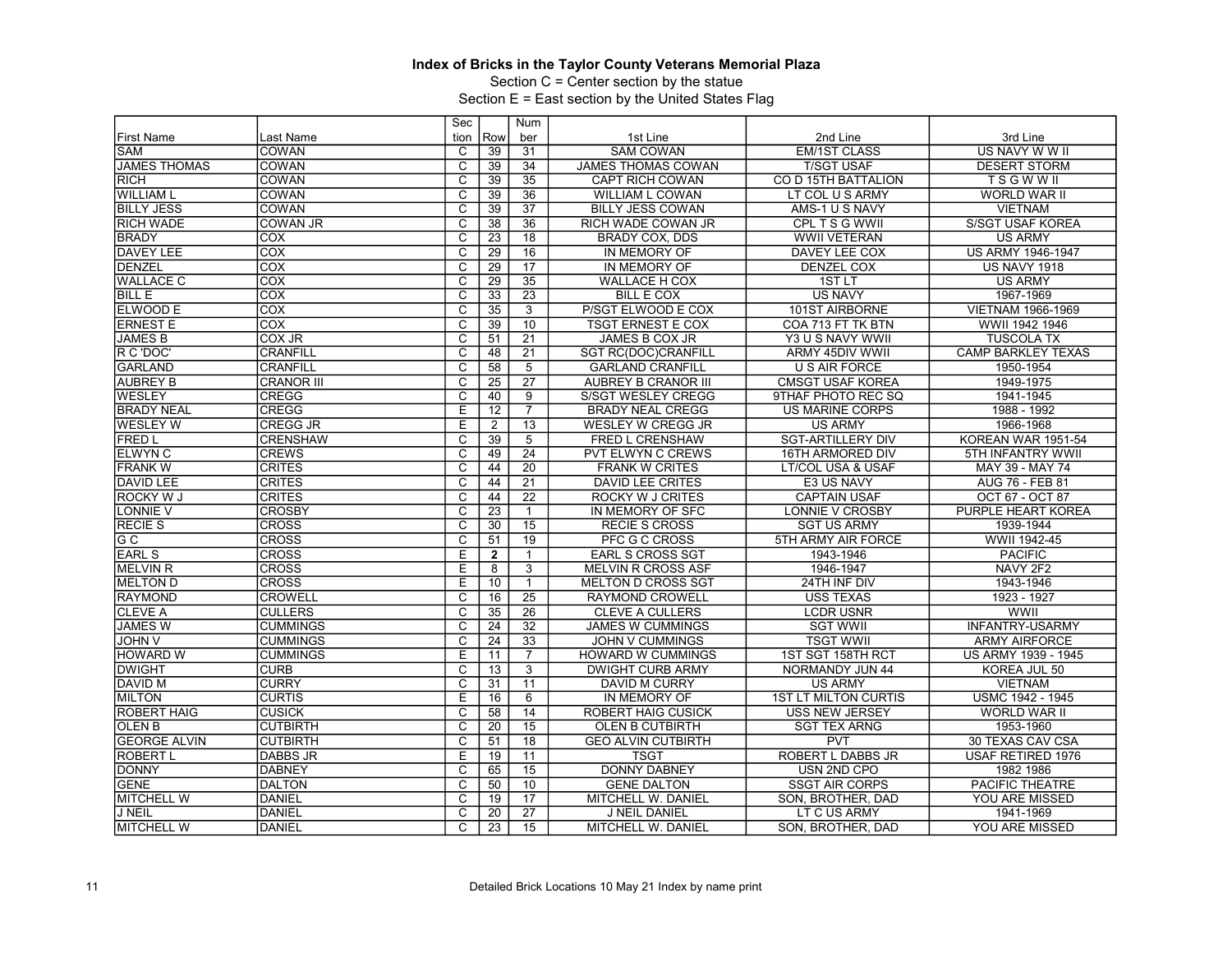Section C = Center section by the statue

| Row<br>2nd Line<br>3rd Line<br><b>First Name</b><br>Last Name<br>tion<br>ber<br>1st Line<br><b>SAM</b><br>COWAN<br>C<br>31<br><b>SAM COWAN</b><br><b>EM/1ST CLASS</b><br>US NAVY W W II<br>39<br>$\overline{\mathsf{c}}$<br><b>JAMES THOMAS</b><br>COWAN<br>34<br>JAMES THOMAS COWAN<br><b>T/SGT USAF</b><br><b>DESERT STORM</b><br>39<br>RICH<br>$\overline{\mathrm{c}}$<br>CO D 15TH BATTALION<br>COWAN<br>39<br>35<br><b>CAPT RICH COWAN</b><br><b>TSGWWII</b><br>$\overline{C}$<br>36<br><b>WILLIAM L</b><br><b>COWAN</b><br>39<br><b>WILLIAM L COWAN</b><br>LT COL U S ARMY<br><b>WORLD WAR II</b><br><b>BILLY JESS</b><br>$\overline{\text{c}}$<br>37<br>COWAN<br>39<br><b>BILLY JESS COWAN</b><br>AMS-1 U S NAVY<br><b>VIETNAM</b><br>$\overline{\mathsf{c}}$<br>$\overline{36}$<br><b>RICH WADE</b><br><b>COWAN JR</b><br>38<br>RICH WADE COWAN JR<br>CPL T S G WWII<br><b>S/SGT USAF KOREA</b><br><b>BRADY</b><br>$\overline{\text{c}}$<br>$\overline{23}$<br>$\overline{18}$<br>COX<br><b>BRADY COX, DDS</b><br><b>WWII VETERAN</b><br><b>US ARMY</b><br><b>DAVEY LEE</b><br>COX<br>$\overline{\mathsf{c}}$<br>16<br>29<br><b>DAVEY LEE COX</b><br>US ARMY 1946-1947<br>IN MEMORY OF<br>$\overline{\mathrm{c}}$<br>$\overline{17}$<br><b>DENZEL</b><br>COX<br>29<br>IN MEMORY OF<br><b>DENZEL COX</b><br><b>US NAVY 1918</b><br><b>WALLACE C</b><br>COX<br>$\overline{\text{c}}$<br>35<br>29<br><b>WALLACE H COX</b><br>1STLT<br><b>US ARMY</b><br><b>BILL E</b><br><b>COX</b><br>$\overline{\mathrm{c}}$<br>$\overline{23}$<br>$\overline{33}$<br><b>BILL E COX</b><br><b>US NAVY</b><br>1967-1969<br><b>COX</b><br>$\overline{C}$<br>35<br>3<br><b>ELWOOD E</b><br>P/SGT ELWOOD E COX<br>101ST AIRBORNE<br><b>VIETNAM 1966-1969</b><br>COX<br>$\overline{\text{c}}$<br>10<br><b>ERNEST E</b><br>39<br><b>TSGT ERNEST E COX</b><br>COA 713 FT TK BTN<br>WWII 1942 1946<br><b>JAMES B</b><br>$\overline{\mathsf{c}}$<br>COX JR<br>$\overline{21}$<br>JAMES B COX JR<br><b>TUSCOLA TX</b><br>51<br>Y3 U S NAVY WWII<br>R C 'DOC'<br>$\overline{\text{c}}$<br>$\overline{21}$<br><b>CRANFILL</b><br>48<br><b>SGT RC(DOC)CRANFILL</b><br>ARMY 45DIV WWII<br><b>CAMP BARKLEY TEXAS</b><br>$\overline{\mathsf{c}}$<br>$\overline{5}$<br><b>GARLAND</b><br><b>CRANFILL</b><br>58<br><b>U S AIR FORCE</b><br>1950-1954<br><b>GARLAND CRANFILL</b><br>$\overline{\mathrm{c}}$<br>$\overline{27}$<br><b>AUBREY B</b><br><b>CRANOR III</b><br>$\overline{25}$<br><b>AUBREY B CRANOR III</b><br><b>CMSGT USAF KOREA</b><br>1949-1975<br>$\overline{\text{c}}$<br>WESLEY<br><b>CREGG</b><br>40<br>9<br><b>S/SGT WESLEY CREGG</b><br>9THAF PHOTO REC SQ<br>1941-1945<br>Ē<br><b>BRADY NEAL</b><br><b>CREGG</b><br>12<br>$\overline{7}$<br><b>US MARINE CORPS</b><br>1988 - 1992<br><b>BRADY NEAL CREGG</b><br><b>WESLEY W</b><br>E<br>$\overline{13}$<br><b>US ARMY</b><br>1966-1968<br><b>CREGG JR</b><br>2<br><b>WESLEY W CREGG JR</b><br><b>FRED L</b><br>$\overline{\text{c}}$<br>39<br>$\overline{5}$<br><b>CRENSHAW</b><br>FRED L CRENSHAW<br><b>SGT-ARTILLERY DIV</b><br>KOREAN WAR 1951-54<br>$\overline{\mathsf{c}}$<br>$\overline{24}$<br><b>ELWYN C</b><br><b>CREWS</b><br>49<br><b>PVT ELWYN C CREWS</b><br><b>16TH ARMORED DIV</b><br>5TH INFANTRY WWII<br><b>FRANKW</b><br><b>CRITES</b><br>$\overline{\mathsf{C}}$<br>$\overline{20}$<br>44<br><b>FRANK W CRITES</b><br>LT/COL USA & USAF<br>MAY 39 - MAY 74<br>$\overline{c}$<br><b>DAVID LEE</b><br><b>CRITES</b><br>21<br>44<br>DAVID LEE CRITES<br>E3 US NAVY<br>AUG 76 - FEB 81<br><b>ROCKY W J</b><br>$\overline{\mathrm{c}}$<br>$\overline{22}$<br><b>CRITES</b><br>44<br><b>CAPTAIN USAF</b><br>OCT 67 - OCT 87<br>ROCKY W J CRITES<br><b>CROSBY</b><br>$\overline{\mathsf{C}}$<br>LONNIE V<br>23<br>IN MEMORY OF SFC<br>LONNIE V CROSBY<br>PURPLE HEART KOREA<br>$\mathbf{1}$<br><b>RECIES</b><br>$\overline{\text{c}}$<br>15<br><b>CROSS</b><br>30<br><b>RECIE S CROSS</b><br><b>SGT US ARMY</b><br>1939-1944<br><b>CROSS</b><br>$\overline{\text{c}}$<br>G C<br>$\overline{19}$<br>WWII 1942-45<br>51<br>PFC G C CROSS<br>5TH ARMY AIR FORCE<br><b>EARL S</b><br><b>CROSS</b><br>E<br>$\overline{2}$<br><b>EARL S CROSS SGT</b><br><b>PACIFIC</b><br>$\mathbf{1}$<br>1943-1946<br><b>MELVIN R</b><br><b>CROSS</b><br>Ε<br>3<br><b>MELVIN R CROSS ASF</b><br>1946-1947<br>NAVY 2F2<br>8<br><b>MELTON D</b><br><b>CROSS</b><br>Ε<br>10<br>24TH INF DIV<br>$\mathbf{1}$<br>MELTON D CROSS SGT<br>1943-1946<br>$\overline{25}$<br><b>RAYMOND</b><br><b>CROWELL</b><br>C<br>16<br><b>USS TEXAS</b><br>1923 - 1927<br><b>RAYMOND CROWELL</b><br>$\overline{\mathrm{c}}$<br><b>CLEVE A</b><br>$\overline{35}$<br>26<br><b>LCDR USNR</b><br>WWII<br><b>CULLERS</b><br><b>CLEVE A CULLERS</b><br><b>JAMES W</b><br>$\overline{c}$<br>$\overline{32}$<br><b>CUMMINGS</b><br>24<br><b>JAMES W CUMMINGS</b><br><b>SGT WWII</b><br><b>INFANTRY-USARMY</b><br>$\overline{\text{c}}$<br>$\overline{33}$<br><b>JOHN V</b><br>$\overline{24}$<br><b>TSGT WWII</b><br><b>CUMMINGS</b><br><b>JOHN V CUMMINGS</b><br><b>ARMY AIRFORCE</b><br>Έ<br><b>HOWARD W</b><br><b>CUMMINGS</b><br>$\overline{7}$<br><b>HOWARD W CUMMINGS</b><br>1ST SGT 158TH RCT<br>US ARMY 1939 - 1945<br>11<br>$\overline{3}$<br><b>DWIGHT</b><br><b>CURB</b><br>C<br>13<br><b>DWIGHT CURB ARMY</b><br>NORMANDY JUN 44<br>KOREA JUL 50<br>C<br>11<br>DAVID M<br><b>CURRY</b><br>31<br>DAVID M CURRY<br><b>US ARMY</b><br><b>VIETNAM</b><br><b>MILTON</b><br>Ε<br><b>1ST LT MILTON CURTIS</b><br><b>USMC 1942 - 1945</b><br><b>CURTIS</b><br>16<br>6<br>IN MEMORY OF<br><b>ROBERT HAIG</b><br><b>CUSICK</b><br>$\overline{C}$<br>58<br>14<br>ROBERT HAIG CUSICK<br><b>USS NEW JERSEY</b><br><b>WORLD WAR II</b><br><b>OLEN B</b><br>C<br>$\overline{20}$<br>15<br><b>SGT TEX ARNG</b><br><b>CUTBIRTH</b><br><b>OLEN B CUTBIRTH</b><br>1953-1960<br><b>GEORGE ALVIN</b><br>$\overline{\mathsf{c}}$<br><b>CUTBIRTH</b><br>51<br>18<br><b>GEO ALVIN CUTBIRTH</b><br><b>PVT</b><br>30 TEXAS CAV CSA<br><b>ROBERT L</b><br>E<br>19<br>11<br><b>TSGT</b><br>ROBERT L DABBS JR<br><b>USAF RETIRED 1976</b><br><b>DABBS JR</b><br>15<br><b>DONNY</b><br><b>DABNEY</b><br>C<br>65<br><b>DONNY DABNEY</b><br>USN 2ND CPO<br>1982 1986<br><b>GENE</b><br><b>DALTON</b><br>C<br>50<br>10<br><b>GENE DALTON</b><br><b>SSGT AIR CORPS</b><br>PACIFIC THEATRE<br>C<br><b>MITCHELL W</b><br><b>DANIEL</b><br>19<br>17<br>YOU ARE MISSED<br>MITCHELL W. DANIEL<br>SON, BROTHER, DAD<br>$\overline{\mathrm{c}}$<br>$\overline{27}$<br>J NEIL<br><b>DANIEL</b><br>20<br>J NEIL DANIEL<br>LT C US ARMY<br>1941-1969<br>$\overline{C}$<br><b>MITCHELL W</b><br>23<br>15<br>SON. BROTHER, DAD<br>YOU ARE MISSED<br>DANIEL<br>MITCHELL W. DANIEL |  | Sec | Num |  |  |
|------------------------------------------------------------------------------------------------------------------------------------------------------------------------------------------------------------------------------------------------------------------------------------------------------------------------------------------------------------------------------------------------------------------------------------------------------------------------------------------------------------------------------------------------------------------------------------------------------------------------------------------------------------------------------------------------------------------------------------------------------------------------------------------------------------------------------------------------------------------------------------------------------------------------------------------------------------------------------------------------------------------------------------------------------------------------------------------------------------------------------------------------------------------------------------------------------------------------------------------------------------------------------------------------------------------------------------------------------------------------------------------------------------------------------------------------------------------------------------------------------------------------------------------------------------------------------------------------------------------------------------------------------------------------------------------------------------------------------------------------------------------------------------------------------------------------------------------------------------------------------------------------------------------------------------------------------------------------------------------------------------------------------------------------------------------------------------------------------------------------------------------------------------------------------------------------------------------------------------------------------------------------------------------------------------------------------------------------------------------------------------------------------------------------------------------------------------------------------------------------------------------------------------------------------------------------------------------------------------------------------------------------------------------------------------------------------------------------------------------------------------------------------------------------------------------------------------------------------------------------------------------------------------------------------------------------------------------------------------------------------------------------------------------------------------------------------------------------------------------------------------------------------------------------------------------------------------------------------------------------------------------------------------------------------------------------------------------------------------------------------------------------------------------------------------------------------------------------------------------------------------------------------------------------------------------------------------------------------------------------------------------------------------------------------------------------------------------------------------------------------------------------------------------------------------------------------------------------------------------------------------------------------------------------------------------------------------------------------------------------------------------------------------------------------------------------------------------------------------------------------------------------------------------------------------------------------------------------------------------------------------------------------------------------------------------------------------------------------------------------------------------------------------------------------------------------------------------------------------------------------------------------------------------------------------------------------------------------------------------------------------------------------------------------------------------------------------------------------------------------------------------------------------------------------------------------------------------------------------------------------------------------------------------------------------------------------------------------------------------------------------------------------------------------------------------------------------------------------------------------------------------------------------------------------------------------------------------------------------------------------------------------------------------------------------------------------------------------------------------------------------------------------------------------------------------------------------------------------------------------------------------------------------------------------------------------------------------------------------------------------------------------------------------------------------------------------------------------------------------------------------------------------------------------------------------------------------------------------------------------------------------------------------------------------------------------------------------------------------------------------------------------------------------------------------------------------------------------------------------------------------------------------------------------------------------------------------------------------------------------------------------------------------------------------------------------------------------------------------------------------------------------------------------------------------------------------------------------------------------------------------------------------------------------------------------------------------------------------------------------------------------------------------------------------------------------------------------------------------------------------|--|-----|-----|--|--|
|                                                                                                                                                                                                                                                                                                                                                                                                                                                                                                                                                                                                                                                                                                                                                                                                                                                                                                                                                                                                                                                                                                                                                                                                                                                                                                                                                                                                                                                                                                                                                                                                                                                                                                                                                                                                                                                                                                                                                                                                                                                                                                                                                                                                                                                                                                                                                                                                                                                                                                                                                                                                                                                                                                                                                                                                                                                                                                                                                                                                                                                                                                                                                                                                                                                                                                                                                                                                                                                                                                                                                                                                                                                                                                                                                                                                                                                                                                                                                                                                                                                                                                                                                                                                                                                                                                                                                                                                                                                                                                                                                                                                                                                                                                                                                                                                                                                                                                                                                                                                                                                                                                                                                                                                                                                                                                                                                                                                                                                                                                                                                                                                                                                                                                                                                                                                                                                                                                                                                                                                                                                                                                                                                                                                                                                                                                                                                                                                                                                                                                                                                                                                                                                                                                                                                      |  |     |     |  |  |
|                                                                                                                                                                                                                                                                                                                                                                                                                                                                                                                                                                                                                                                                                                                                                                                                                                                                                                                                                                                                                                                                                                                                                                                                                                                                                                                                                                                                                                                                                                                                                                                                                                                                                                                                                                                                                                                                                                                                                                                                                                                                                                                                                                                                                                                                                                                                                                                                                                                                                                                                                                                                                                                                                                                                                                                                                                                                                                                                                                                                                                                                                                                                                                                                                                                                                                                                                                                                                                                                                                                                                                                                                                                                                                                                                                                                                                                                                                                                                                                                                                                                                                                                                                                                                                                                                                                                                                                                                                                                                                                                                                                                                                                                                                                                                                                                                                                                                                                                                                                                                                                                                                                                                                                                                                                                                                                                                                                                                                                                                                                                                                                                                                                                                                                                                                                                                                                                                                                                                                                                                                                                                                                                                                                                                                                                                                                                                                                                                                                                                                                                                                                                                                                                                                                                                      |  |     |     |  |  |
|                                                                                                                                                                                                                                                                                                                                                                                                                                                                                                                                                                                                                                                                                                                                                                                                                                                                                                                                                                                                                                                                                                                                                                                                                                                                                                                                                                                                                                                                                                                                                                                                                                                                                                                                                                                                                                                                                                                                                                                                                                                                                                                                                                                                                                                                                                                                                                                                                                                                                                                                                                                                                                                                                                                                                                                                                                                                                                                                                                                                                                                                                                                                                                                                                                                                                                                                                                                                                                                                                                                                                                                                                                                                                                                                                                                                                                                                                                                                                                                                                                                                                                                                                                                                                                                                                                                                                                                                                                                                                                                                                                                                                                                                                                                                                                                                                                                                                                                                                                                                                                                                                                                                                                                                                                                                                                                                                                                                                                                                                                                                                                                                                                                                                                                                                                                                                                                                                                                                                                                                                                                                                                                                                                                                                                                                                                                                                                                                                                                                                                                                                                                                                                                                                                                                                      |  |     |     |  |  |
|                                                                                                                                                                                                                                                                                                                                                                                                                                                                                                                                                                                                                                                                                                                                                                                                                                                                                                                                                                                                                                                                                                                                                                                                                                                                                                                                                                                                                                                                                                                                                                                                                                                                                                                                                                                                                                                                                                                                                                                                                                                                                                                                                                                                                                                                                                                                                                                                                                                                                                                                                                                                                                                                                                                                                                                                                                                                                                                                                                                                                                                                                                                                                                                                                                                                                                                                                                                                                                                                                                                                                                                                                                                                                                                                                                                                                                                                                                                                                                                                                                                                                                                                                                                                                                                                                                                                                                                                                                                                                                                                                                                                                                                                                                                                                                                                                                                                                                                                                                                                                                                                                                                                                                                                                                                                                                                                                                                                                                                                                                                                                                                                                                                                                                                                                                                                                                                                                                                                                                                                                                                                                                                                                                                                                                                                                                                                                                                                                                                                                                                                                                                                                                                                                                                                                      |  |     |     |  |  |
|                                                                                                                                                                                                                                                                                                                                                                                                                                                                                                                                                                                                                                                                                                                                                                                                                                                                                                                                                                                                                                                                                                                                                                                                                                                                                                                                                                                                                                                                                                                                                                                                                                                                                                                                                                                                                                                                                                                                                                                                                                                                                                                                                                                                                                                                                                                                                                                                                                                                                                                                                                                                                                                                                                                                                                                                                                                                                                                                                                                                                                                                                                                                                                                                                                                                                                                                                                                                                                                                                                                                                                                                                                                                                                                                                                                                                                                                                                                                                                                                                                                                                                                                                                                                                                                                                                                                                                                                                                                                                                                                                                                                                                                                                                                                                                                                                                                                                                                                                                                                                                                                                                                                                                                                                                                                                                                                                                                                                                                                                                                                                                                                                                                                                                                                                                                                                                                                                                                                                                                                                                                                                                                                                                                                                                                                                                                                                                                                                                                                                                                                                                                                                                                                                                                                                      |  |     |     |  |  |
|                                                                                                                                                                                                                                                                                                                                                                                                                                                                                                                                                                                                                                                                                                                                                                                                                                                                                                                                                                                                                                                                                                                                                                                                                                                                                                                                                                                                                                                                                                                                                                                                                                                                                                                                                                                                                                                                                                                                                                                                                                                                                                                                                                                                                                                                                                                                                                                                                                                                                                                                                                                                                                                                                                                                                                                                                                                                                                                                                                                                                                                                                                                                                                                                                                                                                                                                                                                                                                                                                                                                                                                                                                                                                                                                                                                                                                                                                                                                                                                                                                                                                                                                                                                                                                                                                                                                                                                                                                                                                                                                                                                                                                                                                                                                                                                                                                                                                                                                                                                                                                                                                                                                                                                                                                                                                                                                                                                                                                                                                                                                                                                                                                                                                                                                                                                                                                                                                                                                                                                                                                                                                                                                                                                                                                                                                                                                                                                                                                                                                                                                                                                                                                                                                                                                                      |  |     |     |  |  |
|                                                                                                                                                                                                                                                                                                                                                                                                                                                                                                                                                                                                                                                                                                                                                                                                                                                                                                                                                                                                                                                                                                                                                                                                                                                                                                                                                                                                                                                                                                                                                                                                                                                                                                                                                                                                                                                                                                                                                                                                                                                                                                                                                                                                                                                                                                                                                                                                                                                                                                                                                                                                                                                                                                                                                                                                                                                                                                                                                                                                                                                                                                                                                                                                                                                                                                                                                                                                                                                                                                                                                                                                                                                                                                                                                                                                                                                                                                                                                                                                                                                                                                                                                                                                                                                                                                                                                                                                                                                                                                                                                                                                                                                                                                                                                                                                                                                                                                                                                                                                                                                                                                                                                                                                                                                                                                                                                                                                                                                                                                                                                                                                                                                                                                                                                                                                                                                                                                                                                                                                                                                                                                                                                                                                                                                                                                                                                                                                                                                                                                                                                                                                                                                                                                                                                      |  |     |     |  |  |
|                                                                                                                                                                                                                                                                                                                                                                                                                                                                                                                                                                                                                                                                                                                                                                                                                                                                                                                                                                                                                                                                                                                                                                                                                                                                                                                                                                                                                                                                                                                                                                                                                                                                                                                                                                                                                                                                                                                                                                                                                                                                                                                                                                                                                                                                                                                                                                                                                                                                                                                                                                                                                                                                                                                                                                                                                                                                                                                                                                                                                                                                                                                                                                                                                                                                                                                                                                                                                                                                                                                                                                                                                                                                                                                                                                                                                                                                                                                                                                                                                                                                                                                                                                                                                                                                                                                                                                                                                                                                                                                                                                                                                                                                                                                                                                                                                                                                                                                                                                                                                                                                                                                                                                                                                                                                                                                                                                                                                                                                                                                                                                                                                                                                                                                                                                                                                                                                                                                                                                                                                                                                                                                                                                                                                                                                                                                                                                                                                                                                                                                                                                                                                                                                                                                                                      |  |     |     |  |  |
|                                                                                                                                                                                                                                                                                                                                                                                                                                                                                                                                                                                                                                                                                                                                                                                                                                                                                                                                                                                                                                                                                                                                                                                                                                                                                                                                                                                                                                                                                                                                                                                                                                                                                                                                                                                                                                                                                                                                                                                                                                                                                                                                                                                                                                                                                                                                                                                                                                                                                                                                                                                                                                                                                                                                                                                                                                                                                                                                                                                                                                                                                                                                                                                                                                                                                                                                                                                                                                                                                                                                                                                                                                                                                                                                                                                                                                                                                                                                                                                                                                                                                                                                                                                                                                                                                                                                                                                                                                                                                                                                                                                                                                                                                                                                                                                                                                                                                                                                                                                                                                                                                                                                                                                                                                                                                                                                                                                                                                                                                                                                                                                                                                                                                                                                                                                                                                                                                                                                                                                                                                                                                                                                                                                                                                                                                                                                                                                                                                                                                                                                                                                                                                                                                                                                                      |  |     |     |  |  |
|                                                                                                                                                                                                                                                                                                                                                                                                                                                                                                                                                                                                                                                                                                                                                                                                                                                                                                                                                                                                                                                                                                                                                                                                                                                                                                                                                                                                                                                                                                                                                                                                                                                                                                                                                                                                                                                                                                                                                                                                                                                                                                                                                                                                                                                                                                                                                                                                                                                                                                                                                                                                                                                                                                                                                                                                                                                                                                                                                                                                                                                                                                                                                                                                                                                                                                                                                                                                                                                                                                                                                                                                                                                                                                                                                                                                                                                                                                                                                                                                                                                                                                                                                                                                                                                                                                                                                                                                                                                                                                                                                                                                                                                                                                                                                                                                                                                                                                                                                                                                                                                                                                                                                                                                                                                                                                                                                                                                                                                                                                                                                                                                                                                                                                                                                                                                                                                                                                                                                                                                                                                                                                                                                                                                                                                                                                                                                                                                                                                                                                                                                                                                                                                                                                                                                      |  |     |     |  |  |
|                                                                                                                                                                                                                                                                                                                                                                                                                                                                                                                                                                                                                                                                                                                                                                                                                                                                                                                                                                                                                                                                                                                                                                                                                                                                                                                                                                                                                                                                                                                                                                                                                                                                                                                                                                                                                                                                                                                                                                                                                                                                                                                                                                                                                                                                                                                                                                                                                                                                                                                                                                                                                                                                                                                                                                                                                                                                                                                                                                                                                                                                                                                                                                                                                                                                                                                                                                                                                                                                                                                                                                                                                                                                                                                                                                                                                                                                                                                                                                                                                                                                                                                                                                                                                                                                                                                                                                                                                                                                                                                                                                                                                                                                                                                                                                                                                                                                                                                                                                                                                                                                                                                                                                                                                                                                                                                                                                                                                                                                                                                                                                                                                                                                                                                                                                                                                                                                                                                                                                                                                                                                                                                                                                                                                                                                                                                                                                                                                                                                                                                                                                                                                                                                                                                                                      |  |     |     |  |  |
|                                                                                                                                                                                                                                                                                                                                                                                                                                                                                                                                                                                                                                                                                                                                                                                                                                                                                                                                                                                                                                                                                                                                                                                                                                                                                                                                                                                                                                                                                                                                                                                                                                                                                                                                                                                                                                                                                                                                                                                                                                                                                                                                                                                                                                                                                                                                                                                                                                                                                                                                                                                                                                                                                                                                                                                                                                                                                                                                                                                                                                                                                                                                                                                                                                                                                                                                                                                                                                                                                                                                                                                                                                                                                                                                                                                                                                                                                                                                                                                                                                                                                                                                                                                                                                                                                                                                                                                                                                                                                                                                                                                                                                                                                                                                                                                                                                                                                                                                                                                                                                                                                                                                                                                                                                                                                                                                                                                                                                                                                                                                                                                                                                                                                                                                                                                                                                                                                                                                                                                                                                                                                                                                                                                                                                                                                                                                                                                                                                                                                                                                                                                                                                                                                                                                                      |  |     |     |  |  |
|                                                                                                                                                                                                                                                                                                                                                                                                                                                                                                                                                                                                                                                                                                                                                                                                                                                                                                                                                                                                                                                                                                                                                                                                                                                                                                                                                                                                                                                                                                                                                                                                                                                                                                                                                                                                                                                                                                                                                                                                                                                                                                                                                                                                                                                                                                                                                                                                                                                                                                                                                                                                                                                                                                                                                                                                                                                                                                                                                                                                                                                                                                                                                                                                                                                                                                                                                                                                                                                                                                                                                                                                                                                                                                                                                                                                                                                                                                                                                                                                                                                                                                                                                                                                                                                                                                                                                                                                                                                                                                                                                                                                                                                                                                                                                                                                                                                                                                                                                                                                                                                                                                                                                                                                                                                                                                                                                                                                                                                                                                                                                                                                                                                                                                                                                                                                                                                                                                                                                                                                                                                                                                                                                                                                                                                                                                                                                                                                                                                                                                                                                                                                                                                                                                                                                      |  |     |     |  |  |
|                                                                                                                                                                                                                                                                                                                                                                                                                                                                                                                                                                                                                                                                                                                                                                                                                                                                                                                                                                                                                                                                                                                                                                                                                                                                                                                                                                                                                                                                                                                                                                                                                                                                                                                                                                                                                                                                                                                                                                                                                                                                                                                                                                                                                                                                                                                                                                                                                                                                                                                                                                                                                                                                                                                                                                                                                                                                                                                                                                                                                                                                                                                                                                                                                                                                                                                                                                                                                                                                                                                                                                                                                                                                                                                                                                                                                                                                                                                                                                                                                                                                                                                                                                                                                                                                                                                                                                                                                                                                                                                                                                                                                                                                                                                                                                                                                                                                                                                                                                                                                                                                                                                                                                                                                                                                                                                                                                                                                                                                                                                                                                                                                                                                                                                                                                                                                                                                                                                                                                                                                                                                                                                                                                                                                                                                                                                                                                                                                                                                                                                                                                                                                                                                                                                                                      |  |     |     |  |  |
|                                                                                                                                                                                                                                                                                                                                                                                                                                                                                                                                                                                                                                                                                                                                                                                                                                                                                                                                                                                                                                                                                                                                                                                                                                                                                                                                                                                                                                                                                                                                                                                                                                                                                                                                                                                                                                                                                                                                                                                                                                                                                                                                                                                                                                                                                                                                                                                                                                                                                                                                                                                                                                                                                                                                                                                                                                                                                                                                                                                                                                                                                                                                                                                                                                                                                                                                                                                                                                                                                                                                                                                                                                                                                                                                                                                                                                                                                                                                                                                                                                                                                                                                                                                                                                                                                                                                                                                                                                                                                                                                                                                                                                                                                                                                                                                                                                                                                                                                                                                                                                                                                                                                                                                                                                                                                                                                                                                                                                                                                                                                                                                                                                                                                                                                                                                                                                                                                                                                                                                                                                                                                                                                                                                                                                                                                                                                                                                                                                                                                                                                                                                                                                                                                                                                                      |  |     |     |  |  |
|                                                                                                                                                                                                                                                                                                                                                                                                                                                                                                                                                                                                                                                                                                                                                                                                                                                                                                                                                                                                                                                                                                                                                                                                                                                                                                                                                                                                                                                                                                                                                                                                                                                                                                                                                                                                                                                                                                                                                                                                                                                                                                                                                                                                                                                                                                                                                                                                                                                                                                                                                                                                                                                                                                                                                                                                                                                                                                                                                                                                                                                                                                                                                                                                                                                                                                                                                                                                                                                                                                                                                                                                                                                                                                                                                                                                                                                                                                                                                                                                                                                                                                                                                                                                                                                                                                                                                                                                                                                                                                                                                                                                                                                                                                                                                                                                                                                                                                                                                                                                                                                                                                                                                                                                                                                                                                                                                                                                                                                                                                                                                                                                                                                                                                                                                                                                                                                                                                                                                                                                                                                                                                                                                                                                                                                                                                                                                                                                                                                                                                                                                                                                                                                                                                                                                      |  |     |     |  |  |
|                                                                                                                                                                                                                                                                                                                                                                                                                                                                                                                                                                                                                                                                                                                                                                                                                                                                                                                                                                                                                                                                                                                                                                                                                                                                                                                                                                                                                                                                                                                                                                                                                                                                                                                                                                                                                                                                                                                                                                                                                                                                                                                                                                                                                                                                                                                                                                                                                                                                                                                                                                                                                                                                                                                                                                                                                                                                                                                                                                                                                                                                                                                                                                                                                                                                                                                                                                                                                                                                                                                                                                                                                                                                                                                                                                                                                                                                                                                                                                                                                                                                                                                                                                                                                                                                                                                                                                                                                                                                                                                                                                                                                                                                                                                                                                                                                                                                                                                                                                                                                                                                                                                                                                                                                                                                                                                                                                                                                                                                                                                                                                                                                                                                                                                                                                                                                                                                                                                                                                                                                                                                                                                                                                                                                                                                                                                                                                                                                                                                                                                                                                                                                                                                                                                                                      |  |     |     |  |  |
|                                                                                                                                                                                                                                                                                                                                                                                                                                                                                                                                                                                                                                                                                                                                                                                                                                                                                                                                                                                                                                                                                                                                                                                                                                                                                                                                                                                                                                                                                                                                                                                                                                                                                                                                                                                                                                                                                                                                                                                                                                                                                                                                                                                                                                                                                                                                                                                                                                                                                                                                                                                                                                                                                                                                                                                                                                                                                                                                                                                                                                                                                                                                                                                                                                                                                                                                                                                                                                                                                                                                                                                                                                                                                                                                                                                                                                                                                                                                                                                                                                                                                                                                                                                                                                                                                                                                                                                                                                                                                                                                                                                                                                                                                                                                                                                                                                                                                                                                                                                                                                                                                                                                                                                                                                                                                                                                                                                                                                                                                                                                                                                                                                                                                                                                                                                                                                                                                                                                                                                                                                                                                                                                                                                                                                                                                                                                                                                                                                                                                                                                                                                                                                                                                                                                                      |  |     |     |  |  |
|                                                                                                                                                                                                                                                                                                                                                                                                                                                                                                                                                                                                                                                                                                                                                                                                                                                                                                                                                                                                                                                                                                                                                                                                                                                                                                                                                                                                                                                                                                                                                                                                                                                                                                                                                                                                                                                                                                                                                                                                                                                                                                                                                                                                                                                                                                                                                                                                                                                                                                                                                                                                                                                                                                                                                                                                                                                                                                                                                                                                                                                                                                                                                                                                                                                                                                                                                                                                                                                                                                                                                                                                                                                                                                                                                                                                                                                                                                                                                                                                                                                                                                                                                                                                                                                                                                                                                                                                                                                                                                                                                                                                                                                                                                                                                                                                                                                                                                                                                                                                                                                                                                                                                                                                                                                                                                                                                                                                                                                                                                                                                                                                                                                                                                                                                                                                                                                                                                                                                                                                                                                                                                                                                                                                                                                                                                                                                                                                                                                                                                                                                                                                                                                                                                                                                      |  |     |     |  |  |
|                                                                                                                                                                                                                                                                                                                                                                                                                                                                                                                                                                                                                                                                                                                                                                                                                                                                                                                                                                                                                                                                                                                                                                                                                                                                                                                                                                                                                                                                                                                                                                                                                                                                                                                                                                                                                                                                                                                                                                                                                                                                                                                                                                                                                                                                                                                                                                                                                                                                                                                                                                                                                                                                                                                                                                                                                                                                                                                                                                                                                                                                                                                                                                                                                                                                                                                                                                                                                                                                                                                                                                                                                                                                                                                                                                                                                                                                                                                                                                                                                                                                                                                                                                                                                                                                                                                                                                                                                                                                                                                                                                                                                                                                                                                                                                                                                                                                                                                                                                                                                                                                                                                                                                                                                                                                                                                                                                                                                                                                                                                                                                                                                                                                                                                                                                                                                                                                                                                                                                                                                                                                                                                                                                                                                                                                                                                                                                                                                                                                                                                                                                                                                                                                                                                                                      |  |     |     |  |  |
|                                                                                                                                                                                                                                                                                                                                                                                                                                                                                                                                                                                                                                                                                                                                                                                                                                                                                                                                                                                                                                                                                                                                                                                                                                                                                                                                                                                                                                                                                                                                                                                                                                                                                                                                                                                                                                                                                                                                                                                                                                                                                                                                                                                                                                                                                                                                                                                                                                                                                                                                                                                                                                                                                                                                                                                                                                                                                                                                                                                                                                                                                                                                                                                                                                                                                                                                                                                                                                                                                                                                                                                                                                                                                                                                                                                                                                                                                                                                                                                                                                                                                                                                                                                                                                                                                                                                                                                                                                                                                                                                                                                                                                                                                                                                                                                                                                                                                                                                                                                                                                                                                                                                                                                                                                                                                                                                                                                                                                                                                                                                                                                                                                                                                                                                                                                                                                                                                                                                                                                                                                                                                                                                                                                                                                                                                                                                                                                                                                                                                                                                                                                                                                                                                                                                                      |  |     |     |  |  |
|                                                                                                                                                                                                                                                                                                                                                                                                                                                                                                                                                                                                                                                                                                                                                                                                                                                                                                                                                                                                                                                                                                                                                                                                                                                                                                                                                                                                                                                                                                                                                                                                                                                                                                                                                                                                                                                                                                                                                                                                                                                                                                                                                                                                                                                                                                                                                                                                                                                                                                                                                                                                                                                                                                                                                                                                                                                                                                                                                                                                                                                                                                                                                                                                                                                                                                                                                                                                                                                                                                                                                                                                                                                                                                                                                                                                                                                                                                                                                                                                                                                                                                                                                                                                                                                                                                                                                                                                                                                                                                                                                                                                                                                                                                                                                                                                                                                                                                                                                                                                                                                                                                                                                                                                                                                                                                                                                                                                                                                                                                                                                                                                                                                                                                                                                                                                                                                                                                                                                                                                                                                                                                                                                                                                                                                                                                                                                                                                                                                                                                                                                                                                                                                                                                                                                      |  |     |     |  |  |
|                                                                                                                                                                                                                                                                                                                                                                                                                                                                                                                                                                                                                                                                                                                                                                                                                                                                                                                                                                                                                                                                                                                                                                                                                                                                                                                                                                                                                                                                                                                                                                                                                                                                                                                                                                                                                                                                                                                                                                                                                                                                                                                                                                                                                                                                                                                                                                                                                                                                                                                                                                                                                                                                                                                                                                                                                                                                                                                                                                                                                                                                                                                                                                                                                                                                                                                                                                                                                                                                                                                                                                                                                                                                                                                                                                                                                                                                                                                                                                                                                                                                                                                                                                                                                                                                                                                                                                                                                                                                                                                                                                                                                                                                                                                                                                                                                                                                                                                                                                                                                                                                                                                                                                                                                                                                                                                                                                                                                                                                                                                                                                                                                                                                                                                                                                                                                                                                                                                                                                                                                                                                                                                                                                                                                                                                                                                                                                                                                                                                                                                                                                                                                                                                                                                                                      |  |     |     |  |  |
|                                                                                                                                                                                                                                                                                                                                                                                                                                                                                                                                                                                                                                                                                                                                                                                                                                                                                                                                                                                                                                                                                                                                                                                                                                                                                                                                                                                                                                                                                                                                                                                                                                                                                                                                                                                                                                                                                                                                                                                                                                                                                                                                                                                                                                                                                                                                                                                                                                                                                                                                                                                                                                                                                                                                                                                                                                                                                                                                                                                                                                                                                                                                                                                                                                                                                                                                                                                                                                                                                                                                                                                                                                                                                                                                                                                                                                                                                                                                                                                                                                                                                                                                                                                                                                                                                                                                                                                                                                                                                                                                                                                                                                                                                                                                                                                                                                                                                                                                                                                                                                                                                                                                                                                                                                                                                                                                                                                                                                                                                                                                                                                                                                                                                                                                                                                                                                                                                                                                                                                                                                                                                                                                                                                                                                                                                                                                                                                                                                                                                                                                                                                                                                                                                                                                                      |  |     |     |  |  |
|                                                                                                                                                                                                                                                                                                                                                                                                                                                                                                                                                                                                                                                                                                                                                                                                                                                                                                                                                                                                                                                                                                                                                                                                                                                                                                                                                                                                                                                                                                                                                                                                                                                                                                                                                                                                                                                                                                                                                                                                                                                                                                                                                                                                                                                                                                                                                                                                                                                                                                                                                                                                                                                                                                                                                                                                                                                                                                                                                                                                                                                                                                                                                                                                                                                                                                                                                                                                                                                                                                                                                                                                                                                                                                                                                                                                                                                                                                                                                                                                                                                                                                                                                                                                                                                                                                                                                                                                                                                                                                                                                                                                                                                                                                                                                                                                                                                                                                                                                                                                                                                                                                                                                                                                                                                                                                                                                                                                                                                                                                                                                                                                                                                                                                                                                                                                                                                                                                                                                                                                                                                                                                                                                                                                                                                                                                                                                                                                                                                                                                                                                                                                                                                                                                                                                      |  |     |     |  |  |
|                                                                                                                                                                                                                                                                                                                                                                                                                                                                                                                                                                                                                                                                                                                                                                                                                                                                                                                                                                                                                                                                                                                                                                                                                                                                                                                                                                                                                                                                                                                                                                                                                                                                                                                                                                                                                                                                                                                                                                                                                                                                                                                                                                                                                                                                                                                                                                                                                                                                                                                                                                                                                                                                                                                                                                                                                                                                                                                                                                                                                                                                                                                                                                                                                                                                                                                                                                                                                                                                                                                                                                                                                                                                                                                                                                                                                                                                                                                                                                                                                                                                                                                                                                                                                                                                                                                                                                                                                                                                                                                                                                                                                                                                                                                                                                                                                                                                                                                                                                                                                                                                                                                                                                                                                                                                                                                                                                                                                                                                                                                                                                                                                                                                                                                                                                                                                                                                                                                                                                                                                                                                                                                                                                                                                                                                                                                                                                                                                                                                                                                                                                                                                                                                                                                                                      |  |     |     |  |  |
|                                                                                                                                                                                                                                                                                                                                                                                                                                                                                                                                                                                                                                                                                                                                                                                                                                                                                                                                                                                                                                                                                                                                                                                                                                                                                                                                                                                                                                                                                                                                                                                                                                                                                                                                                                                                                                                                                                                                                                                                                                                                                                                                                                                                                                                                                                                                                                                                                                                                                                                                                                                                                                                                                                                                                                                                                                                                                                                                                                                                                                                                                                                                                                                                                                                                                                                                                                                                                                                                                                                                                                                                                                                                                                                                                                                                                                                                                                                                                                                                                                                                                                                                                                                                                                                                                                                                                                                                                                                                                                                                                                                                                                                                                                                                                                                                                                                                                                                                                                                                                                                                                                                                                                                                                                                                                                                                                                                                                                                                                                                                                                                                                                                                                                                                                                                                                                                                                                                                                                                                                                                                                                                                                                                                                                                                                                                                                                                                                                                                                                                                                                                                                                                                                                                                                      |  |     |     |  |  |
|                                                                                                                                                                                                                                                                                                                                                                                                                                                                                                                                                                                                                                                                                                                                                                                                                                                                                                                                                                                                                                                                                                                                                                                                                                                                                                                                                                                                                                                                                                                                                                                                                                                                                                                                                                                                                                                                                                                                                                                                                                                                                                                                                                                                                                                                                                                                                                                                                                                                                                                                                                                                                                                                                                                                                                                                                                                                                                                                                                                                                                                                                                                                                                                                                                                                                                                                                                                                                                                                                                                                                                                                                                                                                                                                                                                                                                                                                                                                                                                                                                                                                                                                                                                                                                                                                                                                                                                                                                                                                                                                                                                                                                                                                                                                                                                                                                                                                                                                                                                                                                                                                                                                                                                                                                                                                                                                                                                                                                                                                                                                                                                                                                                                                                                                                                                                                                                                                                                                                                                                                                                                                                                                                                                                                                                                                                                                                                                                                                                                                                                                                                                                                                                                                                                                                      |  |     |     |  |  |
|                                                                                                                                                                                                                                                                                                                                                                                                                                                                                                                                                                                                                                                                                                                                                                                                                                                                                                                                                                                                                                                                                                                                                                                                                                                                                                                                                                                                                                                                                                                                                                                                                                                                                                                                                                                                                                                                                                                                                                                                                                                                                                                                                                                                                                                                                                                                                                                                                                                                                                                                                                                                                                                                                                                                                                                                                                                                                                                                                                                                                                                                                                                                                                                                                                                                                                                                                                                                                                                                                                                                                                                                                                                                                                                                                                                                                                                                                                                                                                                                                                                                                                                                                                                                                                                                                                                                                                                                                                                                                                                                                                                                                                                                                                                                                                                                                                                                                                                                                                                                                                                                                                                                                                                                                                                                                                                                                                                                                                                                                                                                                                                                                                                                                                                                                                                                                                                                                                                                                                                                                                                                                                                                                                                                                                                                                                                                                                                                                                                                                                                                                                                                                                                                                                                                                      |  |     |     |  |  |
|                                                                                                                                                                                                                                                                                                                                                                                                                                                                                                                                                                                                                                                                                                                                                                                                                                                                                                                                                                                                                                                                                                                                                                                                                                                                                                                                                                                                                                                                                                                                                                                                                                                                                                                                                                                                                                                                                                                                                                                                                                                                                                                                                                                                                                                                                                                                                                                                                                                                                                                                                                                                                                                                                                                                                                                                                                                                                                                                                                                                                                                                                                                                                                                                                                                                                                                                                                                                                                                                                                                                                                                                                                                                                                                                                                                                                                                                                                                                                                                                                                                                                                                                                                                                                                                                                                                                                                                                                                                                                                                                                                                                                                                                                                                                                                                                                                                                                                                                                                                                                                                                                                                                                                                                                                                                                                                                                                                                                                                                                                                                                                                                                                                                                                                                                                                                                                                                                                                                                                                                                                                                                                                                                                                                                                                                                                                                                                                                                                                                                                                                                                                                                                                                                                                                                      |  |     |     |  |  |
|                                                                                                                                                                                                                                                                                                                                                                                                                                                                                                                                                                                                                                                                                                                                                                                                                                                                                                                                                                                                                                                                                                                                                                                                                                                                                                                                                                                                                                                                                                                                                                                                                                                                                                                                                                                                                                                                                                                                                                                                                                                                                                                                                                                                                                                                                                                                                                                                                                                                                                                                                                                                                                                                                                                                                                                                                                                                                                                                                                                                                                                                                                                                                                                                                                                                                                                                                                                                                                                                                                                                                                                                                                                                                                                                                                                                                                                                                                                                                                                                                                                                                                                                                                                                                                                                                                                                                                                                                                                                                                                                                                                                                                                                                                                                                                                                                                                                                                                                                                                                                                                                                                                                                                                                                                                                                                                                                                                                                                                                                                                                                                                                                                                                                                                                                                                                                                                                                                                                                                                                                                                                                                                                                                                                                                                                                                                                                                                                                                                                                                                                                                                                                                                                                                                                                      |  |     |     |  |  |
|                                                                                                                                                                                                                                                                                                                                                                                                                                                                                                                                                                                                                                                                                                                                                                                                                                                                                                                                                                                                                                                                                                                                                                                                                                                                                                                                                                                                                                                                                                                                                                                                                                                                                                                                                                                                                                                                                                                                                                                                                                                                                                                                                                                                                                                                                                                                                                                                                                                                                                                                                                                                                                                                                                                                                                                                                                                                                                                                                                                                                                                                                                                                                                                                                                                                                                                                                                                                                                                                                                                                                                                                                                                                                                                                                                                                                                                                                                                                                                                                                                                                                                                                                                                                                                                                                                                                                                                                                                                                                                                                                                                                                                                                                                                                                                                                                                                                                                                                                                                                                                                                                                                                                                                                                                                                                                                                                                                                                                                                                                                                                                                                                                                                                                                                                                                                                                                                                                                                                                                                                                                                                                                                                                                                                                                                                                                                                                                                                                                                                                                                                                                                                                                                                                                                                      |  |     |     |  |  |
|                                                                                                                                                                                                                                                                                                                                                                                                                                                                                                                                                                                                                                                                                                                                                                                                                                                                                                                                                                                                                                                                                                                                                                                                                                                                                                                                                                                                                                                                                                                                                                                                                                                                                                                                                                                                                                                                                                                                                                                                                                                                                                                                                                                                                                                                                                                                                                                                                                                                                                                                                                                                                                                                                                                                                                                                                                                                                                                                                                                                                                                                                                                                                                                                                                                                                                                                                                                                                                                                                                                                                                                                                                                                                                                                                                                                                                                                                                                                                                                                                                                                                                                                                                                                                                                                                                                                                                                                                                                                                                                                                                                                                                                                                                                                                                                                                                                                                                                                                                                                                                                                                                                                                                                                                                                                                                                                                                                                                                                                                                                                                                                                                                                                                                                                                                                                                                                                                                                                                                                                                                                                                                                                                                                                                                                                                                                                                                                                                                                                                                                                                                                                                                                                                                                                                      |  |     |     |  |  |
|                                                                                                                                                                                                                                                                                                                                                                                                                                                                                                                                                                                                                                                                                                                                                                                                                                                                                                                                                                                                                                                                                                                                                                                                                                                                                                                                                                                                                                                                                                                                                                                                                                                                                                                                                                                                                                                                                                                                                                                                                                                                                                                                                                                                                                                                                                                                                                                                                                                                                                                                                                                                                                                                                                                                                                                                                                                                                                                                                                                                                                                                                                                                                                                                                                                                                                                                                                                                                                                                                                                                                                                                                                                                                                                                                                                                                                                                                                                                                                                                                                                                                                                                                                                                                                                                                                                                                                                                                                                                                                                                                                                                                                                                                                                                                                                                                                                                                                                                                                                                                                                                                                                                                                                                                                                                                                                                                                                                                                                                                                                                                                                                                                                                                                                                                                                                                                                                                                                                                                                                                                                                                                                                                                                                                                                                                                                                                                                                                                                                                                                                                                                                                                                                                                                                                      |  |     |     |  |  |
|                                                                                                                                                                                                                                                                                                                                                                                                                                                                                                                                                                                                                                                                                                                                                                                                                                                                                                                                                                                                                                                                                                                                                                                                                                                                                                                                                                                                                                                                                                                                                                                                                                                                                                                                                                                                                                                                                                                                                                                                                                                                                                                                                                                                                                                                                                                                                                                                                                                                                                                                                                                                                                                                                                                                                                                                                                                                                                                                                                                                                                                                                                                                                                                                                                                                                                                                                                                                                                                                                                                                                                                                                                                                                                                                                                                                                                                                                                                                                                                                                                                                                                                                                                                                                                                                                                                                                                                                                                                                                                                                                                                                                                                                                                                                                                                                                                                                                                                                                                                                                                                                                                                                                                                                                                                                                                                                                                                                                                                                                                                                                                                                                                                                                                                                                                                                                                                                                                                                                                                                                                                                                                                                                                                                                                                                                                                                                                                                                                                                                                                                                                                                                                                                                                                                                      |  |     |     |  |  |
|                                                                                                                                                                                                                                                                                                                                                                                                                                                                                                                                                                                                                                                                                                                                                                                                                                                                                                                                                                                                                                                                                                                                                                                                                                                                                                                                                                                                                                                                                                                                                                                                                                                                                                                                                                                                                                                                                                                                                                                                                                                                                                                                                                                                                                                                                                                                                                                                                                                                                                                                                                                                                                                                                                                                                                                                                                                                                                                                                                                                                                                                                                                                                                                                                                                                                                                                                                                                                                                                                                                                                                                                                                                                                                                                                                                                                                                                                                                                                                                                                                                                                                                                                                                                                                                                                                                                                                                                                                                                                                                                                                                                                                                                                                                                                                                                                                                                                                                                                                                                                                                                                                                                                                                                                                                                                                                                                                                                                                                                                                                                                                                                                                                                                                                                                                                                                                                                                                                                                                                                                                                                                                                                                                                                                                                                                                                                                                                                                                                                                                                                                                                                                                                                                                                                                      |  |     |     |  |  |
|                                                                                                                                                                                                                                                                                                                                                                                                                                                                                                                                                                                                                                                                                                                                                                                                                                                                                                                                                                                                                                                                                                                                                                                                                                                                                                                                                                                                                                                                                                                                                                                                                                                                                                                                                                                                                                                                                                                                                                                                                                                                                                                                                                                                                                                                                                                                                                                                                                                                                                                                                                                                                                                                                                                                                                                                                                                                                                                                                                                                                                                                                                                                                                                                                                                                                                                                                                                                                                                                                                                                                                                                                                                                                                                                                                                                                                                                                                                                                                                                                                                                                                                                                                                                                                                                                                                                                                                                                                                                                                                                                                                                                                                                                                                                                                                                                                                                                                                                                                                                                                                                                                                                                                                                                                                                                                                                                                                                                                                                                                                                                                                                                                                                                                                                                                                                                                                                                                                                                                                                                                                                                                                                                                                                                                                                                                                                                                                                                                                                                                                                                                                                                                                                                                                                                      |  |     |     |  |  |
|                                                                                                                                                                                                                                                                                                                                                                                                                                                                                                                                                                                                                                                                                                                                                                                                                                                                                                                                                                                                                                                                                                                                                                                                                                                                                                                                                                                                                                                                                                                                                                                                                                                                                                                                                                                                                                                                                                                                                                                                                                                                                                                                                                                                                                                                                                                                                                                                                                                                                                                                                                                                                                                                                                                                                                                                                                                                                                                                                                                                                                                                                                                                                                                                                                                                                                                                                                                                                                                                                                                                                                                                                                                                                                                                                                                                                                                                                                                                                                                                                                                                                                                                                                                                                                                                                                                                                                                                                                                                                                                                                                                                                                                                                                                                                                                                                                                                                                                                                                                                                                                                                                                                                                                                                                                                                                                                                                                                                                                                                                                                                                                                                                                                                                                                                                                                                                                                                                                                                                                                                                                                                                                                                                                                                                                                                                                                                                                                                                                                                                                                                                                                                                                                                                                                                      |  |     |     |  |  |
|                                                                                                                                                                                                                                                                                                                                                                                                                                                                                                                                                                                                                                                                                                                                                                                                                                                                                                                                                                                                                                                                                                                                                                                                                                                                                                                                                                                                                                                                                                                                                                                                                                                                                                                                                                                                                                                                                                                                                                                                                                                                                                                                                                                                                                                                                                                                                                                                                                                                                                                                                                                                                                                                                                                                                                                                                                                                                                                                                                                                                                                                                                                                                                                                                                                                                                                                                                                                                                                                                                                                                                                                                                                                                                                                                                                                                                                                                                                                                                                                                                                                                                                                                                                                                                                                                                                                                                                                                                                                                                                                                                                                                                                                                                                                                                                                                                                                                                                                                                                                                                                                                                                                                                                                                                                                                                                                                                                                                                                                                                                                                                                                                                                                                                                                                                                                                                                                                                                                                                                                                                                                                                                                                                                                                                                                                                                                                                                                                                                                                                                                                                                                                                                                                                                                                      |  |     |     |  |  |
|                                                                                                                                                                                                                                                                                                                                                                                                                                                                                                                                                                                                                                                                                                                                                                                                                                                                                                                                                                                                                                                                                                                                                                                                                                                                                                                                                                                                                                                                                                                                                                                                                                                                                                                                                                                                                                                                                                                                                                                                                                                                                                                                                                                                                                                                                                                                                                                                                                                                                                                                                                                                                                                                                                                                                                                                                                                                                                                                                                                                                                                                                                                                                                                                                                                                                                                                                                                                                                                                                                                                                                                                                                                                                                                                                                                                                                                                                                                                                                                                                                                                                                                                                                                                                                                                                                                                                                                                                                                                                                                                                                                                                                                                                                                                                                                                                                                                                                                                                                                                                                                                                                                                                                                                                                                                                                                                                                                                                                                                                                                                                                                                                                                                                                                                                                                                                                                                                                                                                                                                                                                                                                                                                                                                                                                                                                                                                                                                                                                                                                                                                                                                                                                                                                                                                      |  |     |     |  |  |
|                                                                                                                                                                                                                                                                                                                                                                                                                                                                                                                                                                                                                                                                                                                                                                                                                                                                                                                                                                                                                                                                                                                                                                                                                                                                                                                                                                                                                                                                                                                                                                                                                                                                                                                                                                                                                                                                                                                                                                                                                                                                                                                                                                                                                                                                                                                                                                                                                                                                                                                                                                                                                                                                                                                                                                                                                                                                                                                                                                                                                                                                                                                                                                                                                                                                                                                                                                                                                                                                                                                                                                                                                                                                                                                                                                                                                                                                                                                                                                                                                                                                                                                                                                                                                                                                                                                                                                                                                                                                                                                                                                                                                                                                                                                                                                                                                                                                                                                                                                                                                                                                                                                                                                                                                                                                                                                                                                                                                                                                                                                                                                                                                                                                                                                                                                                                                                                                                                                                                                                                                                                                                                                                                                                                                                                                                                                                                                                                                                                                                                                                                                                                                                                                                                                                                      |  |     |     |  |  |
|                                                                                                                                                                                                                                                                                                                                                                                                                                                                                                                                                                                                                                                                                                                                                                                                                                                                                                                                                                                                                                                                                                                                                                                                                                                                                                                                                                                                                                                                                                                                                                                                                                                                                                                                                                                                                                                                                                                                                                                                                                                                                                                                                                                                                                                                                                                                                                                                                                                                                                                                                                                                                                                                                                                                                                                                                                                                                                                                                                                                                                                                                                                                                                                                                                                                                                                                                                                                                                                                                                                                                                                                                                                                                                                                                                                                                                                                                                                                                                                                                                                                                                                                                                                                                                                                                                                                                                                                                                                                                                                                                                                                                                                                                                                                                                                                                                                                                                                                                                                                                                                                                                                                                                                                                                                                                                                                                                                                                                                                                                                                                                                                                                                                                                                                                                                                                                                                                                                                                                                                                                                                                                                                                                                                                                                                                                                                                                                                                                                                                                                                                                                                                                                                                                                                                      |  |     |     |  |  |
|                                                                                                                                                                                                                                                                                                                                                                                                                                                                                                                                                                                                                                                                                                                                                                                                                                                                                                                                                                                                                                                                                                                                                                                                                                                                                                                                                                                                                                                                                                                                                                                                                                                                                                                                                                                                                                                                                                                                                                                                                                                                                                                                                                                                                                                                                                                                                                                                                                                                                                                                                                                                                                                                                                                                                                                                                                                                                                                                                                                                                                                                                                                                                                                                                                                                                                                                                                                                                                                                                                                                                                                                                                                                                                                                                                                                                                                                                                                                                                                                                                                                                                                                                                                                                                                                                                                                                                                                                                                                                                                                                                                                                                                                                                                                                                                                                                                                                                                                                                                                                                                                                                                                                                                                                                                                                                                                                                                                                                                                                                                                                                                                                                                                                                                                                                                                                                                                                                                                                                                                                                                                                                                                                                                                                                                                                                                                                                                                                                                                                                                                                                                                                                                                                                                                                      |  |     |     |  |  |
|                                                                                                                                                                                                                                                                                                                                                                                                                                                                                                                                                                                                                                                                                                                                                                                                                                                                                                                                                                                                                                                                                                                                                                                                                                                                                                                                                                                                                                                                                                                                                                                                                                                                                                                                                                                                                                                                                                                                                                                                                                                                                                                                                                                                                                                                                                                                                                                                                                                                                                                                                                                                                                                                                                                                                                                                                                                                                                                                                                                                                                                                                                                                                                                                                                                                                                                                                                                                                                                                                                                                                                                                                                                                                                                                                                                                                                                                                                                                                                                                                                                                                                                                                                                                                                                                                                                                                                                                                                                                                                                                                                                                                                                                                                                                                                                                                                                                                                                                                                                                                                                                                                                                                                                                                                                                                                                                                                                                                                                                                                                                                                                                                                                                                                                                                                                                                                                                                                                                                                                                                                                                                                                                                                                                                                                                                                                                                                                                                                                                                                                                                                                                                                                                                                                                                      |  |     |     |  |  |
|                                                                                                                                                                                                                                                                                                                                                                                                                                                                                                                                                                                                                                                                                                                                                                                                                                                                                                                                                                                                                                                                                                                                                                                                                                                                                                                                                                                                                                                                                                                                                                                                                                                                                                                                                                                                                                                                                                                                                                                                                                                                                                                                                                                                                                                                                                                                                                                                                                                                                                                                                                                                                                                                                                                                                                                                                                                                                                                                                                                                                                                                                                                                                                                                                                                                                                                                                                                                                                                                                                                                                                                                                                                                                                                                                                                                                                                                                                                                                                                                                                                                                                                                                                                                                                                                                                                                                                                                                                                                                                                                                                                                                                                                                                                                                                                                                                                                                                                                                                                                                                                                                                                                                                                                                                                                                                                                                                                                                                                                                                                                                                                                                                                                                                                                                                                                                                                                                                                                                                                                                                                                                                                                                                                                                                                                                                                                                                                                                                                                                                                                                                                                                                                                                                                                                      |  |     |     |  |  |
|                                                                                                                                                                                                                                                                                                                                                                                                                                                                                                                                                                                                                                                                                                                                                                                                                                                                                                                                                                                                                                                                                                                                                                                                                                                                                                                                                                                                                                                                                                                                                                                                                                                                                                                                                                                                                                                                                                                                                                                                                                                                                                                                                                                                                                                                                                                                                                                                                                                                                                                                                                                                                                                                                                                                                                                                                                                                                                                                                                                                                                                                                                                                                                                                                                                                                                                                                                                                                                                                                                                                                                                                                                                                                                                                                                                                                                                                                                                                                                                                                                                                                                                                                                                                                                                                                                                                                                                                                                                                                                                                                                                                                                                                                                                                                                                                                                                                                                                                                                                                                                                                                                                                                                                                                                                                                                                                                                                                                                                                                                                                                                                                                                                                                                                                                                                                                                                                                                                                                                                                                                                                                                                                                                                                                                                                                                                                                                                                                                                                                                                                                                                                                                                                                                                                                      |  |     |     |  |  |
|                                                                                                                                                                                                                                                                                                                                                                                                                                                                                                                                                                                                                                                                                                                                                                                                                                                                                                                                                                                                                                                                                                                                                                                                                                                                                                                                                                                                                                                                                                                                                                                                                                                                                                                                                                                                                                                                                                                                                                                                                                                                                                                                                                                                                                                                                                                                                                                                                                                                                                                                                                                                                                                                                                                                                                                                                                                                                                                                                                                                                                                                                                                                                                                                                                                                                                                                                                                                                                                                                                                                                                                                                                                                                                                                                                                                                                                                                                                                                                                                                                                                                                                                                                                                                                                                                                                                                                                                                                                                                                                                                                                                                                                                                                                                                                                                                                                                                                                                                                                                                                                                                                                                                                                                                                                                                                                                                                                                                                                                                                                                                                                                                                                                                                                                                                                                                                                                                                                                                                                                                                                                                                                                                                                                                                                                                                                                                                                                                                                                                                                                                                                                                                                                                                                                                      |  |     |     |  |  |
|                                                                                                                                                                                                                                                                                                                                                                                                                                                                                                                                                                                                                                                                                                                                                                                                                                                                                                                                                                                                                                                                                                                                                                                                                                                                                                                                                                                                                                                                                                                                                                                                                                                                                                                                                                                                                                                                                                                                                                                                                                                                                                                                                                                                                                                                                                                                                                                                                                                                                                                                                                                                                                                                                                                                                                                                                                                                                                                                                                                                                                                                                                                                                                                                                                                                                                                                                                                                                                                                                                                                                                                                                                                                                                                                                                                                                                                                                                                                                                                                                                                                                                                                                                                                                                                                                                                                                                                                                                                                                                                                                                                                                                                                                                                                                                                                                                                                                                                                                                                                                                                                                                                                                                                                                                                                                                                                                                                                                                                                                                                                                                                                                                                                                                                                                                                                                                                                                                                                                                                                                                                                                                                                                                                                                                                                                                                                                                                                                                                                                                                                                                                                                                                                                                                                                      |  |     |     |  |  |
|                                                                                                                                                                                                                                                                                                                                                                                                                                                                                                                                                                                                                                                                                                                                                                                                                                                                                                                                                                                                                                                                                                                                                                                                                                                                                                                                                                                                                                                                                                                                                                                                                                                                                                                                                                                                                                                                                                                                                                                                                                                                                                                                                                                                                                                                                                                                                                                                                                                                                                                                                                                                                                                                                                                                                                                                                                                                                                                                                                                                                                                                                                                                                                                                                                                                                                                                                                                                                                                                                                                                                                                                                                                                                                                                                                                                                                                                                                                                                                                                                                                                                                                                                                                                                                                                                                                                                                                                                                                                                                                                                                                                                                                                                                                                                                                                                                                                                                                                                                                                                                                                                                                                                                                                                                                                                                                                                                                                                                                                                                                                                                                                                                                                                                                                                                                                                                                                                                                                                                                                                                                                                                                                                                                                                                                                                                                                                                                                                                                                                                                                                                                                                                                                                                                                                      |  |     |     |  |  |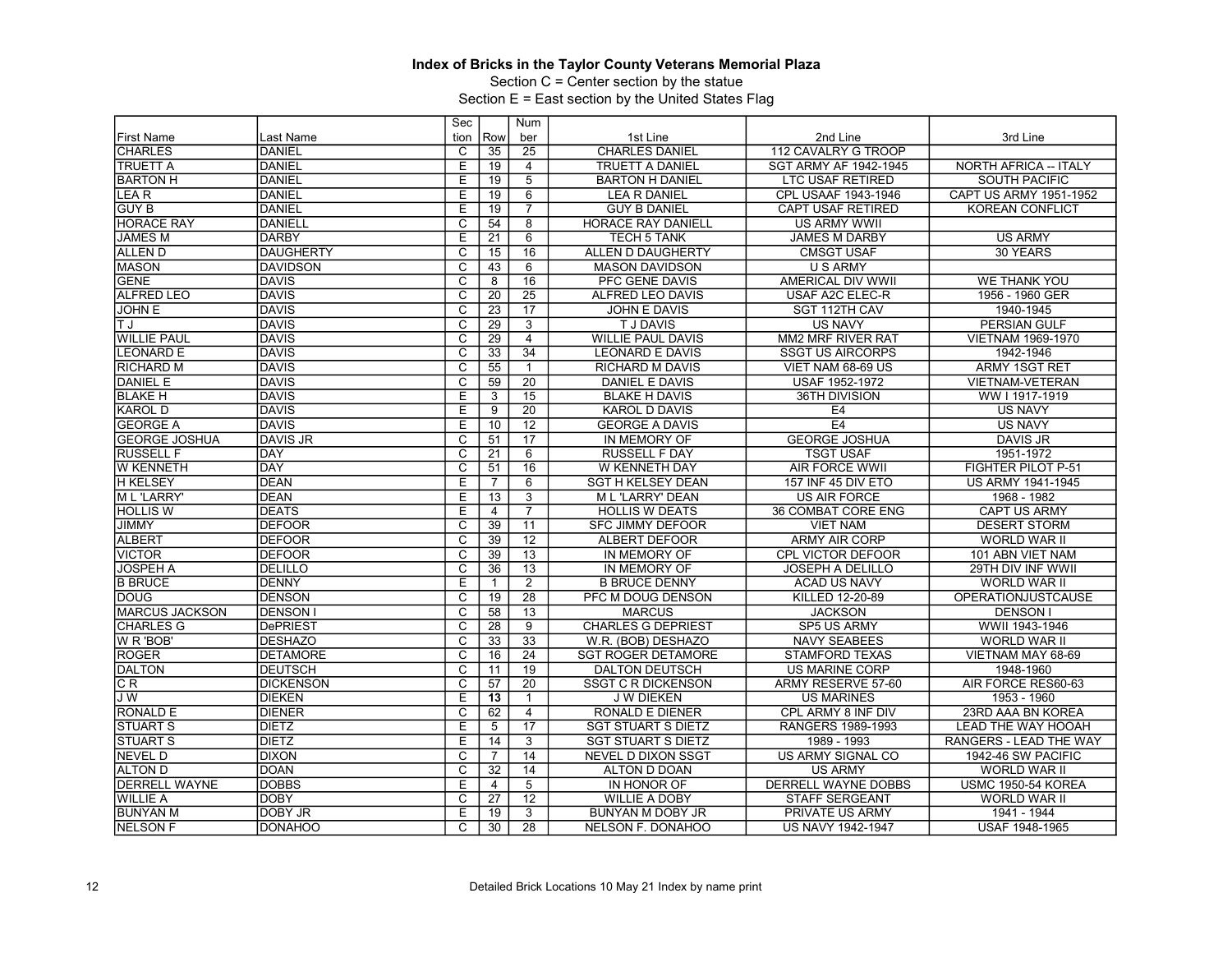Section C = Center section by the statue

|                       |                  | Sec                     |                 | Num             |                           |                          |                           |
|-----------------------|------------------|-------------------------|-----------------|-----------------|---------------------------|--------------------------|---------------------------|
| <b>First Name</b>     | Last Name        | tion                    | Row             | ber             | 1st Line                  | 2nd Line                 | 3rd Line                  |
| <b>CHARLES</b>        | <b>DANIEL</b>    | C                       | 35              | 25              | <b>CHARLES DANIEL</b>     | 112 CAVALRY G TROOP      |                           |
| <b>TRUETT A</b>       | <b>DANIEL</b>    | Ε                       | 19              | $\overline{4}$  | TRUETT A DANIEL           | SGT ARMY AF 1942-1945    | NORTH AFRICA -- ITALY     |
| <b>BARTON H</b>       | <b>DANIEL</b>    | E                       | 19              | $\overline{5}$  | <b>BARTON H DANIEL</b>    | <b>LTC USAF RETIRED</b>  | <b>SOUTH PACIFIC</b>      |
| LEA <sub>R</sub>      | <b>DANIEL</b>    | Ε                       | 19              | 6               | <b>LEA R DANIEL</b>       | CPL USAAF 1943-1946      | CAPT US ARMY 1951-1952    |
| <b>GUY B</b>          | <b>DANIEL</b>    | E                       | 19              | $\overline{7}$  | <b>GUY B DANIEL</b>       | CAPT USAF RETIRED        | <b>KOREAN CONFLICT</b>    |
| <b>HORACE RAY</b>     | <b>DANIELL</b>   | $\overline{\mathrm{c}}$ | 54              | 8               | HORACE RAY DANIELL        | <b>US ARMY WWII</b>      |                           |
| <b>JAMES M</b>        | <b>DARBY</b>     | E                       | 21              | $\overline{6}$  | <b>TECH 5 TANK</b>        | <b>JAMES M DARBY</b>     | <b>US ARMY</b>            |
| <b>ALLEN D</b>        | <b>DAUGHERTY</b> | $\overline{\mathsf{c}}$ | 15              | 16              | ALLEN D DAUGHERTY         | <b>CMSGT USAF</b>        | 30 YEARS                  |
| <b>MASON</b>          | <b>DAVIDSON</b>  | C                       | 43              | 6               | <b>MASON DAVIDSON</b>     | <b>U S ARMY</b>          |                           |
| <b>GENE</b>           | <b>DAVIS</b>     | $\overline{c}$          | 8               | 16              | PFC GENE DAVIS            | AMERICAL DIV WWII        | <b>WE THANK YOU</b>       |
| <b>ALFRED LEO</b>     | <b>DAVIS</b>     | $\overline{\mathrm{c}}$ | 20              | $\overline{25}$ | ALFRED LEO DAVIS          | <b>USAF A2C ELEC-R</b>   | 1956 - 1960 GER           |
| <b>JOHN E</b>         | <b>DAVIS</b>     | $\overline{C}$          | 23              | 17              | JOHN E DAVIS              | SGT 112TH CAV            | 1940-1945                 |
| ΠJ                    | <b>DAVIS</b>     | $\overline{\text{c}}$   | 29              | $\overline{3}$  | <b>TJDAVIS</b>            | <b>US NAVY</b>           | <b>PERSIAN GULF</b>       |
| <b>WILLIE PAUL</b>    | <b>DAVIS</b>     | $\overline{\mathsf{c}}$ | $\overline{29}$ | $\overline{4}$  | <b>WILLIE PAUL DAVIS</b>  | MM2 MRF RIVER RAT        | <b>VIETNAM 1969-1970</b>  |
| <b>LEONARD E</b>      | <b>DAVIS</b>     | $\overline{\text{c}}$   | 33              | $\overline{34}$ | <b>LEONARD E DAVIS</b>    | <b>SSGT US AIRCORPS</b>  | 1942-1946                 |
| <b>RICHARD M</b>      | <b>DAVIS</b>     | $\overline{\text{c}}$   | 55              | $\mathbf{1}$    | <b>RICHARD M DAVIS</b>    | VIET NAM 68-69 US        | <b>ARMY 1SGT RET</b>      |
| <b>DANIEL E</b>       | <b>DAVIS</b>     | С                       | $\overline{59}$ | 20              | DANIEL E DAVIS            | <b>USAF 1952-1972</b>    | VIETNAM-VETERAN           |
| <b>BLAKE H</b>        | <b>DAVIS</b>     | Ε                       | 3               | $\overline{15}$ | <b>BLAKE H DAVIS</b>      | 36TH DIVISION            | WW I 1917-1919            |
| <b>KAROL D</b>        | <b>DAVIS</b>     | E                       | 9               | $\overline{20}$ | <b>KAROL D DAVIS</b>      | E <sub>4</sub>           | <b>US NAVY</b>            |
| <b>GEORGE A</b>       | <b>DAVIS</b>     | E                       | 10              | $\overline{12}$ | <b>GEORGE A DAVIS</b>     | E <sub>4</sub>           | <b>US NAVY</b>            |
| <b>GEORGE JOSHUA</b>  | <b>DAVIS JR</b>  | С                       | 51              | $\overline{17}$ | IN MEMORY OF              | <b>GEORGE JOSHUA</b>     | <b>DAVIS JR</b>           |
| <b>RUSSELL F</b>      | DAY              | C                       | 21              | 6               | <b>RUSSELL F DAY</b>      | <b>TSGT USAF</b>         | 1951-1972                 |
| <b>W KENNETH</b>      | <b>DAY</b>       | $\overline{\mathrm{c}}$ | $\overline{51}$ | 16              | W KENNETH DAY             | <b>AIR FORCE WWII</b>    | <b>FIGHTER PILOT P-51</b> |
| <b>H KELSEY</b>       | DEAN             | E                       | $\overline{7}$  | 6               | <b>SGT H KELSEY DEAN</b>  | 157 INF 45 DIV ETO       | <b>US ARMY 1941-1945</b>  |
| <b>ML 'LARRY'</b>     | DEAN             | E                       | $\overline{13}$ | 3               | <b>ML 'LARRY' DEAN</b>    | <b>US AIR FORCE</b>      | 1968 - 1982               |
| <b>HOLLIS W</b>       | <b>DEATS</b>     | Ε                       | $\overline{4}$  | $\overline{7}$  | <b>HOLLIS W DEATS</b>     | 36 COMBAT CORE ENG       | <b>CAPT US ARMY</b>       |
| <b>JIMMY</b>          | <b>DEFOOR</b>    | С                       | 39              | 11              | <b>SFC JIMMY DEFOOR</b>   | <b>VIET NAM</b>          | <b>DESERT STORM</b>       |
| <b>ALBERT</b>         | <b>DEFOOR</b>    | $\overline{\mathsf{c}}$ | 39              | 12              | ALBERT DEFOOR             | <b>ARMY AIR CORP</b>     | <b>WORLD WAR II</b>       |
| <b>VICTOR</b>         | <b>DEFOOR</b>    | $\overline{\text{c}}$   | 39              | $\overline{13}$ | IN MEMORY OF              | CPL VICTOR DEFOOR        | 101 ABN VIET NAM          |
| <b>JOSPEH A</b>       | <b>DELILLO</b>   | C                       | 36              | 13              | IN MEMORY OF              | <b>JOSEPH A DELILLO</b>  | 29TH DIV INF WWII         |
| <b>B BRUCE</b>        | <b>DENNY</b>     | Ε                       | $\mathbf{1}$    | $\overline{2}$  | <b>B BRUCE DENNY</b>      | <b>ACAD US NAVY</b>      | <b>WORLD WAR II</b>       |
| <b>DOUG</b>           | <b>DENSON</b>    | $\mathsf{C}$            | 19              | 28              | PFC M DOUG DENSON         | KILLED 12-20-89          | <b>OPERATIONJUSTCAUSE</b> |
| <b>MARCUS JACKSON</b> | <b>DENSON I</b>  | C                       | $\overline{58}$ | $\overline{13}$ | <b>MARCUS</b>             | <b>JACKSON</b>           | <b>DENSON I</b>           |
| <b>CHARLES G</b>      | <b>DePRIEST</b>  | $\overline{c}$          | 28              | $\overline{9}$  | <b>CHARLES G DEPRIEST</b> | SP5 US ARMY              | WWII 1943-1946            |
| <b>W R 'BOB'</b>      | <b>DESHAZO</b>   | C                       | 33              | $\overline{33}$ | W.R. (BOB) DESHAZO        | <b>NAVY SEABEES</b>      | WORLD WAR II              |
| <b>ROGER</b>          | <b>DETAMORE</b>  | $\overline{\mathsf{c}}$ | 16              | $\overline{24}$ | <b>SGT ROGER DETAMORE</b> | <b>STAMFORD TEXAS</b>    | VIETNAM MAY 68-69         |
| <b>DALTON</b>         | <b>DEUTSCH</b>   | $\overline{\mathrm{c}}$ | 11              | 19              | <b>DALTON DEUTSCH</b>     | US MARINE CORP           | 1948-1960                 |
| CR.                   | <b>DICKENSON</b> | C                       | 57              | 20              | <b>SSGT C R DICKENSON</b> | ARMY RESERVE 57-60       | AIR FORCE RES60-63        |
| JW                    | <b>DIEKEN</b>    | E                       | 13              | $\mathbf{1}$    | J W DIEKEN                | <b>US MARINES</b>        | 1953 - 1960               |
| <b>RONALD E</b>       | <b>DIENER</b>    | $\overline{c}$          | 62              | $\overline{4}$  | RONALD E DIENER           | CPL ARMY 8 INF DIV       | 23RD AAA BN KOREA         |
| <b>STUART S</b>       | <b>DIETZ</b>     | E                       | 5               | 17              | <b>SGT STUART S DIETZ</b> | RANGERS 1989-1993        | <b>LEAD THE WAY HOOAH</b> |
| <b>STUART S</b>       | <b>DIETZ</b>     | Ε                       | 14              | 3               | <b>SGT STUART S DIETZ</b> | 1989 - 1993              | RANGERS - LEAD THE WAY    |
| <b>NEVEL D</b>        | <b>DIXON</b>     | C                       | $\overline{7}$  | 14              | <b>NEVEL D DIXON SSGT</b> | <b>US ARMY SIGNAL CO</b> | 1942-46 SW PACIFIC        |
| <b>ALTON D</b>        | <b>DOAN</b>      | C                       | 32              | 14              | ALTON D DOAN              | <b>US ARMY</b>           | WORLD WAR II              |
| <b>DERRELL WAYNE</b>  | <b>DOBBS</b>     | E                       | $\overline{4}$  | 5               | IN HONOR OF               | DERRELL WAYNE DOBBS      | <b>USMC 1950-54 KOREA</b> |
| <b>WILLIE A</b>       | <b>DOBY</b>      | C                       | 27              | 12              | <b>WILLIE A DOBY</b>      | <b>STAFF SERGEANT</b>    | <b>WORLD WAR II</b>       |
| <b>BUNYAN M</b>       | DOBY JR          | E                       | 19              | $\overline{3}$  | BUNYAN M DOBY JR          | PRIVATE US ARMY          | 1941 - 1944               |
| <b>NELSON F</b>       | DONAHOO          | C                       | 30              | 28              | <b>NELSON F. DONAHOO</b>  | <b>US NAVY 1942-1947</b> | USAF 1948-1965            |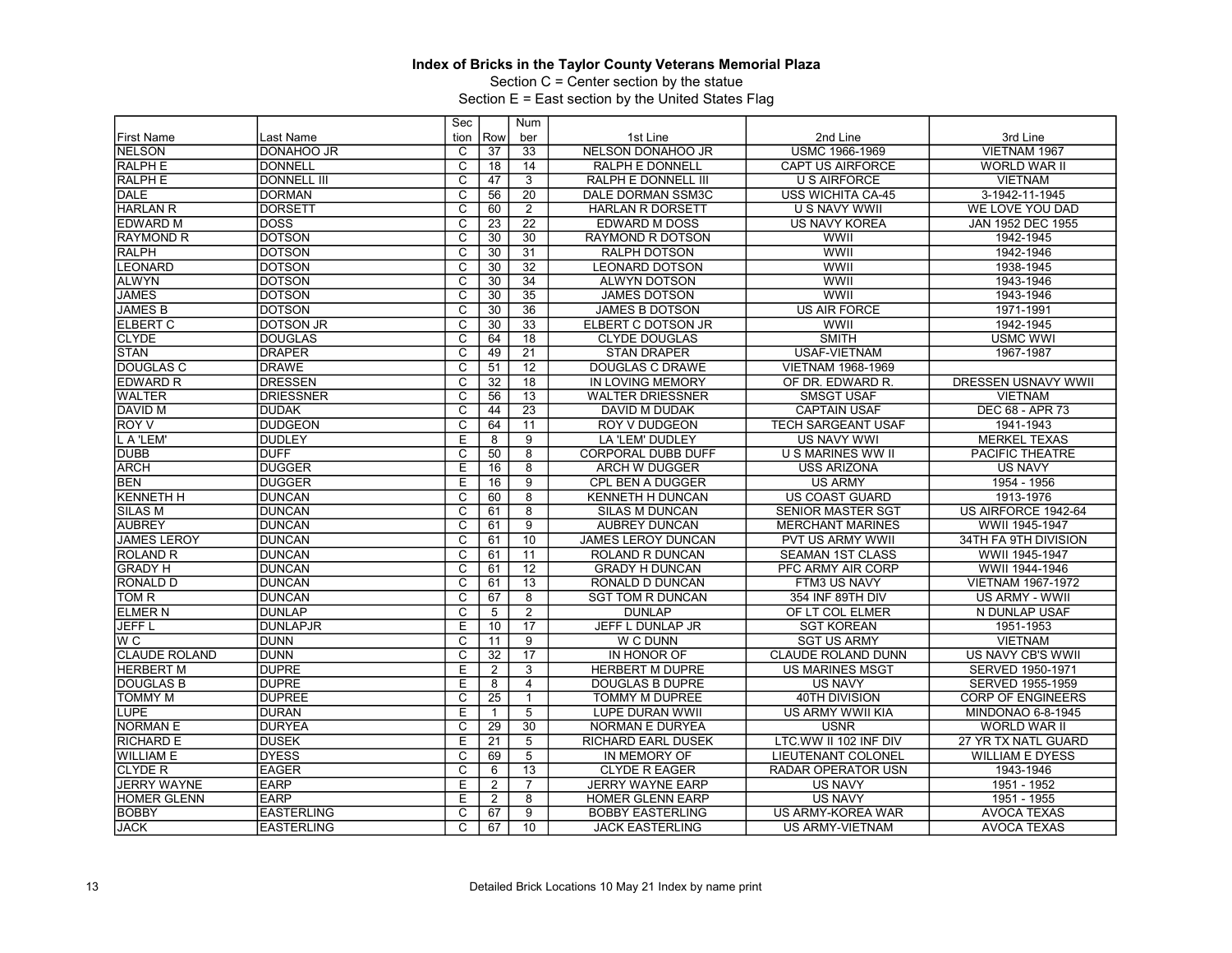Section C = Center section by the statue

|                      |                    | Sec                     |                 | <b>Num</b>      |                           |                           |                            |
|----------------------|--------------------|-------------------------|-----------------|-----------------|---------------------------|---------------------------|----------------------------|
| <b>First Name</b>    | Last Name          | tion                    | Row             | ber             | 1st Line                  | 2nd Line                  | 3rd Line                   |
| <b>NELSON</b>        | Idonahoo jr        | C                       | $\overline{37}$ | 33              | <b>NELSON DONAHOO JR</b>  | USMC 1966-1969            | VIETNAM 1967               |
| <b>RALPH E</b>       | <b>DONNELL</b>     | $\overline{\text{c}}$   | 18              | 14              | RALPH E DONNELL           | CAPT US AIRFORCE          | WORLD WAR II               |
| <b>RALPH E</b>       | DONNELL III        | $\overline{\mathrm{c}}$ | 47              | $\overline{3}$  | RALPH E DONNELL III       | <b>U S AIRFORCE</b>       | <b>VIETNAM</b>             |
| <b>DALE</b>          | <b>DORMAN</b>      | C                       | 56              | 20              | DALE DORMAN SSM3C         | USS WICHITA CA-45         | 3-1942-11-1945             |
| <b>HARLAN R</b>      | <b>DORSETT</b>     | $\overline{\text{c}}$   | 60              | $\overline{2}$  | HARLAN R DORSETT          | <b>U S NAVY WWII</b>      | WE LOVE YOU DAD            |
| <b>EDWARD M</b>      | Idoss              | $\overline{\mathsf{c}}$ | 23              | $\overline{22}$ | <b>EDWARD M DOSS</b>      | <b>US NAVY KOREA</b>      | JAN 1952 DEC 1955          |
| <b>RAYMOND R</b>     | <b>DOTSON</b>      | C                       | 30              | 30              | <b>RAYMOND R DOTSON</b>   | WWII                      | 1942-1945                  |
| <b>RALPH</b>         | <b>DOTSON</b>      | $\overline{\mathrm{c}}$ | 30              | 31              | RALPH DOTSON              | WWII                      | 1942-1946                  |
| <b>LEONARD</b>       | Idotson            | $\overline{\mathsf{c}}$ | 30              | $\overline{32}$ | <b>LEONARD DOTSON</b>     | WWII                      | 1938-1945                  |
| <b>ALWYN</b>         | <b>DOTSON</b>      | C                       | 30              | 34              | <b>ALWYN DOTSON</b>       | WWII                      | 1943-1946                  |
| <b>JAMES</b>         | <b>DOTSON</b>      | $\overline{\text{c}}$   | 30              | $\overline{35}$ | <b>JAMES DOTSON</b>       | <b>WWII</b>               | 1943-1946                  |
| <b>JAMES B</b>       | <b>DOTSON</b>      | $\overline{c}$          | 30              | $\overline{36}$ | <b>JAMES B DOTSON</b>     | <b>US AIR FORCE</b>       | 1971-1991                  |
| <b>ELBERT C</b>      | <b>DOTSON JR</b>   | $\overline{\text{c}}$   | 30              | 33              | ELBERT C DOTSON JR        | <b>WWII</b>               | 1942-1945                  |
| <b>CLYDE</b>         | <b>DOUGLAS</b>     | $\overline{\mathrm{c}}$ | 64              | 18              | <b>CLYDE DOUGLAS</b>      | <b>SMITH</b>              | <b>USMC WWI</b>            |
| <b>STAN</b>          | <b>DRAPER</b>      | $\overline{C}$          | 49              | $\overline{21}$ | <b>STAN DRAPER</b>        | USAF-VIETNAM              | 1967-1987                  |
| <b>DOUGLAS C</b>     | <b>DRAWE</b>       | $\overline{\mathrm{c}}$ | 51              | 12              | DOUGLAS C DRAWE           | VIETNAM 1968-1969         |                            |
| <b>EDWARD R</b>      | <b>DRESSEN</b>     | $\overline{\mathsf{c}}$ | 32              | 18              | <b>IN LOVING MEMORY</b>   | OF DR. EDWARD R.          | <b>DRESSEN USNAVY WWII</b> |
| <b>WALTER</b>        | <b>DRIESSNER</b>   | C                       | 56              | 13              | <b>WALTER DRIESSNER</b>   | <b>SMSGT USAF</b>         | <b>VIETNAM</b>             |
| <b>DAVID M</b>       | <b>DUDAK</b>       | $\overline{\text{c}}$   | 44              | $\overline{23}$ | <b>DAVID M DUDAK</b>      | <b>CAPTAIN USAF</b>       | DEC 68 - APR 73            |
| <b>ROY V</b>         | <b>DUDGEON</b>     | $\overline{\mathsf{c}}$ | 64              | 11              | <b>ROY V DUDGEON</b>      | <b>TECH SARGEANT USAF</b> | 1941-1943                  |
| L A 'LEM'            | <b>DUDLEY</b>      | E                       | 8               | 9               | LA 'LEM' DUDLEY           | <b>US NAVY WWI</b>        | <b>MERKEL TEXAS</b>        |
| <b>DUBB</b>          | <b>DUFF</b>        | $\overline{\text{c}}$   | 50              | $\overline{8}$  | CORPORAL DUBB DUFF        | U S MARINES WW II         | PACIFIC THEATRE            |
| <b>ARCH</b>          | <b>IDUGGER</b>     | E                       | 16              | $\overline{8}$  | <b>ARCH W DUGGER</b>      | <b>USS ARIZONA</b>        | <b>US NAVY</b>             |
| <b>BEN</b>           | IDUGGER            | E                       | 16              | $\overline{9}$  | CPL BEN A DUGGER          | <b>US ARMY</b>            | 1954 - 1956                |
| <b>KENNETH H</b>     | DUNCAN             | $\overline{\text{c}}$   | 60              | $\overline{8}$  | KENNETH H DUNCAN          | <b>US COAST GUARD</b>     | 1913-1976                  |
| <b>SILAS M</b>       | <b>DUNCAN</b>      | $\overline{C}$          | 61              | 8               | <b>SILAS M DUNCAN</b>     | <b>SENIOR MASTER SGT</b>  | US AIRFORCE 1942-64        |
| <b>AUBREY</b>        | DUNCAN             | $\overline{\text{c}}$   | 61              | $\overline{9}$  | <b>AUBREY DUNCAN</b>      | <b>MERCHANT MARINES</b>   | WWII 1945-1947             |
| <b>JAMES LEROY</b>   | <b>DUNCAN</b>      | $\overline{\mathrm{c}}$ | 61              | 10              | JAMES LEROY DUNCAN        | PVT US ARMY WWII          | 34TH FA 9TH DIVISION       |
| <b>ROLAND R</b>      | DUNCAN             | $\overline{C}$          | 61              | 11              | ROLAND R DUNCAN           | <b>SEAMAN 1ST CLASS</b>   | WWII 1945-1947             |
| <b>GRADY H</b>       | <b>DUNCAN</b>      | $\overline{\text{c}}$   | 61              | $\overline{12}$ | <b>GRADY H DUNCAN</b>     | PFC ARMY AIR CORP         | WWII 1944-1946             |
| <b>RONALD D</b>      | IDUNCAN            | $\overline{\mathsf{c}}$ | 61              | $\overline{13}$ | RONALD D DUNCAN           | FTM3 US NAVY              | <b>VIETNAM 1967-1972</b>   |
| TOM R                | DUNCAN             | C                       | 67              | 8               | <b>SGT TOM R DUNCAN</b>   | 354 INF 89TH DIV          | US ARMY - WWII             |
| <b>ELMER N</b>       | <b>DUNLAP</b>      | $\overline{\text{c}}$   | 5               | $\overline{2}$  | <b>DUNLAP</b>             | OF LT COL ELMER           | N DUNLAP USAF              |
| <b>JEFFL</b>         | <b>DUNLAPJR</b>    | E                       | 10              | $\overline{17}$ | JEFF L DUNLAP JR          | <b>SGT KOREAN</b>         | 1951-1953                  |
| W <sub>C</sub>       | <b>DUNN</b>        | C                       | 11              | 9               | W C DUNN                  | <b>SGT US ARMY</b>        | <b>VIETNAM</b>             |
| <b>CLAUDE ROLAND</b> | <b>DUNN</b>        | $\overline{\text{c}}$   | 32              | $\overline{17}$ | IN HONOR OF               | CLAUDE ROLAND DUNN        | US NAVY CB'S WWII          |
| <b>HERBERT M</b>     | <b>IDUPRE</b>      | E                       | 2               | $\overline{3}$  | <b>HERBERT M DUPRE</b>    | <b>US MARINES MSGT</b>    | SERVED 1950-1971           |
| <b>DOUGLAS B</b>     | <b>DUPRE</b>       | E                       | 8               | $\overline{4}$  | <b>DOUGLAS B DUPRE</b>    | <b>US NAVY</b>            | SERVED 1955-1959           |
| <b>TOMMY M</b>       | <b>DUPREE</b>      | $\overline{\text{c}}$   | $\overline{25}$ | $\mathbf{1}$    | <b>TOMMY M DUPREE</b>     | 40TH DIVISION             | <b>CORP OF ENGINEERS</b>   |
| <b>LUPE</b>          | <b>DURAN</b>       | E                       | 1               | 5               | LUPE DURAN WWII           | <b>US ARMY WWII KIA</b>   | MINDONAO 6-8-1945          |
| <b>NORMAN E</b>      | <b>DURYEA</b>      | $\overline{\text{c}}$   | 29              | 30              | <b>NORMAN E DURYEA</b>    | <b>USNR</b>               | WORLD WAR II               |
| <b>RICHARD E</b>     | <b>DUSEK</b>       | E                       | 21              | $\overline{5}$  | <b>RICHARD EARL DUSEK</b> | LTC.WW II 102 INF DIV     | 27 YR TX NATL GUARD        |
| <b>WILLIAM E</b>     | <b>DYESS</b>       | C                       | 69              | 5               | IN MEMORY OF              | <b>LIEUTENANT COLONEL</b> | <b>WILLIAM E DYESS</b>     |
| <b>CLYDE R</b>       | <b>EAGER</b>       | $\overline{\text{c}}$   | 6               | 13              | <b>CLYDE R EAGER</b>      | RADAR OPERATOR USN        | 1943-1946                  |
| <b>JERRY WAYNE</b>   | <b>EARP</b>        | E                       | 2               | $\overline{7}$  | <b>JERRY WAYNE EARP</b>   | <b>US NAVY</b>            | 1951 - 1952                |
| HOMER GLENN          | <b>EARP</b>        | E                       | $\overline{2}$  | 8               | <b>HOMER GLENN EARP</b>   | <b>US NAVY</b>            | 1951 - 1955                |
| <b>BOBBY</b>         | <b>EASTERLING</b>  | $\overline{\text{c}}$   | 67              | $\overline{9}$  | <b>BOBBY EASTERLING</b>   | US ARMY-KOREA WAR         | <b>AVOCA TEXAS</b>         |
| <b>JACK</b>          | <b>IEASTERLING</b> | $\overline{\mathsf{C}}$ | 67              | 10              | <b>JACK EASTERLING</b>    | <b>US ARMY-VIETNAM</b>    | <b>AVOCA TEXAS</b>         |
|                      |                    |                         |                 |                 |                           |                           |                            |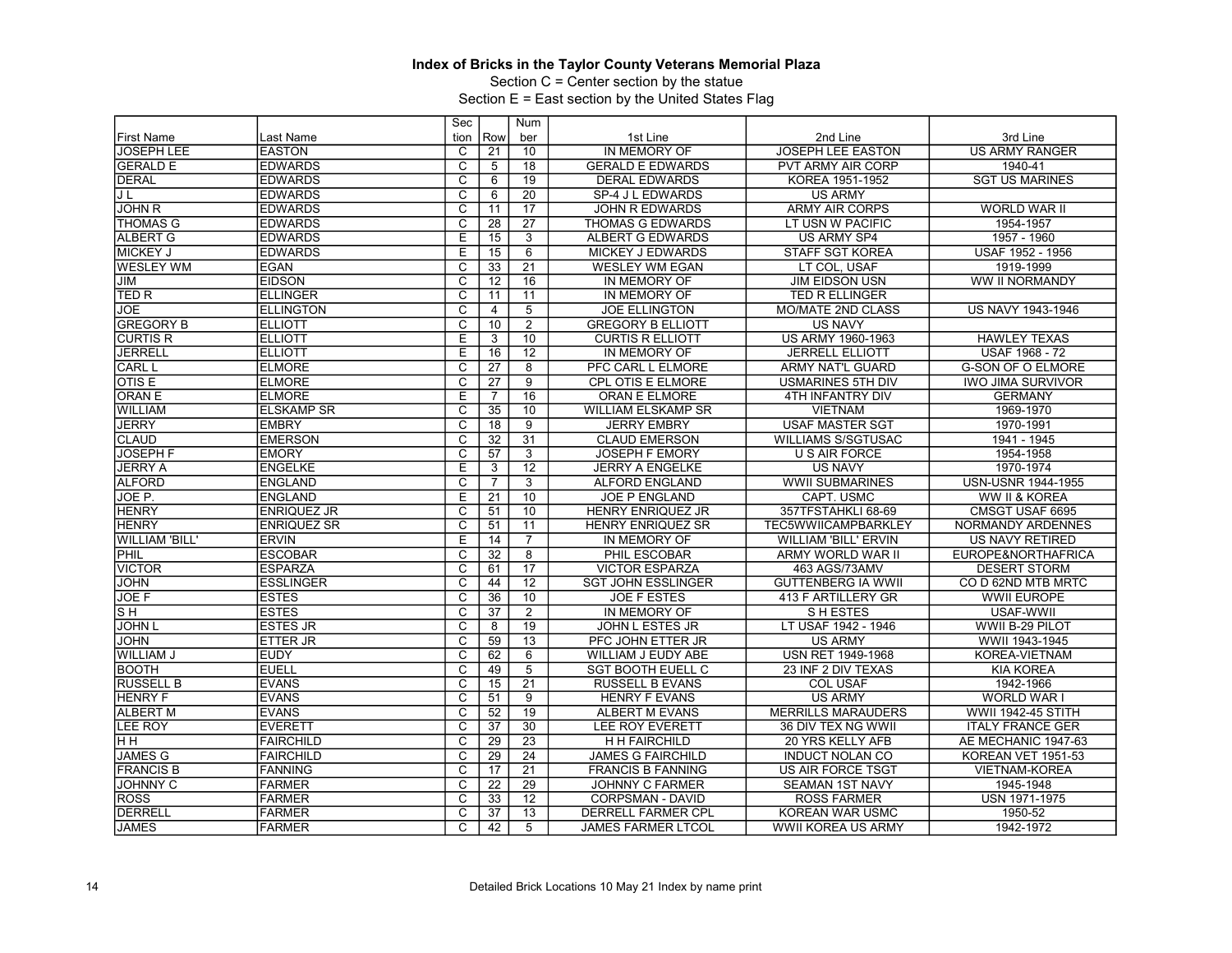Section C = Center section by the statue

|                       |                    | Sec                     |                 | Num             |                           |                             |                           |
|-----------------------|--------------------|-------------------------|-----------------|-----------------|---------------------------|-----------------------------|---------------------------|
| <b>First Name</b>     | Last Name          | tion                    | Row             | ber             | 1st Line                  | 2nd Line                    | 3rd Line                  |
| <b>JOSEPH LEE</b>     | <b>EASTON</b>      | C                       | 21              | 10              | IN MEMORY OF              | <b>JOSEPH LEE EASTON</b>    | <b>US ARMY RANGER</b>     |
| <b>GERALD E</b>       | <b>EDWARDS</b>     | $\overline{\text{c}}$   | 5               | 18              | <b>GERALD E EDWARDS</b>   | PVT ARMY AIR CORP           | 1940-41                   |
| <b>DERAL</b>          | <b>IEDWARDS</b>    | $\overline{\mathsf{c}}$ | 6               | 19              | <b>DERAL EDWARDS</b>      | KOREA 1951-1952             | <b>SGT US MARINES</b>     |
| JL                    | <b>EDWARDS</b>     | $\overline{c}$          | 6               | $\overline{20}$ | SP-4 J L EDWARDS          | <b>US ARMY</b>              |                           |
| <b>JOHN R</b>         | <b>EDWARDS</b>     | $\overline{\mathrm{c}}$ | 11              | 17              | <b>JOHN R EDWARDS</b>     | <b>ARMY AIR CORPS</b>       | <b>WORLD WAR II</b>       |
| <b>THOMAS G</b>       | <b>EDWARDS</b>     | $\overline{\mathrm{c}}$ | 28              | $\overline{27}$ | THOMAS G EDWARDS          | LT USN W PACIFIC            | 1954-1957                 |
| <b>ALBERT G</b>       | <b>EDWARDS</b>     | E                       | 15              | 3               | <b>ALBERT G EDWARDS</b>   | <b>US ARMY SP4</b>          | 1957 - 1960               |
| <b>MICKEY J</b>       | <b>EDWARDS</b>     | Ε                       | $\overline{15}$ | 6               | <b>MICKEY J EDWARDS</b>   | <b>STAFF SGT KOREA</b>      | USAF 1952 - 1956          |
| <b>WESLEY WM</b>      | <b>EGAN</b>        | $\overline{\mathsf{c}}$ | 33              | $\overline{21}$ | <b>WESLEY WM EGAN</b>     | LT COL, USAF                | 1919-1999                 |
| JIM                   | <b>EIDSON</b>      | C                       | 12              | 16              | IN MEMORY OF              | <b>JIM EIDSON USN</b>       | WW II NORMANDY            |
| TED R                 | <b>ELLINGER</b>    | $\overline{\text{c}}$   | 11              | $\overline{11}$ | IN MEMORY OF              | TED R ELLINGER              |                           |
| JOE                   | <b>ELLINGTON</b>   | $\overline{C}$          | $\overline{4}$  | 5               | <b>JOE ELLINGTON</b>      | <b>MO/MATE 2ND CLASS</b>    | US NAVY 1943-1946         |
| <b>GREGORY B</b>      | <b>ELLIOTT</b>     | С                       | 10              | $\overline{2}$  | <b>GREGORY B ELLIOTT</b>  | <b>US NAVY</b>              |                           |
| <b>CURTIS R</b>       | <b>ELLIOTT</b>     | $\overline{E}$          | 3               | 10              | <b>CURTIS R ELLIOTT</b>   | US ARMY 1960-1963           | <b>HAWLEY TEXAS</b>       |
| <b>JERRELL</b>        | <b>ELLIOTT</b>     | E                       | 16              | 12              | IN MEMORY OF              | <b>JERRELL ELLIOTT</b>      | <b>USAF 1968 - 72</b>     |
| CARL L                | <b>ELMORE</b>      | $\overline{\text{c}}$   | 27              | 8               | PFC CARL L ELMORE         | ARMY NAT'L GUARD            | <b>G-SON OF O ELMORE</b>  |
| <b>OTIS E</b>         | <b>ELMORE</b>      | C                       | 27              | 9               | <b>CPL OTIS E ELMORE</b>  | <b>USMARINES 5TH DIV</b>    | <b>IWO JIMA SURVIVOR</b>  |
| ORAN E                | <b>ELMORE</b>      | Ε                       | $\overline{7}$  | 16              | ORAN E ELMORE             | 4TH INFANTRY DIV            | <b>GERMANY</b>            |
| <b>WILLIAM</b>        | <b>ELSKAMP SR</b>  | C                       | 35              | 10              | <b>WILLIAM ELSKAMP SR</b> | <b>VIETNAM</b>              | 1969-1970                 |
| <b>JERRY</b>          | <b>EMBRY</b>       | C                       | 18              | 9               | <b>JERRY EMBRY</b>        | <b>USAF MASTER SGT</b>      | 1970-1991                 |
| <b>CLAUD</b>          | <b>EMERSON</b>     | C                       | 32              | $\overline{31}$ | <b>CLAUD EMERSON</b>      | <b>WILLIAMS S/SGTUSAC</b>   | 1941 - 1945               |
| <b>JOSEPH F</b>       | <b>EMORY</b>       | C                       | 57              | 3               | <b>JOSEPH F EMORY</b>     | <b>U S AIR FORCE</b>        | 1954-1958                 |
| <b>JERRY A</b>        | <b>ENGELKE</b>     | E                       | 3               | 12              | <b>JERRY A ENGELKE</b>    | <b>US NAVY</b>              | 1970-1974                 |
| <b>ALFORD</b>         | <b>IENGLAND</b>    | C                       | $\overline{7}$  | 3               | <b>ALFORD ENGLAND</b>     | <b>WWII SUBMARINES</b>      | <b>USN-USNR 1944-1955</b> |
| JOE P.                | <b>ENGLAND</b>     | E                       | 21              | 10              | <b>JOE P ENGLAND</b>      | CAPT. USMC                  | WW II & KOREA             |
| <b>HENRY</b>          | <b>ENRIQUEZ JR</b> | C                       | 51              | 10              | <b>HENRY ENRIQUEZ JR</b>  | 357TFSTAHKLI 68-69          | CMSGT USAF 6695           |
| <b>HENRY</b>          | <b>ENRIQUEZ SR</b> | C                       | 51              | 11              | <b>HENRY ENRIQUEZ SR</b>  | <b>TEC5WWIICAMPBARKLEY</b>  | NORMANDY ARDENNES         |
| <b>WILLIAM 'BILL'</b> | <b>ERVIN</b>       | $\overline{E}$          | 14              | $\overline{7}$  | IN MEMORY OF              | <b>WILLIAM 'BILL' ERVIN</b> | US NAVY RETIRED           |
| PHIL                  | <b>ESCOBAR</b>     | $\overline{C}$          | 32              | 8               | PHIL ESCOBAR              | ARMY WORLD WAR II           | EUROPE&NORTHAFRICA        |
| <b>VICTOR</b>         | <b>ESPARZA</b>     | С                       | 61              | 17              | <b>VICTOR ESPARZA</b>     | 463 AGS/73AMV               | <b>DESERT STORM</b>       |
| <b>JOHN</b>           | <b>ESSLINGER</b>   | $\overline{c}$          | 44              | $\overline{12}$ | <b>SGT JOHN ESSLINGER</b> | <b>GUTTENBERG IA WWII</b>   | CO D 62ND MTB MRTC        |
| JOE F                 | <b>ESTES</b>       | $\mathsf{C}$            | 36              | 10              | <b>JOE F ESTES</b>        | 413 F ARTILLERY GR          | <b>WWII EUROPE</b>        |
| S H                   | <b>ESTES</b>       | $\overline{\text{c}}$   | $\overline{37}$ | $\overline{2}$  | IN MEMORY OF              | <b>SHESTES</b>              | USAF-WWII                 |
| <b>JOHN L</b>         | <b>ESTES JR</b>    | C                       | 8               | 19              | <b>JOHN L ESTES JR</b>    | LT USAF 1942 - 1946         | WWII B-29 PILOT           |
| <b>JOHN</b>           | <b>ETTER JR</b>    | C                       | 59              | 13              | PFC JOHN ETTER JR         | <b>US ARMY</b>              | WWII 1943-1945            |
| WILLIAM J             | <b>EUDY</b>        | C                       | 62              | 6               | WILLIAM J EUDY ABE        | <b>USN RET 1949-1968</b>    | KOREA-VIETNAM             |
| <b>BOOTH</b>          | <b>EUELL</b>       | C                       | 49              | 5               | <b>SGT BOOTH EUELL C</b>  | 23 INF 2 DIV TEXAS          | <b>KIA KOREA</b>          |
| <b>RUSSELL B</b>      | <b>EVANS</b>       | C                       | 15              | 21              | <b>RUSSELL B EVANS</b>    | <b>COL USAF</b>             | 1942-1966                 |
| <b>HENRY F</b>        | <b>EVANS</b>       | C                       | 51              | 9               | <b>HENRY F EVANS</b>      | <b>US ARMY</b>              | WORLD WAR I               |
| <b>ALBERT M</b>       | <b>EVANS</b>       | $\overline{C}$          | 52              | 19              | <b>ALBERT M EVANS</b>     | <b>MERRILLS MARAUDERS</b>   | <b>WWII 1942-45 STITH</b> |
| <b>LEE ROY</b>        | <b>EVERETT</b>     | C                       | 37              | 30              | <b>LEE ROY EVERETT</b>    | 36 DIV TEX NG WWII          | <b>ITALY FRANCE GER</b>   |
| H H                   | <b>FAIRCHILD</b>   | $\overline{\mathrm{c}}$ | 29              | $\overline{23}$ | <b>H H FAIRCHILD</b>      | 20 YRS KELLY AFB            | AE MECHANIC 1947-63       |
| <b>JAMES G</b>        | <b>FAIRCHILD</b>   | $\overline{C}$          | 29              | 24              | <b>JAMES G FAIRCHILD</b>  | <b>INDUCT NOLAN CO</b>      | KOREAN VET 1951-53        |
| <b>FRANCIS B</b>      | <b>FANNING</b>     | C                       | 17              | 21              | <b>FRANCIS B FANNING</b>  | US AIR FORCE TSGT           | <b>VIETNAM-KOREA</b>      |
| <b>JOHNNY C</b>       | <b>FARMER</b>      | C                       | 22              | 29              | <b>JOHNNY C FARMER</b>    | <b>SEAMAN 1ST NAVY</b>      | 1945-1948                 |
| <b>ROSS</b>           | <b>FARMER</b>      | C                       | 33              | 12              | <b>CORPSMAN - DAVID</b>   | <b>ROSS FARMER</b>          | USN 1971-1975             |
| <b>DERRELL</b>        | <b>FARMER</b>      | $\overline{\mathsf{c}}$ | 37              | $\overline{13}$ | <b>DERRELL FARMER CPL</b> | KOREAN WAR USMC             | 1950-52                   |
| <b>JAMES</b>          | <b>FARMER</b>      | $\mathsf{C}$            | 42              | 5               | <b>JAMES FARMER LTCOL</b> | WWII KOREA US ARMY          | 1942-1972                 |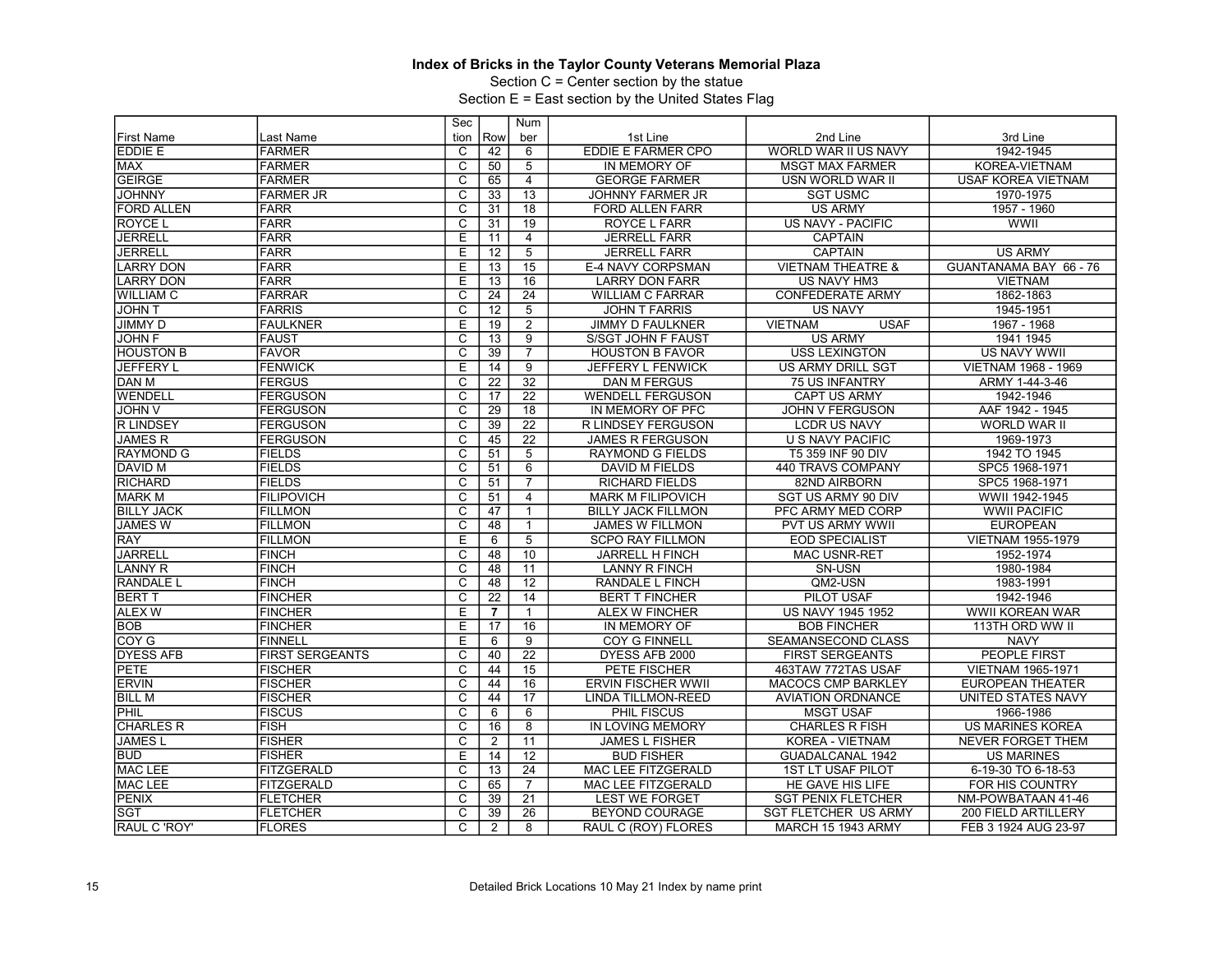Section C = Center section by the statue

|                    |                        | Sec                     |                 | Num             |                           |                               |                            |
|--------------------|------------------------|-------------------------|-----------------|-----------------|---------------------------|-------------------------------|----------------------------|
| <b>First Name</b>  | Last Name              | tion                    | Row             | ber             | 1st Line                  | 2nd Line                      | 3rd Line                   |
| EDDIE E            | FARMER                 | C                       | 42              | 6               | <b>EDDIE E FARMER CPO</b> | WORLD WAR II US NAVY          | 1942-1945                  |
| <b>MAX</b>         | <b>FARMER</b>          | $\overline{c}$          | 50              | 5               | IN MEMORY OF              | <b>MSGT MAX FARMER</b>        | KOREA-VIETNAM              |
| <b>GEIRGE</b>      | <b>FARMER</b>          | $\overline{\mathrm{c}}$ | 65              | $\overline{4}$  | <b>GEORGE FARMER</b>      | USN WORLD WAR II              | <b>USAF KOREA VIETNAM</b>  |
| <b>JOHNNY</b>      | <b>FARMER JR</b>       | C                       | 33              | 13              | <b>JOHNNY FARMER JR</b>   | <b>SGT USMC</b>               | 1970-1975                  |
| <b>FORD ALLEN</b>  | <b>FARR</b>            | $\overline{\text{c}}$   | 31              | 18              | <b>FORD ALLEN FARR</b>    | <b>US ARMY</b>                | 1957 - 1960                |
| <b>ROYCE L</b>     | <b>FARR</b>            | $\overline{\mathrm{c}}$ | 31              | 19              | <b>ROYCE L FARR</b>       | US NAVY - PACIFIC             | <b>WWII</b>                |
| <b>JERRELL</b>     | <b>FARR</b>            | E                       | 11              | $\overline{4}$  | <b>JERRELL FARR</b>       | <b>CAPTAIN</b>                |                            |
| <b>JERRELL</b>     | FARR                   | Ε                       | $\overline{12}$ | $\overline{5}$  | <b>JERRELL FARR</b>       | <b>CAPTAIN</b>                | <b>US ARMY</b>             |
| <b>LARRY DON</b>   | FARR                   | E                       | $\overline{13}$ | 15              | E-4 NAVY CORPSMAN         | <b>VIETNAM THEATRE &amp;</b>  | GUANTANAMA BAY 66 - 76     |
| <b>LARRY DON</b>   | <b>FARR</b>            | E                       | 13              | 16              | <b>LARRY DON FARR</b>     | US NAVY HM3                   | <b>VIETNAM</b>             |
| <b>WILLIAM C</b>   | FARRAR                 | $\overline{\mathrm{c}}$ | $\overline{24}$ | $\overline{24}$ | <b>WILLIAM C FARRAR</b>   | <b>CONFEDERATE ARMY</b>       | 1862-1863                  |
| <b>JOHN T</b>      | <b>FARRIS</b>          | $\overline{C}$          | 12              | 5               | <b>JOHN T FARRIS</b>      | <b>US NAVY</b>                | 1945-1951                  |
| <b>JIMMY D</b>     | <b>FAULKNER</b>        | E                       | 19              | $\overline{2}$  | <b>JIMMY D FAULKNER</b>   | <b>USAF</b><br><b>VIETNAM</b> | 1967 - 1968                |
| <b>JOHN F</b>      | FAUST                  | C                       | $\overline{13}$ | 9               | S/SGT JOHN F FAUST        | <b>US ARMY</b>                | 1941 1945                  |
| <b>HOUSTON B</b>   | <b>FAVOR</b>           | $\overline{\text{c}}$   | 39              | $\overline{7}$  | <b>HOUSTON B FAVOR</b>    | <b>USS LEXINGTON</b>          | <b>US NAVY WWII</b>        |
| <b>JEFFERY L</b>   | <b>FENWICK</b>         | Έ                       | 14              | 9               | JEFFERY L FENWICK         | <b>US ARMY DRILL SGT</b>      | <b>VIETNAM 1968 - 1969</b> |
| <b>DAN M</b>       | <b>FERGUS</b>          | $\overline{\mathrm{c}}$ | $\overline{22}$ | $\overline{32}$ | <b>DAN M FERGUS</b>       | <b>75 US INFANTRY</b>         | ARMY 1-44-3-46             |
| WENDELL            | <b>FERGUSON</b>        | $\overline{\text{c}}$   | 17              | $\overline{22}$ | <b>WENDELL FERGUSON</b>   | <b>CAPT US ARMY</b>           | 1942-1946                  |
| <b>JOHN V</b>      | <b>FERGUSON</b>        | $\overline{\text{c}}$   | 29              | 18              | IN MEMORY OF PFC          | <b>JOHN V FERGUSON</b>        | AAF 1942 - 1945            |
| <b>R LINDSEY</b>   | <b>FERGUSON</b>        | $\overline{c}$          | 39              | $\overline{22}$ | R LINDSEY FERGUSON        | <b>LCDR US NAVY</b>           | <b>WORLD WAR II</b>        |
| <b>JAMES R</b>     | <b>FERGUSON</b>        | $\overline{\text{c}}$   | 45              | $\overline{22}$ | <b>JAMES R FERGUSON</b>   | <b>U S NAVY PACIFIC</b>       | 1969-1973                  |
| <b>RAYMOND G</b>   | <b>FIELDS</b>          | $\overline{\mathsf{c}}$ | 51              | 5               | <b>RAYMOND G FIELDS</b>   | T5 359 INF 90 DIV             | 1942 TO 1945               |
| <b>DAVID M</b>     | <b>FIELDS</b>          | $\overline{\mathrm{c}}$ | 51              | 6               | DAVID M FIELDS            | 440 TRAVS COMPANY             | SPC5 1968-1971             |
| <b>RICHARD</b>     | <b>FIELDS</b>          | $\overline{c}$          | 51              | $\overline{7}$  | <b>RICHARD FIELDS</b>     | 82ND AIRBORN                  | SPC5 1968-1971             |
| <b>MARK M</b>      | <b>FILIPOVICH</b>      | $\overline{\mathrm{c}}$ | 51              | $\overline{4}$  | <b>MARK M FILIPOVICH</b>  | SGT US ARMY 90 DIV            | WWII 1942-1945             |
| <b>BILLY JACK</b>  | <b>FILLMON</b>         | $\overline{C}$          | 47              | $\mathbf{1}$    | <b>BILLY JACK FILLMON</b> | PFC ARMY MED CORP             | <b>WWII PACIFIC</b>        |
| <b>JAMES W</b>     | <b>FILLMON</b>         | $\overline{\mathrm{c}}$ | 48              | $\mathbf{1}$    | <b>JAMES W FILLMON</b>    | PVT US ARMY WWII              | <b>EUROPEAN</b>            |
| <b>RAY</b>         | <b>FILLMON</b>         | $\overline{E}$          | 6               | $\overline{5}$  | <b>SCPO RAY FILLMON</b>   | <b>EOD SPECIALIST</b>         | <b>VIETNAM 1955-1979</b>   |
| <b>JARRELL</b>     | <b>FINCH</b>           | $\overline{\text{c}}$   | 48              | 10              | <b>JARRELL H FINCH</b>    | <b>MAC USNR-RET</b>           | 1952-1974                  |
| <b>LANNY R</b>     | FINCH                  | C                       | 48              | $\overline{11}$ | <b>LANNY R FINCH</b>      | SN-USN                        | 1980-1984                  |
| <b>RANDALE L</b>   | <b>FINCH</b>           | $\overline{\mathrm{c}}$ | 48              | $\overline{12}$ | RANDALE L FINCH           | QM2-USN                       | 1983-1991                  |
| <b>BERT T</b>      | <b>FINCHER</b>         | $\overline{c}$          | $\overline{22}$ | 14              | <b>BERT T FINCHER</b>     | PILOT USAF                    | 1942-1946                  |
| <b>ALEX W</b>      | <b>FINCHER</b>         | E                       | $\overline{7}$  | $\mathbf{1}$    | ALEX W FINCHER            | <b>US NAVY 1945 1952</b>      | <b>WWII KOREAN WAR</b>     |
| <b>BOB</b>         | <b>FINCHER</b>         | Е                       | 17              | 16              | IN MEMORY OF              | <b>BOB FINCHER</b>            | 113TH ORD WW II            |
| COY G              | FINNELL                | E                       | 6               | 9               | <b>COY G FINNELL</b>      | SEAMANSECOND CLASS            | <b>NAVY</b>                |
| <b>DYESS AFB</b>   | <b>FIRST SERGEANTS</b> | $\overline{\mathsf{c}}$ | 40              | $\overline{22}$ | DYESS AFB 2000            | <b>FIRST SERGEANTS</b>        | <b>PEOPLE FIRST</b>        |
| <b>PETE</b>        | <b>FISCHER</b>         | $\overline{\mathrm{c}}$ | 44              | 15              | PETE FISCHER              | 463TAW 772TAS USAF            | VIETNAM 1965-1971          |
| <b>ERVIN</b>       | <b>FISCHER</b>         | C                       | 44              | 16              | <b>ERVIN FISCHER WWII</b> | <b>MACOCS CMP BARKLEY</b>     | <b>EUROPEAN THEATER</b>    |
| <b>BILL M</b>      | <b>FISCHER</b>         | $\overline{\mathrm{c}}$ | 44              | $\overline{17}$ | LINDA TILLMON-REED        | <b>AVIATION ORDNANCE</b>      | <b>UNITED STATES NAVY</b>  |
| PHIL               | <b>FISCUS</b>          | $\overline{\mathsf{c}}$ | 6               | 6               | <b>PHIL FISCUS</b>        | <b>MSGT USAF</b>              | 1966-1986                  |
| <b>CHARLES R</b>   | <b>FISH</b>            | C                       | 16              | 8               | IN LOVING MEMORY          | <b>CHARLES R FISH</b>         | <b>US MARINES KOREA</b>    |
| <b>JAMESL</b>      | <b>FISHER</b>          | C                       | 2               | 11              | <b>JAMES L FISHER</b>     | KOREA - VIETNAM               | NEVER FORGET THEM          |
| <b>BUD</b>         | <b>FISHER</b>          | E                       | 14              | 12              | <b>BUD FISHER</b>         | GUADALCANAL 1942              | <b>US MARINES</b>          |
| MAC LEE            | <b>FITZGERALD</b>      | C                       | 13              | $\overline{24}$ | MAC LEE FITZGERALD        | <b>1ST LT USAF PILOT</b>      | 6-19-30 TO 6-18-53         |
| <b>MAC LEE</b>     | <b>FITZGERALD</b>      | C                       | 65              | $\overline{7}$  | <b>MAC LEE FITZGERALD</b> | HE GAVE HIS LIFE              | FOR HIS COUNTRY            |
| PENIX              | <b>FLETCHER</b>        | C                       | 39              | 21              | <b>LEST WE FORGET</b>     | <b>SGT PENIX FLETCHER</b>     | NM-POWBATAAN 41-46         |
| <b>SGT</b>         | <b>FLETCHER</b>        | $\overline{\mathrm{c}}$ | 39              | 26              | <b>BEYOND COURAGE</b>     | <b>SGT FLETCHER US ARMY</b>   | 200 FIELD ARTILLERY        |
| <b>RAUL C'ROY'</b> | <b>FLORES</b>          | $\overline{C}$          | $\overline{2}$  | 8               | RAUL C (ROY) FLORES       | <b>MARCH 15 1943 ARMY</b>     | FEB 3 1924 AUG 23-97       |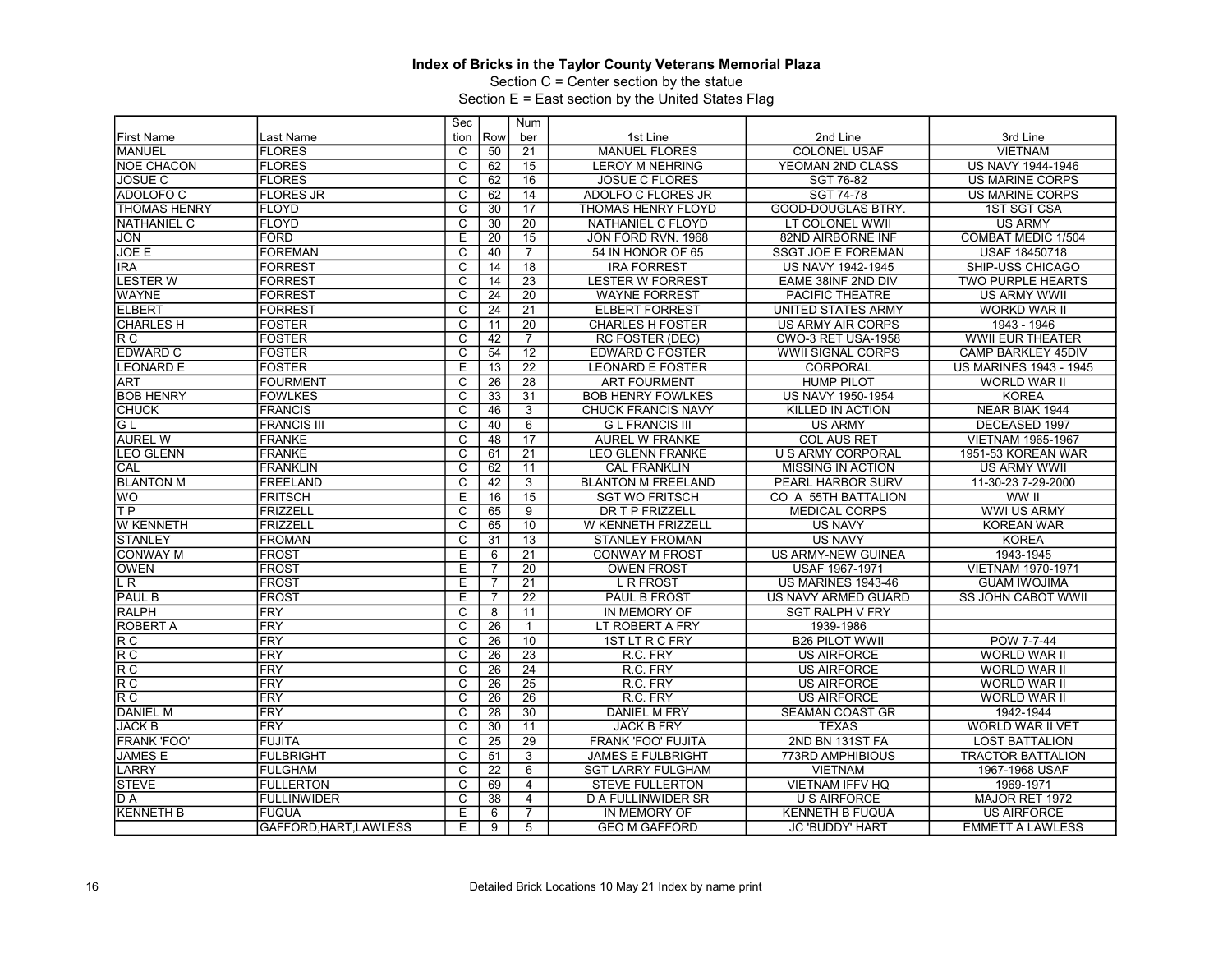Section C = Center section by the statue

|                                     |                      | Sec                     |                 | <b>Num</b>      |                           |                            |                               |
|-------------------------------------|----------------------|-------------------------|-----------------|-----------------|---------------------------|----------------------------|-------------------------------|
| <b>First Name</b>                   | Last Name            | tion                    | Row             | ber             | 1st Line                  | 2nd Line                   | 3rd Line                      |
| MANUEL                              | <b>FLORES</b>        | C                       | 50              | 21              | <b>MANUEL FLORES</b>      | <b>COLONEL USAF</b>        | <b>VIETNAM</b>                |
| <b>NOE CHACON</b>                   | <b>FLORES</b>        | $\overline{\text{c}}$   | 62              | 15              | <b>LEROY M NEHRING</b>    | YEOMAN 2ND CLASS           | US NAVY 1944-1946             |
| <b>JOSUE C</b>                      | <b>FLORES</b>        | $\overline{\mathrm{c}}$ | 62              | 16              | <b>JOSUE C FLORES</b>     | SGT 76-82                  | <b>US MARINE CORPS</b>        |
| ADOLOFO C                           | <b>FLORES JR</b>     | $\overline{\text{c}}$   | 62              | 14              | ADOLFO C FLORES JR        | SGT 74-78                  | <b>US MARINE CORPS</b>        |
| <b>THOMAS HENRY</b>                 | <b>FLOYD</b>         | $\overline{\text{c}}$   | 30              | $\overline{17}$ | <b>THOMAS HENRY FLOYD</b> | <b>GOOD-DOUGLAS BTRY.</b>  | <b>1ST SGT CSA</b>            |
| <b>NATHANIEL C</b>                  | <b>IFLOYD</b>        | $\overline{\mathrm{c}}$ | 30              | $\overline{20}$ | NATHANIEL C FLOYD         | LT COLONEL WWII            | <b>US ARMY</b>                |
| <b>JON</b>                          | <b>FORD</b>          | Ε                       | 20              | $\overline{15}$ | JON FORD RVN. 1968        | 82ND AIRBORNE INF          | <b>COMBAT MEDIC 1/504</b>     |
| JOE E                               | <b>FOREMAN</b>       | $\overline{\mathsf{c}}$ | 40              | $\overline{7}$  | 54 IN HONOR OF 65         | SSGT JOE E FOREMAN         | USAF 18450718                 |
| <b>IRA</b>                          | FORREST              | $\overline{\mathrm{c}}$ | 14              | 18              | <b>IRA FORREST</b>        | US NAVY 1942-1945          | SHIP-USS CHICAGO              |
| <b>LESTER W</b>                     | <b>FORREST</b>       | C                       | 14              | $\overline{23}$ | <b>LESTER W FORREST</b>   | EAME 38INF 2ND DIV         | <b>TWO PURPLE HEARTS</b>      |
| <b>WAYNE</b>                        | <b>FORREST</b>       | $\overline{\mathrm{c}}$ | $\overline{24}$ | $\overline{20}$ | <b>WAYNE FORREST</b>      | PACIFIC THEATRE            | <b>US ARMY WWII</b>           |
| <b>ELBERT</b>                       | FORREST              | $\overline{\mathsf{C}}$ | 24              | 21              | <b>ELBERT FORREST</b>     | UNITED STATES ARMY         | <b>WORKD WAR II</b>           |
| <b>CHARLES H</b>                    | <b>FOSTER</b>        | $\overline{\text{c}}$   | 11              | 20              | <b>CHARLES H FOSTER</b>   | <b>US ARMY AIR CORPS</b>   | 1943 - 1946                   |
| R <sub>C</sub>                      | <b>FOSTER</b>        | $\overline{\mathrm{c}}$ | 42              | $\overline{7}$  | <b>RC FOSTER (DEC)</b>    | <b>CWO-3 RET USA-1958</b>  | <b>WWII EUR THEATER</b>       |
| <b>EDWARD C</b>                     | <b>FOSTER</b>        | $\overline{\text{c}}$   | $\overline{54}$ | $\overline{12}$ | <b>EDWARD C FOSTER</b>    | <b>WWII SIGNAL CORPS</b>   | <b>CAMP BARKLEY 45DIV</b>     |
| <b>LEONARD E</b>                    | <b>FOSTER</b>        | E                       | 13              | $\overline{22}$ | <b>LEONARD E FOSTER</b>   | CORPORAL                   | <b>US MARINES 1943 - 1945</b> |
| <b>ART</b>                          | <b>FOURMENT</b>      | $\overline{\mathrm{c}}$ | 26              | $\overline{28}$ | <b>ART FOURMENT</b>       | <b>HUMP PILOT</b>          | <b>WORLD WAR II</b>           |
| <b>BOB HENRY</b>                    | <b>FOWLKES</b>       | $\overline{\mathsf{C}}$ | 33              | $\overline{31}$ | <b>BOB HENRY FOWLKES</b>  | US NAVY 1950-1954          | <b>KOREA</b>                  |
| <b>CHUCK</b>                        | <b>FRANCIS</b>       | $\overline{\text{c}}$   | 46              | 3               | <b>CHUCK FRANCIS NAVY</b> | <b>KILLED IN ACTION</b>    | NEAR BIAK 1944                |
| IG L                                | <b>FRANCIS III</b>   | $\overline{\text{c}}$   | 40              | 6               | <b>G L FRANCIS III</b>    | <b>US ARMY</b>             | DECEASED 1997                 |
| <b>AUREL W</b>                      | <b>FRANKE</b>        | $\overline{\text{c}}$   | 48              | 17              | <b>AUREL W FRANKE</b>     | <b>COL AUS RET</b>         | <b>VIETNAM 1965-1967</b>      |
| <b>LEO GLENN</b>                    | <b>FRANKE</b>        | $\overline{\text{c}}$   | 61              | 21              | <b>LEO GLENN FRANKE</b>   | <b>U S ARMY CORPORAL</b>   | 1951-53 KOREAN WAR            |
| CAL                                 | <b>IFRANKLIN</b>     | $\overline{\mathsf{c}}$ | 62              | 11              | <b>CAL FRANKLIN</b>       | <b>MISSING IN ACTION</b>   | <b>US ARMY WWII</b>           |
| <b>BLANTON M</b>                    | FREELAND             | C                       | 42              | 3               | <b>BLANTON M FREELAND</b> | PEARL HARBOR SURV          | 11-30-23 7-29-2000            |
| <b>WO</b>                           | <b>FRITSCH</b>       | Ε                       | $\overline{16}$ | $\overline{15}$ | <b>SGT WO FRITSCH</b>     | CO A 55TH BATTALION        | WW II                         |
| TP                                  | FRIZZELL             | $\overline{\mathsf{C}}$ | 65              | $\overline{9}$  | DR T P FRIZZELL           | <b>MEDICAL CORPS</b>       | <b>WWI US ARMY</b>            |
| <b>W KENNETH</b>                    | FRIZZELL             | $\overline{\text{c}}$   | 65              | 10              | W KENNETH FRIZZELL        | <b>US NAVY</b>             | <b>KOREAN WAR</b>             |
| <b>STANLEY</b>                      | <b>FROMAN</b>        | $\overline{\text{c}}$   | 31              | $\overline{13}$ | <b>STANLEY FROMAN</b>     | <b>US NAVY</b>             | <b>KOREA</b>                  |
| <b>CONWAY M</b>                     | <b>FROST</b>         | Ε                       | 6               | $\overline{21}$ | <b>CONWAY M FROST</b>     | <b>US ARMY-NEW GUINEA</b>  | 1943-1945                     |
| <b>OWEN</b>                         | <b>FROST</b>         | E                       | 7               | $\overline{20}$ | <b>OWEN FROST</b>         | USAF 1967-1971             | <b>VIETNAM 1970-1971</b>      |
| $\overline{LR}$                     | <b>FROST</b>         | Ε                       | $\overline{7}$  | $\overline{21}$ | <b>L R FROST</b>          | <b>US MARINES 1943-46</b>  | <b>GUAM IWOJIMA</b>           |
| <b>PAUL B</b>                       | <b>IFROST</b>        | E                       | $\overline{7}$  | $\overline{22}$ | <b>PAUL B FROST</b>       | <b>US NAVY ARMED GUARD</b> | <b>SS JOHN CABOT WWII</b>     |
| <b>RALPH</b>                        | <b>IFRY</b>          | C                       | 8               | 11              | <b>IN MEMORY OF</b>       | <b>SGT RALPH V FRY</b>     |                               |
| <b>ROBERT A</b>                     | FRY                  | $\overline{\mathsf{C}}$ | 26              | $\mathbf{1}$    | LT ROBERT A FRY           | 1939-1986                  |                               |
| $\overline{\mathsf{R}\,\mathsf{C}}$ | <b>IFRY</b>          | C                       | 26              | 10              | 1ST LT R C FRY            | <b>B26 PILOT WWII</b>      | POW 7-7-44                    |
| R C                                 | FRY                  | $\overline{\mathrm{c}}$ | $\overline{26}$ | $\overline{23}$ | R.C. FRY                  | <b>US AIRFORCE</b>         | <b>WORLD WAR II</b>           |
| R C                                 | FRY                  | $\overline{\mathsf{C}}$ | 26              | $\overline{24}$ | R.C. FRY                  | <b>US AIRFORCE</b>         | <b>WORLD WAR II</b>           |
| R C                                 | FRY                  | С                       | 26              | 25              | R.C. FRY                  | <b>US AIRFORCE</b>         | <b>WORLD WAR II</b>           |
| R C                                 | FRY                  | $\overline{\text{c}}$   | $\overline{26}$ | $\overline{26}$ | R.C. FRY                  | <b>US AIRFORCE</b>         | <b>WORLD WAR II</b>           |
| <b>DANIEL M</b>                     | <b>IFRY</b>          | $\overline{\text{c}}$   | 28              | 30              | <b>DANIEL M FRY</b>       | <b>SEAMAN COAST GR</b>     | 1942-1944                     |
| <b>JACK B</b>                       | FRY                  | $\overline{\mathrm{c}}$ | 30              | 11              | <b>JACK B FRY</b>         | <b>TEXAS</b>               | <b>WORLD WAR II VET</b>       |
| <b>FRANK 'FOO'</b>                  | FUJITA               | $\overline{\mathrm{c}}$ | $\overline{25}$ | $\overline{29}$ | FRANK 'FOO' FUJITA        | 2ND BN 131ST FA            | LOST BATTALION                |
| <b>JAMES E</b>                      | IFULBRIGHT           | C                       | 51              | 3               | <b>JAMES E FULBRIGHT</b>  | 773RD AMPHIBIOUS           | <b>TRACTOR BATTALION</b>      |
| LARRY                               | FULGHAM              | $\overline{\text{c}}$   | 22              | 6               | <b>SGT LARRY FULGHAM</b>  | <b>VIETNAM</b>             | 1967-1968 USAF                |
| <b>STEVE</b>                        | <b>FULLERTON</b>     | $\overline{\mathrm{c}}$ | 69              | $\overline{4}$  | <b>STEVE FULLERTON</b>    | <b>VIETNAM IFFV HQ</b>     | 1969-1971                     |
| D A                                 | <b>FULLINWIDER</b>   | C                       | 38              | $\overline{4}$  | <b>D A FULLINWIDER SR</b> | <b>U S AIRFORCE</b>        | MAJOR RET 1972                |
| <b>KENNETH B</b>                    | IFUQUA               | Ε                       |                 | $\overline{7}$  | IN MEMORY OF              | <b>KENNETH B FUQUA</b>     | <b>US AIRFORCE</b>            |
|                                     |                      |                         | 6               |                 |                           |                            |                               |
|                                     | GAFFORD.HART.LAWLESS | E                       | 9               | 5               | <b>GEO M GAFFORD</b>      | <b>JC 'BUDDY' HART</b>     | <b>EMMETT A LAWLESS</b>       |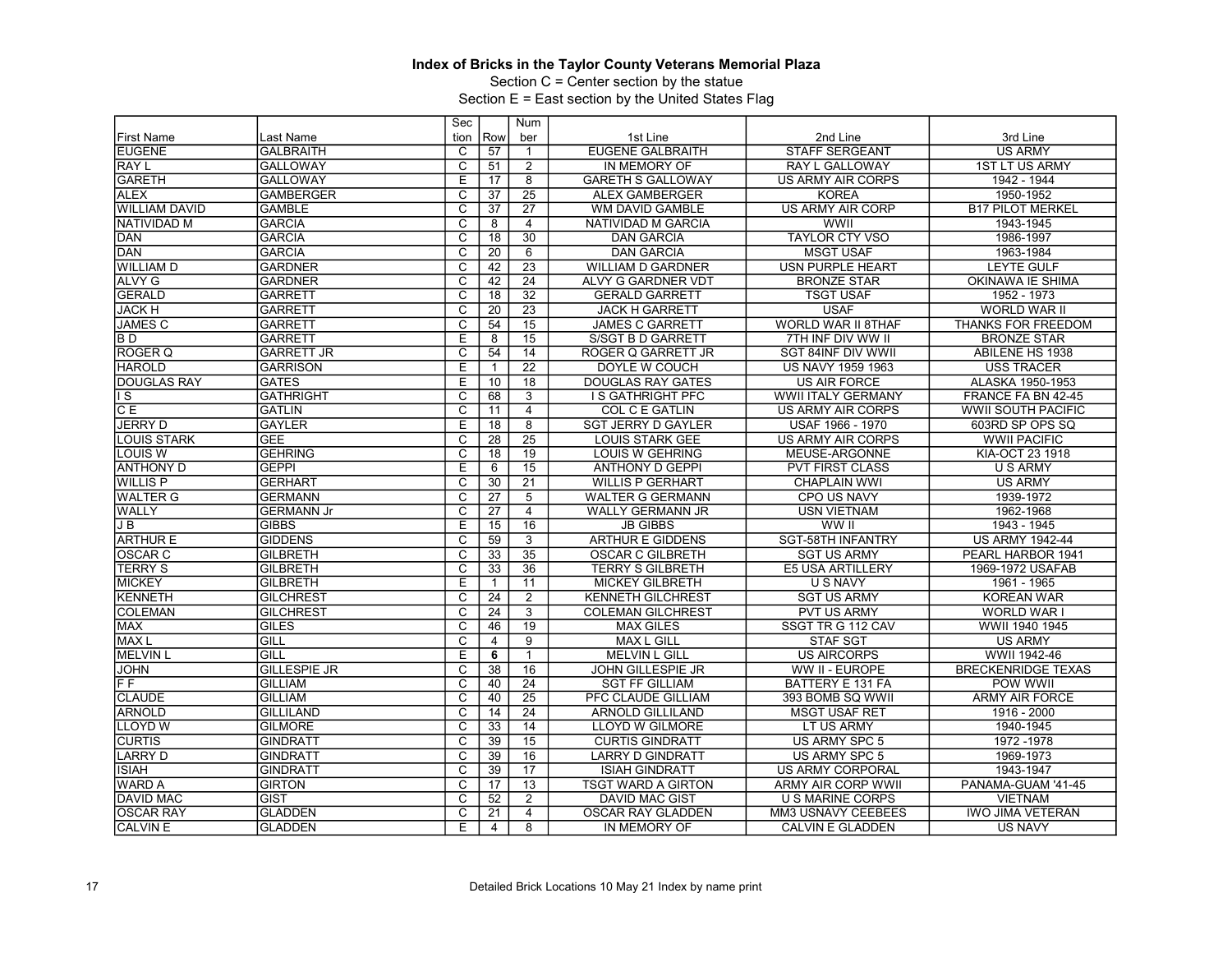Section C = Center section by the statue

|                          |                     | Sec                     |                 | Num             |                           |                           |                           |
|--------------------------|---------------------|-------------------------|-----------------|-----------------|---------------------------|---------------------------|---------------------------|
| <b>First Name</b>        | Last Name           | tion                    | Row             | ber             | 1st Line                  | 2nd Line                  | 3rd Line                  |
| <b>EUGENE</b>            | <b>GALBRAITH</b>    | C                       | 57              | $\mathbf{1}$    | <b>EUGENE GALBRAITH</b>   | <b>STAFF SERGEANT</b>     | <b>US ARMY</b>            |
| RAY L                    | <b>GALLOWAY</b>     | $\overline{c}$          | 51              | $\overline{2}$  | IN MEMORY OF              | RAY L GALLOWAY            | 1ST LT US ARMY            |
| <b>GARETH</b>            | <b>GALLOWAY</b>     | Ε                       | 17              | 8               | <b>GARETH S GALLOWAY</b>  | <b>US ARMY AIR CORPS</b>  | 1942 - 1944               |
| <b>ALEX</b>              | <b>GAMBERGER</b>    | $\overline{C}$          | $\overline{37}$ | $\overline{25}$ | <b>ALEX GAMBERGER</b>     | <b>KOREA</b>              | 1950-1952                 |
| <b>WILLIAM DAVID</b>     | <b>GAMBLE</b>       | $\overline{\text{c}}$   | $\overline{37}$ | $\overline{27}$ | <b>WM DAVID GAMBLE</b>    | <b>US ARMY AIR CORP</b>   | <b>B17 PILOT MERKEL</b>   |
| <b>NATIVIDAD M</b>       | <b>GARCIA</b>       | $\overline{\mathrm{c}}$ | 8               | $\overline{4}$  | NATIVIDAD M GARCIA        | <b>WWII</b>               | 1943-1945                 |
| DAN                      | <b>GARCIA</b>       | C                       | 18              | 30              | <b>DAN GARCIA</b>         | <b>TAYLOR CTY VSO</b>     | 1986-1997                 |
| <b>DAN</b>               | <b>GARCIA</b>       | $\overline{\mathsf{c}}$ | 20              | 6               | <b>DAN GARCIA</b>         | <b>MSGT USAF</b>          | 1963-1984                 |
| <b>WILLIAM D</b>         | <b>GARDNER</b>      | $\overline{\mathsf{c}}$ | 42              | $\overline{23}$ | <b>WILLIAM D GARDNER</b>  | <b>USN PURPLE HEART</b>   | <b>LEYTE GULF</b>         |
| <b>ALVY G</b>            | <b>GARDNER</b>      | C                       | 42              | 24              | ALVY G GARDNER VDT        | <b>BRONZE STAR</b>        | OKINAWA IE SHIMA          |
| <b>GERALD</b>            | <b>GARRETT</b>      | $\overline{\mathrm{c}}$ | 18              | 32              | <b>GERALD GARRETT</b>     | <b>TSGT USAF</b>          | 1952 - 1973               |
| <b>JACK H</b>            | <b>GARRETT</b>      | $\overline{C}$          | 20              | $\overline{23}$ | <b>JACK H GARRETT</b>     | <b>USAF</b>               | WORLD WAR II              |
| <b>JAMES C</b>           | <b>GARRETT</b>      | $\overline{\text{c}}$   | 54              | 15              | <b>JAMES C GARRETT</b>    | <b>WORLD WAR II 8THAF</b> | <b>THANKS FOR FREEDOM</b> |
| BD                       | <b>GARRETT</b>      | Ε                       | 8               | 15              | S/SGT B D GARRETT         | 7TH INF DIV WW II         | <b>BRONZE STAR</b>        |
| <b>ROGER Q</b>           | <b>GARRETT JR</b>   | C                       | 54              | 14              | <b>ROGER Q GARRETT JR</b> | SGT 84INF DIV WWII        | <b>ABILENE HS 1938</b>    |
| <b>HAROLD</b>            | <b>GARRISON</b>     | E                       | $\mathbf{1}$    | $\overline{22}$ | DOYLE W COUCH             | US NAVY 1959 1963         | <b>USS TRACER</b>         |
| <b>DOUGLAS RAY</b>       | <b>GATES</b>        | Ē                       | $\overline{10}$ | 18              | <b>DOUGLAS RAY GATES</b>  | <b>US AIR FORCE</b>       | ALASKA 1950-1953          |
| ١S                       | <b>GATHRIGHT</b>    | C                       | 68              | 3               | I S GATHRIGHT PFC         | WWII ITALY GERMANY        | FRANCE FA BN 42-45        |
| C E                      | <b>GATLIN</b>       | $\overline{\text{c}}$   | 11              | $\overline{4}$  | COL C E GATLIN            | <b>US ARMY AIR CORPS</b>  | WWII SOUTH PACIFIC        |
| <b>JERRY D</b>           | <b>GAYLER</b>       | Έ                       | 18              | 8               | <b>SGT JERRY D GAYLER</b> | USAF 1966 - 1970          | 603RD SP OPS SQ           |
| <b>LOUIS STARK</b>       | <b>GEE</b>          | C                       | 28              | $\overline{25}$ | <b>LOUIS STARK GEE</b>    | <b>US ARMY AIR CORPS</b>  | <b>WWII PACIFIC</b>       |
| LOUIS W                  | <b>GEHRING</b>      | $\overline{\text{c}}$   | 18              | 19              | LOUIS W GEHRING           | MEUSE-ARGONNE             | KIA-OCT 23 1918           |
| <b>ANTHONY D</b>         | GEPPI               | E                       | 6               | $\overline{15}$ | <b>ANTHONY D GEPPI</b>    | <b>PVT FIRST CLASS</b>    | <b>U S ARMY</b>           |
| <b>WILLIS P</b>          | <b>GERHART</b>      | C                       | 30              | 21              | <b>WILLIS P GERHART</b>   | <b>CHAPLAIN WWI</b>       | <b>US ARMY</b>            |
| <b>WALTER G</b>          | <b>GERMANN</b>      | $\overline{\text{c}}$   | $\overline{27}$ | $\overline{5}$  | <b>WALTER G GERMANN</b>   | <b>CPO US NAVY</b>        | 1939-1972                 |
| <b>WALLY</b>             | <b>GERMANN Jr</b>   | $\overline{C}$          | 27              | $\overline{4}$  | <b>WALLY GERMANN JR</b>   | <b>USN VIETNAM</b>        | 1962-1968                 |
| J B                      | <b>GIBBS</b>        | Ē                       | 15              | 16              | <b>JB GIBBS</b>           | $\overline{WW}$ II        | 1943 - 1945               |
| <b>ARTHUR E</b>          | <b>GIDDENS</b>      | $\overline{\mathsf{c}}$ | 59              | $\overline{3}$  | <b>ARTHUR E GIDDENS</b>   | <b>SGT-58TH INFANTRY</b>  | <b>US ARMY 1942-44</b>    |
| <b>OSCAR C</b>           | <b>GILBRETH</b>     | C                       | 33              | 35              | <b>OSCAR C GILBRETH</b>   | <b>SGT US ARMY</b>        | PEARL HARBOR 1941         |
| <b>TERRY S</b>           | <b>GILBRETH</b>     | $\overline{\mathsf{c}}$ | 33              | 36              | <b>TERRY S GILBRETH</b>   | <b>E5 USA ARTILLERY</b>   | 1969-1972 USAFAB          |
| <b>MICKEY</b>            | <b>GILBRETH</b>     | Ē                       | $\mathbf{1}$    | 11              | <b>MICKEY GILBRETH</b>    | <b>U S NAVY</b>           | 1961 - 1965               |
| <b>KENNETH</b>           | <b>GILCHREST</b>    | C                       | 24              | $\overline{2}$  | <b>KENNETH GILCHREST</b>  | <b>SGT US ARMY</b>        | <b>KOREAN WAR</b>         |
| <b>COLEMAN</b>           | <b>GILCHREST</b>    | $\overline{\text{c}}$   | 24              | $\overline{3}$  | <b>COLEMAN GILCHREST</b>  | <b>PVT US ARMY</b>        | WORLD WAR I               |
| <b>MAX</b>               | GILES               | $\overline{\mathsf{c}}$ | 46              | $\overline{19}$ | <b>MAX GILES</b>          | SSGT TR G 112 CAV         | WWII 1940 1945            |
| <b>MAXL</b>              | GILL                | C                       | 4               | 9               | <b>MAX L GILL</b>         | <b>STAF SGT</b>           | <b>US ARMY</b>            |
| <b>MELVIN L</b>          | GILL                | Ε                       | 6               | $\mathbf{1}$    | <b>MELVIN L GILL</b>      | <b>US AIRCORPS</b>        | WWII 1942-46              |
| <b>JOHN</b>              | <b>GILLESPIE JR</b> | $\overline{c}$          | 38              | 16              | <b>JOHN GILLESPIE JR</b>  | WW II - EUROPE            | <b>BRECKENRIDGE TEXAS</b> |
| $\overline{\mathsf{FF}}$ | <b>GILLIAM</b>      | $\overline{c}$          | 40              | $\overline{24}$ | <b>SGT FF GILLIAM</b>     | <b>BATTERY E 131 FA</b>   | POW WWII                  |
| <b>CLAUDE</b>            | <b>GILLIAM</b>      | $\overline{\mathrm{c}}$ | 40              | $\overline{25}$ | PFC CLAUDE GILLIAM        | 393 BOMB SQ WWII          | <b>ARMY AIR FORCE</b>     |
| <b>ARNOLD</b>            | <b>GILLILAND</b>    | $\overline{C}$          | 14              | 24              | <b>ARNOLD GILLILAND</b>   | <b>MSGT USAF RET</b>      | 1916 - 2000               |
| <b>LLOYD W</b>           | <b>GILMORE</b>      | $\overline{\text{c}}$   | 33              | 14              | <b>LLOYD W GILMORE</b>    | LT US ARMY                | 1940-1945                 |
| <b>CURTIS</b>            | <b>GINDRATT</b>     | $\overline{\mathrm{c}}$ | 39              | 15              | <b>CURTIS GINDRATT</b>    | US ARMY SPC 5             | 1972 - 1978               |
| <b>LARRY D</b>           | <b>GINDRATT</b>     | $\overline{C}$          | 39              | 16              | LARRY D GINDRATT          | US ARMY SPC 5             | 1969-1973                 |
| <b>ISIAH</b>             | <b>GINDRATT</b>     | $\overline{\text{c}}$   | 39              | 17              | <b>ISIAH GINDRATT</b>     | US ARMY CORPORAL          | 1943-1947                 |
| <b>WARD A</b>            | <b>GIRTON</b>       | $\overline{\mathrm{c}}$ | 17              | 13              | <b>TSGT WARD A GIRTON</b> | <b>ARMY AIR CORP WWII</b> | PANAMA-GUAM '41-45        |
| DAVID MAC                | <b>GIST</b>         | C                       | 52              | $\overline{2}$  | <b>DAVID MAC GIST</b>     | U S MARINE CORPS          | <b>VIETNAM</b>            |
| <b>OSCAR RAY</b>         | <b>GLADDEN</b>      | $\overline{\text{c}}$   | 21              | 4               | <b>OSCAR RAY GLADDEN</b>  | MM3 USNAVY CEEBEES        | <b>IWO JIMA VETERAN</b>   |
| <b>CALVIN E</b>          | <b>GLADDEN</b>      | E                       | $\overline{4}$  | 8               | IN MEMORY OF              | <b>CALVIN E GLADDEN</b>   | <b>US NAVY</b>            |
|                          |                     |                         |                 |                 |                           |                           |                           |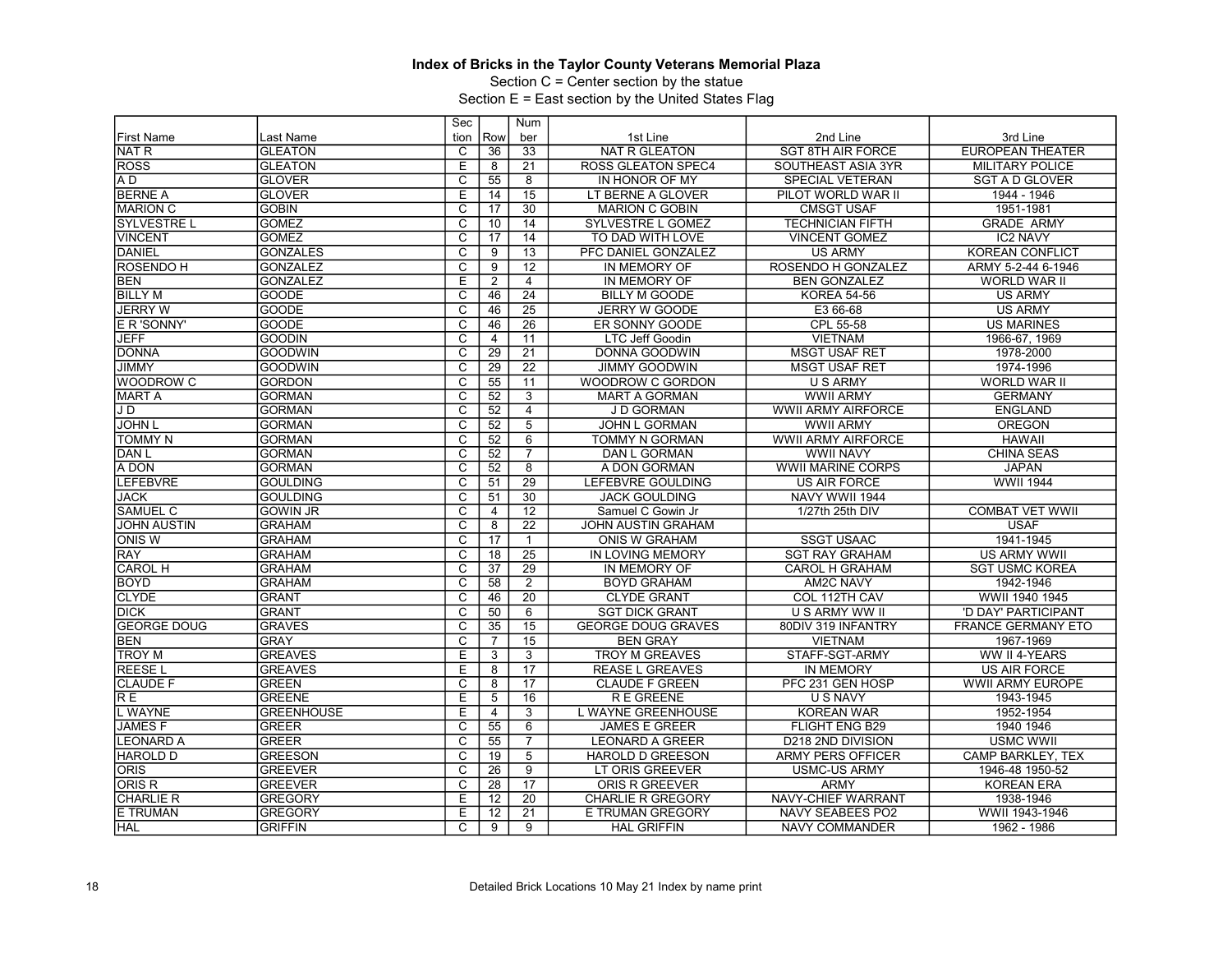Section C = Center section by the statue

|                    |                   | Sec                     |                | Num             |                           |                           |                           |
|--------------------|-------------------|-------------------------|----------------|-----------------|---------------------------|---------------------------|---------------------------|
| <b>First Name</b>  | Last Name         | tion                    | Row            | ber             | 1st Line                  | 2nd Line                  | 3rd Line                  |
| <b>NAT R</b>       | <b>GLEATON</b>    | C                       | 36             | 33              | <b>NAT R GLEATON</b>      | <b>SGT 8TH AIR FORCE</b>  | <b>EUROPEAN THEATER</b>   |
| <b>ROSS</b>        | <b>GLEATON</b>    | E                       | 8              | 21              | ROSS GLEATON SPEC4        | SOUTHEAST ASIA 3YR        | <b>MILITARY POLICE</b>    |
| A <sub>D</sub>     | <b>GLOVER</b>     | $\overline{\text{c}}$   | 55             | $\overline{8}$  | IN HONOR OF MY            | <b>SPECIAL VETERAN</b>    | <b>SGT A D GLOVER</b>     |
| <b>BERNE A</b>     | <b>GLOVER</b>     | E                       | 14             | 15              | LT BERNE A GLOVER         | PILOT WORLD WAR II        | 1944 - 1946               |
| <b>MARION C</b>    | <b>GOBIN</b>      | $\overline{\text{c}}$   | 17             | 30              | <b>MARION C GOBIN</b>     | <b>CMSGT USAF</b>         | 1951-1981                 |
| <b>SYLVESTRE L</b> | <b>GOMEZ</b>      | $\overline{c}$          | 10             | 14              | SYLVESTRE L GOMEZ         | <b>TECHNICIAN FIFTH</b>   | <b>GRADE ARMY</b>         |
| <b>VINCENT</b>     | <b>GOMEZ</b>      | C                       | 17             | 14              | TO DAD WITH LOVE          | <b>VINCENT GOMEZ</b>      | <b>IC2 NAVY</b>           |
| <b>DANIEL</b>      | <b>GONZALES</b>   | $\overline{\mathsf{c}}$ | 9              | 13              | PFC DANIEL GONZALEZ       | <b>US ARMY</b>            | <b>KOREAN CONFLICT</b>    |
| <b>ROSENDO H</b>   | <b>GONZALEZ</b>   | $\overline{\mathrm{c}}$ | 9              | $\overline{12}$ | IN MEMORY OF              | ROSENDO H GONZALEZ        | ARMY 5-2-44 6-1946        |
| <b>BEN</b>         | <b>GONZALEZ</b>   | E                       | $\overline{2}$ | $\overline{4}$  | IN MEMORY OF              | <b>BEN GONZALEZ</b>       | WORLD WAR II              |
| <b>BILLY M</b>     | <b>GOODE</b>      | $\overline{\text{c}}$   | 46             | $\overline{24}$ | <b>BILLY M GOODE</b>      | <b>KOREA 54-56</b>        | <b>US ARMY</b>            |
| <b>JERRY W</b>     | <b>GOODE</b>      | $\overline{C}$          | 46             | $\overline{25}$ | <b>JERRY W GOODE</b>      | E3 66-68                  | <b>US ARMY</b>            |
| E R 'SONNY'        | <b>GOODE</b>      | $\overline{\text{c}}$   | 46             | 26              | ER SONNY GOODE            | CPL 55-58                 | <b>US MARINES</b>         |
| <b>JEFF</b>        | <b>GOODIN</b>     | $\overline{\mathrm{c}}$ | 4              | 11              | LTC Jeff Goodin           | <b>VIETNAM</b>            | 1966-67, 1969             |
| <b>DONNA</b>       | <b>GOODWIN</b>    | C                       | 29             | $\overline{21}$ | DONNA GOODWIN             | <b>MSGT USAF RET</b>      | 1978-2000                 |
| <b>JIMMY</b>       | <b>GOODWIN</b>    | $\overline{\text{c}}$   | 29             | $\overline{22}$ | <b>JIMMY GOODWIN</b>      | <b>MSGT USAF RET</b>      | 1974-1996                 |
| WOODROW C          | <b>GORDON</b>     | $\overline{\mathrm{c}}$ | 55             | 11              | <b>WOODROW C GORDON</b>   | <b>U S ARMY</b>           | <b>WORLD WAR II</b>       |
| <b>MART A</b>      | <b>GORMAN</b>     | $\overline{C}$          | 52             | 3               | <b>MART A GORMAN</b>      | <b>WWII ARMY</b>          | <b>GERMANY</b>            |
| JD                 | <b>GORMAN</b>     | $\overline{\text{c}}$   | 52             | 4               | J D GORMAN                | <b>WWII ARMY AIRFORCE</b> | <b>ENGLAND</b>            |
| <b>JOHN L</b>      | <b>GORMAN</b>     | $\overline{c}$          | 52             | $\overline{5}$  | <b>JOHN L GORMAN</b>      | <b>WWII ARMY</b>          | <b>OREGON</b>             |
| <b>TOMMY N</b>     | <b>GORMAN</b>     | C                       | 52             | 6               | TOMMY N GORMAN            | <b>WWII ARMY AIRFORCE</b> | <b>HAWAII</b>             |
| DAN <sub>L</sub>   | <b>GORMAN</b>     | $\overline{\text{c}}$   | 52             | $\overline{7}$  | DAN L GORMAN              | <b>WWII NAVY</b>          | <b>CHINA SEAS</b>         |
| A DON              | <b>GORMAN</b>     | $\overline{\mathsf{C}}$ | 52             | 8               | A DON GORMAN              | <b>WWII MARINE CORPS</b>  | <b>JAPAN</b>              |
| <b>LEFEBVRE</b>    | <b>GOULDING</b>   | C                       | 51             | 29              | LEFEBVRE GOULDING         | <b>US AIR FORCE</b>       | <b>WWII 1944</b>          |
| <b>JACK</b>        | <b>GOULDING</b>   | $\overline{\text{c}}$   | 51             | $\overline{30}$ | <b>JACK GOULDING</b>      | NAVY WWII 1944            |                           |
| SAMUEL C           | <b>GOWIN JR</b>   | $\overline{C}$          | $\overline{4}$ | $\overline{12}$ | Samuel C Gowin Jr         | 1/27th 25th DIV           | <b>COMBAT VET WWII</b>    |
| <b>JOHN AUSTIN</b> | <b>GRAHAM</b>     | $\overline{\text{c}}$   | $\overline{8}$ | $\overline{22}$ | JOHN AUSTIN GRAHAM        |                           | <b>USAF</b>               |
| <b>ONIS W</b>      | <b>GRAHAM</b>     | $\overline{\mathsf{c}}$ | 17             | $\mathbf{1}$    | <b>ONIS W GRAHAM</b>      | <b>SSGT USAAC</b>         | 1941-1945                 |
| <b>RAY</b>         | <b>GRAHAM</b>     | C                       | 18             | $\overline{25}$ | IN LOVING MEMORY          | <b>SGT RAY GRAHAM</b>     | <b>US ARMY WWII</b>       |
| <b>CAROL H</b>     | <b>GRAHAM</b>     | $\overline{\text{c}}$   | 37             | 29              | IN MEMORY OF              | <b>CAROL H GRAHAM</b>     | <b>SGT USMC KOREA</b>     |
| <b>BOYD</b>        | <b>GRAHAM</b>     | $\overline{\mathrm{c}}$ | 58             | $\overline{2}$  | <b>BOYD GRAHAM</b>        | <b>AM2C NAVY</b>          | 1942-1946                 |
| <b>CLYDE</b>       | <b>GRANT</b>      | C                       | 46             | 20              | <b>CLYDE GRANT</b>        | COL 112TH CAV             | WWII 1940 1945            |
| <b>DICK</b>        | <b>GRANT</b>      | $\overline{\text{c}}$   | 50             | $\overline{6}$  | <b>SGT DICK GRANT</b>     | U S ARMY WW II            | 'D DAY' PARTICIPANT       |
| <b>GEORGE DOUG</b> | <b>GRAVES</b>     | $\overline{\mathsf{c}}$ | 35             | $\overline{15}$ | <b>GEORGE DOUG GRAVES</b> | 80DIV 319 INFANTRY        | <b>FRANCE GERMANY ETO</b> |
| <b>BEN</b>         | <b>GRAY</b>       | C                       | 7              | 15              | <b>BEN GRAY</b>           | <b>VIETNAM</b>            | 1967-1969                 |
| <b>TROY M</b>      | <b>GREAVES</b>    | Ε                       | 3              | $\overline{3}$  | <b>TROY M GREAVES</b>     | STAFF-SGT-ARMY            | WW II 4-YEARS             |
| <b>REESEL</b>      | <b>GREAVES</b>    | E                       | 8              | $\overline{17}$ | <b>REASE L GREAVES</b>    | <b>IN MEMORY</b>          | <b>US AIR FORCE</b>       |
| <b>CLAUDE F</b>    | <b>GREEN</b>      | $\overline{\text{c}}$   | 8              | $\overline{17}$ | <b>CLAUDE F GREEN</b>     | PFC 231 GEN HOSP          | WWII ARMY EUROPE          |
| RE                 | <b>GREENE</b>     | Ε                       | 5              | 16              | R E GREENE                | U S NAVY                  | 1943-1945                 |
| <b>L WAYNE</b>     | <b>GREENHOUSE</b> | E                       | $\overline{4}$ | $\overline{3}$  | L WAYNE GREENHOUSE        | <b>KOREAN WAR</b>         | 1952-1954                 |
| <b>JAMESF</b>      | <b>GREER</b>      | $\overline{\text{c}}$   | 55             | 6               | <b>JAMES E GREER</b>      | FLIGHT ENG B29            | 1940 1946                 |
| <b>LEONARD A</b>   | <b>GREER</b>      | $\overline{\mathsf{c}}$ | 55             | $\overline{7}$  | <b>LEONARD A GREER</b>    | D218 2ND DIVISION         | <b>USMC WWII</b>          |
| <b>HAROLD D</b>    | <b>GREESON</b>    | C                       | 19             | 5               | <b>HAROLD D GREESON</b>   | <b>ARMY PERS OFFICER</b>  | CAMP BARKLEY, TEX         |
| <b>ORIS</b>        | <b>GREEVER</b>    | $\overline{\text{c}}$   | 26             | $\overline{9}$  | LT ORIS GREEVER           | <b>USMC-US ARMY</b>       | 1946-48 1950-52           |
| ORIS <sub>R</sub>  | <b>GREEVER</b>    | $\overline{\mathrm{c}}$ | 28             | 17              | <b>ORIS R GREEVER</b>     | <b>ARMY</b>               | <b>KOREAN ERA</b>         |
| <b>CHARLIE R</b>   | <b>GREGORY</b>    | E                       | 12             | $\overline{20}$ | <b>CHARLIE R GREGORY</b>  | NAVY-CHIEF WARRANT        | 1938-1946                 |
| <b>E TRUMAN</b>    | <b>GREGORY</b>    | E                       | 12             | $\overline{21}$ | E TRUMAN GREGORY          | <b>NAVY SEABEES PO2</b>   | WWII 1943-1946            |
| <b>HAL</b>         | <b>GRIFFIN</b>    | C                       | 9              | 9               | <b>HAL GRIFFIN</b>        | <b>NAVY COMMANDER</b>     | 1962 - 1986               |
|                    |                   |                         |                |                 |                           |                           |                           |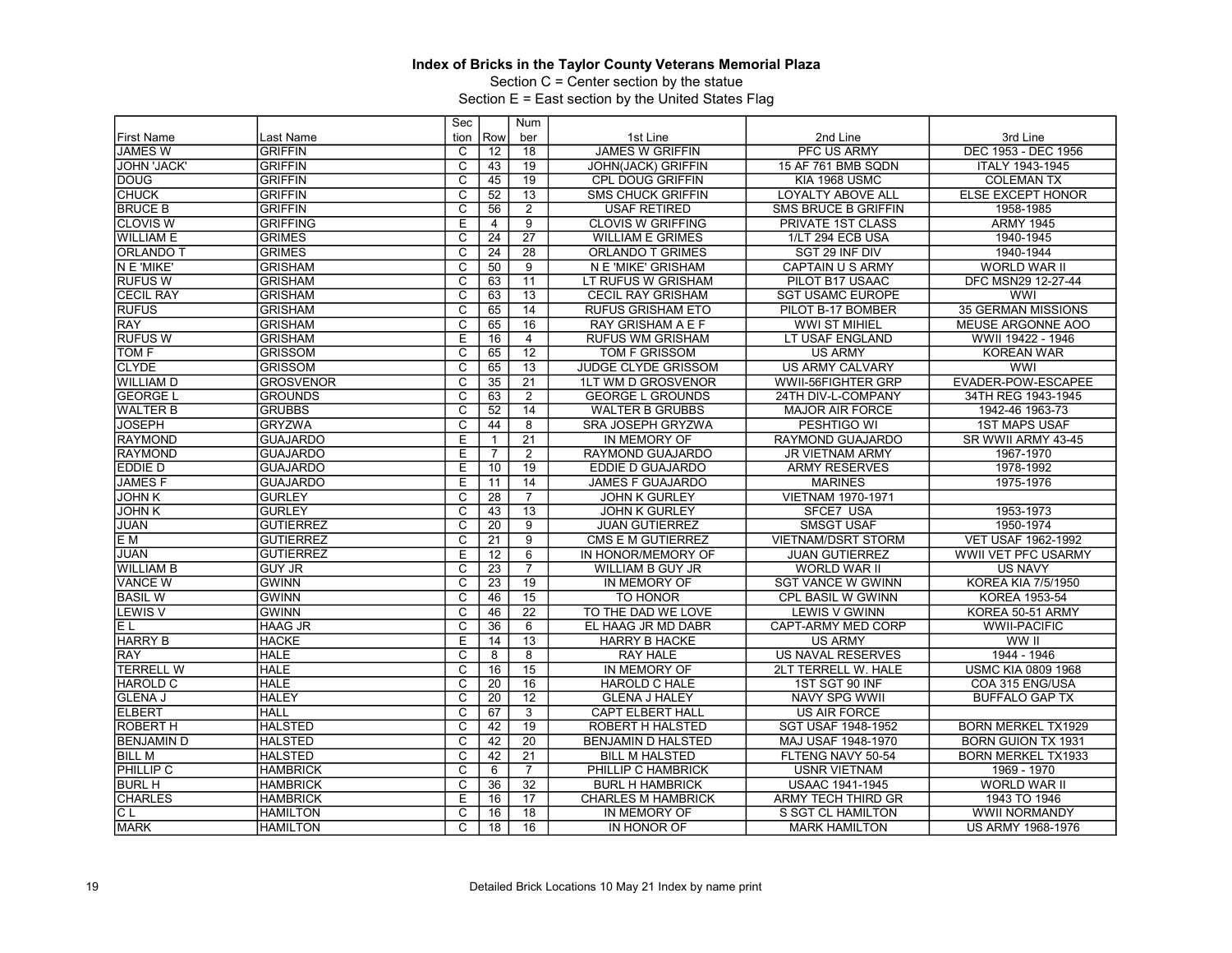Section C = Center section by the statue

|                    |                  | Sec                     |                 | Num             |                           |                            |                            |
|--------------------|------------------|-------------------------|-----------------|-----------------|---------------------------|----------------------------|----------------------------|
| <b>First Name</b>  | Last Name        | tion                    | Row             | ber             | 1st Line                  | 2nd Line                   | 3rd Line                   |
| <b>JAMES W</b>     | <b>GRIFFIN</b>   | C                       | 12              | 18              | <b>JAMES W GRIFFIN</b>    | PFC US ARMY                | DEC 1953 - DEC 1956        |
| <b>JOHN 'JACK'</b> | <b>GRIFFIN</b>   | $\overline{c}$          | 43              | 19              | <b>JOHN(JACK) GRIFFIN</b> | 15 AF 761 BMB SQDN         | ITALY 1943-1945            |
| <b>DOUG</b>        | <b>GRIFFIN</b>   | $\overline{\text{c}}$   | 45              | 19              | CPL DOUG GRIFFIN          | KIA 1968 USMC              | <b>COLEMAN TX</b>          |
| <b>CHUCK</b>       | <b>GRIFFIN</b>   | $\overline{C}$          | 52              | 13              | <b>SMS CHUCK GRIFFIN</b>  | <b>LOYALTY ABOVE ALL</b>   | <b>ELSE EXCEPT HONOR</b>   |
| <b>BRUCE B</b>     | <b>GRIFFIN</b>   | $\overline{\text{c}}$   | 56              | $\overline{2}$  | <b>USAF RETIRED</b>       | <b>SMS BRUCE B GRIFFIN</b> | 1958-1985                  |
| <b>CLOVIS W</b>    | <b>GRIFFING</b>  | Ē                       | $\overline{4}$  | $\overline{9}$  | <b>CLOVIS W GRIFFING</b>  | PRIVATE 1ST CLASS          | <b>ARMY 1945</b>           |
| <b>WILLIAM E</b>   | <b>GRIMES</b>    | C                       | $\overline{24}$ | $\overline{27}$ | <b>WILLIAM E GRIMES</b>   | 1/LT 294 ECB USA           | 1940-1945                  |
| <b>ORLANDO T</b>   | <b>GRIMES</b>    | $\overline{\mathsf{c}}$ | 24              | $\overline{28}$ | <b>ORLANDO T GRIMES</b>   | SGT 29 INF DIV             | 1940-1944                  |
| N E 'MIKE'         | <b>GRISHAM</b>   | $\overline{\mathrm{c}}$ | 50              | $\overline{9}$  | N E 'MIKE' GRISHAM        | <b>CAPTAIN U S ARMY</b>    | <b>WORLD WAR II</b>        |
| <b>RUFUSW</b>      | <b>GRISHAM</b>   | C                       | 63              | 11              | LT RUFUS W GRISHAM        | PILOT B17 USAAC            | DFC MSN29 12-27-44         |
| <b>CECIL RAY</b>   | <b>GRISHAM</b>   | $\overline{\text{c}}$   | 63              | 13              | <b>CECIL RAY GRISHAM</b>  | <b>SGT USAMC EUROPE</b>    | <b>WWI</b>                 |
| <b>RUFUS</b>       | <b>GRISHAM</b>   | $\overline{C}$          | 65              | 14              | <b>RUFUS GRISHAM ETO</b>  | PILOT B-17 BOMBER          | <b>35 GERMAN MISSIONS</b>  |
| <b>RAY</b>         | <b>GRISHAM</b>   | $\overline{\text{c}}$   | 65              | $\overline{16}$ | RAY GRISHAM A E F         | <b>WWI ST MIHIEL</b>       | MEUSE ARGONNE AOO          |
| <b>RUFUS W</b>     | <b>GRISHAM</b>   | Ε                       | 16              | $\overline{4}$  | <b>RUFUS WM GRISHAM</b>   | LT USAF ENGLAND            | WWII 19422 - 1946          |
| <b>TOM F</b>       | <b>GRISSOM</b>   | C                       | 65              | 12              | <b>TOM F GRISSOM</b>      | <b>US ARMY</b>             | <b>KOREAN WAR</b>          |
| <b>CLYDE</b>       | <b>GRISSOM</b>   | $\overline{\text{c}}$   | 65              | 13              | JUDGE CLYDE GRISSOM       | <b>US ARMY CALVARY</b>     | <b>WWI</b>                 |
| IWILLIAM D         | <b>GROSVENOR</b> | $\overline{\mathrm{c}}$ | 35              | 21              | 1LT WM D GROSVENOR        | WWII-56FIGHTER GRP         | EVADER-POW-ESCAPEE         |
| <b>GEORGE L</b>    | <b>GROUNDS</b>   | $\overline{C}$          | 63              | $\overline{2}$  | <b>GEORGE L GROUNDS</b>   | 24TH DIV-L-COMPANY         | 34TH REG 1943-1945         |
| <b>WALTER B</b>    | <b>GRUBBS</b>    | $\overline{\text{c}}$   | 52              | 14              | <b>WALTER B GRUBBS</b>    | <b>MAJOR AIR FORCE</b>     | 1942-46 1963-73            |
| <b>JOSEPH</b>      | <b>GRYZWA</b>    | $\overline{c}$          | 44              | 8               | SRA JOSEPH GRYZWA         | PESHTIGO WI                | <b>1ST MAPS USAF</b>       |
| <b>RAYMOND</b>     | <b>GUAJARDO</b>  | E                       | $\mathbf{1}$    | 21              | IN MEMORY OF              | RAYMOND GUAJARDO           | SR WWII ARMY 43-45         |
| RAYMOND            | <b>GUAJARDO</b>  | E                       | $\overline{7}$  | $\overline{2}$  | RAYMOND GUAJARDO          | <b>JR VIETNAM ARMY</b>     | 1967-1970                  |
| <b>EDDIE D</b>     | <b>GUAJARDO</b>  | E                       | 10              | 19              | EDDIE D GUAJARDO          | <b>ARMY RESERVES</b>       | 1978-1992                  |
| <b>JAMESF</b>      | <b>GUAJARDO</b>  | E                       | 11              | 14              | <b>JAMES F GUAJARDO</b>   | <b>MARINES</b>             | 1975-1976                  |
| <b>JOHN K</b>      | <b>GURLEY</b>    | $\overline{\text{c}}$   | 28              | $\overline{7}$  | <b>JOHN K GURLEY</b>      | <b>VIETNAM 1970-1971</b>   |                            |
| <b>JOHNK</b>       | <b>GURLEY</b>    | $\overline{C}$          | 43              | 13              | <b>JOHN K GURLEY</b>      | SFCE7 USA                  | 1953-1973                  |
| <b>JUAN</b>        | <b>GUTIERREZ</b> | $\overline{\text{c}}$   | 20              | $\overline{9}$  | <b>JUAN GUTIERREZ</b>     | <b>SMSGT USAF</b>          | 1950-1974                  |
| E <sub>M</sub>     | <b>GUTIERREZ</b> | $\overline{\mathsf{c}}$ | 21              | $\overline{9}$  | CMS E M GUTIERREZ         | <b>VIETNAM/DSRT STORM</b>  | VET USAF 1962-1992         |
| <b>JUAN</b>        | <b>GUTIERREZ</b> | E                       | 12              | $6\overline{6}$ | IN HONOR/MEMORY OF        | <b>JUAN GUTIERREZ</b>      | <b>WWII VET PFC USARMY</b> |
| <b>WILLIAM B</b>   | <b>GUY JR</b>    | $\overline{\text{c}}$   | 23              | $\overline{7}$  | WILLIAM B GUY JR          | WORLD WAR II               | <b>US NAVY</b>             |
| VANCE W            | <b>GWINN</b>     | $\overline{\mathrm{c}}$ | $\overline{23}$ | 19              | IN MEMORY OF              | <b>SGT VANCE W GWINN</b>   | <b>KOREA KIA 7/5/1950</b>  |
| <b>BASIL W</b>     | <b>GWINN</b>     | C                       | 46              | 15              | TO HONOR                  | CPL BASIL W GWINN          | KOREA 1953-54              |
| <b>LEWIS V</b>     | <b>GWINN</b>     | $\overline{\text{c}}$   | 46              | $\overline{22}$ | TO THE DAD WE LOVE        | <b>LEWIS V GWINN</b>       | KOREA 50-51 ARMY           |
| EL                 | <b>HAAG JR</b>   | $\overline{c}$          | $\overline{36}$ | 6               | EL HAAG JR MD DABR        | CAPT-ARMY MED CORP         | <b>WWII-PACIFIC</b>        |
| <b>HARRY B</b>     | <b>HACKE</b>     | E                       | 14              | 13              | <b>HARRY B HACKE</b>      | <b>US ARMY</b>             | WW II                      |
| RAY                | <b>HALE</b>      | $\overline{\mathsf{c}}$ | 8               | $\overline{8}$  | <b>RAY HALE</b>           | <b>US NAVAL RESERVES</b>   | 1944 - 1946                |
| <b>TERRELL W</b>   | <b>HALE</b>      | $\overline{C}$          | 16              | 15              | IN MEMORY OF              | 2LT TERRELL W. HALE        | <b>USMC KIA 0809 1968</b>  |
| <b>HAROLD C</b>    | <b>HALE</b>      | $\overline{\text{c}}$   | 20              | 16              | HAROLD C HALE             | 1ST SGT 90 INF             | COA 315 ENG/USA            |
| <b>GLENA J</b>     | <b>HALEY</b>     | $\overline{\text{c}}$   | 20              | $\overline{12}$ | <b>GLENA J HALEY</b>      | <b>NAVY SPG WWII</b>       | <b>BUFFALO GAP TX</b>      |
| <b>ELBERT</b>      | <b>HALL</b>      | $\overline{C}$          | 67              | 3               | <b>CAPT ELBERT HALL</b>   | <b>US AIR FORCE</b>        |                            |
| <b>ROBERT H</b>    | <b>HALSTED</b>   | $\overline{\text{c}}$   | 42              | 19              | ROBERT H HALSTED          | SGT USAF 1948-1952         | <b>BORN MERKEL TX1929</b>  |
| <b>BENJAMIN D</b>  | <b>HALSTED</b>   | $\overline{\mathsf{c}}$ | 42              | $\overline{20}$ | <b>BENJAMIN D HALSTED</b> | MAJ USAF 1948-1970         | <b>BORN GUION TX 1931</b>  |
| <b>BILL M</b>      | <b>HALSTED</b>   | C                       | 42              | $\overline{21}$ | <b>BILL M HALSTED</b>     | FLTENG NAVY 50-54          | <b>BORN MERKEL TX1933</b>  |
| <b>PHILLIP C</b>   | <b>HAMBRICK</b>  | $\overline{\mathsf{c}}$ | 6               | $\overline{7}$  | PHILLIP C HAMBRICK        | <b>USNR VIETNAM</b>        | 1969 - 1970                |
| <b>BURL H</b>      | <b>HAMBRICK</b>  | $\overline{\mathrm{c}}$ | 36              | 32              | <b>BURL H HAMBRICK</b>    | <b>USAAC 1941-1945</b>     | WORLD WAR II               |
| <b>CHARLES</b>     | <b>HAMBRICK</b>  | E                       | 16              | 17              | <b>CHARLES M HAMBRICK</b> | <b>ARMY TECH THIRD GR</b>  | 1943 TO 1946               |
| CL                 | <b>HAMILTON</b>  | $\overline{\text{c}}$   | 16              | 18              | IN MEMORY OF              | S SGT CL HAMILTON          | <b>WWII NORMANDY</b>       |
| <b>MARK</b>        | <b>HAMILTON</b>  | $\overline{\mathsf{C}}$ | 18              | 16              | <b>IN HONOR OF</b>        | <b>MARK HAMILTON</b>       | US ARMY 1968-1976          |
|                    |                  |                         |                 |                 |                           |                            |                            |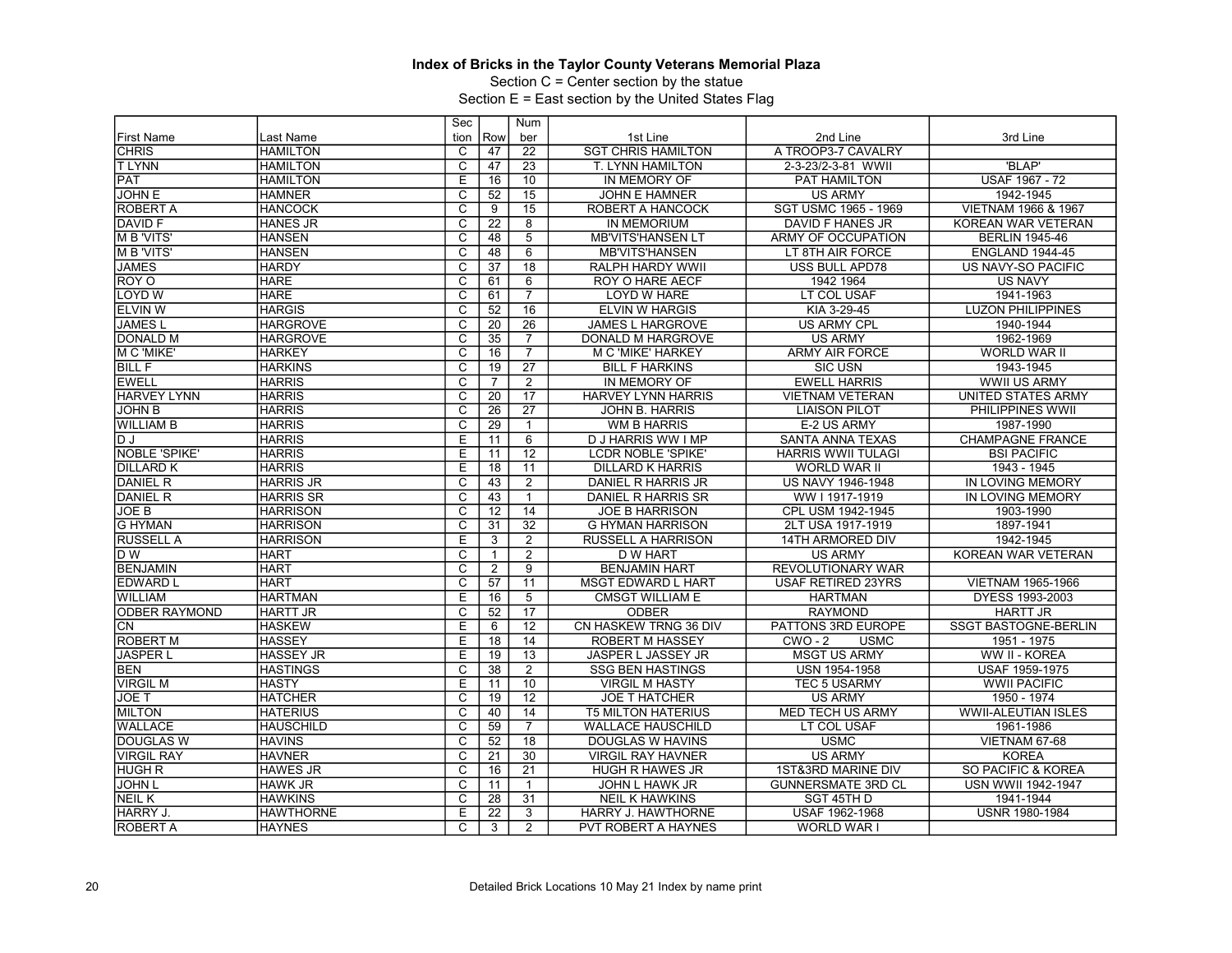Section C = Center section by the statue

|                      |                  | Sec                     |                 | Num             |                            |                             |                               |
|----------------------|------------------|-------------------------|-----------------|-----------------|----------------------------|-----------------------------|-------------------------------|
| <b>First Name</b>    | Last Name        | tion                    | Row             | ber             | 1st Line                   | 2nd Line                    | 3rd Line                      |
| <b>CHRIS</b>         | <b>HAMILTON</b>  | C                       | 47              | 22              | <b>SGT CHRIS HAMILTON</b>  | A TROOP3-7 CAVALRY          |                               |
| <b>TLYNN</b>         | <b>HAMILTON</b>  | $\overline{c}$          | 47              | 23              | T. LYNN HAMILTON           | 2-3-23/2-3-81 WWII          | 'BLAP'                        |
| <b>PAT</b>           | <b>HAMILTON</b>  | E                       | 16              | 10              | IN MEMORY OF               | PAT HAMILTON                | <b>USAF 1967 - 72</b>         |
| <b>JOHN E</b>        | <b>HAMNER</b>    | $\overline{C}$          | 52              | 15              | <b>JOHN E HAMNER</b>       | <b>US ARMY</b>              | 1942-1945                     |
| <b>ROBERT A</b>      | <b>HANCOCK</b>   | $\overline{\text{c}}$   | 9               | 15              | ROBERT A HANCOCK           | <b>SGT USMC 1965 - 1969</b> | VIETNAM 1966 & 1967           |
| <b>DAVID F</b>       | <b>HANES JR</b>  | $\overline{\mathsf{c}}$ | 22              | $\overline{8}$  | <b>IN MEMORIUM</b>         | <b>DAVID F HANES JR</b>     | KOREAN WAR VETERAN            |
| <b>MB</b> 'VITS'     | <b>HANSEN</b>    | $\overline{\text{c}}$   | 48              | $\overline{5}$  | <b>MB'VITS'HANSEN LT</b>   | <b>ARMY OF OCCUPATION</b>   | <b>BERLIN 1945-46</b>         |
| M B 'VITS'           | <b>HANSEN</b>    | $\overline{\mathsf{c}}$ | 48              | 6               | <b>MB'VITS'HANSEN</b>      | LT 8TH AIR FORCE            | <b>ENGLAND 1944-45</b>        |
| <b>JAMES</b>         | <b>HARDY</b>     | $\overline{\mathrm{c}}$ | $\overline{37}$ | $\overline{18}$ | <b>RALPH HARDY WWII</b>    | <b>USS BULL APD78</b>       | <b>US NAVY-SO PACIFIC</b>     |
| ROY O                | <b>HARE</b>      | $\overline{c}$          | 61              | 6               | ROY O HARE AECF            | 1942 1964                   | <b>US NAVY</b>                |
| <b>LOYD W</b>        | <b>HARE</b>      | $\overline{\mathsf{c}}$ | 61              | $\overline{7}$  | LOYD W HARE                | LT COL USAF                 | 1941-1963                     |
| <b>ELVIN W</b>       | <b>HARGIS</b>    | $\overline{C}$          | 52              | 16              | <b>ELVIN W HARGIS</b>      | KIA 3-29-45                 | <b>LUZON PHILIPPINES</b>      |
| <b>JAMES L</b>       | <b>HARGROVE</b>  | $\overline{\text{c}}$   | 20              | 26              | <b>JAMES L HARGROVE</b>    | <b>US ARMY CPL</b>          | 1940-1944                     |
| <b>DONALD M</b>      | <b>HARGROVE</b>  | $\overline{\mathsf{c}}$ | 35              | $\overline{7}$  | DONALD M HARGROVE          | <b>US ARMY</b>              | 1962-1969                     |
| <b>M C 'MIKE'</b>    | <b>HARKEY</b>    | $\overline{\text{c}}$   | 16              | $\overline{7}$  | M C 'MIKE' HARKEY          | <b>ARMY AIR FORCE</b>       | <b>WORLD WAR II</b>           |
| <b>BILL F</b>        | <b>HARKINS</b>   | $\overline{\mathsf{c}}$ | 19              | $\overline{27}$ | <b>BILL F HARKINS</b>      | <b>SIC USN</b>              | 1943-1945                     |
| <b>EWELL</b>         | <b>HARRIS</b>    | C                       | $\overline{7}$  | $\overline{2}$  | IN MEMORY OF               | <b>EWELL HARRIS</b>         | <b>WWII US ARMY</b>           |
| <b>HARVEY LYNN</b>   | <b>HARRIS</b>    | $\overline{c}$          | 20              | $\overline{17}$ | <b>HARVEY LYNN HARRIS</b>  | <b>VIETNAM VETERAN</b>      | <b>UNITED STATES ARMY</b>     |
| <b>JOHN B</b>        | <b>HARRIS</b>    | $\overline{\text{c}}$   | 26              | $\overline{27}$ | <b>JOHN B. HARRIS</b>      | <b>LIAISON PILOT</b>        | PHILIPPINES WWII              |
| <b>WILLIAM B</b>     | <b>HARRIS</b>    | $\overline{\mathsf{c}}$ | 29              | $\mathbf{1}$    | <b>WM B HARRIS</b>         | E-2 US ARMY                 | 1987-1990                     |
| D J                  | <b>HARRIS</b>    | E                       | 11              | 6               | <b>DJ HARRIS WW IMP</b>    | <b>SANTA ANNA TEXAS</b>     | <b>CHAMPAGNE FRANCE</b>       |
| <b>NOBLE 'SPIKE'</b> | <b>HARRIS</b>    | Е                       | 11              | 12              | <b>LCDR NOBLE 'SPIKE'</b>  | <b>HARRIS WWII TULAGI</b>   | <b>BSI PACIFIC</b>            |
| <b>DILLARD K</b>     | <b>HARRIS</b>    | E                       | $\overline{18}$ | $\overline{11}$ | <b>DILLARD K HARRIS</b>    | <b>WORLD WAR II</b>         | 1943 - 1945                   |
| <b>DANIEL R</b>      | <b>HARRIS JR</b> | $\overline{c}$          | 43              | $\overline{2}$  | DANIEL R HARRIS JR         | <b>US NAVY 1946-1948</b>    | IN LOVING MEMORY              |
| <b>DANIEL R</b>      | <b>HARRIS SR</b> | C                       | 43              | $\mathbf{1}$    | <b>DANIEL R HARRIS SR</b>  | WW I 1917-1919              | <b>IN LOVING MEMORY</b>       |
| JOE B                | <b>HARRISON</b>  | $\overline{C}$          | 12              | 14              | <b>JOE B HARRISON</b>      | CPL USM 1942-1945           | 1903-1990                     |
| <b>G HYMAN</b>       | <b>HARRISON</b>  | С                       | 31              | 32              | <b>G HYMAN HARRISON</b>    | 2LT USA 1917-1919           | 1897-1941                     |
| <b>RUSSELL A</b>     | <b>HARRISON</b>  | Έ                       | 3               | $\overline{2}$  | <b>RUSSELL A HARRISON</b>  | <b>14TH ARMORED DIV</b>     | 1942-1945                     |
| $\overline{D}$ W     | <b>HART</b>      | C                       | $\mathbf{1}$    | $\overline{2}$  | <b>D W HART</b>            | <b>US ARMY</b>              | KOREAN WAR VETERAN            |
| <b>BENJAMIN</b>      | <b>HART</b>      | C                       | $\overline{2}$  | 9               | <b>BENJAMIN HART</b>       | <b>REVOLUTIONARY WAR</b>    |                               |
| <b>EDWARD L</b>      | <b>HART</b>      | $\overline{\mathrm{c}}$ | $\overline{57}$ | $\overline{11}$ | <b>MSGT EDWARD L HART</b>  | <b>USAF RETIRED 23YRS</b>   | VIETNAM 1965-1966             |
| <b>WILLIAM</b>       | <b>HARTMAN</b>   | E                       | 16              | 5               | <b>CMSGT WILLIAM E</b>     | <b>HARTMAN</b>              | DYESS 1993-2003               |
| <b>ODBER RAYMOND</b> | <b>HARTT JR</b>  | C                       | 52              | $\overline{17}$ | <b>ODBER</b>               | <b>RAYMOND</b>              | <b>HARTT JR</b>               |
| CN                   | <b>HASKEW</b>    | Ε                       | 6               | $\overline{12}$ | CN HASKEW TRNG 36 DIV      | PATTONS 3RD EUROPE          | SSGT BASTOGNE-BERLIN          |
| <b>ROBERT M</b>      | <b>HASSEY</b>    | Е                       | 18              | 14              | <b>ROBERT M HASSEY</b>     | $CWO - 2$<br><b>USMC</b>    | 1951 - 1975                   |
| <b>JASPER L</b>      | <b>HASSEY JR</b> | Έ                       | 19              | 13              | JASPER L JASSEY JR         | <b>MSGT US ARMY</b>         | WW II - KOREA                 |
| <b>BEN</b>           | <b>HASTINGS</b>  | $\overline{\mathsf{C}}$ | 38              | $\overline{2}$  | <b>SSG BEN HASTINGS</b>    | USN 1954-1958               | USAF 1959-1975                |
| <b>VIRGIL M</b>      | <b>HASTY</b>     | Е                       | 11              | 10              | <b>VIRGIL M HASTY</b>      | <b>TEC 5 USARMY</b>         | <b>WWII PACIFIC</b>           |
| <b>JOE T</b>         | <b>HATCHER</b>   | $\overline{\mathrm{c}}$ | 19              | $\overline{12}$ | <b>JOE T HATCHER</b>       | <b>US ARMY</b>              | 1950 - 1974                   |
| <b>MILTON</b>        | <b>HATERIUS</b>  | $\overline{\mathsf{c}}$ | 40              | 14              | <b>T5 MILTON HATERIUS</b>  | <b>MED TECH US ARMY</b>     | <b>WWII-ALEUTIAN ISLES</b>    |
| <b>WALLACE</b>       | <b>HAUSCHILD</b> | C                       | 59              | $\overline{7}$  | <b>WALLACE HAUSCHILD</b>   | LT COL USAF                 | 1961-1986                     |
| <b>DOUGLAS W</b>     | <b>HAVINS</b>    | $\overline{\mathsf{c}}$ | 52              | 18              | DOUGLAS W HAVINS           | <b>USMC</b>                 | VIETNAM 67-68                 |
| <b>VIRGIL RAY</b>    | <b>HAVNER</b>    | C                       | 21              | $\overline{30}$ | <b>VIRGIL RAY HAVNER</b>   | <b>US ARMY</b>              | <b>KOREA</b>                  |
| <b>HUGH R</b>        | <b>HAWES JR</b>  | $\overline{\mathsf{c}}$ | 16              | 21              | HUGH R HAWES JR            | 1ST&3RD MARINE DIV          | <b>SO PACIFIC &amp; KOREA</b> |
| <b>JOHN L</b>        | <b>HAWK JR</b>   | C                       | 11              | $\mathbf{1}$    | <b>JOHN L HAWK JR</b>      | <b>GUNNERSMATE 3RD CL</b>   | <b>USN WWII 1942-1947</b>     |
| <b>NEILK</b>         | <b>HAWKINS</b>   | C                       | 28              | $\overline{31}$ | <b>NEIL K HAWKINS</b>      | SGT 45TH D                  | 1941-1944                     |
| HARRY J.             | <b>HAWTHORNE</b> | E                       | 22              | $\overline{3}$  | HARRY J. HAWTHORNE         | USAF 1962-1968              | USNR 1980-1984                |
| <b>ROBERT A</b>      | <b>HAYNES</b>    | C                       | 3               | $\overline{2}$  | <b>PVT ROBERT A HAYNES</b> | <b>WORLD WAR I</b>          |                               |
|                      |                  |                         |                 |                 |                            |                             |                               |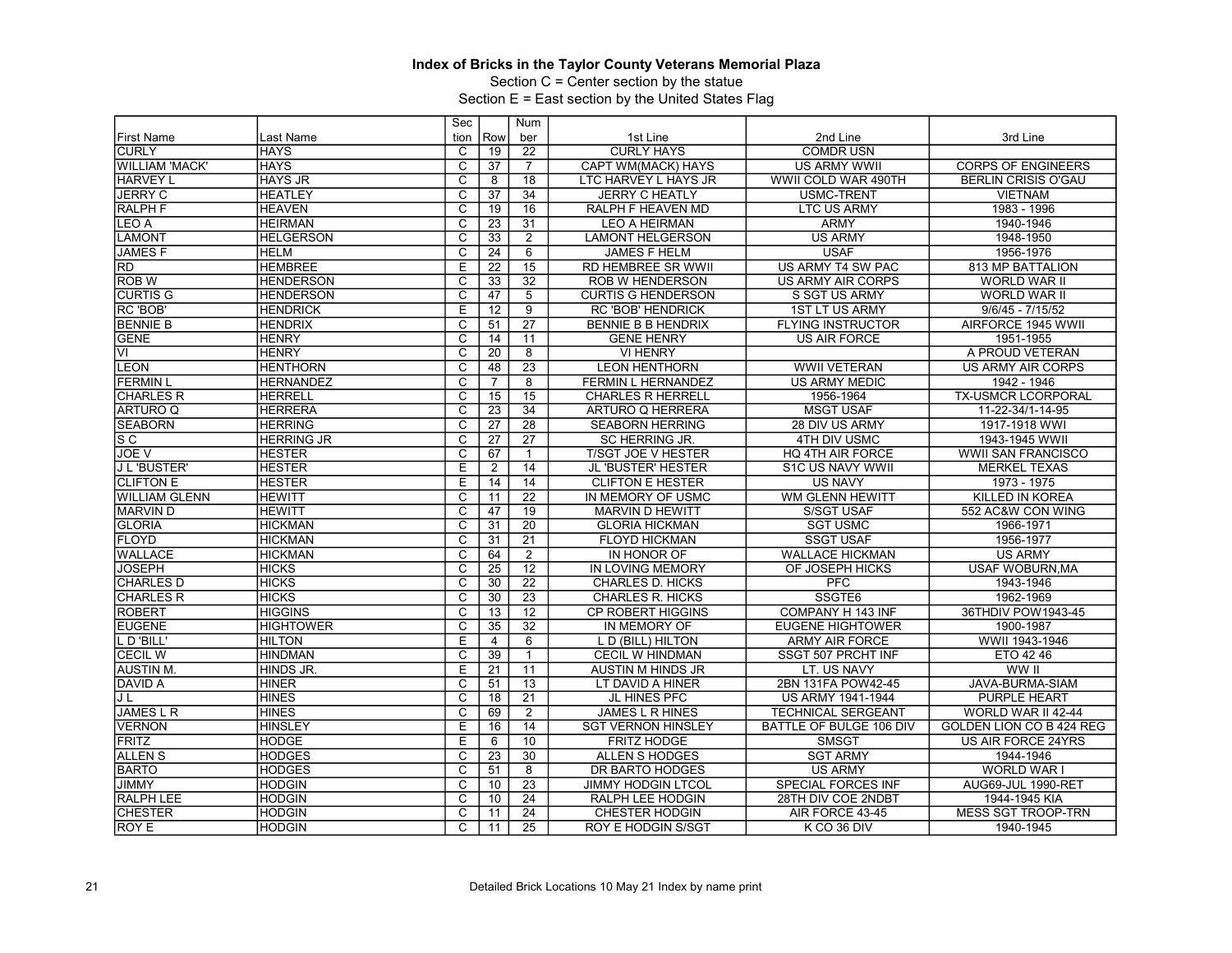Section C = Center section by the statue

|                          |                   | Sec                     |                 | Num             |                           |                           |                            |
|--------------------------|-------------------|-------------------------|-----------------|-----------------|---------------------------|---------------------------|----------------------------|
| <b>First Name</b>        | Last Name         | tion                    | Row             | ber             | 1st Line                  | 2nd Line                  | 3rd Line                   |
| <b>CURLY</b>             | <b>HAYS</b>       | C                       | 19              | 22              | <b>CURLY HAYS</b>         | <b>COMDRUSN</b>           |                            |
| <b>WILLIAM 'MACK'</b>    | <b>HAYS</b>       | $\overline{\text{c}}$   | 37              | $\overline{7}$  | CAPT WM(MACK) HAYS        | US ARMY WWII              | <b>CORPS OF ENGINEERS</b>  |
| <b>HARVEY L</b>          | <b>HAYS JR</b>    | $\overline{\mathsf{c}}$ | 8               | 18              | LTC HARVEY L HAYS JR      | WWII COLD WAR 490TH       | <b>BERLIN CRISIS O'GAU</b> |
| <b>JERRY C</b>           | <b>HEATLEY</b>    | $\overline{C}$          | 37              | 34              | <b>JERRY C HEATLY</b>     | <b>USMC-TRENT</b>         | <b>VIETNAM</b>             |
| <b>RALPH F</b>           | <b>HEAVEN</b>     | $\overline{\text{c}}$   | 19              | 16              | <b>RALPH F HEAVEN MD</b>  | <b>LTC US ARMY</b>        | 1983 - 1996                |
| LEO A                    | <b>HEIRMAN</b>    | $\overline{\mathsf{c}}$ | 23              | 31              | <b>LEO A HEIRMAN</b>      | <b>ARMY</b>               | 1940-1946                  |
| <b>LAMONT</b>            | <b>HELGERSON</b>  | $\overline{\text{c}}$   | 33              | $\overline{2}$  | <b>LAMONT HELGERSON</b>   | <b>US ARMY</b>            | 1948-1950                  |
| <b>JAMESF</b>            | <b>HELM</b>       | $\overline{\text{c}}$   | 24              | 6               | <b>JAMES F HELM</b>       | <b>USAF</b>               | 1956-1976                  |
| $\overline{RD}$          | <b>HEMBREE</b>    | E                       | $\overline{22}$ | 15              | <b>RD HEMBREE SR WWII</b> | <b>US ARMY T4 SW PAC</b>  | <b>813 MP BATTALION</b>    |
| <b>ROB W</b>             | <b>HENDERSON</b>  | C                       | 33              | 32              | ROB W HENDERSON           | <b>US ARMY AIR CORPS</b>  | <b>WORLD WAR II</b>        |
| <b>CURTIS G</b>          | <b>HENDERSON</b>  | $\overline{\mathsf{c}}$ | 47              | $\overline{5}$  | <b>CURTIS G HENDERSON</b> | S SGT US ARMY             | WORLD WAR II               |
| RC 'BOB'                 | <b>HENDRICK</b>   | E                       | 12              | 9               | <b>RC 'BOB' HENDRICK</b>  | <b>1ST LT US ARMY</b>     | $9/6/45 - 7/15/52$         |
| <b>BENNIE B</b>          | <b>HENDRIX</b>    | $\overline{\text{c}}$   | 51              | 27              | BENNIE B B HENDRIX        | <b>FLYING INSTRUCTOR</b>  | AIRFORCE 1945 WWII         |
| <b>GENE</b>              | <b>HENRY</b>      | $\overline{\mathsf{c}}$ | 14              | 11              | <b>GENE HENRY</b>         | <b>US AIR FORCE</b>       | 1951-1955                  |
| $\overline{\mathsf{VI}}$ | <b>HENRY</b>      | $\overline{\text{c}}$   | 20              | $\overline{8}$  | <b>VI HENRY</b>           |                           | A PROUD VETERAN            |
| <b>LEON</b>              | <b>HENTHORN</b>   | $\overline{\text{c}}$   | 48              | 23              | <b>LEON HENTHORN</b>      | <b>WWII VETERAN</b>       | <b>US ARMY AIR CORPS</b>   |
| <b>FERMIN L</b>          | <b>HERNANDEZ</b>  | C                       | $\overline{7}$  | 8               | FERMIN L HERNANDEZ        | <b>US ARMY MEDIC</b>      | 1942 - 1946                |
| <b>CHARLES R</b>         | <b>HERRELL</b>    | $\overline{\text{c}}$   | 15              | $\overline{15}$ | <b>CHARLES R HERRELL</b>  | 1956-1964                 | TX-USMCR LCORPORAL         |
| <b>ARTURO Q</b>          | <b>HERRERA</b>    | C                       | $\overline{23}$ | $\overline{34}$ | ARTURO Q HERRERA          | <b>MSGT USAF</b>          | 11-22-34/1-14-95           |
| <b>SEABORN</b>           | <b>HERRING</b>    | $\overline{\mathsf{c}}$ | 27              | 28              | <b>SEABORN HERRING</b>    | 28 DIV US ARMY            | 1917-1918 WWI              |
| $\overline{\mathsf{sc}}$ | <b>HERRING JR</b> | $\overline{\text{c}}$   | 27              | 27              | SC HERRING JR.            | 4TH DIV USMC              | 1943-1945 WWII             |
| JOE V                    | <b>HESTER</b>     | $\overline{\mathsf{c}}$ | 67              | 1               | <b>T/SGT JOE V HESTER</b> | HQ 4TH AIR FORCE          | <b>WWII SAN FRANCISCO</b>  |
| J L 'BUSTER'             | <b>HESTER</b>     | $\overline{E}$          | $\overline{2}$  | $\overline{14}$ | <b>JL 'BUSTER' HESTER</b> | S1C US NAVY WWII          | <b>MERKEL TEXAS</b>        |
| <b>CLIFTON E</b>         | <b>HESTER</b>     | E                       | 14              | 14              | <b>CLIFTON E HESTER</b>   | <b>US NAVY</b>            | 1973 - 1975                |
| WILLIAM GLENN            | <b>HEWITT</b>     | C                       | 11              | $\overline{22}$ | IN MEMORY OF USMC         | <b>WM GLENN HEWITT</b>    | KILLED IN KOREA            |
| <b>MARVIND</b>           | <b>HEWITT</b>     | $\overline{C}$          | 47              | 19              | <b>MARVIN D HEWITT</b>    | <b>S/SGT USAF</b>         | 552 AC&W CON WING          |
| GLORIA                   | <b>HICKMAN</b>    | C                       | 31              | 20              | <b>GLORIA HICKMAN</b>     | <b>SGT USMC</b>           | 1966-1971                  |
| <b>FLOYD</b>             | <b>HICKMAN</b>    | $\overline{\mathrm{c}}$ | 31              | $\overline{21}$ | <b>FLOYD HICKMAN</b>      | <b>SSGT USAF</b>          | 1956-1977                  |
| <b>WALLACE</b>           | <b>HICKMAN</b>    | C                       | 64              | $\overline{2}$  | IN HONOR OF               | <b>WALLACE HICKMAN</b>    | <b>US ARMY</b>             |
| <b>JOSEPH</b>            | <b>HICKS</b>      | C                       | 25              | 12              | <b>IN LOVING MEMORY</b>   | OF JOSEPH HICKS           | <b>USAF WOBURN, MA</b>     |
| <b>CHARLES D</b>         | <b>HICKS</b>      | $\overline{\mathrm{c}}$ | 30              | $\overline{22}$ | <b>CHARLES D. HICKS</b>   | <b>PFC</b>                | 1943-1946                  |
| <b>CHARLES R</b>         | <b>HICKS</b>      | $\overline{\text{c}}$   | 30              | $\overline{23}$ | <b>CHARLES R. HICKS</b>   | SSGTE6                    | 1962-1969                  |
| <b>ROBERT</b>            | <b>HIGGINS</b>    | C                       | 13              | 12              | <b>CP ROBERT HIGGINS</b>  | COMPANY H 143 INF         | 36THDIV POW1943-45         |
| <b>EUGENE</b>            | <b>HIGHTOWER</b>  | $\overline{\mathrm{c}}$ | 35              | $\overline{32}$ | IN MEMORY OF              | <b>EUGENE HIGHTOWER</b>   | 1900-1987                  |
| L D'BILL'                | <b>HILTON</b>     | E                       | $\overline{4}$  | 6               | L D (BILL) HILTON         | <b>ARMY AIR FORCE</b>     | WWII 1943-1946             |
| <b>CECIL W</b>           | <b>HINDMAN</b>    | $\overline{\text{c}}$   | 39              | $\mathbf{1}$    | <b>CECIL W HINDMAN</b>    | SSGT 507 PRCHT INF        | ETO 42 46                  |
| <b>AUSTIN M.</b>         | HINDS JR.         | E                       | 21              | 11              | <b>AUSTIN M HINDS JR</b>  | LT. US NAVY               | WW II                      |
| DAVID A                  | <b>HINER</b>      | C                       | 51              | $\overline{13}$ | LT DAVID A HINER          | 2BN 131FA POW42-45        | JAVA-BURMA-SIAM            |
| JL                       | <b>HINES</b>      | $\overline{\mathrm{c}}$ | 18              | $\overline{21}$ | JL HINES PFC              | US ARMY 1941-1944         | <b>PURPLE HEART</b>        |
| <b>JAMESLR</b>           | <b>HINES</b>      | $\overline{\mathrm{c}}$ | 69              | $\overline{2}$  | <b>JAMES L R HINES</b>    | TECHNICAL SERGEANT        | WORLD WAR II 42-44         |
| <b>VERNON</b>            | <b>HINSLEY</b>    | E                       | 16              | 14              | <b>SGT VERNON HINSLEY</b> | BATTLE OF BULGE 106 DIV   | GOLDEN LION CO B 424 REG   |
| <b>FRITZ</b>             | <b>HODGE</b>      | Е                       | 6               | 10              | <b>FRITZ HODGE</b>        | <b>SMSGT</b>              | US AIR FORCE 24YRS         |
| <b>ALLENS</b>            | <b>HODGES</b>     | $\overline{C}$          | 23              | 30              | <b>ALLEN S HODGES</b>     | <b>SGT ARMY</b>           | 1944-1946                  |
| <b>BARTO</b>             | <b>HODGES</b>     | $\overline{\text{c}}$   | 51              | $\overline{8}$  | DR BARTO HODGES           | <b>US ARMY</b>            | WORLD WAR I                |
| <b>JIMMY</b>             | <b>HODGIN</b>     | C                       | 10              | 23              | <b>JIMMY HODGIN LTCOL</b> | <b>SPECIAL FORCES INF</b> | AUG69-JUL 1990-RET         |
| <b>RALPH LEE</b>         | <b>HODGIN</b>     | C                       | 10              | 24              | RALPH LEE HODGIN          | 28TH DIV COE 2NDBT        | 1944-1945 KIA              |
| <b>CHESTER</b>           | <b>HODGIN</b>     | C                       | 11              | $\overline{24}$ | <b>CHESTER HODGIN</b>     | AIR FORCE 43-45           | <b>MESS SGT TROOP-TRN</b>  |
| IROY E                   | <b>HODGIN</b>     | C                       | 11              | 25              | <b>ROY E HODGIN S/SGT</b> | K CO 36 DIV               | 1940-1945                  |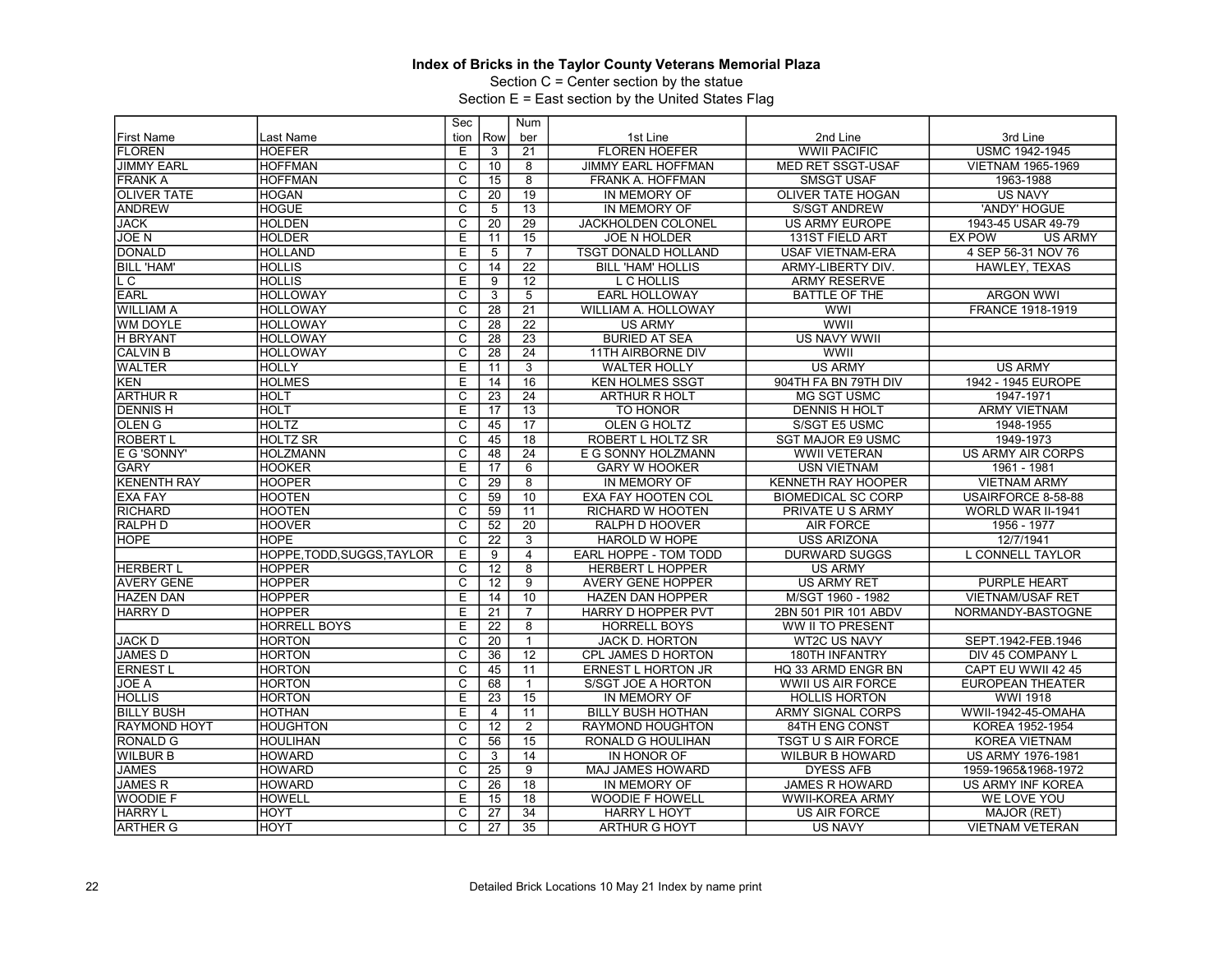Section C = Center section by the statue

|                     |                         | Sec                     |                 | Num             |                           |                           |                                 |
|---------------------|-------------------------|-------------------------|-----------------|-----------------|---------------------------|---------------------------|---------------------------------|
| <b>First Name</b>   | Last Name               | tion                    | Row             | ber             | 1st Line                  | 2nd Line                  | 3rd Line                        |
| <b>FLOREN</b>       | <b>HOEFER</b>           | E                       | 3               | 21              | <b>FLOREN HOEFER</b>      | <b>WWII PACIFIC</b>       | <b>USMC 1942-1945</b>           |
| <b>JIMMY EARL</b>   | <b>HOFFMAN</b>          | $\overline{\text{c}}$   | 10              | 8               | <b>JIMMY EARL HOFFMAN</b> | MED RET SSGT-USAF         | VIETNAM 1965-1969               |
| <b>FRANK A</b>      | <b>HOFFMAN</b>          | $\overline{\text{c}}$   | 15              | 8               | FRANK A. HOFFMAN          | <b>SMSGT USAF</b>         | 1963-1988                       |
| <b>OLIVER TATE</b>  | <b>HOGAN</b>            | $\overline{C}$          | $\overline{20}$ | 19              | IN MEMORY OF              | <b>OLIVER TATE HOGAN</b>  | <b>US NAVY</b>                  |
| <b>ANDREW</b>       | <b>HOGUE</b>            | $\overline{\text{c}}$   | $\overline{5}$  | 13              | IN MEMORY OF              | <b>S/SGT ANDREW</b>       | 'ANDY' HOGUE                    |
| <b>JACK</b>         | <b>HOLDEN</b>           | $\overline{\mathsf{c}}$ | 20              | $\overline{29}$ | <b>JACKHOLDEN COLONEL</b> | <b>US ARMY EUROPE</b>     | 1943-45 USAR 49-79              |
| <b>JOEN</b>         | <b>HOLDER</b>           | E                       | 11              | 15              | <b>JOE N HOLDER</b>       | 131ST FIELD ART           | <b>EX POW</b><br><b>US ARMY</b> |
| <b>DONALD</b>       | <b>HOLLAND</b>          | Ε                       | 5               | $\overline{7}$  | TSGT DONALD HOLLAND       | <b>USAF VIETNAM-ERA</b>   | 4 SEP 56-31 NOV 76              |
| <b>BILL 'HAM'</b>   | <b>HOLLIS</b>           | $\overline{\mathrm{c}}$ | 14              | $\overline{22}$ | <b>BILL 'HAM' HOLLIS</b>  | ARMY-LIBERTY DIV.         | HAWLEY. TEXAS                   |
| L C                 | <b>HOLLIS</b>           | E                       | 9               | 12              | L C HOLLIS                | <b>ARMY RESERVE</b>       |                                 |
| <b>EARL</b>         | <b>HOLLOWAY</b>         | $\overline{\text{c}}$   | $\overline{3}$  | $\overline{5}$  | <b>EARL HOLLOWAY</b>      | <b>BATTLE OF THE</b>      | <b>ARGON WWI</b>                |
| <b>WILLIAM A</b>    | <b>HOLLOWAY</b>         | $\overline{C}$          | 28              | $\overline{21}$ | WILLIAM A. HOLLOWAY       | <b>WWI</b>                | FRANCE 1918-1919                |
| <b>WM DOYLE</b>     | <b>HOLLOWAY</b>         | $\overline{\text{c}}$   | 28              | $\overline{22}$ | <b>US ARMY</b>            | WWII                      |                                 |
| <b>H BRYANT</b>     | <b>HOLLOWAY</b>         | $\overline{\mathsf{c}}$ | 28              | $\overline{23}$ | <b>BURIED AT SEA</b>      | <b>US NAVY WWII</b>       |                                 |
| <b>CALVIN B</b>     | <b>HOLLOWAY</b>         | C                       | 28              | 24              | <b>11TH AIRBORNE DIV</b>  | WWII                      |                                 |
| <b>WALTER</b>       | <b>HOLLY</b>            | E                       | 11              | $\overline{3}$  | <b>WALTER HOLLY</b>       | <b>US ARMY</b>            | <b>US ARMY</b>                  |
| KEN                 | <b>HOLMES</b>           | Ē                       | 14              | $\overline{16}$ | <b>KEN HOLMES SSGT</b>    | 904TH FA BN 79TH DIV      | 1942 - 1945 EUROPE              |
| <b>ARTHUR R</b>     | <b>HOLT</b>             | C                       | $\overline{23}$ | 24              | <b>ARTHUR R HOLT</b>      | <b>MG SGT USMC</b>        | 1947-1971                       |
| <b>DENNISH</b>      | <b>HOLT</b>             | Ε                       | $\overline{17}$ | 13              | TO HONOR                  | <b>DENNIS H HOLT</b>      | <b>ARMY VIETNAM</b>             |
| <b>OLEN G</b>       | <b>HOLTZ</b>            | $\overline{c}$          | 45              | $\overline{17}$ | <b>OLEN G HOLTZ</b>       | S/SGT E5 USMC             | 1948-1955                       |
| <b>ROBERT L</b>     | <b>HOLTZ SR</b>         | C                       | 45              | 18              | ROBERT L HOLTZ SR         | <b>SGT MAJOR E9 USMC</b>  | 1949-1973                       |
| E G 'SONNY'         | <b>HOLZMANN</b>         | $\overline{\text{c}}$   | 48              | $\overline{24}$ | E G SONNY HOLZMANN        | <b>WWII VETERAN</b>       | US ARMY AIR CORPS               |
| <b>GARY</b>         | <b>HOOKER</b>           | E                       | 17              | 6               | <b>GARY W HOOKER</b>      | <b>USN VIETNAM</b>        | 1961 - 1981                     |
| <b>KENENTH RAY</b>  | <b>HOOPER</b>           | C                       | 29              | $\overline{8}$  | IN MEMORY OF              | KENNETH RAY HOOPER        | <b>VIETNAM ARMY</b>             |
| <b>EXA FAY</b>      | <b>HOOTEN</b>           | $\overline{\text{c}}$   | 59              | 10              | EXA FAY HOOTEN COL        | <b>BIOMEDICAL SC CORP</b> | USAIRFORCE 8-58-88              |
| <b>RICHARD</b>      | <b>HOOTEN</b>           | $\overline{C}$          | 59              | 11              | <b>RICHARD W HOOTEN</b>   | PRIVATE U S ARMY          | WORLD WAR II-1941               |
| <b>RALPH D</b>      | <b>HOOVER</b>           | $\overline{\text{c}}$   | 52              | $\overline{20}$ | RALPH D HOOVER            | <b>AIR FORCE</b>          | 1956 - 1977                     |
| <b>HOPE</b>         | <b>HOPE</b>             | $\overline{\mathsf{c}}$ | 22              | $\overline{3}$  | HAROLD W HOPE             | <b>USS ARIZONA</b>        | 12/7/1941                       |
|                     | HOPPE.TODD.SUGGS.TAYLOR | E                       | 9               | $\overline{4}$  | EARL HOPPE - TOM TODD     | <b>DURWARD SUGGS</b>      | <b>L CONNELL TAYLOR</b>         |
| <b>HERBERT L</b>    | <b>HOPPER</b>           | $\overline{\text{c}}$   | 12              | $\overline{8}$  | <b>HERBERT L HOPPER</b>   | <b>US ARMY</b>            |                                 |
| <b>AVERY GENE</b>   | <b>HOPPER</b>           | $\overline{\mathrm{c}}$ | 12              | $\overline{9}$  | <b>AVERY GENE HOPPER</b>  | <b>US ARMY RET</b>        | <b>PURPLE HEART</b>             |
| <b>HAZEN DAN</b>    | <b>HOPPER</b>           | E                       | 14              | 10              | HAZEN DAN HOPPER          | M/SGT 1960 - 1982         | <b>VIETNAM/USAF RET</b>         |
| <b>HARRY D</b>      | <b>HOPPER</b>           | E                       | 21              | 7               | HARRY D HOPPER PVT        | 2BN 501 PIR 101 ABDV      | NORMANDY-BASTOGNE               |
|                     | <b>HORRELL BOYS</b>     | E                       | 22              | 8               | <b>HORRELL BOYS</b>       | WW II TO PRESENT          |                                 |
| <b>JACK D</b>       | <b>HORTON</b>           | C                       | 20              | $\mathbf{1}$    | JACK D. HORTON            | <b>WT2C US NAVY</b>       | SEPT.1942-FEB.1946              |
| <b>JAMES D</b>      | <b>HORTON</b>           | $\overline{\mathsf{c}}$ | 36              | $\overline{12}$ | CPL JAMES D HORTON        | 180TH INFANTRY            | DIV 45 COMPANY L                |
| <b>ERNEST L</b>     | <b>HORTON</b>           | $\overline{c}$          | 45              | 11              | <b>ERNEST L HORTON JR</b> | HQ 33 ARMD ENGR BN        | CAPT EU WWII 42 45              |
| JOE A               | <b>HORTON</b>           | $\overline{\text{c}}$   | 68              | $\mathbf{1}$    | S/SGT JOE A HORTON        | WWII US AIR FORCE         | <b>EUROPEAN THEATER</b>         |
| <b>HOLLIS</b>       | <b>HORTON</b>           | Ε                       | 23              | 15              | IN MEMORY OF              | <b>HOLLIS HORTON</b>      | <b>WWI 1918</b>                 |
| <b>BILLY BUSH</b>   | <b>HOTHAN</b>           | E                       | 4               | 11              | <b>BILLY BUSH HOTHAN</b>  | <b>ARMY SIGNAL CORPS</b>  | WWII-1942-45-OMAHA              |
| <b>RAYMOND HOYT</b> | <b>HOUGHTON</b>         | $\overline{\text{c}}$   | 12              | $\overline{2}$  | RAYMOND HOUGHTON          | 84TH ENG CONST            | KOREA 1952-1954                 |
| <b>RONALD G</b>     | <b>HOULIHAN</b>         | $\overline{\mathsf{c}}$ | 56              | $\overline{15}$ | RONALD G HOULIHAN         | <b>TSGT U S AIR FORCE</b> | <b>KOREA VIETNAM</b>            |
| <b>WILBUR B</b>     | <b>HOWARD</b>           | C                       | 3               | 14              | IN HONOR OF               | <b>WILBUR B HOWARD</b>    | <b>US ARMY 1976-1981</b>        |
| <b>JAMES</b>        | <b>HOWARD</b>           | $\overline{\text{c}}$   | 25              | $\overline{9}$  | MAJ JAMES HOWARD          | <b>DYESS AFB</b>          | 1959-1965&1968-1972             |
|                     |                         | $\overline{\mathrm{c}}$ |                 |                 |                           |                           |                                 |
| <b>JAMES R</b>      | <b>HOWARD</b>           |                         | $\overline{26}$ | 18              | IN MEMORY OF              | <b>JAMES R HOWARD</b>     | US ARMY INF KOREA               |
| <b>WOODIE F</b>     | <b>HOWELL</b>           | E                       | 15              | 18              | <b>WOODIE F HOWELL</b>    | <b>WWII-KOREA ARMY</b>    | WE LOVE YOU                     |
| <b>HARRY L</b>      | HOYT                    | $\overline{\mathrm{c}}$ | 27              | $\overline{34}$ | <b>HARRY L HOYT</b>       | <b>US AIR FORCE</b>       | MAJOR (RET)                     |
| <b>ARTHER G</b>     | HOYT                    | $\overline{C}$          | $\overline{27}$ | $\overline{35}$ | <b>ARTHUR G HOYT</b>      | <b>US NAVY</b>            | <b>VIETNAM VETERAN</b>          |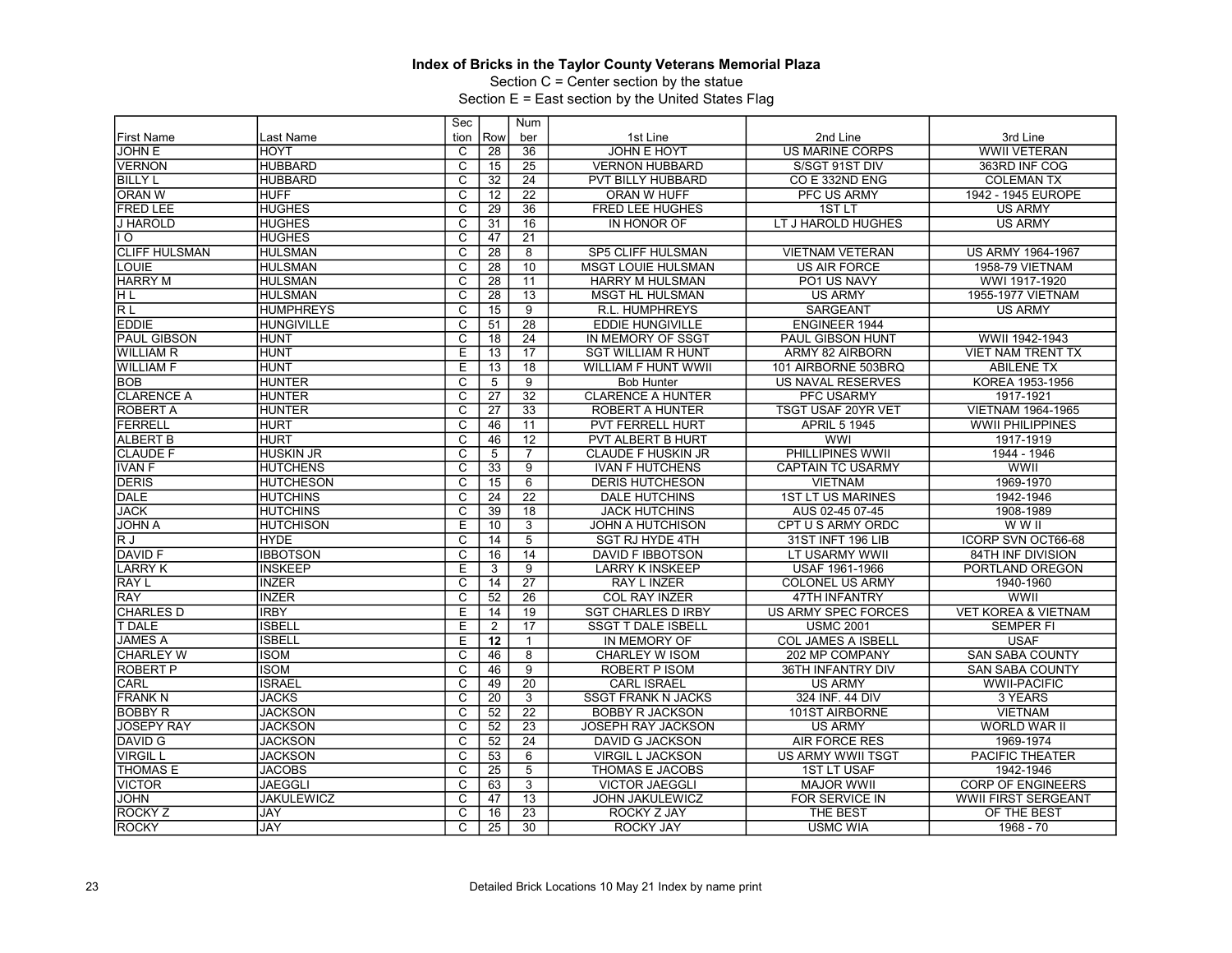Section C = Center section by the statue

|                      |                   | Sec                     |                 | Num             |                           |                           |                                |
|----------------------|-------------------|-------------------------|-----------------|-----------------|---------------------------|---------------------------|--------------------------------|
| <b>First Name</b>    | Last Name         | tion                    | Row             | ber             | 1st Line                  | 2nd Line                  | 3rd Line                       |
| <b>JOHN E</b>        | <b>HOYT</b>       | C                       | $\overline{28}$ | 36              | <b>JOHN E HOYT</b>        | <b>US MARINE CORPS</b>    | <b>WWII VETERAN</b>            |
| <b>VERNON</b>        | <b>HUBBARD</b>    | $\overline{\text{c}}$   | 15              | 25              | <b>VERNON HUBBARD</b>     | S/SGT 91ST DIV            | 363RD INF COG                  |
| <b>BILLY L</b>       | <b>HUBBARD</b>    | $\overline{\mathrm{c}}$ | 32              | $\overline{24}$ | PVT BILLY HUBBARD         | CO E 332ND ENG            | <b>COLEMAN TX</b>              |
| <b>ORAN W</b>        | <b>HUFF</b>       | $\overline{C}$          | 12              | $\overline{22}$ | ORAN W HUFF               | <b>PFC US ARMY</b>        | 1942 - 1945 EUROPE             |
| <b>FRED LEE</b>      | <b>HUGHES</b>     | $\overline{\text{c}}$   | 29              | 36              | FRED LEE HUGHES           | 1ST <sub>LT</sub>         | <b>US ARMY</b>                 |
| <b>J HAROLD</b>      | <b>HUGHES</b>     | $\overline{\mathsf{c}}$ | 31              | $\overline{16}$ | IN HONOR OF               | LT J HAROLD HUGHES        | <b>US ARMY</b>                 |
| 1 O                  | <b>HUGHES</b>     | C                       | 47              | 21              |                           |                           |                                |
| <b>CLIFF HULSMAN</b> | <b>HULSMAN</b>    | $\overline{\mathsf{c}}$ | $\overline{28}$ | $\overline{8}$  | SP5 CLIFF HULSMAN         | <b>VIETNAM VETERAN</b>    | US ARMY 1964-1967              |
| LOUIE                | <b>HULSMAN</b>    | $\overline{\mathsf{c}}$ | 28              | 10              | <b>MSGT LOUIE HULSMAN</b> | <b>US AIR FORCE</b>       | 1958-79 VIETNAM                |
| <b>HARRY M</b>       | <b>HULSMAN</b>    | C                       | 28              | 11              | <b>HARRY M HULSMAN</b>    | PO1 US NAVY               | WWI 1917-1920                  |
| ΗL                   | <b>HULSMAN</b>    | $\overline{\text{c}}$   | $\overline{28}$ | 13              | <b>MSGT HL HULSMAN</b>    | <b>US ARMY</b>            | 1955-1977 VIETNAM              |
| <b>RL</b>            | <b>HUMPHREYS</b>  | $\overline{C}$          | 15              | $\overline{9}$  | R.L. HUMPHREYS            | <b>SARGEANT</b>           | <b>US ARMY</b>                 |
| <b>EDDIE</b>         | <b>HUNGIVILLE</b> | $\overline{\text{c}}$   | 51              | 28              | <b>EDDIE HUNGIVILLE</b>   | <b>ENGINEER 1944</b>      |                                |
| <b>PAUL GIBSON</b>   | <b>HUNT</b>       | $\overline{\mathrm{c}}$ | 18              | $\overline{24}$ | IN MEMORY OF SSGT         | PAUL GIBSON HUNT          | WWII 1942-1943                 |
| <b>WILLIAM R</b>     | <b>HUNT</b>       | E                       | 13              | 17              | <b>SGT WILLIAM R HUNT</b> | <b>ARMY 82 AIRBORN</b>    | <b>VIET NAM TRENT TX</b>       |
| <b>WILLIAM F</b>     | <b>HUNT</b>       | E                       | 13              | 18              | WILLIAM F HUNT WWII       | 101 AIRBORNE 503BRQ       | <b>ABILENE TX</b>              |
| <b>BOB</b>           | <b>HUNTER</b>     | $\overline{\mathsf{c}}$ | 5               | $\overline{9}$  | <b>Bob Hunter</b>         | <b>US NAVAL RESERVES</b>  | KOREA 1953-1956                |
| <b>CLARENCE A</b>    | <b>HUNTER</b>     | C                       | $\overline{27}$ | 32              | <b>CLARENCE A HUNTER</b>  | <b>PFC USARMY</b>         | 1917-1921                      |
| <b>ROBERT A</b>      | <b>HUNTER</b>     | $\overline{\text{c}}$   | 27              | 33              | <b>ROBERT A HUNTER</b>    | <b>TSGT USAF 20YR VET</b> | VIETNAM 1964-1965              |
| <b>FERRELL</b>       | <b>HURT</b>       | $\overline{\mathsf{c}}$ | 46              | 11              | <b>PVT FERRELL HURT</b>   | <b>APRIL 5 1945</b>       | <b>WWII PHILIPPINES</b>        |
| <b>ALBERT B</b>      | <b>HURT</b>       | C                       | 46              | 12              | PVT ALBERT B HURT         | <b>WWI</b>                | 1917-1919                      |
| <b>CLAUDE F</b>      | <b>HUSKIN JR</b>  | $\overline{\text{c}}$   | $\overline{5}$  | $\overline{7}$  | CLAUDE F HUSKIN JR        | PHILLIPINES WWII          | 1944 - 1946                    |
| <b>IVAN F</b>        | <b>HUTCHENS</b>   | $\overline{c}$          | 33              | $\overline{9}$  | <b>IVAN F HUTCHENS</b>    | <b>CAPTAIN TC USARMY</b>  | WWII                           |
| <b>DERIS</b>         | <b>HUTCHESON</b>  | $\overline{c}$          | 15              | 6               | <b>DERIS HUTCHESON</b>    | <b>VIETNAM</b>            | 1969-1970                      |
| <b>DALE</b>          | <b>HUTCHINS</b>   | $\overline{\mathrm{c}}$ | 24              | $\overline{22}$ | <b>DALE HUTCHINS</b>      | <b>1ST LT US MARINES</b>  | 1942-1946                      |
| <b>JACK</b>          | <b>HUTCHINS</b>   | $\overline{C}$          | 39              | 18              | <b>JACK HUTCHINS</b>      | AUS 02-45 07-45           | 1908-1989                      |
| <b>JOHN A</b>        | <b>HUTCHISON</b>  | E                       | 10              | $\overline{3}$  | JOHN A HUTCHISON          | CPT U S ARMY ORDC         | W W II                         |
| R J                  | <b>HYDE</b>       | $\overline{\mathrm{c}}$ | 14              | $\overline{5}$  | <b>SGT RJ HYDE 4TH</b>    | 31ST INFT 196 LIB         | ICORP SVN OCT66-68             |
| <b>DAVID F</b>       | <b>IBBOTSON</b>   | Ć                       | 16              | 14              | <b>DAVID F IBBOTSON</b>   | LT USARMY WWII            | 84TH INF DIVISION              |
| <b>LARRY K</b>       | <b>INSKEEP</b>    | E                       | 3               | $\overline{9}$  | <b>LARRY K INSKEEP</b>    | USAF 1961-1966            | PORTLAND OREGON                |
| <b>RAY L</b>         | <b>INZER</b>      | $\overline{\mathsf{c}}$ | 14              | $\overline{27}$ | <b>RAY L INZER</b>        | <b>COLONEL US ARMY</b>    | 1940-1960                      |
| <b>RAY</b>           | <b>INZER</b>      | C                       | 52              | 26              | <b>COL RAY INZER</b>      | <b>47TH INFANTRY</b>      | WWII                           |
| <b>CHARLES D</b>     | <b>IRBY</b>       | E                       | 14              | 19              | <b>SGT CHARLES D IRBY</b> | US ARMY SPEC FORCES       | <b>VET KOREA &amp; VIETNAM</b> |
| <b>T DALE</b>        | <b>ISBELL</b>     | E                       | 2               | 17              | <b>SSGT T DALE ISBELL</b> | <b>USMC 2001</b>          | <b>SEMPER FI</b>               |
| <b>JAMES A</b>       | <b>ISBELL</b>     | E                       | $\overline{12}$ | $\overline{1}$  | IN MEMORY OF              | COL JAMES A ISBELL        | <b>USAF</b>                    |
| <b>CHARLEY W</b>     | <b>ISOM</b>       | $\overline{\text{c}}$   | 46              | $\overline{8}$  | <b>CHARLEY W ISOM</b>     | 202 MP COMPANY            | <b>SAN SABA COUNTY</b>         |
| <b>ROBERT P</b>      | <b>ISOM</b>       | $\overline{C}$          | 46              | $\overline{9}$  | <b>ROBERT P ISOM</b>      | 36TH INFANTRY DIV         | <b>SAN SABA COUNTY</b>         |
| CARL                 | <b>ISRAEL</b>     | $\overline{\text{c}}$   | 49              | $\overline{20}$ | <b>CARL ISRAEL</b>        | <b>US ARMY</b>            | <b>WWII-PACIFIC</b>            |
| <b>FRANK N</b>       | <b>JACKS</b>      | $\overline{\mathrm{c}}$ | $\overline{20}$ | $\overline{3}$  | <b>SSGT FRANK N JACKS</b> | 324 INF. 44 DIV           | 3 YEARS                        |
| <b>BOBBY R</b>       | <b>JACKSON</b>    | $\overline{C}$          | 52              | 22              | <b>BOBBY R JACKSON</b>    | 101ST AIRBORNE            | <b>VIETNAM</b>                 |
| <b>JOSEPY RAY</b>    | <b>JACKSON</b>    | $\overline{\text{c}}$   | 52              | 23              | JOSEPH RAY JACKSON        | <b>US ARMY</b>            | <b>WORLD WAR II</b>            |
| DAVID G              | <b>JACKSON</b>    | $\overline{\mathsf{c}}$ | 52              | $\overline{24}$ | <b>DAVID G JACKSON</b>    | <b>AIR FORCE RES</b>      | 1969-1974                      |
| <b>VIRGIL L</b>      | <b>JACKSON</b>    | C                       | 53              | 6               | <b>VIRGIL L JACKSON</b>   | <b>US ARMY WWII TSGT</b>  | PACIFIC THEATER                |
| THOMAS E             | <b>JACOBS</b>     | $\overline{\text{c}}$   | 25              | $\overline{5}$  | THOMAS E JACOBS           | <b>1ST LT USAF</b>        | 1942-1946                      |
| <b>VICTOR</b>        | <b>JAEGGLI</b>    | $\overline{\mathsf{c}}$ | 63              | $\overline{3}$  | <b>VICTOR JAEGGLI</b>     | <b>MAJOR WWII</b>         | <b>CORP OF ENGINEERS</b>       |
| <b>JOHN</b>          | <b>JAKULEWICZ</b> | C                       | 47              | 13              | <b>JOHN JAKULEWICZ</b>    | FOR SERVICE IN            | WWII FIRST SERGEANT            |
| ROCKY <sub>Z</sub>   | <b>JAY</b>        | $\overline{\mathrm{c}}$ | 16              | $\overline{23}$ | <b>ROCKY Z JAY</b>        | THE BEST                  | OF THE BEST                    |
| <b>ROCKY</b>         | <b>JAY</b>        | $\overline{C}$          | $\overline{25}$ | $\overline{30}$ | <b>ROCKY JAY</b>          | <b>USMC WIA</b>           | 1968 - 70                      |
|                      |                   |                         |                 |                 |                           |                           |                                |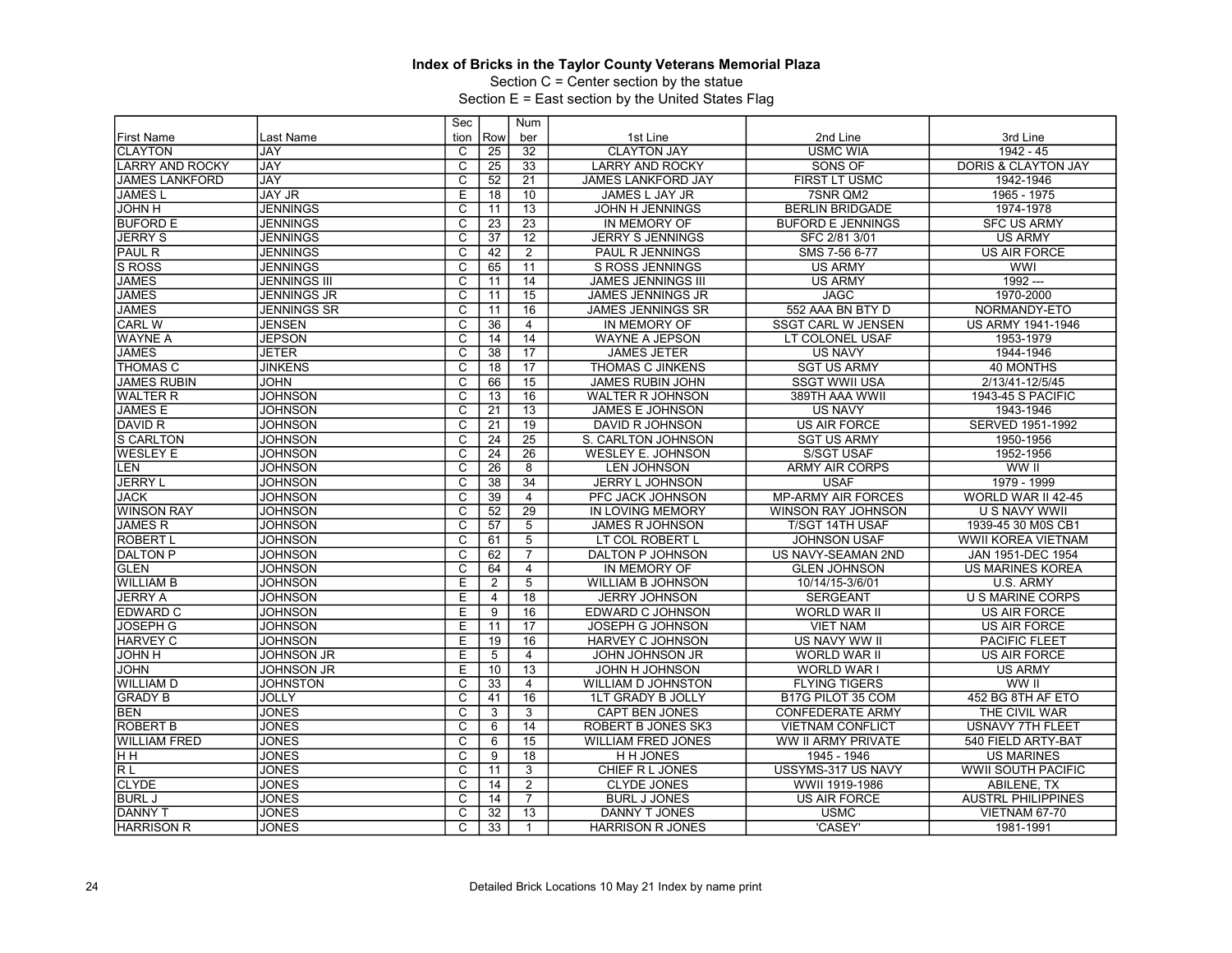Section C = Center section by the statue

|                        |                     | Sec                     |                 | Num             |                           |                               |                                |
|------------------------|---------------------|-------------------------|-----------------|-----------------|---------------------------|-------------------------------|--------------------------------|
| <b>First Name</b>      | Last Name           | tion                    | Row             | ber             | 1st Line                  | 2nd Line                      | 3rd Line                       |
| <b>CLAYTON</b>         | JAY                 | C                       | $\overline{25}$ | 32              | <b>CLAYTON JAY</b>        | <b>USMC WIA</b>               | 1942 - 45                      |
| <b>LARRY AND ROCKY</b> | <b>JAY</b>          | $\overline{\mathsf{c}}$ | 25              | 33              | <b>LARRY AND ROCKY</b>    | SONS OF                       | <b>DORIS &amp; CLAYTON JAY</b> |
| <b>JAMES LANKFORD</b>  | <b>JAY</b>          | $\overline{\mathrm{c}}$ | $\overline{52}$ | 21              | <b>JAMES LANKFORD JAY</b> | FIRST LT USMC                 | 1942-1946                      |
| <b>JAMESL</b>          | <b>JAY JR</b>       | Ē                       | 18              | 10              | JAMES L JAY JR            | 7SNR QM2                      | 1965 - 1975                    |
| <b>JOHN H</b>          | <b>JENNINGS</b>     | $\overline{\text{c}}$   | 11              | 13              | <b>JOHN H JENNINGS</b>    | <b>BERLIN BRIDGADE</b>        | 1974-1978                      |
| <b>BUFORD E</b>        | <b>JENNINGS</b>     | $\overline{\mathrm{c}}$ | $\overline{23}$ | $\overline{23}$ | IN MEMORY OF              | <b>BUFORD E JENNINGS</b>      | <b>SFC US ARMY</b>             |
| <b>JERRY S</b>         | <b>JENNINGS</b>     | $\overline{\text{c}}$   | $\overline{37}$ | $\overline{12}$ | <b>JERRY S JENNINGS</b>   | SFC 2/81 3/01                 | <b>US ARMY</b>                 |
| <b>PAUL R</b>          | <b>JENNINGS</b>     | $\overline{\mathsf{c}}$ | 42              | $\overline{2}$  | <b>PAUL R JENNINGS</b>    | SMS 7-56 6-77                 | <b>US AIR FORCE</b>            |
| S ROSS                 | <b>JENNINGS</b>     | $\overline{\mathsf{c}}$ | 65              | $\overline{11}$ | S ROSS JENNINGS           | <b>US ARMY</b>                | <b>WWI</b>                     |
| <b>JAMES</b>           | <b>JENNINGS III</b> | $\overline{C}$          | 11              | 14              | <b>JAMES JENNINGS III</b> | <b>US ARMY</b>                | $1992 -$                       |
| <b>JAMES</b>           | <b>JENNINGS JR</b>  | $\overline{\mathrm{c}}$ | $\overline{11}$ | $\overline{15}$ | <b>JAMES JENNINGS JR</b>  | <b>JAGC</b>                   | 1970-2000                      |
| <b>JAMES</b>           | <b>JENNINGS SR</b>  | $\overline{C}$          | 11              | 16              | <b>JAMES JENNINGS SR</b>  | 552 AAA BN BTY D              | NORMANDY-ETO                   |
| <b>CARL W</b>          | <b>JENSEN</b>       | $\overline{\text{c}}$   | 36              | $\overline{4}$  | IN MEMORY OF              | <b>SSGT CARL W JENSEN</b>     | US ARMY 1941-1946              |
| <b>WAYNE A</b>         | <b>JEPSON</b>       | $\overline{\text{c}}$   | 14              | $\overline{14}$ | <b>WAYNE A JEPSON</b>     | LT COLONEL USAF               | 1953-1979                      |
| <b>JAMES</b>           | <b>JETER</b>        | $\overline{\text{c}}$   | $\overline{38}$ | $\overline{17}$ | <b>JAMES JETER</b>        | <b>US NAVY</b>                | 1944-1946                      |
| THOMAS C               | <b>JINKENS</b>      | $\overline{\mathsf{c}}$ | 18              | 17              | <b>THOMAS C JINKENS</b>   | <b>SGT US ARMY</b>            | <b>40 MONTHS</b>               |
| <b>JAMES RUBIN</b>     | <b>JOHN</b>         | $\overline{\mathrm{c}}$ | 66              | 15              | <b>JAMES RUBIN JOHN</b>   | <b>SSGT WWII USA</b>          | 2/13/41-12/5/45                |
| <b>WALTER R</b>        | <b>JOHNSON</b>      | $\overline{c}$          | $\overline{13}$ | 16              | <b>WALTER R JOHNSON</b>   | 389TH AAA WWII                | 1943-45 S PACIFIC              |
| <b>JAMES E</b>         | <b>JOHNSON</b>      | $\overline{\text{c}}$   | 21              | 13              | <b>JAMES E JOHNSON</b>    | <b>US NAVY</b>                | 1943-1946                      |
| DAVID R                | <b>JOHNSON</b>      | $\overline{c}$          | 21              | $\overline{19}$ | DAVID R JOHNSON           | <b>US AIR FORCE</b>           | SERVED 1951-1992               |
| <b>S CARLTON</b>       | <b>JOHNSON</b>      | C                       | $\overline{24}$ | $\overline{25}$ | S. CARLTON JOHNSON        | <b>SGT US ARMY</b>            | 1950-1956                      |
| <b>WESLEY E</b>        | <b>JOHNSON</b>      | $\overline{\mathsf{c}}$ | 24              | $\overline{26}$ | <b>WESLEY E. JOHNSON</b>  | <b>S/SGT USAF</b>             | 1952-1956                      |
| LEN                    | <b>JOHNSON</b>      | $\overline{\mathrm{c}}$ | 26              | 8               | <b>LEN JOHNSON</b>        | <b>ARMY AIR CORPS</b>         | WW II                          |
| <b>JERRY L</b>         | <b>JOHNSON</b>      | C                       | 38              | 34              | <b>JERRY L JOHNSON</b>    | <b>USAF</b>                   | 1979 - 1999                    |
| <b>JACK</b>            | <b>JOHNSON</b>      | $\overline{\mathrm{c}}$ | 39              | $\overline{4}$  | PFC JACK JOHNSON          | <b>MP-ARMY AIR FORCES</b>     | WORLD WAR II 42-45             |
| <b>WINSON RAY</b>      | <b>JOHNSON</b>      | С                       | 52              | 29              | <b>IN LOVING MEMORY</b>   | <b>WINSON RAY JOHNSON</b>     | U S NAVY WWII                  |
| <b>JAMES R</b>         | <b>JOHNSON</b>      | $\overline{\text{c}}$   | 57              | $\overline{5}$  | <b>JAMES R JOHNSON</b>    | T/SGT 14TH USAF               | 1939-45 30 M0S CB1             |
| <b>ROBERT L</b>        | <b>JOHNSON</b>      | C                       | 61              | 5               | LT COL ROBERT L           | <b>JOHNSON USAF</b>           | WWII KOREA VIETNAM             |
| <b>DALTON P</b>        | <b>JOHNSON</b>      | $\overline{\text{c}}$   | 62              | $\overline{7}$  | DALTON P JOHNSON          | US NAVY-SEAMAN 2ND            | JAN 1951-DEC 1954              |
| <b>GLEN</b>            | <b>JOHNSON</b>      | С                       | 64              | $\overline{4}$  | IN MEMORY OF              | <b>GLEN JOHNSON</b>           | <b>US MARINES KOREA</b>        |
| <b>WILLIAM B</b>       | <b>JOHNSON</b>      | E                       | $\overline{2}$  | 5               | <b>WILLIAM B JOHNSON</b>  | 10/14/15-3/6/01               | U.S. ARMY                      |
| <b>JERRY A</b>         | <b>JOHNSON</b>      | $\overline{E}$          | 4               | $\overline{18}$ | <b>JERRY JOHNSON</b>      | <b>SERGEANT</b>               | <b>U S MARINE CORPS</b>        |
| <b>EDWARD C</b>        | <b>JOHNSON</b>      | E                       | 9               | 16              | EDWARD C JOHNSON          | <b>WORLD WAR II</b>           | <b>US AIR FORCE</b>            |
| JOSEPH G               | <b>JOHNSON</b>      | Ε                       | 11              | 17              | <b>JOSEPH G JOHNSON</b>   | <b>VIET NAM</b>               | <b>US AIR FORCE</b>            |
| <b>HARVEY C</b>        | <b>JOHNSON</b>      | E                       | 19              | 16              | HARVEY C JOHNSON          | US NAVY WW II                 | <b>PACIFIC FLEET</b>           |
| H <i>H</i> OL          | <b>JOHNSON JR</b>   | E                       | 5               | $\overline{4}$  | <b>JOHN JOHNSON JR</b>    | <b>WORLD WAR II</b>           | <b>US AIR FORCE</b>            |
| <b>JOHN</b>            | <b>JOHNSON JR</b>   | E                       | 10              | $\overline{13}$ | JOHN H JOHNSON            | WORLD WAR I                   | <b>US ARMY</b>                 |
| <b>WILLIAM D</b>       | <b>JOHNSTON</b>     | С                       | 33              | $\overline{4}$  | <b>WILLIAM D JOHNSTON</b> | <b>FLYING TIGERS</b>          | WW II                          |
| <b>GRADY B</b>         | <b>JOLLY</b>        | С                       | 41              | 16              | <b>1LT GRADY B JOLLY</b>  | B <sub>17G</sub> PILOT 35 COM | 452 BG 8TH AF ETO              |
| <b>BEN</b>             | <b>JONES</b>        | $\overline{\mathsf{c}}$ | 3               | $\overline{3}$  | <b>CAPT BEN JONES</b>     | <b>CONFEDERATE ARMY</b>       | THE CIVIL WAR                  |
| <b>ROBERT B</b>        | <b>JONES</b>        | C                       | 6               | 14              | ROBERT B JONES SK3        | <b>VIETNAM CONFLICT</b>       | <b>USNAVY 7TH FLEET</b>        |
| <b>WILLIAM FRED</b>    | <b>JONES</b>        | C                       | 6               | 15              | <b>WILLIAM FRED JONES</b> | <b>WW II ARMY PRIVATE</b>     | 540 FIELD ARTY-BAT             |
| Iнн                    | <b>JONES</b>        | C                       | 9               | 18              | <b>H H JONES</b>          | 1945 - 1946                   | <b>US MARINES</b>              |
| RL                     | <b>JONES</b>        | C                       | 11              | 3               | CHIEF R L JONES           | USSYMS-317 US NAVY            | <b>WWII SOUTH PACIFIC</b>      |
| <b>CLYDE</b>           | <b>JONES</b>        | C                       | 14              | 2               | <b>CLYDE JONES</b>        | WWII 1919-1986                | ABILENE, TX                    |
| <b>BURL J</b>          | <b>JONES</b>        | C                       | 14              | $\overline{7}$  | <b>BURL J JONES</b>       | <b>US AIR FORCE</b>           | <b>AUSTRL PHILIPPINES</b>      |
| <b>DANNY T</b>         | <b>JONES</b>        | C                       | 32              | $\overline{13}$ | DANNY T JONES             | <b>USMC</b>                   | <b>VIETNAM 67-70</b>           |
| <b>HARRISON R</b>      | <b>JONES</b>        | C                       | 33              | $\mathbf{1}$    | <b>HARRISON R JONES</b>   | 'CASEY'                       | 1981-1991                      |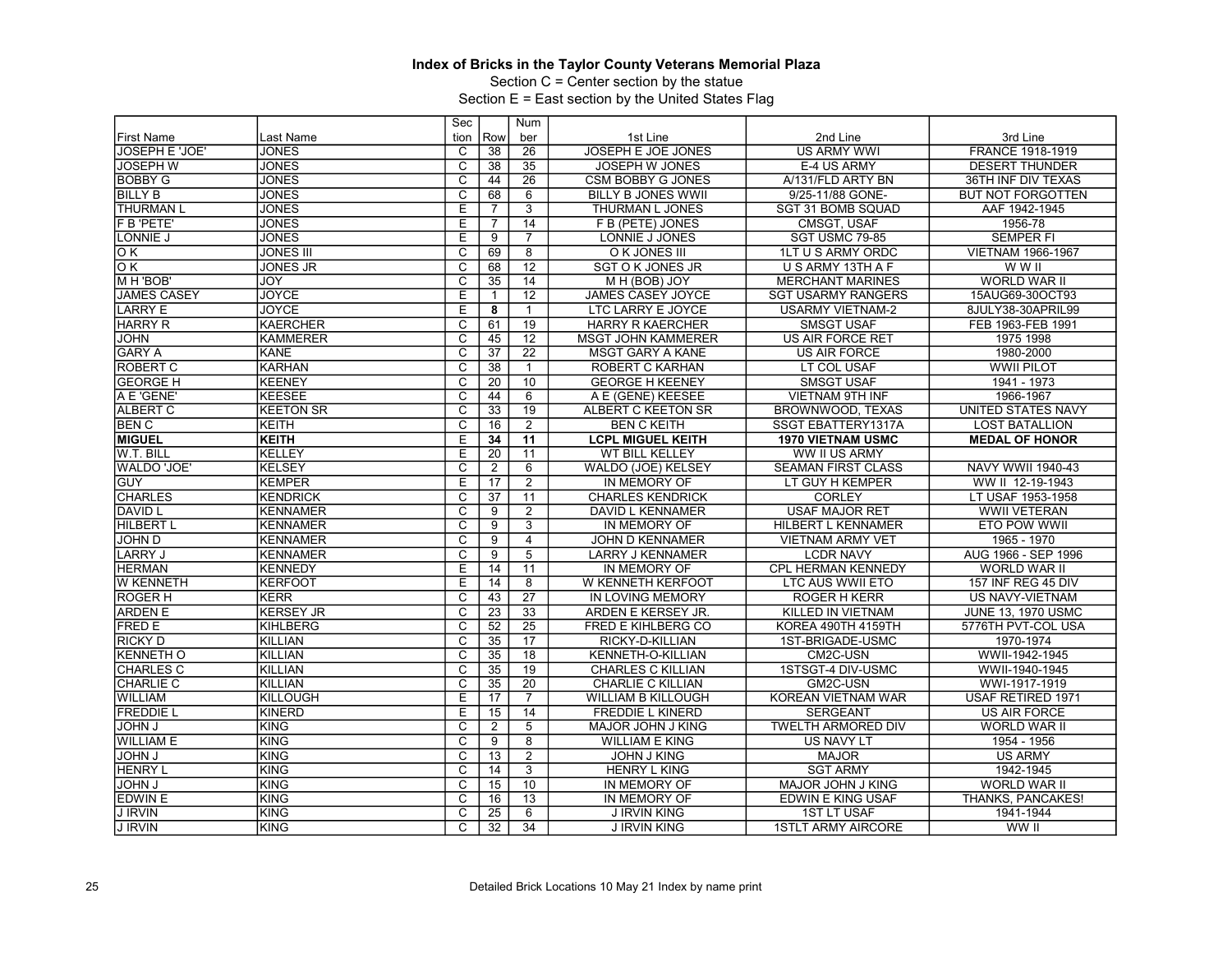Section C = Center section by the statue

|                    |                   | Sec                     |                 | <b>Num</b>      |                           |                           |                           |
|--------------------|-------------------|-------------------------|-----------------|-----------------|---------------------------|---------------------------|---------------------------|
| <b>First Name</b>  | Last Name         | tion                    | Row             | ber             | 1st Line                  | 2nd Line                  | 3rd Line                  |
| JOSEPH E 'JOE'     | <b>JONES</b>      | C                       | $\overline{38}$ | 26              | JOSEPH E JOE JONES        | <b>US ARMY WWI</b>        | FRANCE 1918-1919          |
| <b>JOSEPH W</b>    | <b>JONES</b>      | $\overline{\text{c}}$   | 38              | 35              | JOSEPH W JONES            | E-4 US ARMY               | <b>DESERT THUNDER</b>     |
| <b>BOBBY G</b>     | <b>JONES</b>      | $\overline{\mathrm{c}}$ | 44              | 26              | <b>CSM BOBBY G JONES</b>  | A/131/FLD ARTY BN         | 36TH INF DIV TEXAS        |
| <b>BILLY B</b>     | <b>JONES</b>      | C                       | 68              | 6               | <b>BILLY B JONES WWII</b> | 9/25-11/88 GONE-          | <b>BUT NOT FORGOTTEN</b>  |
| <b>THURMAN L</b>   | <b>JONES</b>      | E                       | $\overline{7}$  | $\overline{3}$  | THURMAN L JONES           | SGT 31 BOMB SQUAD         | AAF 1942-1945             |
| F B 'PETE'         | <b>JONES</b>      | E                       | $\overline{7}$  | $\overline{14}$ | F B (PETE) JONES          | <b>CMSGT. USAF</b>        | 1956-78                   |
| LONNIE J           | <b>JONES</b>      | E                       | 9               | $\overline{7}$  | LONNIE J JONES            | SGT USMC 79-85            | <b>SEMPER FI</b>          |
| OК                 | <b>JONES III</b>  | $\overline{\mathrm{c}}$ | 69              | $\overline{8}$  | O K JONES III             | 1LT U S ARMY ORDC         | <b>VIETNAM 1966-1967</b>  |
| $\overline{\circ}$ | <b>JONES JR</b>   | C                       | 68              | $\overline{12}$ | <b>SGT O K JONES JR</b>   | U S ARMY 13TH A F         | W W II                    |
| M H 'BOB'          | JOY               | $\overline{C}$          | 35              | 14              | M H (BOB) JOY             | <b>MERCHANT MARINES</b>   | <b>WORLD WAR II</b>       |
| <b>JAMES CASEY</b> | <b>JOYCE</b>      | Ε                       |                 | $\overline{12}$ | <b>JAMES CASEY JOYCE</b>  | <b>SGT USARMY RANGERS</b> | 15AUG69-30OCT93           |
| <b>LARRY E</b>     | <b>JOYCE</b>      | Е                       | 8               | $\mathbf{1}$    | LTC LARRY E JOYCE         | <b>USARMY VIETNAM-2</b>   | 8JULY38-30APRIL99         |
| <b>HARRY R</b>     | <b>KAERCHER</b>   | $\overline{\text{c}}$   | 61              | 19              | <b>HARRY R KAERCHER</b>   | <b>SMSGT USAF</b>         | FEB 1963-FEB 1991         |
| <b>JOHN</b>        | <b>KAMMERER</b>   | $\overline{\mathsf{c}}$ | 45              | $\overline{12}$ | <b>MSGT JOHN KAMMERER</b> | <b>US AIR FORCE RET</b>   | 1975 1998                 |
| <b>GARY A</b>      | <b>KANE</b>       | $\overline{\text{c}}$   | $\overline{37}$ | $\overline{22}$ | <b>MSGT GARY A KANE</b>   | <b>US AIR FORCE</b>       | 1980-2000                 |
| ROBERT C           | <b>KARHAN</b>     | $\overline{\text{c}}$   | 38              | $\mathbf{1}$    | <b>ROBERT C KARHAN</b>    | LT COL USAF               | <b>WWII PILOT</b>         |
| <b>GEORGE H</b>    | KEENEY            | С                       | $\overline{20}$ | 10              | <b>GEORGE H KEENEY</b>    | <b>SMSGT USAF</b>         | 1941 - 1973               |
| A E 'GENE'         | <b>KEESEE</b>     | $\overline{\text{c}}$   | 44              | 6               | A E (GENE) KEESEE         | <b>VIETNAM 9TH INF</b>    | 1966-1967                 |
| <b>ALBERT C</b>    | <b>IKEETON SR</b> | $\overline{\mathrm{c}}$ | $\overline{33}$ | 19              | <b>ALBERT C KEETON SR</b> | BROWNWOOD. TEXAS          | <b>UNITED STATES NAVY</b> |
| <b>BEN C</b>       | KEITH             | $\overline{\mathsf{c}}$ | 16              | 2               | <b>BEN C KEITH</b>        | SSGT EBATTERY1317A        | <b>LOST BATALLION</b>     |
| <b>MIGUEL</b>      | KEITH             | E                       | 34              | 11              | <b>LCPL MIGUEL KEITH</b>  | <b>1970 VIETNAM USMC</b>  | <b>MEDAL OF HONOR</b>     |
| W.T. BILL          | İKELLEY           | E                       | 20              | 11              | <b>WT BILL KELLEY</b>     | WW II US ARMY             |                           |
| WALDO 'JOE'        | KELSEY            | $\overline{\mathrm{c}}$ | 2               | $6\overline{}$  | WALDO (JOE) KELSEY        | <b>SEAMAN FIRST CLASS</b> | <b>NAVY WWII 1940-43</b>  |
| <b>GUY</b>         | <b>KEMPER</b>     | E                       | 17              | $\overline{2}$  | IN MEMORY OF              | LT GUY H KEMPER           | WW II 12-19-1943          |
| <b>CHARLES</b>     | KENDRICK          | C                       | $\overline{37}$ | 11              | <b>CHARLES KENDRICK</b>   | <b>CORLEY</b>             | LT USAF 1953-1958         |
| <b>DAVID L</b>     | KENNAMER          | $\overline{C}$          | 9               | $\overline{2}$  | DAVID L KENNAMER          | <b>USAF MAJOR RET</b>     | <b>WWII VETERAN</b>       |
| <b>HILBERT L</b>   | KENNAMER          | C                       | 9               | 3               | IN MEMORY OF              | HILBERT L KENNAMER        | ETO POW WWII              |
| <b>JOHN D</b>      | KENNAMER          | $\overline{\mathrm{c}}$ | 9               | $\overline{4}$  | <b>JOHN D KENNAMER</b>    | <b>VIETNAM ARMY VET</b>   | 1965 - 1970               |
| <b>LARRY J</b>     | KENNAMER          | $\overline{\text{c}}$   | 9               | $\overline{5}$  | LARRY J KENNAMER          | <b>LCDR NAVY</b>          | AUG 1966 - SEP 1996       |
| <b>HERMAN</b>      | <b>IKENNEDY</b>   | Е                       | 14              | 11              | IN MEMORY OF              | <b>CPL HERMAN KENNEDY</b> | <b>WORLD WAR II</b>       |
| <b>W KENNETH</b>   | KERFOOT           | E                       | 14              | $\overline{8}$  | <b>W KENNETH KERFOOT</b>  | <b>LTC AUS WWII ETO</b>   | 157 INF REG 45 DIV        |
| <b>ROGERH</b>      | <b>KERR</b>       | C                       | 43              | $\overline{27}$ | <b>IN LOVING MEMORY</b>   | <b>ROGER H KERR</b>       | <b>US NAVY-VIETNAM</b>    |
| <b>ARDEN E</b>     | <b>KERSEY JR</b>  | C                       | $\overline{23}$ | 33              | ARDEN E KERSEY JR.        | <b>KILLED IN VIETNAM</b>  | <b>JUNE 13, 1970 USMC</b> |
| <b>FRED E</b>      | KIHLBERG          | $\overline{\mathsf{C}}$ | 52              | $\overline{25}$ | FRED E KIHLBERG CO        | KOREA 490TH 4159TH        | 5776TH PVT-COL USA        |
| <b>RICKY D</b>     | <b>KILLIAN</b>    | C                       | $\overline{35}$ | 17              | RICKY-D-KILLIAN           | 1ST-BRIGADE-USMC          | 1970-1974                 |
| <b>KENNETH O</b>   | KILLIAN           | $\overline{\mathrm{c}}$ | 35              | $\overline{18}$ | KENNETH-O-KILLIAN         | CM2C-USN                  | WWII-1942-1945            |
| <b>CHARLES C</b>   | KILLIAN           | $\overline{\mathrm{c}}$ | 35              | $\overline{19}$ | <b>CHARLES C KILLIAN</b>  | 1STSGT-4 DIV-USMC         | WWII-1940-1945            |
| <b>CHARLIE C</b>   | İKILLIAN          | С                       | $\overline{35}$ | $\overline{20}$ | <b>CHARLIE C KILLIAN</b>  | GM2C-USN                  | WWI-1917-1919             |
| <b>WILLIAM</b>     | KILLOUGH          | E                       | 17              | $\overline{7}$  | WILLIAM B KILLOUGH        | <b>KOREAN VIETNAM WAR</b> | USAF RETIRED 1971         |
| <b>FREDDIE L</b>   | KINERD            | E                       | 15              | 14              | <b>FREDDIE L KINERD</b>   | <b>SERGEANT</b>           | <b>US AIR FORCE</b>       |
| <b>U MHOL</b>      | İKING             | C                       | $\overline{2}$  | 5               | MAJOR JOHN J KING         | <b>TWELTH ARMORED DIV</b> | <b>WORLD WAR II</b>       |
| <b>WILLIAM E</b>   | KING              | C                       | 9               | 8               | <b>WILLIAM E KING</b>     | US NAVY LT                | 1954 - 1956               |
| <b>JOHN J</b>      | <b>KING</b>       | C                       | $\overline{13}$ | $\overline{2}$  | <b>JOHN J KING</b>        | <b>MAJOR</b>              | <b>US ARMY</b>            |
| <b>HENRY L</b>     | KING              | C                       | 14              | $\overline{3}$  | <b>HENRY L KING</b>       | <b>SGT ARMY</b>           | 1942-1945                 |
| <b>JOHN J</b>      | İKING             | C                       | 15              | 10              | IN MEMORY OF              | MAJOR JOHN J KING         | <b>WORLD WAR II</b>       |
| <b>EDWIN E</b>     | KING              | C                       | 16              | 13              | IN MEMORY OF              | EDWIN E KING USAF         | THANKS, PANCAKES!         |
| <b>J IRVIN</b>     | KING              | $\overline{\mathrm{c}}$ | 25              | 6               | <b>J IRVIN KING</b>       | <b>1ST LT USAF</b>        | 1941-1944                 |
| <b>J IRVIN</b>     | İKING             | C.                      | $\overline{32}$ | $\overline{34}$ | <b>J IRVIN KING</b>       | <b>1STLT ARMY AIRCORE</b> | WW II                     |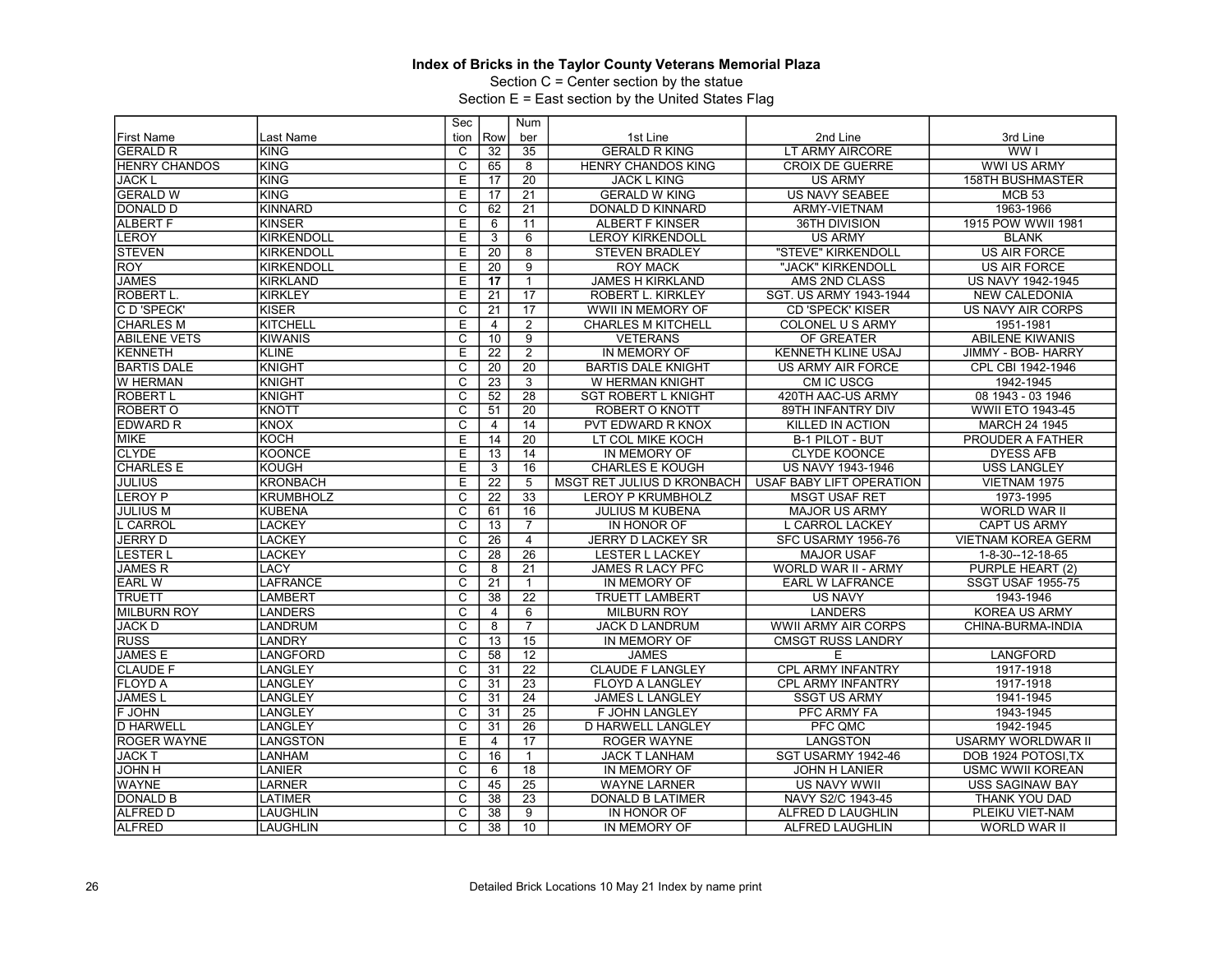Section C = Center section by the statue

|                      |                    | Sec                     |                 | <b>Num</b>      |                            |                           |                           |
|----------------------|--------------------|-------------------------|-----------------|-----------------|----------------------------|---------------------------|---------------------------|
| <b>First Name</b>    | Last Name          | tion                    | Row             | ber             | 1st Line                   | 2nd Line                  | 3rd Line                  |
| <b>GERALD R</b>      | İKING              | C                       | $\overline{32}$ | 35              | <b>GERALD R KING</b>       | LT ARMY AIRCORE           | WW I                      |
| <b>HENRY CHANDOS</b> | KING               | $\overline{\text{c}}$   | 65              | 8               | <b>HENRY CHANDOS KING</b>  | <b>CROIX DE GUERRE</b>    | <b>WWI US ARMY</b>        |
| <b>JACK L</b>        | KING               | Ē                       | 17              | $\overline{20}$ | <b>JACK L KING</b>         | <b>US ARMY</b>            | <b>158TH BUSHMASTER</b>   |
| <b>GERALD W</b>      | KING               | Е                       | 17              | $\overline{21}$ | <b>GERALD W KING</b>       | <b>US NAVY SEABEE</b>     | <b>MCB 53</b>             |
| <b>DONALD D</b>      | KINNARD            | $\overline{\text{c}}$   | 62              | $\overline{21}$ | DONALD D KINNARD           | ARMY-VIETNAM              | 1963-1966                 |
| <b>ALBERT F</b>      | <b>KINSER</b>      | Ē                       | 6               | 11              | <b>ALBERT F KINSER</b>     | 36TH DIVISION             | 1915 POW WWII 1981        |
| <b>LEROY</b>         | KIRKENDOLL         | E                       | 3               | $6\overline{6}$ | <b>LEROY KIRKENDOLL</b>    | <b>US ARMY</b>            | <b>BLANK</b>              |
| <b>STEVEN</b>        | KIRKENDOLL         | Έ                       | 20              | $\overline{8}$  | <b>STEVEN BRADLEY</b>      | "STEVE" KIRKENDOLL        | US AIR FORCE              |
| <b>ROY</b>           | <b>IKIRKENDOLL</b> | E                       | $\overline{20}$ | $\overline{9}$  | <b>ROY MACK</b>            | "JACK" KIRKENDOLL         | <b>US AIR FORCE</b>       |
| <b>JAMES</b>         | KIRKLAND           | E                       | 17              | $\mathbf{1}$    | <b>JAMES H KIRKLAND</b>    | AMS 2ND CLASS             | US NAVY 1942-1945         |
| <b>ROBERT L.</b>     | KIRKLEY            | Ē                       | $\overline{21}$ | $\overline{17}$ | <b>ROBERT L. KIRKLEY</b>   | SGT. US ARMY 1943-1944    | <b>NEW CALEDONIA</b>      |
| C D 'SPECK'          | IKISER             | C                       | 21              | $\overline{17}$ | WWII IN MEMORY OF          | <b>CD 'SPECK' KISER</b>   | US NAVY AIR CORPS         |
| <b>CHARLES M</b>     | KITCHELL           | E                       | 4               | $\overline{2}$  | <b>CHARLES M KITCHELL</b>  | COLONEL U S ARMY          | 1951-1981                 |
| <b>ABILENE VETS</b>  | <b>KIWANIS</b>     | C                       | 10              | $\overline{9}$  | <b>VETERANS</b>            | OF GREATER                | <b>ABILENE KIWANIS</b>    |
| <b>KENNETH</b>       | KLINE              | Ē                       | $\overline{22}$ | $\overline{2}$  | <b>IN MEMORY OF</b>        | <b>KENNETH KLINE USAJ</b> | JIMMY - BOB- HARRY        |
| <b>BARTIS DALE</b>   | Iknight            | $\overline{\mathrm{c}}$ | 20              | 20              | <b>BARTIS DALE KNIGHT</b>  | <b>US ARMY AIR FORCE</b>  | CPL CBI 1942-1946         |
| <b>W HERMAN</b>      | KNIGHT             | C                       | $\overline{23}$ | 3               | W HERMAN KNIGHT            | <b>CM IC USCG</b>         | 1942-1945                 |
| <b>ROBERT L</b>      | KNIGHT             | $\overline{\text{c}}$   | 52              | $\overline{28}$ | <b>SGT ROBERT L KNIGHT</b> | 420TH AAC-US ARMY         | 08 1943 - 03 1946         |
| <b>ROBERT O</b>      | ΙκΝΟΤΤ             | $\overline{\mathrm{c}}$ | 51              | $\overline{20}$ | <b>ROBERT O KNOTT</b>      | 89TH INFANTRY DIV         | <b>WWII ETO 1943-45</b>   |
| <b>EDWARD R</b>      | Iknox              | C                       | $\overline{4}$  | 14              | PVT EDWARD R KNOX          | KILLED IN ACTION          | <b>MARCH 24 1945</b>      |
| <b>MIKE</b>          | KOCH               | E                       | 14              | $\overline{20}$ | LT COL MIKE KOCH           | <b>B-1 PILOT - BUT</b>    | PROUDER A FATHER          |
| <b>CLYDE</b>         | IKOONCE            | Ε                       | $\overline{13}$ | 14              | IN MEMORY OF               | <b>CLYDE KOONCE</b>       | <b>DYESS AFB</b>          |
| <b>CHARLES E</b>     | KOUGH              | Ε                       | $\overline{3}$  | 16              | <b>CHARLES E KOUGH</b>     | US NAVY 1943-1946         | <b>USS LANGLEY</b>        |
| <b>JULIUS</b>        | <b>IKRONBACH</b>   | E                       | 22              | $\overline{5}$  | MSGT RET JULIUS D KRONBACH | USAF BABY LIFT OPERATION  | VIETNAM 1975              |
| <b>LEROY P</b>       | <b>KRUMBHOLZ</b>   | C                       | $\overline{22}$ | $\overline{33}$ | <b>LEROY P KRUMBHOLZ</b>   | <b>MSGT USAF RET</b>      | 1973-1995                 |
| <b>JULIUS M</b>      | KUBENA             | $\overline{C}$          | 61              | 16              | <b>JULIUS M KUBENA</b>     | <b>MAJOR US ARMY</b>      | WORLD WAR II              |
| <b>L CARROL</b>      | <b>LACKEY</b>      | C                       | $\overline{13}$ | $\overline{7}$  | IN HONOR OF                | L CARROL LACKEY           | <b>CAPT US ARMY</b>       |
| <b>JERRY D</b>       | <b>LACKEY</b>      | $\overline{\mathrm{c}}$ | $\overline{26}$ | $\overline{4}$  | JERRY D LACKEY SR          | SFC USARMY 1956-76        | <b>VIETNAM KOREA GERM</b> |
| <b>LESTER L</b>      | <b>LACKEY</b>      | $\overline{\text{c}}$   | 28              | $\overline{26}$ | LESTER L LACKEY            | <b>MAJOR USAF</b>         | 1-8-30--12-18-65          |
| <b>JAMES R</b>       | <b>LACY</b>        | $\overline{\mathrm{c}}$ | 8               | 21              | JAMES R LACY PFC           | WORLD WAR II - ARMY       | PURPLE HEART (2)          |
| <b>EARL W</b>        | <b>LAFRANCE</b>    | $\overline{\mathrm{c}}$ | $\overline{21}$ | $\mathbf{1}$    | <b>IN MEMORY OF</b>        | <b>EARL W LAFRANCE</b>    | <b>SSGT USAF 1955-75</b>  |
| <b>TRUETT</b>        | <b>LAMBERT</b>     | $\overline{c}$          | 38              | $\overline{22}$ | <b>TRUETT LAMBERT</b>      | <b>US NAVY</b>            | 1943-1946                 |
| <b>MILBURN ROY</b>   | LANDERS            | C                       | $\overline{4}$  | 6               | <b>MILBURN ROY</b>         | <b>LANDERS</b>            | <b>KOREA US ARMY</b>      |
| <b>JACK D</b>        | LANDRUM            | $\overline{\mathsf{C}}$ | 8               | $\overline{7}$  | <b>JACK D LANDRUM</b>      | WWII ARMY AIR CORPS       | CHINA-BURMA-INDIA         |
| <b>RUSS</b>          | <b>LANDRY</b>      | C                       | $\overline{13}$ | 15              | IN MEMORY OF               | <b>CMSGT RUSS LANDRY</b>  |                           |
| <b>JAMES E</b>       | <b>LANGFORD</b>    | $\overline{\mathrm{c}}$ | 58              | $\overline{12}$ | <b>JAMES</b>               | E                         | LANGFORD                  |
| <b>CLAUDE F</b>      | <b>LANGLEY</b>     | $\overline{\mathrm{c}}$ | 31              | $\overline{22}$ | <b>CLAUDE F LANGLEY</b>    | <b>CPL ARMY INFANTRY</b>  | 1917-1918                 |
| <b>FLOYD A</b>       | <b>LANGLEY</b>     | C                       | 31              | $\overline{23}$ | <b>FLOYD A LANGLEY</b>     | CPL ARMY INFANTRY         | 1917-1918                 |
| <b>JAMES L</b>       | LANGLEY            | $\overline{\mathrm{c}}$ | 31              | $\overline{24}$ | JAMES L LANGLEY            | <b>SSGT US ARMY</b>       | 1941-1945                 |
| <b>F JOHN</b>        | <b>LANGLEY</b>     | $\overline{\text{c}}$   | 31              | $\overline{25}$ | F JOHN LANGLEY             | PFC ARMY FA               | 1943-1945                 |
| <b>D HARWELL</b>     | <b>LANGLEY</b>     | C                       | 31              | 26              | <b>D HARWELL LANGLEY</b>   | PFC QMC                   | 1942-1945                 |
| <b>ROGER WAYNE</b>   | LANGSTON           | Ε                       | $\overline{4}$  | 17              | <b>ROGER WAYNE</b>         | <b>LANGSTON</b>           | <b>USARMY WORLDWAR II</b> |
| <b>JACK T</b>        | LANHAM             | $\overline{C}$          | 16              | $\mathbf{1}$    | <b>JACK T LANHAM</b>       | SGT USARMY 1942-46        | DOB 1924 POTOSI.TX        |
| H <i>H</i> OL        | LANIER             | $\overline{\mathrm{c}}$ | 6               | 18              | IN MEMORY OF               | JOHN H LANIER             | <b>USMC WWII KOREAN</b>   |
| <b>WAYNE</b>         | LARNER             | C                       | 45              | $\overline{25}$ | <b>WAYNE LARNER</b>        | <b>US NAVY WWII</b>       | <b>USS SAGINAW BAY</b>    |
| <b>DONALD B</b>      | <b>LATIMER</b>     | С                       | 38              | 23              | DONALD B LATIMER           | NAVY S2/C 1943-45         | THANK YOU DAD             |
| <b>ALFRED D</b>      | <b>LAUGHLIN</b>    | $\overline{\mathrm{c}}$ | 38              | $\overline{9}$  | IN HONOR OF                | ALFRED D LAUGHLIN         | PLEIKU VIET-NAM           |
| <b>ALFRED</b>        | ILAUGHLIN          | $\overline{c}$          | 38              | 10              | IN MEMORY OF               | <b>ALFRED LAUGHLIN</b>    | WORLD WAR II              |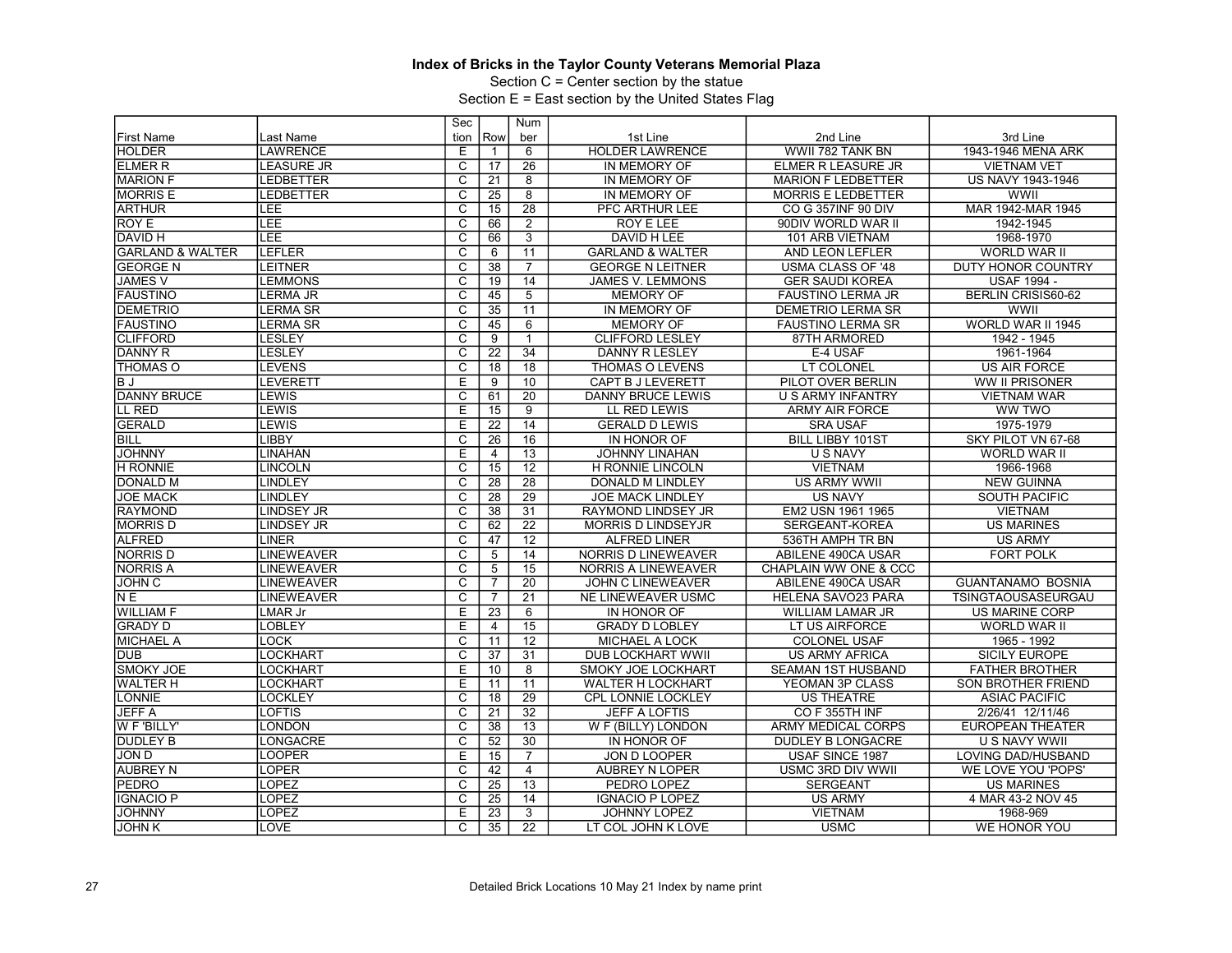Section C = Center section by the statue

| Row<br>1st Line<br>2nd Line<br>3rd Line<br><b>First Name</b><br>Last Name<br>tion<br>ber<br><b>LAWRENCE</b><br>6<br><b>HOLDER LAWRENCE</b><br>WWII 782 TANK BN<br>1943-1946 MENA ARK<br><b>HOLDER</b><br>Ε<br>26<br><b>ELMER R</b><br><b>LEASURE JR</b><br>C<br>IN MEMORY OF<br>ELMER R LEASURE JR<br><b>VIETNAM VET</b><br>17<br><b>MARION F</b><br>$\overline{\mathsf{c}}$<br><b>US NAVY 1943-1946</b><br><b>LEDBETTER</b><br>8<br>IN MEMORY OF<br><b>MARION F LEDBETTER</b><br>21<br><b>MORRIS E</b><br>$\overline{C}$<br>8<br>WWII<br>LEDBETTER<br>25<br>IN MEMORY OF<br><b>MORRIS E LEDBETTER</b><br><b>ARTHUR</b><br>LEE<br>$\overline{\text{c}}$<br>28<br>PFC ARTHUR LEE<br>MAR 1942-MAR 1945<br>15<br>CO G 357INF 90 DIV<br>LEE<br>$\overline{\mathsf{c}}$<br>ROY E<br>2<br><b>ROY E LEE</b><br>90DIV WORLD WAR II<br>1942-1945<br>66<br>LEE<br>$\overline{\text{c}}$<br>$\overline{3}$<br><b>DAVID H LEE</b><br>1968-1970<br><b>DAVID H</b><br>66<br>101 ARB VIETNAM<br>$\overline{\text{c}}$<br><b>GARLAND &amp; WALTER</b><br><b>LEFLER</b><br>11<br><b>GARLAND &amp; WALTER</b><br><b>WORLD WAR II</b><br>6<br>AND LEON LEFLER<br>lGEORGE N<br>C<br>38<br>$\overline{7}$<br><b>GEORGE N LEITNER</b><br><b>USMA CLASS OF '48</b><br><b>DUTY HONOR COUNTRY</b><br><b>LEITNER</b><br><b>JAMES V</b><br>$\overline{c}$<br><b>LEMMONS</b><br>14<br><b>JAMES V. LEMMONS</b><br><b>GER SAUDI KOREA</b><br><b>USAF 1994 -</b><br>19<br>$\overline{\mathsf{c}}$<br>$\overline{5}$<br>BERLIN CRISIS60-62<br><b>LERMA JR</b><br>45<br><b>MEMORY OF</b><br><b>FAUSTINO LERMA JR</b><br>$\overline{C}$<br><b>DEMETRIO</b><br>11<br>WWII<br><b>LERMA SR</b><br>35<br>IN MEMORY OF<br><b>DEMETRIO LERMA SR</b><br><b>FAUSTINO</b><br>$\overline{\text{c}}$<br>WORLD WAR II 1945<br><b>LERMA SR</b><br>45<br>6<br><b>MEMORY OF</b><br><b>FAUSTINO LERMA SR</b><br>$\overline{\mathsf{c}}$<br><b>CLIFFORD</b><br>LESLEY<br>87TH ARMORED<br>1942 - 1945<br>9<br><b>CLIFFORD LESLEY</b><br>DANNY R<br><b>LESLEY</b><br>$\overline{\text{c}}$<br>$\overline{34}$<br>22<br><b>DANNY R LESLEY</b><br>E-4 USAF<br>1961-1964<br>$\overline{\text{c}}$<br>$\overline{18}$<br><b>ITHOMAS O</b><br><b>LEVENS</b><br>THOMAS O LEVENS<br>LT COLONEL<br><b>US AIR FORCE</b><br>18<br>ΒJ<br><b>LEVERETT</b><br>E<br>10<br><b>CAPT B J LEVERETT</b><br>PILOT OVER BERLIN<br>WW II PRISONER<br>9<br>$\overline{20}$<br><b>DANNY BRUCE</b><br><b>LEWIS</b><br>C<br><b>DANNY BRUCE LEWIS</b><br>U S ARMY INFANTRY<br>61<br><b>VIETNAM WAR</b><br>LL RED<br>E<br>LEWIS<br>$\overline{15}$<br>9<br>LL RED LEWIS<br><b>ARMY AIR FORCE</b><br>WW TWO<br><b>GERALD</b><br>LEWIS<br>Е<br>14<br>1975-1979<br>22<br><b>GERALD D LEWIS</b><br><b>SRA USAF</b><br><b>BILL</b><br><b>LIBBY</b><br>$\overline{\text{c}}$<br><b>BILL LIBBY 101ST</b><br>26<br>16<br>IN HONOR OF<br>SKY PILOT VN 67-68<br><b>JOHNNY</b><br><b>LINAHAN</b><br>Е<br>$\overline{13}$<br><b>U S NAVY</b><br>WORLD WAR II<br><b>JOHNNY LINAHAN</b><br>4<br>$\overline{12}$<br><b>H RONNIE</b><br><b>LINCOLN</b><br>$\overline{\mathsf{c}}$<br>$\overline{15}$<br><b>VIETNAM</b><br>1966-1968<br><b>H RONNIE LINCOLN</b><br>$\overline{\text{c}}$<br><b>DONALD M</b><br><b>LINDLEY</b><br>28<br>28<br><b>US ARMY WWII</b><br><b>NEW GUINNA</b><br><b>DONALD M LINDLEY</b><br><b>JOE MACK</b><br><b>LINDLEY</b><br>C<br>$\overline{28}$<br>29<br><b>US NAVY</b><br><b>SOUTH PACIFIC</b><br><b>JOE MACK LINDLEY</b><br>$\overline{C}$<br>31<br><b>RAYMOND</b><br><b>LINDSEY JR</b><br>RAYMOND LINDSEY JR<br>EM2 USN 1961 1965<br><b>VIETNAM</b><br>38<br><b>MORRIS D</b><br>C<br>22<br><b>LINDSEY JR</b><br>62<br><b>MORRIS D LINDSEYJR</b><br>SERGEANT-KOREA<br><b>US MARINES</b><br>$\overline{\text{c}}$<br><b>ALFRED</b><br>$\overline{12}$<br><b>LINER</b><br>47<br><b>ALFRED LINER</b><br>536TH AMPH TR BN<br><b>US ARMY</b><br>$\overline{\text{c}}$<br><b>FORT POLK</b><br><b>NORRIS D</b><br><b>LINEWEAVER</b><br>14<br><b>NORRIS D LINEWEAVER</b><br>ABILENE 490CA USAR<br>5<br><b>NORRIS A</b><br>C<br>15<br><b>LINEWEAVER</b><br>5<br><b>NORRIS A LINEWEAVER</b><br>CHAPLAIN WW ONE & CCC<br>JOHN <sub>C</sub><br>$\overline{\mathrm{c}}$<br>$\overline{20}$<br><b>GUANTANAMO BOSNIA</b><br><b>LINEWEAVER</b><br>$\overline{7}$<br>JOHN C LINEWEAVER<br>ABILENE 490CA USAR<br>$\overline{\text{c}}$<br>21<br>N <sub>E</sub><br><b>LINEWEAVER</b><br>$\overline{7}$<br><b>NE LINEWEAVER USMC</b><br><b>HELENA SAVO23 PARA</b><br>TSINGTAOUSASEURGAU<br><b>WILLIAM F</b><br>Е<br>$\overline{23}$<br>6<br>LMAR Jr<br>IN HONOR OF<br><b>WILLIAM LAMAR JR</b><br><b>US MARINE CORP</b><br>Ε<br>$\overline{15}$<br><b>GRADY D</b><br>LOBLEY<br><b>GRADY D LOBLEY</b><br>LT US AIRFORCE<br><b>WORLD WAR II</b><br>$\overline{4}$<br><b>MICHAEL A</b><br>$\overline{12}$<br>C<br>1965 - 1992<br><b>LOCK</b><br>11<br><b>MICHAEL A LOCK</b><br><b>COLONEL USAF</b><br>$\overline{\text{c}}$<br><b>DUB</b><br>LOCKHART<br>37<br>31<br><b>DUB LOCKHART WWII</b><br><b>US ARMY AFRICA</b><br><b>SICILY EUROPE</b><br><b>SMOKY JOE</b><br>E<br>LOCKHART<br>8<br>SMOKY JOE LOCKHART<br>SEAMAN 1ST HUSBAND<br><b>FATHER BROTHER</b><br>10<br>Е<br><b>WALTER H</b><br>LOCKHART<br>11<br><b>WALTER H LOCKHART</b><br>YEOMAN 3P CLASS<br>SON BROTHER FRIEND<br>11 |                 | Sec | Num |  |  |
|------------------------------------------------------------------------------------------------------------------------------------------------------------------------------------------------------------------------------------------------------------------------------------------------------------------------------------------------------------------------------------------------------------------------------------------------------------------------------------------------------------------------------------------------------------------------------------------------------------------------------------------------------------------------------------------------------------------------------------------------------------------------------------------------------------------------------------------------------------------------------------------------------------------------------------------------------------------------------------------------------------------------------------------------------------------------------------------------------------------------------------------------------------------------------------------------------------------------------------------------------------------------------------------------------------------------------------------------------------------------------------------------------------------------------------------------------------------------------------------------------------------------------------------------------------------------------------------------------------------------------------------------------------------------------------------------------------------------------------------------------------------------------------------------------------------------------------------------------------------------------------------------------------------------------------------------------------------------------------------------------------------------------------------------------------------------------------------------------------------------------------------------------------------------------------------------------------------------------------------------------------------------------------------------------------------------------------------------------------------------------------------------------------------------------------------------------------------------------------------------------------------------------------------------------------------------------------------------------------------------------------------------------------------------------------------------------------------------------------------------------------------------------------------------------------------------------------------------------------------------------------------------------------------------------------------------------------------------------------------------------------------------------------------------------------------------------------------------------------------------------------------------------------------------------------------------------------------------------------------------------------------------------------------------------------------------------------------------------------------------------------------------------------------------------------------------------------------------------------------------------------------------------------------------------------------------------------------------------------------------------------------------------------------------------------------------------------------------------------------------------------------------------------------------------------------------------------------------------------------------------------------------------------------------------------------------------------------------------------------------------------------------------------------------------------------------------------------------------------------------------------------------------------------------------------------------------------------------------------------------------------------------------------------------------------------------------------------------------------------------------------------------------------------------------------------------------------------------------------------------------------------------------------------------------------------------------------------------------------------------------------------------------------------------------------------------------------------------------------------------------------------------------------------------------------------------------------------------------------------------------------------------------------------------------------------------------------------------------------------------------------------------------------------------------------------------------------------------------------------------------------------------------------------------------------------------------------------------------------------------------------------------------------------------|-----------------|-----|-----|--|--|
|                                                                                                                                                                                                                                                                                                                                                                                                                                                                                                                                                                                                                                                                                                                                                                                                                                                                                                                                                                                                                                                                                                                                                                                                                                                                                                                                                                                                                                                                                                                                                                                                                                                                                                                                                                                                                                                                                                                                                                                                                                                                                                                                                                                                                                                                                                                                                                                                                                                                                                                                                                                                                                                                                                                                                                                                                                                                                                                                                                                                                                                                                                                                                                                                                                                                                                                                                                                                                                                                                                                                                                                                                                                                                                                                                                                                                                                                                                                                                                                                                                                                                                                                                                                                                                                                                                                                                                                                                                                                                                                                                                                                                                                                                                                                                                                                                                                                                                                                                                                                                                                                                                                                                                                                                                                                                                |                 |     |     |  |  |
|                                                                                                                                                                                                                                                                                                                                                                                                                                                                                                                                                                                                                                                                                                                                                                                                                                                                                                                                                                                                                                                                                                                                                                                                                                                                                                                                                                                                                                                                                                                                                                                                                                                                                                                                                                                                                                                                                                                                                                                                                                                                                                                                                                                                                                                                                                                                                                                                                                                                                                                                                                                                                                                                                                                                                                                                                                                                                                                                                                                                                                                                                                                                                                                                                                                                                                                                                                                                                                                                                                                                                                                                                                                                                                                                                                                                                                                                                                                                                                                                                                                                                                                                                                                                                                                                                                                                                                                                                                                                                                                                                                                                                                                                                                                                                                                                                                                                                                                                                                                                                                                                                                                                                                                                                                                                                                |                 |     |     |  |  |
|                                                                                                                                                                                                                                                                                                                                                                                                                                                                                                                                                                                                                                                                                                                                                                                                                                                                                                                                                                                                                                                                                                                                                                                                                                                                                                                                                                                                                                                                                                                                                                                                                                                                                                                                                                                                                                                                                                                                                                                                                                                                                                                                                                                                                                                                                                                                                                                                                                                                                                                                                                                                                                                                                                                                                                                                                                                                                                                                                                                                                                                                                                                                                                                                                                                                                                                                                                                                                                                                                                                                                                                                                                                                                                                                                                                                                                                                                                                                                                                                                                                                                                                                                                                                                                                                                                                                                                                                                                                                                                                                                                                                                                                                                                                                                                                                                                                                                                                                                                                                                                                                                                                                                                                                                                                                                                |                 |     |     |  |  |
|                                                                                                                                                                                                                                                                                                                                                                                                                                                                                                                                                                                                                                                                                                                                                                                                                                                                                                                                                                                                                                                                                                                                                                                                                                                                                                                                                                                                                                                                                                                                                                                                                                                                                                                                                                                                                                                                                                                                                                                                                                                                                                                                                                                                                                                                                                                                                                                                                                                                                                                                                                                                                                                                                                                                                                                                                                                                                                                                                                                                                                                                                                                                                                                                                                                                                                                                                                                                                                                                                                                                                                                                                                                                                                                                                                                                                                                                                                                                                                                                                                                                                                                                                                                                                                                                                                                                                                                                                                                                                                                                                                                                                                                                                                                                                                                                                                                                                                                                                                                                                                                                                                                                                                                                                                                                                                |                 |     |     |  |  |
|                                                                                                                                                                                                                                                                                                                                                                                                                                                                                                                                                                                                                                                                                                                                                                                                                                                                                                                                                                                                                                                                                                                                                                                                                                                                                                                                                                                                                                                                                                                                                                                                                                                                                                                                                                                                                                                                                                                                                                                                                                                                                                                                                                                                                                                                                                                                                                                                                                                                                                                                                                                                                                                                                                                                                                                                                                                                                                                                                                                                                                                                                                                                                                                                                                                                                                                                                                                                                                                                                                                                                                                                                                                                                                                                                                                                                                                                                                                                                                                                                                                                                                                                                                                                                                                                                                                                                                                                                                                                                                                                                                                                                                                                                                                                                                                                                                                                                                                                                                                                                                                                                                                                                                                                                                                                                                |                 |     |     |  |  |
|                                                                                                                                                                                                                                                                                                                                                                                                                                                                                                                                                                                                                                                                                                                                                                                                                                                                                                                                                                                                                                                                                                                                                                                                                                                                                                                                                                                                                                                                                                                                                                                                                                                                                                                                                                                                                                                                                                                                                                                                                                                                                                                                                                                                                                                                                                                                                                                                                                                                                                                                                                                                                                                                                                                                                                                                                                                                                                                                                                                                                                                                                                                                                                                                                                                                                                                                                                                                                                                                                                                                                                                                                                                                                                                                                                                                                                                                                                                                                                                                                                                                                                                                                                                                                                                                                                                                                                                                                                                                                                                                                                                                                                                                                                                                                                                                                                                                                                                                                                                                                                                                                                                                                                                                                                                                                                |                 |     |     |  |  |
|                                                                                                                                                                                                                                                                                                                                                                                                                                                                                                                                                                                                                                                                                                                                                                                                                                                                                                                                                                                                                                                                                                                                                                                                                                                                                                                                                                                                                                                                                                                                                                                                                                                                                                                                                                                                                                                                                                                                                                                                                                                                                                                                                                                                                                                                                                                                                                                                                                                                                                                                                                                                                                                                                                                                                                                                                                                                                                                                                                                                                                                                                                                                                                                                                                                                                                                                                                                                                                                                                                                                                                                                                                                                                                                                                                                                                                                                                                                                                                                                                                                                                                                                                                                                                                                                                                                                                                                                                                                                                                                                                                                                                                                                                                                                                                                                                                                                                                                                                                                                                                                                                                                                                                                                                                                                                                |                 |     |     |  |  |
|                                                                                                                                                                                                                                                                                                                                                                                                                                                                                                                                                                                                                                                                                                                                                                                                                                                                                                                                                                                                                                                                                                                                                                                                                                                                                                                                                                                                                                                                                                                                                                                                                                                                                                                                                                                                                                                                                                                                                                                                                                                                                                                                                                                                                                                                                                                                                                                                                                                                                                                                                                                                                                                                                                                                                                                                                                                                                                                                                                                                                                                                                                                                                                                                                                                                                                                                                                                                                                                                                                                                                                                                                                                                                                                                                                                                                                                                                                                                                                                                                                                                                                                                                                                                                                                                                                                                                                                                                                                                                                                                                                                                                                                                                                                                                                                                                                                                                                                                                                                                                                                                                                                                                                                                                                                                                                |                 |     |     |  |  |
|                                                                                                                                                                                                                                                                                                                                                                                                                                                                                                                                                                                                                                                                                                                                                                                                                                                                                                                                                                                                                                                                                                                                                                                                                                                                                                                                                                                                                                                                                                                                                                                                                                                                                                                                                                                                                                                                                                                                                                                                                                                                                                                                                                                                                                                                                                                                                                                                                                                                                                                                                                                                                                                                                                                                                                                                                                                                                                                                                                                                                                                                                                                                                                                                                                                                                                                                                                                                                                                                                                                                                                                                                                                                                                                                                                                                                                                                                                                                                                                                                                                                                                                                                                                                                                                                                                                                                                                                                                                                                                                                                                                                                                                                                                                                                                                                                                                                                                                                                                                                                                                                                                                                                                                                                                                                                                |                 |     |     |  |  |
|                                                                                                                                                                                                                                                                                                                                                                                                                                                                                                                                                                                                                                                                                                                                                                                                                                                                                                                                                                                                                                                                                                                                                                                                                                                                                                                                                                                                                                                                                                                                                                                                                                                                                                                                                                                                                                                                                                                                                                                                                                                                                                                                                                                                                                                                                                                                                                                                                                                                                                                                                                                                                                                                                                                                                                                                                                                                                                                                                                                                                                                                                                                                                                                                                                                                                                                                                                                                                                                                                                                                                                                                                                                                                                                                                                                                                                                                                                                                                                                                                                                                                                                                                                                                                                                                                                                                                                                                                                                                                                                                                                                                                                                                                                                                                                                                                                                                                                                                                                                                                                                                                                                                                                                                                                                                                                |                 |     |     |  |  |
|                                                                                                                                                                                                                                                                                                                                                                                                                                                                                                                                                                                                                                                                                                                                                                                                                                                                                                                                                                                                                                                                                                                                                                                                                                                                                                                                                                                                                                                                                                                                                                                                                                                                                                                                                                                                                                                                                                                                                                                                                                                                                                                                                                                                                                                                                                                                                                                                                                                                                                                                                                                                                                                                                                                                                                                                                                                                                                                                                                                                                                                                                                                                                                                                                                                                                                                                                                                                                                                                                                                                                                                                                                                                                                                                                                                                                                                                                                                                                                                                                                                                                                                                                                                                                                                                                                                                                                                                                                                                                                                                                                                                                                                                                                                                                                                                                                                                                                                                                                                                                                                                                                                                                                                                                                                                                                |                 |     |     |  |  |
|                                                                                                                                                                                                                                                                                                                                                                                                                                                                                                                                                                                                                                                                                                                                                                                                                                                                                                                                                                                                                                                                                                                                                                                                                                                                                                                                                                                                                                                                                                                                                                                                                                                                                                                                                                                                                                                                                                                                                                                                                                                                                                                                                                                                                                                                                                                                                                                                                                                                                                                                                                                                                                                                                                                                                                                                                                                                                                                                                                                                                                                                                                                                                                                                                                                                                                                                                                                                                                                                                                                                                                                                                                                                                                                                                                                                                                                                                                                                                                                                                                                                                                                                                                                                                                                                                                                                                                                                                                                                                                                                                                                                                                                                                                                                                                                                                                                                                                                                                                                                                                                                                                                                                                                                                                                                                                | <b>FAUSTINO</b> |     |     |  |  |
|                                                                                                                                                                                                                                                                                                                                                                                                                                                                                                                                                                                                                                                                                                                                                                                                                                                                                                                                                                                                                                                                                                                                                                                                                                                                                                                                                                                                                                                                                                                                                                                                                                                                                                                                                                                                                                                                                                                                                                                                                                                                                                                                                                                                                                                                                                                                                                                                                                                                                                                                                                                                                                                                                                                                                                                                                                                                                                                                                                                                                                                                                                                                                                                                                                                                                                                                                                                                                                                                                                                                                                                                                                                                                                                                                                                                                                                                                                                                                                                                                                                                                                                                                                                                                                                                                                                                                                                                                                                                                                                                                                                                                                                                                                                                                                                                                                                                                                                                                                                                                                                                                                                                                                                                                                                                                                |                 |     |     |  |  |
|                                                                                                                                                                                                                                                                                                                                                                                                                                                                                                                                                                                                                                                                                                                                                                                                                                                                                                                                                                                                                                                                                                                                                                                                                                                                                                                                                                                                                                                                                                                                                                                                                                                                                                                                                                                                                                                                                                                                                                                                                                                                                                                                                                                                                                                                                                                                                                                                                                                                                                                                                                                                                                                                                                                                                                                                                                                                                                                                                                                                                                                                                                                                                                                                                                                                                                                                                                                                                                                                                                                                                                                                                                                                                                                                                                                                                                                                                                                                                                                                                                                                                                                                                                                                                                                                                                                                                                                                                                                                                                                                                                                                                                                                                                                                                                                                                                                                                                                                                                                                                                                                                                                                                                                                                                                                                                |                 |     |     |  |  |
|                                                                                                                                                                                                                                                                                                                                                                                                                                                                                                                                                                                                                                                                                                                                                                                                                                                                                                                                                                                                                                                                                                                                                                                                                                                                                                                                                                                                                                                                                                                                                                                                                                                                                                                                                                                                                                                                                                                                                                                                                                                                                                                                                                                                                                                                                                                                                                                                                                                                                                                                                                                                                                                                                                                                                                                                                                                                                                                                                                                                                                                                                                                                                                                                                                                                                                                                                                                                                                                                                                                                                                                                                                                                                                                                                                                                                                                                                                                                                                                                                                                                                                                                                                                                                                                                                                                                                                                                                                                                                                                                                                                                                                                                                                                                                                                                                                                                                                                                                                                                                                                                                                                                                                                                                                                                                                |                 |     |     |  |  |
|                                                                                                                                                                                                                                                                                                                                                                                                                                                                                                                                                                                                                                                                                                                                                                                                                                                                                                                                                                                                                                                                                                                                                                                                                                                                                                                                                                                                                                                                                                                                                                                                                                                                                                                                                                                                                                                                                                                                                                                                                                                                                                                                                                                                                                                                                                                                                                                                                                                                                                                                                                                                                                                                                                                                                                                                                                                                                                                                                                                                                                                                                                                                                                                                                                                                                                                                                                                                                                                                                                                                                                                                                                                                                                                                                                                                                                                                                                                                                                                                                                                                                                                                                                                                                                                                                                                                                                                                                                                                                                                                                                                                                                                                                                                                                                                                                                                                                                                                                                                                                                                                                                                                                                                                                                                                                                |                 |     |     |  |  |
|                                                                                                                                                                                                                                                                                                                                                                                                                                                                                                                                                                                                                                                                                                                                                                                                                                                                                                                                                                                                                                                                                                                                                                                                                                                                                                                                                                                                                                                                                                                                                                                                                                                                                                                                                                                                                                                                                                                                                                                                                                                                                                                                                                                                                                                                                                                                                                                                                                                                                                                                                                                                                                                                                                                                                                                                                                                                                                                                                                                                                                                                                                                                                                                                                                                                                                                                                                                                                                                                                                                                                                                                                                                                                                                                                                                                                                                                                                                                                                                                                                                                                                                                                                                                                                                                                                                                                                                                                                                                                                                                                                                                                                                                                                                                                                                                                                                                                                                                                                                                                                                                                                                                                                                                                                                                                                |                 |     |     |  |  |
|                                                                                                                                                                                                                                                                                                                                                                                                                                                                                                                                                                                                                                                                                                                                                                                                                                                                                                                                                                                                                                                                                                                                                                                                                                                                                                                                                                                                                                                                                                                                                                                                                                                                                                                                                                                                                                                                                                                                                                                                                                                                                                                                                                                                                                                                                                                                                                                                                                                                                                                                                                                                                                                                                                                                                                                                                                                                                                                                                                                                                                                                                                                                                                                                                                                                                                                                                                                                                                                                                                                                                                                                                                                                                                                                                                                                                                                                                                                                                                                                                                                                                                                                                                                                                                                                                                                                                                                                                                                                                                                                                                                                                                                                                                                                                                                                                                                                                                                                                                                                                                                                                                                                                                                                                                                                                                |                 |     |     |  |  |
|                                                                                                                                                                                                                                                                                                                                                                                                                                                                                                                                                                                                                                                                                                                                                                                                                                                                                                                                                                                                                                                                                                                                                                                                                                                                                                                                                                                                                                                                                                                                                                                                                                                                                                                                                                                                                                                                                                                                                                                                                                                                                                                                                                                                                                                                                                                                                                                                                                                                                                                                                                                                                                                                                                                                                                                                                                                                                                                                                                                                                                                                                                                                                                                                                                                                                                                                                                                                                                                                                                                                                                                                                                                                                                                                                                                                                                                                                                                                                                                                                                                                                                                                                                                                                                                                                                                                                                                                                                                                                                                                                                                                                                                                                                                                                                                                                                                                                                                                                                                                                                                                                                                                                                                                                                                                                                |                 |     |     |  |  |
|                                                                                                                                                                                                                                                                                                                                                                                                                                                                                                                                                                                                                                                                                                                                                                                                                                                                                                                                                                                                                                                                                                                                                                                                                                                                                                                                                                                                                                                                                                                                                                                                                                                                                                                                                                                                                                                                                                                                                                                                                                                                                                                                                                                                                                                                                                                                                                                                                                                                                                                                                                                                                                                                                                                                                                                                                                                                                                                                                                                                                                                                                                                                                                                                                                                                                                                                                                                                                                                                                                                                                                                                                                                                                                                                                                                                                                                                                                                                                                                                                                                                                                                                                                                                                                                                                                                                                                                                                                                                                                                                                                                                                                                                                                                                                                                                                                                                                                                                                                                                                                                                                                                                                                                                                                                                                                |                 |     |     |  |  |
|                                                                                                                                                                                                                                                                                                                                                                                                                                                                                                                                                                                                                                                                                                                                                                                                                                                                                                                                                                                                                                                                                                                                                                                                                                                                                                                                                                                                                                                                                                                                                                                                                                                                                                                                                                                                                                                                                                                                                                                                                                                                                                                                                                                                                                                                                                                                                                                                                                                                                                                                                                                                                                                                                                                                                                                                                                                                                                                                                                                                                                                                                                                                                                                                                                                                                                                                                                                                                                                                                                                                                                                                                                                                                                                                                                                                                                                                                                                                                                                                                                                                                                                                                                                                                                                                                                                                                                                                                                                                                                                                                                                                                                                                                                                                                                                                                                                                                                                                                                                                                                                                                                                                                                                                                                                                                                |                 |     |     |  |  |
|                                                                                                                                                                                                                                                                                                                                                                                                                                                                                                                                                                                                                                                                                                                                                                                                                                                                                                                                                                                                                                                                                                                                                                                                                                                                                                                                                                                                                                                                                                                                                                                                                                                                                                                                                                                                                                                                                                                                                                                                                                                                                                                                                                                                                                                                                                                                                                                                                                                                                                                                                                                                                                                                                                                                                                                                                                                                                                                                                                                                                                                                                                                                                                                                                                                                                                                                                                                                                                                                                                                                                                                                                                                                                                                                                                                                                                                                                                                                                                                                                                                                                                                                                                                                                                                                                                                                                                                                                                                                                                                                                                                                                                                                                                                                                                                                                                                                                                                                                                                                                                                                                                                                                                                                                                                                                                |                 |     |     |  |  |
|                                                                                                                                                                                                                                                                                                                                                                                                                                                                                                                                                                                                                                                                                                                                                                                                                                                                                                                                                                                                                                                                                                                                                                                                                                                                                                                                                                                                                                                                                                                                                                                                                                                                                                                                                                                                                                                                                                                                                                                                                                                                                                                                                                                                                                                                                                                                                                                                                                                                                                                                                                                                                                                                                                                                                                                                                                                                                                                                                                                                                                                                                                                                                                                                                                                                                                                                                                                                                                                                                                                                                                                                                                                                                                                                                                                                                                                                                                                                                                                                                                                                                                                                                                                                                                                                                                                                                                                                                                                                                                                                                                                                                                                                                                                                                                                                                                                                                                                                                                                                                                                                                                                                                                                                                                                                                                |                 |     |     |  |  |
|                                                                                                                                                                                                                                                                                                                                                                                                                                                                                                                                                                                                                                                                                                                                                                                                                                                                                                                                                                                                                                                                                                                                                                                                                                                                                                                                                                                                                                                                                                                                                                                                                                                                                                                                                                                                                                                                                                                                                                                                                                                                                                                                                                                                                                                                                                                                                                                                                                                                                                                                                                                                                                                                                                                                                                                                                                                                                                                                                                                                                                                                                                                                                                                                                                                                                                                                                                                                                                                                                                                                                                                                                                                                                                                                                                                                                                                                                                                                                                                                                                                                                                                                                                                                                                                                                                                                                                                                                                                                                                                                                                                                                                                                                                                                                                                                                                                                                                                                                                                                                                                                                                                                                                                                                                                                                                |                 |     |     |  |  |
|                                                                                                                                                                                                                                                                                                                                                                                                                                                                                                                                                                                                                                                                                                                                                                                                                                                                                                                                                                                                                                                                                                                                                                                                                                                                                                                                                                                                                                                                                                                                                                                                                                                                                                                                                                                                                                                                                                                                                                                                                                                                                                                                                                                                                                                                                                                                                                                                                                                                                                                                                                                                                                                                                                                                                                                                                                                                                                                                                                                                                                                                                                                                                                                                                                                                                                                                                                                                                                                                                                                                                                                                                                                                                                                                                                                                                                                                                                                                                                                                                                                                                                                                                                                                                                                                                                                                                                                                                                                                                                                                                                                                                                                                                                                                                                                                                                                                                                                                                                                                                                                                                                                                                                                                                                                                                                |                 |     |     |  |  |
|                                                                                                                                                                                                                                                                                                                                                                                                                                                                                                                                                                                                                                                                                                                                                                                                                                                                                                                                                                                                                                                                                                                                                                                                                                                                                                                                                                                                                                                                                                                                                                                                                                                                                                                                                                                                                                                                                                                                                                                                                                                                                                                                                                                                                                                                                                                                                                                                                                                                                                                                                                                                                                                                                                                                                                                                                                                                                                                                                                                                                                                                                                                                                                                                                                                                                                                                                                                                                                                                                                                                                                                                                                                                                                                                                                                                                                                                                                                                                                                                                                                                                                                                                                                                                                                                                                                                                                                                                                                                                                                                                                                                                                                                                                                                                                                                                                                                                                                                                                                                                                                                                                                                                                                                                                                                                                |                 |     |     |  |  |
|                                                                                                                                                                                                                                                                                                                                                                                                                                                                                                                                                                                                                                                                                                                                                                                                                                                                                                                                                                                                                                                                                                                                                                                                                                                                                                                                                                                                                                                                                                                                                                                                                                                                                                                                                                                                                                                                                                                                                                                                                                                                                                                                                                                                                                                                                                                                                                                                                                                                                                                                                                                                                                                                                                                                                                                                                                                                                                                                                                                                                                                                                                                                                                                                                                                                                                                                                                                                                                                                                                                                                                                                                                                                                                                                                                                                                                                                                                                                                                                                                                                                                                                                                                                                                                                                                                                                                                                                                                                                                                                                                                                                                                                                                                                                                                                                                                                                                                                                                                                                                                                                                                                                                                                                                                                                                                |                 |     |     |  |  |
|                                                                                                                                                                                                                                                                                                                                                                                                                                                                                                                                                                                                                                                                                                                                                                                                                                                                                                                                                                                                                                                                                                                                                                                                                                                                                                                                                                                                                                                                                                                                                                                                                                                                                                                                                                                                                                                                                                                                                                                                                                                                                                                                                                                                                                                                                                                                                                                                                                                                                                                                                                                                                                                                                                                                                                                                                                                                                                                                                                                                                                                                                                                                                                                                                                                                                                                                                                                                                                                                                                                                                                                                                                                                                                                                                                                                                                                                                                                                                                                                                                                                                                                                                                                                                                                                                                                                                                                                                                                                                                                                                                                                                                                                                                                                                                                                                                                                                                                                                                                                                                                                                                                                                                                                                                                                                                |                 |     |     |  |  |
|                                                                                                                                                                                                                                                                                                                                                                                                                                                                                                                                                                                                                                                                                                                                                                                                                                                                                                                                                                                                                                                                                                                                                                                                                                                                                                                                                                                                                                                                                                                                                                                                                                                                                                                                                                                                                                                                                                                                                                                                                                                                                                                                                                                                                                                                                                                                                                                                                                                                                                                                                                                                                                                                                                                                                                                                                                                                                                                                                                                                                                                                                                                                                                                                                                                                                                                                                                                                                                                                                                                                                                                                                                                                                                                                                                                                                                                                                                                                                                                                                                                                                                                                                                                                                                                                                                                                                                                                                                                                                                                                                                                                                                                                                                                                                                                                                                                                                                                                                                                                                                                                                                                                                                                                                                                                                                |                 |     |     |  |  |
|                                                                                                                                                                                                                                                                                                                                                                                                                                                                                                                                                                                                                                                                                                                                                                                                                                                                                                                                                                                                                                                                                                                                                                                                                                                                                                                                                                                                                                                                                                                                                                                                                                                                                                                                                                                                                                                                                                                                                                                                                                                                                                                                                                                                                                                                                                                                                                                                                                                                                                                                                                                                                                                                                                                                                                                                                                                                                                                                                                                                                                                                                                                                                                                                                                                                                                                                                                                                                                                                                                                                                                                                                                                                                                                                                                                                                                                                                                                                                                                                                                                                                                                                                                                                                                                                                                                                                                                                                                                                                                                                                                                                                                                                                                                                                                                                                                                                                                                                                                                                                                                                                                                                                                                                                                                                                                |                 |     |     |  |  |
|                                                                                                                                                                                                                                                                                                                                                                                                                                                                                                                                                                                                                                                                                                                                                                                                                                                                                                                                                                                                                                                                                                                                                                                                                                                                                                                                                                                                                                                                                                                                                                                                                                                                                                                                                                                                                                                                                                                                                                                                                                                                                                                                                                                                                                                                                                                                                                                                                                                                                                                                                                                                                                                                                                                                                                                                                                                                                                                                                                                                                                                                                                                                                                                                                                                                                                                                                                                                                                                                                                                                                                                                                                                                                                                                                                                                                                                                                                                                                                                                                                                                                                                                                                                                                                                                                                                                                                                                                                                                                                                                                                                                                                                                                                                                                                                                                                                                                                                                                                                                                                                                                                                                                                                                                                                                                                |                 |     |     |  |  |
|                                                                                                                                                                                                                                                                                                                                                                                                                                                                                                                                                                                                                                                                                                                                                                                                                                                                                                                                                                                                                                                                                                                                                                                                                                                                                                                                                                                                                                                                                                                                                                                                                                                                                                                                                                                                                                                                                                                                                                                                                                                                                                                                                                                                                                                                                                                                                                                                                                                                                                                                                                                                                                                                                                                                                                                                                                                                                                                                                                                                                                                                                                                                                                                                                                                                                                                                                                                                                                                                                                                                                                                                                                                                                                                                                                                                                                                                                                                                                                                                                                                                                                                                                                                                                                                                                                                                                                                                                                                                                                                                                                                                                                                                                                                                                                                                                                                                                                                                                                                                                                                                                                                                                                                                                                                                                                |                 |     |     |  |  |
|                                                                                                                                                                                                                                                                                                                                                                                                                                                                                                                                                                                                                                                                                                                                                                                                                                                                                                                                                                                                                                                                                                                                                                                                                                                                                                                                                                                                                                                                                                                                                                                                                                                                                                                                                                                                                                                                                                                                                                                                                                                                                                                                                                                                                                                                                                                                                                                                                                                                                                                                                                                                                                                                                                                                                                                                                                                                                                                                                                                                                                                                                                                                                                                                                                                                                                                                                                                                                                                                                                                                                                                                                                                                                                                                                                                                                                                                                                                                                                                                                                                                                                                                                                                                                                                                                                                                                                                                                                                                                                                                                                                                                                                                                                                                                                                                                                                                                                                                                                                                                                                                                                                                                                                                                                                                                                |                 |     |     |  |  |
|                                                                                                                                                                                                                                                                                                                                                                                                                                                                                                                                                                                                                                                                                                                                                                                                                                                                                                                                                                                                                                                                                                                                                                                                                                                                                                                                                                                                                                                                                                                                                                                                                                                                                                                                                                                                                                                                                                                                                                                                                                                                                                                                                                                                                                                                                                                                                                                                                                                                                                                                                                                                                                                                                                                                                                                                                                                                                                                                                                                                                                                                                                                                                                                                                                                                                                                                                                                                                                                                                                                                                                                                                                                                                                                                                                                                                                                                                                                                                                                                                                                                                                                                                                                                                                                                                                                                                                                                                                                                                                                                                                                                                                                                                                                                                                                                                                                                                                                                                                                                                                                                                                                                                                                                                                                                                                |                 |     |     |  |  |
|                                                                                                                                                                                                                                                                                                                                                                                                                                                                                                                                                                                                                                                                                                                                                                                                                                                                                                                                                                                                                                                                                                                                                                                                                                                                                                                                                                                                                                                                                                                                                                                                                                                                                                                                                                                                                                                                                                                                                                                                                                                                                                                                                                                                                                                                                                                                                                                                                                                                                                                                                                                                                                                                                                                                                                                                                                                                                                                                                                                                                                                                                                                                                                                                                                                                                                                                                                                                                                                                                                                                                                                                                                                                                                                                                                                                                                                                                                                                                                                                                                                                                                                                                                                                                                                                                                                                                                                                                                                                                                                                                                                                                                                                                                                                                                                                                                                                                                                                                                                                                                                                                                                                                                                                                                                                                                |                 |     |     |  |  |
|                                                                                                                                                                                                                                                                                                                                                                                                                                                                                                                                                                                                                                                                                                                                                                                                                                                                                                                                                                                                                                                                                                                                                                                                                                                                                                                                                                                                                                                                                                                                                                                                                                                                                                                                                                                                                                                                                                                                                                                                                                                                                                                                                                                                                                                                                                                                                                                                                                                                                                                                                                                                                                                                                                                                                                                                                                                                                                                                                                                                                                                                                                                                                                                                                                                                                                                                                                                                                                                                                                                                                                                                                                                                                                                                                                                                                                                                                                                                                                                                                                                                                                                                                                                                                                                                                                                                                                                                                                                                                                                                                                                                                                                                                                                                                                                                                                                                                                                                                                                                                                                                                                                                                                                                                                                                                                |                 |     |     |  |  |
|                                                                                                                                                                                                                                                                                                                                                                                                                                                                                                                                                                                                                                                                                                                                                                                                                                                                                                                                                                                                                                                                                                                                                                                                                                                                                                                                                                                                                                                                                                                                                                                                                                                                                                                                                                                                                                                                                                                                                                                                                                                                                                                                                                                                                                                                                                                                                                                                                                                                                                                                                                                                                                                                                                                                                                                                                                                                                                                                                                                                                                                                                                                                                                                                                                                                                                                                                                                                                                                                                                                                                                                                                                                                                                                                                                                                                                                                                                                                                                                                                                                                                                                                                                                                                                                                                                                                                                                                                                                                                                                                                                                                                                                                                                                                                                                                                                                                                                                                                                                                                                                                                                                                                                                                                                                                                                |                 |     |     |  |  |
|                                                                                                                                                                                                                                                                                                                                                                                                                                                                                                                                                                                                                                                                                                                                                                                                                                                                                                                                                                                                                                                                                                                                                                                                                                                                                                                                                                                                                                                                                                                                                                                                                                                                                                                                                                                                                                                                                                                                                                                                                                                                                                                                                                                                                                                                                                                                                                                                                                                                                                                                                                                                                                                                                                                                                                                                                                                                                                                                                                                                                                                                                                                                                                                                                                                                                                                                                                                                                                                                                                                                                                                                                                                                                                                                                                                                                                                                                                                                                                                                                                                                                                                                                                                                                                                                                                                                                                                                                                                                                                                                                                                                                                                                                                                                                                                                                                                                                                                                                                                                                                                                                                                                                                                                                                                                                                |                 |     |     |  |  |
|                                                                                                                                                                                                                                                                                                                                                                                                                                                                                                                                                                                                                                                                                                                                                                                                                                                                                                                                                                                                                                                                                                                                                                                                                                                                                                                                                                                                                                                                                                                                                                                                                                                                                                                                                                                                                                                                                                                                                                                                                                                                                                                                                                                                                                                                                                                                                                                                                                                                                                                                                                                                                                                                                                                                                                                                                                                                                                                                                                                                                                                                                                                                                                                                                                                                                                                                                                                                                                                                                                                                                                                                                                                                                                                                                                                                                                                                                                                                                                                                                                                                                                                                                                                                                                                                                                                                                                                                                                                                                                                                                                                                                                                                                                                                                                                                                                                                                                                                                                                                                                                                                                                                                                                                                                                                                                |                 |     |     |  |  |
| <b>LONNIE</b><br><b>LOCKLEY</b><br>$\overline{\mathrm{c}}$<br>29<br>18<br>CPL LONNIE LOCKLEY<br><b>US THEATRE</b><br><b>ASIAC PACIFIC</b>                                                                                                                                                                                                                                                                                                                                                                                                                                                                                                                                                                                                                                                                                                                                                                                                                                                                                                                                                                                                                                                                                                                                                                                                                                                                                                                                                                                                                                                                                                                                                                                                                                                                                                                                                                                                                                                                                                                                                                                                                                                                                                                                                                                                                                                                                                                                                                                                                                                                                                                                                                                                                                                                                                                                                                                                                                                                                                                                                                                                                                                                                                                                                                                                                                                                                                                                                                                                                                                                                                                                                                                                                                                                                                                                                                                                                                                                                                                                                                                                                                                                                                                                                                                                                                                                                                                                                                                                                                                                                                                                                                                                                                                                                                                                                                                                                                                                                                                                                                                                                                                                                                                                                      |                 |     |     |  |  |
| <b>JEFFA</b><br>$\overline{C}$<br>32<br>LOFTIS<br>21<br><b>JEFF A LOFTIS</b><br>CO F 355TH INF<br>2/26/41 12/11/46                                                                                                                                                                                                                                                                                                                                                                                                                                                                                                                                                                                                                                                                                                                                                                                                                                                                                                                                                                                                                                                                                                                                                                                                                                                                                                                                                                                                                                                                                                                                                                                                                                                                                                                                                                                                                                                                                                                                                                                                                                                                                                                                                                                                                                                                                                                                                                                                                                                                                                                                                                                                                                                                                                                                                                                                                                                                                                                                                                                                                                                                                                                                                                                                                                                                                                                                                                                                                                                                                                                                                                                                                                                                                                                                                                                                                                                                                                                                                                                                                                                                                                                                                                                                                                                                                                                                                                                                                                                                                                                                                                                                                                                                                                                                                                                                                                                                                                                                                                                                                                                                                                                                                                             |                 |     |     |  |  |
| <b>W F 'BILLY'</b><br>C<br>13<br>ARMY MEDICAL CORPS<br>LONDON<br>38<br>W F (BILLY) LONDON<br><b>EUROPEAN THEATER</b>                                                                                                                                                                                                                                                                                                                                                                                                                                                                                                                                                                                                                                                                                                                                                                                                                                                                                                                                                                                                                                                                                                                                                                                                                                                                                                                                                                                                                                                                                                                                                                                                                                                                                                                                                                                                                                                                                                                                                                                                                                                                                                                                                                                                                                                                                                                                                                                                                                                                                                                                                                                                                                                                                                                                                                                                                                                                                                                                                                                                                                                                                                                                                                                                                                                                                                                                                                                                                                                                                                                                                                                                                                                                                                                                                                                                                                                                                                                                                                                                                                                                                                                                                                                                                                                                                                                                                                                                                                                                                                                                                                                                                                                                                                                                                                                                                                                                                                                                                                                                                                                                                                                                                                           |                 |     |     |  |  |
| $\overline{c}$<br>30<br><b>DUDLEY B</b><br>LONGACRE<br>52<br><b>U S NAVY WWII</b><br>IN HONOR OF<br><b>DUDLEY B LONGACRE</b>                                                                                                                                                                                                                                                                                                                                                                                                                                                                                                                                                                                                                                                                                                                                                                                                                                                                                                                                                                                                                                                                                                                                                                                                                                                                                                                                                                                                                                                                                                                                                                                                                                                                                                                                                                                                                                                                                                                                                                                                                                                                                                                                                                                                                                                                                                                                                                                                                                                                                                                                                                                                                                                                                                                                                                                                                                                                                                                                                                                                                                                                                                                                                                                                                                                                                                                                                                                                                                                                                                                                                                                                                                                                                                                                                                                                                                                                                                                                                                                                                                                                                                                                                                                                                                                                                                                                                                                                                                                                                                                                                                                                                                                                                                                                                                                                                                                                                                                                                                                                                                                                                                                                                                   |                 |     |     |  |  |
| <b>JON D</b><br>E<br>$\overline{7}$<br><b>LOOPER</b><br>15<br>JON D LOOPER<br><b>USAF SINCE 1987</b><br>LOVING DAD/HUSBAND                                                                                                                                                                                                                                                                                                                                                                                                                                                                                                                                                                                                                                                                                                                                                                                                                                                                                                                                                                                                                                                                                                                                                                                                                                                                                                                                                                                                                                                                                                                                                                                                                                                                                                                                                                                                                                                                                                                                                                                                                                                                                                                                                                                                                                                                                                                                                                                                                                                                                                                                                                                                                                                                                                                                                                                                                                                                                                                                                                                                                                                                                                                                                                                                                                                                                                                                                                                                                                                                                                                                                                                                                                                                                                                                                                                                                                                                                                                                                                                                                                                                                                                                                                                                                                                                                                                                                                                                                                                                                                                                                                                                                                                                                                                                                                                                                                                                                                                                                                                                                                                                                                                                                                     |                 |     |     |  |  |
| <b>AUBREY N</b><br>LOPER<br>C<br>42<br>$\overline{4}$<br>AUBREY N LOPER<br>USMC 3RD DIV WWII<br>WE LOVE YOU 'POPS'                                                                                                                                                                                                                                                                                                                                                                                                                                                                                                                                                                                                                                                                                                                                                                                                                                                                                                                                                                                                                                                                                                                                                                                                                                                                                                                                                                                                                                                                                                                                                                                                                                                                                                                                                                                                                                                                                                                                                                                                                                                                                                                                                                                                                                                                                                                                                                                                                                                                                                                                                                                                                                                                                                                                                                                                                                                                                                                                                                                                                                                                                                                                                                                                                                                                                                                                                                                                                                                                                                                                                                                                                                                                                                                                                                                                                                                                                                                                                                                                                                                                                                                                                                                                                                                                                                                                                                                                                                                                                                                                                                                                                                                                                                                                                                                                                                                                                                                                                                                                                                                                                                                                                                             |                 |     |     |  |  |
| <b>PEDRO</b><br>$\overline{13}$<br>LOPEZ<br>C<br>25<br><b>SERGEANT</b><br><b>US MARINES</b><br>PEDRO LOPEZ                                                                                                                                                                                                                                                                                                                                                                                                                                                                                                                                                                                                                                                                                                                                                                                                                                                                                                                                                                                                                                                                                                                                                                                                                                                                                                                                                                                                                                                                                                                                                                                                                                                                                                                                                                                                                                                                                                                                                                                                                                                                                                                                                                                                                                                                                                                                                                                                                                                                                                                                                                                                                                                                                                                                                                                                                                                                                                                                                                                                                                                                                                                                                                                                                                                                                                                                                                                                                                                                                                                                                                                                                                                                                                                                                                                                                                                                                                                                                                                                                                                                                                                                                                                                                                                                                                                                                                                                                                                                                                                                                                                                                                                                                                                                                                                                                                                                                                                                                                                                                                                                                                                                                                                     |                 |     |     |  |  |
| <b>IGNACIO P</b><br>LOPEZ<br>C<br>25<br>14<br><b>US ARMY</b><br>4 MAR 43-2 NOV 45<br><b>IGNACIO P LOPEZ</b>                                                                                                                                                                                                                                                                                                                                                                                                                                                                                                                                                                                                                                                                                                                                                                                                                                                                                                                                                                                                                                                                                                                                                                                                                                                                                                                                                                                                                                                                                                                                                                                                                                                                                                                                                                                                                                                                                                                                                                                                                                                                                                                                                                                                                                                                                                                                                                                                                                                                                                                                                                                                                                                                                                                                                                                                                                                                                                                                                                                                                                                                                                                                                                                                                                                                                                                                                                                                                                                                                                                                                                                                                                                                                                                                                                                                                                                                                                                                                                                                                                                                                                                                                                                                                                                                                                                                                                                                                                                                                                                                                                                                                                                                                                                                                                                                                                                                                                                                                                                                                                                                                                                                                                                    |                 |     |     |  |  |
| E<br>$\overline{3}$<br><b>JOHNNY</b><br>LOPEZ<br>23<br>JOHNNY LOPEZ<br><b>VIETNAM</b><br>1968-969                                                                                                                                                                                                                                                                                                                                                                                                                                                                                                                                                                                                                                                                                                                                                                                                                                                                                                                                                                                                                                                                                                                                                                                                                                                                                                                                                                                                                                                                                                                                                                                                                                                                                                                                                                                                                                                                                                                                                                                                                                                                                                                                                                                                                                                                                                                                                                                                                                                                                                                                                                                                                                                                                                                                                                                                                                                                                                                                                                                                                                                                                                                                                                                                                                                                                                                                                                                                                                                                                                                                                                                                                                                                                                                                                                                                                                                                                                                                                                                                                                                                                                                                                                                                                                                                                                                                                                                                                                                                                                                                                                                                                                                                                                                                                                                                                                                                                                                                                                                                                                                                                                                                                                                              |                 |     |     |  |  |
| LOVE<br>C<br>22<br><b>USMC</b><br>WE HONOR YOU<br><b>JOHN K</b><br>35<br>LT COL JOHN K LOVE                                                                                                                                                                                                                                                                                                                                                                                                                                                                                                                                                                                                                                                                                                                                                                                                                                                                                                                                                                                                                                                                                                                                                                                                                                                                                                                                                                                                                                                                                                                                                                                                                                                                                                                                                                                                                                                                                                                                                                                                                                                                                                                                                                                                                                                                                                                                                                                                                                                                                                                                                                                                                                                                                                                                                                                                                                                                                                                                                                                                                                                                                                                                                                                                                                                                                                                                                                                                                                                                                                                                                                                                                                                                                                                                                                                                                                                                                                                                                                                                                                                                                                                                                                                                                                                                                                                                                                                                                                                                                                                                                                                                                                                                                                                                                                                                                                                                                                                                                                                                                                                                                                                                                                                                    |                 |     |     |  |  |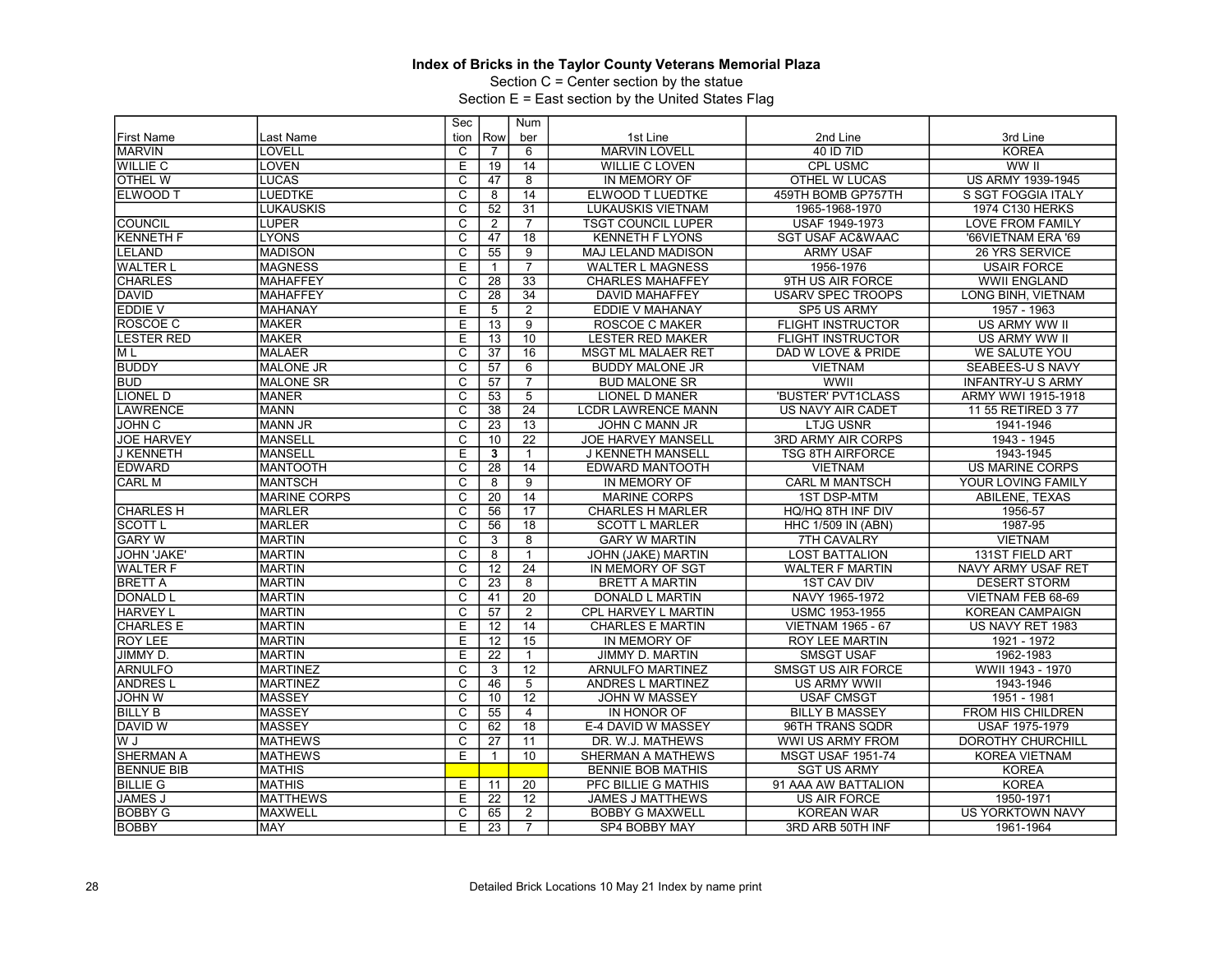Section C = Center section by the statue

|                    |                     | Sec                     |                 | Num             |                           |                             |                          |
|--------------------|---------------------|-------------------------|-----------------|-----------------|---------------------------|-----------------------------|--------------------------|
| <b>First Name</b>  | Last Name           | tion                    | Row             | ber             | 1st Line                  | 2nd Line                    | 3rd Line                 |
| <b>MARVIN</b>      | LOVELL              | C                       | $\overline{7}$  | 6               | <b>MARVIN LOVELL</b>      | 40 ID 7ID                   | <b>KOREA</b>             |
| <b>WILLIE C</b>    | <b>LOVEN</b>        | E                       | 19              | 14              | <b>WILLIE C LOVEN</b>     | <b>CPL USMC</b>             | WW II                    |
| <b>OTHEL W</b>     | <b>LUCAS</b>        | $\overline{\mathrm{c}}$ | 47              | $\overline{8}$  | IN MEMORY OF              | <b>OTHEL W LUCAS</b>        | <b>US ARMY 1939-1945</b> |
| ELWOOD T           | <b>LUEDTKE</b>      | $\overline{C}$          | 8               | 14              | ELWOOD T LUEDTKE          | 459TH BOMB GP757TH          | S SGT FOGGIA ITALY       |
|                    | <b>LUKAUSKIS</b>    | $\overline{\text{c}}$   | 52              | $\overline{31}$ | <b>LUKAUSKIS VIETNAM</b>  | 1965-1968-1970              | 1974 C130 HERKS          |
| <b>COUNCIL</b>     | <b>LUPER</b>        | $\overline{\mathsf{c}}$ | 2               | $\overline{7}$  | <b>TSGT COUNCIL LUPER</b> | USAF 1949-1973              | <b>LOVE FROM FAMILY</b>  |
| <b>KENNETH F</b>   | <b>LYONS</b>        | C                       | 47              | 18              | <b>KENNETH F LYONS</b>    | <b>SGT USAF AC&amp;WAAC</b> | '66VIETNAM ERA '69       |
| LELAND             | <b>MADISON</b>      | $\overline{\mathsf{c}}$ | 55              | $\overline{9}$  | MAJ LELAND MADISON        | <b>ARMY USAF</b>            | 26 YRS SERVICE           |
| <b>WALTER L</b>    | <b>MAGNESS</b>      | E                       | $\mathbf{1}$    | $\overline{7}$  | <b>WALTER L MAGNESS</b>   | 1956-1976                   | <b>USAIR FORCE</b>       |
| <b>CHARLES</b>     | <b>MAHAFFEY</b>     | C                       | 28              | 33              | <b>CHARLES MAHAFFEY</b>   | 9TH US AIR FORCE            | <b>WWII ENGLAND</b>      |
| <b>DAVID</b>       | <b>MAHAFFEY</b>     | $\overline{\text{c}}$   | $\overline{28}$ | $\overline{34}$ | <b>DAVID MAHAFFEY</b>     | <b>USARV SPEC TROOPS</b>    | LONG BINH, VIETNAM       |
| EDDIE V            | <b>MAHANAY</b>      | E                       | 5               | $\overline{2}$  | <b>EDDIE V MAHANAY</b>    | <b>SP5 US ARMY</b>          | 1957 - 1963              |
| <b>ROSCOE C</b>    | <b>MAKER</b>        | E                       | 13              | $\overline{9}$  | <b>ROSCOE C MAKER</b>     | <b>FLIGHT INSTRUCTOR</b>    | US ARMY WW II            |
| <b>LESTER RED</b>  | MAKER               | E                       | 13              | 10              | <b>LESTER RED MAKER</b>   | <b>FLIGHT INSTRUCTOR</b>    | US ARMY WW II            |
| M L                | <b>IMALAER</b>      | C                       | $\overline{37}$ | 16              | <b>MSGT ML MALAER RET</b> | DAD W LOVE & PRIDE          | <b>WE SALUTE YOU</b>     |
| <b>BUDDY</b>       | <b>MALONE JR</b>    | $\overline{\text{c}}$   | 57              | 6               | <b>BUDDY MALONE JR</b>    | <b>VIETNAM</b>              | SEABEES-U S NAVY         |
| <b>BUD</b>         | <b>IMALONE SR</b>   | $\overline{\mathsf{c}}$ | 57              | $\overline{7}$  | <b>BUD MALONE SR</b>      | <b>WWII</b>                 | <b>INFANTRY-U S ARMY</b> |
| LIONEL D           | <b>MANER</b>        | C                       | 53              | 5               | <b>LIONEL D MANER</b>     | 'BUSTER' PVT1CLASS          | ARMY WWI 1915-1918       |
| <b>LAWRENCE</b>    | <b>MANN</b>         | $\overline{\text{c}}$   | 38              | $\overline{24}$ | <b>LCDR LAWRENCE MANN</b> | US NAVY AIR CADET           | 11 55 RETIRED 3 77       |
| <b>JOHN C</b>      | <b>MANN JR</b>      | $\overline{\mathsf{c}}$ | 23              | $\overline{13}$ | JOHN C MANN JR            | <b>LTJG USNR</b>            | 1941-1946                |
| <b>JOE HARVEY</b>  | <b>MANSELL</b>      | C                       | 10              | 22              | <b>JOE HARVEY MANSELL</b> | <b>3RD ARMY AIR CORPS</b>   | 1943 - 1945              |
| <b>J KENNETH</b>   | MANSELL             | E                       | 3               | $\mathbf{1}$    | J KENNETH MANSELL         | <b>TSG 8TH AIRFORCE</b>     | 1943-1945                |
| <b>EDWARD</b>      | <b>MANTOOTH</b>     | $\overline{c}$          | $\overline{28}$ | 14              | EDWARD MANTOOTH           | <b>VIETNAM</b>              | <b>US MARINE CORPS</b>   |
| <b>CARL M</b>      | <b>MANTSCH</b>      | $\overline{c}$          | 8               | $\overline{9}$  | IN MEMORY OF              | <b>CARL M MANTSCH</b>       | YOUR LOVING FAMILY       |
|                    | <b>MARINE CORPS</b> | $\overline{\mathrm{c}}$ | $\overline{20}$ | 14              | <b>MARINE CORPS</b>       | <b>1ST DSP-MTM</b>          | <b>ABILENE, TEXAS</b>    |
| <b>CHARLES H</b>   | <b>MARLER</b>       | $\overline{C}$          | 56              | 17              | <b>CHARLES H MARLER</b>   | HQ/HQ 8TH INF DIV           | 1956-57                  |
| <b>SCOTT L</b>     | <b>MARLER</b>       | $\overline{\text{c}}$   | 56              | 18              | <b>SCOTT L MARLER</b>     | <b>HHC 1/509 IN (ABN)</b>   | 1987-95                  |
| <b>GARY W</b>      | MARTIN              | $\overline{\mathrm{c}}$ | 3               | $\overline{8}$  | <b>GARY W MARTIN</b>      | 7TH CAVALRY                 | <b>VIETNAM</b>           |
| <b>JOHN 'JAKE'</b> | <b>MARTIN</b>       | $\overline{C}$          | 8               | 1               | JOHN (JAKE) MARTIN        | <b>LOST BATTALION</b>       | <b>131ST FIELD ART</b>   |
| <b>WALTER F</b>    | <b>MARTIN</b>       | $\overline{\text{c}}$   | 12              | $\overline{24}$ | IN MEMORY OF SGT          | <b>WALTER F MARTIN</b>      | NAVY ARMY USAF RET       |
| <b>BRETT A</b>     | <b>MARTIN</b>       | $\overline{\mathsf{c}}$ | $\overline{23}$ | $\overline{8}$  | <b>BRETT A MARTIN</b>     | <b>1ST CAV DIV</b>          | <b>DESERT STORM</b>      |
| DONALD L           | MARTIN              | C                       | 41              | 20              | DONALD L MARTIN           | NAVY 1965-1972              | VIETNAM FEB 68-69        |
| <b>HARVEY L</b>    | MARTIN              | $\overline{\text{c}}$   | 57              | $\overline{2}$  | CPL HARVEY L MARTIN       | USMC 1953-1955              | <b>KOREAN CAMPAIGN</b>   |
| <b>CHARLES E</b>   | <b>MARTIN</b>       | Ε                       | 12              | 14              | <b>CHARLES E MARTIN</b>   | <b>VIETNAM 1965 - 67</b>    | US NAVY RET 1983         |
| <b>ROY LEE</b>     | MARTIN              | E                       | 12              | 15              | IN MEMORY OF              | <b>ROY LEE MARTIN</b>       | 1921 - 1972              |
| JIMMY D.           | <b>MARTIN</b>       | E                       | $\overline{22}$ | $\overline{1}$  | JIMMY D. MARTIN           | <b>SMSGT USAF</b>           | 1962-1983                |
| <b>ARNULFO</b>     | <b>MARTINEZ</b>     | $\overline{\mathrm{c}}$ | 3               | $\overline{12}$ | <b>ARNULFO MARTINEZ</b>   | <b>SMSGT US AIR FORCE</b>   | WWII 1943 - 1970         |
| <b>ANDRES L</b>    | <b>MARTINEZ</b>     | $\overline{\text{c}}$   | 46              | $\overline{5}$  | ANDRES L MARTINEZ         | US ARMY WWII                | 1943-1946                |
| <b>JOHN W</b>      | <b>MASSEY</b>       | $\overline{\mathrm{c}}$ | 10              | $\overline{12}$ | JOHN W MASSEY             | <b>USAF CMSGT</b>           | 1951 - 1981              |
| <b>BILLY B</b>     | MASSEY              | $\overline{C}$          | 55              | $\overline{4}$  | IN HONOR OF               | <b>BILLY B MASSEY</b>       | <b>FROM HIS CHILDREN</b> |
| <b>DAVID W</b>     | <b>MASSEY</b>       | $\overline{\text{c}}$   | 62              | 18              | E-4 DAVID W MASSEY        | 96TH TRANS SQDR             | <b>USAF 1975-1979</b>    |
| W J                | <b>MATHEWS</b>      | $\overline{\mathsf{c}}$ | 27              | 11              | DR. W.J. MATHEWS          | WWI US ARMY FROM            | <b>DOROTHY CHURCHILL</b> |
| <b>SHERMAN A</b>   | <b>MATHEWS</b>      | E                       | $\mathbf{1}$    | 10              | SHERMAN A MATHEWS         | <b>MSGT USAF 1951-74</b>    | <b>KOREA VIETNAM</b>     |
| <b>BENNUE BIB</b>  | <b>MATHIS</b>       |                         |                 |                 | <b>BENNIE BOB MATHIS</b>  | <b>SGT US ARMY</b>          | <b>KOREA</b>             |
| <b>BILLIE G</b>    | <b>MATHIS</b>       | E                       | 11              | 20              | PFC BILLIE G MATHIS       | 91 AAA AW BATTALION         | <b>KOREA</b>             |
| <b>JAMES J</b>     | <b>MATTHEWS</b>     | E                       | 22              | 12              | JAMES J MATTHEWS          | <b>US AIR FORCE</b>         | 1950-1971                |
| <b>BOBBY G</b>     | <b>MAXWELL</b>      | $\overline{\text{c}}$   | 65              | $\overline{2}$  | <b>BOBBY G MAXWELL</b>    | <b>KOREAN WAR</b>           | <b>US YORKTOWN NAVY</b>  |
| <b>BOBBY</b>       | <b>MAY</b>          | E                       | $\overline{23}$ | $\overline{7}$  | SP4 BOBBY MAY             | 3RD ARB 50TH INF            | 1961-1964                |
|                    |                     |                         |                 |                 |                           |                             |                          |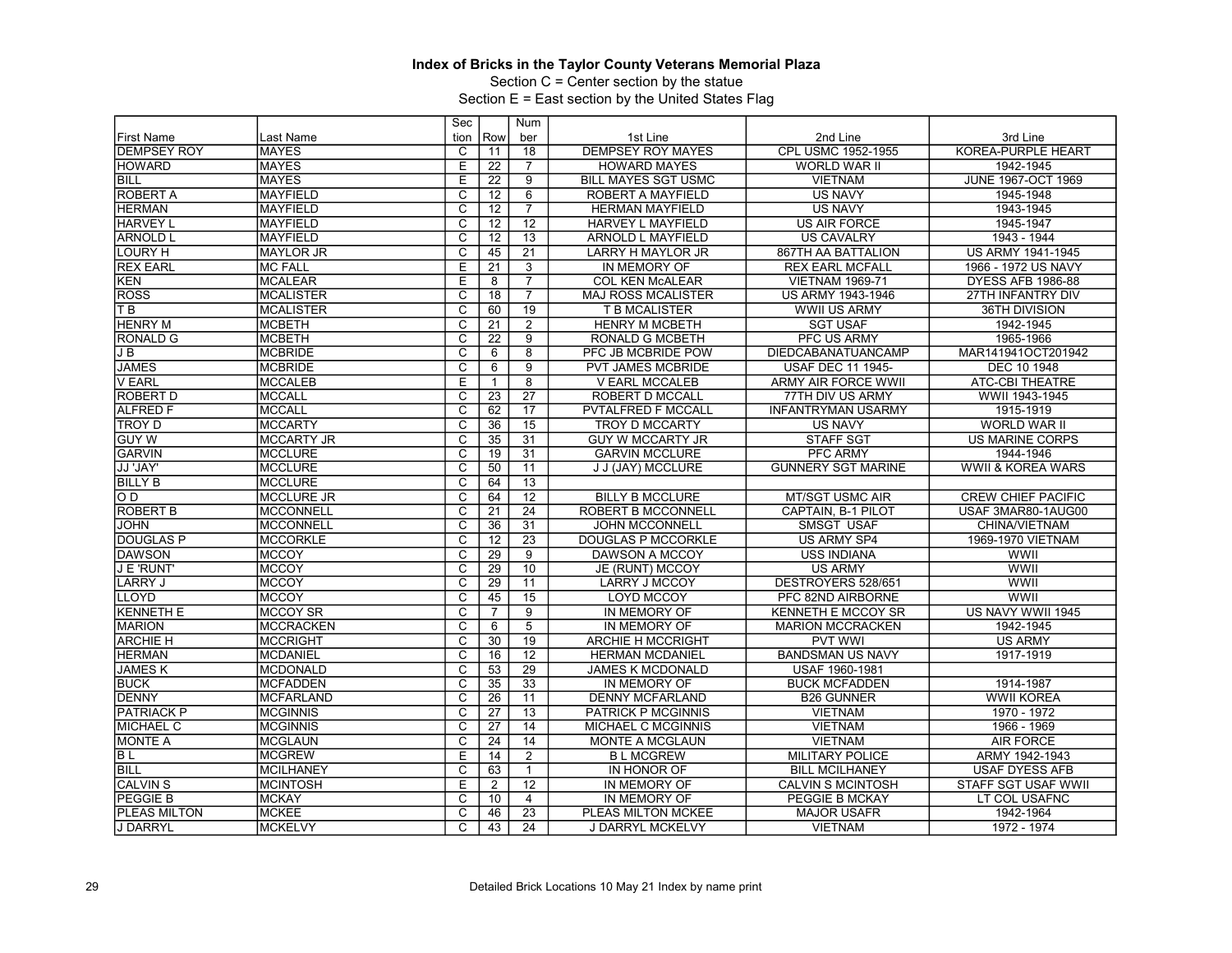Section C = Center section by the statue

|                    |                  | Sec                     |                 | <b>Num</b>      |                            |                            |                              |
|--------------------|------------------|-------------------------|-----------------|-----------------|----------------------------|----------------------------|------------------------------|
| <b>First Name</b>  | Last Name        | tion                    | Row             | ber             | 1st Line                   | 2nd Line                   | 3rd Line                     |
| <b>DEMPSEY ROY</b> | <b>IMAYES</b>    | C                       | 11              | 18              | <b>DEMPSEY ROY MAYES</b>   | CPL USMC 1952-1955         | KOREA-PURPLE HEART           |
| <b>HOWARD</b>      | MAYES            | Ε                       | 22              | $\overline{7}$  | <b>HOWARD MAYES</b>        | WORLD WAR II               | 1942-1945                    |
| <b>BILL</b>        | <b>IMAYES</b>    | E                       | $\overline{22}$ | 9               | <b>BILL MAYES SGT USMC</b> | <b>VIETNAM</b>             | <b>JUNE 1967-OCT 1969</b>    |
| <b>ROBERT A</b>    | MAYFIELD         | C                       | 12              | 6               | ROBERT A MAYFIELD          | <b>US NAVY</b>             | 1945-1948                    |
| <b>HERMAN</b>      | <b>MAYFIELD</b>  | $\overline{\text{c}}$   | 12              | $\overline{7}$  | <b>HERMAN MAYFIELD</b>     | <b>US NAVY</b>             | 1943-1945                    |
| <b>HARVEY L</b>    | <b>MAYFIELD</b>  | $\overline{\mathsf{c}}$ | 12              | $\overline{12}$ | <b>HARVEY L MAYFIELD</b>   | <b>US AIR FORCE</b>        | 1945-1947                    |
| <b>ARNOLD L</b>    | <b>MAYFIELD</b>  | $\overline{\text{c}}$   | 12              | $\overline{13}$ | <b>ARNOLD L MAYFIELD</b>   | <b>US CAVALRY</b>          | 1943 - 1944                  |
| <b>LOURY H</b>     | <b>MAYLOR JR</b> | $\overline{\mathsf{c}}$ | 45              | $\overline{21}$ | LARRY H MAYLOR JR          | 867TH AA BATTALION         | <b>US ARMY 1941-1945</b>     |
| <b>REX EARL</b>    | MC FALL          | E                       | $\overline{21}$ | 3               | IN MEMORY OF               | <b>REX EARL MCFALL</b>     | 1966 - 1972 US NAVY          |
| KEN                | MCALEAR          | E                       | 8               | $\overline{7}$  | <b>COL KEN McALEAR</b>     | <b>VIETNAM 1969-71</b>     | DYESS AFB 1986-88            |
| <b>ROSS</b>        | IMCALISTER       | $\overline{\text{c}}$   | $\overline{18}$ | $\overline{7}$  | <b>MAJ ROSS MCALISTER</b>  | US ARMY 1943-1946          | <b>27TH INFANTRY DIV</b>     |
| TВ                 | IMCALISTER       | $\overline{c}$          | 60              | 19              | T B MCALISTER              | <b>WWII US ARMY</b>        | 36TH DIVISION                |
| <b>HENRY M</b>     | MCBETH           | $\overline{\text{c}}$   | 21              | $\overline{2}$  | <b>HENRY M MCBETH</b>      | <b>SGT USAF</b>            | 1942-1945                    |
| <b>RONALD G</b>    | IMCBETH          | $\overline{\mathrm{c}}$ | 22              | 9               | <b>RONALD G MCBETH</b>     | PFC US ARMY                | 1965-1966                    |
| J B                | <b>MCBRIDE</b>   | $\overline{\text{c}}$   | $6\overline{6}$ | $\overline{8}$  | PFC JB MCBRIDE POW         | <b>DIEDCABANATUANCAMP</b>  | MAR141941OCT201942           |
| <b>JAMES</b>       | <b>IMCBRIDE</b>  | $\overline{\text{c}}$   | 6               | $\overline{9}$  | <b>PVT JAMES MCBRIDE</b>   | <b>USAF DEC 11 1945-</b>   | DEC 10 1948                  |
| <b>V EARL</b>      | <b>IMCCALEB</b>  | E                       | $\mathbf{1}$    | 8               | <b>V EARL MCCALEB</b>      | <b>ARMY AIR FORCE WWII</b> | <b>ATC-CBI THEATRE</b>       |
| <b>ROBERT D</b>    | MCCALL           | C                       | 23              | $\overline{27}$ | ROBERT D MCCALL            | 77TH DIV US ARMY           | WWII 1943-1945               |
| <b>ALFRED F</b>    | IMCCALL          | $\overline{\mathrm{c}}$ | 62              | 17              | <b>PVTALFRED F MCCALL</b>  | <b>INFANTRYMAN USARMY</b>  | 1915-1919                    |
| <b>TROY D</b>      | <b>IMCCARTY</b>  | $\overline{\mathsf{c}}$ | $\overline{36}$ | $\overline{15}$ | <b>TROY D MCCARTY</b>      | <b>US NAVY</b>             | <b>WORLD WAR II</b>          |
| <b>GUY W</b>       | MCCARTY JR       | $\overline{\text{c}}$   | 35              | 31              | <b>GUY W MCCARTY JR</b>    | <b>STAFF SGT</b>           | <b>US MARINE CORPS</b>       |
| <b>GARVIN</b>      | <b>IMCCLURE</b>  | $\overline{\mathsf{c}}$ | 19              | 31              | <b>GARVIN MCCLURE</b>      | <b>PFC ARMY</b>            | 1944-1946                    |
| JJ 'JAY'           | MCCLURE          | $\overline{c}$          | 50              | 11              | J J (JAY) MCCLURE          | <b>GUNNERY SGT MARINE</b>  | <b>WWII &amp; KOREA WARS</b> |
| <b>BILLY B</b>     | <b>IMCCLURE</b>  | $\overline{c}$          | 64              | $\overline{13}$ |                            |                            |                              |
| OD.                | MCCLURE JR       | C                       | 64              | $\overline{12}$ | <b>BILLY B MCCLURE</b>     | <b>MT/SGT USMC AIR</b>     | <b>CREW CHIEF PACIFIC</b>    |
| <b>ROBERT B</b>    | <b>MCCONNELL</b> | $\overline{C}$          | 21              | $\overline{24}$ | <b>ROBERT B MCCONNELL</b>  | CAPTAIN, B-1 PILOT         | USAF 3MAR80-1AUG00           |
| <b>JOHN</b>        | IMCCONNELL       | C                       | $\overline{36}$ | 31              | <b>JOHN MCCONNELL</b>      | <b>SMSGT USAF</b>          | CHINA/VIETNAM                |
| <b>DOUGLAS P</b>   | IMCCORKLE        | $\overline{\mathrm{c}}$ | 12              | $\overline{23}$ | DOUGLAS P MCCORKLE         | US ARMY SP4                | 1969-1970 VIETNAM            |
| <b>DAWSON</b>      | MCCOY            | $\overline{\text{c}}$   | 29              | $\overline{9}$  | DAWSON A MCCOY             | <b>USS INDIANA</b>         | WWII                         |
| J E 'RUNT'         | IMCCOY           | $\overline{\text{c}}$   | 29              | 10              | JE (RUNT) MCCOY            | <b>US ARMY</b>             | WWII                         |
| LARRY J            | <b>MCCOY</b>     | $\overline{\mathrm{c}}$ | $\overline{29}$ | 11              | <b>LARRY J MCCOY</b>       | DESTROYERS 528/651         | <b>WWII</b>                  |
| LLOYD              | <b>IMCCOY</b>    | $\overline{\text{c}}$   | 45              | $\overline{15}$ | <b>LOYD MCCOY</b>          | PFC 82ND AIRBORNE          | WWII                         |
| <b>KENNETH E</b>   | IMCCOY SR        | C                       | $\overline{7}$  | 9               | IN MEMORY OF               | <b>KENNETH E MCCOY SR</b>  | US NAVY WWII 1945            |
| <b>MARION</b>      | MCCRACKEN        | $\overline{\mathsf{C}}$ | 6               | $\overline{5}$  | IN MEMORY OF               | <b>MARION MCCRACKEN</b>    | 1942-1945                    |
| <b>ARCHIE H</b>    | IMCCRIGHT        | C                       | $\overline{30}$ | 19              | <b>ARCHIE H MCCRIGHT</b>   | <b>PVT WWI</b>             | <b>US ARMY</b>               |
| <b>HERMAN</b>      | MCDANIEL         | $\overline{\mathrm{c}}$ | 16              | $\overline{12}$ | <b>HERMAN MCDANIEL</b>     | <b>BANDSMAN US NAVY</b>    | 1917-1919                    |
| <b>JAMESK</b>      | MCDONALD         | $\overline{\mathrm{c}}$ | 53              | $\overline{29}$ | <b>JAMES K MCDONALD</b>    | USAF 1960-1981             |                              |
| <b>BUCK</b>        | <b>IMCFADDEN</b> | C                       | $\overline{35}$ | 33              | IN MEMORY OF               | <b>BUCK MCFADDEN</b>       | 1914-1987                    |
| <b>DENNY</b>       | MCFARLAND        | $\overline{\mathrm{c}}$ | $\overline{26}$ | 11              | <b>DENNY MCFARLAND</b>     | <b>B26 GUNNER</b>          | <b>WWII KOREA</b>            |
| <b>PATRIACK P</b>  | IMCGINNIS        | $\overline{\text{c}}$   | 27              | 13              | <b>PATRICK P MCGINNIS</b>  | <b>VIETNAM</b>             | 1970 - 1972                  |
| <b>MICHAEL C</b>   | <b>MCGINNIS</b>  | C                       | $\overline{27}$ | 14              | MICHAEL C MCGINNIS         | <b>VIETNAM</b>             | 1966 - 1969                  |
| <b>MONTE A</b>     | MCGLAUN          | C                       | 24              | 14              | MONTE A MCGLAUN            | <b>VIETNAM</b>             | <b>AIR FORCE</b>             |
| $\overline{BL}$    | IMCGREW          | E                       | 14              | $\overline{2}$  | <b>BLMCGREW</b>            | <b>MILITARY POLICE</b>     | ARMY 1942-1943               |
| <b>BILL</b>        | MCILHANEY        | C                       | 63              | $\mathbf{1}$    | IN HONOR OF                | <b>BILL MCILHANEY</b>      | <b>USAF DYESS AFB</b>        |
| <b>CALVIN S</b>    | IMCINTOSH        | E                       | $\overline{2}$  | $\overline{12}$ | IN MEMORY OF               | <b>CALVIN S MCINTOSH</b>   | <b>STAFF SGT USAF WWII</b>   |
| PEGGIE B           | <b>MCKAY</b>     | C                       | 10              | $\overline{4}$  | IN MEMORY OF               | PEGGIE B MCKAY             | LT COL USAFNC                |
| PLEAS MILTON       | MCKEE            | $\overline{\mathrm{c}}$ | 46              | $\overline{23}$ | PLEAS MILTON MCKEE         | <b>MAJOR USAFR</b>         | 1942-1964                    |
| J DARRYL           | <b>IMCKELVY</b>  | $\overline{C}$          | 43              | 24              | J DARRYL MCKELVY           | <b>VIETNAM</b>             | 1972 - 1974                  |
|                    |                  |                         |                 |                 |                            |                            |                              |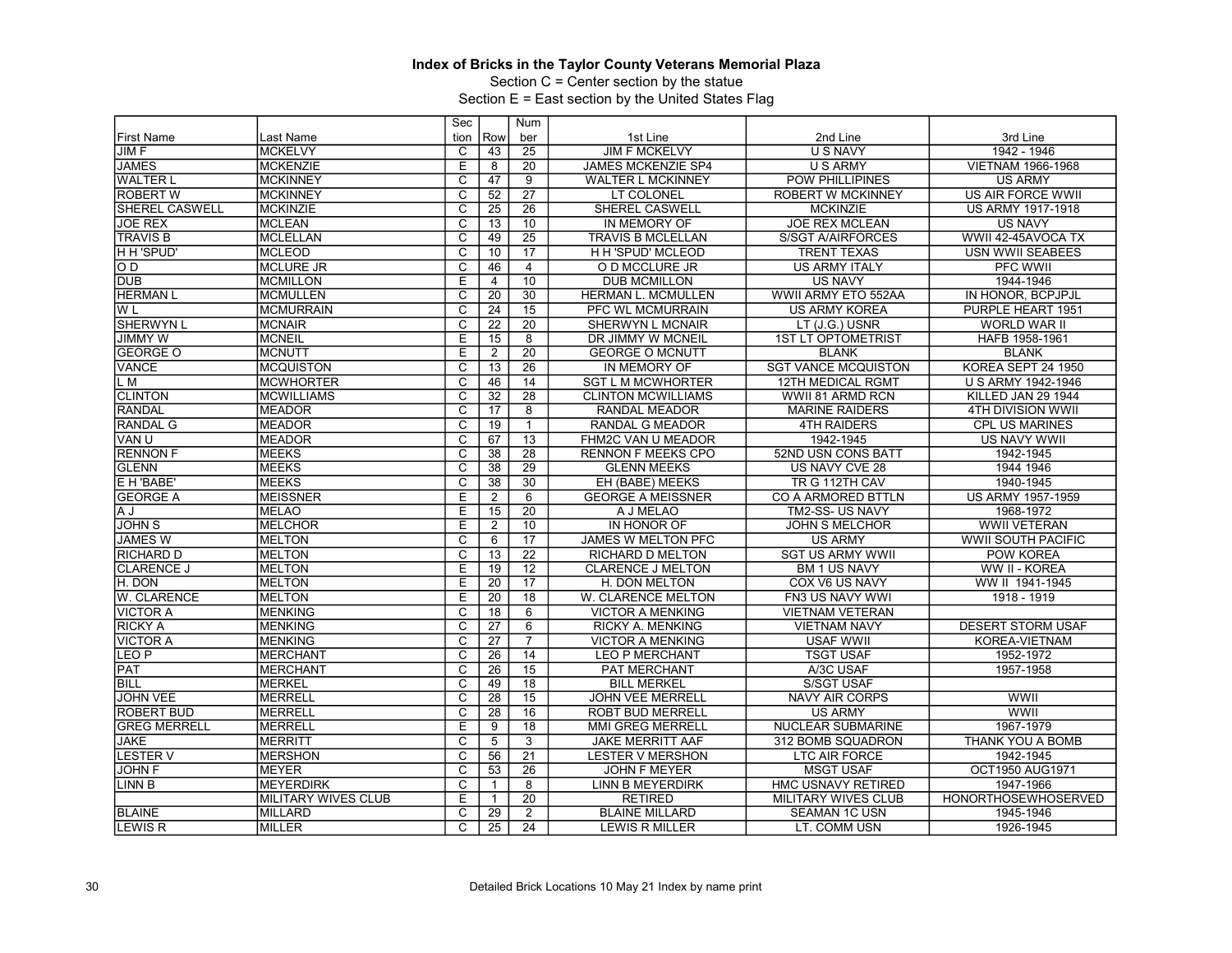Section C = Center section by the statue

|                     |                            | Sec                     |                 | Num             |                           |                            |                            |
|---------------------|----------------------------|-------------------------|-----------------|-----------------|---------------------------|----------------------------|----------------------------|
| <b>First Name</b>   | Last Name                  | tion                    | Row             | ber             | 1st Line                  | 2nd Line                   | 3rd Line                   |
| JIM F               | <b>MCKELVY</b>             | C                       | 43              | 25              | <b>JIM F MCKELVY</b>      | <b>U S NAVY</b>            | 1942 - 1946                |
| <b>JAMES</b>        | <b>MCKENZIE</b>            | Ε                       | 8               | 20              | <b>JAMES MCKENZIE SP4</b> | <b>U S ARMY</b>            | VIETNAM 1966-1968          |
| <b>WALTER L</b>     | <b>MCKINNEY</b>            | $\overline{\mathrm{c}}$ | 47              | $\overline{9}$  | <b>WALTER L MCKINNEY</b>  | <b>POW PHILLIPINES</b>     | <b>US ARMY</b>             |
| <b>ROBERT W</b>     | <b>MCKINNEY</b>            | $\overline{C}$          | 52              | $\overline{27}$ | LT COLONEL                | <b>ROBERT W MCKINNEY</b>   | <b>US AIR FORCE WWII</b>   |
| SHEREL CASWELL      | MCKINZIE                   | $\overline{\text{c}}$   | 25              | 26              | SHEREL CASWELL            | <b>MCKINZIE</b>            | <b>US ARMY 1917-1918</b>   |
| <b>JOE REX</b>      | <b>MCLEAN</b>              | $\overline{\mathsf{c}}$ | $\overline{13}$ | 10              | IN MEMORY OF              | <b>JOE REX MCLEAN</b>      | <b>US NAVY</b>             |
| <b>TRAVIS B</b>     | <b>MCLELLAN</b>            | $\overline{\text{c}}$   | 49              | 25              | <b>TRAVIS B MCLELLAN</b>  | <b>S/SGT A/AIRFORCES</b>   | WWII 42-45AVOCA TX         |
| H H 'SPUD'          | <b>MCLEOD</b>              | $\overline{\mathsf{c}}$ | 10              | 17              | H H 'SPUD' MCLEOD         | <b>TRENT TEXAS</b>         | USN WWII SEABEES           |
| lo d                | <b>MCLURE JR</b>           | $\overline{\mathrm{c}}$ | 46              | $\overline{4}$  | O D MCCLURE JR            | <b>US ARMY ITALY</b>       | PFC WWII                   |
| <b>DUB</b>          | <b>MCMILLON</b>            | Ε                       | 4               | 10              | <b>DUB MCMILLON</b>       | <b>US NAVY</b>             | 1944-1946                  |
| <b>HERMAN L</b>     | <b>MCMULLEN</b>            | $\overline{\mathrm{c}}$ | $\overline{20}$ | $\overline{30}$ | HERMAN L. MCMULLEN        | WWII ARMY ETO 552AA        | IN HONOR, BCPJPJL          |
| W <sub>L</sub>      | MCMURRAIN                  | $\overline{C}$          | 24              | 15              | <b>PFC WL MCMURRAIN</b>   | <b>US ARMY KOREA</b>       | PURPLE HEART 1951          |
| <b>SHERWYN L</b>    | MCNAIR                     | $\overline{\text{c}}$   | 22              | $\overline{20}$ | SHERWYN L MCNAIR          | LT (J.G.) USNR             | WORLD WAR II               |
| <b>JIMMY W</b>      | <b>MCNEIL</b>              | Έ                       | $\overline{15}$ | 8               | DR JIMMY W MCNEIL         | <b>1ST LT OPTOMETRIST</b>  | HAFB 1958-1961             |
| <b>GEORGE O</b>     | <b>MCNUTT</b>              | E                       | $\overline{2}$  | $\overline{20}$ | <b>GEORGE O MCNUTT</b>    | <b>BLANK</b>               | <b>BLANK</b>               |
| <b>VANCE</b>        | <b>MCQUISTON</b>           | $\overline{\text{c}}$   | 13              | 26              | IN MEMORY OF              | <b>SGT VANCE MCQUISTON</b> | KOREA SEPT 24 1950         |
| LM                  | <b>MCWHORTER</b>           | $\overline{\mathrm{c}}$ | 46              | 14              | <b>SGT L M MCWHORTER</b>  | <b>12TH MEDICAL RGMT</b>   | U S ARMY 1942-1946         |
| <b>CLINTON</b>      | <b>MCWILLIAMS</b>          | $\overline{c}$          | 32              | $\overline{28}$ | <b>CLINTON MCWILLIAMS</b> | WWII 81 ARMD RCN           | KILLED JAN 29 1944         |
| RANDAL              | <b>MEADOR</b>              | $\overline{\text{c}}$   | 17              | $\overline{8}$  | <b>RANDAL MEADOR</b>      | <b>MARINE RAIDERS</b>      | <b>4TH DIVISION WWII</b>   |
| <b>RANDAL G</b>     | MEADOR                     | $\overline{c}$          | 19              | $\mathbf{1}$    | RANDAL G MEADOR           | <b>4TH RAIDERS</b>         | <b>CPL US MARINES</b>      |
| VAN U               | <b>MEADOR</b>              | $\overline{\text{c}}$   | 67              | $\overline{13}$ | FHM2C VAN U MEADOR        | 1942-1945                  | <b>US NAVY WWII</b>        |
| <b>RENNON F</b>     | <b>MEEKS</b>               | $\overline{\mathsf{c}}$ | $\overline{38}$ | $\overline{28}$ | <b>RENNON F MEEKS CPO</b> | 52ND USN CONS BATT         | 1942-1945                  |
| <b>GLENN</b>        | MEEKS                      | $\overline{\text{c}}$   | $\overline{38}$ | $\overline{29}$ | <b>GLENN MEEKS</b>        | US NAVY CVE 28             | 1944 1946                  |
| E H 'BABE'          | <b>MEEKS</b>               | $\overline{c}$          | 38              | 30              | EH (BABE) MEEKS           | TR G 112TH CAV             | 1940-1945                  |
| <b>GEORGE A</b>     | <b>MEISSNER</b>            | E                       | 2               | 6               | <b>GEORGE A MEISSNER</b>  | CO A ARMORED BTTLN         | <b>US ARMY 1957-1959</b>   |
| A J                 | <b>MELAO</b>               | Ε                       | 15              | $\overline{20}$ | A J MELAO                 | TM2-SS- US NAVY            | 1968-1972                  |
| <b>JOHN S</b>       | <b>MELCHOR</b>             | E                       | $\overline{2}$  | 10              | IN HONOR OF               | <b>JOHN S MELCHOR</b>      | <b>WWII VETERAN</b>        |
| <b>JAMES W</b>      | <b>MELTON</b>              | $\overline{\mathsf{c}}$ | 6               | $\overline{17}$ | <b>JAMES W MELTON PFC</b> | <b>US ARMY</b>             | <b>WWII SOUTH PACIFIC</b>  |
| <b>RICHARD D</b>    | <b>MELTON</b>              | $\overline{\text{c}}$   | 13              | $\overline{22}$ | <b>RICHARD D MELTON</b>   | <b>SGT US ARMY WWII</b>    | POW KOREA                  |
| <b>CLARENCE J</b>   | <b>MELTON</b>              | Έ                       | 19              | 12              | <b>CLARENCE J MELTON</b>  | <b>BM 1 US NAVY</b>        | WW II - KOREA              |
| H. DON              | <b>MELTON</b>              | Ε                       | $\overline{20}$ | $\overline{17}$ | H. DON MELTON             | COX V6 US NAVY             | WW II 1941-1945            |
| W. CLARENCE         | <b>MELTON</b>              | E                       | 20              | 18              | <b>W. CLARENCE MELTON</b> | <b>FN3 US NAVY WWI</b>     | 1918 - 1919                |
| <b>VICTOR A</b>     | <b>MENKING</b>             | C                       | 18              | 6               | <b>VICTOR A MENKING</b>   | <b>VIETNAM VETERAN</b>     |                            |
| <b>RICKY A</b>      | <b>MENKING</b>             | $\overline{c}$          | 27              | 6               | RICKY A. MENKING          | <b>VIETNAM NAVY</b>        | <b>DESERT STORM USAF</b>   |
| <b>VICTOR A</b>     | <b>MENKING</b>             | C                       | 27              | $\overline{7}$  | <b>VICTOR A MENKING</b>   | <b>USAF WWII</b>           | KOREA-VIETNAM              |
| LEO <sub>P</sub>    | <b>MERCHANT</b>            | $\overline{\mathsf{c}}$ | 26              | 14              | <b>LEO P MERCHANT</b>     | <b>TSGT USAF</b>           | 1952-1972                  |
| PAT                 | <b>MERCHANT</b>            | $\overline{\mathrm{c}}$ | 26              | 15              | PAT MERCHANT              | A/3C USAF                  | 1957-1958                  |
| <b>BILL</b>         | MERKEL                     | C                       | 49              | 18              | <b>BILL MERKEL</b>        | <b>S/SGT USAF</b>          |                            |
| <b>JOHN VEE</b>     | MERRELL                    | $\overline{\text{c}}$   | $\overline{28}$ | 15              | <b>JOHN VEE MERRELL</b>   | <b>NAVY AIR CORPS</b>      | <b>WWII</b>                |
| <b>ROBERT BUD</b>   | <b>MERRELL</b>             | $\overline{\mathsf{c}}$ | $\overline{28}$ | 16              | <b>ROBT BUD MERRELL</b>   | <b>US ARMY</b>             | WWII                       |
| <b>GREG MERRELL</b> | <b>MERRELL</b>             | E                       | 9               | 18              | <b>MMI GREG MERRELL</b>   | <b>NUCLEAR SUBMARINE</b>   | 1967-1979                  |
| <b>JAKE</b>         | <b>MERRITT</b>             | C                       | 5               | $\overline{3}$  | <b>JAKE MERRITT AAF</b>   | 312 BOMB SQUADRON          | THANK YOU A BOMB           |
| <b>LESTER V</b>     | <b>MERSHON</b>             | $\overline{\mathrm{c}}$ | 56              | 21              | <b>LESTER V MERSHON</b>   | <b>LTC AIR FORCE</b>       | 1942-1945                  |
| <b>JOHN F</b>       | <b>MEYER</b>               | $\overline{\mathsf{c}}$ | 53              | $\overline{26}$ | JOHN F MEYER              | <b>MSGT USAF</b>           | OCT1950 AUG1971            |
| LINN B              | <b>MEYERDIRK</b>           | C                       | $\mathbf{1}$    | 8               | <b>LINN B MEYERDIRK</b>   | HMC USNAVY RETIRED         | 1947-1966                  |
|                     | <b>MILITARY WIVES CLUB</b> | E                       | $\mathbf{1}$    | 20              | <b>RETIRED</b>            | <b>MILITARY WIVES CLUB</b> | <b>HONORTHOSEWHOSERVED</b> |
| <b>BLAINE</b>       | <b>MILLARD</b>             | C                       | 29              | $\overline{2}$  | <b>BLAINE MILLARD</b>     | <b>SEAMAN 1C USN</b>       | 1945-1946                  |
| <b>LEWIS R</b>      | MILLER                     | $\overline{C}$          | 25              | $\overline{24}$ | <b>LEWIS R MILLER</b>     | LT. COMM USN               | 1926-1945                  |
|                     |                            |                         |                 |                 |                           |                            |                            |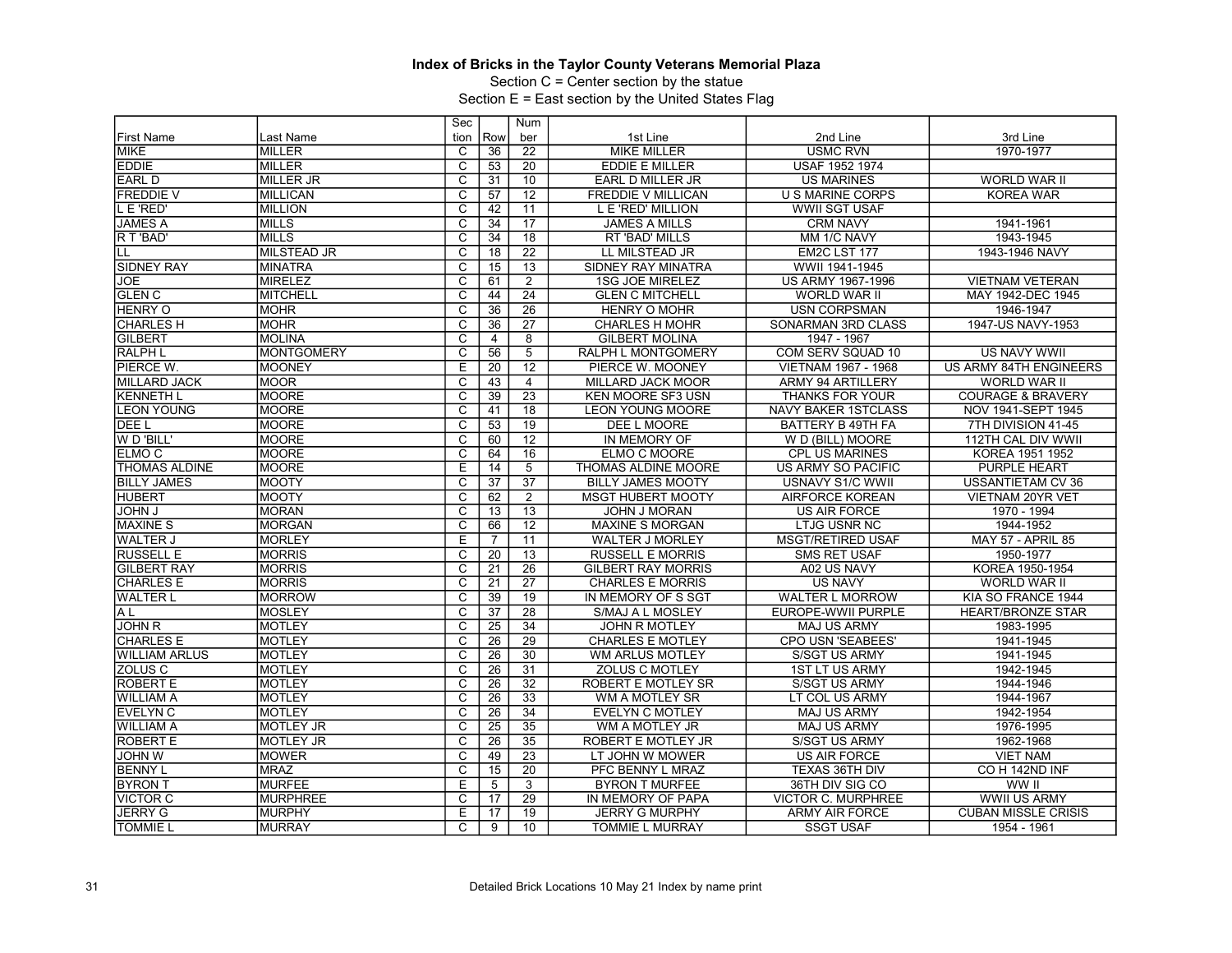Section C = Center section by the statue

| Row<br>2nd Line<br>3rd Line<br><b>First Name</b><br>Last Name<br>tion<br>ber<br>1st Line<br>1970-1977<br><b>MIKE</b><br><b>MILLER</b><br>C<br>22<br><b>MIKE MILLER</b><br><b>USMC RVN</b><br>36<br>$\overline{\text{c}}$<br>20<br>EDDIE<br><b>MILLER</b><br><b>EDDIE E MILLER</b><br>USAF 1952 1974<br>53<br>$\overline{\mathrm{c}}$<br>10<br><b>EARL D</b><br><b>MILLER JR</b><br>EARL D MILLER JR<br><b>US MARINES</b><br><b>WORLD WAR II</b><br>31<br>$\overline{C}$<br>12<br><b>KOREA WAR</b><br><b>FREDDIE V</b><br>MILLICAN<br>57<br><b>FREDDIE V MILLICAN</b><br>U S MARINE CORPS<br>L E 'RED'<br>$\overline{\text{c}}$<br>11<br><b>WWII SGT USAF</b><br><b>MILLION</b><br>42<br>L E 'RED' MILLION<br><b>JAMES A</b><br>$\overline{\mathrm{c}}$<br>$\overline{17}$<br><b>MILLS</b><br>34<br><b>JAMES A MILLS</b><br><b>CRM NAVY</b><br>1941-1961<br>R T 'BAD'<br><b>MILLS</b><br>C<br>34<br>18<br>MM 1/C NAVY<br>1943-1945<br>RT 'BAD' MILLS<br>$\overline{\mathsf{c}}$<br>$\overline{22}$<br><b>MILSTEAD JR</b><br>18<br>LL MILSTEAD JR<br>EM2C LST 177<br>1943-1946 NAVY<br>LL<br>$\overline{\mathrm{c}}$<br><b>SIDNEY RAY</b><br>15<br>13<br>SIDNEY RAY MINATRA<br>WWII 1941-1945<br><b>MINATRA</b><br>C<br>2<br><b>MIRELEZ</b><br><b>1SG JOE MIRELEZ</b><br>US ARMY 1967-1996<br><b>VIETNAM VETERAN</b><br>JOE<br>61<br>$\overline{\mathrm{c}}$<br>$\overline{24}$<br><b>GLEN C</b><br><b>MITCHELL</b><br>44<br><b>GLEN C MITCHELL</b><br><b>WORLD WAR II</b><br>MAY 1942-DEC 1945<br>$\overline{C}$<br>$\overline{26}$<br><b>HENRY O</b><br><b>MOHR</b><br>36<br><b>HENRY O MOHR</b><br><b>USN CORPSMAN</b><br>1946-1947<br>$\overline{\text{c}}$<br>$\overline{27}$<br>1947-US NAVY-1953<br><b>CHARLES H</b><br><b>MOHR</b><br>36<br><b>CHARLES H MOHR</b><br>SONARMAN 3RD CLASS<br>$\overline{\text{c}}$<br>$\overline{8}$<br><b>GILBERT</b><br><b>MOLINA</b><br><b>GILBERT MOLINA</b><br>1947 - 1967<br>$\overline{4}$<br><b>RALPH L</b><br>$\overline{c}$<br>56<br>5<br>COM SERV SQUAD 10<br><b>US NAVY WWII</b><br>MONTGOMERY<br>RALPH L MONTGOMERY<br>PIERCE W.<br><b>MOONEY</b><br>E<br>$\overline{12}$<br>20<br>PIERCE W. MOONEY<br>VIETNAM 1967 - 1968<br>US ARMY 84TH ENGINEERS<br>$\overline{\mathrm{c}}$<br><b>MILLARD JACK</b><br><b>MOOR</b><br>43<br>$\overline{4}$<br>MILLARD JACK MOOR<br><b>ARMY 94 ARTILLERY</b><br><b>WORLD WAR II</b><br><b>KENNETH L</b><br><b>MOORE</b><br>C<br>39<br>$\overline{23}$<br><b>KEN MOORE SF3 USN</b><br>THANKS FOR YOUR<br><b>COURAGE &amp; BRAVERY</b><br><b>LEON YOUNG</b><br>MOORE<br>$\overline{\text{c}}$<br>$\overline{18}$<br>41<br><b>LEON YOUNG MOORE</b><br><b>NAVY BAKER 1STCLASS</b><br>NOV 1941-SEPT 1945<br>$\overline{c}$<br><b>MOORE</b><br>53<br>19<br>DEE L<br><b>DEE L MOORE</b><br><b>BATTERY B 49TH FA</b><br>7TH DIVISION 41-45<br>W D 'BILL'<br>MOORE<br>C<br>12<br>60<br>IN MEMORY OF<br>W D (BILL) MOORE<br>112TH CAL DIV WWII<br>MOORE<br>$\overline{\text{c}}$<br>16<br>ELMO <sub>C</sub><br>64<br>ELMO C MOORE<br><b>CPL US MARINES</b><br>KOREA 1951 1952<br><b>THOMAS ALDINE</b><br><b>MOORE</b><br>E<br>$5\overline{)}$<br>14<br>THOMAS ALDINE MOORE<br><b>US ARMY SO PACIFIC</b><br><b>PURPLE HEART</b><br><b>BILLY JAMES</b><br>MOOTY<br>C<br>37<br>37<br><b>BILLY JAMES MOOTY</b><br>USNAVY S1/C WWII<br>USSANTIETAM CV 36<br><b>HUBERT</b><br>MOOTY<br>$\overline{\text{c}}$<br>$\overline{2}$<br>62<br><b>MSGT HUBERT MOOTY</b><br><b>AIRFORCE KOREAN</b><br>VIETNAM 20YR VET<br>$\overline{C}$<br>13<br><b>JOHN J</b><br><b>MORAN</b><br>13<br>1970 - 1994<br>JOHN J MORAN<br><b>US AIR FORCE</b><br>$\overline{\text{c}}$<br>$\overline{12}$<br>1944-1952<br><b>MAXINE S</b><br><b>MORGAN</b><br>66<br><b>MAXINE S MORGAN</b><br><b>LTJG USNR NC</b><br>Ε<br><b>WALTER J</b><br><b>MORLEY</b><br>$\overline{7}$<br>11<br><b>MSGT/RETIRED USAF</b><br><b>MAY 57 - APRIL 85</b><br><b>WALTER J MORLEY</b><br><b>RUSSELL E</b><br><b>MORRIS</b><br>C<br>$\overline{20}$<br>13<br><b>RUSSELL E MORRIS</b><br><b>SMS RET USAF</b><br>1950-1977<br><b>MORRIS</b><br>$\overline{\mathsf{c}}$<br>26<br><b>GILBERT RAY</b><br>$\overline{21}$<br><b>GILBERT RAY MORRIS</b><br>A02 US NAVY<br>KOREA 1950-1954<br>$\overline{\mathrm{c}}$<br>$\overline{27}$<br><b>CHARLES E</b><br>MORRIS<br>$\overline{21}$<br><b>CHARLES E MORRIS</b><br><b>US NAVY</b><br><b>WORLD WAR II</b><br><b>WALTER L</b><br><b>MORROW</b><br>C<br>$\overline{19}$<br>39<br><b>WALTER L MORROW</b><br>KIA SO FRANCE 1944<br>IN MEMORY OF S SGT<br>A <sub>L</sub><br>$\overline{\text{c}}$<br>$\overline{37}$<br>$\overline{28}$<br><b>MOSLEY</b><br>S/MAJ A L MOSLEY<br>EUROPE-WWII PURPLE<br><b>HEART/BRONZE STAR</b><br>$\overline{\mathsf{c}}$<br><b>JOHN R</b><br><b>MOTLEY</b><br>$\overline{25}$<br>34<br>1983-1995<br><b>JOHN R MOTLEY</b><br><b>MAJ US ARMY</b><br>MOTLEY<br>C<br>$\overline{26}$<br>29<br>CPO USN 'SEABEES'<br><b>CHARLES E</b><br><b>CHARLES E MOTLEY</b><br>1941-1945<br>MOTLEY<br>$\overline{\mathsf{c}}$<br>30<br><b>WILLIAM ARLUS</b><br>26<br><b>S/SGT US ARMY</b><br>1941-1945<br>WM ARLUS MOTLEY<br>$\overline{\mathrm{c}}$<br>$\overline{31}$<br><b>ZOLUS C</b><br><b>MOTLEY</b><br>26<br><b>ZOLUS C MOTLEY</b><br><b>1ST LT US ARMY</b><br>1942-1945<br><b>ROBERT E</b><br>$\overline{c}$<br>32<br><b>MOTLEY</b><br>26<br><b>S/SGT US ARMY</b><br>1944-1946<br>ROBERT E MOTLEY SR<br><b>WILLIAM A</b><br>$\overline{\mathrm{c}}$<br>$\overline{26}$<br>33<br><b>MOTLEY</b><br>WM A MOTLEY SR<br>LT COL US ARMY<br>1944-1967<br><b>EVELYN C</b><br><b>MOTLEY</b><br>$\overline{C}$<br>$\overline{26}$<br>34<br>1942-1954<br><b>EVELYN C MOTLEY</b><br><b>MAJ US ARMY</b><br>$\overline{\text{c}}$<br>35<br><b>MOTLEY JR</b><br>25<br>WM A MOTLEY JR<br><b>MAJ US ARMY</b><br>1976-1995<br>$\overline{\mathrm{c}}$<br>$\overline{35}$<br><b>ROBERT E</b><br><b>MOTLEY JR</b><br>26<br><b>ROBERT E MOTLEY JR</b><br><b>S/SGT US ARMY</b><br>1962-1968<br>$\overline{C}$<br>$\overline{23}$<br><b>JOHN W</b><br><b>MOWER</b><br>49<br>LT JOHN W MOWER<br><b>US AIR FORCE</b><br><b>VIET NAM</b><br>MRAZ<br>$\overline{\text{c}}$<br>20<br>CO H 142ND INF<br><b>BENNY L</b><br>15<br>PFC BENNY L MRAZ<br>TEXAS 36TH DIV<br><b>BYRON T</b><br>$\overline{3}$<br><b>MURFEE</b><br>E<br>5<br>36TH DIV SIG CO<br>WW II<br><b>BYRON T MURFEE</b><br>C<br>29<br><b>VICTOR C</b><br><b>MURPHREE</b><br>17<br>IN MEMORY OF PAPA<br><b>VICTOR C. MURPHREE</b><br><b>WWII US ARMY</b><br><b>JERRY G</b><br>$\overline{19}$<br><b>CUBAN MISSLE CRISIS</b><br><b>MURPHY</b><br>E<br>17<br><b>JERRY G MURPHY</b><br><b>ARMY AIR FORCE</b><br><b>TOMMIE L</b><br><b>MURRAY</b><br>C<br>9<br>10<br><b>SSGT USAF</b><br>TOMMIE L MURRAY<br>1954 - 1961 |                  | Sec | Num |  |  |
|--------------------------------------------------------------------------------------------------------------------------------------------------------------------------------------------------------------------------------------------------------------------------------------------------------------------------------------------------------------------------------------------------------------------------------------------------------------------------------------------------------------------------------------------------------------------------------------------------------------------------------------------------------------------------------------------------------------------------------------------------------------------------------------------------------------------------------------------------------------------------------------------------------------------------------------------------------------------------------------------------------------------------------------------------------------------------------------------------------------------------------------------------------------------------------------------------------------------------------------------------------------------------------------------------------------------------------------------------------------------------------------------------------------------------------------------------------------------------------------------------------------------------------------------------------------------------------------------------------------------------------------------------------------------------------------------------------------------------------------------------------------------------------------------------------------------------------------------------------------------------------------------------------------------------------------------------------------------------------------------------------------------------------------------------------------------------------------------------------------------------------------------------------------------------------------------------------------------------------------------------------------------------------------------------------------------------------------------------------------------------------------------------------------------------------------------------------------------------------------------------------------------------------------------------------------------------------------------------------------------------------------------------------------------------------------------------------------------------------------------------------------------------------------------------------------------------------------------------------------------------------------------------------------------------------------------------------------------------------------------------------------------------------------------------------------------------------------------------------------------------------------------------------------------------------------------------------------------------------------------------------------------------------------------------------------------------------------------------------------------------------------------------------------------------------------------------------------------------------------------------------------------------------------------------------------------------------------------------------------------------------------------------------------------------------------------------------------------------------------------------------------------------------------------------------------------------------------------------------------------------------------------------------------------------------------------------------------------------------------------------------------------------------------------------------------------------------------------------------------------------------------------------------------------------------------------------------------------------------------------------------------------------------------------------------------------------------------------------------------------------------------------------------------------------------------------------------------------------------------------------------------------------------------------------------------------------------------------------------------------------------------------------------------------------------------------------------------------------------------------------------------------------------------------------------------------------------------------------------------------------------------------------------------------------------------------------------------------------------------------------------------------------------------------------------------------------------------------------------------------------------------------------------------------------------------------------------------------------------------------------------------------------------------------------------------------------------------------------------------------------------------------------------------------------------------------------------------------------------------------------------------------------------------------------------------------------------------------------------------------------------------------------------------------------------------------------------------------------------------------------------------------------------------------------------------------------------------------------------------------------------------------------------------------------------------------------------------------------------------------------------------------------------------------------------------------------------------------------------------------------------------------------------------------------------------------------------------------------------------------------------------------------------------------------------------------------------------------------------------------------------------------------------------------------------------------------------------------------------------------------------------------------------------------------------------------------------------------------------------------------------------------------------------------------------------------------------------------------------------------|------------------|-----|-----|--|--|
|                                                                                                                                                                                                                                                                                                                                                                                                                                                                                                                                                                                                                                                                                                                                                                                                                                                                                                                                                                                                                                                                                                                                                                                                                                                                                                                                                                                                                                                                                                                                                                                                                                                                                                                                                                                                                                                                                                                                                                                                                                                                                                                                                                                                                                                                                                                                                                                                                                                                                                                                                                                                                                                                                                                                                                                                                                                                                                                                                                                                                                                                                                                                                                                                                                                                                                                                                                                                                                                                                                                                                                                                                                                                                                                                                                                                                                                                                                                                                                                                                                                                                                                                                                                                                                                                                                                                                                                                                                                                                                                                                                                                                                                                                                                                                                                                                                                                                                                                                                                                                                                                                                                                                                                                                                                                                                                                                                                                                                                                                                                                                                                                                                                                                                                                                                                                                                                                                                                                                                                                                                                                                                                                                                                                                                                                                                                                                                                                                                                                                                                                                                                                                                                                                                                                            |                  |     |     |  |  |
|                                                                                                                                                                                                                                                                                                                                                                                                                                                                                                                                                                                                                                                                                                                                                                                                                                                                                                                                                                                                                                                                                                                                                                                                                                                                                                                                                                                                                                                                                                                                                                                                                                                                                                                                                                                                                                                                                                                                                                                                                                                                                                                                                                                                                                                                                                                                                                                                                                                                                                                                                                                                                                                                                                                                                                                                                                                                                                                                                                                                                                                                                                                                                                                                                                                                                                                                                                                                                                                                                                                                                                                                                                                                                                                                                                                                                                                                                                                                                                                                                                                                                                                                                                                                                                                                                                                                                                                                                                                                                                                                                                                                                                                                                                                                                                                                                                                                                                                                                                                                                                                                                                                                                                                                                                                                                                                                                                                                                                                                                                                                                                                                                                                                                                                                                                                                                                                                                                                                                                                                                                                                                                                                                                                                                                                                                                                                                                                                                                                                                                                                                                                                                                                                                                                                            |                  |     |     |  |  |
|                                                                                                                                                                                                                                                                                                                                                                                                                                                                                                                                                                                                                                                                                                                                                                                                                                                                                                                                                                                                                                                                                                                                                                                                                                                                                                                                                                                                                                                                                                                                                                                                                                                                                                                                                                                                                                                                                                                                                                                                                                                                                                                                                                                                                                                                                                                                                                                                                                                                                                                                                                                                                                                                                                                                                                                                                                                                                                                                                                                                                                                                                                                                                                                                                                                                                                                                                                                                                                                                                                                                                                                                                                                                                                                                                                                                                                                                                                                                                                                                                                                                                                                                                                                                                                                                                                                                                                                                                                                                                                                                                                                                                                                                                                                                                                                                                                                                                                                                                                                                                                                                                                                                                                                                                                                                                                                                                                                                                                                                                                                                                                                                                                                                                                                                                                                                                                                                                                                                                                                                                                                                                                                                                                                                                                                                                                                                                                                                                                                                                                                                                                                                                                                                                                                                            |                  |     |     |  |  |
|                                                                                                                                                                                                                                                                                                                                                                                                                                                                                                                                                                                                                                                                                                                                                                                                                                                                                                                                                                                                                                                                                                                                                                                                                                                                                                                                                                                                                                                                                                                                                                                                                                                                                                                                                                                                                                                                                                                                                                                                                                                                                                                                                                                                                                                                                                                                                                                                                                                                                                                                                                                                                                                                                                                                                                                                                                                                                                                                                                                                                                                                                                                                                                                                                                                                                                                                                                                                                                                                                                                                                                                                                                                                                                                                                                                                                                                                                                                                                                                                                                                                                                                                                                                                                                                                                                                                                                                                                                                                                                                                                                                                                                                                                                                                                                                                                                                                                                                                                                                                                                                                                                                                                                                                                                                                                                                                                                                                                                                                                                                                                                                                                                                                                                                                                                                                                                                                                                                                                                                                                                                                                                                                                                                                                                                                                                                                                                                                                                                                                                                                                                                                                                                                                                                                            |                  |     |     |  |  |
|                                                                                                                                                                                                                                                                                                                                                                                                                                                                                                                                                                                                                                                                                                                                                                                                                                                                                                                                                                                                                                                                                                                                                                                                                                                                                                                                                                                                                                                                                                                                                                                                                                                                                                                                                                                                                                                                                                                                                                                                                                                                                                                                                                                                                                                                                                                                                                                                                                                                                                                                                                                                                                                                                                                                                                                                                                                                                                                                                                                                                                                                                                                                                                                                                                                                                                                                                                                                                                                                                                                                                                                                                                                                                                                                                                                                                                                                                                                                                                                                                                                                                                                                                                                                                                                                                                                                                                                                                                                                                                                                                                                                                                                                                                                                                                                                                                                                                                                                                                                                                                                                                                                                                                                                                                                                                                                                                                                                                                                                                                                                                                                                                                                                                                                                                                                                                                                                                                                                                                                                                                                                                                                                                                                                                                                                                                                                                                                                                                                                                                                                                                                                                                                                                                                                            |                  |     |     |  |  |
|                                                                                                                                                                                                                                                                                                                                                                                                                                                                                                                                                                                                                                                                                                                                                                                                                                                                                                                                                                                                                                                                                                                                                                                                                                                                                                                                                                                                                                                                                                                                                                                                                                                                                                                                                                                                                                                                                                                                                                                                                                                                                                                                                                                                                                                                                                                                                                                                                                                                                                                                                                                                                                                                                                                                                                                                                                                                                                                                                                                                                                                                                                                                                                                                                                                                                                                                                                                                                                                                                                                                                                                                                                                                                                                                                                                                                                                                                                                                                                                                                                                                                                                                                                                                                                                                                                                                                                                                                                                                                                                                                                                                                                                                                                                                                                                                                                                                                                                                                                                                                                                                                                                                                                                                                                                                                                                                                                                                                                                                                                                                                                                                                                                                                                                                                                                                                                                                                                                                                                                                                                                                                                                                                                                                                                                                                                                                                                                                                                                                                                                                                                                                                                                                                                                                            |                  |     |     |  |  |
|                                                                                                                                                                                                                                                                                                                                                                                                                                                                                                                                                                                                                                                                                                                                                                                                                                                                                                                                                                                                                                                                                                                                                                                                                                                                                                                                                                                                                                                                                                                                                                                                                                                                                                                                                                                                                                                                                                                                                                                                                                                                                                                                                                                                                                                                                                                                                                                                                                                                                                                                                                                                                                                                                                                                                                                                                                                                                                                                                                                                                                                                                                                                                                                                                                                                                                                                                                                                                                                                                                                                                                                                                                                                                                                                                                                                                                                                                                                                                                                                                                                                                                                                                                                                                                                                                                                                                                                                                                                                                                                                                                                                                                                                                                                                                                                                                                                                                                                                                                                                                                                                                                                                                                                                                                                                                                                                                                                                                                                                                                                                                                                                                                                                                                                                                                                                                                                                                                                                                                                                                                                                                                                                                                                                                                                                                                                                                                                                                                                                                                                                                                                                                                                                                                                                            |                  |     |     |  |  |
|                                                                                                                                                                                                                                                                                                                                                                                                                                                                                                                                                                                                                                                                                                                                                                                                                                                                                                                                                                                                                                                                                                                                                                                                                                                                                                                                                                                                                                                                                                                                                                                                                                                                                                                                                                                                                                                                                                                                                                                                                                                                                                                                                                                                                                                                                                                                                                                                                                                                                                                                                                                                                                                                                                                                                                                                                                                                                                                                                                                                                                                                                                                                                                                                                                                                                                                                                                                                                                                                                                                                                                                                                                                                                                                                                                                                                                                                                                                                                                                                                                                                                                                                                                                                                                                                                                                                                                                                                                                                                                                                                                                                                                                                                                                                                                                                                                                                                                                                                                                                                                                                                                                                                                                                                                                                                                                                                                                                                                                                                                                                                                                                                                                                                                                                                                                                                                                                                                                                                                                                                                                                                                                                                                                                                                                                                                                                                                                                                                                                                                                                                                                                                                                                                                                                            |                  |     |     |  |  |
|                                                                                                                                                                                                                                                                                                                                                                                                                                                                                                                                                                                                                                                                                                                                                                                                                                                                                                                                                                                                                                                                                                                                                                                                                                                                                                                                                                                                                                                                                                                                                                                                                                                                                                                                                                                                                                                                                                                                                                                                                                                                                                                                                                                                                                                                                                                                                                                                                                                                                                                                                                                                                                                                                                                                                                                                                                                                                                                                                                                                                                                                                                                                                                                                                                                                                                                                                                                                                                                                                                                                                                                                                                                                                                                                                                                                                                                                                                                                                                                                                                                                                                                                                                                                                                                                                                                                                                                                                                                                                                                                                                                                                                                                                                                                                                                                                                                                                                                                                                                                                                                                                                                                                                                                                                                                                                                                                                                                                                                                                                                                                                                                                                                                                                                                                                                                                                                                                                                                                                                                                                                                                                                                                                                                                                                                                                                                                                                                                                                                                                                                                                                                                                                                                                                                            |                  |     |     |  |  |
|                                                                                                                                                                                                                                                                                                                                                                                                                                                                                                                                                                                                                                                                                                                                                                                                                                                                                                                                                                                                                                                                                                                                                                                                                                                                                                                                                                                                                                                                                                                                                                                                                                                                                                                                                                                                                                                                                                                                                                                                                                                                                                                                                                                                                                                                                                                                                                                                                                                                                                                                                                                                                                                                                                                                                                                                                                                                                                                                                                                                                                                                                                                                                                                                                                                                                                                                                                                                                                                                                                                                                                                                                                                                                                                                                                                                                                                                                                                                                                                                                                                                                                                                                                                                                                                                                                                                                                                                                                                                                                                                                                                                                                                                                                                                                                                                                                                                                                                                                                                                                                                                                                                                                                                                                                                                                                                                                                                                                                                                                                                                                                                                                                                                                                                                                                                                                                                                                                                                                                                                                                                                                                                                                                                                                                                                                                                                                                                                                                                                                                                                                                                                                                                                                                                                            |                  |     |     |  |  |
|                                                                                                                                                                                                                                                                                                                                                                                                                                                                                                                                                                                                                                                                                                                                                                                                                                                                                                                                                                                                                                                                                                                                                                                                                                                                                                                                                                                                                                                                                                                                                                                                                                                                                                                                                                                                                                                                                                                                                                                                                                                                                                                                                                                                                                                                                                                                                                                                                                                                                                                                                                                                                                                                                                                                                                                                                                                                                                                                                                                                                                                                                                                                                                                                                                                                                                                                                                                                                                                                                                                                                                                                                                                                                                                                                                                                                                                                                                                                                                                                                                                                                                                                                                                                                                                                                                                                                                                                                                                                                                                                                                                                                                                                                                                                                                                                                                                                                                                                                                                                                                                                                                                                                                                                                                                                                                                                                                                                                                                                                                                                                                                                                                                                                                                                                                                                                                                                                                                                                                                                                                                                                                                                                                                                                                                                                                                                                                                                                                                                                                                                                                                                                                                                                                                                            |                  |     |     |  |  |
|                                                                                                                                                                                                                                                                                                                                                                                                                                                                                                                                                                                                                                                                                                                                                                                                                                                                                                                                                                                                                                                                                                                                                                                                                                                                                                                                                                                                                                                                                                                                                                                                                                                                                                                                                                                                                                                                                                                                                                                                                                                                                                                                                                                                                                                                                                                                                                                                                                                                                                                                                                                                                                                                                                                                                                                                                                                                                                                                                                                                                                                                                                                                                                                                                                                                                                                                                                                                                                                                                                                                                                                                                                                                                                                                                                                                                                                                                                                                                                                                                                                                                                                                                                                                                                                                                                                                                                                                                                                                                                                                                                                                                                                                                                                                                                                                                                                                                                                                                                                                                                                                                                                                                                                                                                                                                                                                                                                                                                                                                                                                                                                                                                                                                                                                                                                                                                                                                                                                                                                                                                                                                                                                                                                                                                                                                                                                                                                                                                                                                                                                                                                                                                                                                                                                            |                  |     |     |  |  |
|                                                                                                                                                                                                                                                                                                                                                                                                                                                                                                                                                                                                                                                                                                                                                                                                                                                                                                                                                                                                                                                                                                                                                                                                                                                                                                                                                                                                                                                                                                                                                                                                                                                                                                                                                                                                                                                                                                                                                                                                                                                                                                                                                                                                                                                                                                                                                                                                                                                                                                                                                                                                                                                                                                                                                                                                                                                                                                                                                                                                                                                                                                                                                                                                                                                                                                                                                                                                                                                                                                                                                                                                                                                                                                                                                                                                                                                                                                                                                                                                                                                                                                                                                                                                                                                                                                                                                                                                                                                                                                                                                                                                                                                                                                                                                                                                                                                                                                                                                                                                                                                                                                                                                                                                                                                                                                                                                                                                                                                                                                                                                                                                                                                                                                                                                                                                                                                                                                                                                                                                                                                                                                                                                                                                                                                                                                                                                                                                                                                                                                                                                                                                                                                                                                                                            |                  |     |     |  |  |
|                                                                                                                                                                                                                                                                                                                                                                                                                                                                                                                                                                                                                                                                                                                                                                                                                                                                                                                                                                                                                                                                                                                                                                                                                                                                                                                                                                                                                                                                                                                                                                                                                                                                                                                                                                                                                                                                                                                                                                                                                                                                                                                                                                                                                                                                                                                                                                                                                                                                                                                                                                                                                                                                                                                                                                                                                                                                                                                                                                                                                                                                                                                                                                                                                                                                                                                                                                                                                                                                                                                                                                                                                                                                                                                                                                                                                                                                                                                                                                                                                                                                                                                                                                                                                                                                                                                                                                                                                                                                                                                                                                                                                                                                                                                                                                                                                                                                                                                                                                                                                                                                                                                                                                                                                                                                                                                                                                                                                                                                                                                                                                                                                                                                                                                                                                                                                                                                                                                                                                                                                                                                                                                                                                                                                                                                                                                                                                                                                                                                                                                                                                                                                                                                                                                                            |                  |     |     |  |  |
|                                                                                                                                                                                                                                                                                                                                                                                                                                                                                                                                                                                                                                                                                                                                                                                                                                                                                                                                                                                                                                                                                                                                                                                                                                                                                                                                                                                                                                                                                                                                                                                                                                                                                                                                                                                                                                                                                                                                                                                                                                                                                                                                                                                                                                                                                                                                                                                                                                                                                                                                                                                                                                                                                                                                                                                                                                                                                                                                                                                                                                                                                                                                                                                                                                                                                                                                                                                                                                                                                                                                                                                                                                                                                                                                                                                                                                                                                                                                                                                                                                                                                                                                                                                                                                                                                                                                                                                                                                                                                                                                                                                                                                                                                                                                                                                                                                                                                                                                                                                                                                                                                                                                                                                                                                                                                                                                                                                                                                                                                                                                                                                                                                                                                                                                                                                                                                                                                                                                                                                                                                                                                                                                                                                                                                                                                                                                                                                                                                                                                                                                                                                                                                                                                                                                            |                  |     |     |  |  |
|                                                                                                                                                                                                                                                                                                                                                                                                                                                                                                                                                                                                                                                                                                                                                                                                                                                                                                                                                                                                                                                                                                                                                                                                                                                                                                                                                                                                                                                                                                                                                                                                                                                                                                                                                                                                                                                                                                                                                                                                                                                                                                                                                                                                                                                                                                                                                                                                                                                                                                                                                                                                                                                                                                                                                                                                                                                                                                                                                                                                                                                                                                                                                                                                                                                                                                                                                                                                                                                                                                                                                                                                                                                                                                                                                                                                                                                                                                                                                                                                                                                                                                                                                                                                                                                                                                                                                                                                                                                                                                                                                                                                                                                                                                                                                                                                                                                                                                                                                                                                                                                                                                                                                                                                                                                                                                                                                                                                                                                                                                                                                                                                                                                                                                                                                                                                                                                                                                                                                                                                                                                                                                                                                                                                                                                                                                                                                                                                                                                                                                                                                                                                                                                                                                                                            |                  |     |     |  |  |
|                                                                                                                                                                                                                                                                                                                                                                                                                                                                                                                                                                                                                                                                                                                                                                                                                                                                                                                                                                                                                                                                                                                                                                                                                                                                                                                                                                                                                                                                                                                                                                                                                                                                                                                                                                                                                                                                                                                                                                                                                                                                                                                                                                                                                                                                                                                                                                                                                                                                                                                                                                                                                                                                                                                                                                                                                                                                                                                                                                                                                                                                                                                                                                                                                                                                                                                                                                                                                                                                                                                                                                                                                                                                                                                                                                                                                                                                                                                                                                                                                                                                                                                                                                                                                                                                                                                                                                                                                                                                                                                                                                                                                                                                                                                                                                                                                                                                                                                                                                                                                                                                                                                                                                                                                                                                                                                                                                                                                                                                                                                                                                                                                                                                                                                                                                                                                                                                                                                                                                                                                                                                                                                                                                                                                                                                                                                                                                                                                                                                                                                                                                                                                                                                                                                                            |                  |     |     |  |  |
|                                                                                                                                                                                                                                                                                                                                                                                                                                                                                                                                                                                                                                                                                                                                                                                                                                                                                                                                                                                                                                                                                                                                                                                                                                                                                                                                                                                                                                                                                                                                                                                                                                                                                                                                                                                                                                                                                                                                                                                                                                                                                                                                                                                                                                                                                                                                                                                                                                                                                                                                                                                                                                                                                                                                                                                                                                                                                                                                                                                                                                                                                                                                                                                                                                                                                                                                                                                                                                                                                                                                                                                                                                                                                                                                                                                                                                                                                                                                                                                                                                                                                                                                                                                                                                                                                                                                                                                                                                                                                                                                                                                                                                                                                                                                                                                                                                                                                                                                                                                                                                                                                                                                                                                                                                                                                                                                                                                                                                                                                                                                                                                                                                                                                                                                                                                                                                                                                                                                                                                                                                                                                                                                                                                                                                                                                                                                                                                                                                                                                                                                                                                                                                                                                                                                            |                  |     |     |  |  |
|                                                                                                                                                                                                                                                                                                                                                                                                                                                                                                                                                                                                                                                                                                                                                                                                                                                                                                                                                                                                                                                                                                                                                                                                                                                                                                                                                                                                                                                                                                                                                                                                                                                                                                                                                                                                                                                                                                                                                                                                                                                                                                                                                                                                                                                                                                                                                                                                                                                                                                                                                                                                                                                                                                                                                                                                                                                                                                                                                                                                                                                                                                                                                                                                                                                                                                                                                                                                                                                                                                                                                                                                                                                                                                                                                                                                                                                                                                                                                                                                                                                                                                                                                                                                                                                                                                                                                                                                                                                                                                                                                                                                                                                                                                                                                                                                                                                                                                                                                                                                                                                                                                                                                                                                                                                                                                                                                                                                                                                                                                                                                                                                                                                                                                                                                                                                                                                                                                                                                                                                                                                                                                                                                                                                                                                                                                                                                                                                                                                                                                                                                                                                                                                                                                                                            |                  |     |     |  |  |
|                                                                                                                                                                                                                                                                                                                                                                                                                                                                                                                                                                                                                                                                                                                                                                                                                                                                                                                                                                                                                                                                                                                                                                                                                                                                                                                                                                                                                                                                                                                                                                                                                                                                                                                                                                                                                                                                                                                                                                                                                                                                                                                                                                                                                                                                                                                                                                                                                                                                                                                                                                                                                                                                                                                                                                                                                                                                                                                                                                                                                                                                                                                                                                                                                                                                                                                                                                                                                                                                                                                                                                                                                                                                                                                                                                                                                                                                                                                                                                                                                                                                                                                                                                                                                                                                                                                                                                                                                                                                                                                                                                                                                                                                                                                                                                                                                                                                                                                                                                                                                                                                                                                                                                                                                                                                                                                                                                                                                                                                                                                                                                                                                                                                                                                                                                                                                                                                                                                                                                                                                                                                                                                                                                                                                                                                                                                                                                                                                                                                                                                                                                                                                                                                                                                                            |                  |     |     |  |  |
|                                                                                                                                                                                                                                                                                                                                                                                                                                                                                                                                                                                                                                                                                                                                                                                                                                                                                                                                                                                                                                                                                                                                                                                                                                                                                                                                                                                                                                                                                                                                                                                                                                                                                                                                                                                                                                                                                                                                                                                                                                                                                                                                                                                                                                                                                                                                                                                                                                                                                                                                                                                                                                                                                                                                                                                                                                                                                                                                                                                                                                                                                                                                                                                                                                                                                                                                                                                                                                                                                                                                                                                                                                                                                                                                                                                                                                                                                                                                                                                                                                                                                                                                                                                                                                                                                                                                                                                                                                                                                                                                                                                                                                                                                                                                                                                                                                                                                                                                                                                                                                                                                                                                                                                                                                                                                                                                                                                                                                                                                                                                                                                                                                                                                                                                                                                                                                                                                                                                                                                                                                                                                                                                                                                                                                                                                                                                                                                                                                                                                                                                                                                                                                                                                                                                            |                  |     |     |  |  |
|                                                                                                                                                                                                                                                                                                                                                                                                                                                                                                                                                                                                                                                                                                                                                                                                                                                                                                                                                                                                                                                                                                                                                                                                                                                                                                                                                                                                                                                                                                                                                                                                                                                                                                                                                                                                                                                                                                                                                                                                                                                                                                                                                                                                                                                                                                                                                                                                                                                                                                                                                                                                                                                                                                                                                                                                                                                                                                                                                                                                                                                                                                                                                                                                                                                                                                                                                                                                                                                                                                                                                                                                                                                                                                                                                                                                                                                                                                                                                                                                                                                                                                                                                                                                                                                                                                                                                                                                                                                                                                                                                                                                                                                                                                                                                                                                                                                                                                                                                                                                                                                                                                                                                                                                                                                                                                                                                                                                                                                                                                                                                                                                                                                                                                                                                                                                                                                                                                                                                                                                                                                                                                                                                                                                                                                                                                                                                                                                                                                                                                                                                                                                                                                                                                                                            |                  |     |     |  |  |
|                                                                                                                                                                                                                                                                                                                                                                                                                                                                                                                                                                                                                                                                                                                                                                                                                                                                                                                                                                                                                                                                                                                                                                                                                                                                                                                                                                                                                                                                                                                                                                                                                                                                                                                                                                                                                                                                                                                                                                                                                                                                                                                                                                                                                                                                                                                                                                                                                                                                                                                                                                                                                                                                                                                                                                                                                                                                                                                                                                                                                                                                                                                                                                                                                                                                                                                                                                                                                                                                                                                                                                                                                                                                                                                                                                                                                                                                                                                                                                                                                                                                                                                                                                                                                                                                                                                                                                                                                                                                                                                                                                                                                                                                                                                                                                                                                                                                                                                                                                                                                                                                                                                                                                                                                                                                                                                                                                                                                                                                                                                                                                                                                                                                                                                                                                                                                                                                                                                                                                                                                                                                                                                                                                                                                                                                                                                                                                                                                                                                                                                                                                                                                                                                                                                                            |                  |     |     |  |  |
|                                                                                                                                                                                                                                                                                                                                                                                                                                                                                                                                                                                                                                                                                                                                                                                                                                                                                                                                                                                                                                                                                                                                                                                                                                                                                                                                                                                                                                                                                                                                                                                                                                                                                                                                                                                                                                                                                                                                                                                                                                                                                                                                                                                                                                                                                                                                                                                                                                                                                                                                                                                                                                                                                                                                                                                                                                                                                                                                                                                                                                                                                                                                                                                                                                                                                                                                                                                                                                                                                                                                                                                                                                                                                                                                                                                                                                                                                                                                                                                                                                                                                                                                                                                                                                                                                                                                                                                                                                                                                                                                                                                                                                                                                                                                                                                                                                                                                                                                                                                                                                                                                                                                                                                                                                                                                                                                                                                                                                                                                                                                                                                                                                                                                                                                                                                                                                                                                                                                                                                                                                                                                                                                                                                                                                                                                                                                                                                                                                                                                                                                                                                                                                                                                                                                            |                  |     |     |  |  |
|                                                                                                                                                                                                                                                                                                                                                                                                                                                                                                                                                                                                                                                                                                                                                                                                                                                                                                                                                                                                                                                                                                                                                                                                                                                                                                                                                                                                                                                                                                                                                                                                                                                                                                                                                                                                                                                                                                                                                                                                                                                                                                                                                                                                                                                                                                                                                                                                                                                                                                                                                                                                                                                                                                                                                                                                                                                                                                                                                                                                                                                                                                                                                                                                                                                                                                                                                                                                                                                                                                                                                                                                                                                                                                                                                                                                                                                                                                                                                                                                                                                                                                                                                                                                                                                                                                                                                                                                                                                                                                                                                                                                                                                                                                                                                                                                                                                                                                                                                                                                                                                                                                                                                                                                                                                                                                                                                                                                                                                                                                                                                                                                                                                                                                                                                                                                                                                                                                                                                                                                                                                                                                                                                                                                                                                                                                                                                                                                                                                                                                                                                                                                                                                                                                                                            |                  |     |     |  |  |
|                                                                                                                                                                                                                                                                                                                                                                                                                                                                                                                                                                                                                                                                                                                                                                                                                                                                                                                                                                                                                                                                                                                                                                                                                                                                                                                                                                                                                                                                                                                                                                                                                                                                                                                                                                                                                                                                                                                                                                                                                                                                                                                                                                                                                                                                                                                                                                                                                                                                                                                                                                                                                                                                                                                                                                                                                                                                                                                                                                                                                                                                                                                                                                                                                                                                                                                                                                                                                                                                                                                                                                                                                                                                                                                                                                                                                                                                                                                                                                                                                                                                                                                                                                                                                                                                                                                                                                                                                                                                                                                                                                                                                                                                                                                                                                                                                                                                                                                                                                                                                                                                                                                                                                                                                                                                                                                                                                                                                                                                                                                                                                                                                                                                                                                                                                                                                                                                                                                                                                                                                                                                                                                                                                                                                                                                                                                                                                                                                                                                                                                                                                                                                                                                                                                                            |                  |     |     |  |  |
|                                                                                                                                                                                                                                                                                                                                                                                                                                                                                                                                                                                                                                                                                                                                                                                                                                                                                                                                                                                                                                                                                                                                                                                                                                                                                                                                                                                                                                                                                                                                                                                                                                                                                                                                                                                                                                                                                                                                                                                                                                                                                                                                                                                                                                                                                                                                                                                                                                                                                                                                                                                                                                                                                                                                                                                                                                                                                                                                                                                                                                                                                                                                                                                                                                                                                                                                                                                                                                                                                                                                                                                                                                                                                                                                                                                                                                                                                                                                                                                                                                                                                                                                                                                                                                                                                                                                                                                                                                                                                                                                                                                                                                                                                                                                                                                                                                                                                                                                                                                                                                                                                                                                                                                                                                                                                                                                                                                                                                                                                                                                                                                                                                                                                                                                                                                                                                                                                                                                                                                                                                                                                                                                                                                                                                                                                                                                                                                                                                                                                                                                                                                                                                                                                                                                            |                  |     |     |  |  |
|                                                                                                                                                                                                                                                                                                                                                                                                                                                                                                                                                                                                                                                                                                                                                                                                                                                                                                                                                                                                                                                                                                                                                                                                                                                                                                                                                                                                                                                                                                                                                                                                                                                                                                                                                                                                                                                                                                                                                                                                                                                                                                                                                                                                                                                                                                                                                                                                                                                                                                                                                                                                                                                                                                                                                                                                                                                                                                                                                                                                                                                                                                                                                                                                                                                                                                                                                                                                                                                                                                                                                                                                                                                                                                                                                                                                                                                                                                                                                                                                                                                                                                                                                                                                                                                                                                                                                                                                                                                                                                                                                                                                                                                                                                                                                                                                                                                                                                                                                                                                                                                                                                                                                                                                                                                                                                                                                                                                                                                                                                                                                                                                                                                                                                                                                                                                                                                                                                                                                                                                                                                                                                                                                                                                                                                                                                                                                                                                                                                                                                                                                                                                                                                                                                                                            |                  |     |     |  |  |
|                                                                                                                                                                                                                                                                                                                                                                                                                                                                                                                                                                                                                                                                                                                                                                                                                                                                                                                                                                                                                                                                                                                                                                                                                                                                                                                                                                                                                                                                                                                                                                                                                                                                                                                                                                                                                                                                                                                                                                                                                                                                                                                                                                                                                                                                                                                                                                                                                                                                                                                                                                                                                                                                                                                                                                                                                                                                                                                                                                                                                                                                                                                                                                                                                                                                                                                                                                                                                                                                                                                                                                                                                                                                                                                                                                                                                                                                                                                                                                                                                                                                                                                                                                                                                                                                                                                                                                                                                                                                                                                                                                                                                                                                                                                                                                                                                                                                                                                                                                                                                                                                                                                                                                                                                                                                                                                                                                                                                                                                                                                                                                                                                                                                                                                                                                                                                                                                                                                                                                                                                                                                                                                                                                                                                                                                                                                                                                                                                                                                                                                                                                                                                                                                                                                                            |                  |     |     |  |  |
|                                                                                                                                                                                                                                                                                                                                                                                                                                                                                                                                                                                                                                                                                                                                                                                                                                                                                                                                                                                                                                                                                                                                                                                                                                                                                                                                                                                                                                                                                                                                                                                                                                                                                                                                                                                                                                                                                                                                                                                                                                                                                                                                                                                                                                                                                                                                                                                                                                                                                                                                                                                                                                                                                                                                                                                                                                                                                                                                                                                                                                                                                                                                                                                                                                                                                                                                                                                                                                                                                                                                                                                                                                                                                                                                                                                                                                                                                                                                                                                                                                                                                                                                                                                                                                                                                                                                                                                                                                                                                                                                                                                                                                                                                                                                                                                                                                                                                                                                                                                                                                                                                                                                                                                                                                                                                                                                                                                                                                                                                                                                                                                                                                                                                                                                                                                                                                                                                                                                                                                                                                                                                                                                                                                                                                                                                                                                                                                                                                                                                                                                                                                                                                                                                                                                            |                  |     |     |  |  |
|                                                                                                                                                                                                                                                                                                                                                                                                                                                                                                                                                                                                                                                                                                                                                                                                                                                                                                                                                                                                                                                                                                                                                                                                                                                                                                                                                                                                                                                                                                                                                                                                                                                                                                                                                                                                                                                                                                                                                                                                                                                                                                                                                                                                                                                                                                                                                                                                                                                                                                                                                                                                                                                                                                                                                                                                                                                                                                                                                                                                                                                                                                                                                                                                                                                                                                                                                                                                                                                                                                                                                                                                                                                                                                                                                                                                                                                                                                                                                                                                                                                                                                                                                                                                                                                                                                                                                                                                                                                                                                                                                                                                                                                                                                                                                                                                                                                                                                                                                                                                                                                                                                                                                                                                                                                                                                                                                                                                                                                                                                                                                                                                                                                                                                                                                                                                                                                                                                                                                                                                                                                                                                                                                                                                                                                                                                                                                                                                                                                                                                                                                                                                                                                                                                                                            |                  |     |     |  |  |
|                                                                                                                                                                                                                                                                                                                                                                                                                                                                                                                                                                                                                                                                                                                                                                                                                                                                                                                                                                                                                                                                                                                                                                                                                                                                                                                                                                                                                                                                                                                                                                                                                                                                                                                                                                                                                                                                                                                                                                                                                                                                                                                                                                                                                                                                                                                                                                                                                                                                                                                                                                                                                                                                                                                                                                                                                                                                                                                                                                                                                                                                                                                                                                                                                                                                                                                                                                                                                                                                                                                                                                                                                                                                                                                                                                                                                                                                                                                                                                                                                                                                                                                                                                                                                                                                                                                                                                                                                                                                                                                                                                                                                                                                                                                                                                                                                                                                                                                                                                                                                                                                                                                                                                                                                                                                                                                                                                                                                                                                                                                                                                                                                                                                                                                                                                                                                                                                                                                                                                                                                                                                                                                                                                                                                                                                                                                                                                                                                                                                                                                                                                                                                                                                                                                                            |                  |     |     |  |  |
|                                                                                                                                                                                                                                                                                                                                                                                                                                                                                                                                                                                                                                                                                                                                                                                                                                                                                                                                                                                                                                                                                                                                                                                                                                                                                                                                                                                                                                                                                                                                                                                                                                                                                                                                                                                                                                                                                                                                                                                                                                                                                                                                                                                                                                                                                                                                                                                                                                                                                                                                                                                                                                                                                                                                                                                                                                                                                                                                                                                                                                                                                                                                                                                                                                                                                                                                                                                                                                                                                                                                                                                                                                                                                                                                                                                                                                                                                                                                                                                                                                                                                                                                                                                                                                                                                                                                                                                                                                                                                                                                                                                                                                                                                                                                                                                                                                                                                                                                                                                                                                                                                                                                                                                                                                                                                                                                                                                                                                                                                                                                                                                                                                                                                                                                                                                                                                                                                                                                                                                                                                                                                                                                                                                                                                                                                                                                                                                                                                                                                                                                                                                                                                                                                                                                            |                  |     |     |  |  |
|                                                                                                                                                                                                                                                                                                                                                                                                                                                                                                                                                                                                                                                                                                                                                                                                                                                                                                                                                                                                                                                                                                                                                                                                                                                                                                                                                                                                                                                                                                                                                                                                                                                                                                                                                                                                                                                                                                                                                                                                                                                                                                                                                                                                                                                                                                                                                                                                                                                                                                                                                                                                                                                                                                                                                                                                                                                                                                                                                                                                                                                                                                                                                                                                                                                                                                                                                                                                                                                                                                                                                                                                                                                                                                                                                                                                                                                                                                                                                                                                                                                                                                                                                                                                                                                                                                                                                                                                                                                                                                                                                                                                                                                                                                                                                                                                                                                                                                                                                                                                                                                                                                                                                                                                                                                                                                                                                                                                                                                                                                                                                                                                                                                                                                                                                                                                                                                                                                                                                                                                                                                                                                                                                                                                                                                                                                                                                                                                                                                                                                                                                                                                                                                                                                                                            |                  |     |     |  |  |
|                                                                                                                                                                                                                                                                                                                                                                                                                                                                                                                                                                                                                                                                                                                                                                                                                                                                                                                                                                                                                                                                                                                                                                                                                                                                                                                                                                                                                                                                                                                                                                                                                                                                                                                                                                                                                                                                                                                                                                                                                                                                                                                                                                                                                                                                                                                                                                                                                                                                                                                                                                                                                                                                                                                                                                                                                                                                                                                                                                                                                                                                                                                                                                                                                                                                                                                                                                                                                                                                                                                                                                                                                                                                                                                                                                                                                                                                                                                                                                                                                                                                                                                                                                                                                                                                                                                                                                                                                                                                                                                                                                                                                                                                                                                                                                                                                                                                                                                                                                                                                                                                                                                                                                                                                                                                                                                                                                                                                                                                                                                                                                                                                                                                                                                                                                                                                                                                                                                                                                                                                                                                                                                                                                                                                                                                                                                                                                                                                                                                                                                                                                                                                                                                                                                                            |                  |     |     |  |  |
|                                                                                                                                                                                                                                                                                                                                                                                                                                                                                                                                                                                                                                                                                                                                                                                                                                                                                                                                                                                                                                                                                                                                                                                                                                                                                                                                                                                                                                                                                                                                                                                                                                                                                                                                                                                                                                                                                                                                                                                                                                                                                                                                                                                                                                                                                                                                                                                                                                                                                                                                                                                                                                                                                                                                                                                                                                                                                                                                                                                                                                                                                                                                                                                                                                                                                                                                                                                                                                                                                                                                                                                                                                                                                                                                                                                                                                                                                                                                                                                                                                                                                                                                                                                                                                                                                                                                                                                                                                                                                                                                                                                                                                                                                                                                                                                                                                                                                                                                                                                                                                                                                                                                                                                                                                                                                                                                                                                                                                                                                                                                                                                                                                                                                                                                                                                                                                                                                                                                                                                                                                                                                                                                                                                                                                                                                                                                                                                                                                                                                                                                                                                                                                                                                                                                            |                  |     |     |  |  |
|                                                                                                                                                                                                                                                                                                                                                                                                                                                                                                                                                                                                                                                                                                                                                                                                                                                                                                                                                                                                                                                                                                                                                                                                                                                                                                                                                                                                                                                                                                                                                                                                                                                                                                                                                                                                                                                                                                                                                                                                                                                                                                                                                                                                                                                                                                                                                                                                                                                                                                                                                                                                                                                                                                                                                                                                                                                                                                                                                                                                                                                                                                                                                                                                                                                                                                                                                                                                                                                                                                                                                                                                                                                                                                                                                                                                                                                                                                                                                                                                                                                                                                                                                                                                                                                                                                                                                                                                                                                                                                                                                                                                                                                                                                                                                                                                                                                                                                                                                                                                                                                                                                                                                                                                                                                                                                                                                                                                                                                                                                                                                                                                                                                                                                                                                                                                                                                                                                                                                                                                                                                                                                                                                                                                                                                                                                                                                                                                                                                                                                                                                                                                                                                                                                                                            |                  |     |     |  |  |
|                                                                                                                                                                                                                                                                                                                                                                                                                                                                                                                                                                                                                                                                                                                                                                                                                                                                                                                                                                                                                                                                                                                                                                                                                                                                                                                                                                                                                                                                                                                                                                                                                                                                                                                                                                                                                                                                                                                                                                                                                                                                                                                                                                                                                                                                                                                                                                                                                                                                                                                                                                                                                                                                                                                                                                                                                                                                                                                                                                                                                                                                                                                                                                                                                                                                                                                                                                                                                                                                                                                                                                                                                                                                                                                                                                                                                                                                                                                                                                                                                                                                                                                                                                                                                                                                                                                                                                                                                                                                                                                                                                                                                                                                                                                                                                                                                                                                                                                                                                                                                                                                                                                                                                                                                                                                                                                                                                                                                                                                                                                                                                                                                                                                                                                                                                                                                                                                                                                                                                                                                                                                                                                                                                                                                                                                                                                                                                                                                                                                                                                                                                                                                                                                                                                                            |                  |     |     |  |  |
|                                                                                                                                                                                                                                                                                                                                                                                                                                                                                                                                                                                                                                                                                                                                                                                                                                                                                                                                                                                                                                                                                                                                                                                                                                                                                                                                                                                                                                                                                                                                                                                                                                                                                                                                                                                                                                                                                                                                                                                                                                                                                                                                                                                                                                                                                                                                                                                                                                                                                                                                                                                                                                                                                                                                                                                                                                                                                                                                                                                                                                                                                                                                                                                                                                                                                                                                                                                                                                                                                                                                                                                                                                                                                                                                                                                                                                                                                                                                                                                                                                                                                                                                                                                                                                                                                                                                                                                                                                                                                                                                                                                                                                                                                                                                                                                                                                                                                                                                                                                                                                                                                                                                                                                                                                                                                                                                                                                                                                                                                                                                                                                                                                                                                                                                                                                                                                                                                                                                                                                                                                                                                                                                                                                                                                                                                                                                                                                                                                                                                                                                                                                                                                                                                                                                            |                  |     |     |  |  |
|                                                                                                                                                                                                                                                                                                                                                                                                                                                                                                                                                                                                                                                                                                                                                                                                                                                                                                                                                                                                                                                                                                                                                                                                                                                                                                                                                                                                                                                                                                                                                                                                                                                                                                                                                                                                                                                                                                                                                                                                                                                                                                                                                                                                                                                                                                                                                                                                                                                                                                                                                                                                                                                                                                                                                                                                                                                                                                                                                                                                                                                                                                                                                                                                                                                                                                                                                                                                                                                                                                                                                                                                                                                                                                                                                                                                                                                                                                                                                                                                                                                                                                                                                                                                                                                                                                                                                                                                                                                                                                                                                                                                                                                                                                                                                                                                                                                                                                                                                                                                                                                                                                                                                                                                                                                                                                                                                                                                                                                                                                                                                                                                                                                                                                                                                                                                                                                                                                                                                                                                                                                                                                                                                                                                                                                                                                                                                                                                                                                                                                                                                                                                                                                                                                                                            |                  |     |     |  |  |
|                                                                                                                                                                                                                                                                                                                                                                                                                                                                                                                                                                                                                                                                                                                                                                                                                                                                                                                                                                                                                                                                                                                                                                                                                                                                                                                                                                                                                                                                                                                                                                                                                                                                                                                                                                                                                                                                                                                                                                                                                                                                                                                                                                                                                                                                                                                                                                                                                                                                                                                                                                                                                                                                                                                                                                                                                                                                                                                                                                                                                                                                                                                                                                                                                                                                                                                                                                                                                                                                                                                                                                                                                                                                                                                                                                                                                                                                                                                                                                                                                                                                                                                                                                                                                                                                                                                                                                                                                                                                                                                                                                                                                                                                                                                                                                                                                                                                                                                                                                                                                                                                                                                                                                                                                                                                                                                                                                                                                                                                                                                                                                                                                                                                                                                                                                                                                                                                                                                                                                                                                                                                                                                                                                                                                                                                                                                                                                                                                                                                                                                                                                                                                                                                                                                                            |                  |     |     |  |  |
|                                                                                                                                                                                                                                                                                                                                                                                                                                                                                                                                                                                                                                                                                                                                                                                                                                                                                                                                                                                                                                                                                                                                                                                                                                                                                                                                                                                                                                                                                                                                                                                                                                                                                                                                                                                                                                                                                                                                                                                                                                                                                                                                                                                                                                                                                                                                                                                                                                                                                                                                                                                                                                                                                                                                                                                                                                                                                                                                                                                                                                                                                                                                                                                                                                                                                                                                                                                                                                                                                                                                                                                                                                                                                                                                                                                                                                                                                                                                                                                                                                                                                                                                                                                                                                                                                                                                                                                                                                                                                                                                                                                                                                                                                                                                                                                                                                                                                                                                                                                                                                                                                                                                                                                                                                                                                                                                                                                                                                                                                                                                                                                                                                                                                                                                                                                                                                                                                                                                                                                                                                                                                                                                                                                                                                                                                                                                                                                                                                                                                                                                                                                                                                                                                                                                            | <b>WILLIAM A</b> |     |     |  |  |
|                                                                                                                                                                                                                                                                                                                                                                                                                                                                                                                                                                                                                                                                                                                                                                                                                                                                                                                                                                                                                                                                                                                                                                                                                                                                                                                                                                                                                                                                                                                                                                                                                                                                                                                                                                                                                                                                                                                                                                                                                                                                                                                                                                                                                                                                                                                                                                                                                                                                                                                                                                                                                                                                                                                                                                                                                                                                                                                                                                                                                                                                                                                                                                                                                                                                                                                                                                                                                                                                                                                                                                                                                                                                                                                                                                                                                                                                                                                                                                                                                                                                                                                                                                                                                                                                                                                                                                                                                                                                                                                                                                                                                                                                                                                                                                                                                                                                                                                                                                                                                                                                                                                                                                                                                                                                                                                                                                                                                                                                                                                                                                                                                                                                                                                                                                                                                                                                                                                                                                                                                                                                                                                                                                                                                                                                                                                                                                                                                                                                                                                                                                                                                                                                                                                                            |                  |     |     |  |  |
|                                                                                                                                                                                                                                                                                                                                                                                                                                                                                                                                                                                                                                                                                                                                                                                                                                                                                                                                                                                                                                                                                                                                                                                                                                                                                                                                                                                                                                                                                                                                                                                                                                                                                                                                                                                                                                                                                                                                                                                                                                                                                                                                                                                                                                                                                                                                                                                                                                                                                                                                                                                                                                                                                                                                                                                                                                                                                                                                                                                                                                                                                                                                                                                                                                                                                                                                                                                                                                                                                                                                                                                                                                                                                                                                                                                                                                                                                                                                                                                                                                                                                                                                                                                                                                                                                                                                                                                                                                                                                                                                                                                                                                                                                                                                                                                                                                                                                                                                                                                                                                                                                                                                                                                                                                                                                                                                                                                                                                                                                                                                                                                                                                                                                                                                                                                                                                                                                                                                                                                                                                                                                                                                                                                                                                                                                                                                                                                                                                                                                                                                                                                                                                                                                                                                            |                  |     |     |  |  |
|                                                                                                                                                                                                                                                                                                                                                                                                                                                                                                                                                                                                                                                                                                                                                                                                                                                                                                                                                                                                                                                                                                                                                                                                                                                                                                                                                                                                                                                                                                                                                                                                                                                                                                                                                                                                                                                                                                                                                                                                                                                                                                                                                                                                                                                                                                                                                                                                                                                                                                                                                                                                                                                                                                                                                                                                                                                                                                                                                                                                                                                                                                                                                                                                                                                                                                                                                                                                                                                                                                                                                                                                                                                                                                                                                                                                                                                                                                                                                                                                                                                                                                                                                                                                                                                                                                                                                                                                                                                                                                                                                                                                                                                                                                                                                                                                                                                                                                                                                                                                                                                                                                                                                                                                                                                                                                                                                                                                                                                                                                                                                                                                                                                                                                                                                                                                                                                                                                                                                                                                                                                                                                                                                                                                                                                                                                                                                                                                                                                                                                                                                                                                                                                                                                                                            |                  |     |     |  |  |
|                                                                                                                                                                                                                                                                                                                                                                                                                                                                                                                                                                                                                                                                                                                                                                                                                                                                                                                                                                                                                                                                                                                                                                                                                                                                                                                                                                                                                                                                                                                                                                                                                                                                                                                                                                                                                                                                                                                                                                                                                                                                                                                                                                                                                                                                                                                                                                                                                                                                                                                                                                                                                                                                                                                                                                                                                                                                                                                                                                                                                                                                                                                                                                                                                                                                                                                                                                                                                                                                                                                                                                                                                                                                                                                                                                                                                                                                                                                                                                                                                                                                                                                                                                                                                                                                                                                                                                                                                                                                                                                                                                                                                                                                                                                                                                                                                                                                                                                                                                                                                                                                                                                                                                                                                                                                                                                                                                                                                                                                                                                                                                                                                                                                                                                                                                                                                                                                                                                                                                                                                                                                                                                                                                                                                                                                                                                                                                                                                                                                                                                                                                                                                                                                                                                                            |                  |     |     |  |  |
|                                                                                                                                                                                                                                                                                                                                                                                                                                                                                                                                                                                                                                                                                                                                                                                                                                                                                                                                                                                                                                                                                                                                                                                                                                                                                                                                                                                                                                                                                                                                                                                                                                                                                                                                                                                                                                                                                                                                                                                                                                                                                                                                                                                                                                                                                                                                                                                                                                                                                                                                                                                                                                                                                                                                                                                                                                                                                                                                                                                                                                                                                                                                                                                                                                                                                                                                                                                                                                                                                                                                                                                                                                                                                                                                                                                                                                                                                                                                                                                                                                                                                                                                                                                                                                                                                                                                                                                                                                                                                                                                                                                                                                                                                                                                                                                                                                                                                                                                                                                                                                                                                                                                                                                                                                                                                                                                                                                                                                                                                                                                                                                                                                                                                                                                                                                                                                                                                                                                                                                                                                                                                                                                                                                                                                                                                                                                                                                                                                                                                                                                                                                                                                                                                                                                            |                  |     |     |  |  |
|                                                                                                                                                                                                                                                                                                                                                                                                                                                                                                                                                                                                                                                                                                                                                                                                                                                                                                                                                                                                                                                                                                                                                                                                                                                                                                                                                                                                                                                                                                                                                                                                                                                                                                                                                                                                                                                                                                                                                                                                                                                                                                                                                                                                                                                                                                                                                                                                                                                                                                                                                                                                                                                                                                                                                                                                                                                                                                                                                                                                                                                                                                                                                                                                                                                                                                                                                                                                                                                                                                                                                                                                                                                                                                                                                                                                                                                                                                                                                                                                                                                                                                                                                                                                                                                                                                                                                                                                                                                                                                                                                                                                                                                                                                                                                                                                                                                                                                                                                                                                                                                                                                                                                                                                                                                                                                                                                                                                                                                                                                                                                                                                                                                                                                                                                                                                                                                                                                                                                                                                                                                                                                                                                                                                                                                                                                                                                                                                                                                                                                                                                                                                                                                                                                                                            |                  |     |     |  |  |
|                                                                                                                                                                                                                                                                                                                                                                                                                                                                                                                                                                                                                                                                                                                                                                                                                                                                                                                                                                                                                                                                                                                                                                                                                                                                                                                                                                                                                                                                                                                                                                                                                                                                                                                                                                                                                                                                                                                                                                                                                                                                                                                                                                                                                                                                                                                                                                                                                                                                                                                                                                                                                                                                                                                                                                                                                                                                                                                                                                                                                                                                                                                                                                                                                                                                                                                                                                                                                                                                                                                                                                                                                                                                                                                                                                                                                                                                                                                                                                                                                                                                                                                                                                                                                                                                                                                                                                                                                                                                                                                                                                                                                                                                                                                                                                                                                                                                                                                                                                                                                                                                                                                                                                                                                                                                                                                                                                                                                                                                                                                                                                                                                                                                                                                                                                                                                                                                                                                                                                                                                                                                                                                                                                                                                                                                                                                                                                                                                                                                                                                                                                                                                                                                                                                                            |                  |     |     |  |  |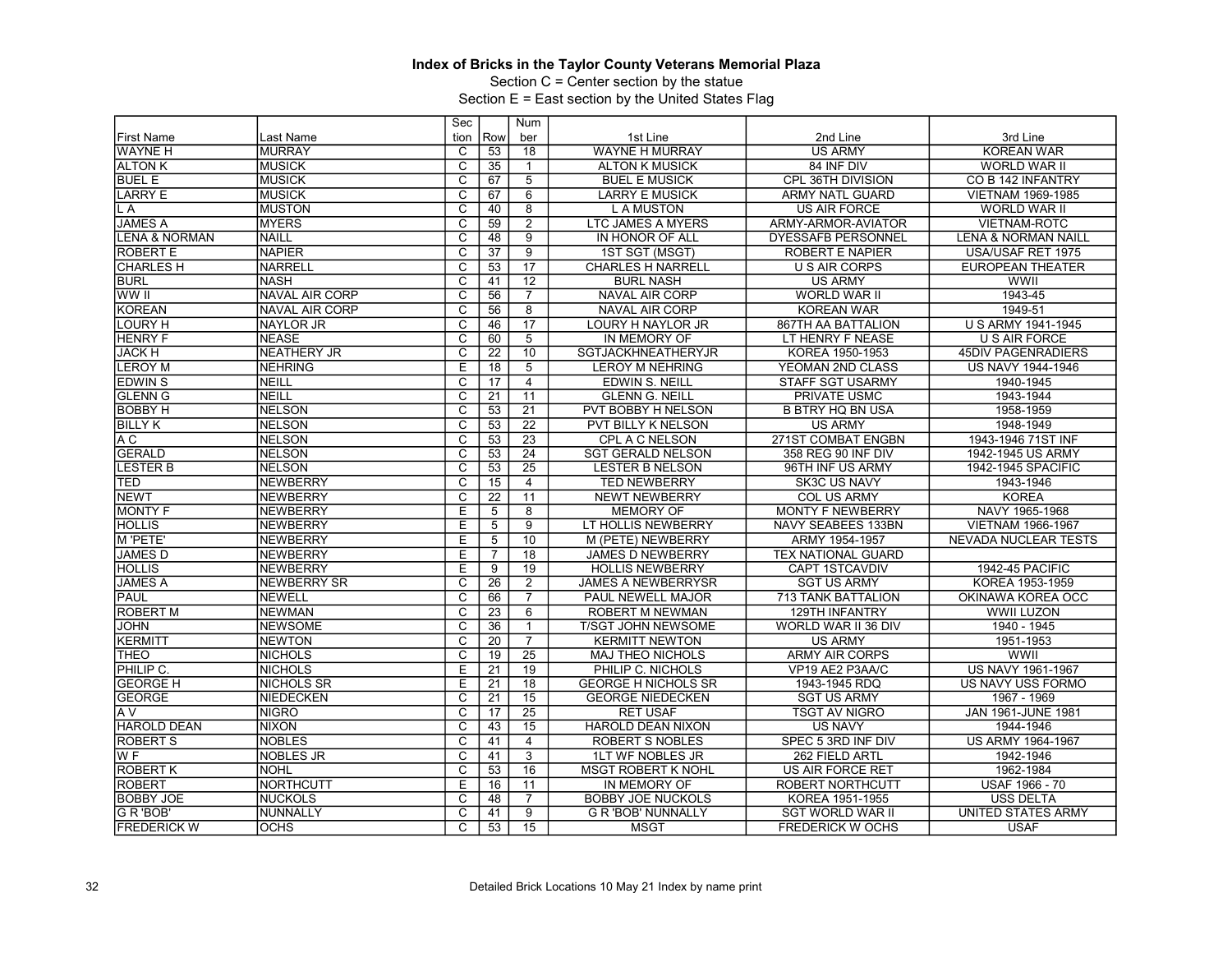Section C = Center section by the statue

|                          |                       | Sec                     |                 | Num             |                            |                           |                                |
|--------------------------|-----------------------|-------------------------|-----------------|-----------------|----------------------------|---------------------------|--------------------------------|
| <b>First Name</b>        | Last Name             | tion                    | Row             | ber             | 1st Line                   | 2nd Line                  | 3rd Line                       |
| <b>WAYNE H</b>           | <b>MURRAY</b>         | C                       | 53              | 18              | <b>WAYNE H MURRAY</b>      | <b>US ARMY</b>            | <b>KOREAN WAR</b>              |
| <b>ALTON K</b>           | <b>MUSICK</b>         | $\overline{c}$          | 35              | $\mathbf{1}$    | <b>ALTON K MUSICK</b>      | 84 INF DIV                | WORLD WAR II                   |
| <b>BUEL E</b>            | <b>MUSICK</b>         | $\overline{\mathsf{c}}$ | 67              | $\overline{5}$  | <b>BUEL E MUSICK</b>       | CPL 36TH DIVISION         | CO B 142 INFANTRY              |
| <b>LARRY E</b>           | <b>IMUSICK</b>        | C                       | 67              | 6               | <b>LARRY E MUSICK</b>      | ARMY NATL GUARD           | <b>VIETNAM 1969-1985</b>       |
| L A                      | <b>MUSTON</b>         | $\overline{\text{c}}$   | 40              | $\overline{8}$  | <b>LAMUSTON</b>            | US AIR FORCE              | WORLD WAR II                   |
| <b>JAMES A</b>           | <b>MYERS</b>          | $\overline{\mathsf{c}}$ | 59              | $\overline{2}$  | LTC JAMES A MYERS          | ARMY-ARMOR-AVIATOR        | <b>VIETNAM-ROTC</b>            |
| <b>LENA &amp; NORMAN</b> | <b>NAILL</b>          | $\overline{\text{c}}$   | 48              | $\overline{9}$  | IN HONOR OF ALL            | <b>DYESSAFB PERSONNEL</b> | <b>LENA &amp; NORMAN NAILL</b> |
| <b>ROBERT E</b>          | <b>NAPIER</b>         | $\overline{\mathsf{c}}$ | 37              | $\overline{9}$  | 1ST SGT (MSGT)             | ROBERT E NAPIER           | USA/USAF RET 1975              |
| <b>CHARLES H</b>         | <b>NARRELL</b>        | $\overline{\mathsf{c}}$ | 53              | $\overline{17}$ | <b>CHARLES H NARRELL</b>   | <b>U S AIR CORPS</b>      | <b>EUROPEAN THEATER</b>        |
| <b>BURL</b>              | <b>NASH</b>           | $\overline{c}$          | 41              | $\overline{12}$ | <b>BURL NASH</b>           | <b>US ARMY</b>            | WWII                           |
| WW II                    | <b>NAVAL AIR CORP</b> | $\overline{\mathsf{c}}$ | 56              | $\overline{7}$  | <b>NAVAL AIR CORP</b>      | <b>WORLD WAR II</b>       | 1943-45                        |
| <b>KOREAN</b>            | <b>NAVAL AIR CORP</b> | $\overline{C}$          | 56              | 8               | <b>NAVAL AIR CORP</b>      | <b>KOREAN WAR</b>         | 1949-51                        |
| <b>LOURY H</b>           | <b>NAYLOR JR</b>      | $\overline{\text{c}}$   | 46              | 17              | LOURY H NAYLOR JR          | 867TH AA BATTALION        | <b>U S ARMY 1941-1945</b>      |
| <b>HENRY F</b>           | <b>NEASE</b>          | $\overline{\mathsf{c}}$ | 60              | $\overline{5}$  | IN MEMORY OF               | LT HENRY F NEASE          | <b>U S AIR FORCE</b>           |
| <b>JACK H</b>            | <b>NEATHERY JR</b>    | $\overline{\text{c}}$   | $\overline{22}$ | 10              | <b>SGTJACKHNEATHERYJR</b>  | KOREA 1950-1953           | <b>45DIV PAGENRADIERS</b>      |
| <b>LEROY M</b>           | <b>NEHRING</b>        | E                       | 18              | $\overline{5}$  | <b>LEROY M NEHRING</b>     | YEOMAN 2ND CLASS          | US NAVY 1944-1946              |
| <b>EDWINS</b>            | NEILL                 | C                       | 17              | $\overline{4}$  | <b>EDWIN S. NEILL</b>      | <b>STAFF SGT USARMY</b>   | 1940-1945                      |
| <b>GLENN G</b>           | NEILL                 | $\overline{C}$          | 21              | 11              | <b>GLENN G. NEILL</b>      | PRIVATE USMC              | 1943-1944                      |
| <b>BOBBY H</b>           | <b>INELSON</b>        | $\overline{\text{c}}$   | $\overline{53}$ | $\overline{21}$ | PVT BOBBY H NELSON         | <b>B BTRY HQ BN USA</b>   | 1958-1959                      |
| <b>BILLY K</b>           | <b>NELSON</b>         | $\overline{\mathsf{c}}$ | 53              | 22              | <b>PVT BILLY K NELSON</b>  | <b>US ARMY</b>            | 1948-1949                      |
| A <sub>C</sub>           | <b>NELSON</b>         | $\overline{\text{c}}$   | 53              | $\overline{23}$ | CPL A C NELSON             | 271ST COMBAT ENGBN        | 1943-1946 71ST INF             |
| <b>GERALD</b>            | <b>NELSON</b>         | $\overline{\text{c}}$   | $\overline{53}$ | $\overline{24}$ | <b>SGT GERALD NELSON</b>   | 358 REG 90 INF DIV        | 1942-1945 US ARMY              |
| <b>LESTER B</b>          | <b>NELSON</b>         | $\overline{\mathrm{c}}$ | 53              | $\overline{25}$ | <b>LESTER B NELSON</b>     | 96TH INF US ARMY          | 1942-1945 SPACIFIC             |
| TED                      | NEWBERRY              | $\overline{c}$          | 15              | $\overline{4}$  | <b>TED NEWBERRY</b>        | <b>SK3C US NAVY</b>       | 1943-1946                      |
| <b>NEWT</b>              | NEWBERRY              | C                       | $\overline{22}$ | 11              | <b>NEWT NEWBERRY</b>       | <b>COL US ARMY</b>        | <b>KOREA</b>                   |
| <b>MONTY F</b>           | <b>NEWBERRY</b>       | Ε                       | 5               | $\overline{8}$  | <b>MEMORY OF</b>           | <b>MONTY F NEWBERRY</b>   | NAVY 1965-1968                 |
| <b>HOLLIS</b>            | NEWBERRY              | E                       | 5               | $\overline{9}$  | LT HOLLIS NEWBERRY         | NAVY SEABEES 133BN        | <b>VIETNAM 1966-1967</b>       |
| M 'PETE'                 | NEWBERRY              | Έ                       | 5               | 10              | M (PETE) NEWBERRY          | ARMY 1954-1957            | NEVADA NUCLEAR TESTS           |
| <b>JAMES D</b>           | <b>NEWBERRY</b>       | Ε                       | $\overline{7}$  | $\overline{18}$ | <b>JAMES D NEWBERRY</b>    | <b>TEX NATIONAL GUARD</b> |                                |
| <b>HOLLIS</b>            | <b>NEWBERRY</b>       | E                       | 9               | 19              | <b>HOLLIS NEWBERRY</b>     | <b>CAPT 1STCAVDIV</b>     | 1942-45 PACIFIC                |
| <b>JAMES A</b>           | <b>NEWBERRY SR</b>    | $\overline{\mathrm{c}}$ | $\overline{26}$ | $\overline{2}$  | <b>JAMES A NEWBERRYSR</b>  | <b>SGT US ARMY</b>        | KOREA 1953-1959                |
| <b>PAUL</b>              | NEWELL                | $\overline{\text{c}}$   | 66              | $\overline{7}$  | PAUL NEWELL MAJOR          | <b>713 TANK BATTALION</b> | OKINAWA KOREA OCC              |
| <b>ROBERT M</b>          | <b>NEWMAN</b>         | C                       | $\overline{23}$ | 6               | <b>ROBERT M NEWMAN</b>     | <b>129TH INFANTRY</b>     | WWII LUZON                     |
| <b>JOHN</b>              | <b>NEWSOME</b>        | $\overline{\mathrm{c}}$ | $\overline{36}$ | $\mathbf{1}$    | T/SGT JOHN NEWSOME         | WORLD WAR II 36 DIV       | 1940 - 1945                    |
| <b>KERMITT</b>           | <b>NEWTON</b>         | $\overline{c}$          | 20              | $\overline{7}$  | <b>KERMITT NEWTON</b>      | <b>US ARMY</b>            | 1951-1953                      |
| <b>THEO</b>              | NICHOLS               | $\overline{\mathsf{c}}$ | 19              | $\overline{25}$ | <b>MAJ THEO NICHOLS</b>    | <b>ARMY AIR CORPS</b>     | <b>WWII</b>                    |
| PHILIP C.                | <b>NICHOLS</b>        | E                       | 21              | 19              | PHILIP C. NICHOLS          | VP19 AE2 P3AA/C           | <b>US NAVY 1961-1967</b>       |
| <b>GEORGE H</b>          | <b>NICHOLS SR</b>     | E                       | 21              | $\overline{18}$ | <b>GEORGE H NICHOLS SR</b> | 1943-1945 RDQ             | US NAVY USS FORMO              |
| <b>GEORGE</b>            | <b>NIEDECKEN</b>      | $\overline{\text{c}}$   | $\overline{21}$ | 15              | <b>GEORGE NIEDECKEN</b>    | <b>SGT US ARMY</b>        | 1967 - 1969                    |
| A V                      | INIGRO                | $\overline{\mathrm{c}}$ | 17              | $\overline{25}$ | <b>RET USAF</b>            | <b>TSGT AV NIGRO</b>      | <b>JAN 1961-JUNE 1981</b>      |
| <b>HAROLD DEAN</b>       | <b>NIXON</b>          | C                       | 43              | 15              | <b>HAROLD DEAN NIXON</b>   | <b>US NAVY</b>            | 1944-1946                      |
| <b>ROBERT S</b>          | <b>NOBLES</b>         | $\overline{\mathrm{c}}$ | 41              | $\overline{4}$  | <b>ROBERT S NOBLES</b>     | SPEC 5 3RD INF DIV        | US ARMY 1964-1967              |
| W <sub>F</sub>           | <b>NOBLES JR</b>      | $\overline{C}$          | 41              | 3               | <b>1LT WF NOBLES JR</b>    | 262 FIELD ARTL            | 1942-1946                      |
| <b>ROBERT K</b>          | <b>NOHL</b>           | $\overline{\mathsf{c}}$ | 53              | $\overline{16}$ | <b>MSGT ROBERT K NOHL</b>  | US AIR FORCE RET          | 1962-1984                      |
| <b>ROBERT</b>            | NORTHCUTT             | E                       | 16              | 11              | IN MEMORY OF               | <b>ROBERT NORTHCUTT</b>   | <b>USAF 1966 - 70</b>          |
| <b>BOBBY JOE</b>         | INUCKOLS              | C                       | 48              | $\overline{7}$  | <b>BOBBY JOE NUCKOLS</b>   | KOREA 1951-1955           | USS DELTA                      |
| G R 'BOB'                | NUNNALLY              | $\overline{\mathrm{c}}$ | 41              | $\overline{9}$  | <b>G R 'BOB' NUNNALLY</b>  | <b>SGT WORLD WAR II</b>   | <b>UNITED STATES ARMY</b>      |
| <b>FREDERICK W</b>       | <b>OCHS</b>           | $\overline{C}$          | 53              | $\overline{15}$ | <b>MSGT</b>                | <b>FREDERICK W OCHS</b>   | <b>USAF</b>                    |
|                          |                       |                         |                 |                 |                            |                           |                                |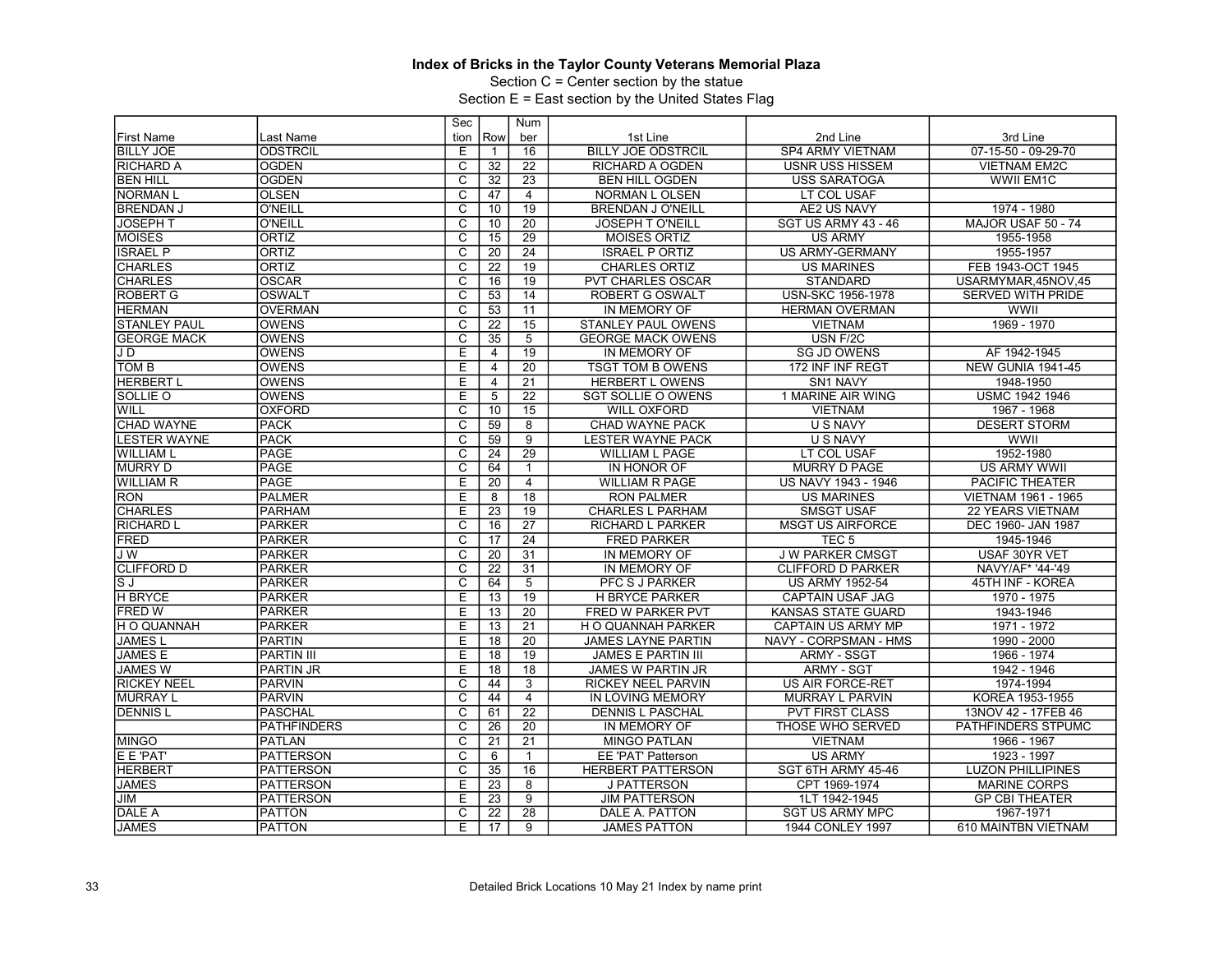Section C = Center section by the statue

|                     |                    | Sec                     |                 | Num             |                           |                           |                          |
|---------------------|--------------------|-------------------------|-----------------|-----------------|---------------------------|---------------------------|--------------------------|
| <b>First Name</b>   | Last Name          | tion                    | Row             | ber             | 1st Line                  | 2nd Line                  | 3rd Line                 |
| <b>BILLY JOE</b>    | <b>ODSTRCIL</b>    | Ε                       | 1               | 16              | <b>BILLY JOE ODSTRCIL</b> | <b>SP4 ARMY VIETNAM</b>   | $07-15-50 - 09-29-70$    |
| <b>RICHARD A</b>    | <b>OGDEN</b>       | C                       | 32              | 22              | <b>RICHARD A OGDEN</b>    | <b>USNR USS HISSEM</b>    | <b>VIETNAM EM2C</b>      |
| IBEN HILL           | <b>OGDEN</b>       | $\overline{\mathsf{c}}$ | 32              | 23              | <b>BEN HILL OGDEN</b>     | <b>USS SARATOGA</b>       | WWII EM1C                |
| <b>NORMAN L</b>     | <b>OLSEN</b>       | $\overline{C}$          | 47              | $\overline{4}$  | NORMAN L OLSEN            | LT COL USAF               |                          |
| <b>BRENDAN J</b>    | <b>O'NEILL</b>     | $\overline{\text{c}}$   | 10              | 19              | <b>BRENDAN J O'NEILL</b>  | AE2 US NAVY               | 1974 - 1980              |
| <b>JOSEPH T</b>     | <b>O'NEILL</b>     | $\overline{\mathsf{c}}$ | 10              | 20              | <b>JOSEPH T O'NEILL</b>   | SGT US ARMY 43 - 46       | MAJOR USAF 50 - 74       |
| <b>MOISES</b>       | ORTIZ              | $\overline{\text{c}}$   | 15              | 29              | <b>MOISES ORTIZ</b>       | <b>US ARMY</b>            | 1955-1958                |
| <b>ISRAEL P</b>     | <b>ORTIZ</b>       | $\overline{\text{c}}$   | 20              | 24              | <b>ISRAEL P ORTIZ</b>     | US ARMY-GERMANY           | 1955-1957                |
| <b>CHARLES</b>      | <b>ORTIZ</b>       | C                       | $\overline{22}$ | 19              | <b>CHARLES ORTIZ</b>      | US MARINES                | FEB 1943-OCT 1945        |
| <b>CHARLES</b>      | <b>OSCAR</b>       | $\overline{c}$          | 16              | 19              | <b>PVT CHARLES OSCAR</b>  | <b>STANDARD</b>           | USARMYMAR,45NOV,45       |
| <b>ROBERT G</b>     | <b>OSWALT</b>      | $\overline{\mathsf{c}}$ | $\overline{53}$ | 14              | <b>ROBERT G OSWALT</b>    | <b>USN-SKC 1956-1978</b>  | SERVED WITH PRIDE        |
| <b>HERMAN</b>       | <b>OVERMAN</b>     | $\overline{C}$          | 53              | 11              | IN MEMORY OF              | <b>HERMAN OVERMAN</b>     | WWII                     |
| <b>STANLEY PAUL</b> | <b>OWENS</b>       | $\overline{\text{c}}$   | 22              | 15              | <b>STANLEY PAUL OWENS</b> | <b>VIETNAM</b>            | 1969 - 1970              |
| <b>GEORGE MACK</b>  | <b>OWENS</b>       | $\overline{\mathsf{c}}$ | 35              | 5               | <b>GEORGE MACK OWENS</b>  | USN F/2C                  |                          |
| JD                  | <b>OWENS</b>       | E                       | 4               | 19              | IN MEMORY OF              | <b>SG JD OWENS</b>        | AF 1942-1945             |
| Ітом в              | <b>OWENS</b>       | Ε                       | 4               | 20              | <b>TSGT TOM B OWENS</b>   | 172 INF INF REGT          | NEW GUNIA 1941-45        |
| <b>HERBERT L</b>    | <b>OWENS</b>       | E                       | 4               | $\overline{21}$ | <b>HERBERT L OWENS</b>    | SN1 NAVY                  | 1948-1950                |
| SOLLIE O            | <b>OWENS</b>       | Ε                       | 5               | $\overline{22}$ | <b>SGT SOLLIE O OWENS</b> | 1 MARINE AIR WING         | <b>USMC 1942 1946</b>    |
| WILL                | <b>OXFORD</b>      | C                       | 10              | 15              | <b>WILL OXFORD</b>        | <b>VIETNAM</b>            | 1967 - 1968              |
| <b>CHAD WAYNE</b>   | <b>PACK</b>        | $\overline{\mathsf{c}}$ | 59              | 8               | <b>CHAD WAYNE PACK</b>    | <b>U S NAVY</b>           | <b>DESERT STORM</b>      |
| <b>LESTER WAYNE</b> | <b>PACK</b>        | $\overline{\text{c}}$   | 59              | $\overline{9}$  | <b>LESTER WAYNE PACK</b>  | <b>U S NAVY</b>           | WWII                     |
| <b>WILLIAM L</b>    | PAGE               | $\overline{\mathsf{c}}$ | 24              | $\overline{29}$ | <b>WILLIAM L PAGE</b>     | LT COL USAF               | 1952-1980                |
| <b>MURRY D</b>      | PAGE               | $\overline{c}$          | 64              | $\mathbf{1}$    | IN HONOR OF               | <b>MURRY D PAGE</b>       | <b>US ARMY WWII</b>      |
| <b>WILLIAM R</b>    | <b>PAGE</b>        | Ε                       | 20              | $\overline{4}$  | <b>WILLIAM R PAGE</b>     | US NAVY 1943 - 1946       | <b>PACIFIC THEATER</b>   |
| <b>RON</b>          | PALMER             | E                       | 8               | $\overline{18}$ | <b>RON PALMER</b>         | <b>US MARINES</b>         | VIETNAM 1961 - 1965      |
| <b>CHARLES</b>      | <b>PARHAM</b>      | Ε                       | 23              | 19              | <b>CHARLES L PARHAM</b>   | <b>SMSGT USAF</b>         | 22 YEARS VIETNAM         |
| <b>RICHARD L</b>    | PARKER             | C                       | 16              | 27              | <b>RICHARD L PARKER</b>   | <b>MSGT US AIRFORCE</b>   | DEC 1960- JAN 1987       |
| <b>FRED</b>         | PARKER             | $\overline{\mathrm{c}}$ | 17              | $\overline{24}$ | <b>FRED PARKER</b>        | TEC <sub>5</sub>          | 1945-1946                |
| <b>JW</b>           | <b>PARKER</b>      | C                       | 20              | 31              | IN MEMORY OF              | <b>J W PARKER CMSGT</b>   | USAF 30YR VET            |
| <b>CLIFFORD D</b>   | PARKER             | C                       | 22              | 31              | IN MEMORY OF              | <b>CLIFFORD D PARKER</b>  | NAVY/AF* '44-'49         |
| sj                  | PARKER             | $\overline{\mathrm{c}}$ | 64              | $\overline{5}$  | PFC S J PARKER            | <b>US ARMY 1952-54</b>    | 45TH INF - KOREA         |
| <b>H BRYCE</b>      | <b>PARKER</b>      | Ε                       | 13              | $\overline{19}$ | <b>H BRYCE PARKER</b>     | <b>CAPTAIN USAF JAG</b>   | 1970 - 1975              |
| <b>IFRED W</b>      | PARKER             | E                       | 13              | 20              | <b>FRED W PARKER PVT</b>  | <b>KANSAS STATE GUARD</b> | 1943-1946                |
| H O QUANNAH         | <b>PARKER</b>      | Ε                       | 13              | 21              | H O QUANNAH PARKER        | CAPTAIN US ARMY MP        | 1971 - 1972              |
| <b>JAMESL</b>       | <b>PARTIN</b>      | E                       | 18              | 20              | <b>JAMES LAYNE PARTIN</b> | NAVY - CORPSMAN - HMS     | 1990 - 2000              |
| <b>JAMES E</b>      | <b>PARTIN III</b>  | $\overline{E}$          | 18              | $\overline{19}$ | <b>JAMES E PARTIN III</b> | <b>ARMY - SSGT</b>        | 1966 - 1974              |
| <b>JAMES W</b>      | <b>PARTIN JR</b>   | E                       | 18              | 18              | <b>JAMES W PARTIN JR</b>  | <b>ARMY - SGT</b>         | 1942 - 1946              |
| <b>RICKEY NEEL</b>  | <b>PARVIN</b>      | C                       | 44              | 3               | <b>RICKEY NEEL PARVIN</b> | US AIR FORCE-RET          | 1974-1994                |
| <b>MURRAY L</b>     | PARVIN             | $\overline{\mathrm{c}}$ | 44              | $\overline{4}$  | IN LOVING MEMORY          | MURRAY L PARVIN           | KOREA 1953-1955          |
| <b>DENNIS L</b>     | <b>PASCHAL</b>     | $\overline{\text{c}}$   | 61              | $\overline{22}$ | <b>DENNIS L PASCHAL</b>   | <b>PVT FIRST CLASS</b>    | 13NOV 42 - 17FEB 46      |
|                     | <b>PATHFINDERS</b> | C                       | 26              | 20              | IN MEMORY OF              | THOSE WHO SERVED          | PATHFINDERS STPUMC       |
| <b>MINGO</b>        | <b>PATLAN</b>      | $\overline{c}$          | 21              | 21              | <b>MINGO PATLAN</b>       | <b>VIETNAM</b>            | 1966 - 1967              |
| <b>E E 'PAT'</b>    | <b>PATTERSON</b>   | $\overline{C}$          | 6               | 1               | <b>EE 'PAT' Patterson</b> | <b>US ARMY</b>            | 1923 - 1997              |
| <b>HERBERT</b>      | <b>PATTERSON</b>   | $\overline{\text{c}}$   | 35              | 16              | <b>HERBERT PATTERSON</b>  | SGT 6TH ARMY 45-46        | <b>LUZON PHILLIPINES</b> |
| <b>JAMES</b>        | <b>PATTERSON</b>   | E                       | 23              | 8               | <b>J PATTERSON</b>        | CPT 1969-1974             | <b>MARINE CORPS</b>      |
| JIM                 | <b>PATTERSON</b>   | Е                       | 23              | 9               | <b>JIM PATTERSON</b>      | 1LT 1942-1945             | <b>GP CBI THEATER</b>    |
| DALE A              | <b>PATTON</b>      | C                       | 22              | $\overline{28}$ | DALE A. PATTON            | <b>SGT US ARMY MPC</b>    | 1967-1971                |
| <b>JAMES</b>        | <b>PATTON</b>      | E                       |                 |                 | <b>JAMES PATTON</b>       |                           |                          |
|                     |                    |                         | 17              | 9               |                           | 1944 CONLEY 1997          | 610 MAINTBN VIETNAM      |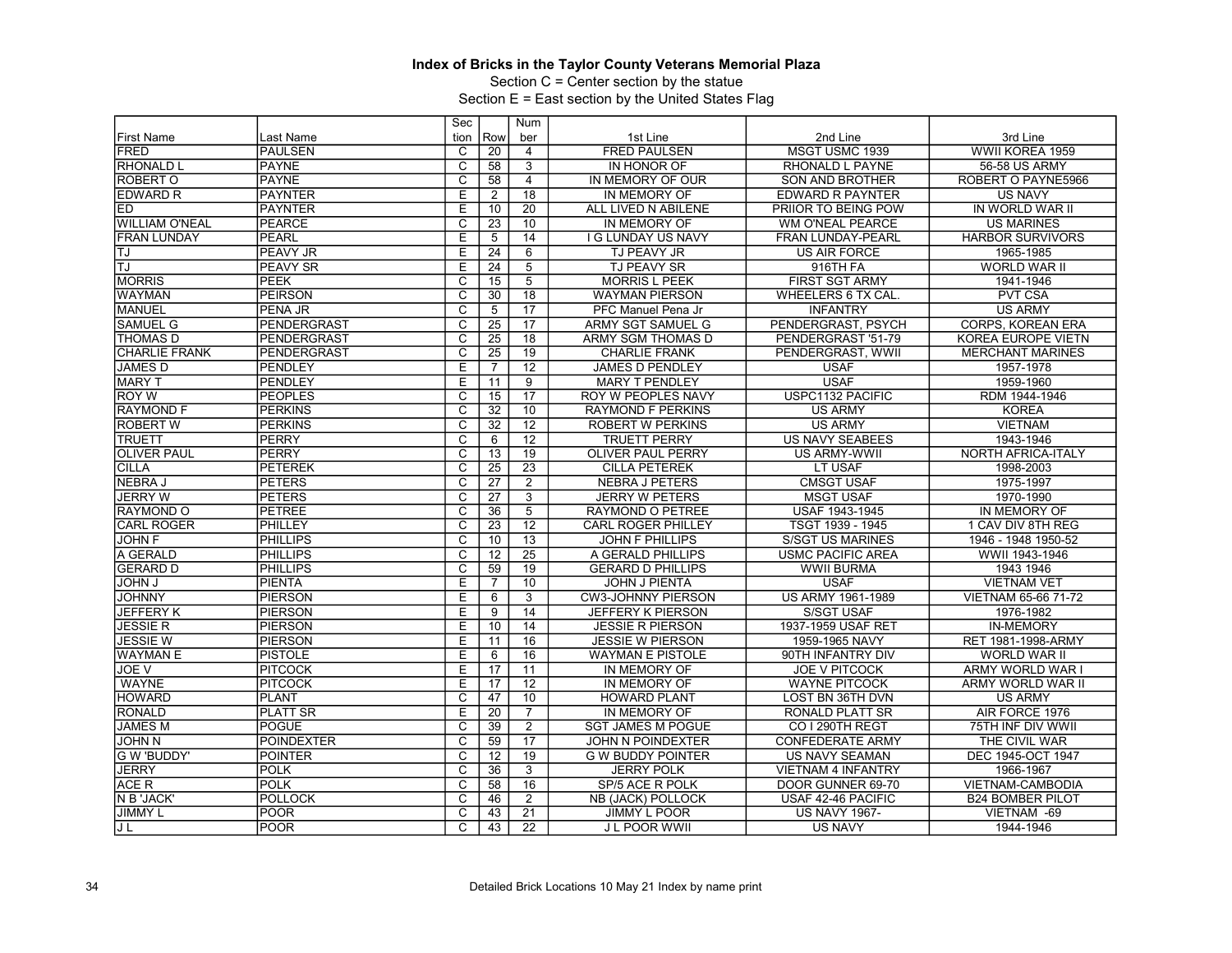Section C = Center section by the statue

|                       |                   | Sec                     |                 | Num             |                           |                           |                          |
|-----------------------|-------------------|-------------------------|-----------------|-----------------|---------------------------|---------------------------|--------------------------|
| <b>First Name</b>     | Last Name         | tion                    | Row             | ber             | 1st Line                  | 2nd Line                  | 3rd Line                 |
| <b>FRED</b>           | <b>PAULSEN</b>    | C                       | 20              | $\overline{4}$  | <b>FRED PAULSEN</b>       | MSGT USMC 1939            | WWII KOREA 1959          |
| RHONALD L             | <b>PAYNE</b>      | $\overline{\text{c}}$   | 58              | 3               | IN HONOR OF               | RHONALD L PAYNE           | 56-58 US ARMY            |
| ROBERT O              | <b>PAYNE</b>      | $\overline{\text{c}}$   | 58              | $\overline{4}$  | IN MEMORY OF OUR          | SON AND BROTHER           | ROBERT O PAYNE5966       |
| <b>EDWARD R</b>       | <b>PAYNTER</b>    | E                       | 2               | 18              | IN MEMORY OF              | <b>EDWARD R PAYNTER</b>   | <b>US NAVY</b>           |
| $\overline{ED}$       | <b>PAYNTER</b>    | E                       | 10              | $\overline{20}$ | ALL LIVED N ABILENE       | PRIIOR TO BEING POW       | IN WORLD WAR II          |
| <b>WILLIAM O'NEAL</b> | <b>PEARCE</b>     | $\overline{\mathrm{c}}$ | 23              | 10              | IN MEMORY OF              | <b>WM O'NEAL PEARCE</b>   | <b>US MARINES</b>        |
| <b>FRAN LUNDAY</b>    | <b>PEARL</b>      | E                       | 5               | 14              | I G LUNDAY US NAVY        | <b>FRAN LUNDAY-PEARL</b>  | <b>HARBOR SURVIVORS</b>  |
| TJ                    | <b>PEAVY JR</b>   | Ε                       | 24              | 6               | TJ PEAVY JR               | <b>US AIR FORCE</b>       | 1965-1985                |
| TJ                    | <b>PEAVY SR</b>   | E                       | $\overline{24}$ | $\overline{5}$  | <b>TJ PEAVY SR</b>        | 916TH FA                  | <b>WORLD WAR II</b>      |
| <b>MORRIS</b>         | PEEK              | C                       | 15              | 5               | <b>MORRIS L PEEK</b>      | <b>FIRST SGT ARMY</b>     | 1941-1946                |
| <b>WAYMAN</b>         | <b>PEIRSON</b>    | $\overline{\text{c}}$   | 30              | 18              | <b>WAYMAN PIERSON</b>     | WHEELERS 6 TX CAL.        | <b>PVT CSA</b>           |
| <b>MANUEL</b>         | PENA JR           | $\overline{C}$          | 5               | $\overline{17}$ | PFC Manuel Pena Jr        | <b>INFANTRY</b>           | <b>US ARMY</b>           |
| <b>SAMUEL G</b>       | PENDERGRAST       | $\overline{\text{c}}$   | 25              | 17              | ARMY SGT SAMUEL G         | PENDERGRAST, PSYCH        | <b>CORPS, KOREAN ERA</b> |
| <b>THOMAS D</b>       | PENDERGRAST       | $\overline{\text{c}}$   | 25              | 18              | ARMY SGM THOMAS D         | PENDERGRAST '51-79        | KOREA EUROPE VIETN       |
| <b>CHARLIE FRANK</b>  | PENDERGRAST       | $\overline{c}$          | $\overline{25}$ | 19              | <b>CHARLIE FRANK</b>      | PENDERGRAST, WWII         | <b>MERCHANT MARINES</b>  |
| <b>JAMES D</b>        | PENDLEY           | E                       | $\overline{7}$  | $\overline{12}$ | <b>JAMES D PENDLEY</b>    | <b>USAF</b>               | 1957-1978                |
| <b>MARY T</b>         | PENDLEY           | Ē                       | 11              | $\overline{9}$  | <b>MARY T PENDLEY</b>     | <b>USAF</b>               | 1959-1960                |
| <b>ROY W</b>          | <b>PEOPLES</b>    | C                       | 15              | 17              | ROY W PEOPLES NAVY        | <b>USPC1132 PACIFIC</b>   | RDM 1944-1946            |
| <b>RAYMOND F</b>      | <b>PERKINS</b>    | $\overline{\text{c}}$   | 32              | 10              | <b>RAYMOND F PERKINS</b>  | <b>US ARMY</b>            | <b>KOREA</b>             |
| <b>ROBERT W</b>       | <b>PERKINS</b>    | $\overline{c}$          | 32              | $\overline{12}$ | <b>ROBERT W PERKINS</b>   | <b>US ARMY</b>            | <b>VIETNAM</b>           |
| <b>TRUETT</b>         | PERRY             | C                       | 6               | 12              | TRUETT PERRY              | <b>US NAVY SEABEES</b>    | 1943-1946                |
| <b>OLIVER PAUL</b>    | PERRY             | $\overline{\text{c}}$   | $\overline{13}$ | 19              | <b>OLIVER PAUL PERRY</b>  | US ARMY-WWII              | NORTH AFRICA-ITALY       |
| <b>CILLA</b>          | <b>PETEREK</b>    | $\overline{\mathrm{c}}$ | $\overline{25}$ | $\overline{23}$ | <b>CILLA PETEREK</b>      | LT USAF                   | 1998-2003                |
| <b>NEBRAJ</b>         | <b>PETERS</b>     | C                       | $\overline{27}$ | $\overline{2}$  | <b>NEBRA J PETERS</b>     | <b>CMSGT USAF</b>         | 1975-1997                |
| <b>JERRY W</b>        | <b>PETERS</b>     | $\overline{\text{c}}$   | $\overline{27}$ | $\overline{3}$  | <b>JERRY W PETERS</b>     | <b>MSGT USAF</b>          | 1970-1990                |
| RAYMOND O             | <b>PETREE</b>     | $\overline{C}$          | 36              | $\overline{5}$  | <b>RAYMOND O PETREE</b>   | USAF 1943-1945            | IN MEMORY OF             |
| <b>CARL ROGER</b>     | PHILLEY           | $\overline{\text{c}}$   | 23              | $\overline{12}$ | <b>CARL ROGER PHILLEY</b> | TSGT 1939 - 1945          | 1 CAV DIV 8TH REG        |
| <b>JOHN F</b>         | <b>PHILLIPS</b>   | $\overline{\mathsf{c}}$ | 10              | $\overline{13}$ | <b>JOHN F PHILLIPS</b>    | <b>S/SGT US MARINES</b>   | 1946 - 1948 1950-52      |
| A GERALD              | <b>PHILLIPS</b>   | $\overline{C}$          | 12              | 25              | A GERALD PHILLIPS         | <b>USMC PACIFIC AREA</b>  | WWII 1943-1946           |
| <b>GERARD D</b>       | <b>PHILLIPS</b>   | $\overline{\mathsf{c}}$ | 59              | 19              | <b>GERARD D PHILLIPS</b>  | <b>WWII BURMA</b>         | 1943 1946                |
| <b>JOHN J</b>         | PIENTA            | Ē                       | $\overline{7}$  | 10              | <b>JOHN J PIENTA</b>      | <b>USAF</b>               | <b>VIETNAM VET</b>       |
| <b>JOHNNY</b>         | <b>PIERSON</b>    | E                       | 6               | 3               | <b>CW3-JOHNNY PIERSON</b> | US ARMY 1961-1989         | VIETNAM 65-66 71-72      |
| <b>JEFFERY K</b>      | PIERSON           | E                       | 9               | $\overline{14}$ | <b>JEFFERY K PIERSON</b>  | <b>S/SGT USAF</b>         | 1976-1982                |
| <b>JESSIE R</b>       | <b>PIERSON</b>    | E                       | 10              | 14              | <b>JESSIE R PIERSON</b>   | 1937-1959 USAF RET        | <b>IN-MEMORY</b>         |
| <b>JESSIE W</b>       | PIERSON           | E                       | 11              | 16              | <b>JESSIE W PIERSON</b>   | 1959-1965 NAVY            | RET 1981-1998-ARMY       |
| <b>WAYMAN E</b>       | <b>PISTOLE</b>    | Ε                       | 6               | $\overline{16}$ | <b>WAYMAN E PISTOLE</b>   | 90TH INFANTRY DIV         | <b>WORLD WAR II</b>      |
| <b>JOE V</b>          | <b>PITCOCK</b>    | E                       | 17              | 11              | IN MEMORY OF              | <b>JOE V PITCOCK</b>      | ARMY WORLD WAR I         |
| <b>WAYNE</b>          | <b>PITCOCK</b>    | E                       | 17              | $\overline{12}$ | IN MEMORY OF              | <b>WAYNE PITCOCK</b>      | ARMY WORLD WAR II        |
| <b>HOWARD</b>         | PLANT             | $\overline{\text{c}}$   | 47              | 10              | <b>HOWARD PLANT</b>       | LOST BN 36TH DVN          | <b>US ARMY</b>           |
| <b>RONALD</b>         | <b>PLATT SR</b>   | Ε                       | $\overline{20}$ | $\overline{7}$  | IN MEMORY OF              | <b>RONALD PLATT SR</b>    | AIR FORCE 1976           |
| <b>JAMES M</b>        | <b>POGUE</b>      | $\overline{\text{c}}$   | 39              | $\overline{2}$  | <b>SGT JAMES M POGUE</b>  | CO I 290TH REGT           | 75TH INF DIV WWII        |
| JOHN N                | <b>POINDEXTER</b> | $\overline{\mathrm{c}}$ | 59              | $\overline{17}$ | <b>JOHN N POINDEXTER</b>  | <b>CONFEDERATE ARMY</b>   | THE CIVIL WAR            |
| G W 'BUDDY'           | <b>POINTER</b>    | $\overline{C}$          | 12              | 19              | <b>G W BUDDY POINTER</b>  | <b>US NAVY SEAMAN</b>     | DEC 1945-OCT 1947        |
| <b>JERRY</b>          | POLK              | $\overline{\text{c}}$   | 36              | $\overline{3}$  | <b>JERRY POLK</b>         | <b>VIETNAM 4 INFANTRY</b> | 1966-1967                |
| ACE R                 | <b>POLK</b>       | $\overline{\mathrm{c}}$ | 58              | 16              | SP/5 ACE R POLK           | DOOR GUNNER 69-70         | <b>VIETNAM-CAMBODIA</b>  |
| N B 'JACK'            | <b>POLLOCK</b>    | C                       | 46              | $\overline{2}$  | NB (JACK) POLLOCK         | USAF 42-46 PACIFIC        | <b>B24 BOMBER PILOT</b>  |
| <b>JIMMY L</b>        | <b>POOR</b>       | $\overline{\text{c}}$   | 43              | $\overline{21}$ | <b>JIMMY L POOR</b>       | <b>US NAVY 1967-</b>      | VIETNAM -69              |
| JL                    | <b>POOR</b>       | $\overline{\mathsf{C}}$ | 43              | $\overline{22}$ | <b>J L POOR WWII</b>      | <b>US NAVY</b>            | 1944-1946                |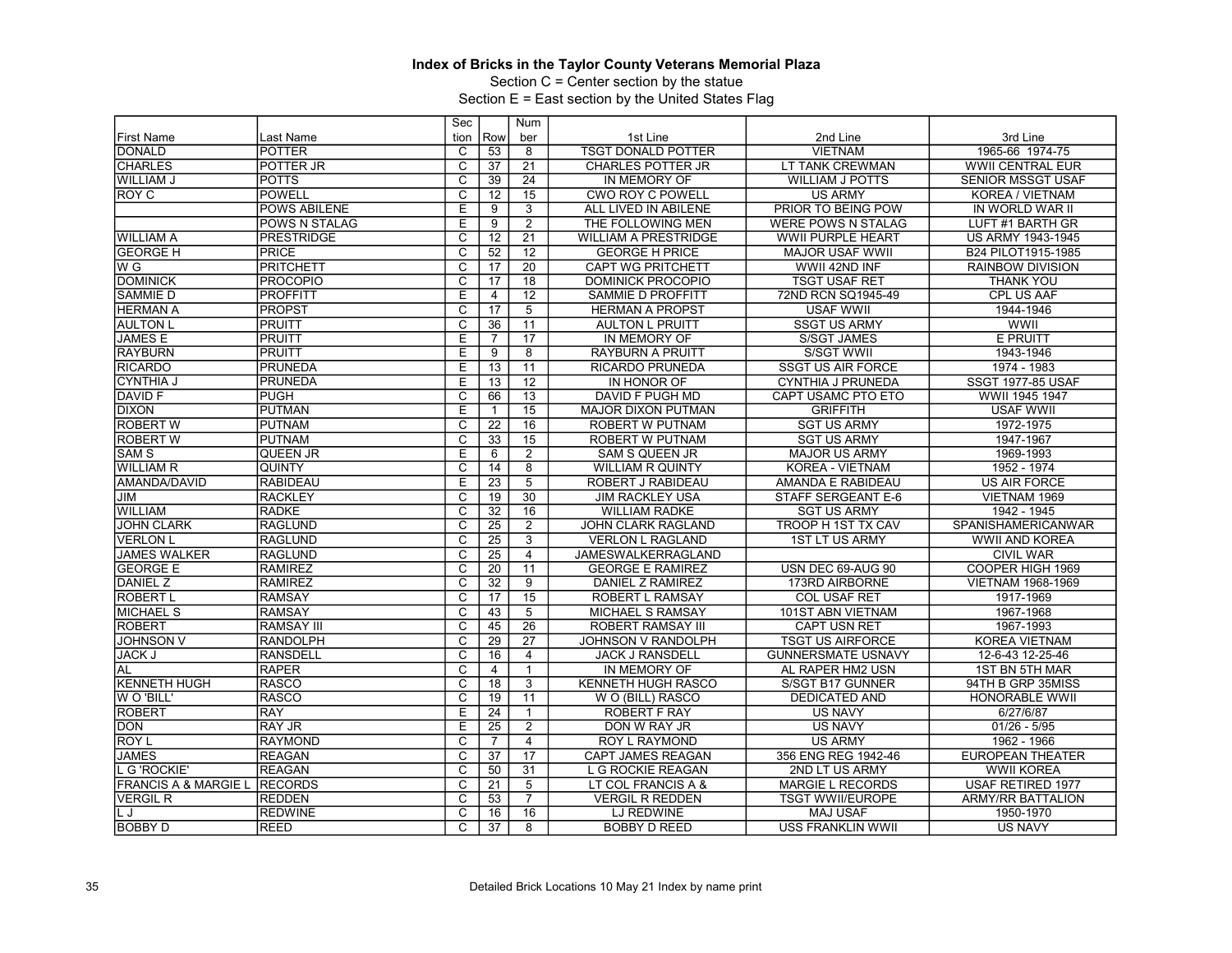Section C = Center section by the statue

|                                 |                      | Sec                     |                 | Num             |                             |                           |                           |
|---------------------------------|----------------------|-------------------------|-----------------|-----------------|-----------------------------|---------------------------|---------------------------|
| <b>First Name</b>               | Last Name            | tion                    | Row             | ber             | 1st Line                    | 2nd Line                  | 3rd Line                  |
| <b>DONALD</b>                   | <b>POTTER</b>        | C                       | 53              | 8               | <b>TSGT DONALD POTTER</b>   | <b>VIETNAM</b>            | 1965-66 1974-75           |
| <b>CHARLES</b>                  | POTTER JR            | $\overline{\text{c}}$   | 37              | 21              | <b>CHARLES POTTER JR</b>    | LT TANK CREWMAN           | <b>WWII CENTRAL EUR</b>   |
| <b>WILLIAM J</b>                | <b>POTTS</b>         | $\overline{\mathsf{c}}$ | 39              | $\overline{24}$ | IN MEMORY OF                | <b>WILLIAM J POTTS</b>    | <b>SENIOR MSSGT USAF</b>  |
| ROY C                           | <b>POWELL</b>        | C                       | 12              | 15              | <b>CWO ROY C POWELL</b>     | <b>US ARMY</b>            | KOREA / VIETNAM           |
|                                 | <b>POWS ABILENE</b>  | E                       | 9               | $\overline{3}$  | ALL LIVED IN ABILENE        | PRIOR TO BEING POW        | IN WORLD WAR II           |
|                                 | <b>POWS N STALAG</b> | E                       | 9               | $\overline{2}$  | THE FOLLOWING MEN           | <b>WERE POWS N STALAG</b> | LUFT #1 BARTH GR          |
| <b>WILLIAM A</b>                | <b>PRESTRIDGE</b>    | $\overline{\text{c}}$   | $\overline{12}$ | $\overline{21}$ | <b>WILLIAM A PRESTRIDGE</b> | <b>WWII PURPLE HEART</b>  | <b>US ARMY 1943-1945</b>  |
| <b>GEORGE H</b>                 | <b>PRICE</b>         | $\overline{\mathsf{c}}$ | 52              | $\overline{12}$ | <b>GEORGE H PRICE</b>       | <b>MAJOR USAF WWII</b>    | B24 PILOT1915-1985        |
| W G                             | PRITCHETT            | $\overline{\mathsf{c}}$ | 17              | 20              | <b>CAPT WG PRITCHETT</b>    | WWII 42ND INF             | <b>RAINBOW DIVISION</b>   |
| <b>DOMINICK</b>                 | <b>PROCOPIO</b>      | $\overline{C}$          | 17              | $\overline{18}$ | <b>DOMINICK PROCOPIO</b>    | <b>TSGT USAF RET</b>      | THANK YOU                 |
| <b>SAMMIE D</b>                 | <b>PROFFITT</b>      | E                       | $\overline{4}$  | $\overline{12}$ | SAMMIE D PROFFITT           | 72ND RCN SQ1945-49        | CPL US AAF                |
| <b>HERMAN A</b>                 | IPROPST              | $\overline{C}$          | 17              | $\overline{5}$  | <b>HERMAN A PROPST</b>      | <b>USAF WWII</b>          | 1944-1946                 |
| <b>AULTON L</b>                 | PRUITT               | $\overline{\text{c}}$   | 36              | 11              | <b>AULTON L PRUITT</b>      | <b>SSGT US ARMY</b>       | WWII                      |
| <b>JAMES E</b>                  | <b>PRUITT</b>        | Ē                       | $\overline{7}$  | $\overline{17}$ | IN MEMORY OF                | <b>S/SGT JAMES</b>        | <b>E PRUITT</b>           |
| <b>RAYBURN</b>                  | <b>PRUITT</b>        | Ē                       | $\overline{9}$  | $\overline{8}$  | <b>RAYBURN A PRUITT</b>     | S/SGT WWII                | 1943-1946                 |
| <b>RICARDO</b>                  | <b>PRUNEDA</b>       | E                       | 13              | 11              | RICARDO PRUNEDA             | <b>SSGT US AIR FORCE</b>  | 1974 - 1983               |
| <b>CYNTHIA J</b>                | <b>PRUNEDA</b>       | E                       | $\overline{13}$ | $\overline{12}$ | IN HONOR OF                 | <b>CYNTHIA J PRUNEDA</b>  | <b>SSGT 1977-85 USAF</b>  |
| <b>DAVID F</b>                  | <b>PUGH</b>          | $\overline{c}$          | 66              | $\overline{13}$ | DAVID F PUGH MD             | CAPT USAMC PTO ETO        | WWII 1945 1947            |
| <b>DIXON</b>                    | IPUTMAN              | E                       | $\mathbf{1}$    | $\overline{15}$ | <b>MAJOR DIXON PUTMAN</b>   | <b>GRIFFITH</b>           | <b>USAF WWII</b>          |
| <b>ROBERT W</b>                 | PUTNAM               | C                       | $\overline{22}$ | 16              | <b>ROBERT W PUTNAM</b>      | <b>SGT US ARMY</b>        | 1972-1975                 |
| <b>ROBERT W</b>                 | <b>PUTNAM</b>        | $\overline{\text{c}}$   | 33              | 15              | <b>ROBERT W PUTNAM</b>      | <b>SGT US ARMY</b>        | 1947-1967                 |
| SAM <sub>S</sub>                | <b>QUEEN JR</b>      | Έ                       | 6               | 2               | <b>SAM S QUEEN JR</b>       | <b>MAJOR US ARMY</b>      | 1969-1993                 |
| <b>WILLIAM R</b>                | <b>QUINTY</b>        | $\overline{\mathrm{c}}$ | $\overline{14}$ | $\overline{8}$  | <b>WILLIAM R QUINTY</b>     | KOREA - VIETNAM           | 1952 - 1974               |
| AMANDA/DAVID                    | <b>RABIDEAU</b>      | E                       | 23              | $\overline{5}$  | ROBERT J RABIDEAU           | AMANDA E RABIDEAU         | <b>US AIR FORCE</b>       |
| JIM                             | <b>RACKLEY</b>       | С                       | $\overline{19}$ | $\overline{30}$ | <b>JIM RACKLEY USA</b>      | <b>STAFF SERGEANT E-6</b> | VIETNAM 1969              |
| <b>WILLIAM</b>                  | <b>RADKE</b>         | $\overline{C}$          | 32              | 16              | <b>WILLIAM RADKE</b>        | <b>SGT US ARMY</b>        | 1942 - 1945               |
| <b>JOHN CLARK</b>               | RAGLUND              | $\overline{\text{c}}$   | $\overline{25}$ | $\overline{2}$  | <b>JOHN CLARK RAGLAND</b>   | <b>TROOP H 1ST TX CAV</b> | <b>SPANISHAMERICANWAR</b> |
| <b>VERLON L</b>                 | <b>RAGLUND</b>       | $\overline{\text{c}}$   | $\overline{25}$ | $\overline{3}$  | <b>VERLON L RAGLAND</b>     | <b>1ST LT US ARMY</b>     | <b>WWII AND KOREA</b>     |
| <b>JAMES WALKER</b>             | <b>RAGLUND</b>       | $\overline{\text{c}}$   | 25              | $\overline{4}$  | JAMESWALKERRAGLAND          |                           | <b>CIVIL WAR</b>          |
| <b>GEORGE E</b>                 | <b>RAMIREZ</b>       | $\overline{\text{c}}$   | 20              | 11              | <b>GEORGE E RAMIREZ</b>     | USN DEC 69-AUG 90         | COOPER HIGH 1969          |
| DANIEL Z                        | RAMIREZ              | $\overline{\mathrm{c}}$ | $\overline{32}$ | $\overline{9}$  | DANIEL Z RAMIREZ            | 173RD AIRBORNE            | <b>VIETNAM 1968-1969</b>  |
| <b>ROBERT L</b>                 | <b>RAMSAY</b>        | $\overline{c}$          | 17              | $\overline{15}$ | <b>ROBERT L RAMSAY</b>      | <b>COL USAF RET</b>       | 1917-1969                 |
| <b>MICHAEL S</b>                | <b>RAMSAY</b>        | C                       | 43              | 5               | MICHAEL S RAMSAY            | 101ST ABN VIETNAM         | 1967-1968                 |
| <b>ROBERT</b>                   | <b>RAMSAY III</b>    | $\overline{\mathsf{c}}$ | 45              | $\overline{26}$ | <b>ROBERT RAMSAY III</b>    | CAPT USN RET              | 1967-1993                 |
| <b>JOHNSON V</b>                | <b>RANDOLPH</b>      | $\overline{c}$          | 29              | $\overline{27}$ | JOHNSON V RANDOLPH          | <b>TSGT US AIRFORCE</b>   | <b>KOREA VIETNAM</b>      |
| <b>JACK J</b>                   | <b>RANSDELL</b>      | $\overline{\mathsf{c}}$ | 16              | $\overline{4}$  | <b>JACK J RANSDELL</b>      | <b>GUNNERSMATE USNAVY</b> | 12-6-43 12-25-46          |
| AL                              | <b>RAPER</b>         | $\overline{\mathrm{c}}$ | 4               | $\mathbf{1}$    | IN MEMORY OF                | AL RAPER HM2 USN          | 1ST BN 5TH MAR            |
| <b>KENNETH HUGH</b>             | <b>RASCO</b>         | C                       | 18              | 3               | KENNETH HUGH RASCO          | S/SGT B17 GUNNER          | 94TH B GRP 35MISS         |
| <b>WO'BILL'</b>                 | <b>RASCO</b>         | $\overline{\text{c}}$   | 19              | $\overline{11}$ | W O (BILL) RASCO            | <b>DEDICATED AND</b>      | HONORABLE WWII            |
| <b>ROBERT</b>                   | <b>RAY</b>           | Ē                       | $\overline{24}$ | $\mathbf{1}$    | <b>ROBERT F RAY</b>         | <b>US NAVY</b>            | 6/27/6/87                 |
| <b>DON</b>                      | <b>RAY JR</b>        | E                       | $\overline{25}$ | $\overline{2}$  | DON W RAY JR                | <b>US NAVY</b>            | $01/26 - 5/95$            |
| ROY L                           | <b>RAYMOND</b>       | C                       | $\overline{7}$  | $\overline{4}$  | ROY L RAYMOND               | <b>US ARMY</b>            | 1962 - 1966               |
| <b>JAMES</b>                    | <b>REAGAN</b>        | $\overline{C}$          | 37              | $\overline{17}$ | <b>CAPT JAMES REAGAN</b>    | 356 ENG REG 1942-46       | <b>EUROPEAN THEATER</b>   |
| . G 'ROCKIE'                    | <b>REAGAN</b>        | $\overline{\mathrm{c}}$ | 50              | 31              | L G ROCKIE REAGAN           | 2ND LT US ARMY            | <b>WWII KOREA</b>         |
| <b>FRANCIS A &amp; MARGIE L</b> | <b>RECORDS</b>       | C                       | 21              | 5               | LT COL FRANCIS A &          | <b>MARGIE L RECORDS</b>   | <b>USAF RETIRED 1977</b>  |
| VERGIL R                        | <b>REDDEN</b>        | C                       | 53              | $\overline{7}$  | <b>VERGIL R REDDEN</b>      | <b>TSGT WWII/EUROPE</b>   | <b>ARMY/RR BATTALION</b>  |
| L J                             | <b>REDWINE</b>       | $\overline{\text{c}}$   | 16              | 16              | LJ REDWINE                  | <b>MAJ USAF</b>           | 1950-1970                 |
|                                 |                      | $\overline{C}$          | 37              | 8               | <b>BOBBY D REED</b>         | <b>USS FRANKLIN WWII</b>  | <b>US NAVY</b>            |
| <b>BOBBY D</b>                  | <b>REED</b>          |                         |                 |                 |                             |                           |                           |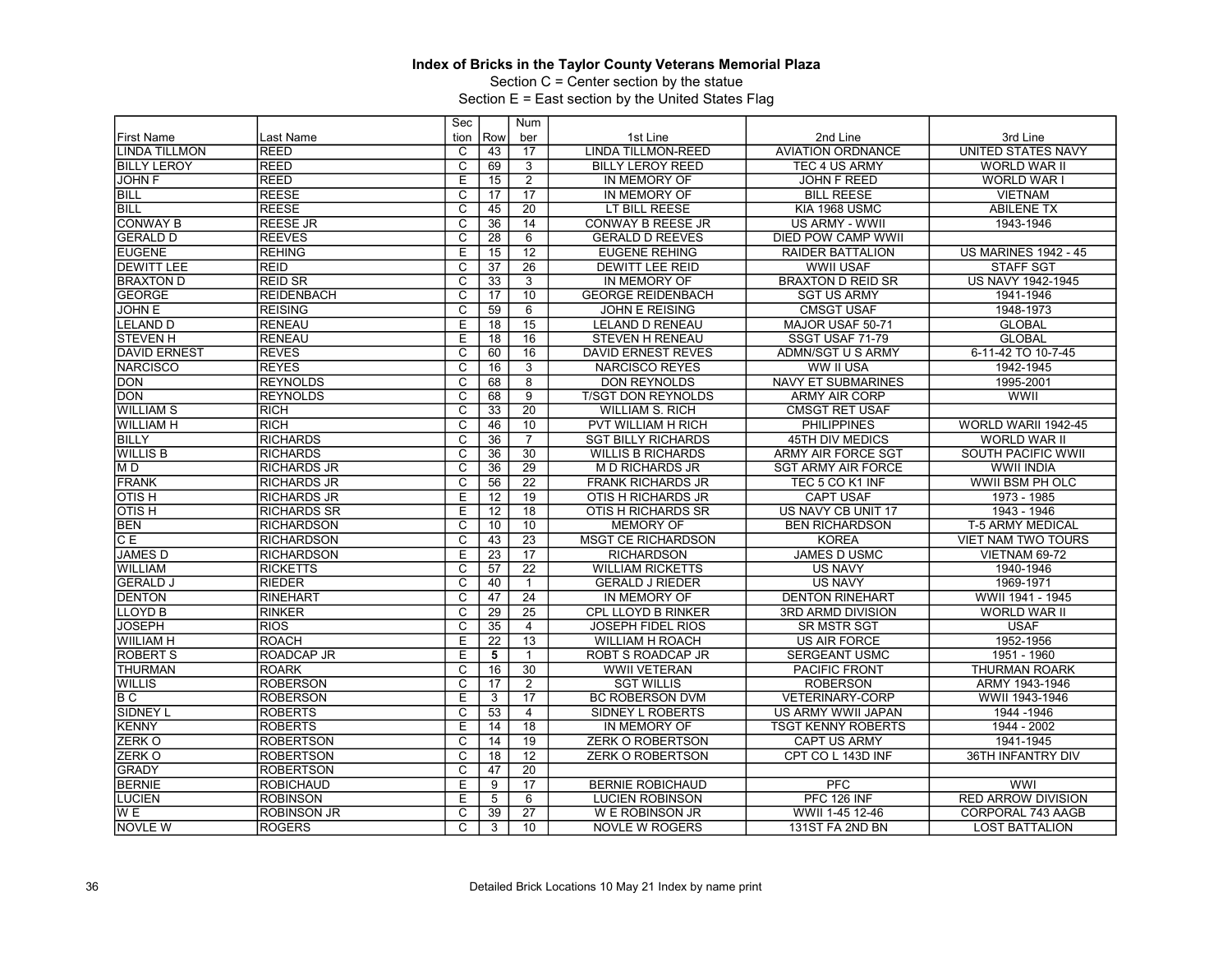Section C = Center section by the statue

|                      |                    | Sec                     |                 | Num             |                           |                           |                             |
|----------------------|--------------------|-------------------------|-----------------|-----------------|---------------------------|---------------------------|-----------------------------|
| <b>First Name</b>    | Last Name          | tion                    | Row             | ber             | 1st Line                  | 2nd Line                  | 3rd Line                    |
| <b>LINDA TILLMON</b> | <b>REED</b>        | C                       | 43              | 17              | <b>LINDA TILLMON-REED</b> | <b>AVIATION ORDNANCE</b>  | UNITED STATES NAVY          |
| <b>BILLY LEROY</b>   | <b>REED</b>        | $\overline{\text{c}}$   | 69              | 3               | <b>BILLY LEROY REED</b>   | TEC 4 US ARMY             | <b>WORLD WAR II</b>         |
| <b>JOHN F</b>        | <b>REED</b>        | Ε                       | 15              | $\overline{2}$  | IN MEMORY OF              | <b>JOHN F REED</b>        | <b>WORLD WAR I</b>          |
| <b>BILL</b>          | <b>REESE</b>       | $\overline{C}$          | 17              | 17              | IN MEMORY OF              | <b>BILL REESE</b>         | <b>VIETNAM</b>              |
| BILL                 | <b>REESE</b>       | $\overline{\text{c}}$   | 45              | $\overline{20}$ | LT BILL REESE             | KIA 1968 USMC             | <b>ABILENE TX</b>           |
| <b>CONWAY B</b>      | <b>REESE JR</b>    | $\overline{\mathrm{c}}$ | 36              | 14              | <b>CONWAY B REESE JR</b>  | US ARMY - WWII            | 1943-1946                   |
| <b>GERALD D</b>      | <b>REEVES</b>      | C                       | 28              | 6               | <b>GERALD D REEVES</b>    | <b>DIED POW CAMP WWII</b> |                             |
| <b>EUGENE</b>        | <b>REHING</b>      | Ε                       | 15              | 12              | <b>EUGENE REHING</b>      | RAIDER BATTALION          | <b>US MARINES 1942 - 45</b> |
| <b>DEWITT LEE</b>    | <b>REID</b>        | $\overline{\mathrm{c}}$ | 37              | $\overline{26}$ | <b>DEWITT LEE REID</b>    | <b>WWII USAF</b>          | <b>STAFF SGT</b>            |
| <b>BRAXTON D</b>     | <b>REID SR</b>     | C                       | 33              | 3               | IN MEMORY OF              | <b>BRAXTON D REID SR</b>  | <b>US NAVY 1942-1945</b>    |
| GEORGE               | <b>REIDENBACH</b>  | $\overline{\text{c}}$   | 17              | 10              | <b>GEORGE REIDENBACH</b>  | <b>SGT US ARMY</b>        | 1941-1946                   |
| <b>JOHN E</b>        | <b>REISING</b>     | $\overline{C}$          | 59              | 6               | <b>JOHN E REISING</b>     | <b>CMSGT USAF</b>         | 1948-1973                   |
| <b>LELAND D</b>      | <b>RENEAU</b>      | E                       | 18              | 15              | <b>LELAND D RENEAU</b>    | MAJOR USAF 50-71          | <b>GLOBAL</b>               |
| <b>STEVEN H</b>      | <b>RENEAU</b>      | E                       | 18              | 16              | <b>STEVEN H RENEAU</b>    | SSGT USAF 71-79           | <b>GLOBAL</b>               |
| <b>DAVID ERNEST</b>  | <b>REVES</b>       | C                       | 60              | 16              | <b>DAVID ERNEST REVES</b> | ADMN/SGT U S ARMY         | 6-11-42 TO 10-7-45          |
| <b>NARCISCO</b>      | <b>REYES</b>       | $\overline{\text{c}}$   | 16              | $\overline{3}$  | <b>NARCISCO REYES</b>     | WW II USA                 | 1942-1945                   |
| <b>DON</b>           | <b>REYNOLDS</b>    | $\overline{\mathrm{c}}$ | 68              | $\overline{8}$  | <b>DON REYNOLDS</b>       | <b>NAVY ET SUBMARINES</b> | 1995-2001                   |
| <b>DON</b>           | <b>REYNOLDS</b>    | $\overline{C}$          | 68              | 9               | <b>T/SGT DON REYNOLDS</b> | <b>ARMY AIR CORP</b>      | WWII                        |
| <b>WILLIAM S</b>     | <b>RICH</b>        | $\overline{\text{c}}$   | 33              | $\overline{20}$ | <b>WILLIAM S. RICH</b>    | <b>CMSGT RET USAF</b>     |                             |
| <b>WILLIAM H</b>     | RICH               | $\overline{c}$          | 46              | 10              | PVT WILLIAM H RICH        | <b>PHILIPPINES</b>        | WORLD WARII 1942-45         |
| <b>BILLY</b>         | <b>RICHARDS</b>    | C                       | $\overline{36}$ | $\overline{7}$  | <b>SGT BILLY RICHARDS</b> | <b>45TH DIV MEDICS</b>    | WORLD WAR II                |
| <b>WILLIS B</b>      | <b>RICHARDS</b>    | $\overline{\text{c}}$   | 36              | 30              | <b>WILLIS B RICHARDS</b>  | ARMY AIR FORCE SGT        | SOUTH PACIFIC WWII          |
| M <sub>D</sub>       | <b>RICHARDS JR</b> | $\overline{\mathsf{C}}$ | 36              | 29              | <b>MD RICHARDS JR</b>     | <b>SGT ARMY AIR FORCE</b> | <b>WWII INDIA</b>           |
| <b>FRANK</b>         | <b>RICHARDS JR</b> | C                       | 56              | 22              | <b>FRANK RICHARDS JR</b>  | TEC 5 CO K1 INF           | WWII BSM PH OLC             |
| <b>OTISH</b>         | <b>RICHARDS JR</b> | E                       | 12              | 19              | OTIS H RICHARDS JR        | <b>CAPT USAF</b>          | 1973 - 1985                 |
| <b>OTISH</b>         | <b>RICHARDS SR</b> | E                       | 12              | 18              | OTIS H RICHARDS SR        | US NAVY CB UNIT 17        | 1943 - 1946                 |
| <b>BEN</b>           | <b>RICHARDSON</b>  | $\overline{\text{c}}$   | $\overline{10}$ | 10              | <b>MEMORY OF</b>          | <b>BEN RICHARDSON</b>     | <b>T-5 ARMY MEDICAL</b>     |
| C E                  | <b>RICHARDSON</b>  | $\overline{\mathsf{c}}$ | 43              | $\overline{23}$ | <b>MSGT CE RICHARDSON</b> | <b>KOREA</b>              | VIET NAM TWO TOURS          |
| <b>JAMES D</b>       | <b>RICHARDSON</b>  | E                       | 23              | 17              | <b>RICHARDSON</b>         | <b>JAMES D USMC</b>       | VIETNAM 69-72               |
| WILLIAM              | <b>RICKETTS</b>    | $\overline{\text{c}}$   | 57              | $\overline{22}$ | <b>WILLIAM RICKETTS</b>   | <b>US NAVY</b>            | 1940-1946                   |
| <b>GERALD J</b>      | <b>RIEDER</b>      | $\overline{\mathrm{c}}$ | 40              | $\mathbf{1}$    | <b>GERALD J RIEDER</b>    | <b>US NAVY</b>            | 1969-1971                   |
| <b>DENTON</b>        | RINEHART           | C                       | 47              | 24              | IN MEMORY OF              | <b>DENTON RINEHART</b>    | WWII 1941 - 1945            |
| LLOYD <sub>B</sub>   | <b>RINKER</b>      | $\overline{\text{c}}$   | 29              | $\overline{25}$ | CPL LLOYD B RINKER        | 3RD ARMD DIVISION         | <b>WORLD WAR II</b>         |
| <b>JOSEPH</b>        | RIOS               | $\overline{c}$          | 35              | $\overline{4}$  | <b>JOSEPH FIDEL RIOS</b>  | <b>SR MSTR SGT</b>        | <b>USAF</b>                 |
| <b>WIILIAM H</b>     | <b>ROACH</b>       | E                       | $\overline{22}$ | 13              | <b>WILLIAM H ROACH</b>    | <b>US AIR FORCE</b>       | 1952-1956                   |
| <b>ROBERT S</b>      | <b>ROADCAP JR</b>  | Ε                       | 5               |                 | ROBT S ROADCAP JR         | <b>SERGEANT USMC</b>      | 1951 - 1960                 |
| <b>THURMAN</b>       | <b>ROARK</b>       | $\overline{\mathrm{c}}$ | 16              | 30              | <b>WWII VETERAN</b>       | <b>PACIFIC FRONT</b>      | <b>THURMAN ROARK</b>        |
| <b>WILLIS</b>        | <b>ROBERSON</b>    | $\overline{\text{c}}$   | 17              | $\overline{2}$  | <b>SGT WILLIS</b>         | <b>ROBERSON</b>           | ARMY 1943-1946              |
| B C                  | <b>ROBERSON</b>    | Ε                       | 3               | $\overline{17}$ | <b>BC ROBERSON DVM</b>    | <b>VETERINARY-CORP</b>    | WWII 1943-1946              |
| <b>SIDNEY L</b>      | <b>ROBERTS</b>     | $\overline{c}$          | 53              | $\overline{4}$  | SIDNEY L ROBERTS          | US ARMY WWII JAPAN        | 1944 - 1946                 |
| KENNY                | <b>ROBERTS</b>     | E                       | 14              | 18              | IN MEMORY OF              | <b>TSGT KENNY ROBERTS</b> | 1944 - 2002                 |
| <b>ZERKO</b>         | <b>ROBERTSON</b>   | C                       | 14              | 19              | <b>ZERK O ROBERTSON</b>   | <b>CAPT US ARMY</b>       | 1941-1945                   |
| <b>ZERKO</b>         | <b>ROBERTSON</b>   | C                       | 18              | 12              | <b>ZERK O ROBERTSON</b>   | CPT CO L 143D INF         | 36TH INFANTRY DIV           |
| <b>GRADY</b>         | <b>ROBERTSON</b>   | $\overline{\mathsf{c}}$ | 47              | 20              |                           |                           |                             |
| <b>BERNIE</b>        | ROBICHAUD          | E                       | 9               | 17              | <b>BERNIE ROBICHAUD</b>   | <b>PFC</b>                | <b>WWI</b>                  |
| <b>LUCIEN</b>        | <b>ROBINSON</b>    | E                       | 5               | 6               | <b>LUCIEN ROBINSON</b>    | PFC 126 INF               | <b>RED ARROW DIVISION</b>   |
| W <sub>E</sub>       | <b>ROBINSON JR</b> | $\overline{\mathrm{c}}$ | 39              | $\overline{27}$ | W E ROBINSON JR           | WWII 1-45 12-46           | CORPORAL 743 AAGB           |
|                      |                    | $\overline{C}$          |                 |                 |                           |                           |                             |
| <b>NOVLE W</b>       | <b>ROGERS</b>      |                         | 3               | 10              | <b>NOVLE W ROGERS</b>     | 131ST FA 2ND BN           | <b>LOST BATTALION</b>       |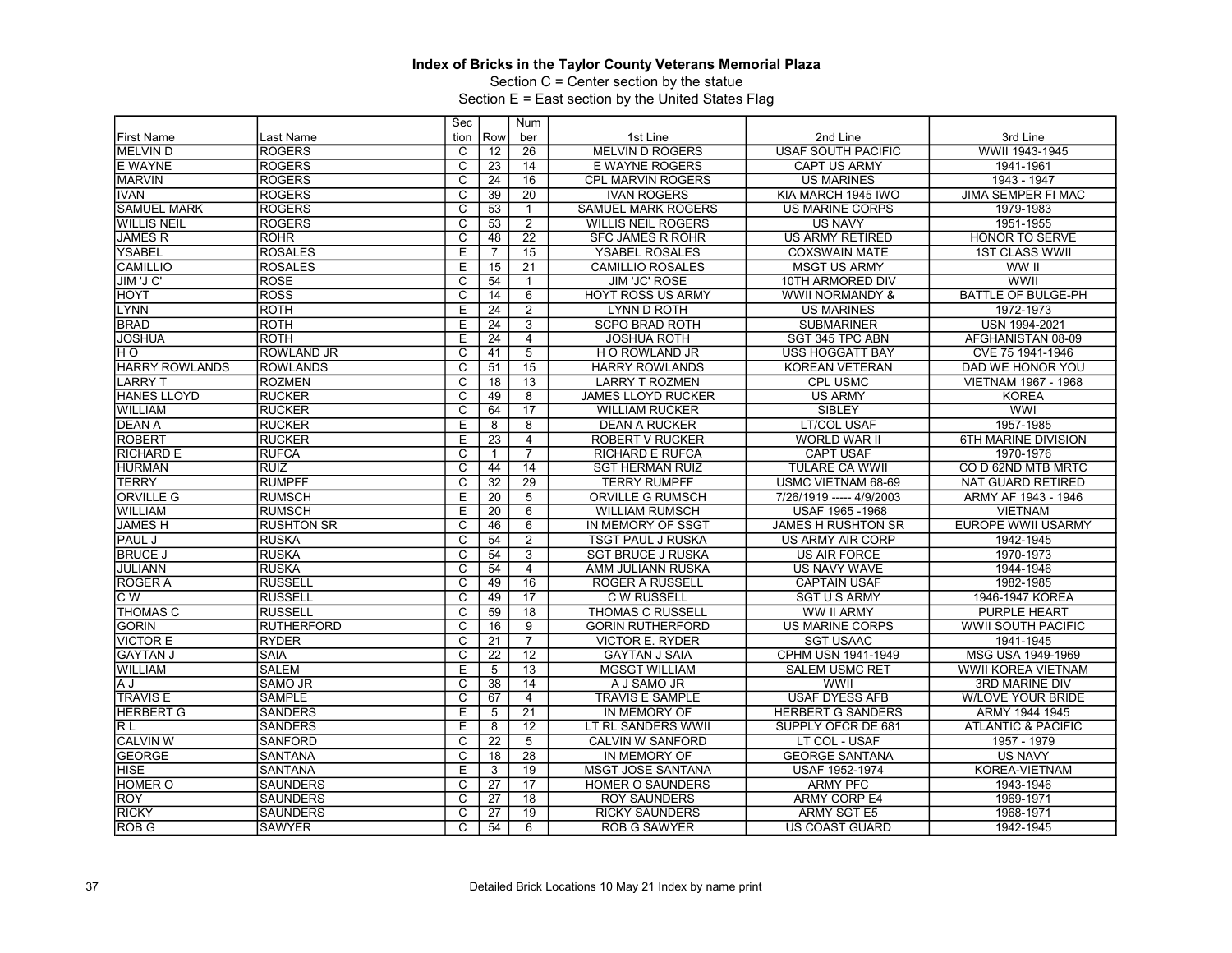Section C = Center section by the statue

|                    |                   | Sec                     |                 | Num             |                           |                           |                               |
|--------------------|-------------------|-------------------------|-----------------|-----------------|---------------------------|---------------------------|-------------------------------|
| <b>First Name</b>  | Last Name         | tion                    | Row             | ber             | 1st Line                  | 2nd Line                  | 3rd Line                      |
| <b>MELVIND</b>     | <b>ROGERS</b>     | C                       | 12              | 26              | <b>MELVIN D ROGERS</b>    | <b>USAF SOUTH PACIFIC</b> | WWII 1943-1945                |
| E WAYNE            | <b>ROGERS</b>     | $\overline{\text{c}}$   | 23              | 14              | <b>E WAYNE ROGERS</b>     | <b>CAPT US ARMY</b>       | 1941-1961                     |
| <b>MARVIN</b>      | <b>ROGERS</b>     | $\overline{\mathrm{c}}$ | $\overline{24}$ | 16              | CPL MARVIN ROGERS         | <b>US MARINES</b>         | 1943 - 1947                   |
| <b>IVAN</b>        | <b>ROGERS</b>     | $\overline{C}$          | 39              | 20              | <b>IVAN ROGERS</b>        | KIA MARCH 1945 IWO        | <b>JIMA SEMPER FI MAC</b>     |
| <b>SAMUEL MARK</b> | <b>ROGERS</b>     | $\overline{\text{c}}$   | 53              | $\overline{1}$  | SAMUEL MARK ROGERS        | <b>US MARINE CORPS</b>    | 1979-1983                     |
| <b>WILLIS NEIL</b> | <b>ROGERS</b>     | $\overline{\mathsf{c}}$ | 53              | $\overline{2}$  | <b>WILLIS NEIL ROGERS</b> | <b>US NAVY</b>            | 1951-1955                     |
| <b>JAMES R</b>     | <b>ROHR</b>       | C                       | 48              | 22              | <b>SFC JAMES R ROHR</b>   | <b>US ARMY RETIRED</b>    | <b>HONOR TO SERVE</b>         |
| <b>YSABEL</b>      | <b>ROSALES</b>    | E                       | $\overline{7}$  | 15              | YSABEL ROSALES            | <b>COXSWAIN MATE</b>      | <b>1ST CLASS WWII</b>         |
| <b>CAMILLIO</b>    | <b>ROSALES</b>    | E                       | 15              | 21              | <b>CAMILLIO ROSALES</b>   | <b>MSGT US ARMY</b>       | WW II                         |
| JIM 'J C'          | <b>ROSE</b>       | C                       | 54              | $\overline{1}$  | <b>JIM 'JC' ROSE</b>      | 10TH ARMORED DIV          | WWII                          |
| HOYT               | <b>ROSS</b>       | $\overline{\text{c}}$   | 14              | $\overline{6}$  | <b>HOYT ROSS US ARMY</b>  | WWII NORMANDY &           | <b>BATTLE OF BULGE-PH</b>     |
| <b>LYNN</b>        | <b>ROTH</b>       | E                       | 24              | $\overline{2}$  | LYNN D ROTH               | <b>US MARINES</b>         | 1972-1973                     |
| <b>BRAD</b>        | <b>ROTH</b>       | E                       | 24              | $\overline{3}$  | <b>SCPO BRAD ROTH</b>     | <b>SUBMARINER</b>         | USN 1994-2021                 |
| <b>JOSHUA</b>      | <b>ROTH</b>       | E                       | 24              | $\overline{4}$  | <b>JOSHUA ROTH</b>        | SGT 345 TPC ABN           | AFGHANISTAN 08-09             |
| НO                 | <b>ROWLAND JR</b> | C                       | 41              | $\overline{5}$  | H O ROWLAND JR            | <b>USS HOGGATT BAY</b>    | CVE 75 1941-1946              |
| HARRY ROWLANDS     | <b>ROWLANDS</b>   | $\overline{\text{c}}$   | 51              | 15              | <b>HARRY ROWLANDS</b>     | <b>KOREAN VETERAN</b>     | DAD WE HONOR YOU              |
| <b>LARRY T</b>     | <b>ROZMEN</b>     | $\overline{\mathsf{c}}$ | 18              | $\overline{13}$ | <b>LARRY T ROZMEN</b>     | <b>CPL USMC</b>           | VIETNAM 1967 - 1968           |
| <b>HANES LLOYD</b> | <b>RUCKER</b>     | C                       | 49              | 8               | <b>JAMES LLOYD RUCKER</b> | <b>US ARMY</b>            | <b>KOREA</b>                  |
| <b>WILLIAM</b>     | <b>RUCKER</b>     | $\overline{\text{c}}$   | 64              | 17              | <b>WILLIAM RUCKER</b>     | SIBLEY                    | <b>WWI</b>                    |
| <b>DEAN A</b>      | <b>RUCKER</b>     | E                       | 8               | $\overline{8}$  | <b>DEAN A RUCKER</b>      | <b>LT/COL USAF</b>        | 1957-1985                     |
| <b>ROBERT</b>      | <b>RUCKER</b>     | E                       | $\overline{23}$ | $\overline{4}$  | <b>ROBERT V RUCKER</b>    | <b>WORLD WAR II</b>       | <b>6TH MARINE DIVISION</b>    |
| <b>RICHARD E</b>   | <b>RUFCA</b>      | $\overline{\text{c}}$   | $\mathbf{1}$    | $\overline{7}$  | <b>RICHARD E RUFCA</b>    | <b>CAPT USAF</b>          | 1970-1976                     |
| <b>HURMAN</b>      | <b>RUIZ</b>       | $\overline{c}$          | 44              | 14              | <b>SGT HERMAN RUIZ</b>    | <b>TULARE CA WWII</b>     | CO D 62ND MTB MRTC            |
| <b>TERRY</b>       | <b>RUMPFF</b>     | $\overline{c}$          | 32              | 29              | <b>TERRY RUMPFF</b>       | USMC VIETNAM 68-69        | <b>NAT GUARD RETIRED</b>      |
| <b>ORVILLE G</b>   | <b>RUMSCH</b>     | E                       | $\overline{20}$ | $\overline{5}$  | ORVILLE G RUMSCH          | 7/26/1919 ----- 4/9/2003  | ARMY AF 1943 - 1946           |
| <b>WILLIAM</b>     | <b>RUMSCH</b>     | E                       | 20              | 6               | <b>WILLIAM RUMSCH</b>     | USAF 1965 -1968           | <b>VIETNAM</b>                |
| <b>JAMESH</b>      | <b>RUSHTON SR</b> | $\overline{\text{c}}$   | 46              | $6\overline{6}$ | IN MEMORY OF SSGT         | <b>JAMES H RUSHTON SR</b> | <b>EUROPE WWII USARMY</b>     |
| PAUL J             | <b>RUSKA</b>      | $\overline{\mathrm{c}}$ | 54              | $\overline{2}$  | TSGT PAUL J RUSKA         | US ARMY AIR CORP          | 1942-1945                     |
| <b>BRUCE J</b>     | <b>RUSKA</b>      | Ć                       | 54              | 3               | <b>SGT BRUCE J RUSKA</b>  | <b>US AIR FORCE</b>       | 1970-1973                     |
| <b>JULIANN</b>     | <b>RUSKA</b>      | $\overline{\text{c}}$   | 54              | $\overline{4}$  | AMM JULIANN RUSKA         | <b>US NAVY WAVE</b>       | 1944-1946                     |
| <b>ROGER A</b>     | <b>RUSSELL</b>    | $\overline{\mathsf{c}}$ | 49              | $\overline{16}$ | <b>ROGER A RUSSELL</b>    | <b>CAPTAIN USAF</b>       | 1982-1985                     |
| C W                | <b>RUSSELL</b>    | C                       | 49              | 17              | C W RUSSELL               | <b>SGT U S ARMY</b>       | 1946-1947 KOREA               |
| <b>THOMAS C</b>    | <b>RUSSELL</b>    | $\overline{\text{c}}$   | 59              | 18              | <b>THOMAS C RUSSELL</b>   | WW II ARMY                | <b>PURPLE HEART</b>           |
| <b>GORIN</b>       | <b>RUTHERFORD</b> | $\overline{\mathsf{c}}$ | 16              | $\overline{9}$  | <b>GORIN RUTHERFORD</b>   | <b>US MARINE CORPS</b>    | WWII SOUTH PACIFIC            |
| <b>VICTOR E</b>    | <b>RYDER</b>      | C                       | 21              | $\overline{7}$  | <b>VICTOR E. RYDER</b>    | <b>SGT USAAC</b>          | 1941-1945                     |
| <b>GAYTAN J</b>    | <b>SAIA</b>       | $\overline{\text{c}}$   | 22              | $\overline{12}$ | <b>GAYTAN J SAIA</b>      | CPHM USN 1941-1949        | MSG USA 1949-1969             |
| <b>WILLIAM</b>     | <b>SALEM</b>      | E                       | 5               | $\overline{13}$ | <b>MGSGT WILLIAM</b>      | <b>SALEM USMC RET</b>     | <b>WWII KOREA VIETNAM</b>     |
| A J                | SAMO JR           | $\overline{c}$          | 38              | 14              | A J SAMO JR               | WWII                      | <b>3RD MARINE DIV</b>         |
| <b>TRAVIS E</b>    | <b>SAMPLE</b>     | $\overline{\mathrm{c}}$ | 67              | $\overline{4}$  | TRAVIS E SAMPLE           | USAF DYESS AFB            | <b>W/LOVE YOUR BRIDE</b>      |
| <b>HERBERT G</b>   | <b>SANDERS</b>    | E                       | $\overline{5}$  | $\overline{21}$ | IN MEMORY OF              | <b>HERBERT G SANDERS</b>  | ARMY 1944 1945                |
| $\overline{RL}$    | <b>SANDERS</b>    | E                       | $\overline{8}$  | $\overline{12}$ | LT RL SANDERS WWII        | SUPPLY OFCR DE 681        | <b>ATLANTIC &amp; PACIFIC</b> |
| <b>CALVIN W</b>    | <b>SANFORD</b>    | $\overline{\mathsf{c}}$ | 22              | $\overline{5}$  | <b>CALVIN W SANFORD</b>   | LT COL - USAF             | 1957 - 1979                   |
| <b>GEORGE</b>      | <b>SANTANA</b>    | C                       | 18              | 28              | IN MEMORY OF              | <b>GEORGE SANTANA</b>     | <b>US NAVY</b>                |
| HISE               | <b>SANTANA</b>    | E                       | 3               | 19              | <b>MSGT JOSE SANTANA</b>  | USAF 1952-1974            | KOREA-VIETNAM                 |
| <b>HOMER O</b>     | <b>SAUNDERS</b>   | $\overline{\mathrm{c}}$ | 27              | 17              | <b>HOMER O SAUNDERS</b>   | <b>ARMY PFC</b>           | 1943-1946                     |
| <b>ROY</b>         | <b>SAUNDERS</b>   | C                       | 27              | 18              | <b>ROY SAUNDERS</b>       | ARMY CORP E4              | 1969-1971                     |
| <b>RICKY</b>       | <b>SAUNDERS</b>   | $\overline{\text{c}}$   | 27              | $\overline{19}$ | <b>RICKY SAUNDERS</b>     | <b>ARMY SGT E5</b>        | 1968-1971                     |
| <b>ROB G</b>       | <b>SAWYER</b>     | $\overline{C}$          | 54              | 6               | <b>ROB G SAWYER</b>       | <b>US COAST GUARD</b>     | 1942-1945                     |
|                    |                   |                         |                 |                 |                           |                           |                               |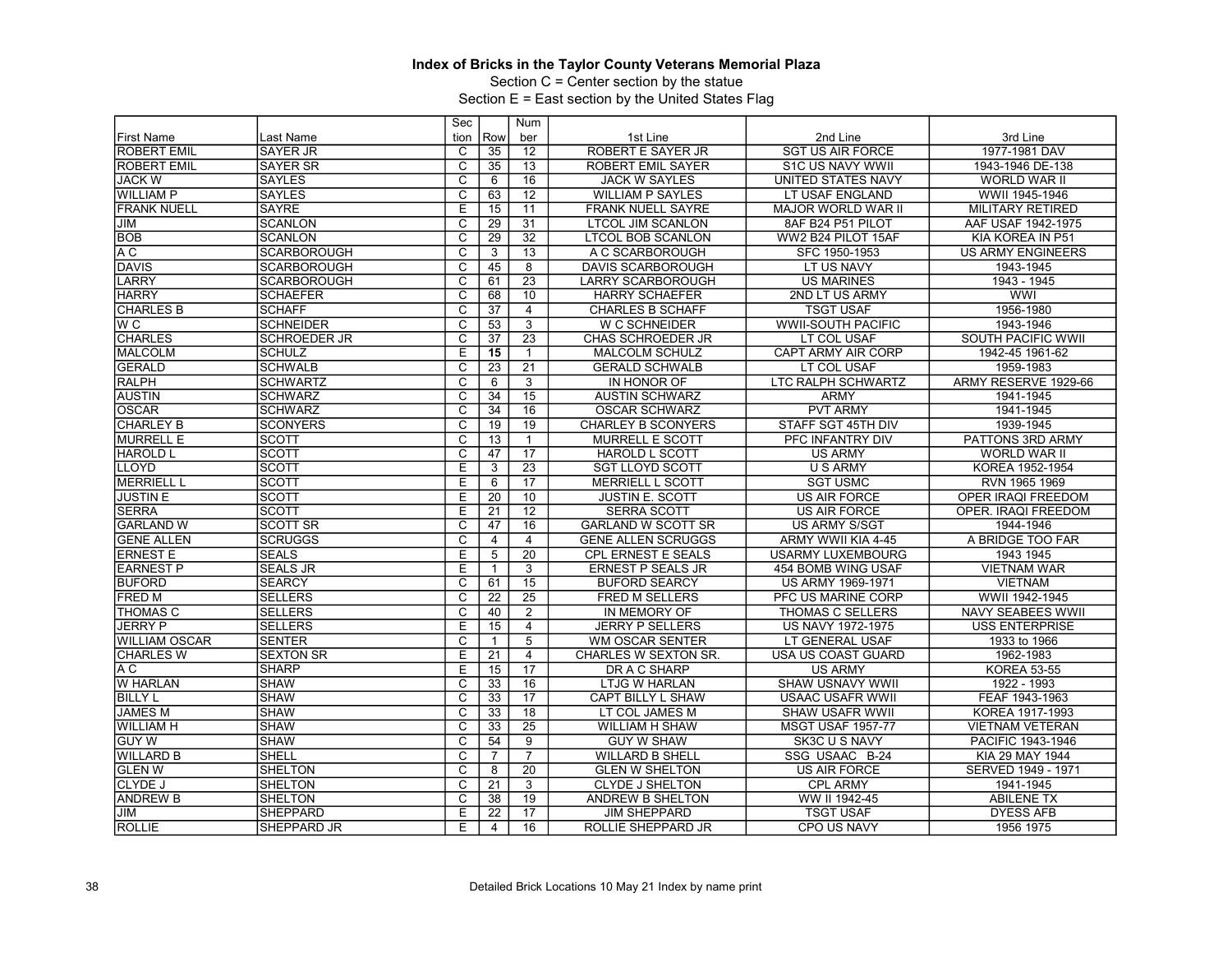Section C = Center section by the statue

|                    |                     | Sec                     |                 | Num             |                           |                           |                          |
|--------------------|---------------------|-------------------------|-----------------|-----------------|---------------------------|---------------------------|--------------------------|
| <b>First Name</b>  | Last Name           | tion                    | Row             | ber             | 1st Line                  | 2nd Line                  | 3rd Line                 |
| <b>ROBERT EMIL</b> | <b>SAYER JR</b>     | C                       | 35              | 12              | ROBERT E SAYER JR         | <b>SGT US AIR FORCE</b>   | 1977-1981 DAV            |
| <b>ROBERT EMIL</b> | <b>SAYER SR</b>     | $\overline{c}$          | 35              | 13              | ROBERT EMIL SAYER         | S1C US NAVY WWII          | 1943-1946 DE-138         |
| <b>JACK W</b>      | <b>SAYLES</b>       | $\overline{\mathrm{c}}$ | 6               | 16              | <b>JACK W SAYLES</b>      | UNITED STATES NAVY        | <b>WORLD WAR II</b>      |
| <b>WILLIAM P</b>   | <b>SAYLES</b>       | $\overline{C}$          | 63              | 12              | <b>WILLIAM P SAYLES</b>   | LT USAF ENGLAND           | WWII 1945-1946           |
| <b>FRANK NUELL</b> | <b>SAYRE</b>        | E                       | 15              | $\overline{11}$ | <b>FRANK NUELL SAYRE</b>  | MAJOR WORLD WAR II        | <b>MILITARY RETIRED</b>  |
| <b>JIM</b>         | <b>SCANLON</b>      | $\overline{\mathrm{c}}$ | 29              | 31              | <b>LTCOL JIM SCANLON</b>  | 8AF B24 P51 PILOT         | AAF USAF 1942-1975       |
| <b>BOB</b>         | <b>SCANLON</b>      | $\overline{\text{c}}$   | 29              | $\overline{32}$ | <b>LTCOL BOB SCANLON</b>  | WW2 B24 PILOT 15AF        | KIA KOREA IN P51         |
| A C                | <b>SCARBOROUGH</b>  | $\overline{\mathsf{c}}$ | 3               | 13              | A C SCARBOROUGH           | SFC 1950-1953             | <b>US ARMY ENGINEERS</b> |
| DAVIS              | <b>SCARBOROUGH</b>  | C                       | 45              | 8               | <b>DAVIS SCARBOROUGH</b>  | LT US NAVY                | 1943-1945                |
| <b>LARRY</b>       | <b>SCARBOROUGH</b>  | $\overline{c}$          | 61              | 23              | <b>LARRY SCARBOROUGH</b>  | <b>US MARINES</b>         | 1943 - 1945              |
| <b>HARRY</b>       | <b>SCHAEFER</b>     | $\overline{\mathrm{c}}$ | 68              | 10              | <b>HARRY SCHAEFER</b>     | 2ND LT US ARMY            | <b>WWI</b>               |
| <b>CHARLES B</b>   | <b>SCHAFF</b>       | $\overline{C}$          | 37              | $\overline{4}$  | <b>CHARLES B SCHAFF</b>   | <b>TSGT USAF</b>          | 1956-1980                |
| $\overline{W}C$    | <b>SCHNEIDER</b>    | $\overline{\text{c}}$   | 53              | $\overline{3}$  | W C SCHNEIDER             | <b>WWII-SOUTH PACIFIC</b> | 1943-1946                |
| <b>CHARLES</b>     | <b>SCHROEDER JR</b> | $\overline{\mathsf{c}}$ | 37              | $\overline{23}$ | <b>CHAS SCHROEDER JR</b>  | LT COL USAF               | SOUTH PACIFIC WWII       |
| <b>MALCOLM</b>     | <b>SCHULZ</b>       | E                       | 15              | $\mathbf{1}$    | <b>MALCOLM SCHULZ</b>     | <b>CAPT ARMY AIR CORP</b> | 1942-45 1961-62          |
| <b>GERALD</b>      | <b>SCHWALB</b>      | $\overline{\mathsf{c}}$ | 23              | 21              | <b>GERALD SCHWALB</b>     | LT COL USAF               | 1959-1983                |
| <b>RALPH</b>       | <b>SCHWARTZ</b>     | C                       | 6               | 3               | IN HONOR OF               | LTC RALPH SCHWARTZ        | ARMY RESERVE 1929-66     |
| <b>AUSTIN</b>      | <b>SCHWARZ</b>      | $\overline{c}$          | 34              | $\overline{15}$ | <b>AUSTIN SCHWARZ</b>     | <b>ARMY</b>               | 1941-1945                |
| <b>OSCAR</b>       | <b>SCHWARZ</b>      | $\overline{\text{c}}$   | 34              | 16              | <b>OSCAR SCHWARZ</b>      | <b>PVT ARMY</b>           | 1941-1945                |
| <b>CHARLEY B</b>   | <b>SCONYERS</b>     | $\overline{\mathsf{c}}$ | 19              | 19              | <b>CHARLEY B SCONYERS</b> | STAFF SGT 45TH DIV        | 1939-1945                |
| <b>MURRELL E</b>   | <b>SCOTT</b>        | $\overline{\text{c}}$   | 13              | $\mathbf{1}$    | <b>MURRELL E SCOTT</b>    | PFC INFANTRY DIV          | PATTONS 3RD ARMY         |
| <b>HAROLD L</b>    | SCOTT               | $\overline{\mathsf{c}}$ | 47              | 17              | <b>HAROLD L SCOTT</b>     | <b>US ARMY</b>            | <b>WORLD WAR II</b>      |
| <b>LLOYD</b>       | <b>SCOTT</b>        | $\overline{E}$          | 3               | $\overline{23}$ | <b>SGT LLOYD SCOTT</b>    | U S ARMY                  | KOREA 1952-1954          |
| <b>MERRIELL L</b>  | <b>SCOTT</b>        | E                       | 6               | 17              | <b>MERRIELL L SCOTT</b>   | <b>SGT USMC</b>           | RVN 1965 1969            |
| <b>JUSTIN E</b>    | <b>SCOTT</b>        | E                       | $\overline{20}$ | 10              | <b>JUSTIN E. SCOTT</b>    | <b>US AIR FORCE</b>       | OPER IRAQI FREEDOM       |
| <b>SERRA</b>       | <b>SCOTT</b>        | Ε                       | 21              | $\overline{12}$ | <b>SERRA SCOTT</b>        | <b>US AIR FORCE</b>       | OPER. IRAQI FREEDOM      |
| <b>GARLAND W</b>   | <b>SCOTT SR</b>     | C                       | 47              | 16              | <b>GARLAND W SCOTT SR</b> | <b>US ARMY S/SGT</b>      | 1944-1946                |
| <b>GENE ALLEN</b>  | <b>SCRUGGS</b>      | $\overline{\mathsf{c}}$ | 4               | $\overline{4}$  | <b>GENE ALLEN SCRUGGS</b> | ARMY WWII KIA 4-45        | A BRIDGE TOO FAR         |
| <b>ERNEST E</b>    | <b>SEALS</b>        | E                       | $\overline{5}$  | $\overline{20}$ | <b>CPL ERNEST E SEALS</b> | <b>USARMY LUXEMBOURG</b>  | 1943 1945                |
| <b>EARNEST P</b>   | <b>SEALS JR</b>     | E                       | $\mathbf{1}$    | 3               | <b>ERNEST P SEALS JR</b>  | 454 BOMB WING USAF        | <b>VIETNAM WAR</b>       |
| <b>BUFORD</b>      | <b>SEARCY</b>       | $\overline{\mathrm{c}}$ | 61              | 15              | <b>BUFORD SEARCY</b>      | US ARMY 1969-1971         | <b>VIETNAM</b>           |
| <b>FRED M</b>      | <b>SELLERS</b>      | $\overline{\text{c}}$   | 22              | $\overline{25}$ | <b>FRED M SELLERS</b>     | PFC US MARINE CORP        | WWII 1942-1945           |
| <b>ITHOMAS C</b>   | <b>SELLERS</b>      | C                       | 40              | $\overline{2}$  | IN MEMORY OF              | <b>THOMAS C SELLERS</b>   | NAVY SEABEES WWII        |
| <b>JERRY P</b>     | <b>SELLERS</b>      | Ε                       | 15              | $\overline{4}$  | <b>JERRY P SELLERS</b>    | US NAVY 1972-1975         | <b>USS ENTERPRISE</b>    |
| IWILLIAM OSCAR     | <b>SENTER</b>       | C                       | 1               | 5               | <b>WM OSCAR SENTER</b>    | LT GENERAL USAF           | 1933 to 1966             |
| <b>CHARLES W</b>   | <b>SEXTON SR</b>    | Έ                       | 21              | $\overline{4}$  | CHARLES W SEXTON SR.      | USA US COAST GUARD        | 1962-1983                |
| A C                | <b>SHARP</b>        | E                       | 15              | $\overline{17}$ | DR A C SHARP              | <b>US ARMY</b>            | <b>KOREA 53-55</b>       |
| <b>W HARLAN</b>    | <b>SHAW</b>         | С                       | 33              | 16              | LTJG W HARLAN             | <b>SHAW USNAVY WWII</b>   | 1922 - 1993              |
| <b>BILLY L</b>     | <b>SHAW</b>         | $\overline{\mathrm{c}}$ | 33              | $\overline{17}$ | CAPT BILLY L SHAW         | <b>USAAC USAFR WWII</b>   | FEAF 1943-1963           |
| <b>JAMES M</b>     | <b>SHAW</b>         | $\overline{\mathrm{c}}$ | 33              | 18              | LT COL JAMES M            | <b>SHAW USAFR WWII</b>    | KOREA 1917-1993          |
| IWILLIAM H         | <b>SHAW</b>         | C                       | 33              | 25              | WILLIAM H SHAW            | <b>MSGT USAF 1957-77</b>  | <b>VIETNAM VETERAN</b>   |
| <b>GUY W</b>       | <b>SHAW</b>         | $\overline{\mathsf{c}}$ | 54              | 9               | <b>GUY W SHAW</b>         | SK3C U S NAVY             | PACIFIC 1943-1946        |
| <b>WILLARD B</b>   | SHELL               | C                       | $\overline{7}$  | $\overline{7}$  | <b>WILLARD B SHELL</b>    | SSG USAAC B-24            | KIA 29 MAY 1944          |
| <b>GLEN W</b>      | <b>SHELTON</b>      | C                       | 8               | 20              | <b>GLEN W SHELTON</b>     | <b>US AIR FORCE</b>       | SERVED 1949 - 1971       |
| CLYDE J            | <b>SHELTON</b>      | C                       | 21              | 3               | <b>CLYDE J SHELTON</b>    | <b>CPL ARMY</b>           | 1941-1945                |
| <b>ANDREW B</b>    | <b>SHELTON</b>      | C                       | 38              | 19              | ANDREW B SHELTON          | WW II 1942-45             | <b>ABILENE TX</b>        |
| <b>JIM</b>         | <b>SHEPPARD</b>     | E                       | 22              | $\overline{17}$ | <b>JIM SHEPPARD</b>       | <b>TSGT USAF</b>          | <b>DYESS AFB</b>         |
| ROLLIE             | SHEPPARD JR         | E                       | $\overline{4}$  | 16              | ROLLIE SHEPPARD JR        | CPO US NAVY               | 1956 1975                |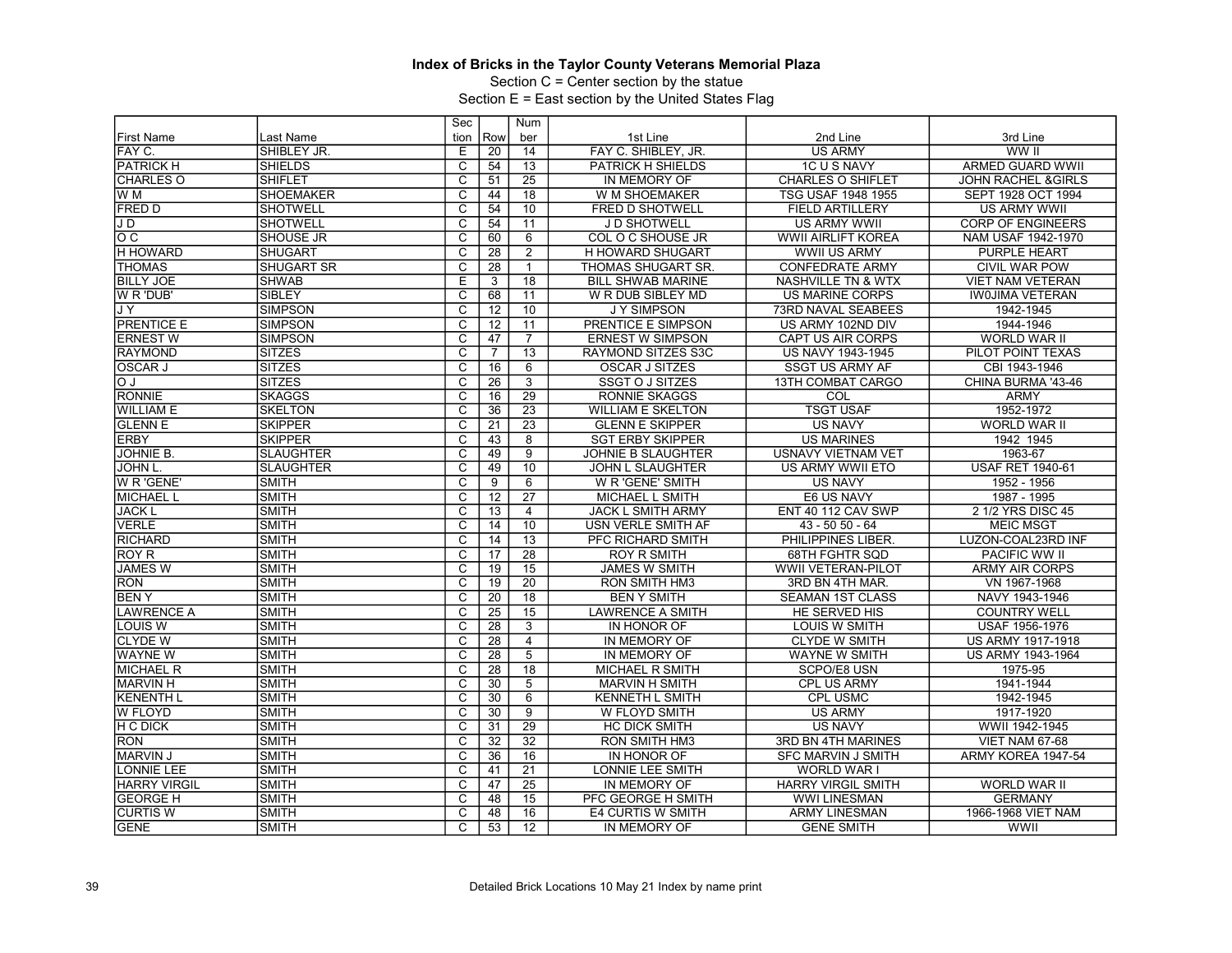Section C = Center section by the statue

|                     |                   | Sec                     |                 | <b>Num</b>      |                           |                               |                               |
|---------------------|-------------------|-------------------------|-----------------|-----------------|---------------------------|-------------------------------|-------------------------------|
| <b>First Name</b>   | Last Name         | tion                    | Row             | ber             | 1st Line                  | 2nd Line                      | 3rd Line                      |
| FAY C.              | SHIBLEY JR.       | E                       | $\overline{20}$ | 14              | FAY C. SHIBLEY, JR.       | <b>US ARMY</b>                | WW II                         |
| PATRICK H           | <b>SHIELDS</b>    | $\overline{\text{c}}$   | 54              | 13              | PATRICK H SHIELDS         | 1C U S NAVY                   | <b>ARMED GUARD WWII</b>       |
| <b>CHARLES O</b>    | <b>SHIFLET</b>    | $\overline{\mathrm{c}}$ | 51              | $\overline{25}$ | IN MEMORY OF              | <b>CHARLES O SHIFLET</b>      | <b>JOHN RACHEL &amp;GIRLS</b> |
| W M                 | <b>SHOEMAKER</b>  | $\overline{C}$          | 44              | 18              | W M SHOEMAKER             | TSG USAF 1948 1955            | SEPT 1928 OCT 1994            |
| <b>FRED D</b>       | <b>SHOTWELL</b>   | $\overline{\text{c}}$   | 54              | 10              | FRED D SHOTWELL           | <b>FIELD ARTILLERY</b>        | <b>US ARMY WWII</b>           |
| J D                 | <b>SHOTWELL</b>   | $\overline{\mathsf{c}}$ | 54              | 11              | J D SHOTWELL              | <b>US ARMY WWII</b>           | <b>CORP OF ENGINEERS</b>      |
| $\circ$ $\circ$     | <b>SHOUSE JR</b>  | C                       | 60              | 6               | <b>COL O C SHOUSE JR</b>  | WWII AIRLIFT KOREA            | NAM USAF 1942-1970            |
| H HOWARD            | <b>SHUGART</b>    | $\overline{\mathrm{c}}$ | $\overline{28}$ | $\overline{2}$  | H HOWARD SHUGART          | <b>WWII US ARMY</b>           | <b>PURPLE HEART</b>           |
| <b>THOMAS</b>       | <b>SHUGART SR</b> | $\overline{\mathrm{c}}$ | 28              | $\mathbf{1}$    | <b>THOMAS SHUGART SR.</b> | <b>CONFEDRATE ARMY</b>        | <b>CIVIL WAR POW</b>          |
| <b>BILLY JOE</b>    | <b>SHWAB</b>      | E                       | 3               | 18              | <b>BILL SHWAB MARINE</b>  | <b>NASHVILLE TN &amp; WTX</b> | <b>VIET NAM VETERAN</b>       |
| W R 'DUB'           | SIBLEY            | $\overline{\text{c}}$   | 68              | 11              | W R DUB SIBLEY MD         | <b>US MARINE CORPS</b>        | <b>IWOJIMA VETERAN</b>        |
| JΥ                  | <b>SIMPSON</b>    | $\overline{c}$          | 12              | 10              | <b>JY SIMPSON</b>         | <b>73RD NAVAL SEABEES</b>     | 1942-1945                     |
| <b>PRENTICE E</b>   | <b>SIMPSON</b>    | $\overline{\text{c}}$   | 12              | 11              | <b>PRENTICE E SIMPSON</b> | US ARMY 102ND DIV             | 1944-1946                     |
| <b>ERNEST W</b>     | <b>SIMPSON</b>    | $\overline{\mathrm{c}}$ | 47              | $\overline{7}$  | <b>ERNEST W SIMPSON</b>   | CAPT US AIR CORPS             | WORLD WAR II                  |
| <b>RAYMOND</b>      | <b>SITZES</b>     | $\overline{C}$          | $\overline{7}$  | 13              | <b>RAYMOND SITZES S3C</b> | US NAVY 1943-1945             | PILOT POINT TEXAS             |
| <b>OSCAR J</b>      | <b>SITZES</b>     | $\overline{c}$          | 16              | 6               | OSCAR J SITZES            | <b>SSGT US ARMY AF</b>        | CBI 1943-1946                 |
| l O                 | ISITZES           | $\overline{\mathsf{c}}$ | 26              | $\overline{3}$  | <b>SSGT O J SITZES</b>    | <b>13TH COMBAT CARGO</b>      | CHINA BURMA '43-46            |
| <b>RONNIE</b>       | SKAGGS            | C                       | 16              | $\overline{29}$ | <b>RONNIE SKAGGS</b>      | COL                           | <b>ARMY</b>                   |
| <b>WILLIAM E</b>    | <b>SKELTON</b>    | $\overline{\text{c}}$   | 36              | $\overline{23}$ | <b>WILLIAM E SKELTON</b>  | <b>TSGT USAF</b>              | 1952-1972                     |
| <b>GLENN E</b>      | <b>SKIPPER</b>    | $\overline{\mathsf{c}}$ | 21              | $\overline{23}$ | <b>GLENN E SKIPPER</b>    | <b>US NAVY</b>                | <b>WORLD WAR II</b>           |
| <b>ERBY</b>         | <b>SKIPPER</b>    | С                       | 43              | 8               | <b>SGT ERBY SKIPPER</b>   | <b>US MARINES</b>             | 1942 1945                     |
| JOHNIE B.           | <b>SLAUGHTER</b>  | $\overline{\mathrm{c}}$ | 49              | $\overline{9}$  | JOHNIE B SLAUGHTER        | USNAVY VIETNAM VET            | 1963-67                       |
| <b>JOHN L.</b>      | <b>SLAUGHTER</b>  | $\overline{c}$          | 49              | 10              | <b>JOHN L SLAUGHTER</b>   | US ARMY WWII ETO              | <b>USAF RET 1940-61</b>       |
| W R 'GENE'          | <b>SMITH</b>      | C                       | 9               | $6\overline{6}$ | W R 'GENE' SMITH          | <b>US NAVY</b>                | 1952 - 1956                   |
| <b>MICHAEL L</b>    | SMITH             | $\overline{\mathrm{c}}$ | $\overline{12}$ | $\overline{27}$ | MICHAEL L SMITH           | E6 US NAVY                    | 1987 - 1995                   |
| <b>JACK L</b>       | <b>SMITH</b>      | C                       | 13              | $\overline{4}$  | <b>JACK L SMITH ARMY</b>  | ENT 40 112 CAV SWP            | 2 1/2 YRS DISC 45             |
| <b>VERLE</b>        | SMITH             | $\overline{\text{c}}$   | 14              | 10              | USN VERLE SMITH AF        | 43 - 50 50 - 64               | <b>MEIC MSGT</b>              |
| <b>RICHARD</b>      | SMITH             | $\overline{\mathrm{c}}$ | 14              | $\overline{13}$ | PFC RICHARD SMITH         | PHILIPPINES LIBER.            | LUZON-COAL23RD INF            |
| <b>ROY R</b>        | <b>SMITH</b>      | C                       | 17              | 28              | <b>ROY R SMITH</b>        | <b>68TH FGHTR SQD</b>         | <b>PACIFIC WW II</b>          |
| <b>JAMES W</b>      | <b>SMITH</b>      | $\overline{\text{c}}$   | 19              | 15              | <b>JAMES W SMITH</b>      | WWII VETERAN-PILOT            | <b>ARMY AIR CORPS</b>         |
| <b>RON</b>          | <b>SMITH</b>      | $\overline{\mathsf{c}}$ | 19              | $\overline{20}$ | <b>RON SMITH HM3</b>      | 3RD BN 4TH MAR.               | VN 1967-1968                  |
| <b>BENY</b>         | <b>SMITH</b>      | C                       | $\overline{20}$ | 18              | <b>BEN Y SMITH</b>        | <b>SEAMAN 1ST CLASS</b>       | NAVY 1943-1946                |
| <b>LAWRENCE A</b>   | SMITH             | $\overline{\text{c}}$   | $\overline{25}$ | 15              | <b>LAWRENCE A SMITH</b>   | HE SERVED HIS                 | <b>COUNTRY WELL</b>           |
| LOUIS W             | <b>SMITH</b>      | $\overline{c}$          | 28              | $\overline{3}$  | IN HONOR OF               | <b>LOUIS W SMITH</b>          | USAF 1956-1976                |
| <b>CLYDE W</b>      | SMITH             | C                       | 28              | 4               | IN MEMORY OF              | <b>CLYDE W SMITH</b>          | US ARMY 1917-1918             |
| <b>WAYNE W</b>      | SMITH             | $\overline{\mathrm{c}}$ | 28              | $\overline{5}$  | IN MEMORY OF              | WAYNE W SMITH                 | US ARMY 1943-1964             |
| <b>MICHAEL R</b>    | <b>SMITH</b>      | $\overline{c}$          | 28              | $\overline{18}$ | <b>MICHAEL R SMITH</b>    | SCPO/E8 USN                   | 1975-95                       |
| <b>MARVIN H</b>     | SMITH             | $\overline{\text{c}}$   | 30              | $\overline{5}$  | <b>MARVIN H SMITH</b>     | CPL US ARMY                   | 1941-1944                     |
| <b>KENENTH L</b>    | SMITH             | $\overline{\mathrm{c}}$ | 30              | $\overline{6}$  | <b>KENNETH L SMITH</b>    | <b>CPL USMC</b>               | 1942-1945                     |
| <b>W FLOYD</b>      | <b>SMITH</b>      | $\overline{C}$          | 30              | $\overline{9}$  | W FLOYD SMITH             | <b>US ARMY</b>                | 1917-1920                     |
| <b>H C DICK</b>     | SMITH             | $\overline{\text{c}}$   | 31              | 29              | <b>HC DICK SMITH</b>      | <b>US NAVY</b>                | WWII 1942-1945                |
| <b>RON</b>          | <b>SMITH</b>      | $\overline{\mathrm{c}}$ | 32              | $\overline{32}$ | <b>RON SMITH HM3</b>      | 3RD BN 4TH MARINES            | VIET NAM 67-68                |
| <b>MARVIN J</b>     | SMITH             | C                       | 36              | 16              | IN HONOR OF               | <b>SFC MARVIN J SMITH</b>     | ARMY KOREA 1947-54            |
| LONNIE LEE          | SMITH             | $\overline{\text{c}}$   | 41              | $\overline{21}$ | LONNIE LEE SMITH          | WORLD WAR I                   |                               |
| <b>HARRY VIRGIL</b> | <b>SMITH</b>      | $\overline{\mathrm{c}}$ | 47              | $\overline{25}$ | IN MEMORY OF              | <b>HARRY VIRGIL SMITH</b>     | <b>WORLD WAR II</b>           |
| <b>GEORGE H</b>     | <b>SMITH</b>      | C                       | 48              | 15              | PFC GEORGE H SMITH        | <b>WWI LINESMAN</b>           | <b>GERMANY</b>                |
| <b>CURTIS W</b>     | <b>SMITH</b>      | $\overline{\text{c}}$   | 48              | 16              | E4 CURTIS W SMITH         | <b>ARMY LINESMAN</b>          | 1966-1968 VIET NAM            |
| <b>GENE</b>         | Ismith            | $\overline{c}$          | 53              | $\overline{12}$ | IN MEMORY OF              | <b>GENE SMITH</b>             | WWII                          |
|                     |                   |                         |                 |                 |                           |                               |                               |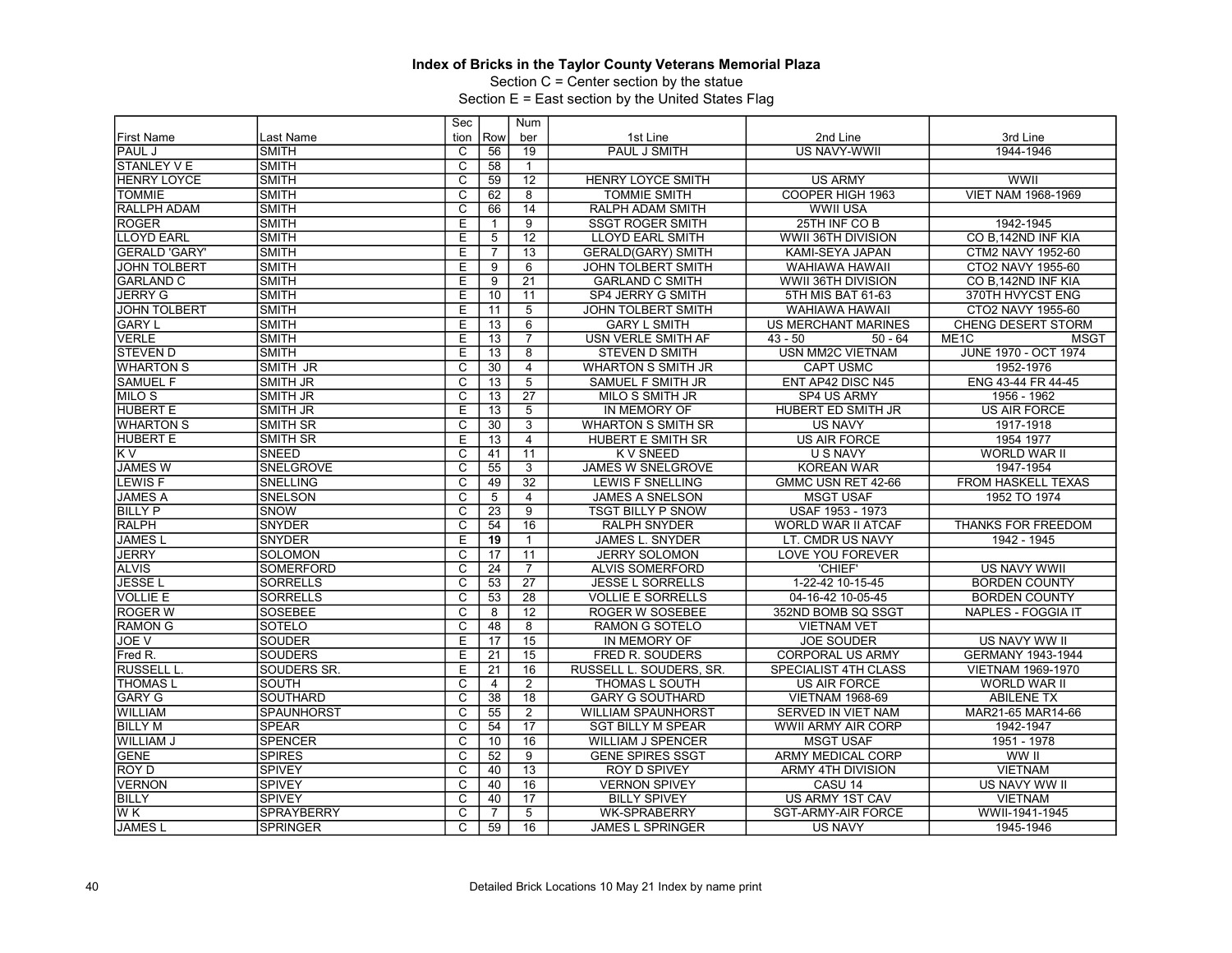Section C = Center section by the statue

|                      |                   | Sec                     |                | <b>Num</b>      |                           |                            |                                  |
|----------------------|-------------------|-------------------------|----------------|-----------------|---------------------------|----------------------------|----------------------------------|
| <b>First Name</b>    | Last Name         | tion                    | Row            | ber             | 1st Line                  | 2nd Line                   | 3rd Line                         |
| <b>PAUL J</b>        | <b>SMITH</b>      | C                       | 56             | 19              | PAUL J SMITH              | <b>US NAVY-WWII</b>        | 1944-1946                        |
| STANLEY V E          | <b>SMITH</b>      | $\overline{\text{c}}$   | 58             |                 |                           |                            |                                  |
| <b>HENRY LOYCE</b>   | <b>SMITH</b>      | $\overline{\mathrm{c}}$ | 59             | $\overline{12}$ | <b>HENRY LOYCE SMITH</b>  | <b>US ARMY</b>             | <b>WWII</b>                      |
| <b>TOMMIE</b>        | <b>SMITH</b>      | $\overline{C}$          | 62             | 8               | TOMMIE SMITH              | COOPER HIGH 1963           | <b>VIET NAM 1968-1969</b>        |
| <b>RALLPH ADAM</b>   | <b>SMITH</b>      | $\overline{\text{c}}$   | 66             | $\overline{14}$ | RALPH ADAM SMITH          | <b>WWII USA</b>            |                                  |
| <b>ROGER</b>         | <b>SMITH</b>      | Ε                       | $\mathbf{1}$   | $\overline{9}$  | <b>SSGT ROGER SMITH</b>   | 25TH INF CO B              | 1942-1945                        |
| <b>LLOYD EARL</b>    | <b>SMITH</b>      | Е                       | 5              | 12              | <b>LLOYD EARL SMITH</b>   | WWII 36TH DIVISION         | CO B, 142ND INF KIA              |
| <b>GERALD 'GARY'</b> | <b>SMITH</b>      | Е                       | $\overline{7}$ | $\overline{13}$ | <b>GERALD(GARY) SMITH</b> | KAMI-SEYA JAPAN            | CTM2 NAVY 1952-60                |
| <b>JOHN TOLBERT</b>  | <b>SMITH</b>      | E                       | 9              | 6               | <b>JOHN TOLBERT SMITH</b> | <b>WAHIAWA HAWAII</b>      | CTO2 NAVY 1955-60                |
| <b>GARLAND C</b>     | <b>SMITH</b>      | Е                       | 9              | $\overline{21}$ | <b>GARLAND C SMITH</b>    | WWII 36TH DIVISION         | CO B, 142ND INF KIA              |
| <b>JERRY G</b>       | <b>SMITH</b>      | Ε                       | 10             | 11              | SP4 JERRY G SMITH         | 5TH MIS BAT 61-63          | 370TH HVYCST ENG                 |
| <b>JOHN TOLBERT</b>  | <b>SMITH</b>      | E                       | 11             | $\overline{5}$  | JOHN TOLBERT SMITH        | <b>WAHIAWA HAWAII</b>      | CTO2 NAVY 1955-60                |
| <b>GARY L</b>        | <b>SMITH</b>      | Ē                       | 13             | 6               | <b>GARY L SMITH</b>       | <b>US MERCHANT MARINES</b> | <b>CHENG DESERT STORM</b>        |
| <b>VERLE</b>         | <b>SMITH</b>      | Е                       | 13             | $\overline{7}$  | USN VERLE SMITH AF        | $43 - 50$<br>$50 - 64$     | ME <sub>1</sub> C<br><b>MSGT</b> |
| <b>STEVEN D</b>      | <b>SMITH</b>      | E                       | 13             | $\overline{8}$  | <b>STEVEN D SMITH</b>     | <b>USN MM2C VIETNAM</b>    | <b>JUNE 1970 - OCT 1974</b>      |
| <b>WHARTON S</b>     | SMITH JR          | $\overline{\text{c}}$   | 30             | $\overline{4}$  | <b>WHARTON S SMITH JR</b> | <b>CAPT USMC</b>           | 1952-1976                        |
| <b>SAMUEL F</b>      | <b>SMITH JR</b>   | C                       | 13             | $\overline{5}$  | SAMUEL F SMITH JR         | ENT AP42 DISC N45          | ENG 43-44 FR 44-45               |
| <b>MILO S</b>        | SMITH JR          | C                       | 13             | $\overline{27}$ | MILO S SMITH JR           | SP4 US ARMY                | 1956 - 1962                      |
| <b>HUBERT E</b>      | SMITH JR          | E                       | 13             | $\overline{5}$  | IN MEMORY OF              | <b>HUBERT ED SMITH JR</b>  | <b>US AIR FORCE</b>              |
| <b>WHARTON S</b>     | <b>SMITH SR</b>   | $\overline{\mathsf{c}}$ | 30             | $\overline{3}$  | <b>WHARTON S SMITH SR</b> | <b>US NAVY</b>             | 1917-1918                        |
| <b>HUBERT E</b>      | <b>SMITH SR</b>   | E                       | 13             | 4               | <b>HUBERT E SMITH SR</b>  | <b>US AIR FORCE</b>        | 1954 1977                        |
| <b>KV</b>            | <b>SNEED</b>      | $\overline{\text{c}}$   | 41             | 11              | K V SNEED                 | <b>US NAVY</b>             | <b>WORLD WAR II</b>              |
| <b>JAMES W</b>       | <b>SNELGROVE</b>  | $\overline{c}$          | 55             | $\overline{3}$  | <b>JAMES W SNELGROVE</b>  | <b>KOREAN WAR</b>          | 1947-1954                        |
| <b>LEWISF</b>        | <b>SNELLING</b>   | $\overline{c}$          | 49             | 32              | LEWIS F SNELLING          | GMMC USN RET 42-66         | FROM HASKELL TEXAS               |
| <b>JAMES A</b>       | SNELSON           | $\overline{\mathrm{c}}$ | 5              | 4               | <b>JAMES A SNELSON</b>    | <b>MSGT USAF</b>           | 1952 TO 1974                     |
| <b>BILLY P</b>       | SNOW              | C                       | 23             | 9               | <b>TSGT BILLY P SNOW</b>  | USAF 1953 - 1973           |                                  |
| <b>RALPH</b>         | <b>SNYDER</b>     | $\overline{\text{c}}$   | 54             | 16              | <b>RALPH SNYDER</b>       | WORLD WAR II ATCAF         | THANKS FOR FREEDOM               |
| JAMES <sub>L</sub>   | <b>SNYDER</b>     | $\overline{E}$          | 19             |                 | JAMES L. SNYDER           | LT. CMDR US NAVY           | 1942 - 1945                      |
| <b>JERRY</b>         | <b>SOLOMON</b>    | $\overline{C}$          | 17             | 11              | <b>JERRY SOLOMON</b>      | <b>LOVE YOU FOREVER</b>    |                                  |
| <b>ALVIS</b>         | <b>SOMERFORD</b>  | $\overline{\text{c}}$   | 24             | $\overline{7}$  | ALVIS SOMERFORD           | 'CHIEF'                    | <b>US NAVY WWII</b>              |
| <b>JESSE L</b>       | <b>SORRELLS</b>   | $\overline{\mathsf{c}}$ | 53             | $\overline{27}$ | <b>JESSE L SORRELLS</b>   | 1-22-42 10-15-45           | <b>BORDEN COUNTY</b>             |
| <b>VOLLIE E</b>      | <b>SORRELLS</b>   | C                       | 53             | 28              | <b>VOLLIE E SORRELLS</b>  | 04-16-42 10-05-45          | <b>BORDEN COUNTY</b>             |
| <b>ROGER W</b>       | SOSEBEE           | $\overline{\text{c}}$   | 8              | $\overline{12}$ | ROGER W SOSEBEE           | 352ND BOMB SQ SSGT         | <b>NAPLES - FOGGIA IT</b>        |
| <b>RAMON G</b>       | <b>SOTELO</b>     | C                       | 48             | 8               | <b>RAMON G SOTELO</b>     | <b>VIETNAM VET</b>         |                                  |
| <b>JOE V</b>         | <b>SOUDER</b>     | Е                       | 17             | 15              | IN MEMORY OF              | <b>JOE SOUDER</b>          | US NAVY WW II                    |
| Fred R.              | <b>SOUDERS</b>    | $\overline{E}$          | 21             | $\overline{15}$ | FRED R. SOUDERS           | <b>CORPORAL US ARMY</b>    | GERMANY 1943-1944                |
| <b>RUSSELL L</b>     | SOUDERS SR.       | E                       | 21             | 16              | RUSSELL L. SOUDERS, SR.   | SPECIALIST 4TH CLASS       | <b>VIETNAM 1969-1970</b>         |
| <b>THOMAS L</b>      | <b>SOUTH</b>      | $\overline{\text{c}}$   | $\overline{4}$ | $\overline{2}$  | THOMAS L SOUTH            | US AIR FORCE               | <b>WORLD WAR II</b>              |
| <b>GARY G</b>        | SOUTHARD          | $\overline{\mathrm{c}}$ | 38             | 18              | <b>GARY G SOUTHARD</b>    | <b>VIETNAM 1968-69</b>     | <b>ABILENE TX</b>                |
| <b>WILLIAM</b>       | <b>SPAUNHORST</b> | $\overline{C}$          | 55             | $\overline{2}$  | <b>WILLIAM SPAUNHORST</b> | SERVED IN VIET NAM         | MAR21-65 MAR14-66                |
| <b>BILLY M</b>       | <b>SPEAR</b>      | $\overline{\text{c}}$   | 54             | $\overline{17}$ | <b>SGT BILLY M SPEAR</b>  | <b>WWII ARMY AIR CORP</b>  | 1942-1947                        |
| <b>WILLIAM J</b>     | <b>SPENCER</b>    | C                       | 10             | 16              | <b>WILLIAM J SPENCER</b>  | <b>MSGT USAF</b>           | 1951 - 1978                      |
| GENE                 | <b>SPIRES</b>     | $\overline{C}$          | 52             | 9               | <b>GENE SPIRES SSGT</b>   | <b>ARMY MEDICAL CORP</b>   | WW II                            |
| ROY D                | <b>SPIVEY</b>     | $\overline{\text{c}}$   | 40             | 13              | <b>ROY D SPIVEY</b>       | ARMY 4TH DIVISION          | <b>VIETNAM</b>                   |
| <b>VERNON</b>        | <b>SPIVEY</b>     | C                       | 40             | 16              | <b>VERNON SPIVEY</b>      | CASU 14                    | US NAVY WW II                    |
| <b>BILLY</b>         | <b>SPIVEY</b>     | C                       | 40             | 17              | <b>BILLY SPIVEY</b>       | <b>US ARMY 1ST CAV</b>     | <b>VIETNAM</b>                   |
| W <sub>K</sub>       | SPRAYBERRY        | $\overline{\text{c}}$   | $\overline{7}$ | $\overline{5}$  | <b>WK-SPRABERRY</b>       | <b>SGT-ARMY-AIR FORCE</b>  | WWII-1941-1945                   |
| JAMES <sub>L</sub>   | <b>SPRINGER</b>   | C                       | 59             | $\overline{16}$ | <b>JAMES L SPRINGER</b>   | <b>US NAVY</b>             | 1945-1946                        |
|                      |                   |                         |                |                 |                           |                            |                                  |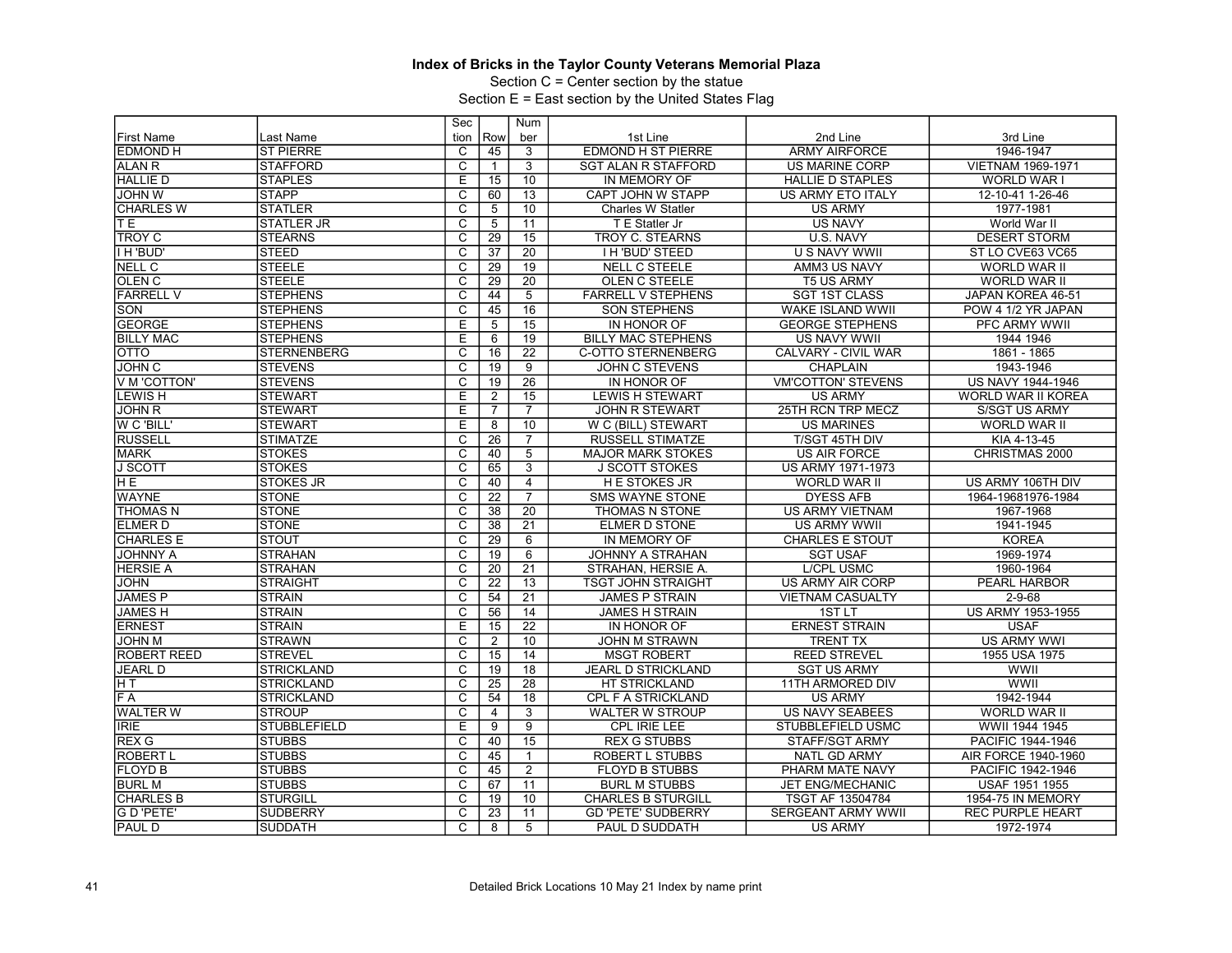Section C = Center section by the statue

|                    |                     | Sec                     |                 | Num             |                            |                           |                          |
|--------------------|---------------------|-------------------------|-----------------|-----------------|----------------------------|---------------------------|--------------------------|
| <b>First Name</b>  | Last Name           | tion                    | Row             | ber             | 1st Line                   | 2nd Line                  | 3rd Line                 |
| <b>EDMOND H</b>    | <b>ST PIERRE</b>    | C                       | 45              | 3               | <b>EDMOND H ST PIERRE</b>  | <b>ARMY AIRFORCE</b>      | 1946-1947                |
| ALAN R             | <b>STAFFORD</b>     | C                       | $\mathbf{1}$    | 3               | <b>SGT ALAN R STAFFORD</b> | US MARINE CORP            | VIETNAM 1969-1971        |
| <b>HALLIE D</b>    | <b>STAPLES</b>      | E                       | 15              | 10              | IN MEMORY OF               | <b>HALLIE D STAPLES</b>   | <b>WORLD WAR I</b>       |
| <b>JOHN W</b>      | <b>STAPP</b>        | $\overline{C}$          | 60              | 13              | CAPT JOHN W STAPP          | US ARMY ETO ITALY         | 12-10-41 1-26-46         |
| <b>CHARLES W</b>   | <b>STATLER</b>      | $\overline{\text{c}}$   | 5               | $\overline{10}$ | Charles W Statler          | <b>US ARMY</b>            | 1977-1981                |
| TЕ                 | <b>STATLER JR</b>   | $\overline{c}$          | 5               | 11              | T E Statler Jr             | <b>US NAVY</b>            | World War II             |
| <b>TROY C</b>      | <b>STEARNS</b>      | C                       | 29              | 15              | <b>TROY C. STEARNS</b>     | U.S. NAVY                 | <b>DESERT STORM</b>      |
| I H 'BUD'          | <b>STEED</b>        | $\overline{\mathsf{c}}$ | 37              | $\overline{20}$ | <b>I H'BUD' STEED</b>      | <b>U S NAVY WWII</b>      | ST LO CVE63 VC65         |
| NELL C             | <b>STEELE</b>       | $\overline{\mathrm{c}}$ | 29              | 19              | <b>NELL C STEELE</b>       | AMM3 US NAVY              | WORLD WAR II             |
| OLEN <sub>C</sub>  | <b>STEELE</b>       | C                       | 29              | 20              | OLEN C STEELE              | <b>T5 US ARMY</b>         | <b>WORLD WAR II</b>      |
| <b>FARRELL V</b>   | <b>STEPHENS</b>     | $\overline{\text{c}}$   | 44              | $\overline{5}$  | FARRELL V STEPHENS         | <b>SGT 1ST CLASS</b>      | JAPAN KOREA 46-51        |
| SON                | <b>STEPHENS</b>     | $\overline{C}$          | 45              | 16              | <b>SON STEPHENS</b>        | WAKE ISLAND WWII          | POW 4 1/2 YR JAPAN       |
| <b>GEORGE</b>      | <b>STEPHENS</b>     | E                       | 5               | 15              | IN HONOR OF                | <b>GEORGE STEPHENS</b>    | PFC ARMY WWII            |
| <b>BILLY MAC</b>   | <b>STEPHENS</b>     | Έ                       | 6               | 19              | <b>BILLY MAC STEPHENS</b>  | <b>US NAVY WWII</b>       | 1944 1946                |
| <b>OTTO</b>        | <b>STERNENBERG</b>  | C                       | 16              | $\overline{22}$ | <b>C-OTTO STERNENBERG</b>  | CALVARY - CIVIL WAR       | 1861 - 1865              |
| <b>JOHN C</b>      | <b>STEVENS</b>      | $\overline{\mathsf{c}}$ | 19              | 9               | JOHN C STEVENS             | <b>CHAPLAIN</b>           | 1943-1946                |
| V M 'COTTON'       | <b>STEVENS</b>      | $\overline{\mathrm{c}}$ | 19              | $\overline{26}$ | IN HONOR OF                | <b>VM'COTTON' STEVENS</b> | <b>US NAVY 1944-1946</b> |
| <b>LEWISH</b>      | <b>STEWART</b>      | Ε                       | $\overline{2}$  | 15              | <b>LEWIS H STEWART</b>     | <b>US ARMY</b>            | WORLD WAR II KOREA       |
| <b>JOHN R</b>      | <b>STEWART</b>      | E                       | $\overline{7}$  | $\overline{7}$  | <b>JOHN R STEWART</b>      | 25TH RCN TRP MECZ         | <b>S/SGT US ARMY</b>     |
| W C 'BILL'         | <b>STEWART</b>      | Ε                       | 8               | 10              | W C (BILL) STEWART         | <b>US MARINES</b>         | WORLD WAR II             |
| <b>RUSSELL</b>     | <b>STIMATZE</b>     | C                       | 26              | $\overline{7}$  | <b>RUSSELL STIMATZE</b>    | T/SGT 45TH DIV            | KIA 4-13-45              |
| <b>MARK</b>        | <b>STOKES</b>       | C                       | 40              | 5               | <b>MAJOR MARK STOKES</b>   | <b>US AIR FORCE</b>       | CHRISTMAS 2000           |
| <b>J SCOTT</b>     | <b>STOKES</b>       | $\overline{\mathrm{c}}$ | 65              | $\overline{3}$  | <b>J SCOTT STOKES</b>      | US ARMY 1971-1973         |                          |
| H E                | <b>STOKES JR</b>    | $\overline{c}$          | 40              | $\overline{4}$  | <b>HE STOKES JR</b>        | <b>WORLD WAR II</b>       | US ARMY 106TH DIV        |
| <b>WAYNE</b>       | <b>STONE</b>        | C                       | $\overline{22}$ | $\overline{7}$  | <b>SMS WAYNE STONE</b>     | <b>DYESS AFB</b>          | 1964-19681976-1984       |
| <b>THOMAS N</b>    | <b>STONE</b>        | $\overline{C}$          | 38              | $\overline{20}$ | THOMAS N STONE             | <b>US ARMY VIETNAM</b>    | 1967-1968                |
| <b>ELMER D</b>     | <b>STONE</b>        | C                       | 38              | 21              | <b>ELMER D STONE</b>       | US ARMY WWII              | 1941-1945                |
| <b>CHARLES E</b>   | <b>STOUT</b>        | $\overline{\mathsf{c}}$ | 29              | 6               | IN MEMORY OF               | <b>CHARLES E STOUT</b>    | <b>KOREA</b>             |
| <b>JOHNNY A</b>    | <b>STRAHAN</b>      | $\overline{\text{c}}$   | 19              | 6               | <b>JOHNNY A STRAHAN</b>    | <b>SGT USAF</b>           | 1969-1974                |
| <b>HERSIE A</b>    | <b>STRAHAN</b>      | $\overline{\mathsf{c}}$ | 20              | 21              | STRAHAN, HERSIE A.         | <b>L/CPL USMC</b>         | 1960-1964                |
| <b>JOHN</b>        | STRAIGHT            | $\overline{\mathrm{c}}$ | $\overline{22}$ | 13              | <b>TSGT JOHN STRAIGHT</b>  | US ARMY AIR CORP          | PEARL HARBOR             |
| <b>JAMES P</b>     | <b>STRAIN</b>       | $\overline{c}$          | 54              | $\overline{21}$ | <b>JAMES P STRAIN</b>      | <b>VIETNAM CASUALTY</b>   | $2 - 9 - 68$             |
| <b>JAMESH</b>      | <b>STRAIN</b>       | $\overline{\text{c}}$   | $\overline{56}$ | 14              | <b>JAMES H STRAIN</b>      | 1ST <sub>LT</sub>         | <b>US ARMY 1953-1955</b> |
| <b>ERNEST</b>      | STRAIN              | Е                       | 15              | 22              | IN HONOR OF                | <b>ERNEST STRAIN</b>      | <b>USAF</b>              |
| <b>JOHN M</b>      | <b>STRAWN</b>       | C                       | $\overline{2}$  | 10              | <b>JOHN M STRAWN</b>       | <b>TRENT TX</b>           | <b>US ARMY WWI</b>       |
| <b>ROBERT REED</b> | <b>STREVEL</b>      | $\overline{\mathsf{c}}$ | 15              | 14              | <b>MSGT ROBERT</b>         | <b>REED STREVEL</b>       | 1955 USA 1975            |
| <b>JEARL D</b>     | <b>STRICKLAND</b>   | C                       | 19              | 18              | <b>JEARL D STRICKLAND</b>  | <b>SGT US ARMY</b>        | WWII                     |
| H T                | <b>STRICKLAND</b>   | $\overline{\text{c}}$   | 25              | 28              | HT STRICKLAND              | 11TH ARMORED DIV          | WWII                     |
| F A                | <b>STRICKLAND</b>   | $\overline{\mathrm{c}}$ | 54              | $\overline{18}$ | CPL F A STRICKLAND         | <b>US ARMY</b>            | 1942-1944                |
| <b>WALTER W</b>    | <b>STROUP</b>       | $\overline{C}$          | 4               | $\overline{3}$  | <b>WALTER W STROUP</b>     | <b>US NAVY SEABEES</b>    | WORLD WAR II             |
| <b>IRIE</b>        | <b>STUBBLEFIELD</b> | E                       | 9               | $\overline{9}$  | CPL IRIE LEE               | STUBBLEFIELD USMC         | WWII 1944 1945           |
| <b>REX G</b>       | <b>STUBBS</b>       | C                       | 40              | $\overline{15}$ | <b>REX G STUBBS</b>        | <b>STAFF/SGT ARMY</b>     | PACIFIC 1944-1946        |
| <b>ROBERT L</b>    | <b>STUBBS</b>       | C                       | 45              | $\mathbf{1}$    | <b>ROBERT L STUBBS</b>     | <b>NATL GD ARMY</b>       | AIR FORCE 1940-1960      |
| <b>FLOYD B</b>     | <b>STUBBS</b>       | $\overline{\mathsf{c}}$ | 45              | $\overline{2}$  | <b>FLOYD B STUBBS</b>      | PHARM MATE NAVY           | PACIFIC 1942-1946        |
| <b>BURL M</b>      | <b>STUBBS</b>       | C                       | 67              | 11              | <b>BURL M STUBBS</b>       | <b>JET ENG/MECHANIC</b>   | <b>USAF 1951 1955</b>    |
| <b>CHARLES B</b>   | <b>STURGILL</b>     | $\overline{\mathrm{c}}$ | 19              | 10              | <b>CHARLES B STURGILL</b>  | TSGT AF 13504784          | 1954-75 IN MEMORY        |
| G D'PETE'          | <b>SUDBERRY</b>     | $\overline{\mathrm{c}}$ | 23              | 11              | <b>GD 'PETE' SUDBERRY</b>  | <b>SERGEANT ARMY WWII</b> | <b>REC PURPLE HEART</b>  |
| <b>PAUL D</b>      | <b>SUDDATH</b>      | $\overline{c}$          | 8               | $\overline{5}$  | PAUL D SUDDATH             | <b>US ARMY</b>            | 1972-1974                |
|                    |                     |                         |                 |                 |                            |                           |                          |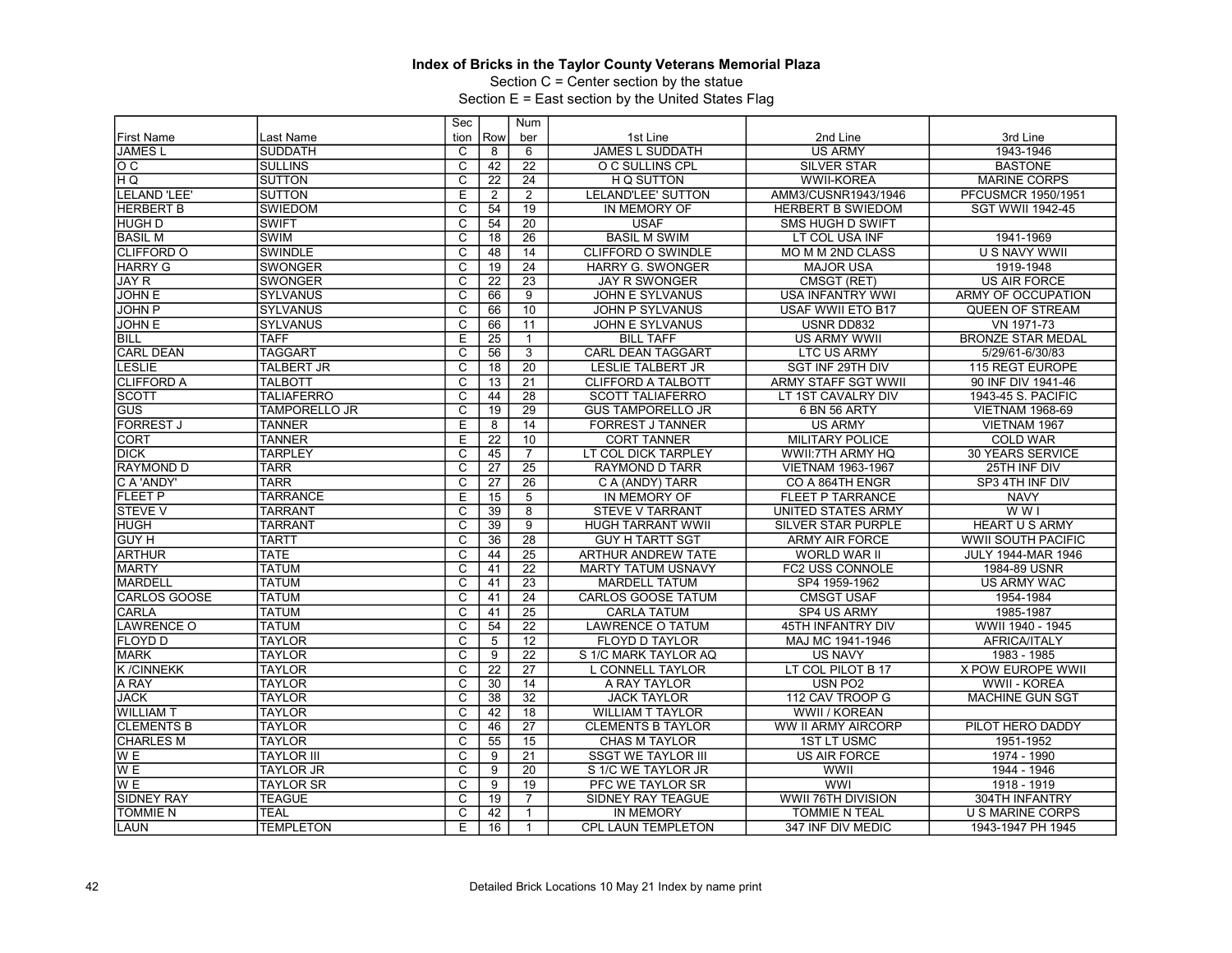Section C = Center section by the statue

|                     |                      | Sec                     |                 | Num             |                           |                            |                           |
|---------------------|----------------------|-------------------------|-----------------|-----------------|---------------------------|----------------------------|---------------------------|
| <b>First Name</b>   | Last Name            | tion                    | Row             | ber             | 1st Line                  | 2nd Line                   | 3rd Line                  |
| <b>JAMESL</b>       | <b>SUDDATH</b>       | C                       | 8               | 6               | <b>JAMES L SUDDATH</b>    | <b>US ARMY</b>             | 1943-1946                 |
| lo c                | <b>SULLINS</b>       | $\overline{\text{c}}$   | 42              | 22              | O C SULLINS CPL           | <b>SILVER STAR</b>         | <b>BASTONE</b>            |
| ΉQ                  | <b>SUTTON</b>        | $\overline{\mathsf{c}}$ | 22              | 24              | H Q SUTTON                | <b>WWII-KOREA</b>          | <b>MARINE CORPS</b>       |
| <b>LELAND 'LEE'</b> | <b>SUTTON</b>        | Ε                       | $\overline{2}$  | $\overline{2}$  | LELAND'LEE' SUTTON        | AMM3/CUSNR1943/1946        | PFCUSMCR 1950/1951        |
| <b>HERBERT B</b>    | <b>SWIEDOM</b>       | $\overline{\text{c}}$   | 54              | 19              | IN MEMORY OF              | HERBERT B SWIEDOM          | <b>SGT WWII 1942-45</b>   |
| <b>HUGH D</b>       | <b>SWIFT</b>         | $\overline{\mathsf{c}}$ | 54              | $\overline{20}$ | <b>USAF</b>               | <b>SMS HUGH D SWIFT</b>    |                           |
| <b>BASIL M</b>      | <b>SWIM</b>          | $\overline{\text{c}}$   | 18              | $\overline{26}$ | <b>BASIL M SWIM</b>       | LT COL USA INF             | 1941-1969                 |
| CLIFFORD O          | SWINDLE              | $\overline{\text{c}}$   | 48              | 14              | <b>CLIFFORD O SWINDLE</b> | MO M M 2ND CLASS           | <b>U S NAVY WWII</b>      |
| <b>HARRY G</b>      | <b>SWONGER</b>       | C                       | 19              | 24              | <b>HARRY G. SWONGER</b>   | <b>MAJOR USA</b>           | 1919-1948                 |
| JAY <sub>R</sub>    | <b>SWONGER</b>       | $\overline{c}$          | 22              | 23              | <b>JAY R SWONGER</b>      | CMSGT (RET)                | <b>US AIR FORCE</b>       |
| JOHN E              | <b>SYLVANUS</b>      | $\overline{\mathsf{c}}$ | 66              | $\overline{9}$  | <b>JOHN E SYLVANUS</b>    | <b>USA INFANTRY WWI</b>    | ARMY OF OCCUPATION        |
| <b>JOHN P</b>       | <b>SYLVANUS</b>      | $\overline{C}$          | 66              | 10              | <b>JOHN P SYLVANUS</b>    | USAF WWII ETO B17          | QUEEN OF STREAM           |
| <b>JOHN E</b>       | SYLVANUS             | $\overline{\text{c}}$   | 66              | 11              | JOHN E SYLVANUS           | USNR DD832                 | VN 1971-73                |
| <b>BILL</b>         | <b>TAFF</b>          | Έ                       | $\overline{25}$ | 1               | <b>BILL TAFF</b>          | <b>US ARMY WWII</b>        | <b>BRONZE STAR MEDAL</b>  |
| <b>CARL DEAN</b>    | <b>TAGGART</b>       | $\overline{\text{c}}$   | 56              | $\overline{3}$  | <b>CARL DEAN TAGGART</b>  | <b>LTC US ARMY</b>         | 5/29/61-6/30/83           |
| <b>LESLIE</b>       | <b>TALBERT JR</b>    | $\overline{\mathrm{c}}$ | 18              | 20              | <b>LESLIE TALBERT JR</b>  | SGT INF 29TH DIV           | 115 REGT EUROPE           |
| <b>CLIFFORD A</b>   | <b>TALBOTT</b>       | C                       | 13              | $\overline{21}$ | <b>CLIFFORD A TALBOTT</b> | <b>ARMY STAFF SGT WWII</b> | 90 INF DIV 1941-46        |
| <b>SCOTT</b>        | <b>TALIAFERRO</b>    | $\overline{\text{c}}$   | 44              | 28              | <b>SCOTT TALIAFERRO</b>   | LT 1ST CAVALRY DIV         | 1943-45 S. PACIFIC        |
| <b>GUS</b>          | <b>TAMPORELLO JR</b> | $\overline{\text{c}}$   | 19              | 29              | <b>GUS TAMPORELLO JR</b>  | 6 BN 56 ARTY               | <b>VIETNAM 1968-69</b>    |
| <b>FORREST J</b>    | <b>TANNER</b>        | $\overline{E}$          | 8               | 14              | <b>FORREST J TANNER</b>   | <b>US ARMY</b>             | VIETNAM 1967              |
| <b>CORT</b>         | <b>TANNER</b>        | Е                       | 22              | 10              | <b>CORT TANNER</b>        | <b>MILITARY POLICE</b>     | <b>COLD WAR</b>           |
| <b>DICK</b>         | <b>TARPLEY</b>       | C                       | 45              | $\overline{7}$  | LT COL DICK TARPLEY       | WWII:7TH ARMY HQ           | <b>30 YEARS SERVICE</b>   |
| <b>RAYMOND D</b>    | <b>TARR</b>          | $\overline{c}$          | $\overline{27}$ | $\overline{25}$ | <b>RAYMOND D TARR</b>     | VIETNAM 1963-1967          | 25TH INF DIV              |
| C A 'ANDY'          | <b>TARR</b>          | $\overline{c}$          | 27              | 26              | C A (ANDY) TARR           | CO A 864TH ENGR            | SP3 4TH INF DIV           |
| <b>FLEET P</b>      | <b>TARRANCE</b>      | E                       | $\overline{15}$ | $\overline{5}$  | IN MEMORY OF              | <b>FLEET P TARRANCE</b>    | <b>NAVY</b>               |
| <b>STEVE V</b>      | <b>TARRANT</b>       | $\overline{C}$          | 39              | $\overline{8}$  | <b>STEVE V TARRANT</b>    | <b>UNITED STATES ARMY</b>  | $W$ W I                   |
| <b>HUGH</b>         | <b>TARRANT</b>       | C                       | 39              | 9               | <b>HUGH TARRANT WWII</b>  | <b>SILVER STAR PURPLE</b>  | <b>HEART U S ARMY</b>     |
| <b>GUY H</b>        | <b>TARTT</b>         | $\overline{\text{c}}$   | 36              | $\overline{28}$ | <b>GUY H TARTT SGT</b>    | <b>ARMY AIR FORCE</b>      | <b>WWII SOUTH PACIFIC</b> |
| <b>ARTHUR</b>       | <b>TATE</b>          | $\overline{\text{c}}$   | 44              | 25              | ARTHUR ANDREW TATE        | <b>WORLD WAR II</b>        | <b>JULY 1944-MAR 1946</b> |
| <b>MARTY</b>        | <b>TATUM</b>         | C                       | 41              | 22              | <b>MARTY TATUM USNAVY</b> | FC2 USS CONNOLE            | 1984-89 USNR              |
| <b>MARDELL</b>      | <b>TATUM</b>         | $\overline{\mathrm{c}}$ | 41              | $\overline{23}$ | <b>MARDELL TATUM</b>      | SP4 1959-1962              | <b>US ARMY WAC</b>        |
| <b>CARLOS GOOSE</b> | <b>TATUM</b>         | $\overline{\text{c}}$   | 41              | 24              | <b>CARLOS GOOSE TATUM</b> | <b>CMSGT USAF</b>          | 1954-1984                 |
| <b>CARLA</b>        | <b>TATUM</b>         | C                       | 41              | $\overline{25}$ | <b>CARLA TATUM</b>        | SP4 US ARMY                | 1985-1987                 |
| <b>LAWRENCE O</b>   | <b>TATUM</b>         | $\overline{\mathsf{c}}$ | 54              | $\overline{22}$ | <b>LAWRENCE O TATUM</b>   | 45TH INFANTRY DIV          | WWII 1940 - 1945          |
| <b>FLOYD D</b>      | <b>TAYLOR</b>        | C                       | 5               | 12              | <b>FLOYD D TAYLOR</b>     | MAJ MC 1941-1946           | <b>AFRICA/ITALY</b>       |
| <b>MARK</b>         | <b>TAYLOR</b>        | $\overline{\text{c}}$   | 9               | $\overline{22}$ | S 1/C MARK TAYLOR AQ      | <b>US NAVY</b>             | 1983 - 1985               |
| <b>K/CINNEKK</b>    | <b>TAYLOR</b>        | $\overline{C}$          | 22              | $\overline{27}$ | L CONNELL TAYLOR          | LT COL PILOT B 17          | X POW EUROPE WWII         |
| A RAY               | <b>TAYLOR</b>        | C                       | 30              | 14              | A RAY TAYLOR              | USN PO2                    | WWII - KOREA              |
| <b>JACK</b>         | <b>TAYLOR</b>        | $\overline{\mathrm{c}}$ | 38              | $\overline{32}$ | <b>JACK TAYLOR</b>        | 112 CAV TROOP G            | <b>MACHINE GUN SGT</b>    |
| <b>WILLIAM T</b>    | <b>TAYLOR</b>        | $\overline{\text{c}}$   | 42              | 18              | <b>WILLIAM T TAYLOR</b>   | WWII / KOREAN              |                           |
| <b>CLEMENTS B</b>   | <b>TAYLOR</b>        | C                       | 46              | 27              | <b>CLEMENTS B TAYLOR</b>  | WW II ARMY AIRCORP         | PILOT HERO DADDY          |
| <b>CHARLES M</b>    | <b>TAYLOR</b>        | $\overline{\mathrm{c}}$ | 55              | $\overline{15}$ | <b>CHAS M TAYLOR</b>      | <b>1ST LT USMC</b>         | 1951-1952                 |
| W <sub>E</sub>      | <b>TAYLOR III</b>    | $\overline{C}$          | 9               | 21              | <b>SSGT WE TAYLOR III</b> | <b>US AIR FORCE</b>        | 1974 - 1990               |
| W <sub>E</sub>      | <b>TAYLOR JR</b>     | $\overline{\text{c}}$   | 9               | 20              | S 1/C WE TAYLOR JR        | WWII                       | 1944 - 1946               |
| W <sub>E</sub>      | <b>TAYLOR SR</b>     | C                       | 9               | 19              | PFC WE TAYLOR SR          | <b>WWI</b>                 | 1918 - 1919               |
| <b>SIDNEY RAY</b>   | <b>TEAGUE</b>        | C                       | 19              | 7               | SIDNEY RAY TEAGUE         | WWII 76TH DIVISION         | 304TH INFANTRY            |
| <b>TOMMIE N</b>     | <b>TEAL</b>          | $\overline{\text{c}}$   | 42              | $\mathbf{1}$    | IN MEMORY                 | <b>TOMMIE N TEAL</b>       | <b>U S MARINE CORPS</b>   |
| <b>LAUN</b>         | <b>TEMPLETON</b>     | E                       |                 |                 | <b>CPL LAUN TEMPLETON</b> | 347 INF DIV MEDIC          |                           |
|                     |                      |                         | 16              | -1              |                           |                            | 1943-1947 PH 1945         |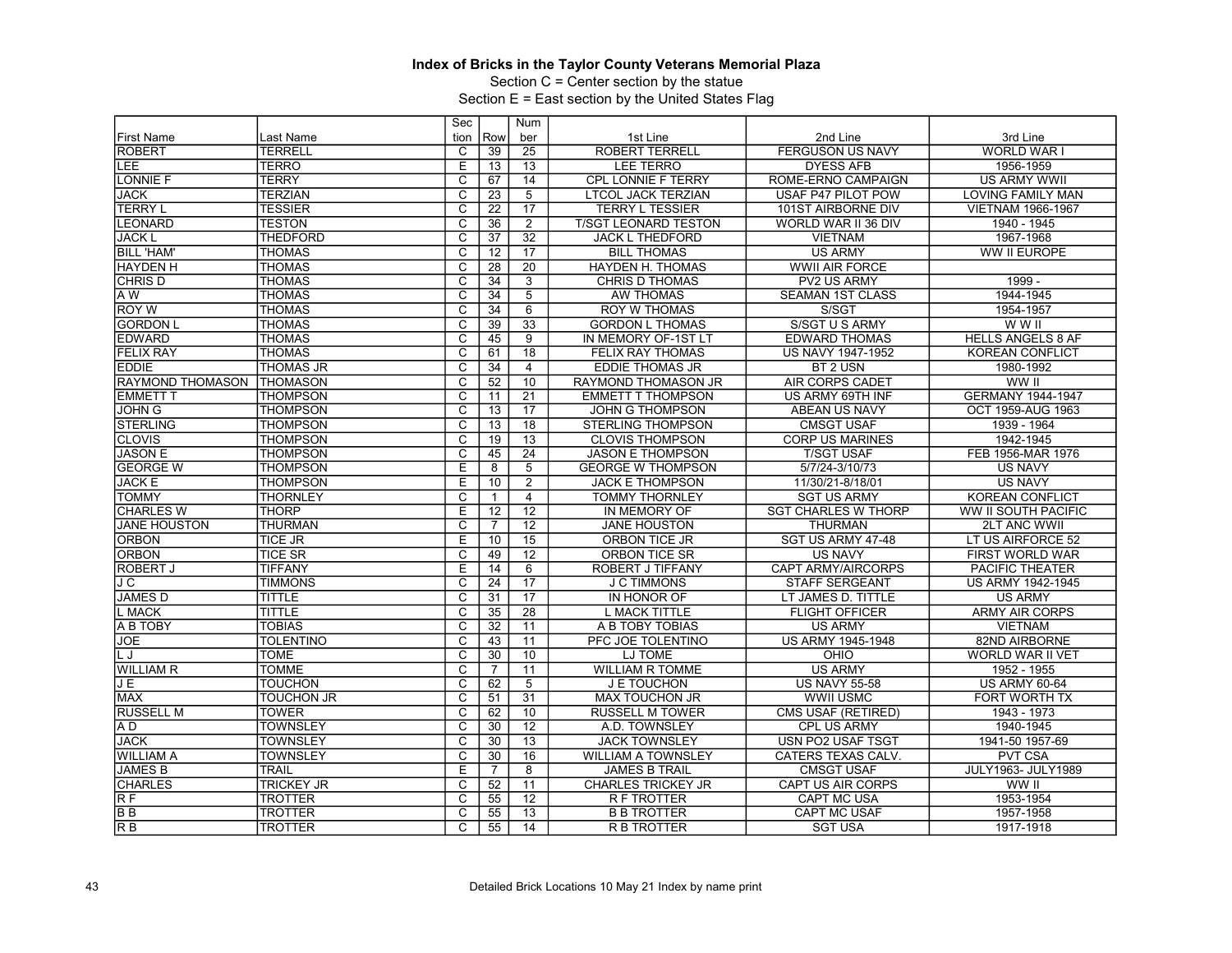Section C = Center section by the statue

|                     |                   | Sec                     |                 | Num             |                             |                            |                           |
|---------------------|-------------------|-------------------------|-----------------|-----------------|-----------------------------|----------------------------|---------------------------|
| <b>First Name</b>   | Last Name         | tion                    | Row             | ber             | 1st Line                    | 2nd Line                   | 3rd Line                  |
| <b>ROBERT</b>       | <b>TERRELL</b>    | C                       | 39              | 25              | <b>ROBERT TERRELL</b>       | <b>FERGUSON US NAVY</b>    | WORLD WAR I               |
| LEE                 | <b>TERRO</b>      | Ε                       | 13              | 13              | <b>LEE TERRO</b>            | <b>DYESS AFB</b>           | 1956-1959                 |
| <b>LONNIE F</b>     | <b>TERRY</b>      | $\overline{\mathrm{c}}$ | 67              | 14              | <b>CPL LONNIE F TERRY</b>   | ROME-ERNO CAMPAIGN         | <b>US ARMY WWII</b>       |
| <b>JACK</b>         | <b>TERZIAN</b>    | $\overline{C}$          | $\overline{23}$ | 5               | <b>LTCOL JACK TERZIAN</b>   | USAF P47 PILOT POW         | <b>LOVING FAMILY MAN</b>  |
| <b>TERRY L</b>      | <b>TESSIER</b>    | $\overline{\text{c}}$   | 22              | $\overline{17}$ | <b>TERRY L TESSIER</b>      | 101ST AIRBORNE DIV         | <b>VIETNAM 1966-1967</b>  |
| <b>LEONARD</b>      | <b>TESTON</b>     | $\overline{\mathsf{c}}$ | 36              | $\overline{2}$  | <b>T/SGT LEONARD TESTON</b> | WORLD WAR II 36 DIV        | 1940 - 1945               |
| <b>JACK L</b>       | <b>THEDFORD</b>   | C                       | $\overline{37}$ | $\overline{32}$ | <b>JACK L THEDFORD</b>      | <b>VIETNAM</b>             | 1967-1968                 |
| <b>BILL 'HAM'</b>   | <b>THOMAS</b>     | $\overline{\text{c}}$   | 12              | $\overline{17}$ | <b>BILL THOMAS</b>          | <b>US ARMY</b>             | WW II EUROPE              |
| <b>HAYDEN H</b>     | <b>THOMAS</b>     | $\overline{\mathsf{c}}$ | 28              | 20              | <b>HAYDEN H. THOMAS</b>     | <b>WWII AIR FORCE</b>      |                           |
| <b>CHRIS D</b>      | <b>THOMAS</b>     | C                       | 34              | 3               | <b>CHRIS D THOMAS</b>       | <b>PV2 US ARMY</b>         | 1999 -                    |
| A W                 | <b>THOMAS</b>     | $\overline{\text{c}}$   | 34              | $\overline{5}$  | <b>AW THOMAS</b>            | <b>SEAMAN 1ST CLASS</b>    | 1944-1945                 |
| <b>ROY W</b>        | <b>THOMAS</b>     | $\overline{C}$          | 34              | 6               | <b>ROY W THOMAS</b>         | S/SGT                      | 1954-1957                 |
| <b>GORDON L</b>     | <b>THOMAS</b>     | $\overline{\text{c}}$   | 39              | 33              | <b>GORDON L THOMAS</b>      | S/SGT U S ARMY             | W W II                    |
| <b>EDWARD</b>       | <b>THOMAS</b>     | $\overline{\mathrm{c}}$ | 45              | $\overline{9}$  | IN MEMORY OF-1ST LT         | <b>EDWARD THOMAS</b>       | <b>HELLS ANGELS 8 AF</b>  |
| <b>FELIX RAY</b>    | <b>THOMAS</b>     | $\overline{C}$          | 61              | 18              | <b>FELIX RAY THOMAS</b>     | <b>US NAVY 1947-1952</b>   | <b>KOREAN CONFLICT</b>    |
| <b>EDDIE</b>        | <b>THOMAS JR</b>  | $\overline{\text{c}}$   | 34              | $\overline{4}$  | <b>EDDIE THOMAS JR</b>      | BT 2 USN                   | 1980-1992                 |
| RAYMOND THOMASON    | <b>THOMASON</b>   | $\overline{\mathsf{c}}$ | 52              | $\overline{10}$ | <b>RAYMOND THOMASON JR</b>  | <b>AIR CORPS CADET</b>     | WW II                     |
| <b>EMMETT T</b>     | <b>THOMPSON</b>   | C                       | 11              | $\overline{21}$ | <b>EMMETT T THOMPSON</b>    | US ARMY 69TH INF           | GERMANY 1944-1947         |
| JOHN G              | <b>THOMPSON</b>   | $\overline{\text{c}}$   | 13              | $\overline{17}$ | <b>JOHN G THOMPSON</b>      | ABEAN US NAVY              | OCT 1959-AUG 1963         |
| <b>STERLING</b>     | <b>THOMPSON</b>   | $\overline{\mathsf{c}}$ | 13              | $\overline{18}$ | <b>STERLING THOMPSON</b>    | <b>CMSGT USAF</b>          | 1939 - 1964               |
| <b>CLOVIS</b>       | <b>THOMPSON</b>   | C                       | 19              | 13              | <b>CLOVIS THOMPSON</b>      | <b>CORP US MARINES</b>     | 1942-1945                 |
| <b>JASON E</b>      | <b>THOMPSON</b>   | $\overline{\text{c}}$   | 45              | $\overline{24}$ | <b>JASON E THOMPSON</b>     | <b>T/SGT USAF</b>          | FEB 1956-MAR 1976         |
| <b>GEORGE W</b>     | <b>THOMPSON</b>   | E                       | 8               | $\overline{5}$  | <b>GEORGE W THOMPSON</b>    | 5/7/24-3/10/73             | <b>US NAVY</b>            |
| <b>JACK E</b>       | <b>THOMPSON</b>   | Ε                       | 10              | $\overline{2}$  | <b>JACK E THOMPSON</b>      | 11/30/21-8/18/01           | <b>US NAVY</b>            |
| <b>TOMMY</b>        | <b>THORNLEY</b>   | $\overline{\text{c}}$   | $\mathbf{1}$    | 4               | <b>TOMMY THORNLEY</b>       | <b>SGT US ARMY</b>         | <b>KOREAN CONFLICT</b>    |
| <b>CHARLES W</b>    | <b>THORP</b>      | E                       | 12              | $\overline{12}$ | IN MEMORY OF                | <b>SGT CHARLES W THORP</b> | WW II SOUTH PACIFIC       |
| <b>JANE HOUSTON</b> | <b>THURMAN</b>    | $\overline{\text{c}}$   | $\overline{7}$  | 12              | <b>JANE HOUSTON</b>         | <b>THURMAN</b>             | <b>2LT ANC WWII</b>       |
| <b>ORBON</b>        | <b>TICE JR</b>    | $\overline{E}$          | 10              | $\overline{15}$ | ORBON TICE JR               | SGT US ARMY 47-48          | LT US AIRFORCE 52         |
| <b>ORBON</b>        | <b>TICE SR</b>    | $\overline{C}$          | 49              | 12              | <b>ORBON TICE SR</b>        | <b>US NAVY</b>             | <b>FIRST WORLD WAR</b>    |
| <b>ROBERT J</b>     | TIFFANY           | $\overline{E}$          | 14              | $\overline{6}$  | ROBERT J TIFFANY            | <b>CAPT ARMY/AIRCORPS</b>  | PACIFIC THEATER           |
| J C                 | <b>TIMMONS</b>    | $\overline{\mathsf{c}}$ | 24              | $\overline{17}$ | <b>J C TIMMONS</b>          | <b>STAFF SERGEANT</b>      | <b>US ARMY 1942-1945</b>  |
| <b>JAMES D</b>      | <b>TITTLE</b>     | C                       | 31              | 17              | IN HONOR OF                 | LT JAMES D. TITTLE         | <b>US ARMY</b>            |
| L MACK              | <b>TITTLE</b>     | $\overline{\text{c}}$   | 35              | $\overline{28}$ | <b>L MACK TITTLE</b>        | <b>FLIGHT OFFICER</b>      | <b>ARMY AIR CORPS</b>     |
| A B TOBY            | <b>TOBIAS</b>     | $\overline{\mathsf{c}}$ | 32              | 11              | A B TOBY TOBIAS             | <b>US ARMY</b>             | <b>VIETNAM</b>            |
| <b>JOE</b>          | <b>TOLENTINO</b>  | C                       | 43              | 11              | PFC JOE TOLENTINO           | US ARMY 1945-1948          | 82ND AIRBORNE             |
| L J                 | <b>TOME</b>       | $\overline{\text{c}}$   | 30              | 10              | LJ TOME                     | OHIO                       | <b>WORLD WAR II VET</b>   |
| <b>WILLIAM R</b>    | <b>TOMME</b>      | $\overline{C}$          | $\overline{7}$  | 11              | <b>WILLIAM R TOMME</b>      | <b>US ARMY</b>             | 1952 - 1955               |
| J E                 | <b>TOUCHON</b>    | $\overline{\text{c}}$   | 62              | $\overline{5}$  | <b>J E TOUCHON</b>          | <b>US NAVY 55-58</b>       | <b>US ARMY 60-64</b>      |
| <b>MAX</b>          | <b>TOUCHON JR</b> | $\overline{\mathrm{c}}$ | 51              | $\overline{31}$ | <b>MAX TOUCHON JR</b>       | <b>WWII USMC</b>           | FORT WORTH TX             |
| <b>RUSSELL M</b>    | <b>TOWER</b>      | $\overline{C}$          | 62              | 10              | <b>RUSSELL M TOWER</b>      | CMS USAF (RETIRED)         | 1943 - 1973               |
| A <sub>D</sub>      | <b>TOWNSLEY</b>   | $\overline{\text{c}}$   | 30              | 12              | A.D. TOWNSLEY               | CPL US ARMY                | 1940-1945                 |
| <b>JACK</b>         | <b>TOWNSLEY</b>   | $\overline{\mathsf{c}}$ | 30              | $\overline{13}$ | <b>JACK TOWNSLEY</b>        | USN PO2 USAF TSGT          | 1941-50 1957-69           |
| <b>WILLIAM A</b>    | <b>TOWNSLEY</b>   | C                       | 30              | 16              | <b>WILLIAM A TOWNSLEY</b>   | CATERS TEXAS CALV.         | <b>PVT CSA</b>            |
| <b>JAMES B</b>      | <b>TRAIL</b>      | $\overline{E}$          | $\overline{7}$  | $\overline{8}$  | <b>JAMES B TRAIL</b>        | <b>CMSGT USAF</b>          | <b>JULY1963- JULY1989</b> |
| <b>CHARLES</b>      | <b>TRICKEY JR</b> | C                       | 52              | 11              | <b>CHARLES TRICKEY JR</b>   | CAPT US AIR CORPS          | WW II                     |
| $\overline{R}$ F    | <b>TROTTER</b>    | C                       | 55              | $\overline{12}$ | <b>R F TROTTER</b>          | <b>CAPT MC USA</b>         | 1953-1954                 |
| $\overline{B}$      | <b>TROTTER</b>    | $\overline{\mathrm{c}}$ | 55              | 13              | <b>B B TROTTER</b>          | <b>CAPT MC USAF</b>        | 1957-1958                 |
| $R$ B               | <b>TROTTER</b>    | $\overline{c}$          | 55              | 14              | <b>R B TROTTER</b>          | <b>SGT USA</b>             | 1917-1918                 |
|                     |                   |                         |                 |                 |                             |                            |                           |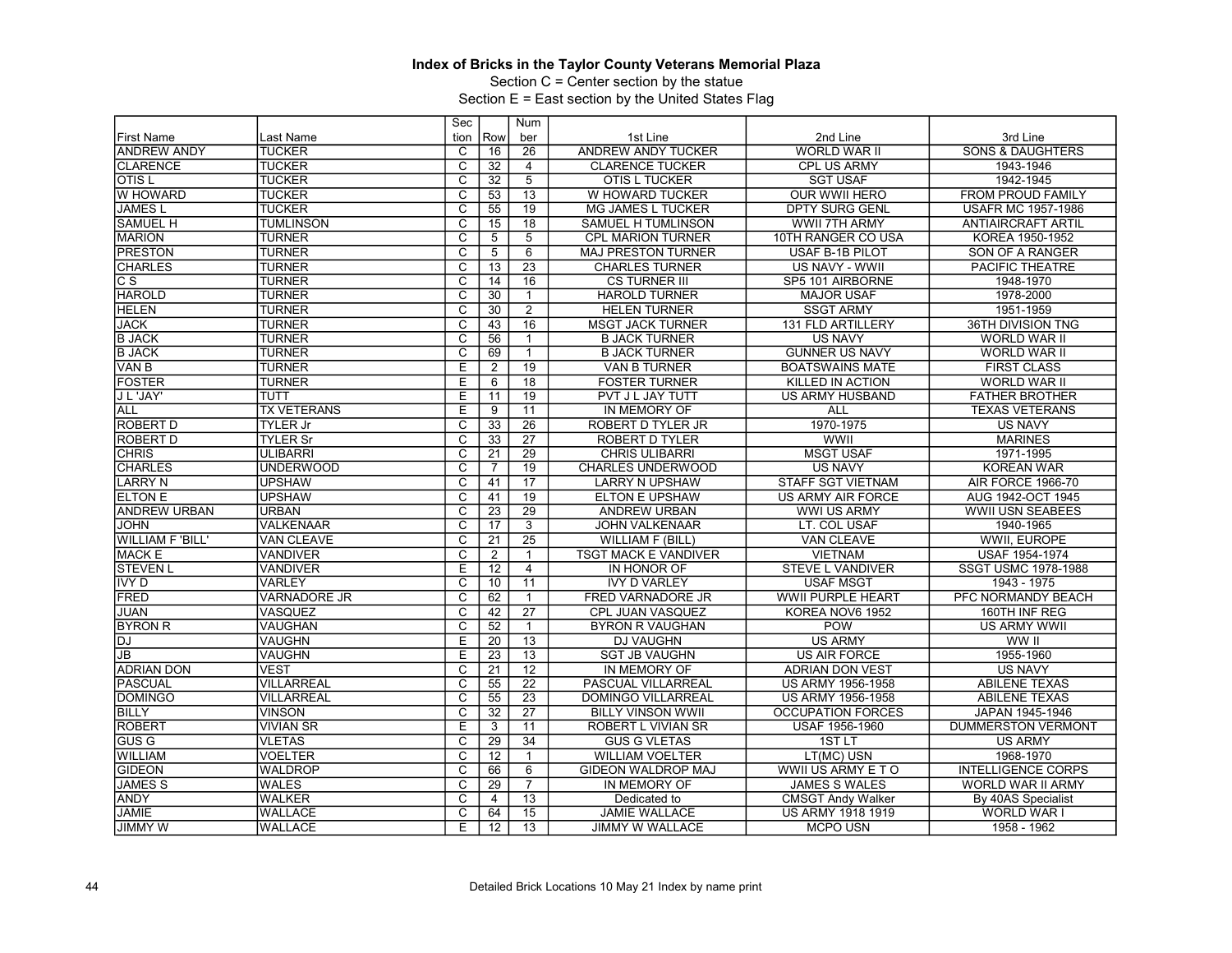Section C = Center section by the statue

|                         |                     | Sec                     |                 | Num             |                             |                          |                             |
|-------------------------|---------------------|-------------------------|-----------------|-----------------|-----------------------------|--------------------------|-----------------------------|
| <b>First Name</b>       | Last Name           | tion                    | Row             | ber             | 1st Line                    | 2nd Line                 | 3rd Line                    |
| <b>ANDREW ANDY</b>      | <b>TUCKER</b>       | C                       | 16              | 26              | <b>ANDREW ANDY TUCKER</b>   | WORLD WAR II             | <b>SONS &amp; DAUGHTERS</b> |
| <b>CLARENCE</b>         | <b>TUCKER</b>       | $\overline{\text{c}}$   | 32              | $\overline{4}$  | <b>CLARENCE TUCKER</b>      | CPL US ARMY              | 1943-1946                   |
| <b>OTISL</b>            | <b>TUCKER</b>       | $\overline{\text{c}}$   | 32              | $\overline{5}$  | OTIS L TUCKER               | <b>SGT USAF</b>          | 1942-1945                   |
| W HOWARD                | <b>TUCKER</b>       | $\overline{C}$          | 53              | 13              | W HOWARD TUCKER             | <b>OUR WWII HERO</b>     | <b>FROM PROUD FAMILY</b>    |
| <b>JAMES L</b>          | <b>TUCKER</b>       | $\overline{\text{c}}$   | 55              | 19              | MG JAMES L TUCKER           | <b>DPTY SURG GENL</b>    | <b>USAFR MC 1957-1986</b>   |
| <b>SAMUEL H</b>         | <b>TUMLINSON</b>    | $\overline{\mathrm{c}}$ | 15              | $\overline{18}$ | <b>SAMUEL H TUMLINSON</b>   | <b>WWII 7TH ARMY</b>     | <b>ANTIAIRCRAFT ARTIL</b>   |
| <b>MARION</b>           | <b>TURNER</b>       | C                       | 5               | 5               | <b>CPL MARION TURNER</b>    | 10TH RANGER CO USA       | KOREA 1950-1952             |
| <b>PRESTON</b>          | <b>TURNER</b>       | $\overline{\mathsf{c}}$ | 5               | 6               | <b>MAJ PRESTON TURNER</b>   | USAF B-1B PILOT          | SON OF A RANGER             |
| <b>CHARLES</b>          | <b>TURNER</b>       | $\overline{\mathsf{c}}$ | 13              | $\overline{23}$ | <b>CHARLES TURNER</b>       | US NAVY - WWII           | <b>PACIFIC THEATRE</b>      |
| СS                      | <b>TURNER</b>       | C                       | 14              | 16              | <b>CS TURNER III</b>        | SP5 101 AIRBORNE         | 1948-1970                   |
| <b>HAROLD</b>           | <b>TURNER</b>       | $\overline{\mathrm{c}}$ | 30              | $\mathbf{1}$    | <b>HAROLD TURNER</b>        | <b>MAJOR USAF</b>        | 1978-2000                   |
| <b>HELEN</b>            | <b>TURNER</b>       | $\overline{C}$          | 30              | $\overline{2}$  | <b>HELEN TURNER</b>         | <b>SSGT ARMY</b>         | 1951-1959                   |
| <b>JACK</b>             | <b>TURNER</b>       | $\overline{\text{c}}$   | 43              | 16              | <b>MSGT JACK TURNER</b>     | 131 FLD ARTILLERY        | 36TH DIVISION TNG           |
| <b>B JACK</b>           | <b>TURNER</b>       | $\overline{\mathrm{c}}$ | 56              | $\mathbf{1}$    | <b>B JACK TURNER</b>        | <b>US NAVY</b>           | <b>WORLD WAR II</b>         |
| <b>B JACK</b>           | <b>TURNER</b>       | C                       | 69              | $\mathbf{1}$    | <b>B JACK TURNER</b>        | <b>GUNNER US NAVY</b>    | <b>WORLD WAR II</b>         |
| VAN B                   | <b>TURNER</b>       | E                       | 2               | 19              | <b>VAN B TURNER</b>         | <b>BOATSWAINS MATE</b>   | <b>FIRST CLASS</b>          |
| <b>FOSTER</b>           | <b>TURNER</b>       | E                       | 6               | $\overline{18}$ | <b>FOSTER TURNER</b>        | <b>KILLED IN ACTION</b>  | <b>WORLD WAR II</b>         |
| J L 'JAY'               | TUTT                | Ε                       | 11              | 19              | PVT J L JAY TUTT            | <b>US ARMY HUSBAND</b>   | <b>FATHER BROTHER</b>       |
| <b>ALL</b>              | <b>TX VETERANS</b>  | E                       | 9               | 11              | IN MEMORY OF                | ALL                      | <b>TEXAS VETERANS</b>       |
| <b>ROBERT D</b>         | <b>TYLER Jr</b>     | $\overline{\mathrm{c}}$ | 33              | $\overline{26}$ | ROBERT D TYLER JR           | 1970-1975                | <b>US NAVY</b>              |
| <b>ROBERT D</b>         | <b>TYLER Sr</b>     | C                       | 33              | $\overline{27}$ | ROBERT D TYLER              | WWII                     | <b>MARINES</b>              |
| <b>CHRIS</b>            | <b>ULIBARRI</b>     | $\overline{\text{c}}$   | $\overline{21}$ | 29              | <b>CHRIS ULIBARRI</b>       | <b>MSGT USAF</b>         | 1971-1995                   |
| <b>CHARLES</b>          | <b>UNDERWOOD</b>    | $\overline{\mathsf{C}}$ | $\overline{7}$  | $\overline{19}$ | <b>CHARLES UNDERWOOD</b>    | <b>US NAVY</b>           | <b>KOREAN WAR</b>           |
| <b>LARRY N</b>          | <b>UPSHAW</b>       | C                       | 41              | 17              | <b>LARRY N UPSHAW</b>       | STAFF SGT VIETNAM        | <b>AIR FORCE 1966-70</b>    |
| <b>ELTON E</b>          | <b>UPSHAW</b>       | $\overline{\text{c}}$   | 41              | 19              | <b>ELTON E UPSHAW</b>       | US ARMY AIR FORCE        | AUG 1942-OCT 1945           |
| <b>ANDREW URBAN</b>     | <b>URBAN</b>        | $\overline{C}$          | 23              | $\overline{29}$ | <b>ANDREW URBAN</b>         | <b>WWI US ARMY</b>       | <b>WWII USN SEABEES</b>     |
| <b>JOHN</b>             | <b>VALKENAAR</b>    | $\overline{\text{c}}$   | $\overline{17}$ | $\overline{3}$  | <b>JOHN VALKENAAR</b>       | LT. COL USAF             | 1940-1965                   |
| <b>WILLIAM F 'BILL'</b> | VAN CLEAVE          | $\overline{\mathsf{c}}$ | $\overline{21}$ | $\overline{25}$ | <b>WILLIAM F (BILL)</b>     | <b>VAN CLEAVE</b>        | WWII, EUROPE                |
| <b>MACK E</b>           | <b>VANDIVER</b>     | C                       | $\overline{2}$  | $\mathbf{1}$    | <b>TSGT MACK E VANDIVER</b> | <b>VIETNAM</b>           | <b>USAF 1954-1974</b>       |
| <b>STEVEN L</b>         | <b>VANDIVER</b>     | E                       | 12              | $\overline{4}$  | IN HONOR OF                 | <b>STEVE L VANDIVER</b>  | SSGT USMC 1978-1988         |
| <b>IVY D</b>            | <b>VARLEY</b>       | $\overline{\mathrm{c}}$ | 10              | 11              | <b>IVY D VARLEY</b>         | <b>USAF MSGT</b>         | 1943 - 1975                 |
| FRED                    | <b>VARNADORE JR</b> | C                       | 62              | $\mathbf{1}$    | FRED VARNADORE JR           | <b>WWII PURPLE HEART</b> | PFC NORMANDY BEACH          |
| <b>JUAN</b>             | VASQUEZ             | $\overline{\text{c}}$   | 42              | $\overline{27}$ | CPL JUAN VASQUEZ            | KOREA NOV6 1952          | 160TH INF REG               |
| <b>BYRON R</b>          | VAUGHAN             | $\overline{c}$          | 52              | $\mathbf{1}$    | <b>BYRON R VAUGHAN</b>      | <b>POW</b>               | US ARMY WWII                |
| <b>DJ</b>               | <b>VAUGHN</b>       | E                       | 20              | 13              | <b>DJ VAUGHN</b>            | <b>US ARMY</b>           | WW II                       |
| JB                      | <b>VAUGHN</b>       | Ε                       | 23              | 13              | <b>SGT JB VAUGHN</b>        | <b>US AIR FORCE</b>      | 1955-1960                   |
| <b>ADRIAN DON</b>       | <b>VEST</b>         | $\overline{\mathrm{c}}$ | $\overline{21}$ | $\overline{12}$ | IN MEMORY OF                | <b>ADRIAN DON VEST</b>   | <b>US NAVY</b>              |
| <b>PASCUAL</b>          | <b>VILLARREAL</b>   | $\overline{c}$          | 55              | $\overline{22}$ | PASCUAL VILLARREAL          | US ARMY 1956-1958        | <b>ABILENE TEXAS</b>        |
| <b>DOMINGO</b>          | <b>VILLARREAL</b>   | $\overline{\mathrm{c}}$ | 55              | $\overline{23}$ | DOMINGO VILLARREAL          | US ARMY 1956-1958        | <b>ABILENE TEXAS</b>        |
| <b>BILLY</b>            | <b>VINSON</b>       | $\overline{C}$          | $\overline{32}$ | $\overline{27}$ | <b>BILLY VINSON WWII</b>    | <b>OCCUPATION FORCES</b> | JAPAN 1945-1946             |
| <b>ROBERT</b>           | <b>VIVIAN SR</b>    | E                       | 3               | 11              | ROBERT L VIVIAN SR          | USAF 1956-1960           | <b>DUMMERSTON VERMONT</b>   |
| <b>GUS G</b>            | <b>VLETAS</b>       | $\overline{\mathrm{c}}$ | 29              | $\overline{34}$ | <b>GUS G VLETAS</b>         | 1ST <sub>LT</sub>        | <b>US ARMY</b>              |
| <b>WILLIAM</b>          | <b>VOELTER</b>      | $\overline{C}$          | 12              | $\mathbf{1}$    | <b>WILLIAM VOELTER</b>      | LT(MC) USN               | 1968-1970                   |
| <b>GIDEON</b>           | <b>WALDROP</b>      | $\overline{\text{c}}$   | 66              | 6               | GIDEON WALDROP MAJ          | WWII US ARMY ET O        | <b>INTELLIGENCE CORPS</b>   |
| <b>JAMES S</b>          | <b>WALES</b>        | $\overline{\mathrm{c}}$ | 29              | $\overline{7}$  | IN MEMORY OF                | <b>JAMES S WALES</b>     | <b>WORLD WAR II ARMY</b>    |
| <b>ANDY</b>             | WALKER              | C                       | 4               | $\overline{13}$ | Dedicated to                | <b>CMSGT Andy Walker</b> | By 40AS Specialist          |
| <b>JAMIE</b>            | <b>WALLACE</b>      | $\overline{\text{c}}$   | 64              | 15              | <b>JAMIE WALLACE</b>        | US ARMY 1918 1919        | WORLD WAR I                 |
| <b>JIMMY W</b>          | <b>WALLACE</b>      | E                       | 12              | $\overline{13}$ | <b>JIMMY W WALLACE</b>      | <b>MCPO USN</b>          | 1958 - 1962                 |
|                         |                     |                         |                 |                 |                             |                          |                             |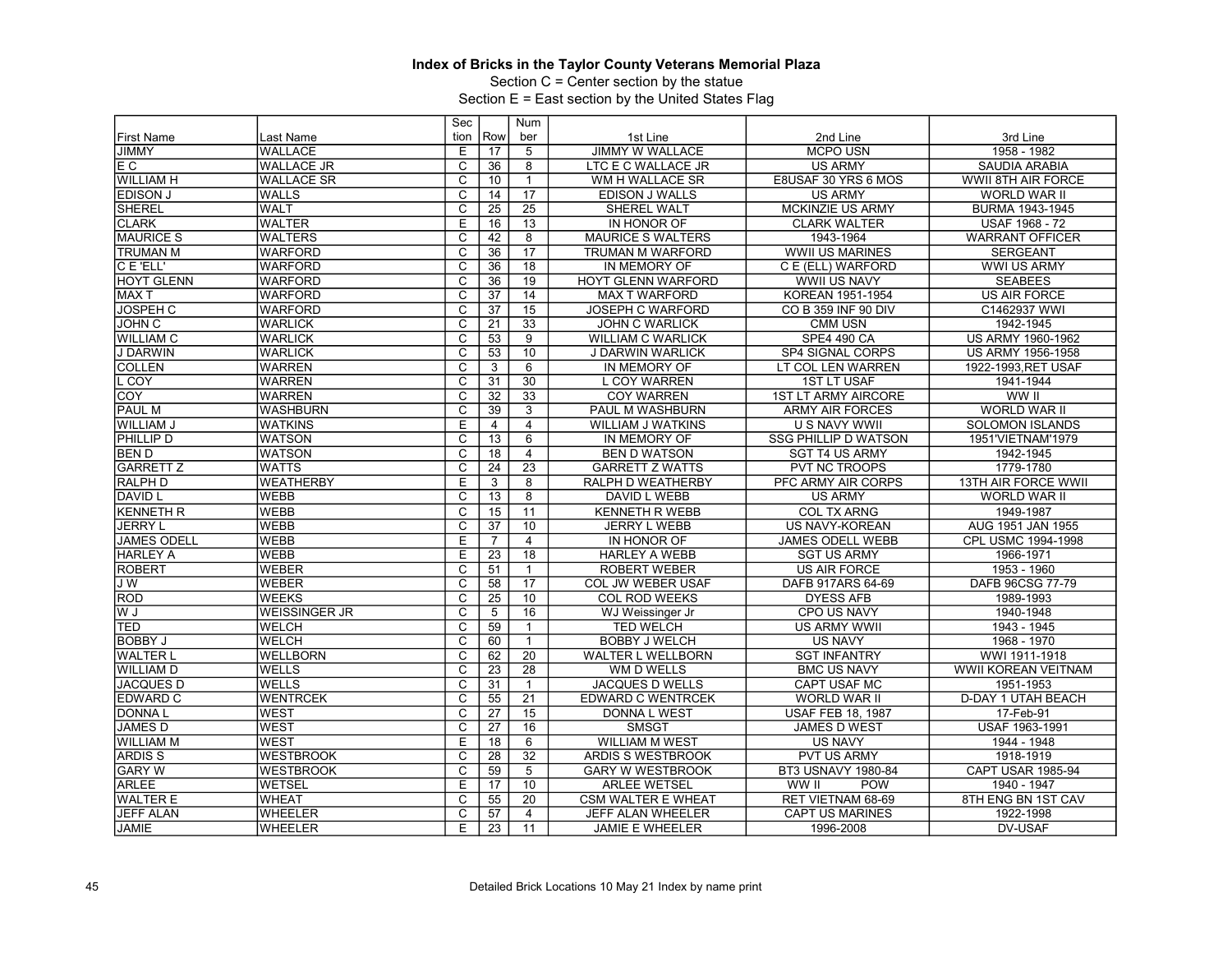Section C = Center section by the statue

|                    |                      | Sec                     |                 | Num             |                           |                             |                            |
|--------------------|----------------------|-------------------------|-----------------|-----------------|---------------------------|-----------------------------|----------------------------|
| <b>First Name</b>  | Last Name            | tion                    | Row             | ber             | 1st Line                  | 2nd Line                    | 3rd Line                   |
| <b>JIMMY</b>       | <b>WALLACE</b>       | Ε                       | 17              | 5               | <b>JIMMY W WALLACE</b>    | <b>MCPO USN</b>             | 1958 - 1982                |
| E C                | <b>WALLACE JR</b>    | C                       | 36              | 8               | LTC E C WALLACE JR        | <b>US ARMY</b>              | <b>SAUDIA ARABIA</b>       |
| <b>WILLIAM H</b>   | <b>WALLACE SR</b>    | С                       | 10              | $\mathbf{1}$    | WM H WALLACE SR           | E8USAF 30 YRS 6 MOS         | WWII 8TH AIR FORCE         |
| <b>EDISON J</b>    | <b>WALLS</b>         | C                       | 14              | $\overline{17}$ | EDISON J WALLS            | <b>US ARMY</b>              | WORLD WAR II               |
| <b>SHEREL</b>      | <b>WALT</b>          | C                       | $\overline{25}$ | $\overline{25}$ | SHEREL WALT               | <b>MCKINZIE US ARMY</b>     | BURMA 1943-1945            |
| <b>CLARK</b>       | <b>WALTER</b>        | $\overline{E}$          | 16              | 13              | <b>IN HONOR OF</b>        | <b>CLARK WALTER</b>         | USAF 1968 - 72             |
| <b>MAURICE S</b>   | <b>WALTERS</b>       | C                       | 42              | 8               | <b>MAURICE S WALTERS</b>  | 1943-1964                   | <b>WARRANT OFFICER</b>     |
| TRUMAN M           | <b>WARFORD</b>       | $\overline{c}$          | $\overline{36}$ | 17              | TRUMAN M WARFORD          | <b>WWII US MARINES</b>      | <b>SERGEANT</b>            |
| C E 'ELL'          | <b>WARFORD</b>       | $\overline{\text{c}}$   | 36              | $\overline{18}$ | <b>IN MEMORY OF</b>       | C E (ELL) WARFORD           | <b>WWI US ARMY</b>         |
| <b>HOYT GLENN</b>  | <b>WARFORD</b>       | $\overline{c}$          | 36              | 19              | <b>HOYT GLENN WARFORD</b> | <b>WWII US NAVY</b>         | <b>SEABEES</b>             |
| <b>MAXT</b>        | <b>WARFORD</b>       | C                       | $\overline{37}$ | 14              | <b>MAX T WARFORD</b>      | KOREAN 1951-1954            | <b>US AIR FORCE</b>        |
| <b>JOSPEH C</b>    | <b>WARFORD</b>       | $\overline{\mathsf{c}}$ | 37              | 15              | <b>JOSEPH C WARFORD</b>   | CO B 359 INF 90 DIV         | C1462937 WWI               |
| <b>JOHN C</b>      | <b>WARLICK</b>       | $\overline{\mathsf{C}}$ | 21              | 33              | <b>JOHN C WARLICK</b>     | <b>CMM USN</b>              | 1942-1945                  |
| <b>WILLIAM C</b>   | <b>WARLICK</b>       | C                       | $\overline{53}$ | 9               | <b>WILLIAM C WARLICK</b>  | <b>SPE4 490 CA</b>          | US ARMY 1960-1962          |
| <b>J DARWIN</b>    | <b>WARLICK</b>       | $\overline{\mathrm{c}}$ | 53              | 10              | J DARWIN WARLICK          | SP4 SIGNAL CORPS            | <b>US ARMY 1956-1958</b>   |
| <b>COLLEN</b>      | <b>WARREN</b>        | $\overline{\mathsf{c}}$ | 3               | $6\overline{6}$ | IN MEMORY OF              | LT COL LEN WARREN           | 1922-1993, RET USAF        |
| L COY              | <b>WARREN</b>        | $\overline{\mathrm{c}}$ | $\overline{31}$ | 30              | <b>L COY WARREN</b>       | <b>1ST LT USAF</b>          | 1941-1944                  |
| <b>COY</b>         | <b>WARREN</b>        | $\overline{\mathsf{c}}$ | $\overline{32}$ | $\overline{33}$ | <b>COY WARREN</b>         | <b>1ST LT ARMY AIRCORE</b>  | WW II                      |
| PAUL M             | <b>WASHBURN</b>      | $\overline{\text{c}}$   | 39              | $\overline{3}$  | PAUL M WASHBURN           | <b>ARMY AIR FORCES</b>      | <b>WORLD WAR II</b>        |
| WILLIAM J          | <b>WATKINS</b>       | Έ                       | 4               | $\overline{4}$  | <b>WILLIAM J WATKINS</b>  | <b>U S NAVY WWII</b>        | <b>SOLOMON ISLANDS</b>     |
| PHILLIP D          | <b>WATSON</b>        | $\overline{\mathrm{c}}$ | 13              | 6               | IN MEMORY OF              | <b>SSG PHILLIP D WATSON</b> | 1951'VIETNAM'1979          |
| <b>BEND</b>        | <b>WATSON</b>        | $\overline{c}$          | 18              | $\overline{4}$  | <b>BEN D WATSON</b>       | <b>SGT T4 US ARMY</b>       | 1942-1945                  |
| <b>GARRETT Z</b>   | <b>WATTS</b>         | $\overline{\text{c}}$   | $\overline{24}$ | $\overline{23}$ | <b>GARRETT Z WATTS</b>    | <b>PVT NC TROOPS</b>        | 1779-1780                  |
| <b>RALPH D</b>     | <b>WEATHERBY</b>     | $\overline{E}$          | 3               | 8               | RALPH D WEATHERBY         | PFC ARMY AIR CORPS          | <b>13TH AIR FORCE WWII</b> |
| <b>DAVID L</b>     | <b>WEBB</b>          | C                       | 13              | $\overline{8}$  | DAVID L WEBB              | <b>US ARMY</b>              | WORLD WAR II               |
| <b>KENNETH R</b>   | <b>WEBB</b>          | $\mathsf{C}$            | 15              | 11              | <b>KENNETH R WEBB</b>     | <b>COL TX ARNG</b>          | 1949-1987                  |
| <b>JERRY L</b>     | <b>WEBB</b>          | C                       | 37              | 10              | <b>JERRY L WEBB</b>       | <b>US NAVY-KOREAN</b>       | AUG 1951 JAN 1955          |
| <b>JAMES ODELL</b> | <b>WEBB</b>          | E                       | $\overline{7}$  | $\overline{4}$  | IN HONOR OF               | <b>JAMES ODELL WEBB</b>     | CPL USMC 1994-1998         |
| <b>HARLEY A</b>    | <b>WEBB</b>          | Е                       | 23              | $\overline{18}$ | <b>HARLEY A WEBB</b>      | <b>SGT US ARMY</b>          | 1966-1971                  |
| <b>ROBERT</b>      | <b>WEBER</b>         | C                       | 51              | $\mathbf{1}$    | <b>ROBERT WEBER</b>       | <b>US AIR FORCE</b>         | 1953 - 1960                |
| JW                 | <b>WEBER</b>         | $\overline{\mathrm{c}}$ | 58              | $\overline{17}$ | COL JW WEBER USAF         | DAFB 917ARS 64-69           | DAFB 96CSG 77-79           |
| <b>ROD</b>         | <b>WEEKS</b>         | C                       | 25              | $\overline{10}$ | <b>COL ROD WEEKS</b>      | <b>DYESS AFB</b>            | 1989-1993                  |
| W J                | <b>WEISSINGER JR</b> | С                       | 5               | 16              | WJ Weissinger Jr          | <b>CPO US NAVY</b>          | 1940-1948                  |
| TED                | <b>WELCH</b>         | $\overline{C}$          | 59              | $\mathbf{1}$    | <b>TED WELCH</b>          | <b>US ARMY WWII</b>         | 1943 - 1945                |
| <b>BOBBY J</b>     | <b>WELCH</b>         | $\overline{\text{c}}$   | 60              | $\mathbf{1}$    | <b>BOBBY J WELCH</b>      | <b>US NAVY</b>              | 1968 - 1970                |
| <b>WALTER L</b>    | <b>WELLBORN</b>      | C                       | 62              | 20              | <b>WALTER L WELLBORN</b>  | <b>SGT INFANTRY</b>         | WWI 1911-1918              |
| <b>WILLIAM D</b>   | <b>WELLS</b>         | $\overline{\mathsf{C}}$ | 23              | 28              | WM D WELLS                | <b>BMC US NAVY</b>          | <b>WWII KOREAN VEITNAM</b> |
| <b>JACQUES D</b>   | <b>WELLS</b>         | С                       | 31              | $\mathbf{1}$    | <b>JACQUES D WELLS</b>    | CAPT USAF MC                | 1951-1953                  |
| <b>EDWARD C</b>    | <b>WENTRCEK</b>      | C                       | 55              | $\overline{21}$ | <b>EDWARD C WENTRCEK</b>  | <b>WORLD WAR II</b>         | <b>D-DAY 1 UTAH BEACH</b>  |
| <b>DONNAL</b>      | <b>WEST</b>          | $\overline{\text{c}}$   | 27              | $\overline{15}$ | <b>DONNA L WEST</b>       | <b>USAF FEB 18, 1987</b>    | 17-Feb-91                  |
| <b>JAMES D</b>     | <b>WEST</b>          | С                       | 27              | 16              | <b>SMSGT</b>              | JAMES D WEST                | <b>USAF 1963-1991</b>      |
| <b>WILLIAM M</b>   | <b>WEST</b>          | E                       | 18              | 6               | <b>WILLIAM M WEST</b>     | <b>US NAVY</b>              | 1944 - 1948                |
| <b>ARDISS</b>      | <b>WESTBROOK</b>     | C                       | 28              | $\overline{32}$ | <b>ARDIS S WESTBROOK</b>  | <b>PVT US ARMY</b>          | 1918-1919                  |
| <b>GARY W</b>      | <b>WESTBROOK</b>     | C                       | 59              | 5               | <b>GARY W WESTBROOK</b>   | BT3 USNAVY 1980-84          | <b>CAPT USAR 1985-94</b>   |
| <b>ARLEE</b>       | <b>WETSEL</b>        | E                       | 17              | 10              | <b>ARLEE WETSEL</b>       | WW II<br><b>POW</b>         | 1940 - 1947                |
| <b>WALTER E</b>    | <b>WHEAT</b>         | C                       | 55              | $\overline{20}$ | <b>CSM WALTER E WHEAT</b> | RET VIETNAM 68-69           | 8TH ENG BN 1ST CAV         |
| <b>JEFF ALAN</b>   | <b>WHEELER</b>       | $\overline{\mathrm{c}}$ | 57              | $\overline{4}$  | JEFF ALAN WHEELER         | <b>CAPT US MARINES</b>      | 1922-1998                  |
|                    | <b>WHEELER</b>       | Ε                       | 23              |                 |                           | 1996-2008                   | DV-USAF                    |
| <b>JAMIE</b>       |                      |                         |                 | 11              | <b>JAMIE E WHEELER</b>    |                             |                            |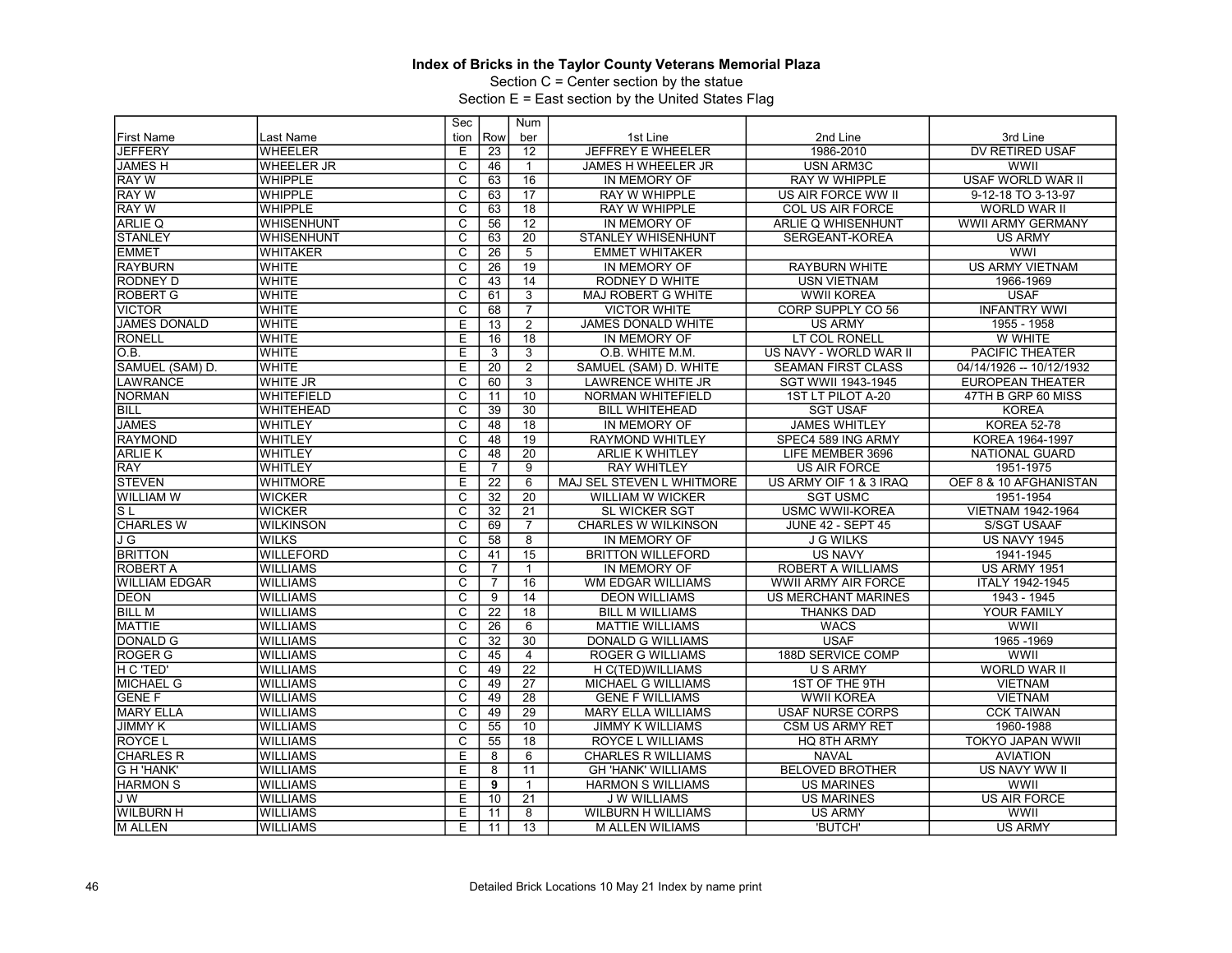Section C = Center section by the statue

|                      |                   | Sec                     |                 | Num             |                           |                            |                          |
|----------------------|-------------------|-------------------------|-----------------|-----------------|---------------------------|----------------------------|--------------------------|
| <b>First Name</b>    | Last Name         | tion                    | Row             | ber             | 1st Line                  | 2nd Line                   | 3rd Line                 |
| <b>JEFFERY</b>       | <b>WHEELER</b>    | Ε                       | 23              | 12              | <b>JEFFREY E WHEELER</b>  | 1986-2010                  | DV RETIRED USAF          |
| <b>JAMESH</b>        | <b>WHEELER JR</b> | $\overline{c}$          | 46              | $\mathbf{1}$    | JAMES H WHEELER JR        | <b>USN ARM3C</b>           | WWII                     |
| <b>RAY W</b>         | WHIPPLE           | $\overline{\mathrm{c}}$ | 63              | 16              | IN MEMORY OF              | <b>RAY W WHIPPLE</b>       | <b>USAF WORLD WAR II</b> |
| <b>RAY W</b>         | <b>WHIPPLE</b>    | $\overline{C}$          | 63              | 17              | <b>RAY W WHIPPLE</b>      | US AIR FORCE WW II         | 9-12-18 TO 3-13-97       |
| <b>RAY W</b>         | <b>WHIPPLE</b>    | $\overline{\text{c}}$   | 63              | $\overline{18}$ | RAY W WHIPPLE             | COL US AIR FORCE           | <b>WORLD WAR II</b>      |
| <b>ARLIE Q</b>       | <b>WHISENHUNT</b> | $\overline{\mathsf{c}}$ | 56              | $\overline{12}$ | IN MEMORY OF              | ARLIE Q WHISENHUNT         | <b>WWII ARMY GERMANY</b> |
| <b>STANLEY</b>       | <b>WHISENHUNT</b> | C                       | 63              | 20              | <b>STANLEY WHISENHUNT</b> | SERGEANT-KOREA             | <b>US ARMY</b>           |
| <b>EMMET</b>         | <b>WHITAKER</b>   | $\overline{\mathsf{c}}$ | 26              | $\overline{5}$  | <b>EMMET WHITAKER</b>     |                            | <b>WWI</b>               |
| <b>RAYBURN</b>       | <b>WHITE</b>      | $\overline{\mathrm{c}}$ | 26              | 19              | IN MEMORY OF              | <b>RAYBURN WHITE</b>       | <b>US ARMY VIETNAM</b>   |
| RODNEY D             | <b>WHITE</b>      | C                       | 43              | 14              | RODNEY D WHITE            | <b>USN VIETNAM</b>         | 1966-1969                |
| <b>ROBERT G</b>      | <b>WHITE</b>      | $\overline{\text{c}}$   | 61              | $\overline{3}$  | MAJ ROBERT G WHITE        | <b>WWII KOREA</b>          | <b>USAF</b>              |
| <b>VICTOR</b>        | <b>WHITE</b>      | $\overline{C}$          | 68              | $\overline{7}$  | <b>VICTOR WHITE</b>       | CORP SUPPLY CO 56          | <b>INFANTRY WWI</b>      |
| <b>JAMES DONALD</b>  | <b>WHITE</b>      | E                       | 13              | $\overline{2}$  | JAMES DONALD WHITE        | <b>US ARMY</b>             | 1955 - 1958              |
| <b>RONELL</b>        | <b>WHITE</b>      | Έ                       | 16              | 18              | IN MEMORY OF              | LT COL RONELL              | W WHITE                  |
| $\overline{O.B.}$    | <b>WHITE</b>      | E                       | $\overline{3}$  | $\overline{3}$  | O.B. WHITE M.M.           | US NAVY - WORLD WAR II     | <b>PACIFIC THEATER</b>   |
| SAMUEL (SAM) D.      | <b>WHITE</b>      | Ε                       | 20              | $\overline{2}$  | SAMUEL (SAM) D. WHITE     | <b>SEAMAN FIRST CLASS</b>  | 04/14/1926 -- 10/12/1932 |
| <b>LAWRANCE</b>      | <b>WHITE JR</b>   | $\overline{\mathrm{c}}$ | 60              | $\overline{3}$  | <b>LAWRENCE WHITE JR</b>  | SGT WWII 1943-1945         | <b>EUROPEAN THEATER</b>  |
| <b>NORMAN</b>        | <b>WHITEFIELD</b> | $\mathsf{C}$            | 11              | 10              | <b>NORMAN WHITEFIELD</b>  | 1ST LT PILOT A-20          | 47TH B GRP 60 MISS       |
| BILL                 | <b>WHITEHEAD</b>  | $\overline{\text{c}}$   | 39              | 30              | <b>BILL WHITEHEAD</b>     | <b>SGT USAF</b>            | <b>KOREA</b>             |
| <b>JAMES</b>         | <b>WHITLEY</b>    | $\overline{c}$          | 48              | $\overline{18}$ | IN MEMORY OF              | <b>JAMES WHITLEY</b>       | <b>KOREA 52-78</b>       |
| <b>RAYMOND</b>       | WHITLEY           | C                       | 48              | 19              | <b>RAYMOND WHITLEY</b>    | SPEC4 589 ING ARMY         | KOREA 1964-1997          |
| <b>ARLIE K</b>       | WHITLEY           | $\overline{\mathsf{c}}$ | 48              | $\overline{20}$ | <b>ARLIE K WHITLEY</b>    | LIFE MEMBER 3696           | NATIONAL GUARD           |
| RAY                  | <b>WHITLEY</b>    | E                       | $\overline{7}$  | $\overline{9}$  | <b>RAY WHITLEY</b>        | <b>US AIR FORCE</b>        | 1951-1975                |
| <b>STEVEN</b>        | <b>WHITMORE</b>   | Ε                       | $\overline{22}$ | $6\overline{6}$ | MAJ SEL STEVEN L WHITMORE | US ARMY OIF 1 & 3 IRAQ     | OEF 8 & 10 AFGHANISTAN   |
| <b>WILLIAM W</b>     | <b>WICKER</b>     | $\overline{\text{c}}$   | 32              | $\overline{20}$ | <b>WILLIAM W WICKER</b>   | <b>SGT USMC</b>            | 1951-1954                |
| S L                  | <b>WICKER</b>     | $\overline{C}$          | 32              | 21              | <b>SL WICKER SGT</b>      | <b>USMC WWII-KOREA</b>     | <b>VIETNAM 1942-1964</b> |
| <b>CHARLES W</b>     | <b>WILKINSON</b>  | $\overline{\text{c}}$   | 69              | $\overline{7}$  | CHARLES W WILKINSON       | <b>JUNE 42 - SEPT 45</b>   | <b>S/SGT USAAF</b>       |
| J G                  | <b>WILKS</b>      | $\overline{\mathsf{c}}$ | 58              | 8               | IN MEMORY OF              | <b>J G WILKS</b>           | <b>US NAVY 1945</b>      |
| <b>BRITTON</b>       | <b>WILLEFORD</b>  | $\overline{C}$          | 41              | 15              | <b>BRITTON WILLEFORD</b>  | <b>US NAVY</b>             | 1941-1945                |
| <b>ROBERT A</b>      | <b>WILLIAMS</b>   | $\overline{\text{c}}$   | $\overline{7}$  | $\mathbf{1}$    | IN MEMORY OF              | <b>ROBERT A WILLIAMS</b>   | <b>US ARMY 1951</b>      |
| <b>WILLIAM EDGAR</b> | <b>WILLIAMS</b>   | $\overline{\mathrm{c}}$ | $\overline{7}$  | $\overline{16}$ | <b>WM EDGAR WILLIAMS</b>  | <b>WWII ARMY AIR FORCE</b> | ITALY 1942-1945          |
| <b>DEON</b>          | <b>WILLIAMS</b>   | C                       | 9               | 14              | <b>DEON WILLIAMS</b>      | <b>US MERCHANT MARINES</b> | 1943 - 1945              |
| <b>BILL M</b>        | <b>WILLIAMS</b>   | $\overline{\text{c}}$   | $\overline{22}$ | 18              | <b>BILL M WILLIAMS</b>    | <b>THANKS DAD</b>          | YOUR FAMILY              |
| <b>MATTIE</b>        | <b>WILLIAMS</b>   | C                       | $\overline{26}$ | 6               | <b>MATTIE WILLIAMS</b>    | <b>WACS</b>                | WWII                     |
| <b>DONALD G</b>      | <b>WILLIAMS</b>   | C                       | 32              | 30              | DONALD G WILLIAMS         | <b>USAF</b>                | 1965 - 1969              |
| <b>ROGER G</b>       | <b>WILLIAMS</b>   | $\overline{\mathsf{c}}$ | 45              | $\overline{4}$  | <b>ROGER G WILLIAMS</b>   | 188D SERVICE COMP          | WWII                     |
| H C 'TED'            | <b>WILLIAMS</b>   | $\overline{c}$          | 49              | $\overline{22}$ | H C(TED)WILLIAMS          | U S ARMY                   | <b>WORLD WAR II</b>      |
| <b>MICHAEL G</b>     | <b>WILLIAMS</b>   | $\overline{\text{c}}$   | 49              | 27              | MICHAEL G WILLIAMS        | 1ST OF THE 9TH             | <b>VIETNAM</b>           |
| <b>GENE F</b>        | <b>WILLIAMS</b>   | $\overline{\mathrm{c}}$ | 49              | $\overline{28}$ | <b>GENE F WILLIAMS</b>    | <b>WWII KOREA</b>          | <b>VIETNAM</b>           |
| <b>MARY ELLA</b>     | <b>WILLIAMS</b>   | $\overline{C}$          | 49              | 29              | <b>MARY ELLA WILLIAMS</b> | <b>USAF NURSE CORPS</b>    | <b>CCK TAIWAN</b>        |
| <b>JIMMY K</b>       | <b>WILLIAMS</b>   | $\overline{\text{c}}$   | 55              | 10              | <b>JIMMY K WILLIAMS</b>   | <b>CSM US ARMY RET</b>     | 1960-1988                |
| <b>ROYCE L</b>       | <b>WILLIAMS</b>   | $\overline{\mathsf{c}}$ | 55              | 18              | <b>ROYCE L WILLIAMS</b>   | HQ 8TH ARMY                | TOKYO JAPAN WWII         |
| <b>CHARLES R</b>     | <b>WILLIAMS</b>   | E                       | 8               | $6\overline{6}$ | <b>CHARLES R WILLIAMS</b> | <b>NAVAL</b>               | <b>AVIATION</b>          |
| <b>G H 'HANK'</b>    | <b>WILLIAMS</b>   | Έ                       | 8               | 11              | <b>GH 'HANK' WILLIAMS</b> | <b>BELOVED BROTHER</b>     | US NAVY WW II            |
| <b>HARMON S</b>      | <b>WILLIAMS</b>   | E                       | 9               | $\mathbf{1}$    | <b>HARMON S WILLIAMS</b>  | <b>US MARINES</b>          | WWII                     |
| JW                   | <b>WILLIAMS</b>   | E                       | 10              | $\overline{21}$ | <b>J W WILLIAMS</b>       | US MARINES                 | <b>US AIR FORCE</b>      |
| <b>WILBURN H</b>     | <b>WILLIAMS</b>   | E                       | 11              | 8               | <b>WILBURN H WILLIAMS</b> | <b>US ARMY</b>             | WWII                     |
| <b>MALLEN</b>        | <b>WILLIAMS</b>   | E                       | 11              | 13              | <b>M ALLEN WILIAMS</b>    | 'BUTCH'                    | <b>US ARMY</b>           |
|                      |                   |                         |                 |                 |                           |                            |                          |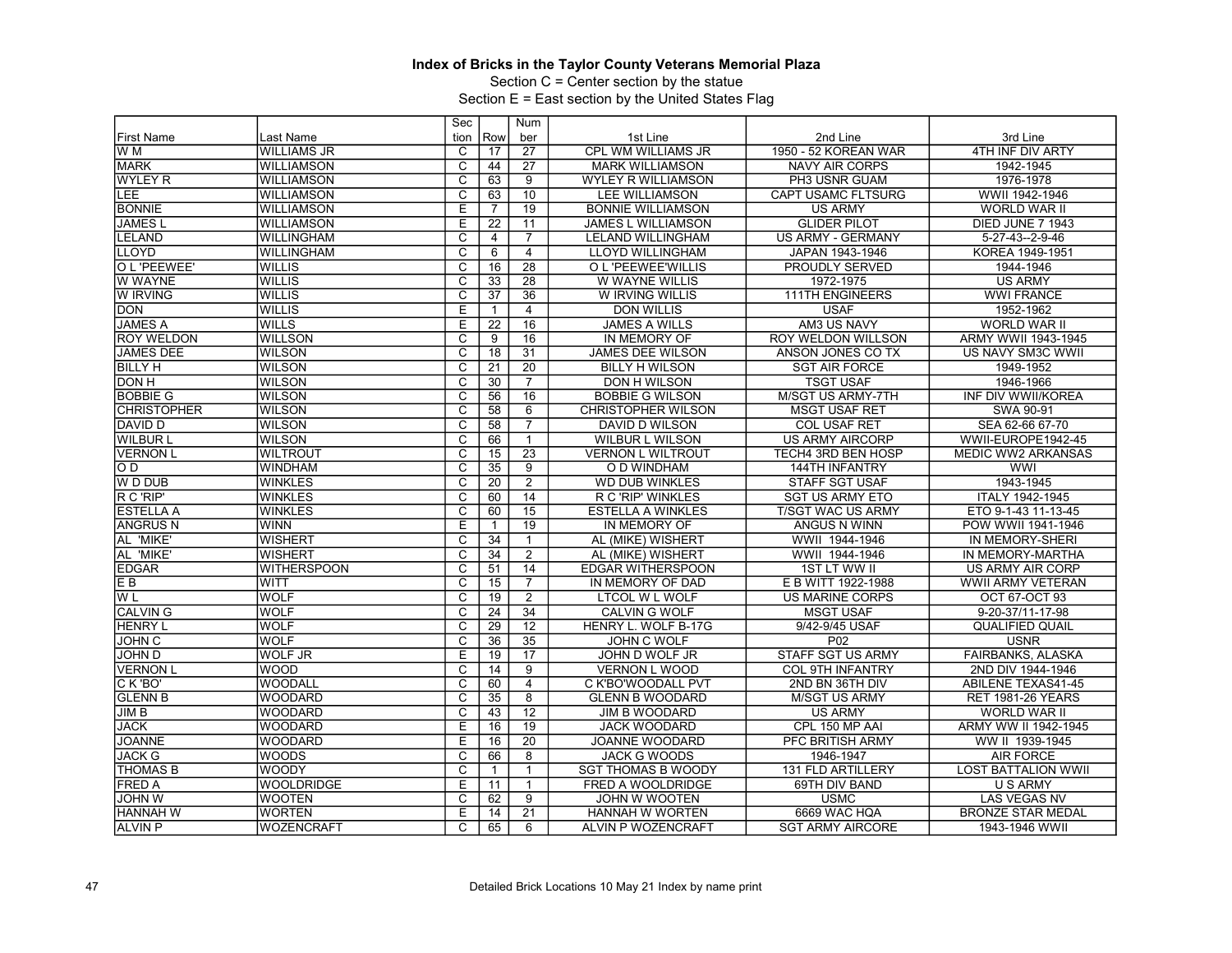Section C = Center section by the statue

|                    |                    | Sec                     |                 | Num             |                           |                           |                            |
|--------------------|--------------------|-------------------------|-----------------|-----------------|---------------------------|---------------------------|----------------------------|
| <b>First Name</b>  | Last Name          | tion                    | Row             | ber             | 1st Line                  | 2nd Line                  | 3rd Line                   |
| W M                | <b>WILLIAMS JR</b> | C                       | 17              | $\overline{27}$ | <b>CPL WM WILLIAMS JR</b> | 1950 - 52 KOREAN WAR      | 4TH INF DIV ARTY           |
| <b>MARK</b>        | <b>WILLIAMSON</b>  | $\overline{c}$          | 44              | 27              | <b>MARK WILLIAMSON</b>    | <b>NAVY AIR CORPS</b>     | 1942-1945                  |
| <b>WYLEY R</b>     | <b>WILLIAMSON</b>  | $\overline{\mathsf{c}}$ | 63              | 9               | <b>WYLEY R WILLIAMSON</b> | PH3 USNR GUAM             | 1976-1978                  |
| LEE                | <b>WILLIAMSON</b>  | C                       | 63              | 10              | <b>LEE WILLIAMSON</b>     | <b>CAPT USAMC FLTSURG</b> | WWII 1942-1946             |
| <b>BONNIE</b>      | <b>WILLIAMSON</b>  | E                       | $\overline{7}$  | 19              | <b>BONNIE WILLIAMSON</b>  | <b>US ARMY</b>            | WORLD WAR II               |
| <b>JAMES L</b>     | <b>WILLIAMSON</b>  | E                       | 22              | 11              | <b>JAMES L WILLIAMSON</b> | <b>GLIDER PILOT</b>       | DIED JUNE 7 1943           |
| <b>LELAND</b>      | <b>WILLINGHAM</b>  | $\overline{\text{c}}$   | $\overline{4}$  | $\overline{7}$  | <b>LELAND WILLINGHAM</b>  | <b>US ARMY - GERMANY</b>  | 5-27-43--2-9-46            |
| <b>LLOYD</b>       | <b>WILLINGHAM</b>  | $\overline{\mathsf{c}}$ | 6               | $\overline{4}$  | <b>LLOYD WILLINGHAM</b>   | JAPAN 1943-1946           | KOREA 1949-1951            |
| O L 'PEEWEE'       | <b>WILLIS</b>      | $\overline{\mathsf{c}}$ | 16              | $\overline{28}$ | O L 'PEEWEE'WILLIS        | <b>PROUDLY SERVED</b>     | 1944-1946                  |
| W WAYNE            | <b>WILLIS</b>      | $\overline{c}$          | 33              | 28              | W WAYNE WILLIS            | 1972-1975                 | <b>US ARMY</b>             |
| W IRVING           | <b>WILLIS</b>      | $\overline{\text{c}}$   | 37              | $\overline{36}$ | W IRVING WILLIS           | <b>111TH ENGINEERS</b>    | <b>WWI FRANCE</b>          |
| <b>DON</b>         | <b>WILLIS</b>      | Ε                       | $\mathbf{1}$    | $\overline{4}$  | <b>DON WILLIS</b>         | <b>USAF</b>               | 1952-1962                  |
| <b>JAMES A</b>     | <b>WILLS</b>       | E                       | $\overline{22}$ | 16              | <b>JAMES A WILLS</b>      | AM3 US NAVY               | WORLD WAR II               |
| <b>ROY WELDON</b>  | <b>WILLSON</b>     | C                       | 9               | $\overline{16}$ | IN MEMORY OF              | <b>ROY WELDON WILLSON</b> | ARMY WWII 1943-1945        |
| <b>JAMES DEE</b>   | <b>WILSON</b>      | $\overline{\text{c}}$   | $\overline{18}$ | $\overline{31}$ | <b>JAMES DEE WILSON</b>   | ANSON JONES CO TX         | US NAVY SM3C WWII          |
| <b>BILLY H</b>     | <b>WILSON</b>      | $\overline{\mathsf{c}}$ | 21              | 20              | <b>BILLY H WILSON</b>     | <b>SGT AIR FORCE</b>      | 1949-1952                  |
| <b>DON H</b>       | <b>WILSON</b>      | $\overline{\mathrm{c}}$ | $\overline{30}$ | $\overline{7}$  | <b>DON H WILSON</b>       | <b>TSGT USAF</b>          | 1946-1966                  |
| <b>BOBBIE G</b>    | <b>WILSON</b>      | $\overline{C}$          | 56              | $\overline{16}$ | <b>BOBBIE G WILSON</b>    | <b>M/SGT US ARMY-7TH</b>  | INF DIV WWII/KOREA         |
| <b>CHRISTOPHER</b> | <b>WILSON</b>      | $\overline{\text{c}}$   | $\overline{58}$ | 6               | <b>CHRISTOPHER WILSON</b> | <b>MSGT USAF RET</b>      | SWA 90-91                  |
| DAVID D            | <b>WILSON</b>      | $\overline{c}$          | 58              | $\overline{7}$  | DAVID D WILSON            | <b>COL USAF RET</b>       | SEA 62-66 67-70            |
| <b>WILBUR L</b>    | <b>WILSON</b>      | $\overline{\text{c}}$   | 66              | $\mathbf{1}$    | <b>WILBUR L WILSON</b>    | <b>US ARMY AIRCORP</b>    | WWII-EUROPE1942-45         |
| <b>VERNON L</b>    | <b>WILTROUT</b>    | $\overline{\text{c}}$   | $\overline{15}$ | $\overline{23}$ | <b>VERNON L WILTROUT</b>  | TECH4 3RD BEN HOSP        | <b>MEDIC WW2 ARKANSAS</b>  |
| OD.                | WINDHAM            | $\overline{\mathsf{c}}$ | $\overline{35}$ | $\overline{9}$  | O D WINDHAM               | 144TH INFANTRY            | <b>WWI</b>                 |
| W D DUB            | <b>WINKLES</b>     | $\overline{c}$          | 20              | $\overline{2}$  | <b>WD DUB WINKLES</b>     | <b>STAFF SGT USAF</b>     | 1943-1945                  |
| R C 'RIP'          | <b>WINKLES</b>     | $\overline{\mathrm{c}}$ | 60              | 14              | R C 'RIP' WINKLES         | <b>SGT US ARMY ETO</b>    | ITALY 1942-1945            |
| <b>ESTELLA A</b>   | <b>WINKLES</b>     | $\overline{C}$          | 60              | 15              | <b>ESTELLA A WINKLES</b>  | <b>T/SGT WAC US ARMY</b>  | ETO 9-1-43 11-13-45        |
| <b>ANGRUS N</b>    | <b>WINN</b>        | E                       | $\mathbf{1}$    | 19              | IN MEMORY OF              | ANGUS N WINN              | POW WWII 1941-1946         |
| AL 'MIKE'          | <b>WISHERT</b>     | $\overline{\mathrm{c}}$ | $\overline{34}$ | $\mathbf{1}$    | AL (MIKE) WISHERT         | WWII 1944-1946            | IN MEMORY-SHERI            |
| AL 'MIKE'          | <b>WISHERT</b>     | $\overline{\text{c}}$   | 34              | $\overline{2}$  | AL (MIKE) WISHERT         | WWII 1944-1946            | IN MEMORY-MARTHA           |
| <b>EDGAR</b>       | <b>WITHERSPOON</b> | $\overline{\text{c}}$   | 51              | 14              | <b>EDGAR WITHERSPOON</b>  | <b>1ST LT WW II</b>       | US ARMY AIR CORP           |
| E <sub>B</sub>     | <b>WITT</b>        | $\overline{\mathrm{c}}$ | 15              | $\overline{7}$  | IN MEMORY OF DAD          | E B WITT 1922-1988        | <b>WWII ARMY VETERAN</b>   |
| W <sub>L</sub>     | <b>WOLF</b>        | $\overline{\text{c}}$   | 19              | 2               | <b>LTCOL W L WOLF</b>     | <b>US MARINE CORPS</b>    | OCT 67-OCT 93              |
| <b>CALVING</b>     | <b>WOLF</b>        | C                       | $\overline{24}$ | $\overline{34}$ | <b>CALVIN G WOLF</b>      | <b>MSGT USAF</b>          | 9-20-37/11-17-98           |
| <b>HENRY L</b>     | <b>WOLF</b>        | $\overline{\mathsf{c}}$ | $\overline{29}$ | $\overline{12}$ | HENRY L. WOLF B-17G       | 9/42-9/45 USAF            | <b>QUALIFIED QUAIL</b>     |
| <b>JOHN C</b>      | <b>WOLF</b>        | C                       | 36              | 35              | <b>JOHN C WOLF</b>        | P02                       | <b>USNR</b>                |
| JOHN D             | <b>WOLF JR</b>     | $\overline{E}$          | 19              | $\overline{17}$ | JOHN D WOLF JR            | <b>STAFF SGT US ARMY</b>  | FAIRBANKS, ALASKA          |
| <b>VERNON L</b>    | <b>WOOD</b>        | $\overline{\mathrm{c}}$ | 14              | $\overline{9}$  | <b>VERNON L WOOD</b>      | <b>COL 9TH INFANTRY</b>   | 2ND DIV 1944-1946          |
| CK 'BO'            | <b>WOODALL</b>     | C                       | 60              | $\overline{4}$  | C K'BO'WOODALL PVT        | 2ND BN 36TH DIV           | <b>ABILENE TEXAS41-45</b>  |
| <b>GLENN B</b>     | <b>WOODARD</b>     | $\overline{\text{c}}$   | $\overline{35}$ | $\overline{8}$  | <b>GLENN B WOODARD</b>    | <b>M/SGT US ARMY</b>      | <b>RET 1981-26 YEARS</b>   |
| JIMB               | <b>WOODARD</b>     | $\overline{\text{c}}$   | 43              | $\overline{12}$ | <b>JIM B WOODARD</b>      | <b>US ARMY</b>            | <b>WORLD WAR II</b>        |
| <b>JACK</b>        | <b>WOODARD</b>     | E                       | 16              | 19              | <b>JACK WOODARD</b>       | CPL 150 MP AAI            | ARMY WW II 1942-1945       |
| <b>JOANNE</b>      | <b>WOODARD</b>     | Ε                       | 16              | $\overline{20}$ | JOANNE WOODARD            | PFC BRITISH ARMY          | WW II 1939-1945            |
| <b>JACK G</b>      | <b>WOODS</b>       | $\overline{C}$          | 66              | 8               | <b>JACK G WOODS</b>       | 1946-1947                 | <b>AIR FORCE</b>           |
| <b>THOMAS B</b>    | WOODY              | $\overline{\mathrm{c}}$ | $\mathbf{1}$    | $\mathbf{1}$    | <b>SGT THOMAS B WOODY</b> | 131 FLD ARTILLERY         | <b>LOST BATTALION WWII</b> |
| <b>FRED A</b>      | <b>WOOLDRIDGE</b>  | E                       | 11              | $\mathbf{1}$    | FRED A WOOLDRIDGE         | 69TH DIV BAND             | <b>U S ARMY</b>            |
| <b>JOHN W</b>      | <b>WOOTEN</b>      | C                       | 62              | 9               | JOHN W WOOTEN             | <b>USMC</b>               | <b>LAS VEGAS NV</b>        |
| <b>HANNAH W</b>    | <b>WORTEN</b>      | E                       | 14              | $\overline{21}$ | HANNAH W WORTEN           | 6669 WAC HQA              | <b>BRONZE STAR MEDAL</b>   |
|                    |                    |                         |                 |                 |                           |                           |                            |
| ALVIN P            | <b>WOZENCRAFT</b>  | C                       | 65              | 6               | ALVIN P WOZENCRAFT        | <b>SGT ARMY AIRCORE</b>   | 1943-1946 WWII             |